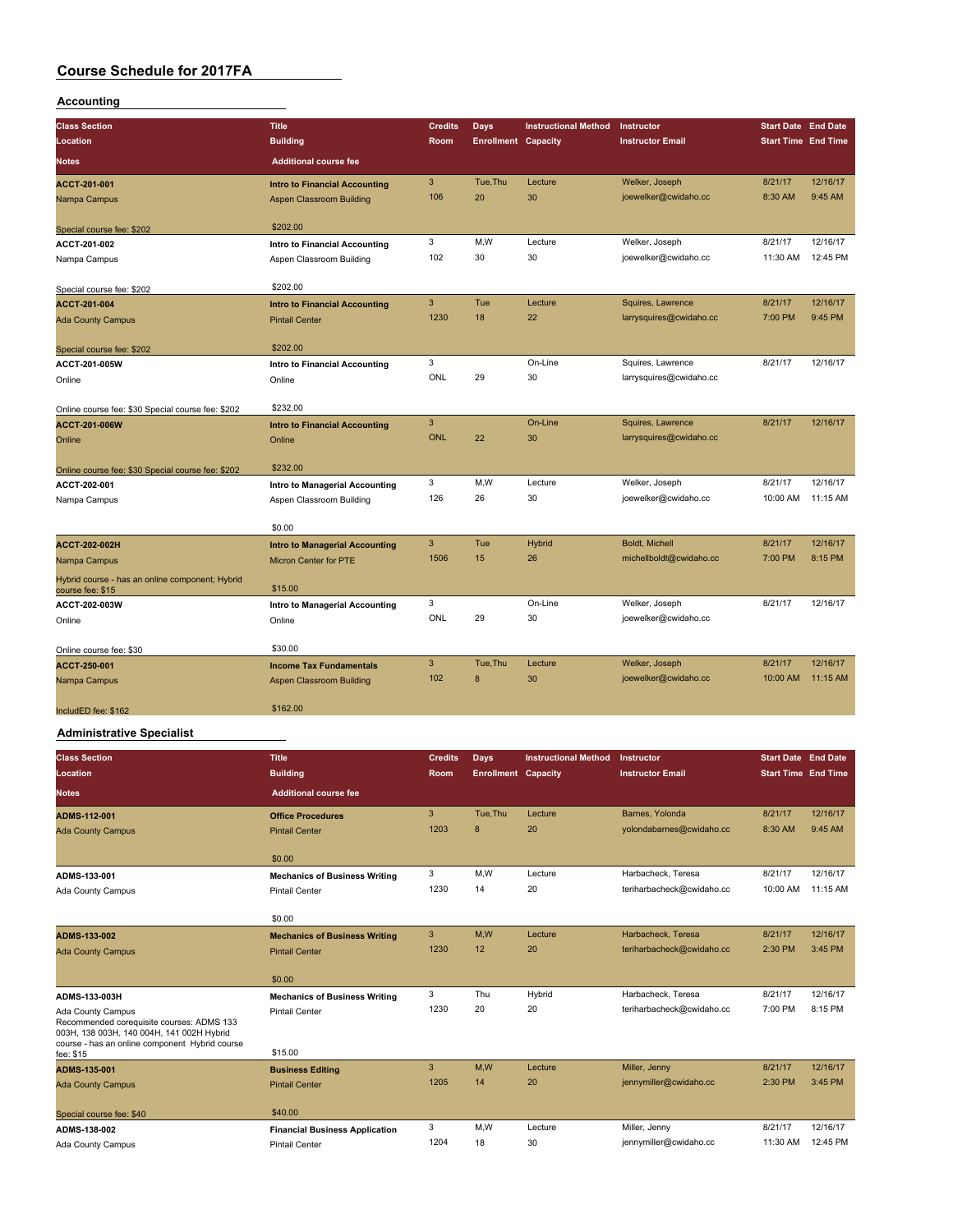#### **Accounting**

| <b>Class Section</b><br>Location<br><b>Notes</b>                    | <b>Title</b><br><b>Building</b><br><b>Additional course fee</b> | <b>Credits</b><br>Room | <b>Days</b><br><b>Enrollment Capacity</b> | <b>Instructional Method</b> | Instructor<br><b>Instructor Email</b> | <b>Start Date End Date</b><br><b>Start Time End Time</b> |          |
|---------------------------------------------------------------------|-----------------------------------------------------------------|------------------------|-------------------------------------------|-----------------------------|---------------------------------------|----------------------------------------------------------|----------|
| ACCT-201-001                                                        | <b>Intro to Financial Accounting</b>                            | 3                      | Tue, Thu                                  | Lecture                     | Welker, Joseph                        | 8/21/17                                                  | 12/16/17 |
| Nampa Campus                                                        | <b>Aspen Classroom Building</b>                                 | 106                    | 20                                        | 30                          | joewelker@cwidaho.cc                  | 8:30 AM                                                  | 9:45 AM  |
| Special course fee: \$202                                           | \$202.00                                                        |                        |                                           |                             |                                       |                                                          |          |
| ACCT-201-002                                                        | Intro to Financial Accounting                                   | 3                      | M,W                                       | Lecture                     | Welker, Joseph                        | 8/21/17                                                  | 12/16/17 |
| Nampa Campus                                                        | Aspen Classroom Building                                        | 102                    | 30                                        | 30                          | joewelker@cwidaho.cc                  | 11:30 AM                                                 | 12:45 PM |
| Special course fee: \$202                                           | \$202.00                                                        |                        |                                           |                             |                                       |                                                          |          |
| ACCT-201-004                                                        | <b>Intro to Financial Accounting</b>                            | 3                      | Tue                                       | Lecture                     | Squires, Lawrence                     | 8/21/17                                                  | 12/16/17 |
| <b>Ada County Campus</b>                                            | <b>Pintail Center</b>                                           | 1230                   | 18                                        | 22                          | larrysquires@cwidaho.cc               | 7:00 PM                                                  | 9:45 PM  |
| Special course fee: \$202                                           | \$202.00                                                        |                        |                                           |                             |                                       |                                                          |          |
| ACCT-201-005W                                                       | Intro to Financial Accounting                                   | 3                      |                                           | On-Line                     | Squires, Lawrence                     | 8/21/17                                                  | 12/16/17 |
| Online                                                              | Online                                                          | ONL                    | 29                                        | 30                          | larrysquires@cwidaho.cc               |                                                          |          |
| Online course fee: \$30 Special course fee: \$202                   | \$232.00                                                        |                        |                                           |                             |                                       |                                                          |          |
| ACCT-201-006W                                                       | <b>Intro to Financial Accounting</b>                            | 3                      |                                           | On-Line                     | Squires, Lawrence                     | 8/21/17                                                  | 12/16/17 |
| Online                                                              | Online                                                          | <b>ONL</b>             | 22                                        | 30                          | larrysquires@cwidaho.cc               |                                                          |          |
| Online course fee: \$30 Special course fee: \$202                   | \$232.00                                                        |                        |                                           |                             |                                       |                                                          |          |
| ACCT-202-001                                                        | Intro to Managerial Accounting                                  | 3                      | M,W                                       | Lecture                     | Welker, Joseph                        | 8/21/17                                                  | 12/16/17 |
| Nampa Campus                                                        | Aspen Classroom Building                                        | 126                    | 26                                        | 30                          | joewelker@cwidaho.cc                  | 10:00 AM                                                 | 11:15 AM |
|                                                                     | \$0.00                                                          |                        |                                           |                             |                                       |                                                          |          |
| ACCT-202-002H                                                       | <b>Intro to Managerial Accounting</b>                           | 3                      | Tue                                       | <b>Hybrid</b>               | Boldt, Michell                        | 8/21/17                                                  | 12/16/17 |
| Nampa Campus                                                        | Micron Center for PTE                                           | 1506                   | 15                                        | 26                          | michellboldt@cwidaho.cc               | 7:00 PM                                                  | 8:15 PM  |
| Hybrid course - has an online component; Hybrid<br>course fee: \$15 | \$15.00                                                         |                        |                                           |                             |                                       |                                                          |          |
| ACCT-202-003W                                                       | Intro to Managerial Accounting                                  | 3                      |                                           | On-Line                     | Welker, Joseph                        | 8/21/17                                                  | 12/16/17 |
| Online                                                              | Online                                                          | ONL                    | 29                                        | 30                          | joewelker@cwidaho.cc                  |                                                          |          |
| Online course fee: \$30                                             | \$30.00                                                         |                        |                                           |                             |                                       |                                                          |          |
| ACCT-250-001                                                        | <b>Income Tax Fundamentals</b>                                  | 3                      | Tue.Thu                                   | Lecture                     | Welker, Joseph                        | 8/21/17                                                  | 12/16/17 |
| Nampa Campus                                                        | Aspen Classroom Building                                        | 102                    | 8                                         | 30                          | joewelker@cwidaho.cc                  | 10:00 AM                                                 | 11:15 AM |
| IncludED fee: \$162                                                 | \$162.00                                                        |                        |                                           |                             |                                       |                                                          |          |

#### **Administrative Specialist**

| <b>Class Section</b>                                                                                        | <b>Title</b>                          | <b>Credits</b> | Days                       | <b>Instructional Method</b> | Instructor                | <b>Start Date End Date</b> |          |
|-------------------------------------------------------------------------------------------------------------|---------------------------------------|----------------|----------------------------|-----------------------------|---------------------------|----------------------------|----------|
| Location                                                                                                    | <b>Building</b>                       | Room           | <b>Enrollment Capacity</b> |                             | <b>Instructor Email</b>   | <b>Start Time End Time</b> |          |
| <b>Notes</b>                                                                                                | <b>Additional course fee</b>          |                |                            |                             |                           |                            |          |
| ADMS-112-001                                                                                                | <b>Office Procedures</b>              | 3              | Tue, Thu                   | Lecture                     | Barnes, Yolonda           | 8/21/17                    | 12/16/17 |
| <b>Ada County Campus</b>                                                                                    | <b>Pintail Center</b>                 | 1203           | 8                          | 20                          | yolondabarnes@cwidaho.cc  | 8:30 AM                    | 9:45 AM  |
|                                                                                                             | \$0.00                                |                |                            |                             |                           |                            |          |
| ADMS-133-001                                                                                                | <b>Mechanics of Business Writing</b>  | 3              | M,W                        | Lecture                     | Harbacheck, Teresa        | 8/21/17                    | 12/16/17 |
| Ada County Campus                                                                                           | <b>Pintail Center</b>                 | 1230           | 14                         | 20                          | teriharbacheck@cwidaho.cc | 10:00 AM                   | 11:15 AM |
|                                                                                                             | \$0.00                                |                |                            |                             |                           |                            |          |
| ADMS-133-002                                                                                                | <b>Mechanics of Business Writing</b>  | 3              | M,W                        | Lecture                     | Harbacheck, Teresa        | 8/21/17                    | 12/16/17 |
| <b>Ada County Campus</b>                                                                                    | <b>Pintail Center</b>                 | 1230           | 12                         | 20                          | teriharbacheck@cwidaho.cc | 2:30 PM                    | 3:45 PM  |
|                                                                                                             | \$0.00                                |                |                            |                             |                           |                            |          |
| ADMS-133-003H                                                                                               | <b>Mechanics of Business Writing</b>  | 3              | Thu                        | Hybrid                      | Harbacheck, Teresa        | 8/21/17                    | 12/16/17 |
| Ada County Campus<br>Recommended corequisite courses: ADMS 133<br>003H, 138 003H, 140 004H, 141 002H Hybrid | <b>Pintail Center</b>                 | 1230           | 20                         | 20                          | teriharbacheck@cwidaho.cc | 7:00 PM                    | 8:15 PM  |
| course - has an online component Hybrid course<br>fee: \$15                                                 | \$15.00                               |                |                            |                             |                           |                            |          |
| ADMS-135-001                                                                                                | <b>Business Editing</b>               | 3              | M.W                        | Lecture                     | Miller, Jenny             | 8/21/17                    | 12/16/17 |
| <b>Ada County Campus</b>                                                                                    | <b>Pintail Center</b>                 | 1205           | 14                         | 20                          | jennymiller@cwidaho.cc    | 2:30 PM                    | 3:45 PM  |
| Special course fee: \$40                                                                                    | \$40.00                               |                |                            |                             |                           |                            |          |
| ADMS-138-002                                                                                                | <b>Financial Business Application</b> | 3              | M,W                        | Lecture                     | Miller, Jenny             | 8/21/17                    | 12/16/17 |
| Ada County Campus                                                                                           | <b>Pintail Center</b>                 | 1204           | 18                         | 30                          | jennymiller@cwidaho.cc    | 11:30 AM                   | 12:45 PM |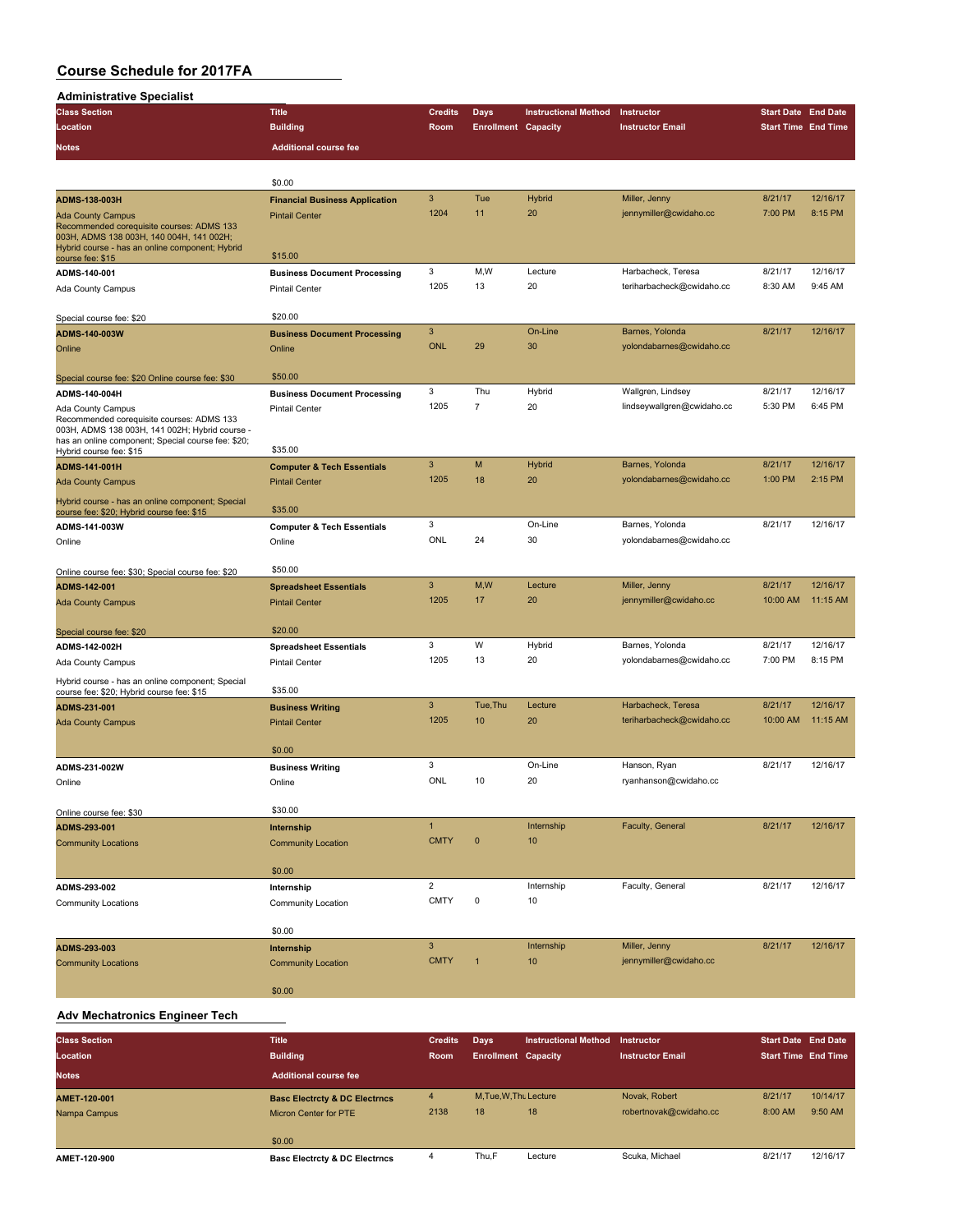| <b>Administrative Specialist</b>                                                                                                                                       |                                       |                           |                            |                             |                            |                            |          |
|------------------------------------------------------------------------------------------------------------------------------------------------------------------------|---------------------------------------|---------------------------|----------------------------|-----------------------------|----------------------------|----------------------------|----------|
| <b>Class Section</b>                                                                                                                                                   | <b>Title</b>                          | <b>Credits</b>            | Days                       | <b>Instructional Method</b> | Instructor                 | <b>Start Date End Date</b> |          |
| Location                                                                                                                                                               | <b>Building</b>                       | Room                      | <b>Enrollment Capacity</b> |                             | <b>Instructor Email</b>    | <b>Start Time End Time</b> |          |
| <b>Notes</b>                                                                                                                                                           | <b>Additional course fee</b>          |                           |                            |                             |                            |                            |          |
|                                                                                                                                                                        |                                       |                           |                            |                             |                            |                            |          |
|                                                                                                                                                                        | \$0.00                                |                           |                            |                             |                            |                            |          |
| <b>ADMS-138-003H</b>                                                                                                                                                   | <b>Financial Business Application</b> | 3                         | Tue                        | Hybrid                      | Miller, Jenny              | 8/21/17                    | 12/16/17 |
| <b>Ada County Campus</b><br>Recommended corequisite courses: ADMS 133<br>003H, ADMS 138 003H, 140 004H, 141 002H;                                                      | <b>Pintail Center</b>                 | 1204                      | 11                         | 20                          | jennymiller@cwidaho.cc     | 7:00 PM                    | 8:15 PM  |
| Hybrid course - has an online component; Hybrid<br>course fee: \$15                                                                                                    | \$15.00                               |                           |                            |                             |                            |                            |          |
| ADMS-140-001                                                                                                                                                           | <b>Business Document Processing</b>   | 3                         | M, W                       | Lecture                     | Harbacheck, Teresa         | 8/21/17                    | 12/16/17 |
| Ada County Campus                                                                                                                                                      | <b>Pintail Center</b>                 | 1205                      | 13                         | 20                          | teriharbacheck@cwidaho.cc  | 8:30 AM                    | 9:45 AM  |
| Special course fee: \$20                                                                                                                                               | \$20.00                               |                           |                            |                             |                            |                            |          |
| ADMS-140-003W                                                                                                                                                          | <b>Business Document Processing</b>   | 3                         |                            | On-Line                     | Barnes, Yolonda            | 8/21/17                    | 12/16/17 |
| Online                                                                                                                                                                 | Online                                | <b>ONL</b>                | 29                         | 30                          | yolondabarnes@cwidaho.cc   |                            |          |
| Special course fee: \$20 Online course fee: \$30                                                                                                                       | \$50.00                               |                           |                            |                             |                            |                            |          |
| ADMS-140-004H                                                                                                                                                          | <b>Business Document Processing</b>   | 3                         | Thu                        | Hybrid                      | Wallgren, Lindsey          | 8/21/17                    | 12/16/17 |
| Ada County Campus<br>Recommended corequisite courses: ADMS 133<br>003H, ADMS 138 003H, 141 002H; Hybrid course -<br>has an online component; Special course fee: \$20; | <b>Pintail Center</b>                 | 1205                      | 7                          | 20                          | lindseywallgren@cwidaho.cc | 5:30 PM                    | 6:45 PM  |
| Hybrid course fee: \$15                                                                                                                                                | \$35.00                               |                           |                            |                             |                            |                            |          |
| <b>ADMS-141-001H</b>                                                                                                                                                   | <b>Computer &amp; Tech Essentials</b> | $\mathbf{3}$              | M                          | Hybrid                      | Barnes, Yolonda            | 8/21/17                    | 12/16/17 |
| <b>Ada County Campus</b>                                                                                                                                               | <b>Pintail Center</b>                 | 1205                      | 18                         | 20                          | yolondabarnes@cwidaho.cc   | 1:00 PM                    | 2:15 PM  |
| Hybrid course - has an online component; Special<br>course fee: \$20; Hybrid course fee: \$15                                                                          | \$35.00                               |                           |                            |                             |                            |                            |          |
| ADMS-141-003W                                                                                                                                                          | <b>Computer &amp; Tech Essentials</b> | 3                         |                            | On-Line                     | Barnes, Yolonda            | 8/21/17                    | 12/16/17 |
| Online                                                                                                                                                                 | Online                                | ONL                       | 24                         | 30                          | yolondabarnes@cwidaho.cc   |                            |          |
| Online course fee: \$30; Special course fee: \$20                                                                                                                      | \$50.00                               |                           |                            |                             |                            |                            |          |
| ADMS-142-001                                                                                                                                                           | <b>Spreadsheet Essentials</b>         | 3                         | M,W                        | Lecture                     | Miller, Jenny              | 8/21/17                    | 12/16/17 |
| <b>Ada County Campus</b>                                                                                                                                               | <b>Pintail Center</b>                 | 1205                      | 17                         | 20                          | jennymiller@cwidaho.cc     | 10:00 AM                   | 11:15 AM |
| Special course fee: \$20                                                                                                                                               | \$20.00                               |                           |                            |                             |                            |                            |          |
| ADMS-142-002H                                                                                                                                                          | <b>Spreadsheet Essentials</b>         | 3                         | W                          | Hybrid                      | Barnes, Yolonda            | 8/21/17                    | 12/16/17 |
| Ada County Campus                                                                                                                                                      | <b>Pintail Center</b>                 | 1205                      | 13                         | 20                          | yolondabarnes@cwidaho.cc   | 7:00 PM                    | 8:15 PM  |
| Hybrid course - has an online component; Special<br>course fee: \$20; Hybrid course fee: \$15                                                                          | \$35.00                               |                           |                            |                             |                            |                            |          |
| ADMS-231-001                                                                                                                                                           | <b>Business Writing</b>               | 3                         | Tue, Thu                   | Lecture                     | Harbacheck, Teresa         | 8/21/17                    | 12/16/17 |
| <b>Ada County Campus</b>                                                                                                                                               | <b>Pintail Center</b>                 | 1205                      | 10                         | 20                          | teriharbacheck@cwidaho.cc  | 10:00 AM                   | 11:15 AM |
|                                                                                                                                                                        | \$0.00                                |                           |                            |                             |                            |                            |          |
| ADMS-231-002W                                                                                                                                                          | <b>Business Writing</b>               | 3                         |                            | On-Line                     | Hanson, Ryan               | 8/21/17                    | 12/16/17 |
| Online                                                                                                                                                                 | Online                                | ONL                       | 10                         | 20                          | ryanhanson@cwidaho.cc      |                            |          |
| Online course fee: \$30                                                                                                                                                | \$30.00                               |                           |                            |                             |                            |                            |          |
| ADMS-293-001                                                                                                                                                           | Internship                            | $\mathbf{1}$              |                            | Internship                  | Faculty, General           | 8/21/17                    | 12/16/17 |
| <b>Community Locations</b>                                                                                                                                             | <b>Community Location</b>             | <b>CMTY</b>               | $\pmb{0}$                  | 10                          |                            |                            |          |
|                                                                                                                                                                        | \$0.00                                |                           |                            |                             |                            |                            |          |
| ADMS-293-002                                                                                                                                                           | Internship                            | $\overline{\mathbf{c}}$   |                            | Internship                  | Faculty, General           | 8/21/17                    | 12/16/17 |
| <b>Community Locations</b>                                                                                                                                             | Community Location                    | <b>CMTY</b>               | $\pmb{0}$                  | 10                          |                            |                            |          |
|                                                                                                                                                                        | \$0.00                                |                           |                            |                             |                            |                            |          |
| ADMS-293-003                                                                                                                                                           | Internship                            | $\ensuremath{\mathsf{3}}$ |                            | Internship                  | Miller, Jenny              | 8/21/17                    | 12/16/17 |
| <b>Community Locations</b>                                                                                                                                             | <b>Community Location</b>             | <b>CMTY</b>               | $\mathbf{1}$               | 10                          | jennymiller@cwidaho.cc     |                            |          |
|                                                                                                                                                                        | \$0.00                                |                           |                            |                             |                            |                            |          |

#### **Adv Mechatronics Engineer Tech**

| <b>Class Section</b> | <b>Title</b>                             | <b>Credits</b> | <b>Davs</b>                | <b>Instructional Method</b> | <b>Instructor</b>       | <b>Start Date End Date</b> |          |
|----------------------|------------------------------------------|----------------|----------------------------|-----------------------------|-------------------------|----------------------------|----------|
| Location             | <b>Building</b>                          | Room           | <b>Enrollment Capacity</b> |                             | <b>Instructor Email</b> | <b>Start Time End Time</b> |          |
| <b>Notes</b>         | <b>Additional course fee</b>             |                |                            |                             |                         |                            |          |
| AMET-120-001         | <b>Basc Electrcty &amp; DC Electrncs</b> | 4              | M, Tue, W, Thu Lecture     |                             | Novak, Robert           | 8/21/17                    | 10/14/17 |
| Nampa Campus         | Micron Center for PTE                    | 2138           | 18                         | 18                          | robertnovak@cwidaho.cc  | 8:00 AM                    | 9:50 AM  |
|                      | \$0.00                                   |                |                            |                             |                         |                            |          |
| AMET-120-900         | <b>Basc Electrcty &amp; DC Electrncs</b> | 4              | Thu,F                      | Lecture                     | Scuka, Michael          | 8/21/17                    | 12/16/17 |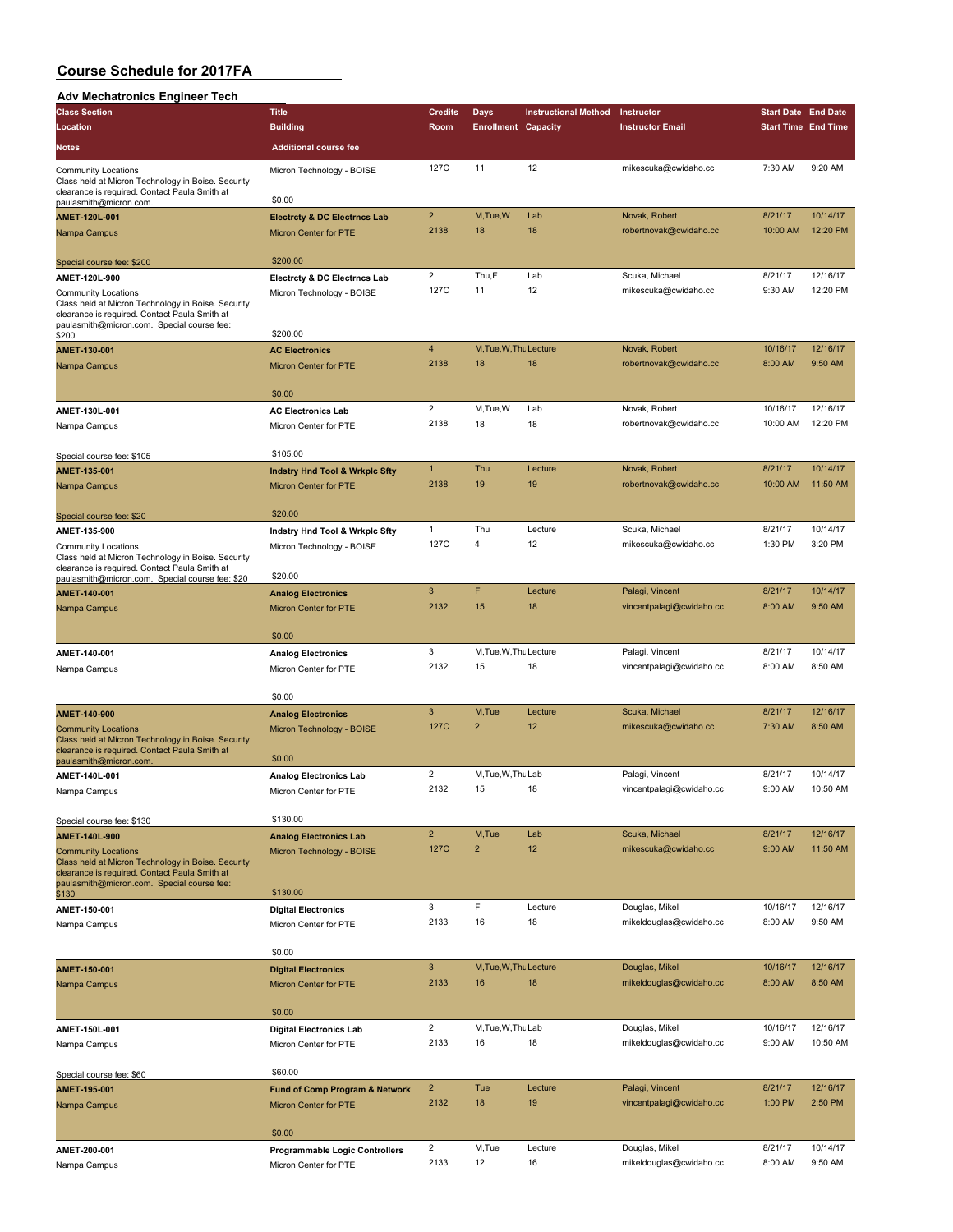#### **Adv Mechatronics Engineer Tech**

| Auv Mechatronics Engineer Tech                                                                                                                    |                                           |                         |                            |                             |                          |                            |          |
|---------------------------------------------------------------------------------------------------------------------------------------------------|-------------------------------------------|-------------------------|----------------------------|-----------------------------|--------------------------|----------------------------|----------|
| <b>Class Section</b>                                                                                                                              | <b>Title</b>                              | <b>Credits</b>          | Days                       | <b>Instructional Method</b> | Instructor               | <b>Start Date End Date</b> |          |
| Location                                                                                                                                          | <b>Building</b>                           | Room                    | <b>Enrollment Capacity</b> |                             | <b>Instructor Email</b>  | <b>Start Time End Time</b> |          |
| <b>Notes</b>                                                                                                                                      | <b>Additional course fee</b>              |                         |                            |                             |                          |                            |          |
| <b>Community Locations</b>                                                                                                                        | Micron Technology - BOISE                 | 127C                    | 11                         | 12                          | mikescuka@cwidaho.cc     | 7:30 AM                    | 9:20 AM  |
| Class held at Micron Technology in Boise. Security<br>clearance is required. Contact Paula Smith at<br>paulasmith@micron.com.                     | \$0.00                                    |                         |                            |                             |                          |                            |          |
| AMET-120L-001                                                                                                                                     | <b>Electrcty &amp; DC Electrncs Lab</b>   | $\overline{\mathbf{c}}$ | M, Tue, W                  | Lab                         | Novak, Robert            | 8/21/17                    | 10/14/17 |
| Nampa Campus                                                                                                                                      | Micron Center for PTE                     | 2138                    | 18                         | 18                          | robertnovak@cwidaho.cc   | 10:00 AM                   | 12:20 PM |
| Special course fee: \$200                                                                                                                         | \$200.00                                  |                         |                            |                             |                          |                            |          |
| AMET-120L-900                                                                                                                                     | <b>Electrcty &amp; DC Electrncs Lab</b>   | $\overline{2}$          | Thu,F                      | Lab                         | Scuka, Michael           | 8/21/17                    | 12/16/17 |
| <b>Community Locations</b>                                                                                                                        | Micron Technology - BOISE                 | 127C                    | 11                         | 12                          | mikescuka@cwidaho.cc     | 9:30 AM                    | 12:20 PM |
| Class held at Micron Technology in Boise. Security<br>clearance is required. Contact Paula Smith at<br>paulasmith@micron.com. Special course fee: |                                           |                         |                            |                             |                          |                            |          |
| \$200                                                                                                                                             | \$200.00                                  |                         |                            |                             |                          |                            |          |
| AMET-130-001                                                                                                                                      | <b>AC Electronics</b>                     | $\overline{4}$          | M, Tue, W, Thu Lecture     |                             | Novak, Robert            | 10/16/17                   | 12/16/17 |
| Nampa Campus                                                                                                                                      | Micron Center for PTE                     | 2138                    | 18                         | 18                          | robertnovak@cwidaho.cc   | 8:00 AM                    | 9:50 AM  |
|                                                                                                                                                   | \$0.00                                    |                         |                            |                             |                          |                            |          |
| AMET-130L-001                                                                                                                                     | <b>AC Electronics Lab</b>                 | $\overline{2}$          | M,Tue,W                    | Lab                         | Novak, Robert            | 10/16/17                   | 12/16/17 |
| Nampa Campus                                                                                                                                      | Micron Center for PTE                     | 2138                    | 18                         | 18                          | robertnovak@cwidaho.cc   | 10:00 AM                   | 12:20 PM |
|                                                                                                                                                   | \$105.00                                  |                         |                            |                             |                          |                            |          |
| Special course fee: \$105                                                                                                                         |                                           | $\mathbf{1}$            | Thu                        | Lecture                     | Novak, Robert            | 8/21/17                    | 10/14/17 |
| AMET-135-001                                                                                                                                      | <b>Indstry Hnd Tool &amp; Wrkplc Sfty</b> | 2138                    | 19                         | 19                          |                          | 10:00 AM                   | 11:50 AM |
| Nampa Campus                                                                                                                                      | <b>Micron Center for PTE</b>              |                         |                            |                             | robertnovak@cwidaho.cc   |                            |          |
| Special course fee: \$20                                                                                                                          | \$20.00                                   |                         |                            |                             |                          |                            |          |
| AMET-135-900                                                                                                                                      | Indstry Hnd Tool & Wrkplc Sfty            | 1                       | Thu                        | Lecture                     | Scuka, Michael           | 8/21/17                    | 10/14/17 |
| <b>Community Locations</b><br>Class held at Micron Technology in Boise. Security<br>clearance is required. Contact Paula Smith at                 | Micron Technology - BOISE                 | 127C                    | 4                          | 12                          | mikescuka@cwidaho.cc     | 1:30 PM                    | 3:20 PM  |
| paulasmith@micron.com. Special course fee: \$20                                                                                                   | \$20.00                                   |                         |                            |                             |                          |                            |          |
| AMET-140-001                                                                                                                                      | <b>Analog Electronics</b>                 | 3                       | F                          | Lecture                     | Palagi, Vincent          | 8/21/17                    | 10/14/17 |
| Nampa Campus                                                                                                                                      | Micron Center for PTE                     | 2132                    | 15                         | 18                          | vincentpalagi@cwidaho.cc | 8:00 AM                    | 9:50 AM  |
|                                                                                                                                                   | \$0.00                                    |                         |                            |                             |                          |                            |          |
| AMET-140-001                                                                                                                                      | <b>Analog Electronics</b>                 | 3                       | M, Tue, W, Thu Lecture     |                             | Palagi, Vincent          | 8/21/17                    | 10/14/17 |
| Nampa Campus                                                                                                                                      | Micron Center for PTE                     | 2132                    | 15                         | 18                          | vincentpalagi@cwidaho.cc | 8:00 AM                    | 8:50 AM  |
|                                                                                                                                                   |                                           |                         |                            |                             |                          |                            |          |
|                                                                                                                                                   | \$0.00                                    | 3                       |                            |                             |                          |                            | 12/16/17 |
| AMET-140-900                                                                                                                                      | <b>Analog Electronics</b>                 |                         | M,Tue                      | Lecture                     | Scuka, Michael           | 8/21/17                    |          |
| <b>Community Locations</b><br>Class held at Micron Technology in Boise. Security<br>clearance is required. Contact Paula Smith at                 | Micron Technology - BOISE                 | 127C                    | $\overline{2}$             | 12                          | mikescuka@cwidaho.cc     | 7:30 AM                    | 8:50 AM  |
| paulasmith@micron.com                                                                                                                             | \$0.00                                    |                         |                            |                             |                          |                            |          |
| AMET-140L-001                                                                                                                                     | <b>Analog Electronics Lab</b>             | $\overline{2}$          | M.Tue.W.Thu Lab            |                             | Palagi, Vincent          | 8/21/17                    | 10/14/17 |
| Nampa Campus                                                                                                                                      | Micron Center for PTE                     | 2132                    | 15                         | 18                          | vincentpalagi@cwidaho.cc | 9:00 AM                    | 10:50 AM |
| Special course fee: \$130                                                                                                                         | \$130.00                                  |                         |                            |                             |                          |                            |          |
| AMET-140L-900                                                                                                                                     | <b>Analog Electronics Lab</b>             | $\overline{c}$          | M,Tue                      | Lab                         | Scuka, Michael           | 8/21/17                    | 12/16/17 |
| <b>Community Locations</b><br>Class held at Micron Technology in Boise. Security<br>clearance is required. Contact Paula Smith at                 | Micron Technology - BOISE                 | 127C                    | $\overline{2}$             | 12                          | mikescuka@cwidaho.cc     | 9:00 AM                    | 11:50 AM |
| paulasmith@micron.com. Special course fee:<br>\$130                                                                                               | \$130.00                                  |                         |                            |                             |                          |                            |          |
| AMET-150-001                                                                                                                                      | <b>Digital Electronics</b>                | 3                       | F                          | Lecture                     | Douglas, Mikel           | 10/16/17                   | 12/16/17 |
| Nampa Campus                                                                                                                                      | Micron Center for PTE                     | 2133                    | 16                         | 18                          | mikeldouglas@cwidaho.cc  | 8:00 AM                    | 9:50 AM  |
|                                                                                                                                                   | \$0.00                                    |                         |                            |                             |                          |                            |          |
| AMET-150-001                                                                                                                                      | <b>Digital Electronics</b>                | 3                       | M, Tue, W, Thu Lecture     |                             | Douglas, Mikel           | 10/16/17                   | 12/16/17 |
| Nampa Campus                                                                                                                                      | Micron Center for PTE                     | 2133                    | 16                         | 18                          | mikeldouglas@cwidaho.cc  | 8:00 AM                    | 8:50 AM  |
|                                                                                                                                                   | \$0.00                                    |                         |                            |                             |                          |                            |          |
| AMET-150L-001                                                                                                                                     | <b>Digital Electronics Lab</b>            | $\overline{2}$          | M, Tue, W, Thu Lab         |                             | Douglas, Mikel           | 10/16/17                   | 12/16/17 |
| Nampa Campus                                                                                                                                      | Micron Center for PTE                     | 2133                    | 16                         | 18                          | mikeldouglas@cwidaho.cc  | 9:00 AM                    | 10:50 AM |
| Special course fee: \$60                                                                                                                          | \$60.00                                   |                         |                            |                             |                          |                            |          |
| AMET-195-001                                                                                                                                      | <b>Fund of Comp Program &amp; Network</b> | $\overline{2}$          | Tue                        | Lecture                     | Palagi, Vincent          | 8/21/17                    | 12/16/17 |
| Nampa Campus                                                                                                                                      | Micron Center for PTE                     | 2132                    | 18                         | 19                          | vincentpalagi@cwidaho.cc | 1:00 PM                    | 2:50 PM  |
|                                                                                                                                                   | \$0.00                                    |                         |                            |                             |                          |                            |          |
| AMET-200-001                                                                                                                                      | <b>Programmable Logic Controllers</b>     | 2                       | M,Tue                      | Lecture                     | Douglas, Mikel           | 8/21/17                    | 10/14/17 |
| Nampa Campus                                                                                                                                      | Micron Center for PTE                     | 2133                    | 12                         | 16                          | mikeldouglas@cwidaho.cc  | 8:00 AM                    | 9:50 AM  |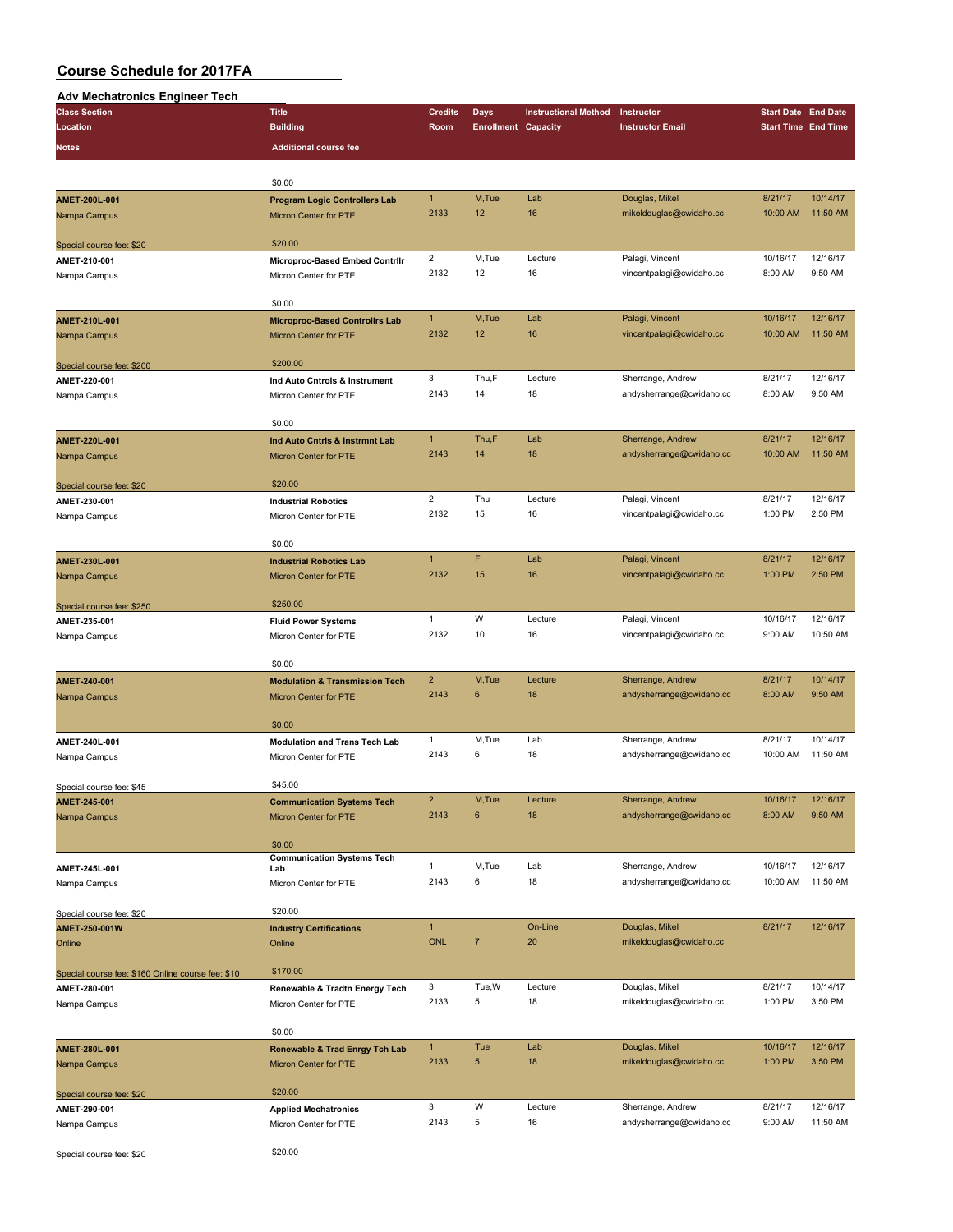#### **Adv Mechatronics Engineer Tech**

| Auv Mechauonics Engineer Tech                     |                                             |                |                            |                             |                          |                            |          |
|---------------------------------------------------|---------------------------------------------|----------------|----------------------------|-----------------------------|--------------------------|----------------------------|----------|
| <b>Class Section</b>                              | <b>Title</b>                                | <b>Credits</b> | Days                       | <b>Instructional Method</b> | Instructor               | <b>Start Date End Date</b> |          |
| Location                                          | <b>Building</b>                             | Room           | <b>Enrollment Capacity</b> |                             | <b>Instructor Email</b>  | <b>Start Time End Time</b> |          |
| <b>Notes</b>                                      | <b>Additional course fee</b>                |                |                            |                             |                          |                            |          |
|                                                   |                                             |                |                            |                             |                          |                            |          |
|                                                   | \$0.00                                      |                |                            |                             |                          |                            |          |
| AMET-200L-001                                     | <b>Program Logic Controllers Lab</b>        | $\mathbf{1}$   | M,Tue                      | Lab                         | Douglas, Mikel           | 8/21/17                    | 10/14/17 |
| Nampa Campus                                      | <b>Micron Center for PTE</b>                | 2133           | 12                         | 16                          | mikeldouglas@cwidaho.cc  | 10:00 AM                   | 11:50 AM |
|                                                   |                                             |                |                            |                             |                          |                            |          |
| Special course fee: \$20                          | \$20.00                                     |                |                            |                             |                          |                            |          |
| AMET-210-001                                      | Microproc-Based Embed Contrilr              | $\overline{2}$ | M,Tue                      | Lecture                     | Palagi, Vincent          | 10/16/17                   | 12/16/17 |
| Nampa Campus                                      | Micron Center for PTE                       | 2132           | 12                         | 16                          | vincentpalagi@cwidaho.cc | 8:00 AM                    | 9:50 AM  |
|                                                   |                                             |                |                            |                             |                          |                            |          |
|                                                   | \$0.00                                      |                |                            |                             |                          |                            |          |
| AMET-210L-001                                     | <b>Microproc-Based Controllrs Lab</b>       | $\mathbf{1}$   | M,Tue                      | Lab                         | Palagi, Vincent          | 10/16/17                   | 12/16/17 |
| Nampa Campus                                      | Micron Center for PTE                       | 2132           | 12                         | 16                          | vincentpalagi@cwidaho.cc | 10:00 AM                   | 11:50 AM |
|                                                   |                                             |                |                            |                             |                          |                            |          |
| Special course fee: \$200                         | \$200.00                                    |                |                            |                             |                          |                            |          |
| AMET-220-001                                      | Ind Auto Cntrols & Instrument               | 3              | Thu,F                      | Lecture                     | Sherrange, Andrew        | 8/21/17                    | 12/16/17 |
| Nampa Campus                                      | Micron Center for PTE                       | 2143           | 14                         | 18                          | andysherrange@cwidaho.cc | 8:00 AM                    | 9:50 AM  |
|                                                   |                                             |                |                            |                             |                          |                            |          |
|                                                   | \$0.00                                      |                |                            |                             |                          |                            |          |
| AMET-220L-001                                     | Ind Auto Cntrls & Instrmnt Lab              | $\mathbf{1}$   | Thu,F                      | Lab                         | Sherrange, Andrew        | 8/21/17                    | 12/16/17 |
|                                                   |                                             | 2143           | 14                         | 18                          | andysherrange@cwidaho.cc | 10:00 AM                   | 11:50 AM |
| Nampa Campus                                      | <b>Micron Center for PTE</b>                |                |                            |                             |                          |                            |          |
|                                                   | \$20.00                                     |                |                            |                             |                          |                            |          |
| Special course fee: \$20                          | <b>Industrial Robotics</b>                  | $\overline{2}$ | Thu                        | Lecture                     | Palagi, Vincent          | 8/21/17                    | 12/16/17 |
| AMET-230-001                                      |                                             | 2132           | 15                         | 16                          | vincentpalagi@cwidaho.cc | 1:00 PM                    | 2:50 PM  |
| Nampa Campus                                      | Micron Center for PTE                       |                |                            |                             |                          |                            |          |
|                                                   | \$0.00                                      |                |                            |                             |                          |                            |          |
|                                                   |                                             | $\mathbf{1}$   | F                          | Lab                         | Palagi, Vincent          | 8/21/17                    | 12/16/17 |
| AMET-230L-001                                     | <b>Industrial Robotics Lab</b>              | 2132           | 15                         | 16                          | vincentpalagi@cwidaho.cc | 1:00 PM                    | 2:50 PM  |
| Nampa Campus                                      | Micron Center for PTE                       |                |                            |                             |                          |                            |          |
|                                                   | \$250.00                                    |                |                            |                             |                          |                            |          |
| Special course fee: \$250                         |                                             | $\mathbf{1}$   | W                          | Lecture                     | Palagi, Vincent          | 10/16/17                   | 12/16/17 |
| AMET-235-001                                      | <b>Fluid Power Systems</b>                  | 2132           | 10                         | 16                          | vincentpalagi@cwidaho.cc | 9:00 AM                    | 10:50 AM |
| Nampa Campus                                      | Micron Center for PTE                       |                |                            |                             |                          |                            |          |
|                                                   | \$0.00                                      |                |                            |                             |                          |                            |          |
|                                                   |                                             | $\overline{2}$ |                            |                             |                          |                            | 10/14/17 |
| AMET-240-001                                      | <b>Modulation &amp; Transmission Tech</b>   |                | M,Tue                      | Lecture                     | Sherrange, Andrew        | 8/21/17                    |          |
| Nampa Campus                                      | <b>Micron Center for PTE</b>                | 2143           | 6                          | 18                          | andysherrange@cwidaho.cc | 8:00 AM                    | 9:50 AM  |
|                                                   | \$0.00                                      |                |                            |                             |                          |                            |          |
|                                                   |                                             |                | M,Tue                      | Lab                         |                          | 8/21/17                    | 10/14/17 |
| AMET-240L-001                                     | <b>Modulation and Trans Tech Lab</b>        | $\mathbf{1}$   |                            |                             | Sherrange, Andrew        |                            |          |
| Nampa Campus                                      | Micron Center for PTE                       | 2143           | 6                          | 18                          | andysherrange@cwidaho.cc | 10:00 AM                   | 11:50 AM |
|                                                   | \$45.00                                     |                |                            |                             |                          |                            |          |
| Special course fee: \$45                          |                                             |                |                            |                             |                          |                            |          |
| AMET-245-001                                      | <b>Communication Systems Tech</b>           | $\overline{c}$ | M,Tue                      | Lecture                     | Sherrange, Andrew        | 10/16/17                   | 12/16/17 |
| Nampa Campus                                      | Micron Center for PTE                       | 2143           | 6                          | 18                          | andysherrange@cwidaho.cc | 8:00 AM                    | 9:50 AM  |
|                                                   |                                             |                |                            |                             |                          |                            |          |
|                                                   | \$0.00<br><b>Communication Systems Tech</b> |                |                            |                             |                          |                            |          |
| AMET-245L-001                                     | Lab                                         | $\mathbf{1}$   | M,Tue                      | Lab                         | Sherrange, Andrew        | 10/16/17                   | 12/16/17 |
| Nampa Campus                                      | Micron Center for PTE                       | 2143           | 6                          | 18                          | andysherrange@cwidaho.cc | 10:00 AM                   | 11:50 AM |
|                                                   |                                             |                |                            |                             |                          |                            |          |
| Special course fee: \$20                          | \$20.00                                     |                |                            |                             |                          |                            |          |
| AMET-250-001W                                     | <b>Industry Certifications</b>              | $\mathbf{1}$   |                            | On-Line                     | Douglas, Mikel           | 8/21/17                    | 12/16/17 |
| Online                                            | Online                                      | <b>ONL</b>     | $\overline{7}$             | 20                          | mikeldouglas@cwidaho.cc  |                            |          |
|                                                   |                                             |                |                            |                             |                          |                            |          |
| Special course fee: \$160 Online course fee: \$10 | \$170.00                                    |                |                            |                             |                          |                            |          |
| AMET-280-001                                      | Renewable & Tradtn Energy Tech              | 3              | Tue, W                     | Lecture                     | Douglas, Mikel           | 8/21/17                    | 10/14/17 |
| Nampa Campus                                      | Micron Center for PTE                       | 2133           | 5                          | 18                          | mikeldouglas@cwidaho.cc  | 1:00 PM                    | 3:50 PM  |
|                                                   |                                             |                |                            |                             |                          |                            |          |
|                                                   | \$0.00                                      |                |                            |                             |                          |                            |          |
| AMET-280L-001                                     | Renewable & Trad Enrgy Tch Lab              | $\mathbf{1}$   | Tue                        | Lab                         | Douglas, Mikel           | 10/16/17                   | 12/16/17 |
| Nampa Campus                                      | Micron Center for PTE                       | 2133           | 5                          | 18                          | mikeldouglas@cwidaho.cc  | 1:00 PM                    | 3:50 PM  |
|                                                   |                                             |                |                            |                             |                          |                            |          |
| Special course fee: \$20                          | \$20.00                                     |                |                            |                             |                          |                            |          |
| AMET-290-001                                      | <b>Applied Mechatronics</b>                 | 3              | W                          | Lecture                     | Sherrange, Andrew        | 8/21/17                    | 12/16/17 |
| Nampa Campus                                      | Micron Center for PTE                       | 2143           | 5                          | 16                          | andysherrange@cwidaho.cc | 9:00 AM                    | 11:50 AM |
|                                                   |                                             |                |                            |                             |                          |                            |          |
| Special course fee: \$20                          | \$20.00                                     |                |                            |                             |                          |                            |          |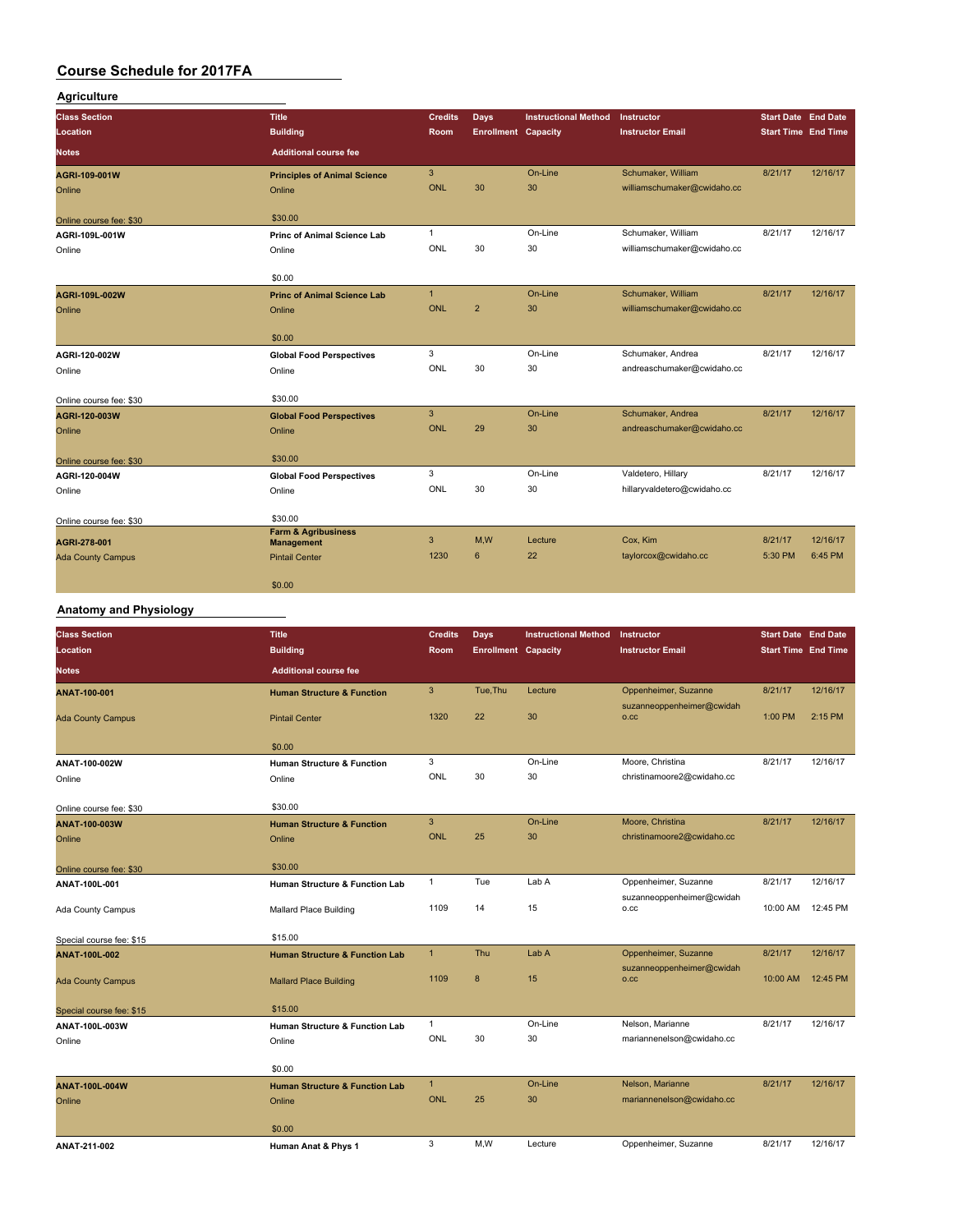#### **Agriculture**

| <b>Class Section</b>     | <b>Title</b>                                        | <b>Credits</b> | <b>Days</b>                | <b>Instructional Method</b> | Instructor                  | <b>Start Date End Date</b> |          |
|--------------------------|-----------------------------------------------------|----------------|----------------------------|-----------------------------|-----------------------------|----------------------------|----------|
| Location                 | <b>Building</b>                                     | <b>Room</b>    | <b>Enrollment Capacity</b> |                             | <b>Instructor Email</b>     | <b>Start Time End Time</b> |          |
| <b>Notes</b>             | <b>Additional course fee</b>                        |                |                            |                             |                             |                            |          |
| AGRI-109-001W            | <b>Principles of Animal Science</b>                 | 3              |                            | On-Line                     | Schumaker, William          | 8/21/17                    | 12/16/17 |
| Online                   | Online                                              | ONL            | 30                         | 30                          | williamschumaker@cwidaho.cc |                            |          |
| Online course fee: \$30  | \$30.00                                             |                |                            |                             |                             |                            |          |
| AGRI-109L-001W           | Princ of Animal Science Lab                         | 1              |                            | On-Line                     | Schumaker, William          | 8/21/17                    | 12/16/17 |
| Online                   | Online                                              | ONL            | 30                         | 30                          | williamschumaker@cwidaho.cc |                            |          |
|                          | \$0.00                                              |                |                            |                             |                             |                            |          |
| AGRI-109L-002W           | <b>Princ of Animal Science Lab</b>                  | $\mathbf{1}$   |                            | On-Line                     | Schumaker, William          | 8/21/17                    | 12/16/17 |
| Online                   | Online                                              | ONL            | $\overline{2}$             | 30                          | williamschumaker@cwidaho.cc |                            |          |
|                          | \$0.00                                              |                |                            |                             |                             |                            |          |
| AGRI-120-002W            | <b>Global Food Perspectives</b>                     | 3              |                            | On-Line                     | Schumaker, Andrea           | 8/21/17                    | 12/16/17 |
| Online                   | Online                                              | ONL            | 30                         | 30                          | andreaschumaker@cwidaho.cc  |                            |          |
| Online course fee: \$30  | \$30.00                                             |                |                            |                             |                             |                            |          |
| AGRI-120-003W            | <b>Global Food Perspectives</b>                     | 3              |                            | On-Line                     | Schumaker, Andrea           | 8/21/17                    | 12/16/17 |
| Online                   | Online                                              | <b>ONL</b>     | 29                         | 30                          | andreaschumaker@cwidaho.cc  |                            |          |
| Online course fee: \$30  | \$30.00                                             |                |                            |                             |                             |                            |          |
| AGRI-120-004W            | <b>Global Food Perspectives</b>                     | 3              |                            | On-Line                     | Valdetero, Hillary          | 8/21/17                    | 12/16/17 |
| Online                   | Online                                              | ONL            | 30                         | 30                          | hillaryvaldetero@cwidaho.cc |                            |          |
| Online course fee: \$30  | \$30.00                                             |                |                            |                             |                             |                            |          |
| AGRI-278-001             | <b>Farm &amp; Agribusiness</b><br><b>Management</b> | 3              | M.W                        | Lecture                     | Cox, Kim                    | 8/21/17                    | 12/16/17 |
| <b>Ada County Campus</b> | <b>Pintail Center</b>                               | 1230           | 6                          | 22                          | taylorcox@cwidaho.cc        | 5:30 PM                    | 6:45 PM  |
|                          | \$0.00                                              |                |                            |                             |                             |                            |          |

# **Anatomy and Physiology**

| <b>Class Section</b>     | <b>Title</b>                              | Credits      | Days                       | <b>Instructional Method</b> | Instructor                        | <b>Start Date End Date</b> |          |
|--------------------------|-------------------------------------------|--------------|----------------------------|-----------------------------|-----------------------------------|----------------------------|----------|
| Location                 | <b>Building</b>                           | Room         | <b>Enrollment Capacity</b> |                             | <b>Instructor Email</b>           | <b>Start Time End Time</b> |          |
| <b>Notes</b>             | <b>Additional course fee</b>              |              |                            |                             |                                   |                            |          |
| ANAT-100-001             | <b>Human Structure &amp; Function</b>     | 3            | Tue, Thu                   | Lecture                     | Oppenheimer, Suzanne              | 8/21/17                    | 12/16/17 |
| <b>Ada County Campus</b> | <b>Pintail Center</b>                     | 1320         | 22                         | 30                          | suzanneoppenheimer@cwidah<br>0.CC | 1:00 PM                    | 2:15 PM  |
|                          | \$0.00                                    |              |                            |                             |                                   |                            |          |
| ANAT-100-002W            | <b>Human Structure &amp; Function</b>     | 3            |                            | On-Line                     | Moore, Christina                  | 8/21/17                    | 12/16/17 |
| Online                   | Online                                    | ONL          | 30                         | 30                          | christinamoore2@cwidaho.cc        |                            |          |
| Online course fee: \$30  | \$30.00                                   |              |                            |                             |                                   |                            |          |
| ANAT-100-003W            | <b>Human Structure &amp; Function</b>     | $\mathbf{3}$ |                            | On-Line                     | Moore, Christina                  | 8/21/17                    | 12/16/17 |
| Online                   | Online                                    | <b>ONL</b>   | 25                         | 30                          | christinamoore2@cwidaho.cc        |                            |          |
| Online course fee: \$30  | \$30.00                                   |              |                            |                             |                                   |                            |          |
| ANAT-100L-001            | <b>Human Structure &amp; Function Lab</b> | 1            | Tue                        | Lab A                       | Oppenheimer, Suzanne              | 8/21/17                    | 12/16/17 |
| Ada County Campus        | <b>Mallard Place Building</b>             | 1109         | 14                         | 15                          | suzanneoppenheimer@cwidah<br>0.CC | 10:00 AM                   | 12:45 PM |
| Special course fee: \$15 | \$15.00                                   |              |                            |                             |                                   |                            |          |
| <b>ANAT-100L-002</b>     | <b>Human Structure &amp; Function Lab</b> | $\mathbf{1}$ | Thu                        | Lab A                       | Oppenheimer, Suzanne              | 8/21/17                    | 12/16/17 |
| <b>Ada County Campus</b> | <b>Mallard Place Building</b>             | 1109         | $\boldsymbol{8}$           | 15                          | suzanneoppenheimer@cwidah<br>O.CC | 10:00 AM                   | 12:45 PM |
| Special course fee: \$15 | \$15.00                                   |              |                            |                             |                                   |                            |          |
| ANAT-100L-003W           | <b>Human Structure &amp; Function Lab</b> | $\mathbf{1}$ |                            | On-Line                     | Nelson, Marianne                  | 8/21/17                    | 12/16/17 |
| Online                   | Online                                    | ONL          | 30                         | 30                          | mariannenelson@cwidaho.cc         |                            |          |
|                          | \$0.00                                    |              |                            |                             |                                   |                            |          |
| <b>ANAT-100L-004W</b>    | <b>Human Structure &amp; Function Lab</b> | $\mathbf{1}$ |                            | On-Line                     | Nelson, Marianne                  | 8/21/17                    | 12/16/17 |
| Online                   | Online                                    | <b>ONL</b>   | 25                         | 30                          | mariannenelson@cwidaho.cc         |                            |          |
|                          | \$0.00                                    |              |                            |                             |                                   |                            |          |
| ANAT-211-002             | Human Anat & Phys 1                       | 3            | M,W                        | Lecture                     | Oppenheimer, Suzanne              | 8/21/17                    | 12/16/17 |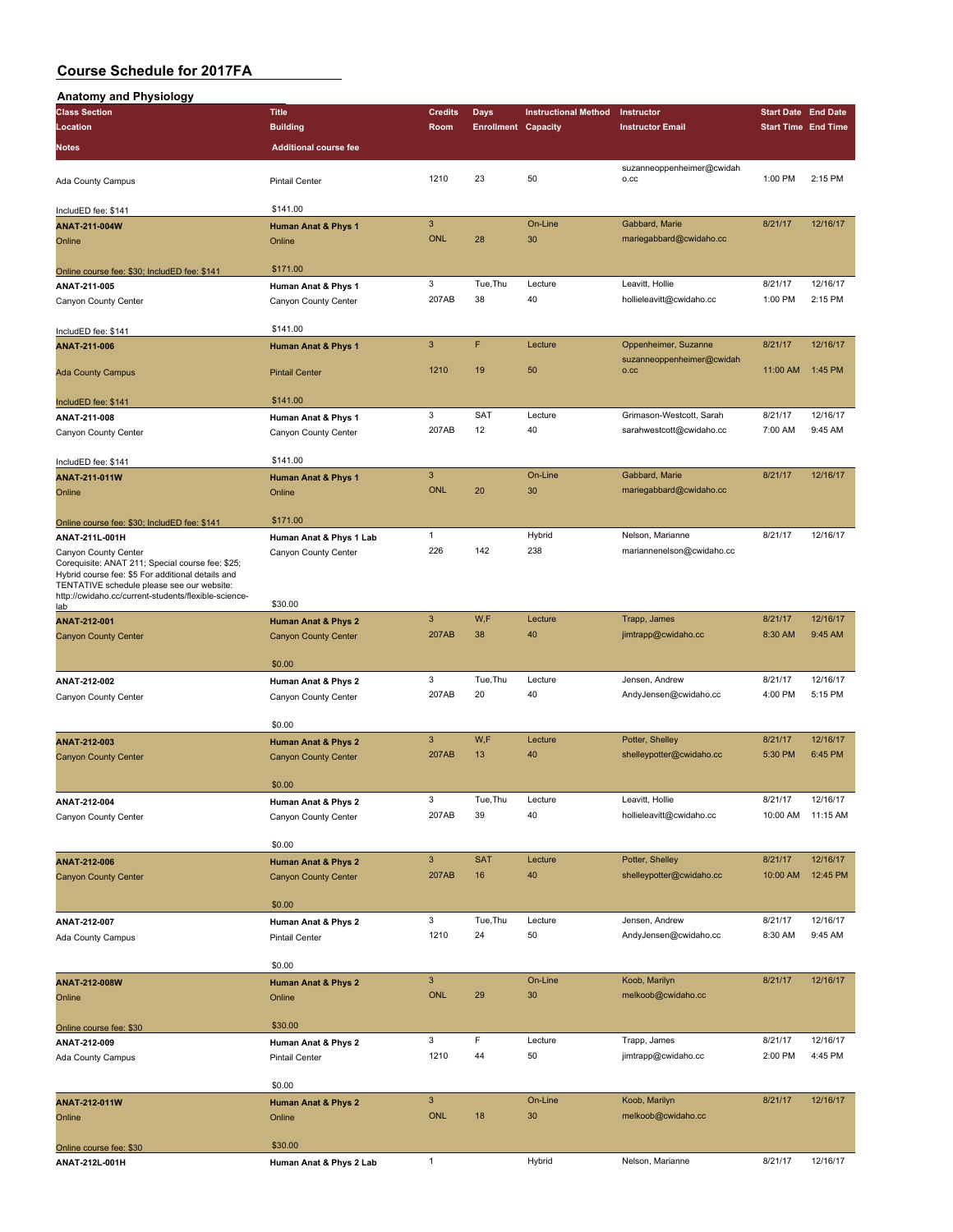| <b>Anatomy and Physiology</b>                                                                   |                                |                           |                            |                             |                                   |                            |          |
|-------------------------------------------------------------------------------------------------|--------------------------------|---------------------------|----------------------------|-----------------------------|-----------------------------------|----------------------------|----------|
| <b>Class Section</b>                                                                            | Title                          | <b>Credits</b>            | <b>Days</b>                | <b>Instructional Method</b> | Instructor                        | <b>Start Date End Date</b> |          |
| Location                                                                                        | <b>Building</b>                | Room                      | <b>Enrollment Capacity</b> |                             | <b>Instructor Email</b>           | <b>Start Time End Time</b> |          |
| Notes                                                                                           | <b>Additional course fee</b>   |                           |                            |                             |                                   |                            |          |
|                                                                                                 |                                |                           |                            |                             | suzanneoppenheimer@cwidah         |                            |          |
| Ada County Campus                                                                               | <b>Pintail Center</b>          | 1210                      | 23                         | 50                          | O.CC                              | 1:00 PM                    | 2:15 PM  |
|                                                                                                 |                                |                           |                            |                             |                                   |                            |          |
| IncludED fee: \$141                                                                             | \$141.00                       |                           |                            |                             |                                   |                            |          |
| ANAT-211-004W                                                                                   | <b>Human Anat &amp; Phys 1</b> | 3                         |                            | On-Line                     | Gabbard, Marie                    | 8/21/17                    | 12/16/17 |
| Online                                                                                          | Online                         | <b>ONL</b>                | 28                         | 30                          | mariegabbard@cwidaho.cc           |                            |          |
|                                                                                                 |                                |                           |                            |                             |                                   |                            |          |
| Online course fee: \$30; IncludED fee: \$141                                                    | \$171.00                       |                           |                            |                             |                                   |                            |          |
| ANAT-211-005                                                                                    | Human Anat & Phys 1            | 3                         | Tue, Thu                   | Lecture                     | Leavitt, Hollie                   | 8/21/17                    | 12/16/17 |
| Canyon County Center                                                                            | Canyon County Center           | 207AB                     | 38                         | 40                          | hollieleavitt@cwidaho.cc          | 1:00 PM                    | 2:15 PM  |
|                                                                                                 |                                |                           |                            |                             |                                   |                            |          |
| IncludED fee: \$141                                                                             | \$141.00                       |                           | F                          |                             |                                   |                            |          |
| ANAT-211-006                                                                                    | <b>Human Anat &amp; Phys 1</b> | 3                         |                            | Lecture                     | Oppenheimer, Suzanne              | 8/21/17                    | 12/16/17 |
| <b>Ada County Campus</b>                                                                        | <b>Pintail Center</b>          | 1210                      | 19                         | 50                          | suzanneoppenheimer@cwidah<br>O.CC | 11:00 AM                   | 1:45 PM  |
|                                                                                                 |                                |                           |                            |                             |                                   |                            |          |
| IncludED fee: \$141                                                                             | \$141.00                       |                           |                            |                             |                                   |                            |          |
| ANAT-211-008                                                                                    | Human Anat & Phys 1            | 3                         | <b>SAT</b>                 | Lecture                     | Grimason-Westcott, Sarah          | 8/21/17                    | 12/16/17 |
| Canyon County Center                                                                            | Canyon County Center           | 207AB                     | 12                         | 40                          | sarahwestcott@cwidaho.cc          | 7:00 AM                    | 9:45 AM  |
|                                                                                                 |                                |                           |                            |                             |                                   |                            |          |
| IncludED fee: \$141                                                                             | \$141.00                       |                           |                            |                             |                                   |                            |          |
| ANAT-211-011W                                                                                   | <b>Human Anat &amp; Phys 1</b> | $\overline{3}$            |                            | On-Line                     | Gabbard, Marie                    | 8/21/17                    | 12/16/17 |
| Online                                                                                          | Online                         | <b>ONL</b>                | 20                         | 30                          | mariegabbard@cwidaho.cc           |                            |          |
|                                                                                                 |                                |                           |                            |                             |                                   |                            |          |
| Online course fee: \$30; IncludED fee: \$141                                                    | \$171.00                       |                           |                            |                             |                                   |                            |          |
| ANAT-211L-001H                                                                                  | Human Anat & Phys 1 Lab        | $\mathbf{1}$              |                            | Hybrid                      | Nelson, Marianne                  | 8/21/17                    | 12/16/17 |
| Canyon County Center                                                                            | Canyon County Center           | 226                       | 142                        | 238                         | mariannenelson@cwidaho.cc         |                            |          |
| Corequisite: ANAT 211; Special course fee: \$25;                                                |                                |                           |                            |                             |                                   |                            |          |
| Hybrid course fee: \$5 For additional details and<br>TENTATIVE schedule please see our website: |                                |                           |                            |                             |                                   |                            |          |
| http://cwidaho.cc/current-students/flexible-science-                                            |                                |                           |                            |                             |                                   |                            |          |
| lab                                                                                             | \$30.00                        |                           |                            |                             |                                   |                            |          |
| ANAT-212-001                                                                                    | <b>Human Anat &amp; Phys 2</b> | 3                         | W,F                        | Lecture                     | Trapp, James                      | 8/21/17                    | 12/16/17 |
| <b>Canyon County Center</b>                                                                     | <b>Canyon County Center</b>    | 207AB                     | 38                         | 40                          | jimtrapp@cwidaho.cc               | 8:30 AM                    | 9:45 AM  |
|                                                                                                 |                                |                           |                            |                             |                                   |                            |          |
|                                                                                                 | \$0.00                         |                           |                            |                             |                                   |                            |          |
| ANAT-212-002                                                                                    | Human Anat & Phys 2            | 3                         | Tue, Thu                   | Lecture                     | Jensen, Andrew                    | 8/21/17                    | 12/16/17 |
| Canyon County Center                                                                            | Canyon County Center           | 207AB                     | 20                         | 40                          | AndyJensen@cwidaho.cc             | 4:00 PM                    | 5:15 PM  |
|                                                                                                 | \$0.00                         |                           |                            |                             |                                   |                            |          |
|                                                                                                 |                                | 3                         |                            |                             |                                   |                            |          |
| ANAT-212-003                                                                                    | <b>Human Anat &amp; Phys 2</b> |                           | W,F                        | Lecture<br>40               | Potter, Shelley                   | 8/21/17                    | 12/16/17 |
| <b>Canyon County Center</b>                                                                     | <b>Canyon County Center</b>    | 207AB                     | 13                         |                             | shelleypotter@cwidaho.cc          | 5:30 PM                    | 6:45 PM  |
|                                                                                                 | \$0.00                         |                           |                            |                             |                                   |                            |          |
|                                                                                                 |                                | 3                         | Tue, Thu                   | Lecture                     | Leavitt, Hollie                   | 8/21/17                    | 12/16/17 |
| ANAT-212-004                                                                                    | Human Anat & Phys 2            | 207AB                     | 39                         | 40                          | hollieleavitt@cwidaho.cc          | 10:00 AM                   | 11:15 AM |
| Canyon County Center                                                                            | Canyon County Center           |                           |                            |                             |                                   |                            |          |
|                                                                                                 | \$0.00                         |                           |                            |                             |                                   |                            |          |
|                                                                                                 |                                | $\mathbf{3}$              | <b>SAT</b>                 | Lecture                     | Potter, Shelley                   | 8/21/17                    | 12/16/17 |
| ANAT-212-006                                                                                    | <b>Human Anat &amp; Phys 2</b> | 207AB                     | 16                         | 40                          | shelleypotter@cwidaho.cc          | 10:00 AM                   | 12:45 PM |
| <b>Canyon County Center</b>                                                                     | <b>Canyon County Center</b>    |                           |                            |                             |                                   |                            |          |
|                                                                                                 | \$0.00                         |                           |                            |                             |                                   |                            |          |
|                                                                                                 |                                | 3                         | Tue, Thu                   | Lecture                     | Jensen, Andrew                    | 8/21/17                    | 12/16/17 |
| ANAT-212-007                                                                                    | Human Anat & Phys 2            | 1210                      | 24                         | 50                          | AndyJensen@cwidaho.cc             | 8:30 AM                    | 9:45 AM  |
| Ada County Campus                                                                               | Pintail Center                 |                           |                            |                             |                                   |                            |          |
|                                                                                                 | \$0.00                         |                           |                            |                             |                                   |                            |          |
| ANAT-212-008W                                                                                   | <b>Human Anat &amp; Phys 2</b> | $\ensuremath{\mathsf{3}}$ |                            | On-Line                     | Koob, Marilyn                     | 8/21/17                    | 12/16/17 |
| Online                                                                                          | Online                         | <b>ONL</b>                | 29                         | 30                          | melkoob@cwidaho.cc                |                            |          |
|                                                                                                 |                                |                           |                            |                             |                                   |                            |          |
| Online course fee: \$30                                                                         | \$30.00                        |                           |                            |                             |                                   |                            |          |
| ANAT-212-009                                                                                    | Human Anat & Phys 2            | 3                         | F                          | Lecture                     | Trapp, James                      | 8/21/17                    | 12/16/17 |
|                                                                                                 | <b>Pintail Center</b>          | 1210                      | 44                         | 50                          | jimtrapp@cwidaho.cc               | 2:00 PM                    | 4:45 PM  |
| Ada County Campus                                                                               |                                |                           |                            |                             |                                   |                            |          |
|                                                                                                 | \$0.00                         |                           |                            |                             |                                   |                            |          |
| ANAT-212-011W                                                                                   | <b>Human Anat &amp; Phys 2</b> | $\mathbf{3}$              |                            | On-Line                     | Koob, Marilyn                     | 8/21/17                    | 12/16/17 |
| Online                                                                                          | Online                         | <b>ONL</b>                | 18                         | 30                          | melkoob@cwidaho.cc                |                            |          |
|                                                                                                 |                                |                           |                            |                             |                                   |                            |          |
| Online course fee: \$30                                                                         | \$30.00                        |                           |                            |                             |                                   |                            |          |
| ANAT-212L-001H                                                                                  | Human Anat & Phys 2 Lab        | $\mathbf{1}$              |                            | Hybrid                      | Nelson, Marianne                  | 8/21/17                    | 12/16/17 |
|                                                                                                 |                                |                           |                            |                             |                                   |                            |          |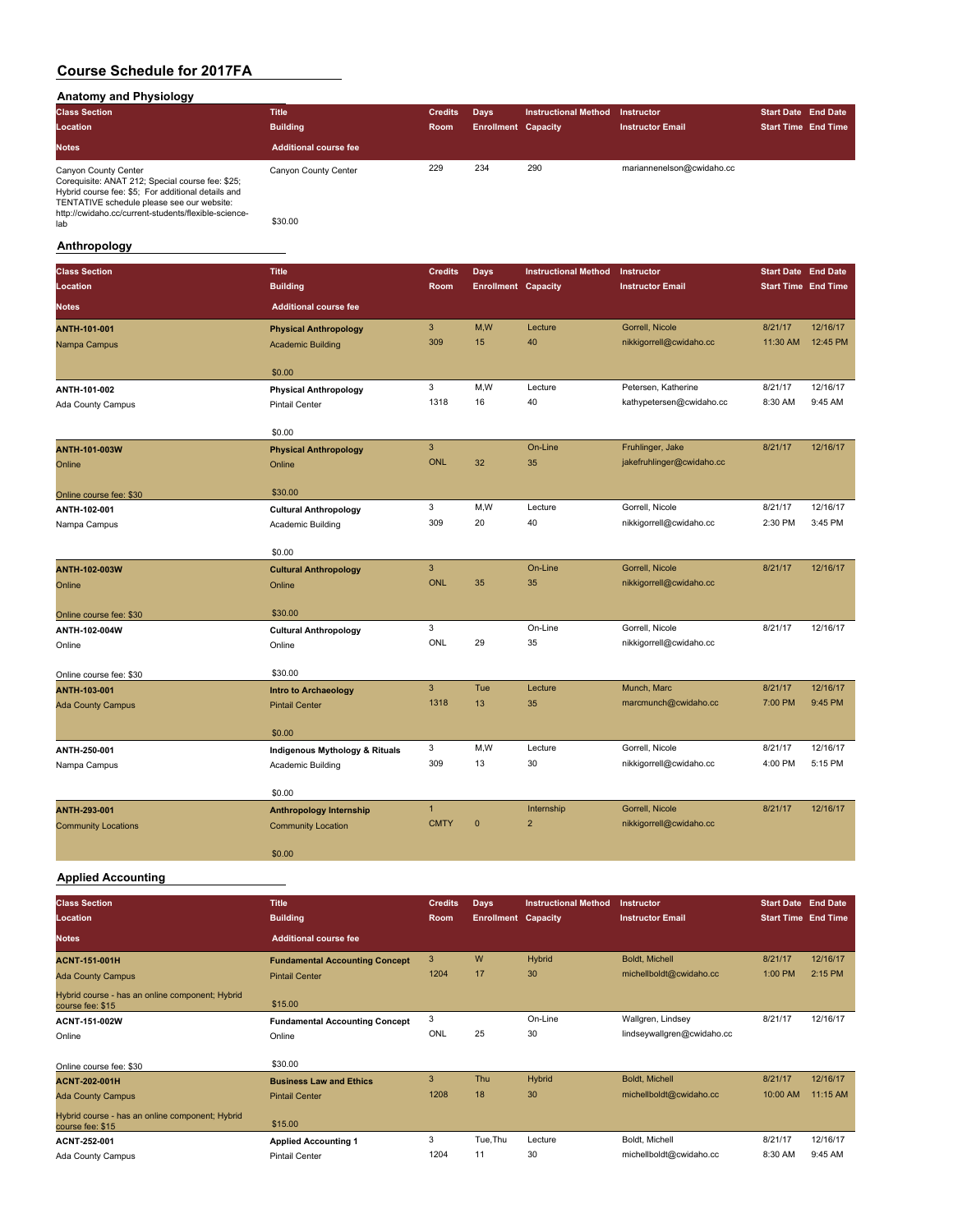#### **Anatomy and Physiology**

| .<br><b>Class Section</b>                                                                                                                                                                                                                   | <b>Title</b>                    | <b>Credits</b> | <b>Davs</b>                | <b>Instructional Method</b> | Instructor                | <b>Start Date End Date</b> |  |
|---------------------------------------------------------------------------------------------------------------------------------------------------------------------------------------------------------------------------------------------|---------------------------------|----------------|----------------------------|-----------------------------|---------------------------|----------------------------|--|
| Location                                                                                                                                                                                                                                    | <b>Building</b>                 | <b>Room</b>    | <b>Enrollment Capacity</b> |                             | <b>Instructor Email</b>   | <b>Start Time End Time</b> |  |
| <b>Notes</b>                                                                                                                                                                                                                                | <b>Additional course fee</b>    |                |                            |                             |                           |                            |  |
| Canyon County Center<br>Corequisite: ANAT 212; Special course fee: \$25;<br>Hybrid course fee: \$5; For additional details and<br>TENTATIVE schedule please see our website:<br>http://cwidaho.cc/current-students/flexible-science-<br>lab | Canyon County Center<br>\$30.00 | 229            | 234                        | 290                         | mariannenelson@cwidaho.cc |                            |  |

#### **Anthropology**

| <b>Class Section</b>       | <b>Title</b>                   | <b>Credits</b> | Days                       | <b>Instructional Method</b> | Instructor                | <b>Start Date End Date</b> |          |
|----------------------------|--------------------------------|----------------|----------------------------|-----------------------------|---------------------------|----------------------------|----------|
| Location                   | <b>Building</b>                | Room           | <b>Enrollment Capacity</b> |                             | <b>Instructor Email</b>   | <b>Start Time End Time</b> |          |
| <b>Notes</b>               | <b>Additional course fee</b>   |                |                            |                             |                           |                            |          |
| ANTH-101-001               | <b>Physical Anthropology</b>   | 3              | M,W                        | Lecture                     | Gorrell, Nicole           | 8/21/17                    | 12/16/17 |
| Nampa Campus               | <b>Academic Building</b>       | 309            | 15                         | 40                          | nikkigorrell@cwidaho.cc   | 11:30 AM                   | 12:45 PM |
|                            | \$0.00                         |                |                            |                             |                           |                            |          |
| ANTH-101-002               | <b>Physical Anthropology</b>   | 3              | M,W                        | Lecture                     | Petersen, Katherine       | 8/21/17                    | 12/16/17 |
| Ada County Campus          | <b>Pintail Center</b>          | 1318           | 16                         | 40                          | kathypetersen@cwidaho.cc  | 8:30 AM                    | 9:45 AM  |
|                            | \$0.00                         |                |                            |                             |                           |                            |          |
| ANTH-101-003W              | <b>Physical Anthropology</b>   | 3              |                            | On-Line                     | Fruhlinger, Jake          | 8/21/17                    | 12/16/17 |
| Online                     | Online                         | <b>ONL</b>     | 32                         | 35                          | jakefruhlinger@cwidaho.cc |                            |          |
| Online course fee: \$30    | \$30.00                        |                |                            |                             |                           |                            |          |
| ANTH-102-001               | <b>Cultural Anthropology</b>   | 3              | M,W                        | Lecture                     | Gorrell, Nicole           | 8/21/17                    | 12/16/17 |
| Nampa Campus               | Academic Building              | 309            | 20                         | 40                          | nikkigorrell@cwidaho.cc   | 2:30 PM                    | 3:45 PM  |
|                            | \$0.00                         |                |                            |                             |                           |                            |          |
| ANTH-102-003W              | <b>Cultural Anthropology</b>   | $\overline{3}$ |                            | On-Line                     | Gorrell, Nicole           | 8/21/17                    | 12/16/17 |
| Online                     | Online                         | <b>ONL</b>     | 35                         | 35                          | nikkigorrell@cwidaho.cc   |                            |          |
|                            |                                |                |                            |                             |                           |                            |          |
| Online course fee: \$30    | \$30.00                        |                |                            |                             |                           |                            |          |
| ANTH-102-004W              | <b>Cultural Anthropology</b>   | 3              |                            | On-Line                     | Gorrell, Nicole           | 8/21/17                    | 12/16/17 |
| Online                     | Online                         | ONL            | 29                         | 35                          | nikkigorrell@cwidaho.cc   |                            |          |
| Online course fee: \$30    | \$30.00                        |                |                            |                             |                           |                            |          |
| <b>ANTH-103-001</b>        | <b>Intro to Archaeology</b>    | 3              | Tue                        | Lecture                     | Munch, Marc               | 8/21/17                    | 12/16/17 |
| <b>Ada County Campus</b>   | <b>Pintail Center</b>          | 1318           | 13                         | 35                          | marcmunch@cwidaho.cc      | 7:00 PM                    | 9:45 PM  |
|                            | \$0.00                         |                |                            |                             |                           |                            |          |
| ANTH-250-001               | Indigenous Mythology & Rituals | 3              | M, W                       | Lecture                     | Gorrell, Nicole           | 8/21/17                    | 12/16/17 |
| Nampa Campus               | Academic Building              | 309            | 13                         | 30                          | nikkigorrell@cwidaho.cc   | 4:00 PM                    | 5:15 PM  |
|                            | \$0.00                         |                |                            |                             |                           |                            |          |
| <b>ANTH-293-001</b>        | <b>Anthropology Internship</b> | $\mathbf{1}$   |                            | Internship                  | Gorrell, Nicole           | 8/21/17                    | 12/16/17 |
| <b>Community Locations</b> | <b>Community Location</b>      | <b>CMTY</b>    | $\mathbf{0}$               | $\overline{2}$              | nikkigorrell@cwidaho.cc   |                            |          |
|                            | \$0.00                         |                |                            |                             |                           |                            |          |

#### **Applied Accounting**

| <b>Class Section</b><br>Location                                    | <b>Title</b><br><b>Building</b>       | <b>Credits</b><br>Room | <b>Days</b><br><b>Enrollment Capacity</b> | <b>Instructional Method</b> | Instructor<br><b>Instructor Email</b> | <b>Start Date End Date</b><br><b>Start Time End Time</b> |          |
|---------------------------------------------------------------------|---------------------------------------|------------------------|-------------------------------------------|-----------------------------|---------------------------------------|----------------------------------------------------------|----------|
| <b>Notes</b>                                                        | <b>Additional course fee</b>          |                        |                                           |                             |                                       |                                                          |          |
| <b>ACNT-151-001H</b>                                                | <b>Fundamental Accounting Concept</b> | 3                      | W                                         | Hybrid                      | <b>Boldt. Michell</b>                 | 8/21/17                                                  | 12/16/17 |
| <b>Ada County Campus</b>                                            | <b>Pintail Center</b>                 | 1204                   | 17                                        | 30                          | michellboldt@cwidaho.cc               | 1:00 PM                                                  | 2:15 PM  |
| Hybrid course - has an online component; Hybrid<br>course fee: \$15 | \$15.00                               |                        |                                           |                             |                                       |                                                          |          |
| ACNT-151-002W                                                       | <b>Fundamental Accounting Concept</b> | 3                      |                                           | On-Line                     | Wallgren, Lindsey                     | 8/21/17                                                  | 12/16/17 |
| Online                                                              | Online                                | ONL                    | 25                                        | 30                          | lindseywallgren@cwidaho.cc            |                                                          |          |
| Online course fee: \$30                                             | \$30.00                               |                        |                                           |                             |                                       |                                                          |          |
| <b>ACNT-202-001H</b>                                                | <b>Business Law and Ethics</b>        | 3                      | Thu                                       | Hybrid                      | Boldt, Michell                        | 8/21/17                                                  | 12/16/17 |
| <b>Ada County Campus</b>                                            | <b>Pintail Center</b>                 | 1208                   | 18                                        | 30                          | michellboldt@cwidaho.cc               | 10:00 AM                                                 | 11:15 AM |
| Hybrid course - has an online component; Hybrid<br>course fee: \$15 | \$15.00                               |                        |                                           |                             |                                       |                                                          |          |
| ACNT-252-001                                                        | <b>Applied Accounting 1</b>           | 3                      | Tue, Thu                                  | Lecture                     | Boldt, Michell                        | 8/21/17                                                  | 12/16/17 |
| Ada County Campus                                                   | <b>Pintail Center</b>                 | 1204                   | 11                                        | 30                          | michellboldt@cwidaho.cc               | 8:30 AM                                                  | 9:45 AM  |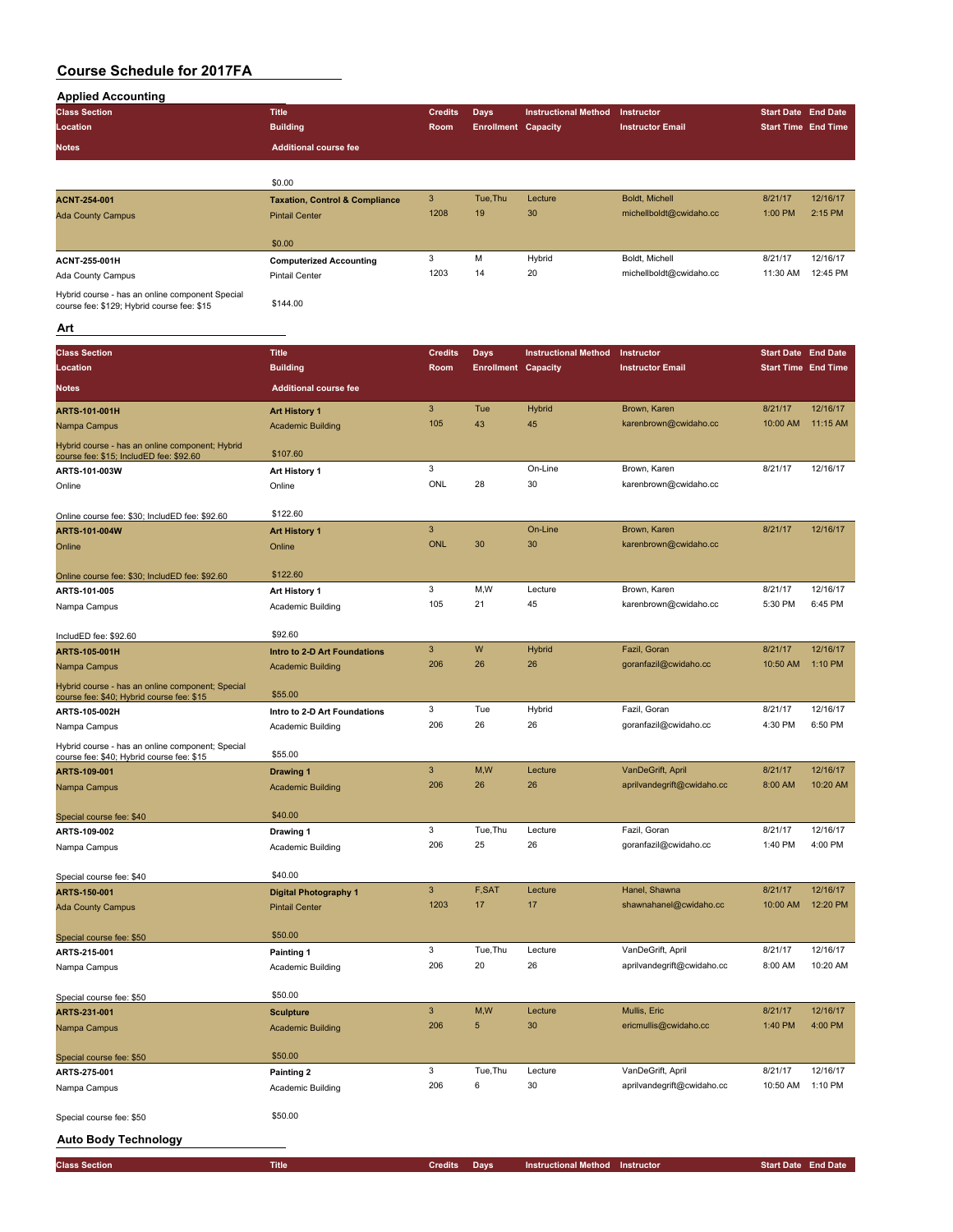| <b>Applied Accounting</b>                                                                     |                                           |                |                            |                             |                            |                            |          |
|-----------------------------------------------------------------------------------------------|-------------------------------------------|----------------|----------------------------|-----------------------------|----------------------------|----------------------------|----------|
| <b>Class Section</b>                                                                          | <b>Title</b>                              | <b>Credits</b> | <b>Days</b>                | <b>Instructional Method</b> | Instructor                 | <b>Start Date End Date</b> |          |
| Location                                                                                      | <b>Building</b>                           | Room           | <b>Enrollment Capacity</b> |                             | <b>Instructor Email</b>    | <b>Start Time End Time</b> |          |
| <b>Notes</b>                                                                                  | <b>Additional course fee</b>              |                |                            |                             |                            |                            |          |
|                                                                                               |                                           |                |                            |                             |                            |                            |          |
|                                                                                               |                                           |                |                            |                             |                            |                            |          |
|                                                                                               | \$0.00                                    | 3              | Tue, Thu                   | Lecture                     | <b>Boldt, Michell</b>      | 8/21/17                    | 12/16/17 |
| <b>ACNT-254-001</b>                                                                           | <b>Taxation, Control &amp; Compliance</b> | 1208           | 19                         | 30                          | michellboldt@cwidaho.cc    | 1:00 PM                    | 2:15 PM  |
| <b>Ada County Campus</b>                                                                      | <b>Pintail Center</b>                     |                |                            |                             |                            |                            |          |
|                                                                                               | \$0.00                                    |                |                            |                             |                            |                            |          |
|                                                                                               |                                           | 3              | M                          | Hybrid                      | Boldt, Michell             | 8/21/17                    | 12/16/17 |
| ACNT-255-001H                                                                                 | <b>Computerized Accounting</b>            | 1203           | 14                         | 20                          | michellboldt@cwidaho.cc    | 11:30 AM                   | 12:45 PM |
| Ada County Campus                                                                             | <b>Pintail Center</b>                     |                |                            |                             |                            |                            |          |
| Hybrid course - has an online component Special<br>course fee: \$129; Hybrid course fee: \$15 | \$144.00                                  |                |                            |                             |                            |                            |          |
|                                                                                               |                                           |                |                            |                             |                            |                            |          |
| Art                                                                                           |                                           |                |                            |                             |                            |                            |          |
| <b>Class Section</b>                                                                          | <b>Title</b>                              | <b>Credits</b> | <b>Days</b>                | <b>Instructional Method</b> | Instructor                 | <b>Start Date End Date</b> |          |
| Location                                                                                      | <b>Building</b>                           | Room           | <b>Enrollment Capacity</b> |                             | <b>Instructor Email</b>    | <b>Start Time End Time</b> |          |
|                                                                                               |                                           |                |                            |                             |                            |                            |          |
| <b>Notes</b>                                                                                  | <b>Additional course fee</b>              |                |                            |                             |                            |                            |          |
| <b>ARTS-101-001H</b>                                                                          | <b>Art History 1</b>                      | 3              | Tue                        | Hybrid                      | Brown, Karen               | 8/21/17                    | 12/16/17 |
| Nampa Campus                                                                                  | <b>Academic Building</b>                  | 105            | 43                         | 45                          | karenbrown@cwidaho.cc      | 10:00 AM                   | 11:15 AM |
| Hybrid course - has an online component; Hybrid                                               |                                           |                |                            |                             |                            |                            |          |
| course fee: \$15; IncludED fee: \$92.60                                                       | \$107.60                                  |                |                            |                             |                            |                            |          |
| ARTS-101-003W                                                                                 | Art History 1                             | 3              |                            | On-Line                     | Brown, Karen               | 8/21/17                    | 12/16/17 |
| Online                                                                                        | Online                                    | ONL            | 28                         | 30                          | karenbrown@cwidaho.cc      |                            |          |
|                                                                                               |                                           |                |                            |                             |                            |                            |          |
| Online course fee: \$30; IncludED fee: \$92.60                                                | \$122.60                                  |                |                            |                             |                            |                            |          |
| ARTS-101-004W                                                                                 | <b>Art History 1</b>                      | 3              |                            | On-Line                     | Brown, Karen               | 8/21/17                    | 12/16/17 |
| Online                                                                                        | Online                                    | <b>ONL</b>     | 30                         | 30                          | karenbrown@cwidaho.cc      |                            |          |
|                                                                                               |                                           |                |                            |                             |                            |                            |          |
| Online course fee: \$30; IncludED fee: \$92.60                                                | \$122.60                                  |                |                            |                             |                            |                            |          |
| ARTS-101-005                                                                                  | Art History 1                             | 3              | M,W                        | Lecture                     | Brown, Karen               | 8/21/17                    | 12/16/17 |
| Nampa Campus                                                                                  | Academic Building                         | 105            | 21                         | 45                          | karenbrown@cwidaho.cc      | 5:30 PM                    | 6:45 PM  |
|                                                                                               |                                           |                |                            |                             |                            |                            |          |
| IncludED fee: \$92.60                                                                         | \$92.60                                   |                |                            |                             |                            |                            |          |
| ARTS-105-001H                                                                                 | Intro to 2-D Art Foundations              | 3              | W                          | Hybrid                      | Fazil, Goran               | 8/21/17                    | 12/16/17 |
| Nampa Campus                                                                                  | <b>Academic Building</b>                  | 206            | 26                         | 26                          | goranfazil@cwidaho.cc      | 10:50 AM                   | 1:10 PM  |
| Hybrid course - has an online component; Special                                              |                                           |                |                            |                             |                            |                            |          |
| course fee: \$40; Hybrid course fee: \$15                                                     | \$55.00                                   |                |                            |                             |                            |                            |          |
| ARTS-105-002H                                                                                 | Intro to 2-D Art Foundations              | 3              | Tue                        | Hybrid                      | Fazil, Goran               | 8/21/17                    | 12/16/17 |
| Nampa Campus                                                                                  | Academic Building                         | 206            | 26                         | 26                          | goranfazil@cwidaho.cc      | 4:30 PM                    | 6:50 PM  |
| Hybrid course - has an online component; Special                                              |                                           |                |                            |                             |                            |                            |          |
| course fee: \$40; Hybrid course fee: \$15                                                     | \$55.00                                   | 3              | M,W                        | Lecture                     | VanDeGrift, April          | 8/21/17                    | 12/16/17 |
| ARTS-109-001                                                                                  | <b>Drawing 1</b>                          | 206            | 26                         | 26                          | aprilvandegrift@cwidaho.cc | 8:00 AM                    | 10:20 AM |
| Nampa Campus                                                                                  | <b>Academic Building</b>                  |                |                            |                             |                            |                            |          |
|                                                                                               | \$40.00                                   |                |                            |                             |                            |                            |          |
| Special course fee: \$40<br>ARTS-109-002                                                      | Drawing 1                                 | 3              | Tue, Thu                   | Lecture                     | Fazil, Goran               | 8/21/17                    | 12/16/17 |
| Nampa Campus                                                                                  | Academic Building                         | 206            | 25                         | 26                          | goranfazil@cwidaho.cc      | 1:40 PM                    | 4:00 PM  |
|                                                                                               |                                           |                |                            |                             |                            |                            |          |
| Special course fee: \$40                                                                      | \$40.00                                   |                |                            |                             |                            |                            |          |
| ARTS-150-001                                                                                  | <b>Digital Photography 1</b>              | 3              | F,SAT                      | Lecture                     | Hanel, Shawna              | 8/21/17                    | 12/16/17 |
| <b>Ada County Campus</b>                                                                      | <b>Pintail Center</b>                     | 1203           | 17                         | 17                          | shawnahanel@cwidaho.cc     | 10:00 AM                   | 12:20 PM |
|                                                                                               |                                           |                |                            |                             |                            |                            |          |
| Special course fee: \$50                                                                      | \$50.00                                   |                |                            |                             |                            |                            |          |
| ARTS-215-001                                                                                  | Painting 1                                | 3              | Tue, Thu                   | Lecture                     | VanDeGrift, April          | 8/21/17                    | 12/16/17 |
| Nampa Campus                                                                                  | Academic Building                         | 206            | 20                         | 26                          | aprilvandegrift@cwidaho.cc | 8:00 AM                    | 10:20 AM |
|                                                                                               |                                           |                |                            |                             |                            |                            |          |
| Special course fee: \$50                                                                      | \$50.00                                   |                |                            |                             |                            |                            |          |
| ARTS-231-001                                                                                  | <b>Sculpture</b>                          | $\mathbf{3}$   | M,W                        | Lecture                     | Mullis, Eric               | 8/21/17                    | 12/16/17 |
| Nampa Campus                                                                                  | <b>Academic Building</b>                  | 206            | $\sqrt{5}$                 | 30                          | ericmullis@cwidaho.cc      | 1:40 PM                    | 4:00 PM  |
|                                                                                               |                                           |                |                            |                             |                            |                            |          |
| Special course fee: \$50                                                                      | \$50.00                                   |                |                            |                             |                            |                            |          |
| ARTS-275-001                                                                                  | Painting 2                                | 3              | Tue, Thu                   | Lecture                     | VanDeGrift, April          | 8/21/17                    | 12/16/17 |
| Nampa Campus                                                                                  | Academic Building                         | 206            | 6                          | 30                          | aprilvandegrift@cwidaho.cc | 10:50 AM                   | 1:10 PM  |
|                                                                                               |                                           |                |                            |                             |                            |                            |          |
| Special course fee: \$50                                                                      | \$50.00                                   |                |                            |                             |                            |                            |          |
|                                                                                               |                                           |                |                            |                             |                            |                            |          |
| <b>Auto Body Technology</b>                                                                   |                                           |                |                            |                             |                            |                            |          |
| <b>Class Section</b>                                                                          | <b>Title</b>                              | <b>Credits</b> | <b>Days</b>                | <b>Instructional Method</b> | Instructor                 | <b>Start Date End Date</b> |          |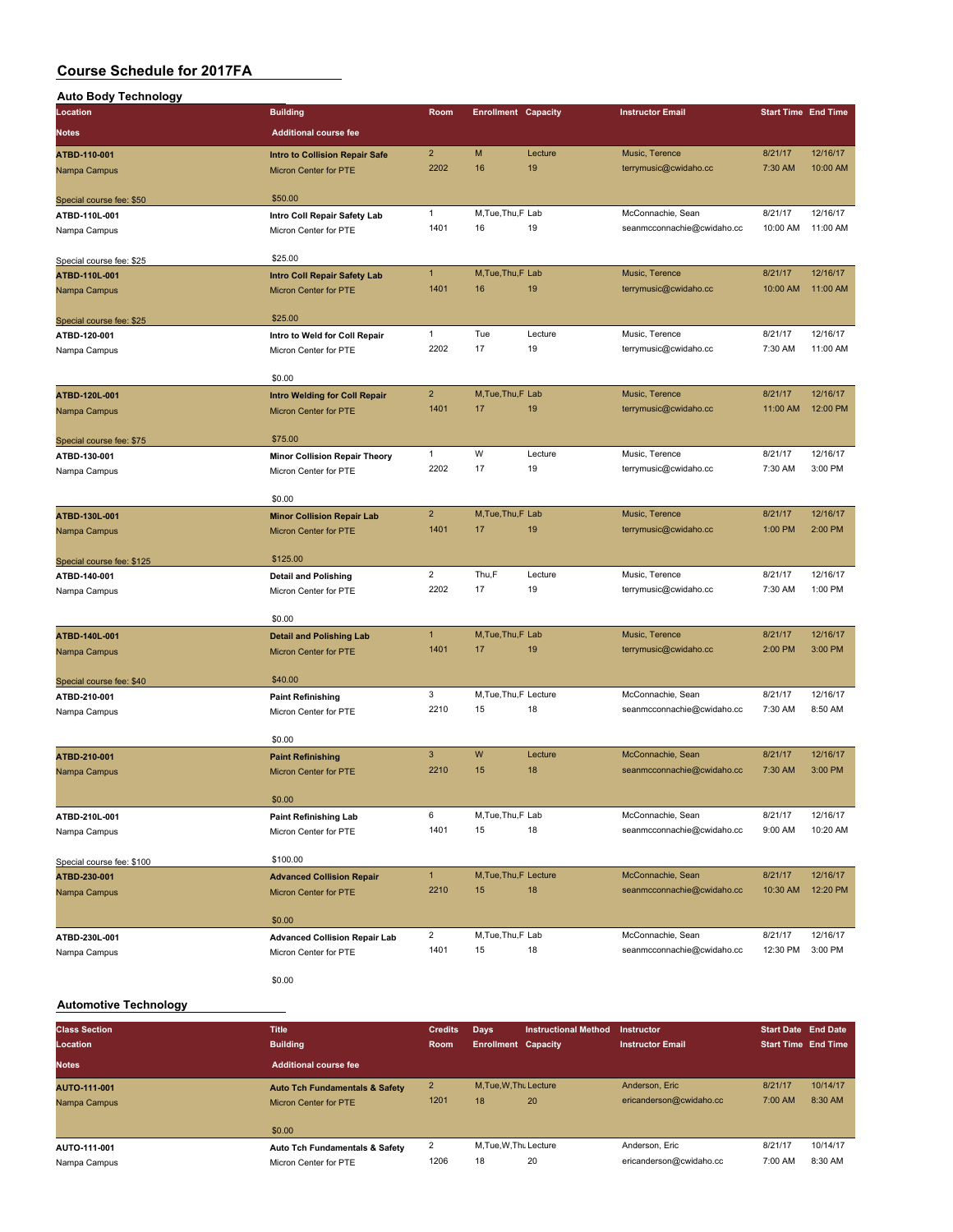| <b>Auto Body Technology</b>               |                                                                       |                      |                            |               |                                                 |                            |                      |
|-------------------------------------------|-----------------------------------------------------------------------|----------------------|----------------------------|---------------|-------------------------------------------------|----------------------------|----------------------|
| Location                                  | <b>Building</b>                                                       | Room                 | <b>Enrollment Capacity</b> |               | <b>Instructor Email</b>                         | <b>Start Time End Time</b> |                      |
| <b>Notes</b>                              | <b>Additional course fee</b>                                          |                      |                            |               |                                                 |                            |                      |
|                                           |                                                                       | $\overline{2}$       | M                          | Lecture       | Music, Terence                                  | 8/21/17                    | 12/16/17             |
| ATBD-110-001<br>Nampa Campus              | <b>Intro to Collision Repair Safe</b><br><b>Micron Center for PTE</b> | 2202                 | 16                         | 19            | terrymusic@cwidaho.cc                           | 7:30 AM                    | 10:00 AM             |
|                                           |                                                                       |                      |                            |               |                                                 |                            |                      |
| Special course fee: \$50                  | \$50.00                                                               |                      |                            |               |                                                 |                            |                      |
| ATBD-110L-001                             | Intro Coll Repair Safety Lab                                          | $\mathbf{1}$         | M, Tue, Thu, F Lab         |               | McConnachie, Sean                               | 8/21/17                    | 12/16/17             |
| Nampa Campus                              | Micron Center for PTE                                                 | 1401                 | 16                         | 19            | seanmcconnachie@cwidaho.cc                      | 10:00 AM                   | 11:00 AM             |
| Special course fee: \$25                  | \$25.00                                                               |                      |                            |               |                                                 |                            |                      |
| ATBD-110L-001                             | <b>Intro Coll Repair Safety Lab</b>                                   | $\mathbf{1}$         | M, Tue, Thu, F Lab         |               | Music, Terence                                  | 8/21/17                    | 12/16/17             |
| Nampa Campus                              | Micron Center for PTE                                                 | 1401                 | 16                         | 19            | terrymusic@cwidaho.cc                           | 10:00 AM                   | 11:00 AM             |
|                                           |                                                                       |                      |                            |               |                                                 |                            |                      |
| Special course fee: \$25                  | \$25.00                                                               |                      |                            |               |                                                 |                            |                      |
| ATBD-120-001                              | Intro to Weld for Coll Repair                                         | $\mathbf{1}$<br>2202 | Tue<br>17                  | Lecture<br>19 | Music, Terence                                  | 8/21/17                    | 12/16/17<br>11:00 AM |
| Nampa Campus                              | Micron Center for PTE                                                 |                      |                            |               | terrymusic@cwidaho.cc                           | 7:30 AM                    |                      |
|                                           | \$0.00                                                                |                      |                            |               |                                                 |                            |                      |
| ATBD-120L-001                             | <b>Intro Welding for Coll Repair</b>                                  | $\overline{2}$       | M, Tue, Thu, F Lab         |               | Music, Terence                                  | 8/21/17                    | 12/16/17             |
| Nampa Campus                              | <b>Micron Center for PTE</b>                                          | 1401                 | 17                         | 19            | terrymusic@cwidaho.cc                           | 11:00 AM                   | 12:00 PM             |
|                                           |                                                                       |                      |                            |               |                                                 |                            |                      |
| Special course fee: \$75                  | \$75.00                                                               | $\mathbf{1}$         | W                          | Lecture       | Music, Terence                                  | 8/21/17                    | 12/16/17             |
| ATBD-130-001                              | <b>Minor Collision Repair Theory</b><br>Micron Center for PTE         | 2202                 | 17                         | 19            | terrymusic@cwidaho.cc                           | 7:30 AM                    | 3:00 PM              |
| Nampa Campus                              |                                                                       |                      |                            |               |                                                 |                            |                      |
|                                           | \$0.00                                                                |                      |                            |               |                                                 |                            |                      |
| ATBD-130L-001                             | <b>Minor Collision Repair Lab</b>                                     | $\overline{2}$       | M, Tue, Thu, F Lab         |               | Music, Terence                                  | 8/21/17                    | 12/16/17             |
| Nampa Campus                              | Micron Center for PTE                                                 | 1401                 | 17                         | 19            | terrymusic@cwidaho.cc                           | 1:00 PM                    | 2:00 PM              |
| Special course fee: \$125                 | \$125.00                                                              |                      |                            |               |                                                 |                            |                      |
| ATBD-140-001                              | <b>Detail and Polishing</b>                                           | $\overline{2}$       | Thu,F                      | Lecture       | Music, Terence                                  | 8/21/17                    | 12/16/17             |
| Nampa Campus                              | Micron Center for PTE                                                 | 2202                 | 17                         | 19            | terrymusic@cwidaho.cc                           | 7:30 AM                    | 1:00 PM              |
|                                           |                                                                       |                      |                            |               |                                                 |                            |                      |
|                                           | \$0.00                                                                |                      |                            |               |                                                 |                            |                      |
| ATBD-140L-001                             | <b>Detail and Polishing Lab</b>                                       | $\mathbf{1}$         | M, Tue, Thu, F Lab         |               | Music, Terence                                  | 8/21/17                    | 12/16/17             |
| Nampa Campus                              | Micron Center for PTE                                                 | 1401                 | 17                         | 19            | terrymusic@cwidaho.cc                           | 2:00 PM                    | 3:00 PM              |
| Special course fee: \$40                  | \$40.00                                                               |                      |                            |               |                                                 |                            |                      |
| ATBD-210-001                              | <b>Paint Refinishing</b>                                              | 3                    | M, Tue, Thu, F Lecture     |               | McConnachie, Sean                               | 8/21/17                    | 12/16/17             |
| Nampa Campus                              | Micron Center for PTE                                                 | 2210                 | 15                         | 18            | seanmcconnachie@cwidaho.cc                      | 7:30 AM                    | 8:50 AM              |
|                                           |                                                                       |                      |                            |               |                                                 |                            |                      |
|                                           | \$0.00                                                                |                      |                            |               |                                                 |                            |                      |
| ATBD-210-001                              | <b>Paint Refinishing</b>                                              | 3<br>2210            | W<br>15                    | Lecture<br>18 | McConnachie, Sean<br>seanmcconnachie@cwidaho.cc | 8/21/17<br>7:30 AM         | 12/16/17<br>3:00 PM  |
| Nampa Campus                              | <b>Micron Center for PTE</b>                                          |                      |                            |               |                                                 |                            |                      |
|                                           | \$0.00                                                                |                      |                            |               |                                                 |                            |                      |
| ATBD-210L-001                             | <b>Paint Refinishing Lab</b>                                          | 6                    | M, Tue, Thu, F Lab         |               | McConnachie, Sean                               | 8/21/17                    | 12/16/17             |
| Nampa Campus                              | Micron Center for PTE                                                 | 1401                 | 15                         | 18            | seanmcconnachie@cwidaho.cc                      | 9:00 AM                    | 10:20 AM             |
|                                           | \$100.00                                                              |                      |                            |               |                                                 |                            |                      |
| Special course fee: \$100<br>ATBD-230-001 | <b>Advanced Collision Repair</b>                                      | $\mathbf{1}$         | M, Tue, Thu, F Lecture     |               | McConnachie, Sean                               | 8/21/17                    | 12/16/17             |
| Nampa Campus                              | <b>Micron Center for PTE</b>                                          | 2210                 | 15                         | 18            | seanmcconnachie@cwidaho.cc                      | 10:30 AM                   | 12:20 PM             |
|                                           |                                                                       |                      |                            |               |                                                 |                            |                      |
|                                           | \$0.00                                                                |                      |                            |               |                                                 |                            |                      |
| ATBD-230L-001                             | <b>Advanced Collision Repair Lab</b>                                  | $\overline{2}$       | M, Tue, Thu, F Lab         |               | McConnachie, Sean                               | 8/21/17                    | 12/16/17             |
| Nampa Campus                              | Micron Center for PTE                                                 | 1401                 | 15                         | 18            | seanmcconnachie@cwidaho.cc                      | 12:30 PM                   | 3:00 PM              |
|                                           | \$0.00                                                                |                      |                            |               |                                                 |                            |                      |

#### **Automotive Technology**

| <b>Class Section</b> | <b>Title</b>                              | <b>Credits</b> | Days                       | <b>Instructional Method</b> | Instructor              | <b>Start Date End Date</b> |          |
|----------------------|-------------------------------------------|----------------|----------------------------|-----------------------------|-------------------------|----------------------------|----------|
| Location             | <b>Building</b>                           | Room           | <b>Enrollment Capacity</b> |                             | <b>Instructor Email</b> | <b>Start Time End Time</b> |          |
| <b>Notes</b>         | <b>Additional course fee</b>              |                |                            |                             |                         |                            |          |
| <b>AUTO-111-001</b>  | <b>Auto Tch Fundamentals &amp; Safety</b> | $\overline{2}$ | M.Tue.W.Tht Lecture        |                             | Anderson, Eric          | 8/21/17                    | 10/14/17 |
| Nampa Campus         | Micron Center for PTE                     | 1201           | 18                         | 20                          | ericanderson@cwidaho.cc | 7:00 AM                    | 8:30 AM  |
|                      | \$0.00                                    |                |                            |                             |                         |                            |          |
| AUTO-111-001         | <b>Auto Tch Fundamentals &amp; Safety</b> | 2              | M, Tue, W, Thu Lecture     |                             | Anderson, Eric          | 8/21/17                    | 10/14/17 |
| Nampa Campus         | Micron Center for PTE                     | 1206           | 18                         | 20                          | ericanderson@cwidaho.cc | 7:00 AM                    | 8:30 AM  |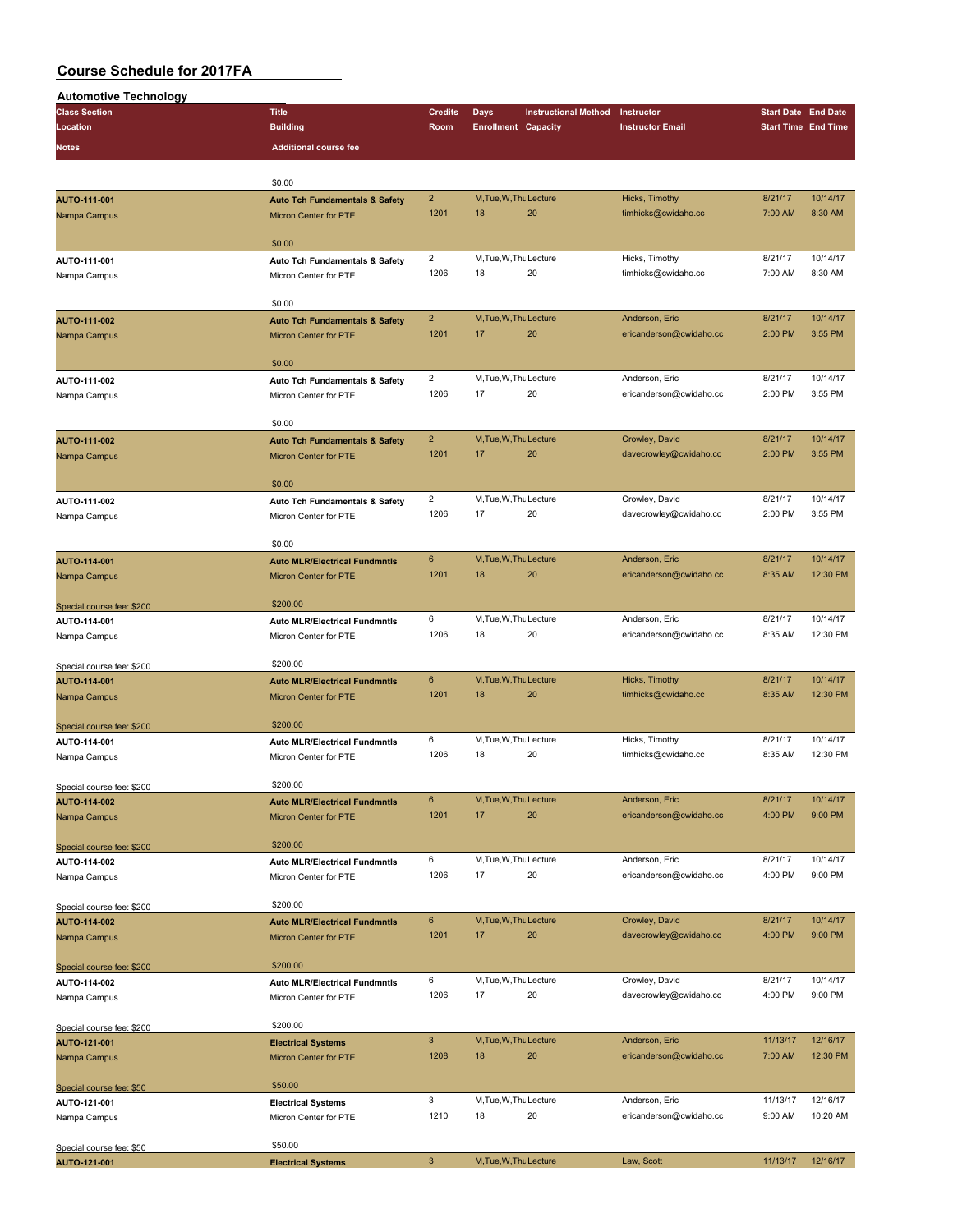| <b>Automotive Technology</b>              |                                           |                        |                            |                             |                                       |                            |                     |
|-------------------------------------------|-------------------------------------------|------------------------|----------------------------|-----------------------------|---------------------------------------|----------------------------|---------------------|
| <b>Class Section</b>                      | <b>Title</b>                              | <b>Credits</b>         | Days                       | <b>Instructional Method</b> | Instructor                            | <b>Start Date End Date</b> |                     |
| Location                                  | <b>Building</b>                           | Room                   | <b>Enrollment Capacity</b> |                             | <b>Instructor Email</b>               | <b>Start Time End Time</b> |                     |
| Notes                                     | <b>Additional course fee</b>              |                        |                            |                             |                                       |                            |                     |
|                                           |                                           |                        |                            |                             |                                       |                            |                     |
|                                           |                                           |                        |                            |                             |                                       |                            |                     |
|                                           | \$0.00                                    |                        |                            |                             |                                       |                            |                     |
| AUTO-111-001                              | <b>Auto Tch Fundamentals &amp; Safety</b> | $\overline{2}$         | M, Tue, W, Thu Lecture     |                             | Hicks, Timothy                        | 8/21/17                    | 10/14/17            |
| Nampa Campus                              | Micron Center for PTE                     | 1201                   | 18                         | 20                          | timhicks@cwidaho.cc                   | 7:00 AM                    | 8:30 AM             |
|                                           |                                           |                        |                            |                             |                                       |                            |                     |
|                                           | \$0.00                                    |                        | M, Tue, W, Thu Lecture     |                             |                                       |                            |                     |
| AUTO-111-001                              | Auto Tch Fundamentals & Safety            | $\overline{2}$<br>1206 | 18                         | 20                          | Hicks, Timothy<br>timhicks@cwidaho.cc | 8/21/17<br>7:00 AM         | 10/14/17<br>8:30 AM |
| Nampa Campus                              | Micron Center for PTE                     |                        |                            |                             |                                       |                            |                     |
|                                           | \$0.00                                    |                        |                            |                             |                                       |                            |                     |
| AUTO-111-002                              |                                           | $\overline{2}$         | M, Tue, W, Thu Lecture     |                             | Anderson, Eric                        | 8/21/17                    | 10/14/17            |
|                                           | <b>Auto Tch Fundamentals &amp; Safety</b> | 1201                   | 17                         | 20                          | ericanderson@cwidaho.cc               | 2:00 PM                    | 3:55 PM             |
| Nampa Campus                              | <b>Micron Center for PTE</b>              |                        |                            |                             |                                       |                            |                     |
|                                           | \$0.00                                    |                        |                            |                             |                                       |                            |                     |
| AUTO-111-002                              | Auto Tch Fundamentals & Safety            | $\overline{2}$         | M, Tue, W, Thu Lecture     |                             | Anderson, Eric                        | 8/21/17                    | 10/14/17            |
| Nampa Campus                              | Micron Center for PTE                     | 1206                   | 17                         | 20                          | ericanderson@cwidaho.cc               | 2:00 PM                    | 3:55 PM             |
|                                           |                                           |                        |                            |                             |                                       |                            |                     |
|                                           | \$0.00                                    |                        |                            |                             |                                       |                            |                     |
| AUTO-111-002                              | <b>Auto Tch Fundamentals &amp; Safety</b> | $\overline{2}$         | M.Tue.W.Thu Lecture        |                             | Crowley, David                        | 8/21/17                    | 10/14/17            |
| Nampa Campus                              | Micron Center for PTE                     | 1201                   | 17                         | 20                          | davecrowley@cwidaho.cc                | 2:00 PM                    | 3:55 PM             |
|                                           |                                           |                        |                            |                             |                                       |                            |                     |
|                                           | \$0.00                                    |                        |                            |                             |                                       |                            |                     |
| AUTO-111-002                              | Auto Tch Fundamentals & Safety            | $\overline{2}$         | M.Tue.W.Tht Lecture        |                             | Crowley, David                        | 8/21/17                    | 10/14/17            |
| Nampa Campus                              | Micron Center for PTE                     | 1206                   | 17                         | 20                          | davecrowley@cwidaho.cc                | 2:00 PM                    | 3:55 PM             |
|                                           |                                           |                        |                            |                             |                                       |                            |                     |
|                                           | \$0.00                                    |                        |                            |                             |                                       |                            |                     |
| AUTO-114-001                              | <b>Auto MLR/Electrical Fundmntls</b>      | $6\phantom{1}$         | M, Tue, W, Thu Lecture     |                             | Anderson, Eric                        | 8/21/17                    | 10/14/17            |
| Nampa Campus                              | <b>Micron Center for PTE</b>              | 1201                   | 18                         | 20                          | ericanderson@cwidaho.cc               | 8:35 AM                    | 12:30 PM            |
|                                           |                                           |                        |                            |                             |                                       |                            |                     |
| Special course fee: \$200                 | \$200.00                                  |                        |                            |                             |                                       |                            |                     |
| AUTO-114-001                              | <b>Auto MLR/Electrical Fundmntls</b>      | 6                      | M, Tue, W, Thu Lecture     |                             | Anderson, Eric                        | 8/21/17                    | 10/14/17            |
| Nampa Campus                              | Micron Center for PTE                     | 1206                   | 18                         | 20                          | ericanderson@cwidaho.cc               | 8:35 AM                    | 12:30 PM            |
|                                           |                                           |                        |                            |                             |                                       |                            |                     |
| Special course fee: \$200                 | \$200.00                                  |                        |                            |                             |                                       |                            |                     |
| AUTO-114-001                              | <b>Auto MLR/Electrical Fundmntls</b>      | 6                      | M, Tue, W, Thu Lecture     |                             | Hicks, Timothy                        | 8/21/17                    | 10/14/17            |
| Nampa Campus                              | Micron Center for PTE                     | 1201                   | 18                         | 20                          | timhicks@cwidaho.cc                   | 8:35 AM                    | 12:30 PM            |
|                                           |                                           |                        |                            |                             |                                       |                            |                     |
| Special course fee: \$200                 | \$200.00                                  |                        |                            |                             |                                       |                            |                     |
| AUTO-114-001                              | <b>Auto MLR/Electrical Fundmntls</b>      | 6                      | M, Tue, W, Thu Lecture     |                             | Hicks, Timothy                        | 8/21/17                    | 10/14/17            |
| Nampa Campus                              | Micron Center for PTE                     | 1206                   | 18                         | 20                          | timhicks@cwidaho.cc                   | 8:35 AM                    | 12:30 PM            |
|                                           |                                           |                        |                            |                             |                                       |                            |                     |
| Special course fee: \$200                 | \$200.00                                  |                        |                            |                             |                                       |                            |                     |
| AUTO-114-002                              | <b>Auto MLR/Electrical Fundmntls</b>      | 6                      | M, Tue, W, Thu Lecture     |                             | Anderson, Eric                        | 8/21/17                    | 10/14/17            |
| Nampa Campus                              | <b>Micron Center for PTE</b>              | 1201                   | 17                         | 20                          | ericanderson@cwidaho.cc               | 4:00 PM                    | 9:00 PM             |
|                                           |                                           |                        |                            |                             |                                       |                            |                     |
| Special course fee: \$200                 | \$200.00                                  |                        |                            |                             |                                       |                            |                     |
| AUTO-114-002                              | <b>Auto MLR/Electrical Fundmntls</b>      | 6                      | M, Tue, W, Thu Lecture     |                             | Anderson, Eric                        | 8/21/17                    | 10/14/17            |
| Nampa Campus                              | Micron Center for PTE                     | 1206                   | 17                         | 20                          | ericanderson@cwidaho.cc               | 4:00 PM                    | 9:00 PM             |
|                                           |                                           |                        |                            |                             |                                       |                            |                     |
| Special course fee: \$200                 | \$200.00                                  |                        |                            |                             |                                       |                            |                     |
| AUTO-114-002                              | <b>Auto MLR/Electrical Fundmntls</b>      | 6                      | M.Tue.W.Thu Lecture        |                             | Crowley, David                        | 8/21/17                    | 10/14/17            |
| Nampa Campus                              | Micron Center for PTE                     | 1201                   | 17                         | 20                          | davecrowley@cwidaho.cc                | 4:00 PM                    | 9:00 PM             |
|                                           | \$200.00                                  |                        |                            |                             |                                       |                            |                     |
| Special course fee: \$200                 |                                           | 6                      | M, Tue, W, Thu Lecture     |                             | Crowley, David                        | 8/21/17                    | 10/14/17            |
| AUTO-114-002                              | <b>Auto MLR/Electrical Fundmntls</b>      | 1206                   | 17                         | 20                          | davecrowley@cwidaho.cc                | 4:00 PM                    | 9:00 PM             |
| Nampa Campus                              | Micron Center for PTE                     |                        |                            |                             |                                       |                            |                     |
|                                           | \$200.00                                  |                        |                            |                             |                                       |                            |                     |
| Special course fee: \$200<br>AUTO-121-001 |                                           | $\mathbf{3}$           | M, Tue, W, Thu Lecture     |                             | Anderson, Eric                        | 11/13/17                   | 12/16/17            |
|                                           | <b>Electrical Systems</b>                 | 1208                   | 18                         | 20                          | ericanderson@cwidaho.cc               | 7:00 AM                    | 12:30 PM            |
| Nampa Campus                              | Micron Center for PTE                     |                        |                            |                             |                                       |                            |                     |
| Special course fee: \$50                  | \$50.00                                   |                        |                            |                             |                                       |                            |                     |
| AUTO-121-001                              | <b>Electrical Systems</b>                 | 3                      | M, Tue, W, Thu Lecture     |                             | Anderson, Eric                        | 11/13/17                   | 12/16/17            |
| Nampa Campus                              | Micron Center for PTE                     | 1210                   | 18                         | 20                          | ericanderson@cwidaho.cc               | 9:00 AM                    | 10:20 AM            |
|                                           |                                           |                        |                            |                             |                                       |                            |                     |
| Special course fee: \$50                  | \$50.00                                   |                        |                            |                             |                                       |                            |                     |
| AUTO-121-001                              | <b>Electrical Systems</b>                 | $\mathbf{3}$           | M, Tue, W, Thu Lecture     |                             | Law, Scott                            | 11/13/17                   | 12/16/17            |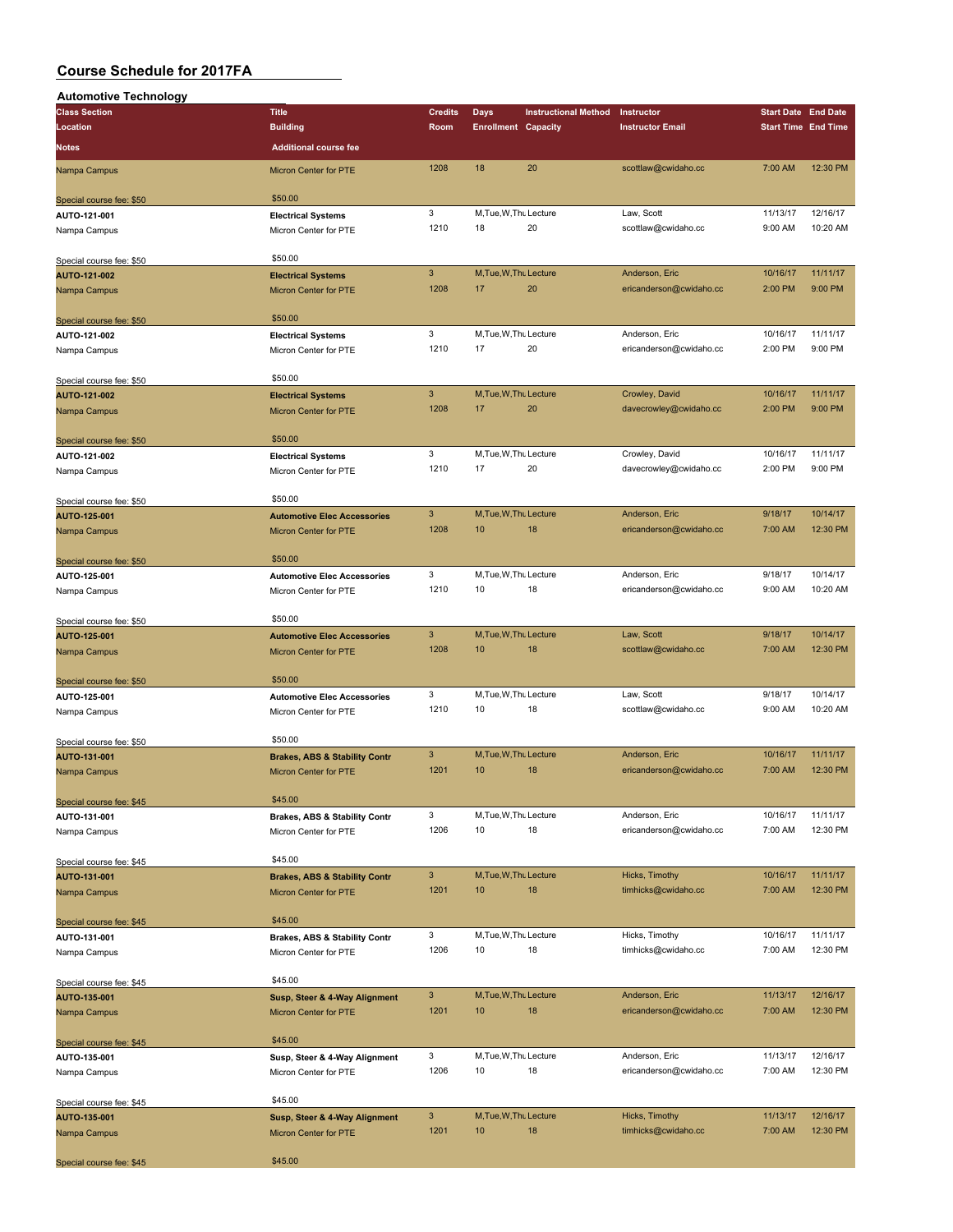| <b>Automotive Technology</b> |                                          |                           |                            |                             |                         |                            |          |
|------------------------------|------------------------------------------|---------------------------|----------------------------|-----------------------------|-------------------------|----------------------------|----------|
| <b>Class Section</b>         | <b>Title</b>                             | <b>Credits</b>            | <b>Days</b>                | <b>Instructional Method</b> | Instructor              | <b>Start Date End Date</b> |          |
| Location                     | <b>Building</b>                          | Room                      | <b>Enrollment Capacity</b> |                             | <b>Instructor Email</b> | <b>Start Time End Time</b> |          |
|                              |                                          |                           |                            |                             |                         |                            |          |
| <b>Notes</b>                 | <b>Additional course fee</b>             |                           |                            |                             |                         |                            |          |
|                              |                                          |                           |                            |                             |                         |                            |          |
| Nampa Campus                 | Micron Center for PTE                    | 1208                      | 18                         | 20                          | scottlaw@cwidaho.cc     | 7:00 AM                    | 12:30 PM |
|                              |                                          |                           |                            |                             |                         |                            |          |
|                              |                                          |                           |                            |                             |                         |                            |          |
| Special course fee: \$50     | \$50.00                                  |                           |                            |                             |                         |                            |          |
| AUTO-121-001                 | <b>Electrical Systems</b>                | 3                         | M, Tue, W, Thu Lecture     |                             | Law, Scott              | 11/13/17                   | 12/16/17 |
| Nampa Campus                 | Micron Center for PTE                    | 1210                      | 18                         | 20                          | scottlaw@cwidaho.cc     | 9:00 AM                    | 10:20 AM |
|                              |                                          |                           |                            |                             |                         |                            |          |
|                              |                                          |                           |                            |                             |                         |                            |          |
| Special course fee: \$50     | \$50.00                                  |                           |                            |                             |                         |                            |          |
| AUTO-121-002                 | <b>Electrical Systems</b>                | $\mathbf{3}$              | M, Tue, W, Thu Lecture     |                             | Anderson, Eric          | 10/16/17                   | 11/11/17 |
| Nampa Campus                 | Micron Center for PTE                    | 1208                      | 17                         | 20                          | ericanderson@cwidaho.cc | 2:00 PM                    | 9:00 PM  |
|                              |                                          |                           |                            |                             |                         |                            |          |
|                              |                                          |                           |                            |                             |                         |                            |          |
| Special course fee: \$50     | \$50.00                                  |                           |                            |                             |                         |                            |          |
| AUTO-121-002                 | <b>Electrical Systems</b>                | 3                         | M, Tue, W, Thu Lecture     |                             | Anderson, Eric          | 10/16/17                   | 11/11/17 |
|                              |                                          |                           |                            |                             |                         |                            |          |
| Nampa Campus                 | Micron Center for PTE                    | 1210                      | 17                         | 20                          | ericanderson@cwidaho.cc | 2:00 PM                    | 9:00 PM  |
|                              |                                          |                           |                            |                             |                         |                            |          |
| Special course fee: \$50     | \$50.00                                  |                           |                            |                             |                         |                            |          |
|                              |                                          |                           |                            |                             |                         |                            |          |
| AUTO-121-002                 | <b>Electrical Systems</b>                | $\mathbf{3}$              | M, Tue, W, Thu Lecture     |                             | Crowley, David          | 10/16/17                   | 11/11/17 |
| Nampa Campus                 | Micron Center for PTE                    | 1208                      | 17                         | 20                          | davecrowley@cwidaho.cc  | 2:00 PM                    | 9:00 PM  |
|                              |                                          |                           |                            |                             |                         |                            |          |
|                              |                                          |                           |                            |                             |                         |                            |          |
| Special course fee: \$50     | \$50.00                                  |                           |                            |                             |                         |                            |          |
| AUTO-121-002                 | <b>Electrical Systems</b>                | 3                         | M, Tue, W, Thu Lecture     |                             | Crowley, David          | 10/16/17                   | 11/11/17 |
|                              |                                          | 1210                      | 17                         | 20                          | davecrowley@cwidaho.cc  | 2:00 PM                    | 9:00 PM  |
| Nampa Campus                 | Micron Center for PTE                    |                           |                            |                             |                         |                            |          |
|                              |                                          |                           |                            |                             |                         |                            |          |
| Special course fee: \$50     | \$50.00                                  |                           |                            |                             |                         |                            |          |
|                              |                                          | $\mathbf{3}$              | M, Tue, W, Thu Lecture     |                             | Anderson, Eric          | 9/18/17                    | 10/14/17 |
| AUTO-125-001                 | <b>Automotive Elec Accessories</b>       |                           |                            |                             |                         |                            |          |
| Nampa Campus                 | <b>Micron Center for PTE</b>             | 1208                      | 10                         | 18                          | ericanderson@cwidaho.cc | 7:00 AM                    | 12:30 PM |
|                              |                                          |                           |                            |                             |                         |                            |          |
|                              | \$50.00                                  |                           |                            |                             |                         |                            |          |
| Special course fee: \$50     |                                          |                           |                            |                             |                         |                            |          |
| AUTO-125-001                 | <b>Automotive Elec Accessories</b>       | 3                         | M, Tue, W, Thu Lecture     |                             | Anderson, Eric          | 9/18/17                    | 10/14/17 |
| Nampa Campus                 | Micron Center for PTE                    | 1210                      | 10                         | 18                          | ericanderson@cwidaho.cc | 9:00 AM                    | 10:20 AM |
|                              |                                          |                           |                            |                             |                         |                            |          |
|                              |                                          |                           |                            |                             |                         |                            |          |
| Special course fee: \$50     | \$50.00                                  |                           |                            |                             |                         |                            |          |
| AUTO-125-001                 | <b>Automotive Elec Accessories</b>       | 3                         | M, Tue, W, Thu Lecture     |                             | Law, Scott              | 9/18/17                    | 10/14/17 |
|                              |                                          |                           |                            |                             |                         |                            |          |
| Nampa Campus                 | Micron Center for PTE                    | 1208                      | 10                         | 18                          | scottlaw@cwidaho.cc     | 7:00 AM                    | 12:30 PM |
|                              |                                          |                           |                            |                             |                         |                            |          |
|                              | \$50.00                                  |                           |                            |                             |                         |                            |          |
| Special course fee: \$50     |                                          |                           |                            |                             |                         |                            |          |
| AUTO-125-001                 | <b>Automotive Elec Accessories</b>       | 3                         | M, Tue, W, Thu Lecture     |                             | Law, Scott              | 9/18/17                    | 10/14/17 |
| Nampa Campus                 | Micron Center for PTE                    | 1210                      | 10                         | 18                          | scottlaw@cwidaho.cc     | 9:00 AM                    | 10:20 AM |
|                              |                                          |                           |                            |                             |                         |                            |          |
|                              |                                          |                           |                            |                             |                         |                            |          |
| Special course fee: \$50     | \$50.00                                  |                           |                            |                             |                         |                            |          |
| AUTO-131-001                 | <b>Brakes, ABS &amp; Stability Contr</b> | 3                         | M, Tue, W, Thu Lecture     |                             | Anderson, Eric          | 10/16/17                   | 11/11/17 |
|                              |                                          | 1201                      | 10                         | 18                          | ericanderson@cwidaho.cc | 7:00 AM                    | 12:30 PM |
| Nampa Campus                 | Micron Center for PTE                    |                           |                            |                             |                         |                            |          |
|                              |                                          |                           |                            |                             |                         |                            |          |
| Special course fee: \$45     | \$45.00                                  |                           |                            |                             |                         |                            |          |
|                              |                                          | 3                         | M, Tue, W, Thu Lecture     |                             | Anderson, Eric          | 10/16/17                   | 11/11/17 |
| AUTO-131-001                 | <b>Brakes, ABS &amp; Stability Contr</b> |                           |                            |                             |                         |                            |          |
| Nampa Campus                 | Micron Center for PTE                    | 1206                      | 10                         | 18                          | ericanderson@cwidaho.cc | 7:00 AM                    | 12:30 PM |
|                              |                                          |                           |                            |                             |                         |                            |          |
|                              | \$45.00                                  |                           |                            |                             |                         |                            |          |
| Special course fee: \$45     |                                          |                           |                            |                             |                         |                            |          |
| AUTO-131-001                 | <b>Brakes, ABS &amp; Stability Contr</b> | $\mathbf{3}$              | M, Tue, W, Thu Lecture     |                             | Hicks, Timothy          | 10/16/17                   | 11/11/17 |
| Nampa Campus                 | Micron Center for PTE                    | 1201                      | 10                         | 18                          | timhicks@cwidaho.cc     | 7:00 AM                    | 12:30 PM |
|                              |                                          |                           |                            |                             |                         |                            |          |
|                              |                                          |                           |                            |                             |                         |                            |          |
| Special course fee: \$45     | \$45.00                                  |                           |                            |                             |                         |                            |          |
| AUTO-131-001                 | Brakes, ABS & Stability Contr            | 3                         | M, Tue, W, Thu Lecture     |                             | Hicks, Timothy          | 10/16/17                   | 11/11/17 |
|                              |                                          |                           |                            |                             |                         |                            |          |
| Nampa Campus                 | Micron Center for PTE                    | 1206                      | 10                         | 18                          | timhicks@cwidaho.cc     | 7:00 AM                    | 12:30 PM |
|                              |                                          |                           |                            |                             |                         |                            |          |
| Special course fee: \$45     | \$45.00                                  |                           |                            |                             |                         |                            |          |
|                              |                                          |                           |                            |                             |                         |                            |          |
| AUTO-135-001                 | Susp, Steer & 4-Way Alignment            | $\ensuremath{\mathsf{3}}$ | M, Tue, W, Thu Lecture     |                             | Anderson, Eric          | 11/13/17                   | 12/16/17 |
| Nampa Campus                 | Micron Center for PTE                    | 1201                      | 10                         | 18                          | ericanderson@cwidaho.cc | 7:00 AM                    | 12:30 PM |
|                              |                                          |                           |                            |                             |                         |                            |          |
|                              |                                          |                           |                            |                             |                         |                            |          |
| Special course fee: \$45     | \$45.00                                  |                           |                            |                             |                         |                            |          |
| AUTO-135-001                 | Susp, Steer & 4-Way Alignment            | 3                         | M, Tue, W, Thu Lecture     |                             | Anderson, Eric          | 11/13/17                   | 12/16/17 |
|                              |                                          | 1206                      | 10                         | 18                          | ericanderson@cwidaho.cc | 7:00 AM                    | 12:30 PM |
| Nampa Campus                 | Micron Center for PTE                    |                           |                            |                             |                         |                            |          |
|                              |                                          |                           |                            |                             |                         |                            |          |
| Special course fee: \$45     | \$45.00                                  |                           |                            |                             |                         |                            |          |
|                              |                                          |                           |                            |                             |                         |                            |          |
| AUTO-135-001                 | Susp, Steer & 4-Way Alignment            | $\mathbf{3}$              | M, Tue, W, Thu Lecture     |                             | Hicks, Timothy          | 11/13/17                   | 12/16/17 |
| Nampa Campus                 | Micron Center for PTE                    | 1201                      | 10                         | 18                          | timhicks@cwidaho.cc     | 7:00 AM                    | 12:30 PM |
|                              |                                          |                           |                            |                             |                         |                            |          |
|                              |                                          |                           |                            |                             |                         |                            |          |
| Special course fee: \$45     | \$45.00                                  |                           |                            |                             |                         |                            |          |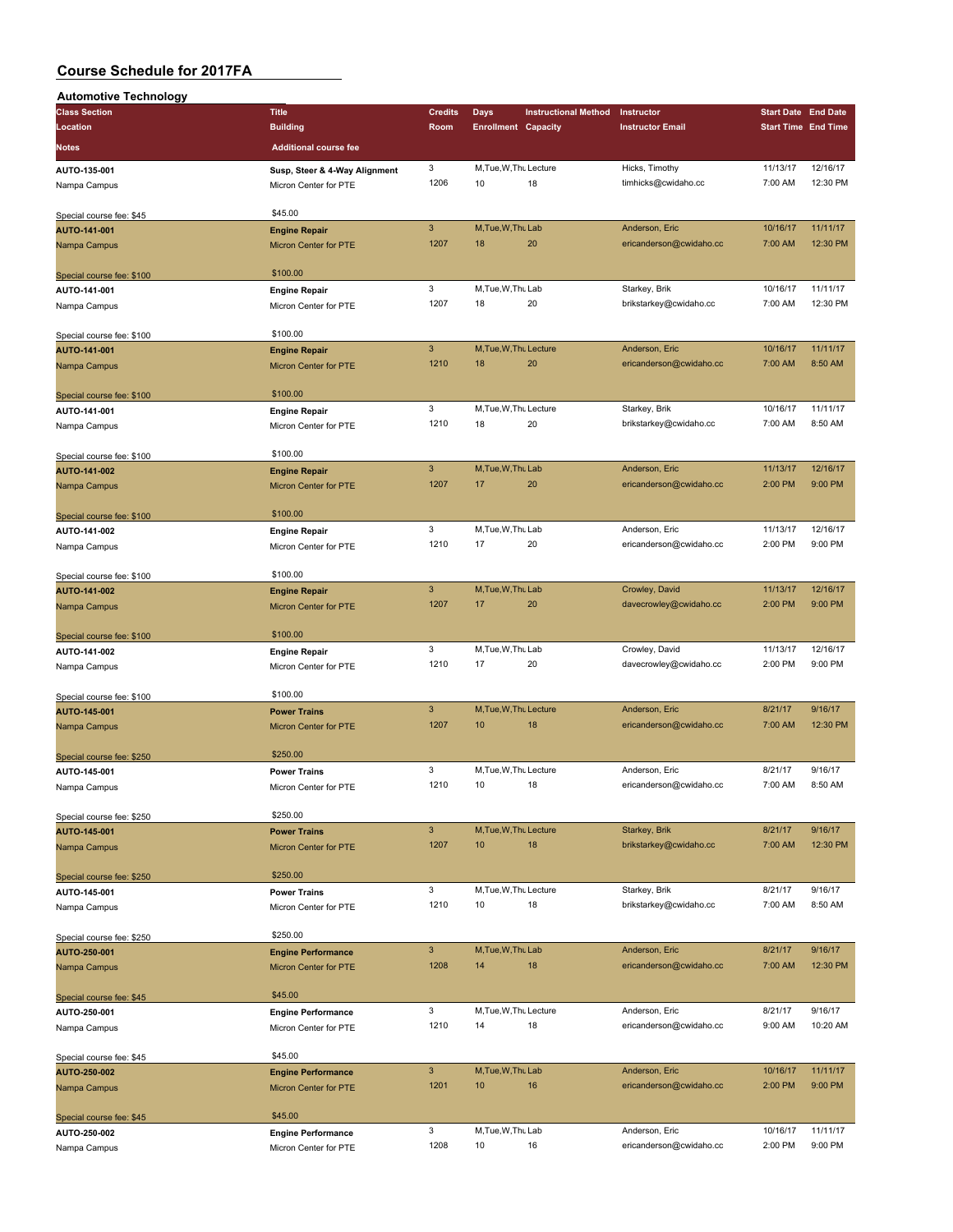| <b>Automotive Technology</b>              |                               |                           |                              |                             |                         |                            |                            |
|-------------------------------------------|-------------------------------|---------------------------|------------------------------|-----------------------------|-------------------------|----------------------------|----------------------------|
| <b>Class Section</b>                      | <b>Title</b>                  | <b>Credits</b>            | <b>Days</b>                  | <b>Instructional Method</b> | Instructor              | <b>Start Date End Date</b> |                            |
| Location                                  | <b>Building</b>               | Room                      | <b>Enrollment Capacity</b>   |                             | <b>Instructor Email</b> |                            | <b>Start Time End Time</b> |
| Notes                                     | <b>Additional course fee</b>  |                           |                              |                             |                         |                            |                            |
|                                           |                               | 3                         | M, Tue, W, Thu Lecture       |                             | Hicks, Timothy          | 11/13/17                   | 12/16/17                   |
| AUTO-135-001                              | Susp, Steer & 4-Way Alignment | 1206                      | 10                           | 18                          | timhicks@cwidaho.cc     | 7:00 AM                    | 12:30 PM                   |
| Nampa Campus                              | Micron Center for PTE         |                           |                              |                             |                         |                            |                            |
| Special course fee: \$45                  | \$45.00                       |                           |                              |                             |                         |                            |                            |
| AUTO-141-001                              | <b>Engine Repair</b>          | $\mathbf{3}$              | M, Tue, W, Thu Lab           |                             | Anderson, Eric          | 10/16/17                   | 11/11/17                   |
| Nampa Campus                              | Micron Center for PTE         | 1207                      | 18                           | 20                          | ericanderson@cwidaho.cc | 7:00 AM                    | 12:30 PM                   |
|                                           |                               |                           |                              |                             |                         |                            |                            |
| Special course fee: \$100                 | \$100.00                      |                           |                              |                             |                         |                            |                            |
| AUTO-141-001                              | <b>Engine Repair</b>          | 3                         | M, Tue, W, Thu Lab           |                             | Starkey, Brik           | 10/16/17                   | 11/11/17                   |
| Nampa Campus                              | Micron Center for PTE         | 1207                      | 18                           | 20                          | brikstarkey@cwidaho.cc  | 7:00 AM                    | 12:30 PM                   |
|                                           |                               |                           |                              |                             |                         |                            |                            |
| Special course fee: \$100                 | \$100.00                      |                           |                              |                             |                         |                            |                            |
| AUTO-141-001                              | <b>Engine Repair</b>          | $\mathbf{3}$              | M, Tue, W, Thu Lecture       |                             | Anderson, Eric          | 10/16/17                   | 11/11/17                   |
| Nampa Campus                              | Micron Center for PTE         | 1210                      | 18                           | 20                          | ericanderson@cwidaho.cc | 7:00 AM                    | 8:50 AM                    |
|                                           |                               |                           |                              |                             |                         |                            |                            |
| Special course fee: \$100                 | \$100.00                      |                           |                              |                             |                         |                            |                            |
| AUTO-141-001                              | <b>Engine Repair</b>          | 3                         | M, Tue, W, Thu Lecture       |                             | Starkey, Brik           | 10/16/17                   | 11/11/17                   |
| Nampa Campus                              | Micron Center for PTE         | 1210                      | 18                           | 20                          | brikstarkey@cwidaho.cc  | 7:00 AM                    | 8:50 AM                    |
|                                           |                               |                           |                              |                             |                         |                            |                            |
| Special course fee: \$100                 | \$100.00                      |                           |                              |                             |                         |                            |                            |
| AUTO-141-002                              | <b>Engine Repair</b>          | $\mathbf{3}$              | M, Tue, W, Thu Lab           |                             | Anderson, Eric          | 11/13/17                   | 12/16/17                   |
| Nampa Campus                              | Micron Center for PTE         | 1207                      | 17                           | 20                          | ericanderson@cwidaho.cc | 2:00 PM                    | 9:00 PM                    |
|                                           | \$100.00                      |                           |                              |                             |                         |                            |                            |
| Special course fee: \$100                 |                               | 3                         | M.Tue.W.Thu Lab              |                             | Anderson, Eric          | 11/13/17                   | 12/16/17                   |
| AUTO-141-002                              | <b>Engine Repair</b>          | 1210                      | 17                           | 20                          | ericanderson@cwidaho.cc | 2:00 PM                    | 9:00 PM                    |
| Nampa Campus                              | Micron Center for PTE         |                           |                              |                             |                         |                            |                            |
| Special course fee: \$100                 | \$100.00                      |                           |                              |                             |                         |                            |                            |
| AUTO-141-002                              | <b>Engine Repair</b>          | $\overline{3}$            | M.Tue, W.Thu Lab             |                             | Crowley, David          | 11/13/17                   | 12/16/17                   |
| Nampa Campus                              | Micron Center for PTE         | 1207                      | 17                           | 20                          | davecrowley@cwidaho.cc  | 2:00 PM                    | 9:00 PM                    |
|                                           |                               |                           |                              |                             |                         |                            |                            |
| Special course fee: \$100                 | \$100.00                      |                           |                              |                             |                         |                            |                            |
| AUTO-141-002                              | <b>Engine Repair</b>          | 3                         | M, Tue, W, Thu Lab           |                             | Crowley, David          | 11/13/17                   | 12/16/17                   |
| Nampa Campus                              | Micron Center for PTE         | 1210                      | 17                           | 20                          | davecrowley@cwidaho.cc  | 2:00 PM                    | 9:00 PM                    |
|                                           |                               |                           |                              |                             |                         |                            |                            |
| Special course fee: \$100                 | \$100.00                      |                           |                              |                             |                         |                            |                            |
| AUTO-145-001                              | <b>Power Trains</b>           | $\mathbf{3}$              | M, Tue, W, Thu Lecture       |                             | Anderson, Eric          | 8/21/17                    | 9/16/17                    |
| Nampa Campus                              | <b>Micron Center for PTE</b>  | 1207                      | 10                           | 18                          | ericanderson@cwidaho.cc | 7:00 AM                    | 12:30 PM                   |
|                                           |                               |                           |                              |                             |                         |                            |                            |
| Special course fee: \$250                 | \$250.00                      |                           |                              |                             |                         |                            |                            |
| AUTO-145-001                              | <b>Power Trains</b>           | 3                         | M, Tue, W, Thu Lecture       |                             | Anderson, Eric          | 8/21/17                    | 9/16/17                    |
| Nampa Campus                              | Micron Center for PTE         | 1210                      | 10                           | 18                          | ericanderson@cwidaho.cc | 7:00 AM                    | 8:50 AM                    |
|                                           |                               |                           |                              |                             |                         |                            |                            |
| Special course fee: \$250                 | \$250.00                      | $\mathbf{3}$              |                              |                             |                         | 8/21/17                    |                            |
| AUTO-145-001                              | <b>Power Trains</b>           | 1207                      | M, Tue, W, Thu Lecture<br>10 | 18                          | Starkey, Brik           | 7:00 AM                    | 9/16/17<br>12:30 PM        |
| Nampa Campus                              | Micron Center for PTE         |                           |                              |                             | brikstarkey@cwidaho.cc  |                            |                            |
|                                           | \$250.00                      |                           |                              |                             |                         |                            |                            |
| Special course fee: \$250<br>AUTO-145-001 | <b>Power Trains</b>           | 3                         | M, Tue, W, Thu Lecture       |                             | Starkey, Brik           | 8/21/17                    | 9/16/17                    |
| Nampa Campus                              | Micron Center for PTE         | 1210                      | 10                           | 18                          | brikstarkey@cwidaho.cc  | 7:00 AM                    | 8:50 AM                    |
|                                           |                               |                           |                              |                             |                         |                            |                            |
| Special course fee: \$250                 | \$250.00                      |                           |                              |                             |                         |                            |                            |
| AUTO-250-001                              | <b>Engine Performance</b>     | $\mathbf{3}$              | M, Tue, W, Thu Lab           |                             | Anderson, Eric          | 8/21/17                    | 9/16/17                    |
| Nampa Campus                              | <b>Micron Center for PTE</b>  | 1208                      | 14                           | 18                          | ericanderson@cwidaho.cc | 7:00 AM                    | 12:30 PM                   |
|                                           |                               |                           |                              |                             |                         |                            |                            |
| Special course fee: \$45                  | \$45.00                       |                           |                              |                             |                         |                            |                            |
| AUTO-250-001                              | <b>Engine Performance</b>     | 3                         | M, Tue, W, Thu Lecture       |                             | Anderson, Eric          | 8/21/17                    | 9/16/17                    |
| Nampa Campus                              | Micron Center for PTE         | 1210                      | 14                           | 18                          | ericanderson@cwidaho.cc | 9:00 AM                    | 10:20 AM                   |
|                                           |                               |                           |                              |                             |                         |                            |                            |
| Special course fee: \$45                  | \$45.00                       |                           |                              |                             |                         |                            |                            |
| AUTO-250-002                              | <b>Engine Performance</b>     | $\ensuremath{\mathsf{3}}$ | M, Tue, W, Thu Lab           |                             | Anderson, Eric          | 10/16/17                   | 11/11/17                   |
| Nampa Campus                              | Micron Center for PTE         | 1201                      | 10                           | 16                          | ericanderson@cwidaho.cc | 2:00 PM                    | 9:00 PM                    |
|                                           |                               |                           |                              |                             |                         |                            |                            |
| Special course fee: \$45                  | \$45.00                       |                           |                              |                             |                         |                            |                            |
| AUTO-250-002                              | <b>Engine Performance</b>     | 3                         | M, Tue, W, Thu Lab           |                             | Anderson, Eric          | 10/16/17                   | 11/11/17                   |
| Nampa Campus                              | Micron Center for PTE         | 1208                      | 10                           | 16                          | ericanderson@cwidaho.cc | 2:00 PM                    | 9:00 PM                    |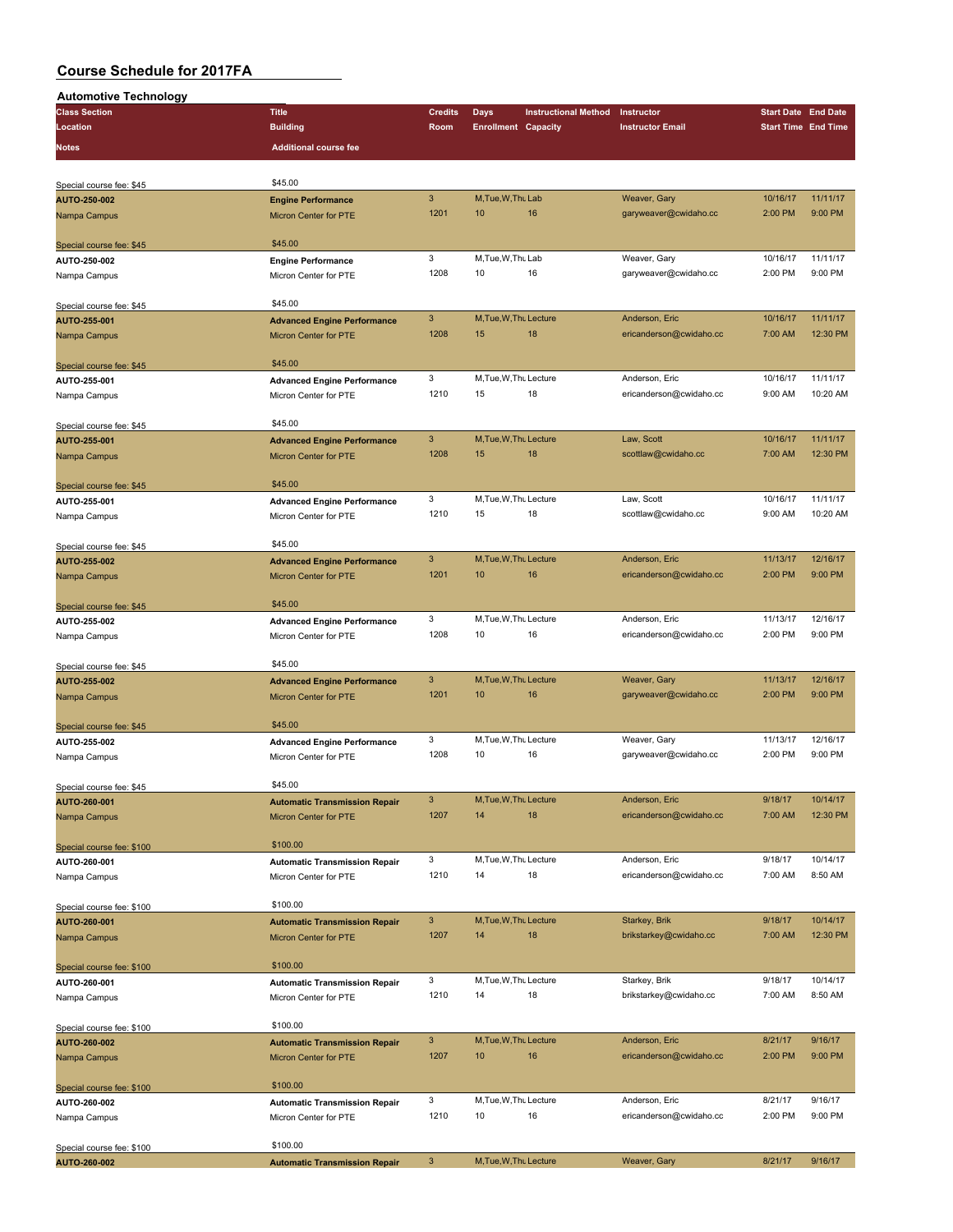| <b>Automotive Technology</b> |                                      |                |                            |                             |                         |                            |          |
|------------------------------|--------------------------------------|----------------|----------------------------|-----------------------------|-------------------------|----------------------------|----------|
| <b>Class Section</b>         | <b>Title</b>                         | <b>Credits</b> | Days                       | <b>Instructional Method</b> | Instructor              | <b>Start Date End Date</b> |          |
| Location                     | <b>Building</b>                      | Room           | <b>Enrollment Capacity</b> |                             | <b>Instructor Email</b> | <b>Start Time End Time</b> |          |
| Notes                        | <b>Additional course fee</b>         |                |                            |                             |                         |                            |          |
|                              |                                      |                |                            |                             |                         |                            |          |
|                              |                                      |                |                            |                             |                         |                            |          |
| Special course fee: \$45     | \$45.00                              |                |                            |                             |                         |                            |          |
| AUTO-250-002                 | <b>Engine Performance</b>            | $\mathbf{3}$   | M, Tue, W, Thu Lab         |                             | Weaver, Gary            | 10/16/17                   | 11/11/17 |
| Nampa Campus                 | Micron Center for PTE                | 1201           | 10                         | 16                          | garyweaver@cwidaho.cc   | 2:00 PM                    | 9:00 PM  |
|                              |                                      |                |                            |                             |                         |                            |          |
| Special course fee: \$45     | \$45.00                              |                |                            |                             |                         |                            |          |
| AUTO-250-002                 | <b>Engine Performance</b>            | 3              | M, Tue, W, Thu Lab         |                             | Weaver, Gary            | 10/16/17                   | 11/11/17 |
| Nampa Campus                 | Micron Center for PTE                | 1208           | 10                         | 16                          | garyweaver@cwidaho.cc   | 2:00 PM                    | 9:00 PM  |
|                              |                                      |                |                            |                             |                         |                            |          |
| Special course fee: \$45     | \$45.00                              |                |                            |                             |                         |                            |          |
| AUTO-255-001                 | <b>Advanced Engine Performance</b>   | $\mathbf{3}$   | M, Tue, W, Thu Lecture     |                             | Anderson, Eric          | 10/16/17                   | 11/11/17 |
| Nampa Campus                 | <b>Micron Center for PTE</b>         | 1208           | 15                         | 18                          | ericanderson@cwidaho.cc | 7:00 AM                    | 12:30 PM |
|                              |                                      |                |                            |                             |                         |                            |          |
| Special course fee: \$45     | \$45.00                              |                |                            |                             |                         |                            |          |
| AUTO-255-001                 | <b>Advanced Engine Performance</b>   | 3              | M, Tue, W, Thu Lecture     |                             | Anderson, Eric          | 10/16/17                   | 11/11/17 |
| Nampa Campus                 | Micron Center for PTE                | 1210           | 15                         | 18                          | ericanderson@cwidaho.cc | 9:00 AM                    | 10:20 AM |
|                              |                                      |                |                            |                             |                         |                            |          |
| Special course fee: \$45     | \$45.00                              |                |                            |                             |                         |                            |          |
| AUTO-255-001                 | <b>Advanced Engine Performance</b>   | $\mathbf{3}$   | M.Tue.W.Thu Lecture        |                             | Law. Scott              | 10/16/17                   | 11/11/17 |
| Nampa Campus                 | <b>Micron Center for PTE</b>         | 1208           | 15                         | 18                          | scottlaw@cwidaho.cc     | 7:00 AM                    | 12:30 PM |
|                              |                                      |                |                            |                             |                         |                            |          |
| Special course fee: \$45     | \$45.00                              |                |                            |                             |                         |                            |          |
| AUTO-255-001                 | <b>Advanced Engine Performance</b>   | 3              | M, Tue, W, Thu Lecture     |                             | Law, Scott              | 10/16/17                   | 11/11/17 |
| Nampa Campus                 | Micron Center for PTE                | 1210           | 15                         | 18                          | scottlaw@cwidaho.cc     | 9:00 AM                    | 10:20 AM |
|                              |                                      |                |                            |                             |                         |                            |          |
| Special course fee: \$45     | \$45.00                              |                |                            |                             |                         |                            |          |
| AUTO-255-002                 | <b>Advanced Engine Performance</b>   | $\mathbf{3}$   | M, Tue, W, Thu Lecture     |                             | Anderson, Eric          | 11/13/17                   | 12/16/17 |
| Nampa Campus                 | <b>Micron Center for PTE</b>         | 1201           | 10                         | 16                          | ericanderson@cwidaho.cc | 2:00 PM                    | 9:00 PM  |
|                              |                                      |                |                            |                             |                         |                            |          |
| Special course fee: \$45     | \$45.00                              |                |                            |                             |                         |                            |          |
| AUTO-255-002                 | <b>Advanced Engine Performance</b>   | 3              | M, Tue, W, Thu Lecture     |                             | Anderson, Eric          | 11/13/17                   | 12/16/17 |
| Nampa Campus                 | Micron Center for PTE                | 1208           | 10                         | 16                          | ericanderson@cwidaho.cc | 2:00 PM                    | 9:00 PM  |
|                              |                                      |                |                            |                             |                         |                            |          |
|                              | \$45.00                              |                |                            |                             |                         |                            |          |
| Special course fee: \$45     |                                      | $\mathbf{3}$   | M, Tue, W, Thu Lecture     |                             | Weaver, Gary            | 11/13/17                   | 12/16/17 |
| AUTO-255-002                 | <b>Advanced Engine Performance</b>   | 1201           | 10                         | 16                          | garyweaver@cwidaho.cc   | 2:00 PM                    | 9:00 PM  |
| Nampa Campus                 | Micron Center for PTE                |                |                            |                             |                         |                            |          |
|                              | \$45.00                              |                |                            |                             |                         |                            |          |
| Special course fee: \$45     |                                      | 3              | M, Tue, W, Thu Lecture     |                             | Weaver, Gary            | 11/13/17                   | 12/16/17 |
| AUTO-255-002                 | <b>Advanced Engine Performance</b>   | 1208           | 10                         | 16                          |                         | 2:00 PM                    | 9:00 PM  |
| Nampa Campus                 | Micron Center for PTE                |                |                            |                             | garyweaver@cwidaho.cc   |                            |          |
|                              | \$45.00                              |                |                            |                             |                         |                            |          |
| Special course fee: \$45     |                                      |                | M, Tue, W, Thu Lecture     |                             |                         |                            |          |
| AUTO-260-001                 | <b>Automatic Transmission Repair</b> | 3              |                            |                             | Anderson, Eric          | 9/18/17                    | 10/14/17 |
| Nampa Campus                 | <b>Micron Center for PTE</b>         | 1207           | 14                         | 18                          | ericanderson@cwidaho.cc | 7:00 AM                    | 12:30 PM |
|                              |                                      |                |                            |                             |                         |                            |          |
| Special course fee: \$100    | \$100.00                             |                |                            |                             |                         |                            |          |
| AUTO-260-001                 | <b>Automatic Transmission Repair</b> | 3              | M, Tue, W, Thu Lecture     |                             | Anderson, Eric          | 9/18/17                    | 10/14/17 |
| Nampa Campus                 | Micron Center for PTE                | 1210           | 14                         | 18                          | ericanderson@cwidaho.cc | 7:00 AM                    | 8:50 AM  |
|                              |                                      |                |                            |                             |                         |                            |          |
| Special course fee: \$100    | \$100.00                             |                |                            |                             |                         |                            |          |
| AUTO-260-001                 | <b>Automatic Transmission Repair</b> | 3              | M, Tue, W, Thu Lecture     |                             | Starkey, Brik           | 9/18/17                    | 10/14/17 |
| Nampa Campus                 | Micron Center for PTE                | 1207           | 14                         | 18                          | brikstarkey@cwidaho.cc  | 7:00 AM                    | 12:30 PM |
|                              |                                      |                |                            |                             |                         |                            |          |
| Special course fee: \$100    | \$100.00                             |                |                            |                             |                         |                            |          |
| AUTO-260-001                 | <b>Automatic Transmission Repair</b> | 3              | M, Tue, W, Thu Lecture     |                             | Starkey, Brik           | 9/18/17                    | 10/14/17 |
| Nampa Campus                 | Micron Center for PTE                | 1210           | 14                         | 18                          | brikstarkey@cwidaho.cc  | 7:00 AM                    | 8:50 AM  |
|                              |                                      |                |                            |                             |                         |                            |          |
| Special course fee: \$100    | \$100.00                             |                |                            |                             |                         |                            |          |
| AUTO-260-002                 | <b>Automatic Transmission Repair</b> | $\mathbf{3}$   | M, Tue, W, Thu Lecture     |                             | Anderson, Eric          | 8/21/17                    | 9/16/17  |
| Nampa Campus                 | Micron Center for PTE                | 1207           | 10                         | 16                          | ericanderson@cwidaho.cc | 2:00 PM                    | 9:00 PM  |
|                              |                                      |                |                            |                             |                         |                            |          |
| Special course fee: \$100    | \$100.00                             |                |                            |                             |                         |                            |          |
| AUTO-260-002                 | <b>Automatic Transmission Repair</b> | 3              | M, Tue, W, Thu Lecture     |                             | Anderson, Eric          | 8/21/17                    | 9/16/17  |
| Nampa Campus                 | Micron Center for PTE                | 1210           | 10                         | 16                          | ericanderson@cwidaho.cc | 2:00 PM                    | 9:00 PM  |
|                              |                                      |                |                            |                             |                         |                            |          |
| Special course fee: \$100    | \$100.00                             |                |                            |                             |                         |                            |          |
| AUTO-260-002                 | <b>Automatic Transmission Repair</b> | $\mathbf{3}$   | M, Tue, W, Thu Lecture     |                             | Weaver, Gary            | 8/21/17                    | 9/16/17  |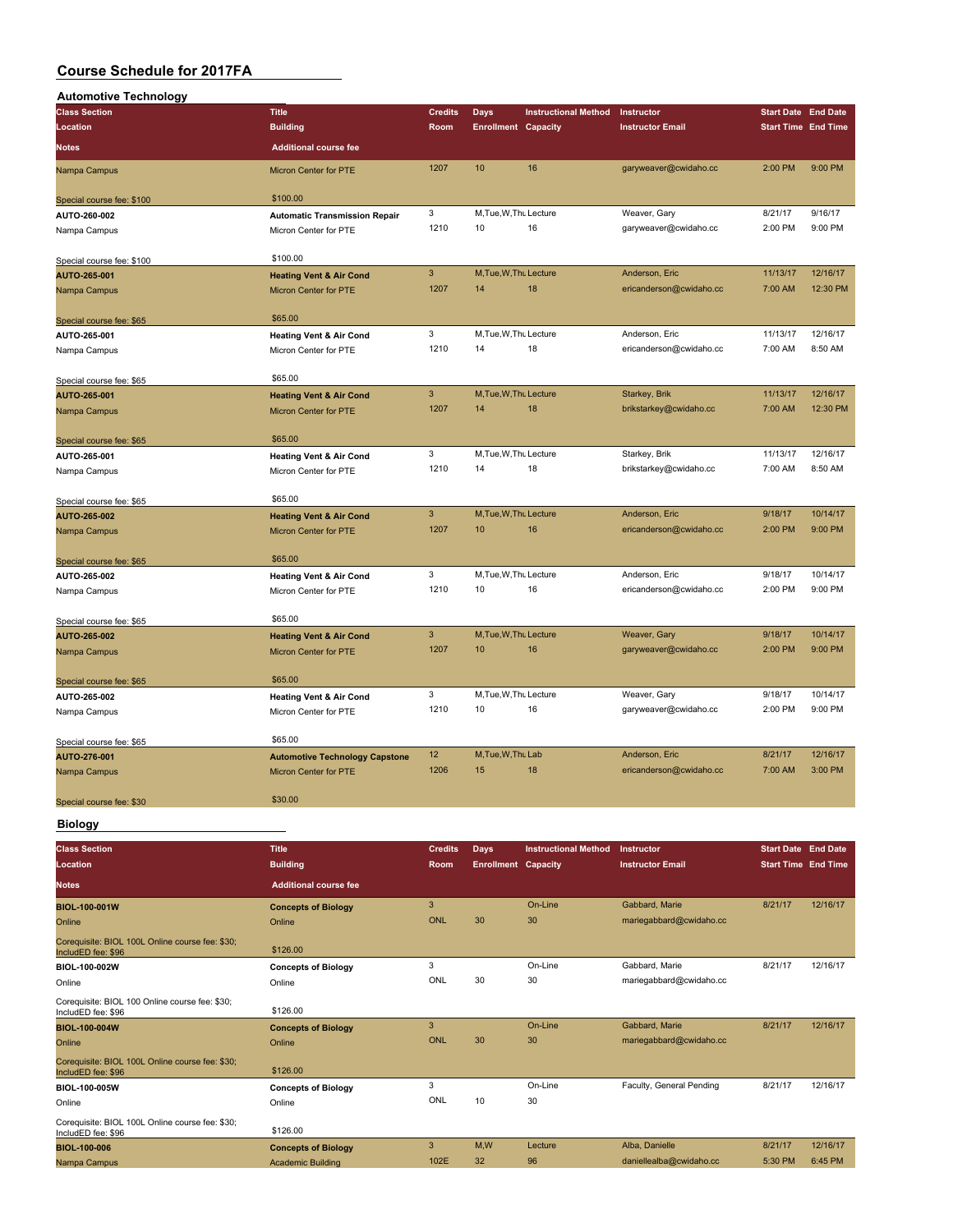| <b>Automotive Technology</b> |                                       |                |                            |                             |                         |                            |          |
|------------------------------|---------------------------------------|----------------|----------------------------|-----------------------------|-------------------------|----------------------------|----------|
| <b>Class Section</b>         | <b>Title</b>                          | <b>Credits</b> | <b>Days</b>                | <b>Instructional Method</b> | Instructor              | <b>Start Date</b> End Date |          |
| Location                     | <b>Building</b>                       | Room           | <b>Enrollment Capacity</b> |                             | <b>Instructor Email</b> | <b>Start Time End Time</b> |          |
| <b>Notes</b>                 | <b>Additional course fee</b>          |                |                            |                             |                         |                            |          |
| Nampa Campus                 | Micron Center for PTE                 | 1207           | 10                         | 16                          | garyweaver@cwidaho.cc   | 2:00 PM                    | 9:00 PM  |
| Special course fee: \$100    | \$100.00                              |                |                            |                             |                         |                            |          |
| AUTO-260-002                 | <b>Automatic Transmission Repair</b>  | 3              | M, Tue, W, Thu Lecture     |                             | Weaver, Gary            | 8/21/17                    | 9/16/17  |
| Nampa Campus                 | Micron Center for PTE                 | 1210           | 10                         | 16                          | garyweaver@cwidaho.cc   | 2:00 PM                    | 9:00 PM  |
| Special course fee: \$100    | \$100.00                              |                |                            |                             |                         |                            |          |
| AUTO-265-001                 | <b>Heating Vent &amp; Air Cond</b>    | $\mathbf{3}$   | M, Tue, W, Thu Lecture     |                             | Anderson, Eric          | 11/13/17                   | 12/16/17 |
| Nampa Campus                 | Micron Center for PTE                 | 1207           | 14                         | 18                          | ericanderson@cwidaho.cc | 7:00 AM                    | 12:30 PM |
| Special course fee: \$65     | \$65.00                               |                |                            |                             |                         |                            |          |
| AUTO-265-001                 | <b>Heating Vent &amp; Air Cond</b>    | 3              | M, Tue, W, Thu Lecture     |                             | Anderson, Eric          | 11/13/17                   | 12/16/17 |
| Nampa Campus                 | Micron Center for PTE                 | 1210           | 14                         | 18                          | ericanderson@cwidaho.cc | 7:00 AM                    | 8:50 AM  |
| Special course fee: \$65     | \$65.00                               |                |                            |                             |                         |                            |          |
| AUTO-265-001                 | <b>Heating Vent &amp; Air Cond</b>    | $\overline{3}$ | M, Tue, W, Thu Lecture     |                             | Starkey, Brik           | 11/13/17                   | 12/16/17 |
| Nampa Campus                 | Micron Center for PTE                 | 1207           | 14                         | 18                          | brikstarkey@cwidaho.cc  | 7:00 AM                    | 12:30 PM |
| Special course fee: \$65     | \$65.00                               |                |                            |                             |                         |                            |          |
| AUTO-265-001                 | <b>Heating Vent &amp; Air Cond</b>    | 3              | M, Tue, W, Thu Lecture     |                             | Starkey, Brik           | 11/13/17                   | 12/16/17 |
| Nampa Campus                 | Micron Center for PTE                 | 1210           | 14                         | 18                          | brikstarkey@cwidaho.cc  | 7:00 AM                    | 8:50 AM  |
| Special course fee: \$65     | \$65.00                               |                |                            |                             |                         |                            |          |
| AUTO-265-002                 | <b>Heating Vent &amp; Air Cond</b>    | $\overline{3}$ | M, Tue, W, Thu Lecture     |                             | Anderson, Eric          | 9/18/17                    | 10/14/17 |
| Nampa Campus                 | Micron Center for PTE                 | 1207           | 10                         | 16                          | ericanderson@cwidaho.cc | 2:00 PM                    | 9:00 PM  |
| Special course fee: \$65     | \$65.00                               |                |                            |                             |                         |                            |          |
| AUTO-265-002                 | <b>Heating Vent &amp; Air Cond</b>    | 3              | M, Tue, W, Thu Lecture     |                             | Anderson, Eric          | 9/18/17                    | 10/14/17 |
| Nampa Campus                 | Micron Center for PTE                 | 1210           | 10                         | 16                          | ericanderson@cwidaho.cc | 2:00 PM                    | 9:00 PM  |
| Special course fee: \$65     | \$65.00                               |                |                            |                             |                         |                            |          |
| AUTO-265-002                 | <b>Heating Vent &amp; Air Cond</b>    | $\mathbf{3}$   | M, Tue, W, Thu Lecture     |                             | Weaver, Gary            | 9/18/17                    | 10/14/17 |
| Nampa Campus                 | Micron Center for PTE                 | 1207           | 10                         | 16                          | garyweaver@cwidaho.cc   | 2:00 PM                    | 9:00 PM  |
| Special course fee: \$65     | \$65.00                               |                |                            |                             |                         |                            |          |
| AUTO-265-002                 | <b>Heating Vent &amp; Air Cond</b>    | 3              | M, Tue, W, Thu Lecture     |                             | Weaver, Gary            | 9/18/17                    | 10/14/17 |
| Nampa Campus                 | Micron Center for PTE                 | 1210           | 10                         | 16                          | garyweaver@cwidaho.cc   | 2:00 PM                    | 9:00 PM  |
| Special course fee: \$65     | \$65.00                               |                |                            |                             |                         |                            |          |
| AUTO-276-001                 | <b>Automotive Technology Capstone</b> | 12             | M.Tue.W.Thu Lab            |                             | Anderson, Eric          | 8/21/17                    | 12/16/17 |
| Nampa Campus                 | <b>Micron Center for PTE</b>          | 1206           | 15                         | 18                          | ericanderson@cwidaho.cc | 7:00 AM                    | 3:00 PM  |
| Special course fee: \$30     | \$30.00                               |                |                            |                             |                         |                            |          |
| <b>Biology</b>               |                                       |                |                            |                             |                         |                            |          |

**Class Section Title Credits Days Instructional Method Instructor Start Date End Date Location Building Room Enrollment Capacity Instructor Email Start Time End Time Notes Additional course fee BIOL-100-001W Concepts of Biology** 3 On-Line Gabbard, Marie 8/21/17 12/16/17<br>
20 Online Online ONL 30 30 mariegabbard@cwidaho.cc Online Online ONL 30 30 mariegabbard@cwidaho.cc Corequisite: BIOL 100L Online course fee: \$30; Coleguistie. BIOL TOOL Offinite course fee: \$50,<br>IncludED fee: \$96 \$126.00 **BIOL-100-002W Concepts of Biology** 3 On-Line Gabbard, Marie 8/21/17 12/16/17 Online Online ONL 30 30 mariegabbard@cwidaho.cc Corequisite: BIOL 100 Online course fee: \$30; IncludED fee: \$96 \$126.00 **BIOL-100-004W Concepts of Biology** 3 On-Line Gabbard, Marie 8/21/17 12/16/17 Online Changes on the Online Changes of Changes of Changes of Changes of Changes of Changes of Changes of Changes of Changes of Changes of Changes of Changes of Changes of Changes of Changes of Changes of Changes of Change Corequisite: BIOL 100L Online course fee: \$30; IncludED fee: \$96 \$126.00 **BIOL-100-005W Concepts of Biology** 3 On-Line Faculty, General Pending 8/21/17 12/16/17 Online Online ONL 10 30 Corequisite: BIOL 100L Online course fee: \$30; Collectuation BIOL TOOL Online Course fee: \$50,<br>IncludED fee: \$96 \$126.00 **BIOL-100-006 Concepts of Biology** 3 M,W Lecture Alba, Danielle 8/21/17 12/16/17 Nampa Campus **Academic Building** 102E 32 96 daniellealba@cwidaho.cc 5:30 PM 6:45 PM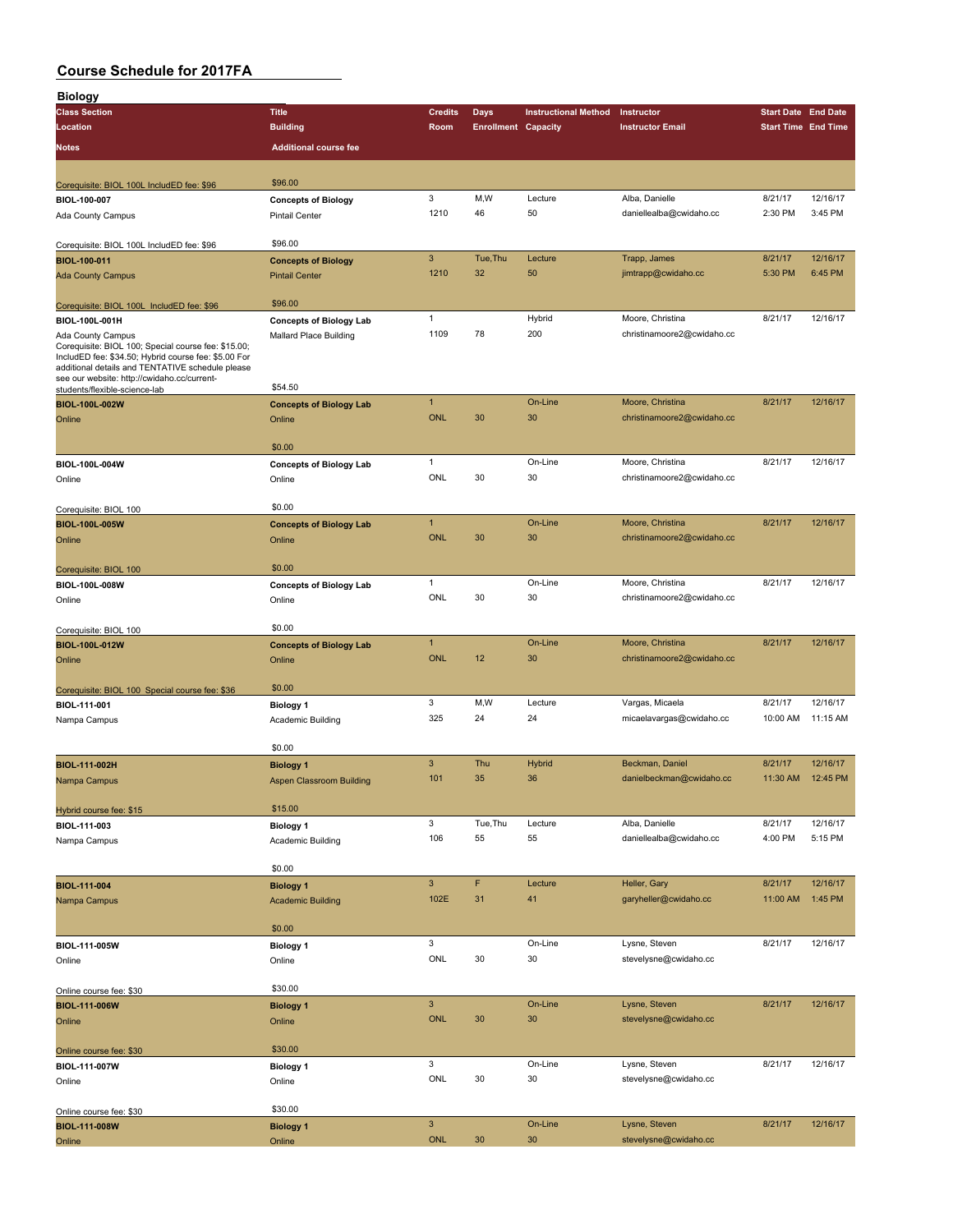| <b>Biology</b>                                                                                           |                                |                |                            |                             |                            |                            |          |
|----------------------------------------------------------------------------------------------------------|--------------------------------|----------------|----------------------------|-----------------------------|----------------------------|----------------------------|----------|
| <b>Class Section</b>                                                                                     | <b>Title</b>                   | <b>Credits</b> | <b>Days</b>                | <b>Instructional Method</b> | Instructor                 | <b>Start Date End Date</b> |          |
| Location                                                                                                 | <b>Building</b>                | Room           | <b>Enrollment Capacity</b> |                             | <b>Instructor Email</b>    | <b>Start Time End Time</b> |          |
| Notes                                                                                                    | <b>Additional course fee</b>   |                |                            |                             |                            |                            |          |
|                                                                                                          |                                |                |                            |                             |                            |                            |          |
|                                                                                                          | \$96.00                        |                |                            |                             |                            |                            |          |
| Corequisite: BIOL 100L IncludED fee: \$96<br>BIOL-100-007                                                | <b>Concepts of Biology</b>     | 3              | M,W                        | Lecture                     | Alba, Danielle             | 8/21/17                    | 12/16/17 |
| Ada County Campus                                                                                        | <b>Pintail Center</b>          | 1210           | 46                         | 50                          | daniellealba@cwidaho.cc    | 2:30 PM                    | 3:45 PM  |
|                                                                                                          |                                |                |                            |                             |                            |                            |          |
| Corequisite: BIOL 100L IncludED fee: \$96                                                                | \$96.00                        |                |                            |                             |                            |                            |          |
| <b>BIOL-100-011</b>                                                                                      | <b>Concepts of Biology</b>     | $\mathbf{3}$   | Tue, Thu                   | Lecture                     | Trapp, James               | 8/21/17                    | 12/16/17 |
| <b>Ada County Campus</b>                                                                                 | <b>Pintail Center</b>          | 1210           | 32                         | 50                          | jimtrapp@cwidaho.cc        | 5:30 PM                    | 6:45 PM  |
|                                                                                                          |                                |                |                            |                             |                            |                            |          |
| Corequisite: BIOL 100L IncludED fee: \$96                                                                | \$96.00                        |                |                            |                             |                            |                            |          |
| BIOL-100L-001H                                                                                           | <b>Concepts of Biology Lab</b> | $\mathbf{1}$   |                            | Hybrid                      | Moore, Christina           | 8/21/17                    | 12/16/17 |
| Ada County Campus                                                                                        | Mallard Place Building         | 1109           | 78                         | 200                         | christinamoore2@cwidaho.cc |                            |          |
| Corequisite: BIOL 100; Special course fee: \$15.00;                                                      |                                |                |                            |                             |                            |                            |          |
| IncludED fee: \$34.50; Hybrid course fee: \$5.00 For<br>additional details and TENTATIVE schedule please |                                |                |                            |                             |                            |                            |          |
| see our website: http://cwidaho.cc/current-                                                              | \$54.50                        |                |                            |                             |                            |                            |          |
| students/flexible-science-lab                                                                            |                                | $\mathbf{1}$   |                            | On-Line                     | Moore, Christina           | 8/21/17                    | 12/16/17 |
| BIOL-100L-002W                                                                                           | <b>Concepts of Biology Lab</b> | <b>ONL</b>     | 30                         | 30                          | christinamoore2@cwidaho.cc |                            |          |
| Online                                                                                                   | Online                         |                |                            |                             |                            |                            |          |
|                                                                                                          | \$0.00                         |                |                            |                             |                            |                            |          |
| BIOL-100L-004W                                                                                           | <b>Concepts of Biology Lab</b> | $\mathbf{1}$   |                            | On-Line                     | Moore, Christina           | 8/21/17                    | 12/16/17 |
| Online                                                                                                   | Online                         | ONL            | 30                         | 30                          | christinamoore2@cwidaho.cc |                            |          |
|                                                                                                          |                                |                |                            |                             |                            |                            |          |
| Corequisite: BIOL 100                                                                                    | \$0.00                         |                |                            |                             |                            |                            |          |
| <b>BIOL-100L-005W</b>                                                                                    | <b>Concepts of Biology Lab</b> | $\overline{1}$ |                            | On-Line                     | Moore, Christina           | 8/21/17                    | 12/16/17 |
| Online                                                                                                   | Online                         | <b>ONL</b>     | 30                         | 30                          | christinamoore2@cwidaho.cc |                            |          |
|                                                                                                          |                                |                |                            |                             |                            |                            |          |
| Corequisite: BIOL 100                                                                                    | \$0.00                         |                |                            |                             |                            |                            |          |
| BIOL-100L-008W                                                                                           | <b>Concepts of Biology Lab</b> | $\mathbf{1}$   |                            | On-Line                     | Moore, Christina           | 8/21/17                    | 12/16/17 |
| Online                                                                                                   | Online                         | ONL            | 30                         | 30                          | christinamoore2@cwidaho.cc |                            |          |
|                                                                                                          |                                |                |                            |                             |                            |                            |          |
| Corequisite: BIOL 100                                                                                    | \$0.00                         |                |                            |                             |                            |                            |          |
| BIOL-100L-012W                                                                                           | <b>Concepts of Biology Lab</b> | $\overline{1}$ |                            | On-Line                     | Moore, Christina           | 8/21/17                    | 12/16/17 |
| Online                                                                                                   | Online                         | <b>ONL</b>     | 12                         | 30                          | christinamoore2@cwidaho.cc |                            |          |
|                                                                                                          |                                |                |                            |                             |                            |                            |          |
| Corequisite: BIOL 100 Special course fee: \$36                                                           | \$0.00                         |                |                            |                             |                            |                            |          |
| BIOL-111-001                                                                                             | <b>Biology 1</b>               | 3              | M, W                       | Lecture                     | Vargas, Micaela            | 8/21/17                    | 12/16/17 |
| Nampa Campus                                                                                             | Academic Building              | 325            | 24                         | 24                          | micaelavargas@cwidaho.cc   | 10:00 AM                   | 11:15 AM |
|                                                                                                          |                                |                |                            |                             |                            |                            |          |
|                                                                                                          | \$0.00                         |                |                            |                             |                            |                            |          |
| BIOL-111-002H                                                                                            | <b>Biology 1</b>               | 3              | Thu                        | Hybrid                      | Beckman, Daniel            | 8/21/17                    | 12/16/17 |
| Nampa Campus                                                                                             | Aspen Classroom Building       | 101            | 35                         | 36                          | danielbeckman@cwidaho.cc   | 11:30 AM                   | 12:45 PM |
|                                                                                                          |                                |                |                            |                             |                            |                            |          |
| Hybrid course fee: \$15                                                                                  | \$15.00                        |                |                            |                             |                            |                            |          |
| BIOL-111-003                                                                                             | <b>Biology 1</b>               | 3              | Tue, Thu                   | Lecture                     | Alba, Danielle             | 8/21/17                    | 12/16/17 |
| Nampa Campus                                                                                             | Academic Building              | 106            | 55                         | 55                          | daniellealba@cwidaho.cc    | 4:00 PM                    | 5:15 PM  |
|                                                                                                          | \$0.00                         |                |                            |                             |                            |                            |          |
|                                                                                                          |                                | $\mathbf{3}$   | F                          | Lecture                     | Heller, Gary               | 8/21/17                    | 12/16/17 |
| <b>BIOL-111-004</b>                                                                                      | <b>Biology 1</b>               | 102E           | 31                         | 41                          | garyheller@cwidaho.cc      | 11:00 AM                   | 1:45 PM  |
| Nampa Campus                                                                                             | <b>Academic Building</b>       |                |                            |                             |                            |                            |          |
|                                                                                                          | \$0.00                         |                |                            |                             |                            |                            |          |
| BIOL-111-005W                                                                                            | <b>Biology 1</b>               | 3              |                            | On-Line                     | Lysne, Steven              | 8/21/17                    | 12/16/17 |
|                                                                                                          |                                | ONL            | 30                         | 30                          | stevelysne@cwidaho.cc      |                            |          |
| Online                                                                                                   | Online                         |                |                            |                             |                            |                            |          |
| Online course fee: \$30                                                                                  | \$30.00                        |                |                            |                             |                            |                            |          |
| BIOL-111-006W                                                                                            | <b>Biology 1</b>               | $\mathbf{3}$   |                            | On-Line                     | Lysne, Steven              | 8/21/17                    | 12/16/17 |
| Online                                                                                                   | Online                         | ONL            | 30                         | 30                          | stevelysne@cwidaho.cc      |                            |          |
|                                                                                                          |                                |                |                            |                             |                            |                            |          |
| Online course fee: \$30                                                                                  | \$30.00                        |                |                            |                             |                            |                            |          |
| BIOL-111-007W                                                                                            | <b>Biology 1</b>               | 3              |                            | On-Line                     | Lysne, Steven              | 8/21/17                    | 12/16/17 |
| Online                                                                                                   | Online                         | ONL            | 30                         | 30                          | stevelysne@cwidaho.cc      |                            |          |
|                                                                                                          |                                |                |                            |                             |                            |                            |          |
| Online course fee: \$30                                                                                  | \$30.00                        |                |                            |                             |                            |                            |          |
| <b>BIOL-111-008W</b>                                                                                     | <b>Biology 1</b>               | $\mathbf{3}$   |                            | On-Line                     | Lysne, Steven              | 8/21/17                    | 12/16/17 |
| Online                                                                                                   | Online                         | <b>ONL</b>     | 30                         | 30                          | stevelysne@cwidaho.cc      |                            |          |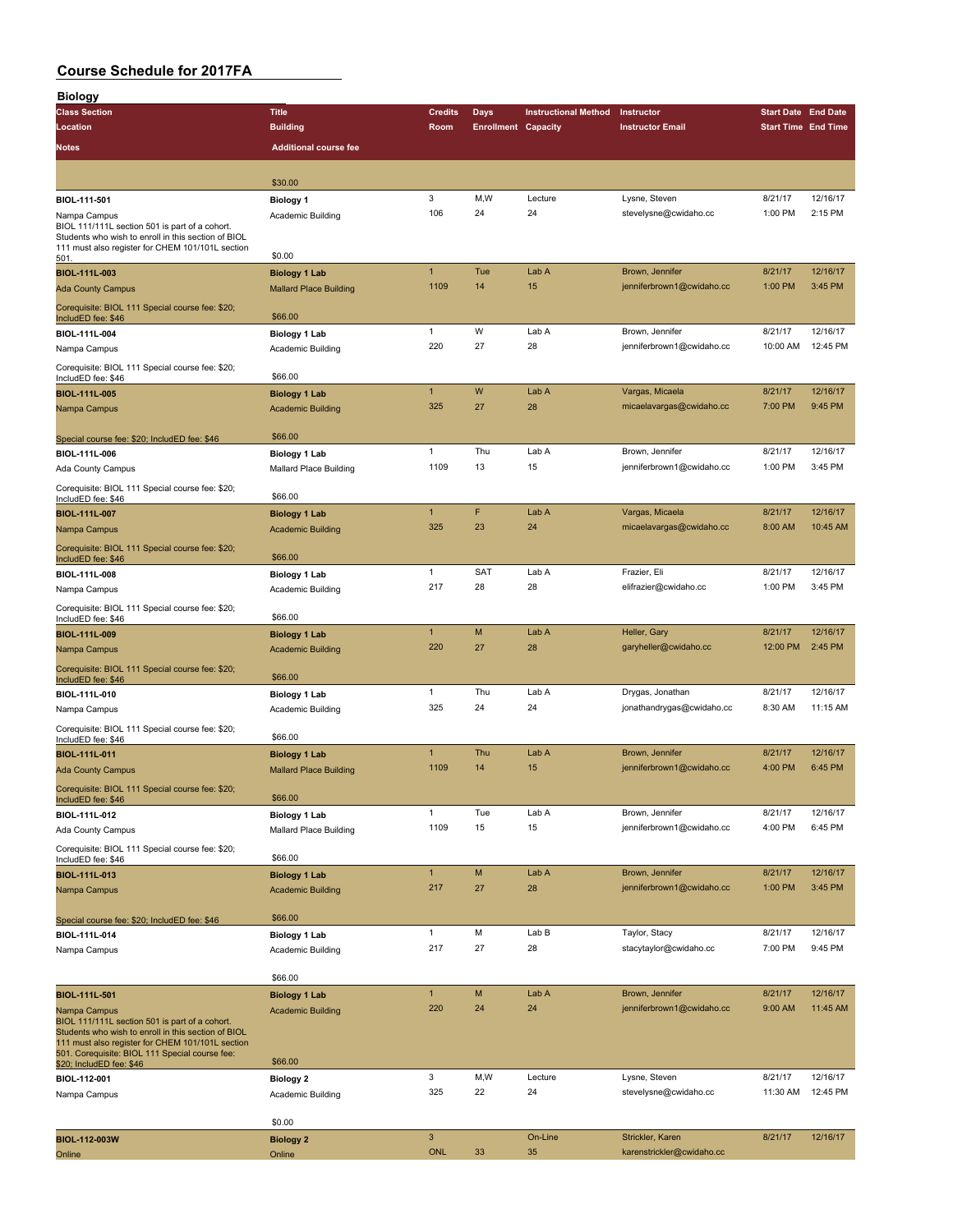| <b>Biology</b>                                                                                        |                               |                     |                            |                             |                                               |                            |                      |
|-------------------------------------------------------------------------------------------------------|-------------------------------|---------------------|----------------------------|-----------------------------|-----------------------------------------------|----------------------------|----------------------|
| <b>Class Section</b>                                                                                  | <b>Title</b>                  | <b>Credits</b>      | Days                       | <b>Instructional Method</b> | Instructor                                    | <b>Start Date End Date</b> |                      |
| Location                                                                                              | <b>Building</b>               | Room                | <b>Enrollment Capacity</b> |                             | <b>Instructor Email</b>                       | <b>Start Time End Time</b> |                      |
| <b>Notes</b>                                                                                          | <b>Additional course fee</b>  |                     |                            |                             |                                               |                            |                      |
|                                                                                                       |                               |                     |                            |                             |                                               |                            |                      |
|                                                                                                       | \$30.00                       |                     |                            |                             |                                               |                            |                      |
| BIOL-111-501                                                                                          | <b>Biology 1</b>              | 3                   | M,W                        | Lecture                     | Lysne, Steven                                 | 8/21/17                    | 12/16/17             |
| Nampa Campus                                                                                          | Academic Building             | 106                 | 24                         | 24                          | stevelysne@cwidaho.cc                         | 1:00 PM                    | 2:15 PM              |
| BIOL 111/111L section 501 is part of a cohort.<br>Students who wish to enroll in this section of BIOL |                               |                     |                            |                             |                                               |                            |                      |
| 111 must also register for CHEM 101/101L section                                                      |                               |                     |                            |                             |                                               |                            |                      |
| 501.                                                                                                  | \$0.00                        |                     |                            |                             |                                               |                            |                      |
| BIOL-111L-003                                                                                         | <b>Biology 1 Lab</b>          | $\mathbf{1}$        | Tue                        | Lab A                       | Brown, Jennifer                               | 8/21/17                    | 12/16/17<br>3:45 PM  |
| <b>Ada County Campus</b>                                                                              | <b>Mallard Place Building</b> | 1109                | 14                         | 15                          | jenniferbrown1@cwidaho.cc                     | 1:00 PM                    |                      |
| Corequisite: BIOL 111 Special course fee: \$20;                                                       | \$66.00                       |                     |                            |                             |                                               |                            |                      |
| IncludED fee: \$46                                                                                    |                               | $\mathbf{1}$        | W                          | Lab A                       | Brown, Jennifer                               | 8/21/17                    | 12/16/17             |
| BIOL-111L-004                                                                                         | <b>Biology 1 Lab</b>          | 220                 | 27                         | 28                          | jenniferbrown1@cwidaho.cc                     | 10:00 AM                   | 12:45 PM             |
| Nampa Campus                                                                                          | Academic Building             |                     |                            |                             |                                               |                            |                      |
| Corequisite: BIOL 111 Special course fee: \$20;<br>IncludED fee: \$46                                 | \$66.00                       |                     |                            |                             |                                               |                            |                      |
| BIOL-111L-005                                                                                         | <b>Biology 1 Lab</b>          | $\mathbf{1}$        | W                          | Lab A                       | Vargas, Micaela                               | 8/21/17                    | 12/16/17             |
| Nampa Campus                                                                                          | <b>Academic Building</b>      | 325                 | 27                         | 28                          | micaelavargas@cwidaho.cc                      | 7:00 PM                    | 9:45 PM              |
|                                                                                                       |                               |                     |                            |                             |                                               |                            |                      |
| Special course fee: \$20; IncludED fee: \$46                                                          | \$66.00                       |                     |                            |                             |                                               |                            |                      |
| BIOL-111L-006                                                                                         | Biology 1 Lab                 | $\mathbf{1}$        | Thu                        | Lab A                       | Brown, Jennifer                               | 8/21/17                    | 12/16/17             |
| Ada County Campus                                                                                     | Mallard Place Building        | 1109                | 13                         | 15                          | jenniferbrown1@cwidaho.cc                     | 1:00 PM                    | 3:45 PM              |
|                                                                                                       |                               |                     |                            |                             |                                               |                            |                      |
| Corequisite: BIOL 111 Special course fee: \$20;<br>IncludED fee: \$46                                 | \$66.00                       |                     |                            |                             |                                               |                            |                      |
| BIOL-111L-007                                                                                         | <b>Biology 1 Lab</b>          | $\mathbf{1}$        | F                          | Lab A                       | Vargas, Micaela                               | 8/21/17                    | 12/16/17             |
| Nampa Campus                                                                                          | <b>Academic Building</b>      | 325                 | 23                         | 24                          | micaelavargas@cwidaho.cc                      | 8:00 AM                    | 10:45 AM             |
| Corequisite: BIOL 111 Special course fee: \$20;                                                       |                               |                     |                            |                             |                                               |                            |                      |
| IncludED fee: \$46                                                                                    | \$66.00                       |                     |                            |                             |                                               |                            |                      |
| BIOL-111L-008                                                                                         | <b>Biology 1 Lab</b>          | $\mathbf{1}$        | SAT                        | Lab A                       | Frazier, Eli                                  | 8/21/17                    | 12/16/17             |
| Nampa Campus                                                                                          | Academic Building             | 217                 | 28                         | 28                          | elifrazier@cwidaho.cc                         | 1:00 PM                    | 3:45 PM              |
| Corequisite: BIOL 111 Special course fee: \$20;                                                       |                               |                     |                            |                             |                                               |                            |                      |
| IncludED fee: \$46                                                                                    | \$66.00                       |                     |                            |                             |                                               |                            |                      |
| BIOL-111L-009                                                                                         | <b>Biology 1 Lab</b>          | $\mathbf{1}$        | M                          | Lab A                       | Heller, Gary                                  | 8/21/17                    | 12/16/17             |
| Nampa Campus                                                                                          | <b>Academic Building</b>      | 220                 | 27                         | 28                          | garyheller@cwidaho.cc                         | 12:00 PM                   | 2:45 PM              |
| Corequisite: BIOL 111 Special course fee: \$20;                                                       |                               |                     |                            |                             |                                               |                            |                      |
| IncludED fee: \$46                                                                                    | \$66.00                       |                     |                            |                             |                                               |                            |                      |
| BIOL-111L-010                                                                                         | Biology 1 Lab                 | $\mathbf{1}$<br>325 | Thu<br>24                  | Lab A<br>24                 | Drygas, Jonathan<br>jonathandrygas@cwidaho.cc | 8/21/17                    | 12/16/17<br>11:15 AM |
| Nampa Campus                                                                                          | Academic Building             |                     |                            |                             |                                               | 8:30 AM                    |                      |
| Corequisite: BIOL 111 Special course fee: \$20;                                                       | \$66.00                       |                     |                            |                             |                                               |                            |                      |
| IncludED fee: \$46                                                                                    | <b>Biology 1 Lab</b>          | $\mathbf{1}$        | Thu                        | Lab A                       | Brown, Jennifer                               | 8/21/17                    | 12/16/17             |
| BIOL-111L-011<br><b>Ada County Campus</b>                                                             | <b>Mallard Place Building</b> | 1109                | 14                         | 15                          | jenniferbrown1@cwidaho.cc                     | 4:00 PM                    | 6:45 PM              |
|                                                                                                       |                               |                     |                            |                             |                                               |                            |                      |
| Corequisite: BIOL 111 Special course fee: \$20;<br>IncludED fee: \$46                                 | \$66.00                       |                     |                            |                             |                                               |                            |                      |
| BIOL-111L-012                                                                                         | Biology 1 Lab                 | $\mathbf{1}$        | Tue                        | Lab A                       | Brown, Jennifer                               | 8/21/17                    | 12/16/17             |
| Ada County Campus                                                                                     | Mallard Place Building        | 1109                | 15                         | 15                          | jenniferbrown1@cwidaho.cc                     | 4:00 PM                    | 6:45 PM              |
|                                                                                                       |                               |                     |                            |                             |                                               |                            |                      |
| Corequisite: BIOL 111 Special course fee: \$20;<br>IncludED fee: \$46                                 | \$66.00                       |                     |                            |                             |                                               |                            |                      |
| BIOL-111L-013                                                                                         | <b>Biology 1 Lab</b>          | $\mathbf{1}$        | M                          | Lab A                       | Brown, Jennifer                               | 8/21/17                    | 12/16/17             |
| Nampa Campus                                                                                          | <b>Academic Building</b>      | 217                 | 27                         | 28                          | jenniferbrown1@cwidaho.cc                     | 1:00 PM                    | 3:45 PM              |
|                                                                                                       |                               |                     |                            |                             |                                               |                            |                      |
| Special course fee: \$20; IncludED fee: \$46                                                          | \$66.00                       |                     |                            |                             |                                               |                            |                      |
| BIOL-111L-014                                                                                         | <b>Biology 1 Lab</b>          | $\mathbf{1}$        | M                          | Lab B                       | Taylor, Stacy                                 | 8/21/17                    | 12/16/17             |
| Nampa Campus                                                                                          | Academic Building             | 217                 | 27                         | 28                          | stacytaylor@cwidaho.cc                        | 7:00 PM                    | 9:45 PM              |
|                                                                                                       |                               |                     |                            |                             |                                               |                            |                      |
|                                                                                                       | \$66.00                       |                     |                            |                             |                                               |                            |                      |
| BIOL-111L-501                                                                                         | <b>Biology 1 Lab</b>          | $\mathbf{1}$        | M                          | Lab A                       | Brown, Jennifer                               | 8/21/17                    | 12/16/17             |
| Nampa Campus                                                                                          | <b>Academic Building</b>      | 220                 | 24                         | 24                          | jenniferbrown1@cwidaho.cc                     | 9:00 AM                    | 11:45 AM             |
| BIOL 111/111L section 501 is part of a cohort.<br>Students who wish to enroll in this section of BIOL |                               |                     |                            |                             |                                               |                            |                      |
| 111 must also register for CHEM 101/101L section                                                      |                               |                     |                            |                             |                                               |                            |                      |
| 501. Corequisite: BIOL 111 Special course fee:<br>\$20; IncludED fee: \$46                            | \$66.00                       |                     |                            |                             |                                               |                            |                      |
| BIOL-112-001                                                                                          | Biology 2                     | 3                   | M,W                        | Lecture                     | Lysne, Steven                                 | 8/21/17                    | 12/16/17             |
| Nampa Campus                                                                                          | Academic Building             | 325                 | 22                         | 24                          | stevelysne@cwidaho.cc                         | 11:30 AM                   | 12:45 PM             |
|                                                                                                       |                               |                     |                            |                             |                                               |                            |                      |
|                                                                                                       | \$0.00                        |                     |                            |                             |                                               |                            |                      |
| BIOL-112-003W                                                                                         | <b>Biology 2</b>              | 3                   |                            | On-Line                     | Strickler, Karen                              | 8/21/17                    | 12/16/17             |
| Online                                                                                                | Online                        | <b>ONL</b>          | 33                         | 35                          | karenstrickler@cwidaho.cc                     |                            |                      |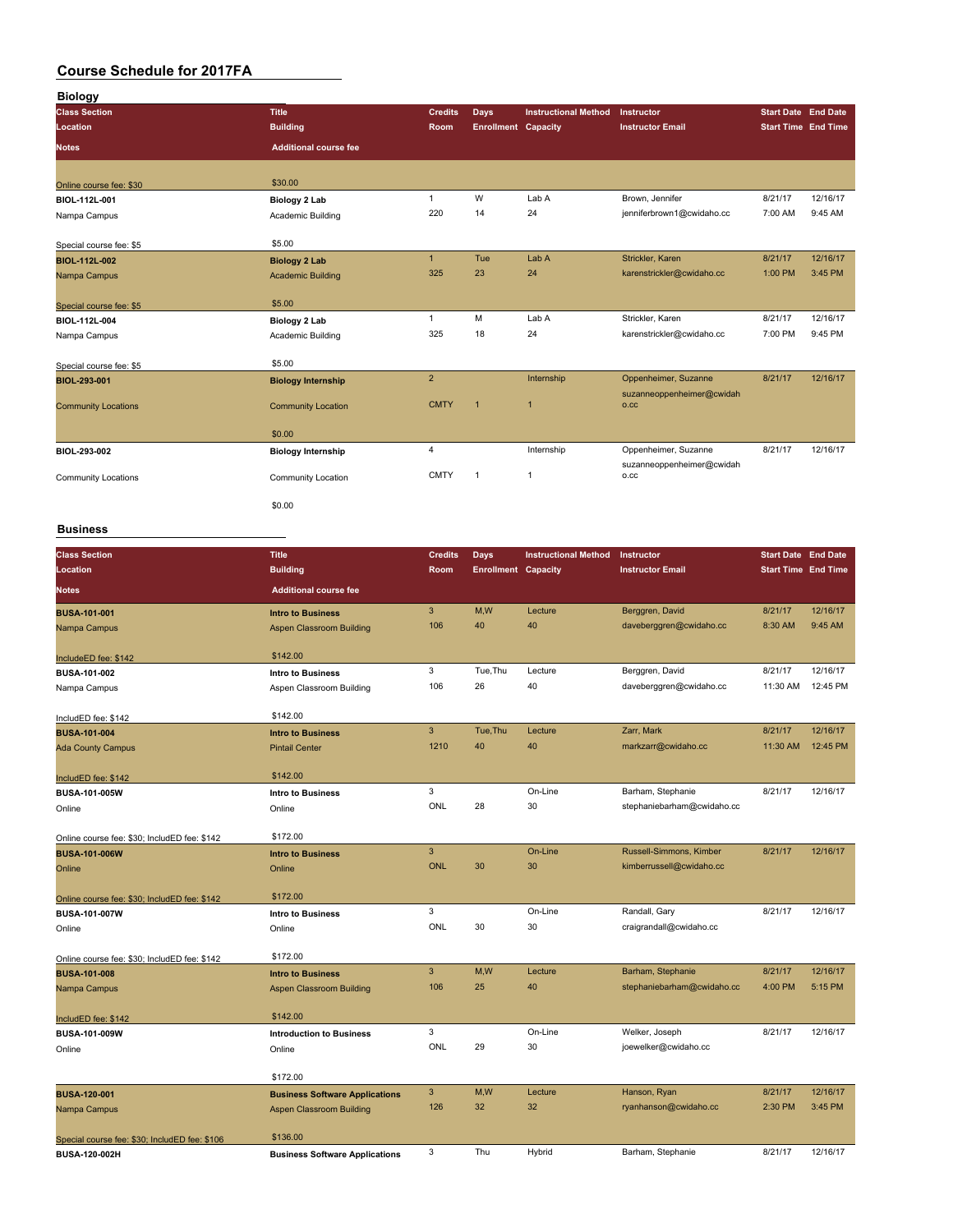| <b>Biology</b>             |                              |                |                            |                             |                                   |                            |          |
|----------------------------|------------------------------|----------------|----------------------------|-----------------------------|-----------------------------------|----------------------------|----------|
| <b>Class Section</b>       | <b>Title</b>                 | <b>Credits</b> | Days                       | <b>Instructional Method</b> | Instructor                        | <b>Start Date</b> End Date |          |
| Location                   | <b>Building</b>              | <b>Room</b>    | <b>Enrollment Capacity</b> |                             | <b>Instructor Email</b>           | <b>Start Time End Time</b> |          |
| <b>Notes</b>               | <b>Additional course fee</b> |                |                            |                             |                                   |                            |          |
| Online course fee: \$30    | \$30.00                      |                |                            |                             |                                   |                            |          |
| BIOL-112L-001              | Biology 2 Lab                | $\mathbf{1}$   | W                          | Lab A                       | Brown, Jennifer                   | 8/21/17                    | 12/16/17 |
| Nampa Campus               | Academic Building            | 220            | 14                         | 24                          | jenniferbrown1@cwidaho.cc         | 7:00 AM                    | 9:45 AM  |
| Special course fee: \$5    | \$5.00                       |                |                            |                             |                                   |                            |          |
| <b>BIOL-112L-002</b>       | <b>Biology 2 Lab</b>         | $\overline{1}$ | Tue                        | Lab A                       | Strickler, Karen                  | 8/21/17                    | 12/16/17 |
| Nampa Campus               | <b>Academic Building</b>     | 325            | 23                         | 24                          | karenstrickler@cwidaho.cc         | 1:00 PM                    | 3:45 PM  |
| Special course fee: \$5    | \$5.00                       |                |                            |                             |                                   |                            |          |
| BIOL-112L-004              | Biology 2 Lab                | $\mathbf{1}$   | M                          | Lab A                       | Strickler, Karen                  | 8/21/17                    | 12/16/17 |
| Nampa Campus               | Academic Building            | 325            | 18                         | 24                          | karenstrickler@cwidaho.cc         | 7:00 PM                    | 9:45 PM  |
| Special course fee: \$5    | \$5.00                       |                |                            |                             |                                   |                            |          |
| BIOL-293-001               | <b>Biology Internship</b>    | $\overline{2}$ |                            | Internship                  | Oppenheimer, Suzanne              | 8/21/17                    | 12/16/17 |
| <b>Community Locations</b> | <b>Community Location</b>    | <b>CMTY</b>    | $\overline{1}$             | $\overline{1}$              | suzanneoppenheimer@cwidah<br>O.CC |                            |          |
|                            | \$0.00                       |                |                            |                             |                                   |                            |          |
| BIOL-293-002               | <b>Biology Internship</b>    | $\overline{4}$ |                            | Internship                  | Oppenheimer, Suzanne              | 8/21/17                    | 12/16/17 |
| <b>Community Locations</b> | Community Location           | <b>CMTY</b>    | $\overline{1}$             | $\mathbf{1}$                | suzanneoppenheimer@cwidah<br>0.CC |                            |          |
|                            | \$0.00                       |                |                            |                             |                                   |                            |          |

#### **Business**

| <b>Class Section</b>                          | <b>Title</b>                          | <b>Credits</b> | <b>Days</b>                | <b>Instructional Method</b> | Instructor                 | <b>Start Date End Date</b> |          |
|-----------------------------------------------|---------------------------------------|----------------|----------------------------|-----------------------------|----------------------------|----------------------------|----------|
| Location                                      | <b>Building</b>                       | Room           | <b>Enrollment Capacity</b> |                             | <b>Instructor Email</b>    | <b>Start Time End Time</b> |          |
| <b>Notes</b>                                  | <b>Additional course fee</b>          |                |                            |                             |                            |                            |          |
| <b>BUSA-101-001</b>                           | <b>Intro to Business</b>              | $\mathbf{3}$   | M,W                        | Lecture                     | Berggren, David            | 8/21/17                    | 12/16/17 |
| Nampa Campus                                  | Aspen Classroom Building              | 106            | 40                         | 40                          | daveberggren@cwidaho.cc    | 8:30 AM                    | 9:45 AM  |
| IncludeED fee: \$142                          | \$142.00                              |                |                            |                             |                            |                            |          |
| BUSA-101-002                                  | <b>Intro to Business</b>              | 3              | Tue, Thu                   | Lecture                     | Berggren, David            | 8/21/17                    | 12/16/17 |
| Nampa Campus                                  | Aspen Classroom Building              | 106            | 26                         | 40                          | daveberggren@cwidaho.cc    | 11:30 AM                   | 12:45 PM |
| IncludED fee: \$142                           | \$142.00                              |                |                            |                             |                            |                            |          |
| <b>BUSA-101-004</b>                           | <b>Intro to Business</b>              | $\overline{3}$ | Tue, Thu                   | Lecture                     | Zarr, Mark                 | 8/21/17                    | 12/16/17 |
| <b>Ada County Campus</b>                      | <b>Pintail Center</b>                 | 1210           | 40                         | 40                          | markzarr@cwidaho.cc        | 11:30 AM                   | 12:45 PM |
| IncludED fee: \$142                           | \$142.00                              |                |                            |                             |                            |                            |          |
| BUSA-101-005W                                 | <b>Intro to Business</b>              | 3              |                            | On-Line                     | Barham, Stephanie          | 8/21/17                    | 12/16/17 |
| Online                                        | Online                                | ONL            | 28                         | 30                          | stephaniebarham@cwidaho.cc |                            |          |
| Online course fee: \$30; IncludED fee: \$142  | \$172.00                              |                |                            |                             |                            |                            |          |
| <b>BUSA-101-006W</b>                          | <b>Intro to Business</b>              | $\mathbf{3}$   |                            | On-Line                     | Russell-Simmons, Kimber    | 8/21/17                    | 12/16/17 |
| Online                                        | Online                                | <b>ONL</b>     | 30                         | 30                          | kimberrussell@cwidaho.cc   |                            |          |
| Online course fee: \$30; IncludED fee: \$142  | \$172.00                              |                |                            |                             |                            |                            |          |
| BUSA-101-007W                                 | <b>Intro to Business</b>              | 3              |                            | On-Line                     | Randall, Gary              | 8/21/17                    | 12/16/17 |
| Online                                        | Online                                | ONL            | 30                         | 30                          | craigrandall@cwidaho.cc    |                            |          |
| Online course fee: \$30; IncludED fee: \$142  | \$172.00                              |                |                            |                             |                            |                            |          |
| <b>BUSA-101-008</b>                           | <b>Intro to Business</b>              | 3              | M,W                        | Lecture                     | Barham, Stephanie          | 8/21/17                    | 12/16/17 |
| Nampa Campus                                  | <b>Aspen Classroom Building</b>       | 106            | 25                         | 40                          | stephaniebarham@cwidaho.cc | 4:00 PM                    | 5:15 PM  |
| IncludED fee: \$142                           | \$142.00                              |                |                            |                             |                            |                            |          |
| BUSA-101-009W                                 | <b>Introduction to Business</b>       | 3              |                            | On-Line                     | Welker, Joseph             | 8/21/17                    | 12/16/17 |
| Online                                        | Online                                | ONL            | 29                         | 30                          | joewelker@cwidaho.cc       |                            |          |
|                                               | \$172.00                              |                |                            |                             |                            |                            |          |
| <b>BUSA-120-001</b>                           | <b>Business Software Applications</b> | 3              | M,W                        | Lecture                     | Hanson, Ryan               | 8/21/17                    | 12/16/17 |
| Nampa Campus                                  | <b>Aspen Classroom Building</b>       | 126            | 32                         | 32                          | ryanhanson@cwidaho.cc      | 2:30 PM                    | 3:45 PM  |
| Special course fee: \$30; IncludED fee: \$106 | \$136.00                              |                |                            |                             |                            |                            |          |
| BUSA-120-002H                                 | <b>Business Software Applications</b> | 3              | Thu                        | Hybrid                      | Barham, Stephanie          | 8/21/17                    | 12/16/17 |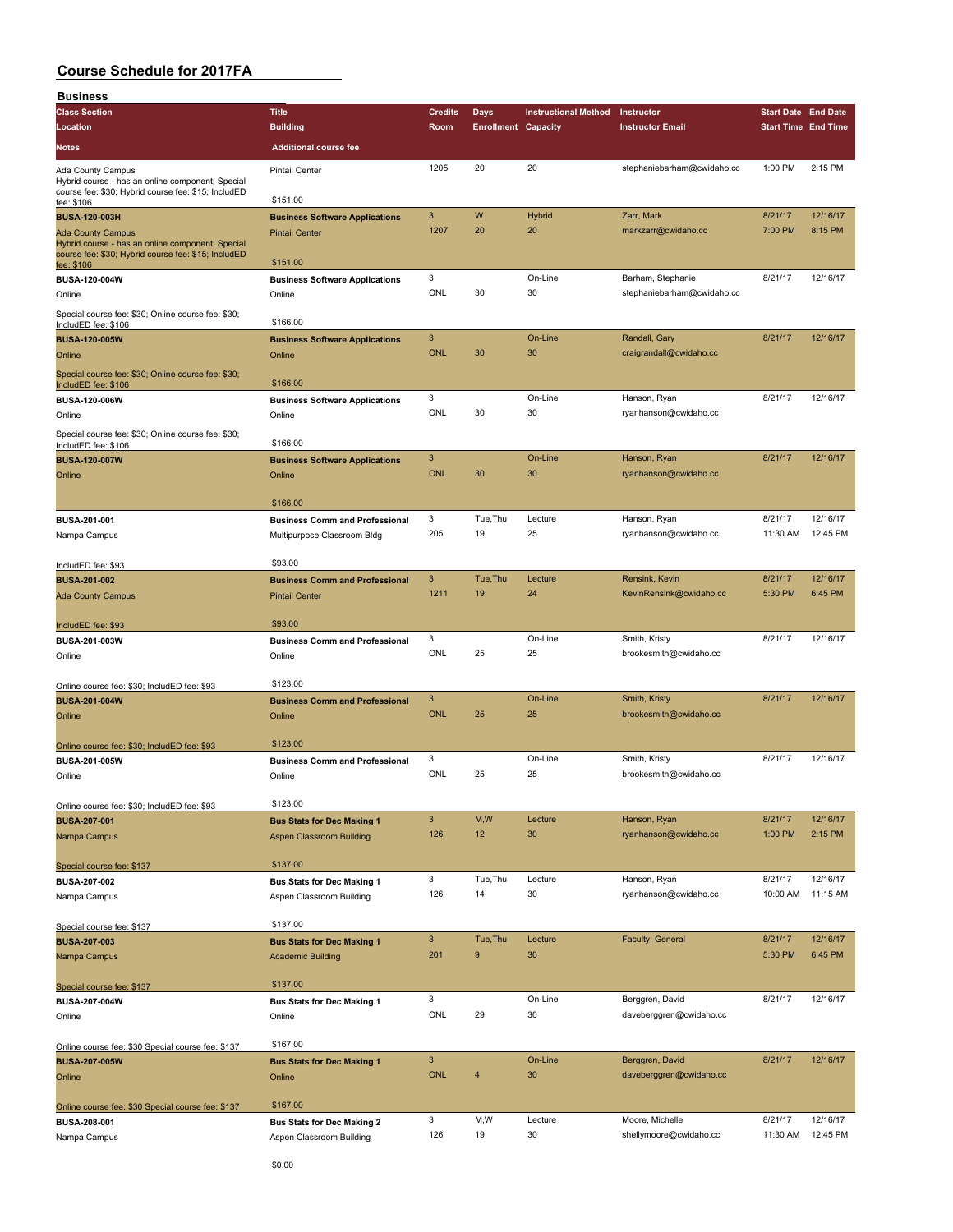| <b>Business</b>                                                   |                                                 |                           |                            |                             |                            |                            |          |
|-------------------------------------------------------------------|-------------------------------------------------|---------------------------|----------------------------|-----------------------------|----------------------------|----------------------------|----------|
| <b>Class Section</b>                                              | <b>Title</b>                                    | <b>Credits</b>            | <b>Days</b>                | <b>Instructional Method</b> | Instructor                 | <b>Start Date End Date</b> |          |
| Location                                                          | <b>Building</b>                                 | Room                      | <b>Enrollment Capacity</b> |                             | <b>Instructor Email</b>    | <b>Start Time End Time</b> |          |
| Notes                                                             | <b>Additional course fee</b>                    |                           |                            |                             |                            |                            |          |
| Ada County Campus                                                 | <b>Pintail Center</b>                           | 1205                      | 20                         | 20                          | stephaniebarham@cwidaho.cc | 1:00 PM                    | 2:15 PM  |
| Hybrid course - has an online component; Special                  |                                                 |                           |                            |                             |                            |                            |          |
| course fee: \$30; Hybrid course fee: \$15; IncludED<br>fee: \$106 | \$151.00                                        |                           |                            |                             |                            |                            |          |
| <b>BUSA-120-003H</b>                                              | <b>Business Software Applications</b>           | $\mathbf{3}$              | W                          | Hybrid                      | Zarr, Mark                 | 8/21/17                    | 12/16/17 |
| <b>Ada County Campus</b>                                          | <b>Pintail Center</b>                           | 1207                      | 20                         | 20                          | markzarr@cwidaho.cc        | 7:00 PM                    | 8:15 PM  |
| Hybrid course - has an online component; Special                  |                                                 |                           |                            |                             |                            |                            |          |
| course fee: \$30; Hybrid course fee: \$15; IncludED<br>fee: \$106 | \$151.00                                        |                           |                            |                             |                            |                            |          |
| BUSA-120-004W                                                     | <b>Business Software Applications</b>           | 3                         |                            | On-Line                     | Barham, Stephanie          | 8/21/17                    | 12/16/17 |
| Online                                                            | Online                                          | <b>ONL</b>                | 30                         | 30                          | stephaniebarham@cwidaho.cc |                            |          |
| Special course fee: \$30; Online course fee: \$30;                |                                                 |                           |                            |                             |                            |                            |          |
| IncludED fee: \$106                                               | \$166.00                                        |                           |                            |                             |                            |                            |          |
| <b>BUSA-120-005W</b>                                              | <b>Business Software Applications</b>           | 3                         |                            | On-Line                     | Randall, Gary              | 8/21/17                    | 12/16/17 |
| Online                                                            | Online                                          | <b>ONL</b>                | 30                         | 30                          | craigrandall@cwidaho.cc    |                            |          |
| Special course fee: \$30; Online course fee: \$30;                |                                                 |                           |                            |                             |                            |                            |          |
| IncludED fee: \$106                                               | \$166.00                                        |                           |                            |                             |                            |                            |          |
| BUSA-120-006W                                                     | <b>Business Software Applications</b>           | 3                         |                            | On-Line                     | Hanson, Ryan               | 8/21/17                    | 12/16/17 |
| Online                                                            | Online                                          | ONL                       | 30                         | 30                          | ryanhanson@cwidaho.cc      |                            |          |
| Special course fee: \$30; Online course fee: \$30;                | \$166.00                                        |                           |                            |                             |                            |                            |          |
| IncludED fee: \$106                                               |                                                 | $\mathbf{3}$              |                            | On-Line                     | Hanson, Ryan               | 8/21/17                    | 12/16/17 |
| <b>BUSA-120-007W</b><br>Online                                    | <b>Business Software Applications</b><br>Online | <b>ONL</b>                | 30                         | 30                          | ryanhanson@cwidaho.cc      |                            |          |
|                                                                   |                                                 |                           |                            |                             |                            |                            |          |
|                                                                   | \$166.00                                        |                           |                            |                             |                            |                            |          |
| BUSA-201-001                                                      | <b>Business Comm and Professional</b>           | 3                         | Tue, Thu                   | Lecture                     | Hanson, Ryan               | 8/21/17                    | 12/16/17 |
| Nampa Campus                                                      | Multipurpose Classroom Bldg                     | 205                       | 19                         | 25                          | ryanhanson@cwidaho.cc      | 11:30 AM                   | 12:45 PM |
|                                                                   |                                                 |                           |                            |                             |                            |                            |          |
| IncludED fee: \$93                                                | \$93.00                                         |                           |                            |                             |                            |                            |          |
| <b>BUSA-201-002</b>                                               | <b>Business Comm and Professional</b>           | 3                         | Tue, Thu                   | Lecture                     | Rensink, Kevin             | 8/21/17                    | 12/16/17 |
| <b>Ada County Campus</b>                                          | <b>Pintail Center</b>                           | 1211                      | 19                         | 24                          | KevinRensink@cwidaho.cc    | 5:30 PM                    | 6:45 PM  |
|                                                                   |                                                 |                           |                            |                             |                            |                            |          |
| IncludED fee: \$93                                                | \$93.00                                         |                           |                            |                             |                            |                            |          |
| BUSA-201-003W                                                     | <b>Business Comm and Professional</b>           | 3                         |                            | On-Line                     | Smith, Kristy              | 8/21/17                    | 12/16/17 |
| Online                                                            | Online                                          | ONL                       | 25                         | 25                          | brookesmith@cwidaho.cc     |                            |          |
|                                                                   | \$123.00                                        |                           |                            |                             |                            |                            |          |
| Online course fee: \$30; IncludED fee: \$93                       |                                                 | 3                         |                            | On-Line                     | Smith, Kristy              | 8/21/17                    | 12/16/17 |
| <b>BUSA-201-004W</b><br>Online                                    | <b>Business Comm and Professional</b><br>Online | <b>ONL</b>                | 25                         | 25                          | brookesmith@cwidaho.cc     |                            |          |
|                                                                   |                                                 |                           |                            |                             |                            |                            |          |
| Online course fee: \$30; IncludED fee: \$93                       | \$123.00                                        |                           |                            |                             |                            |                            |          |
| <b>BUSA-201-005W</b>                                              | <b>Business Comm and Professional</b>           | 3                         |                            | On-Line                     | Smith, Kristy              | 8/21/17                    | 12/16/17 |
| Online                                                            | Online                                          | ONL                       | 25                         | 25                          | brookesmith@cwidaho.cc     |                            |          |
|                                                                   |                                                 |                           |                            |                             |                            |                            |          |
| Online course fee: \$30; IncludED fee: \$93                       | \$123.00                                        |                           |                            |                             |                            |                            |          |
| <b>BUSA-207-001</b>                                               | <b>Bus Stats for Dec Making 1</b>               | $\mathbf{3}$              | M,W                        | Lecture                     | Hanson, Ryan               | 8/21/17                    | 12/16/17 |
| Nampa Campus                                                      | <b>Aspen Classroom Building</b>                 | 126                       | 12                         | 30                          | ryanhanson@cwidaho.cc      | 1:00 PM                    | 2:15 PM  |
|                                                                   |                                                 |                           |                            |                             |                            |                            |          |
| Special course fee: \$137                                         | \$137.00                                        |                           |                            |                             |                            |                            |          |
| <b>BUSA-207-002</b>                                               | <b>Bus Stats for Dec Making 1</b>               | 3                         | Tue, Thu                   | Lecture                     | Hanson, Ryan               | 8/21/17                    | 12/16/17 |
| Nampa Campus                                                      | Aspen Classroom Building                        | 126                       | 14                         | 30                          | ryanhanson@cwidaho.cc      | 10:00 AM                   | 11:15 AM |
|                                                                   |                                                 |                           |                            |                             |                            |                            |          |
| Special course fee: \$137                                         | \$137.00                                        | $\ensuremath{\mathsf{3}}$ | Tue, Thu                   |                             |                            | 8/21/17                    | 12/16/17 |
| <b>BUSA-207-003</b>                                               | <b>Bus Stats for Dec Making 1</b>               | 201                       | 9                          | Lecture<br>30               | Faculty, General           | 5:30 PM                    | 6:45 PM  |
| Nampa Campus                                                      | <b>Academic Building</b>                        |                           |                            |                             |                            |                            |          |
| Special course fee: \$137                                         | \$137.00                                        |                           |                            |                             |                            |                            |          |
| BUSA-207-004W                                                     | <b>Bus Stats for Dec Making 1</b>               | 3                         |                            | On-Line                     | Berggren, David            | 8/21/17                    | 12/16/17 |
| Online                                                            | Online                                          | ONL                       | 29                         | 30                          | daveberggren@cwidaho.cc    |                            |          |
|                                                                   |                                                 |                           |                            |                             |                            |                            |          |
| Online course fee: \$30 Special course fee: \$137                 | \$167.00                                        |                           |                            |                             |                            |                            |          |
| <b>BUSA-207-005W</b>                                              | <b>Bus Stats for Dec Making 1</b>               | $\ensuremath{\mathsf{3}}$ |                            | On-Line                     | Berggren, David            | 8/21/17                    | 12/16/17 |
| Online                                                            | Online                                          | <b>ONL</b>                | 4                          | 30                          | daveberggren@cwidaho.cc    |                            |          |
|                                                                   |                                                 |                           |                            |                             |                            |                            |          |
| Online course fee: \$30 Special course fee: \$137                 | \$167.00                                        |                           |                            |                             |                            |                            |          |
| BUSA-208-001                                                      | <b>Bus Stats for Dec Making 2</b>               | 3                         | M, W                       | Lecture                     | Moore, Michelle            | 8/21/17                    | 12/16/17 |
| Nampa Campus                                                      | Aspen Classroom Building                        | 126                       | 19                         | 30                          | shellymoore@cwidaho.cc     | 11:30 AM                   | 12:45 PM |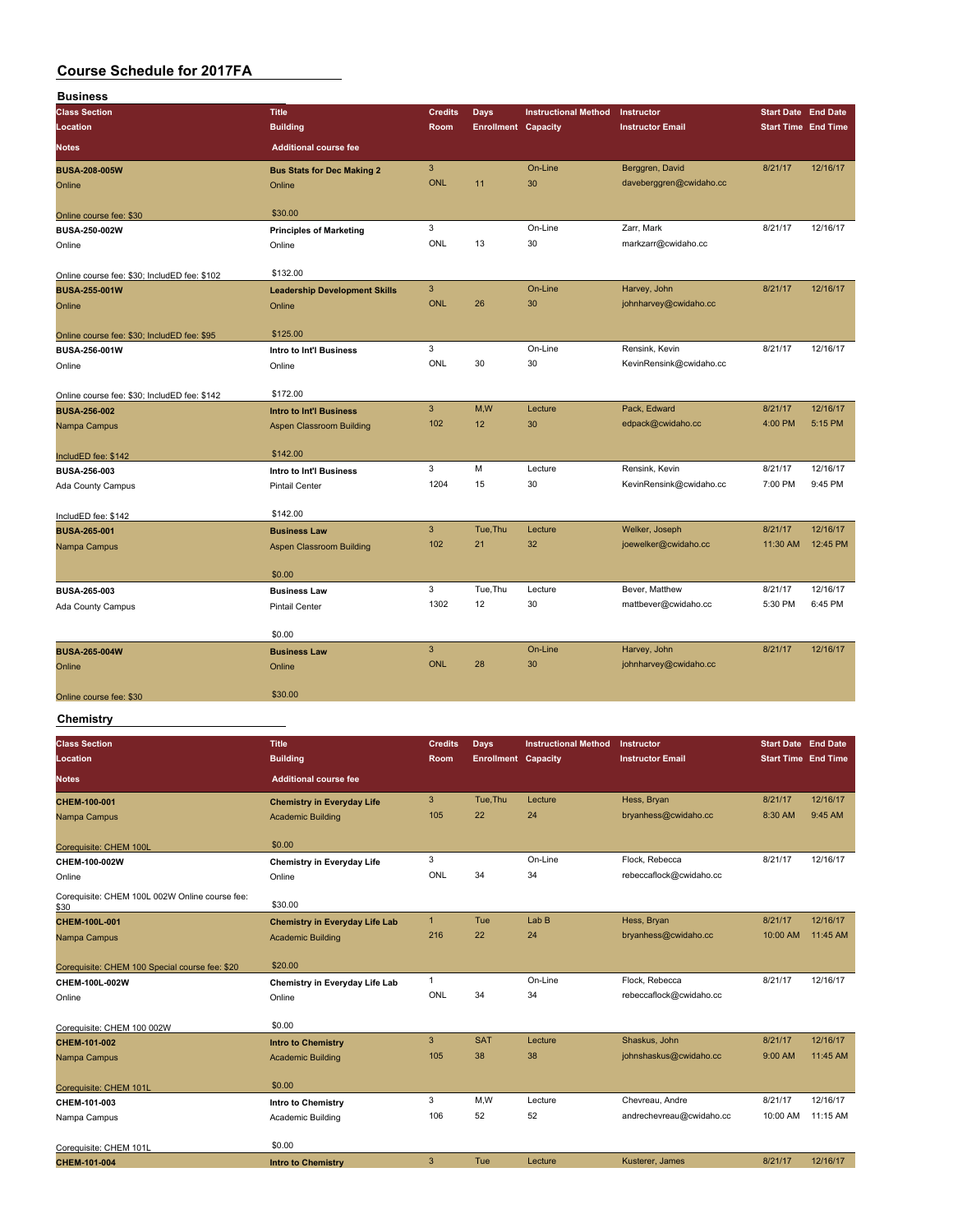| <b>Business</b>                              |                                      |                |                            |                             |                         |                            |                            |
|----------------------------------------------|--------------------------------------|----------------|----------------------------|-----------------------------|-------------------------|----------------------------|----------------------------|
| <b>Class Section</b>                         | <b>Title</b>                         | <b>Credits</b> | <b>Days</b>                | <b>Instructional Method</b> | Instructor              | <b>Start Date End Date</b> |                            |
| Location                                     | <b>Building</b>                      | Room           | <b>Enrollment Capacity</b> |                             | <b>Instructor Email</b> |                            | <b>Start Time End Time</b> |
| <b>Notes</b>                                 | <b>Additional course fee</b>         |                |                            |                             |                         |                            |                            |
| <b>BUSA-208-005W</b>                         | <b>Bus Stats for Dec Making 2</b>    | 3              |                            | On-Line                     | Berggren, David         | 8/21/17                    | 12/16/17                   |
| Online                                       | Online                               | <b>ONL</b>     | 11                         | 30                          | daveberggren@cwidaho.cc |                            |                            |
| Online course fee: \$30                      | \$30.00                              |                |                            |                             |                         |                            |                            |
| BUSA-250-002W                                | <b>Principles of Marketing</b>       | 3              |                            | On-Line                     | Zarr, Mark              | 8/21/17                    | 12/16/17                   |
| Online                                       | Online                               | ONL            | 13                         | 30                          | markzarr@cwidaho.cc     |                            |                            |
| Online course fee: \$30; IncludED fee: \$102 | \$132.00                             |                |                            |                             |                         |                            |                            |
| <b>BUSA-255-001W</b>                         | <b>Leadership Development Skills</b> | 3              |                            | On-Line                     | Harvey, John            | 8/21/17                    | 12/16/17                   |
| Online                                       | Online                               | <b>ONL</b>     | 26                         | 30                          | johnharvey@cwidaho.cc   |                            |                            |
| Online course fee: \$30; IncludED fee: \$95  | \$125.00                             |                |                            |                             |                         |                            |                            |
| BUSA-256-001W                                | Intro to Int'l Business              | 3              |                            | On-Line                     | Rensink, Kevin          | 8/21/17                    | 12/16/17                   |
| Online                                       | Online                               | ONL            | 30                         | 30                          | KevinRensink@cwidaho.cc |                            |                            |
| Online course fee: \$30; IncludED fee: \$142 | \$172.00                             |                |                            |                             |                         |                            |                            |
| <b>BUSA-256-002</b>                          | <b>Intro to Int'l Business</b>       | $\mathbf{3}$   | M,W                        | Lecture                     | Pack, Edward            | 8/21/17                    | 12/16/17                   |
| Nampa Campus                                 | Aspen Classroom Building             | 102            | 12                         | 30                          | edpack@cwidaho.cc       | 4:00 PM                    | 5:15 PM                    |
| IncludED fee: \$142                          | \$142.00                             |                |                            |                             |                         |                            |                            |
| <b>BUSA-256-003</b>                          | Intro to Int'l Business              | 3              | M                          | Lecture                     | Rensink, Kevin          | 8/21/17                    | 12/16/17                   |
| Ada County Campus                            | <b>Pintail Center</b>                | 1204           | 15                         | 30                          | KevinRensink@cwidaho.cc | 7:00 PM                    | 9:45 PM                    |
| IncludED fee: \$142                          | \$142.00                             |                |                            |                             |                         |                            |                            |
| <b>BUSA-265-001</b>                          | <b>Business Law</b>                  | $\overline{3}$ | Tue, Thu                   | Lecture                     | Welker, Joseph          | 8/21/17                    | 12/16/17                   |
| Nampa Campus                                 | Aspen Classroom Building             | 102            | 21                         | 32                          | joewelker@cwidaho.cc    | 11:30 AM                   | 12:45 PM                   |
|                                              | \$0.00                               |                |                            |                             |                         |                            |                            |
| BUSA-265-003                                 | <b>Business Law</b>                  | 3              | Tue, Thu                   | Lecture                     | Bever, Matthew          | 8/21/17                    | 12/16/17                   |
| Ada County Campus                            | <b>Pintail Center</b>                | 1302           | 12                         | 30                          | mattbever@cwidaho.cc    | 5:30 PM                    | 6:45 PM                    |
|                                              | \$0.00                               |                |                            |                             |                         |                            |                            |
| <b>BUSA-265-004W</b>                         | <b>Business Law</b>                  | $\overline{3}$ |                            | On-Line                     | Harvey, John            | 8/21/17                    | 12/16/17                   |
| Online                                       | Online                               | <b>ONL</b>     | 28                         | 30                          | johnharvey@cwidaho.cc   |                            |                            |
| Online course fee: \$30                      | \$30.00                              |                |                            |                             |                         |                            |                            |
|                                              |                                      |                |                            |                             |                         |                            |                            |

#### **Chemistry**

| <b>Class Section</b><br>Location                       | <b>Title</b><br><b>Building</b>       | <b>Credits</b><br>Room | Days<br><b>Enrollment Capacity</b> | <b>Instructional Method</b> | Instructor<br><b>Instructor Email</b> | <b>Start Date End Date</b><br><b>Start Time End Time</b> |          |
|--------------------------------------------------------|---------------------------------------|------------------------|------------------------------------|-----------------------------|---------------------------------------|----------------------------------------------------------|----------|
| <b>Notes</b>                                           | <b>Additional course fee</b>          |                        |                                    |                             |                                       |                                                          |          |
| CHEM-100-001                                           | <b>Chemistry in Everyday Life</b>     | 3                      | Tue, Thu                           | Lecture                     | Hess, Bryan                           | 8/21/17                                                  | 12/16/17 |
| Nampa Campus                                           | <b>Academic Building</b>              | 105                    | 22                                 | 24                          | bryanhess@cwidaho.cc                  | 8:30 AM                                                  | 9:45 AM  |
| Corequisite: CHEM 100L                                 | \$0.00                                |                        |                                    |                             |                                       |                                                          |          |
| CHEM-100-002W                                          | Chemistry in Everyday Life            | 3                      |                                    | On-Line                     | Flock, Rebecca                        | 8/21/17                                                  | 12/16/17 |
| Online                                                 | Online                                | ONL                    | 34                                 | 34                          | rebeccaflock@cwidaho.cc               |                                                          |          |
| Corequisite: CHEM 100L 002W Online course fee:<br>\$30 | \$30.00                               |                        |                                    |                             |                                       |                                                          |          |
| CHEM-100L-001                                          | <b>Chemistry in Everyday Life Lab</b> | $\mathbf{1}$           | Tue                                | Lab <sub>B</sub>            | Hess, Bryan                           | 8/21/17                                                  | 12/16/17 |
| Nampa Campus                                           | Academic Building                     | 216                    | 22                                 | 24                          | bryanhess@cwidaho.cc                  | 10:00 AM                                                 | 11:45 AM |
| Corequisite: CHEM 100 Special course fee: \$20         | \$20.00                               |                        |                                    |                             |                                       |                                                          |          |
| CHEM-100L-002W                                         | Chemistry in Everyday Life Lab        | $\mathbf{1}$           |                                    | On-Line                     | Flock, Rebecca                        | 8/21/17                                                  | 12/16/17 |
| Online                                                 | Online                                | ONL                    | 34                                 | 34                          | rebeccaflock@cwidaho.cc               |                                                          |          |
| Corequisite: CHEM 100 002W                             | \$0.00                                |                        |                                    |                             |                                       |                                                          |          |
| CHEM-101-002                                           | <b>Intro to Chemistry</b>             | 3                      | <b>SAT</b>                         | Lecture                     | Shaskus, John                         | 8/21/17                                                  | 12/16/17 |
| Nampa Campus                                           | <b>Academic Building</b>              | 105                    | 38                                 | 38                          | johnshaskus@cwidaho.cc                | 9:00 AM                                                  | 11:45 AM |
| Corequisite: CHEM 101L                                 | \$0.00                                |                        |                                    |                             |                                       |                                                          |          |
| CHEM-101-003                                           | <b>Intro to Chemistry</b>             | 3                      | M,W                                | Lecture                     | Chevreau, Andre                       | 8/21/17                                                  | 12/16/17 |
| Nampa Campus                                           | Academic Building                     | 106                    | 52                                 | 52                          | andrechevreau@cwidaho.cc              | 10:00 AM                                                 | 11:15 AM |
| Corequisite: CHEM 101L                                 | \$0.00                                |                        |                                    |                             |                                       |                                                          |          |
| CHEM-101-004                                           | <b>Intro to Chemistry</b>             | 3                      | Tue                                | Lecture                     | Kusterer, James                       | 8/21/17                                                  | 12/16/17 |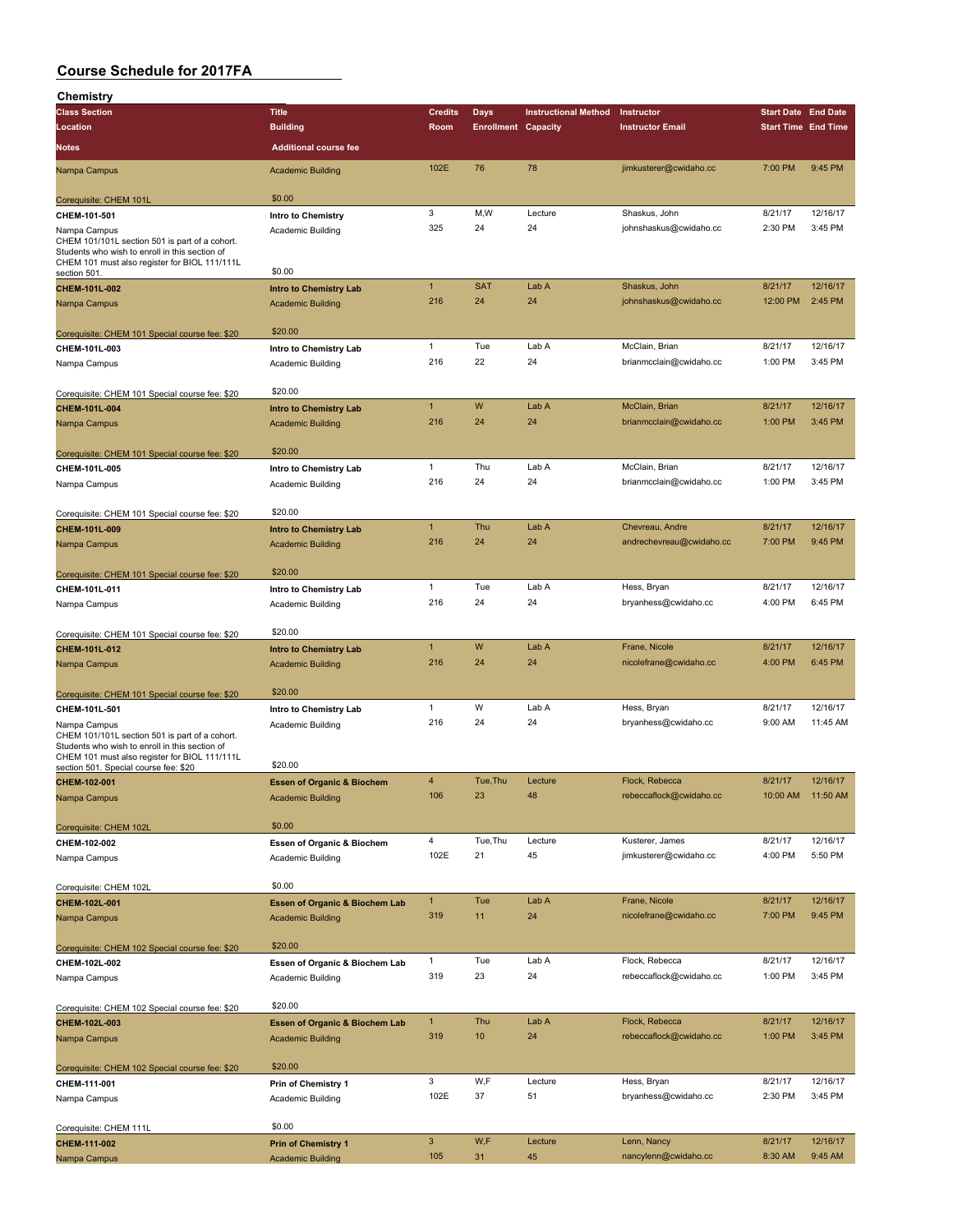| Chemistry                                                                                                                                                         |                                                        |                |                            |                             |                          |                            |                   |
|-------------------------------------------------------------------------------------------------------------------------------------------------------------------|--------------------------------------------------------|----------------|----------------------------|-----------------------------|--------------------------|----------------------------|-------------------|
| <b>Class Section</b>                                                                                                                                              | <b>Title</b>                                           | <b>Credits</b> | Days                       | <b>Instructional Method</b> | Instructor               | <b>Start Date End Date</b> |                   |
| Location                                                                                                                                                          | <b>Building</b>                                        | Room           | <b>Enrollment Capacity</b> |                             | <b>Instructor Email</b>  | <b>Start Time End Time</b> |                   |
| Notes                                                                                                                                                             | <b>Additional course fee</b>                           |                |                            |                             |                          |                            |                   |
| Nampa Campus                                                                                                                                                      | <b>Academic Building</b>                               | 102E           | 76                         | 78                          | jimkusterer@cwidaho.cc   | 7:00 PM                    | 9:45 PM           |
|                                                                                                                                                                   | \$0.00                                                 |                |                            |                             |                          |                            |                   |
| Corequisite: CHEM 101L                                                                                                                                            |                                                        | 3              | M,W                        | Lecture                     | Shaskus, John            | 8/21/17                    | 12/16/17          |
| CHEM-101-501<br>Nampa Campus                                                                                                                                      | Intro to Chemistry<br>Academic Building                | 325            | 24                         | 24                          | johnshaskus@cwidaho.cc   | 2:30 PM                    | 3:45 PM           |
| CHEM 101/101L section 501 is part of a cohort.<br>Students who wish to enroll in this section of<br>CHEM 101 must also register for BIOL 111/111L<br>section 501. | \$0.00                                                 |                |                            |                             |                          |                            |                   |
| CHEM-101L-002                                                                                                                                                     | <b>Intro to Chemistry Lab</b>                          | $\mathbf{1}$   | <b>SAT</b>                 | Lab A                       | Shaskus, John            | 8/21/17                    | 12/16/17          |
| Nampa Campus                                                                                                                                                      | <b>Academic Building</b>                               | 216            | 24                         | 24                          | johnshaskus@cwidaho.cc   | 12:00 PM                   | 2:45 PM           |
|                                                                                                                                                                   |                                                        |                |                            |                             |                          |                            |                   |
| Corequisite: CHEM 101 Special course fee: \$20                                                                                                                    | \$20.00                                                |                |                            |                             |                          |                            |                   |
| CHEM-101L-003                                                                                                                                                     | Intro to Chemistry Lab                                 | 1              | Tue                        | Lab A                       | McClain, Brian           | 8/21/17                    | 12/16/17          |
| Nampa Campus                                                                                                                                                      | Academic Building                                      | 216            | 22                         | 24                          | brianmcclain@cwidaho.cc  | 1:00 PM                    | 3:45 PM           |
|                                                                                                                                                                   |                                                        |                |                            |                             |                          |                            |                   |
| Corequisite: CHEM 101 Special course fee: \$20                                                                                                                    | \$20.00                                                |                |                            |                             |                          |                            |                   |
| CHEM-101L-004                                                                                                                                                     | <b>Intro to Chemistry Lab</b>                          | $\mathbf{1}$   | W                          | Lab A                       | McClain, Brian           | 8/21/17                    | 12/16/17          |
| Nampa Campus                                                                                                                                                      | <b>Academic Building</b>                               | 216            | 24                         | 24                          | brianmcclain@cwidaho.cc  | 1:00 PM                    | 3:45 PM           |
|                                                                                                                                                                   |                                                        |                |                            |                             |                          |                            |                   |
| Corequisite: CHEM 101 Special course fee: \$20                                                                                                                    | \$20.00                                                |                |                            |                             |                          |                            |                   |
| CHEM-101L-005                                                                                                                                                     | Intro to Chemistry Lab                                 | 1              | Thu                        | Lab A                       | McClain, Brian           | 8/21/17                    | 12/16/17          |
| Nampa Campus                                                                                                                                                      | Academic Building                                      | 216            | 24                         | 24                          | brianmcclain@cwidaho.cc  | 1:00 PM                    | 3:45 PM           |
|                                                                                                                                                                   |                                                        |                |                            |                             |                          |                            |                   |
| Corequisite: CHEM 101 Special course fee: \$20                                                                                                                    | \$20.00                                                | $\mathbf{1}$   | Thu                        | Lab A                       | Chevreau, Andre          | 8/21/17                    | 12/16/17          |
| CHEM-101L-009                                                                                                                                                     | <b>Intro to Chemistry Lab</b>                          | 216            | 24                         | 24                          |                          | 7:00 PM                    | 9:45 PM           |
| Nampa Campus                                                                                                                                                      | <b>Academic Building</b>                               |                |                            |                             | andrechevreau@cwidaho.cc |                            |                   |
|                                                                                                                                                                   | \$20.00                                                |                |                            |                             |                          |                            |                   |
| Corequisite: CHEM 101 Special course fee: \$20<br>CHEM-101L-011                                                                                                   | Intro to Chemistry Lab                                 | 1              | Tue                        | Lab A                       | Hess, Bryan              | 8/21/17                    | 12/16/17          |
| Nampa Campus                                                                                                                                                      | Academic Building                                      | 216            | 24                         | 24                          | bryanhess@cwidaho.cc     | 4:00 PM                    | 6:45 PM           |
|                                                                                                                                                                   |                                                        |                |                            |                             |                          |                            |                   |
| Corequisite: CHEM 101 Special course fee: \$20                                                                                                                    | \$20.00                                                |                |                            |                             |                          |                            |                   |
| CHEM-101L-012                                                                                                                                                     | <b>Intro to Chemistry Lab</b>                          | $\mathbf{1}$   | W                          | Lab A                       | Frane, Nicole            | 8/21/17                    | 12/16/17          |
| Nampa Campus                                                                                                                                                      | <b>Academic Building</b>                               | 216            | 24                         | 24                          | nicolefrane@cwidaho.cc   | 4:00 PM                    | 6:45 PM           |
|                                                                                                                                                                   |                                                        |                |                            |                             |                          |                            |                   |
| Corequisite: CHEM 101 Special course fee: \$20                                                                                                                    | \$20.00                                                |                |                            |                             |                          |                            |                   |
| CHEM-101L-501                                                                                                                                                     | Intro to Chemistry Lab                                 | 1              | W                          | Lab A                       | Hess, Bryan              | 8/21/17                    | 12/16/17          |
| Nampa Campus                                                                                                                                                      | Academic Building                                      | 216            | 24                         | 24                          | bryanhess@cwidaho.cc     | 9:00 AM                    | 11:45 AM          |
| CHEM 101/101L section 501 is part of a cohort.<br>Students who wish to enroll in this section of                                                                  |                                                        |                |                            |                             |                          |                            |                   |
| CHEM 101 must also register for BIOL 111/111L                                                                                                                     |                                                        |                |                            |                             |                          |                            |                   |
| section 501. Special course fee: \$20                                                                                                                             | \$20.00                                                |                |                            |                             |                          |                            |                   |
| CHEM-102-001                                                                                                                                                      | <b>Essen of Organic &amp; Biochem</b>                  | 4              | Tue, Thu                   | Lecture                     | Flock, Rebecca           | 8/21/17                    | 12/16/17          |
| Nampa Campus                                                                                                                                                      | <b>Academic Building</b>                               | 106            | 23                         | 48                          | rebeccaflock@cwidaho.cc  |                            | 10:00 AM 11:50 AM |
|                                                                                                                                                                   | \$0.00                                                 |                |                            |                             |                          |                            |                   |
| Corequisite: CHEM 102L<br>CHEM-102-002                                                                                                                            | Essen of Organic & Biochem                             | 4              | Tue, Thu                   | Lecture                     | Kusterer, James          | 8/21/17                    | 12/16/17          |
| Nampa Campus                                                                                                                                                      | Academic Building                                      | 102E           | 21                         | 45                          | jimkusterer@cwidaho.cc   | 4:00 PM                    | 5:50 PM           |
|                                                                                                                                                                   |                                                        |                |                            |                             |                          |                            |                   |
| Corequisite: CHEM 102L                                                                                                                                            | \$0.00                                                 |                |                            |                             |                          |                            |                   |
| CHEM-102L-001                                                                                                                                                     | <b>Essen of Organic &amp; Biochem Lab</b>              | $\mathbf{1}$   | Tue                        | Lab A                       | Frane, Nicole            | 8/21/17                    | 12/16/17          |
| Nampa Campus                                                                                                                                                      | <b>Academic Building</b>                               | 319            | 11                         | 24                          | nicolefrane@cwidaho.cc   | 7:00 PM                    | 9:45 PM           |
|                                                                                                                                                                   |                                                        |                |                            |                             |                          |                            |                   |
| Corequisite: CHEM 102 Special course fee: \$20                                                                                                                    | \$20.00                                                |                |                            |                             |                          |                            |                   |
| CHEM-102L-002                                                                                                                                                     | Essen of Organic & Biochem Lab                         | $\mathbf{1}$   | Tue                        | Lab A                       | Flock, Rebecca           | 8/21/17                    | 12/16/17          |
| Nampa Campus                                                                                                                                                      | Academic Building                                      | 319            | 23                         | 24                          | rebeccaflock@cwidaho.cc  | 1:00 PM                    | 3:45 PM           |
|                                                                                                                                                                   |                                                        |                |                            |                             |                          |                            |                   |
| Corequisite: CHEM 102 Special course fee: \$20                                                                                                                    | \$20.00                                                |                |                            |                             |                          |                            |                   |
| CHEM-102L-003                                                                                                                                                     | <b>Essen of Organic &amp; Biochem Lab</b>              | $\mathbf{1}$   | Thu                        | Lab A                       | Flock, Rebecca           | 8/21/17                    | 12/16/17          |
| Nampa Campus                                                                                                                                                      | <b>Academic Building</b>                               | 319            | 10                         | 24                          | rebeccaflock@cwidaho.cc  | 1:00 PM                    | 3:45 PM           |
|                                                                                                                                                                   |                                                        |                |                            |                             |                          |                            |                   |
| Corequisite: CHEM 102 Special course fee: \$20                                                                                                                    | \$20.00                                                |                |                            |                             |                          |                            |                   |
| CHEM-111-001                                                                                                                                                      | Prin of Chemistry 1                                    | 3              | W,F                        | Lecture                     | Hess, Bryan              | 8/21/17                    | 12/16/17          |
| Nampa Campus                                                                                                                                                      | Academic Building                                      | 102E           | 37                         | 51                          | bryanhess@cwidaho.cc     | 2:30 PM                    | 3:45 PM           |
|                                                                                                                                                                   |                                                        |                |                            |                             |                          |                            |                   |
| Corequisite: CHEM 111L                                                                                                                                            | \$0.00                                                 | $\mathbf{3}$   | W,F                        | Lecture                     | Lenn, Nancy              | 8/21/17                    | 12/16/17          |
| CHEM-111-002<br>Nampa Campus                                                                                                                                      | <b>Prin of Chemistry 1</b><br><b>Academic Building</b> | 105            | 31                         | 45                          | nancylenn@cwidaho.cc     | 8:30 AM                    | 9:45 AM           |
|                                                                                                                                                                   |                                                        |                |                            |                             |                          |                            |                   |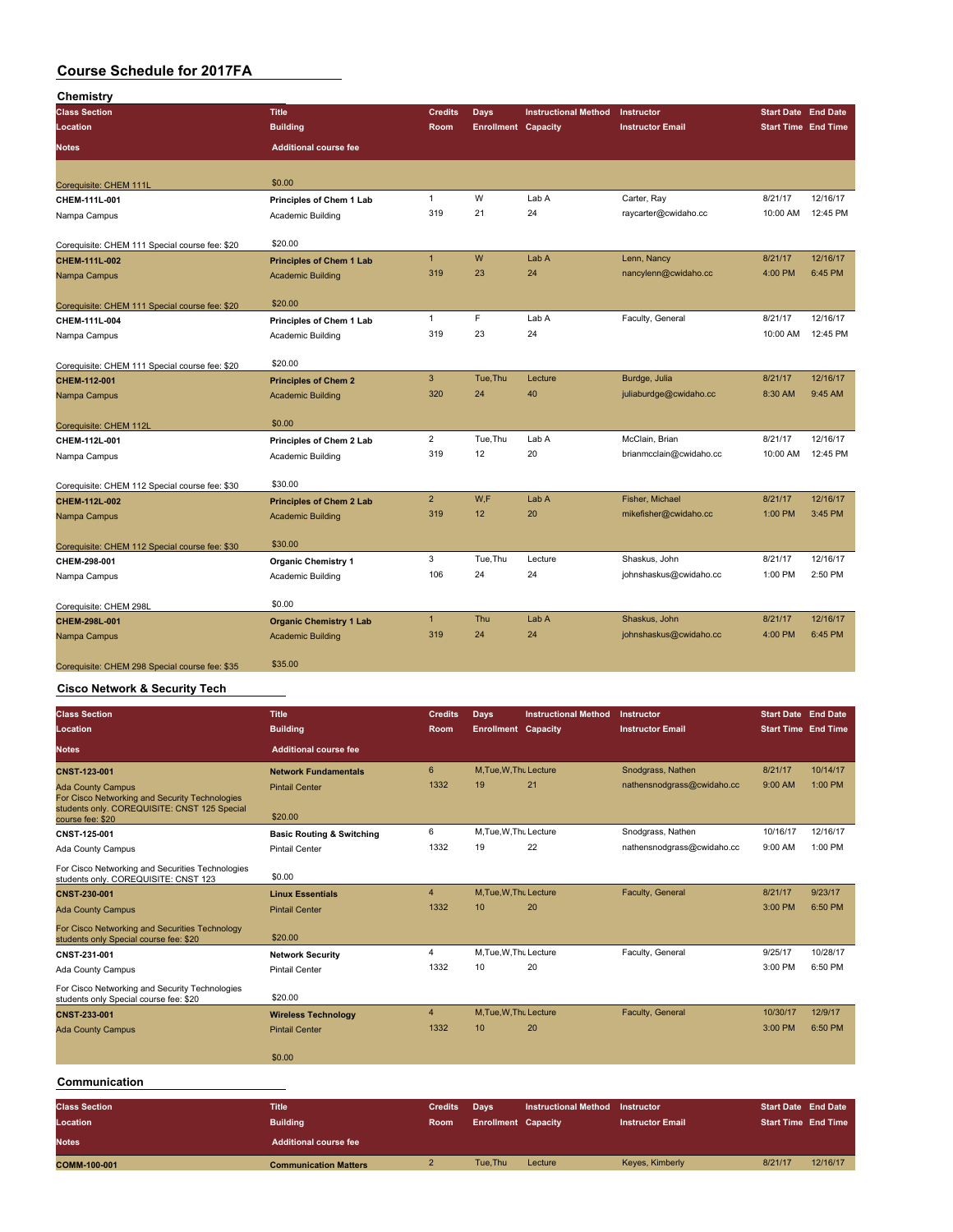| Chemistry                                      |                                 |                |                            |                             |                         |                            |          |
|------------------------------------------------|---------------------------------|----------------|----------------------------|-----------------------------|-------------------------|----------------------------|----------|
| <b>Class Section</b>                           | <b>Title</b>                    | <b>Credits</b> | <b>Days</b>                | <b>Instructional Method</b> | Instructor              | <b>Start Date End Date</b> |          |
| Location                                       | <b>Building</b>                 | Room           | <b>Enrollment Capacity</b> |                             | <b>Instructor Email</b> | <b>Start Time End Time</b> |          |
| Notes                                          | <b>Additional course fee</b>    |                |                            |                             |                         |                            |          |
| Corequisite: CHEM 111L                         | \$0.00                          |                |                            |                             |                         |                            |          |
| CHEM-111L-001                                  | Principles of Chem 1 Lab        | $\mathbf{1}$   | W                          | Lab A                       | Carter, Ray             | 8/21/17                    | 12/16/17 |
| Nampa Campus                                   | Academic Building               | 319            | 21                         | 24                          | raycarter@cwidaho.cc    | 10:00 AM                   | 12:45 PM |
| Corequisite: CHEM 111 Special course fee: \$20 | \$20.00                         |                |                            |                             |                         |                            |          |
| CHEM-111L-002                                  | <b>Principles of Chem 1 Lab</b> | $\mathbf{1}$   | W                          | Lab A                       | Lenn, Nancy             | 8/21/17                    | 12/16/17 |
| Nampa Campus                                   | <b>Academic Building</b>        | 319            | 23                         | 24                          | nancylenn@cwidaho.cc    | 4:00 PM                    | 6:45 PM  |
| Corequisite: CHEM 111 Special course fee: \$20 | \$20.00                         |                |                            |                             |                         |                            |          |
| CHEM-111L-004                                  | Principles of Chem 1 Lab        | $\mathbf{1}$   | $\mathsf F$                | Lab A                       | Faculty, General        | 8/21/17                    | 12/16/17 |
| Nampa Campus                                   | Academic Building               | 319            | 23                         | 24                          |                         | 10:00 AM                   | 12:45 PM |
| Corequisite: CHEM 111 Special course fee: \$20 | \$20.00                         |                |                            |                             |                         |                            |          |
| CHEM-112-001                                   | <b>Principles of Chem 2</b>     | $\mathbf{3}$   | Tue, Thu                   | Lecture                     | Burdge, Julia           | 8/21/17                    | 12/16/17 |
| Nampa Campus                                   | <b>Academic Building</b>        | 320            | 24                         | 40                          | juliaburdge@cwidaho.cc  | 8:30 AM                    | 9:45 AM  |
| Corequisite: CHEM 112L                         | \$0.00                          |                |                            |                             |                         |                            |          |
| CHEM-112L-001                                  | Principles of Chem 2 Lab        | $\overline{2}$ | Tue, Thu                   | Lab A                       | McClain, Brian          | 8/21/17                    | 12/16/17 |
| Nampa Campus                                   | Academic Building               | 319            | 12                         | 20                          | brianmcclain@cwidaho.cc | 10:00 AM                   | 12:45 PM |
| Corequisite: CHEM 112 Special course fee: \$30 | \$30.00                         |                |                            |                             |                         |                            |          |
| CHEM-112L-002                                  | <b>Principles of Chem 2 Lab</b> | $\overline{2}$ | W,F                        | Lab A                       | Fisher, Michael         | 8/21/17                    | 12/16/17 |
| Nampa Campus                                   | <b>Academic Building</b>        | 319            | 12                         | 20                          | mikefisher@cwidaho.cc   | 1:00 PM                    | 3:45 PM  |
| Corequisite: CHEM 112 Special course fee: \$30 | \$30.00                         |                |                            |                             |                         |                            |          |
| CHEM-298-001                                   | <b>Organic Chemistry 1</b>      | 3              | Tue, Thu                   | Lecture                     | Shaskus, John           | 8/21/17                    | 12/16/17 |
| Nampa Campus                                   | Academic Building               | 106            | 24                         | 24                          | johnshaskus@cwidaho.cc  | 1:00 PM                    | 2:50 PM  |
| Corequisite: CHEM 298L                         | \$0.00                          |                |                            |                             |                         |                            |          |
| CHEM-298L-001                                  | <b>Organic Chemistry 1 Lab</b>  | $\mathbf{1}$   | Thu                        | Lab A                       | Shaskus, John           | 8/21/17                    | 12/16/17 |
| Nampa Campus                                   | <b>Academic Building</b>        | 319            | 24                         | 24                          | johnshaskus@cwidaho.cc  | 4:00 PM                    | 6:45 PM  |
| Corequisite: CHEM 298 Special course fee: \$35 | \$35.00                         |                |                            |                             |                         |                            |          |

#### **Cisco Network & Security Tech**

| <b>Class Section</b>                                                                                                       | <b>Title</b>                         | <b>Credits</b> | Days                       | <b>Instructional Method</b> | <b>Instructor</b>          | <b>Start Date End Date</b> |          |
|----------------------------------------------------------------------------------------------------------------------------|--------------------------------------|----------------|----------------------------|-----------------------------|----------------------------|----------------------------|----------|
| Location                                                                                                                   | <b>Building</b>                      | Room           | <b>Enrollment Capacity</b> |                             | <b>Instructor Email</b>    | <b>Start Time End Time</b> |          |
| <b>Notes</b>                                                                                                               | <b>Additional course fee</b>         |                |                            |                             |                            |                            |          |
| <b>CNST-123-001</b>                                                                                                        | <b>Network Fundamentals</b>          | 6              | M.Tue.W.Tht Lecture        |                             | Snodgrass, Nathen          | 8/21/17                    | 10/14/17 |
| <b>Ada County Campus</b><br>For Cisco Networking and Security Technologies<br>students only. COREQUISITE: CNST 125 Special | <b>Pintail Center</b>                | 1332           | 19                         | 21                          | nathensnodgrass@cwidaho.cc | 9:00 AM                    | 1:00 PM  |
| course fee: \$20                                                                                                           | \$20.00                              |                |                            |                             |                            |                            |          |
| CNST-125-001                                                                                                               | <b>Basic Routing &amp; Switching</b> | 6              | M, Tue, W, Thu Lecture     |                             | Snodgrass, Nathen          | 10/16/17                   | 12/16/17 |
| Ada County Campus                                                                                                          | <b>Pintail Center</b>                | 1332           | 19                         | 22                          | nathensnodgrass@cwidaho.cc | 9:00 AM                    | 1:00 PM  |
| For Cisco Networking and Securities Technologies<br>students only. COREQUISITE: CNST 123                                   | \$0.00                               |                |                            |                             |                            |                            |          |
| CNST-230-001                                                                                                               | <b>Linux Essentials</b>              | $\overline{4}$ | M, Tue, W, Thu Lecture     |                             | Faculty, General           | 8/21/17                    | 9/23/17  |
| <b>Ada County Campus</b>                                                                                                   | <b>Pintail Center</b>                | 1332           | 10                         | 20                          |                            | 3:00 PM                    | 6:50 PM  |
| For Cisco Networking and Securities Technology<br>students only Special course fee: \$20                                   | \$20.00                              |                |                            |                             |                            |                            |          |
| CNST-231-001                                                                                                               | <b>Network Security</b>              | 4              | M, Tue, W, Thu Lecture     |                             | Faculty, General           | 9/25/17                    | 10/28/17 |
| Ada County Campus                                                                                                          | <b>Pintail Center</b>                | 1332           | 10                         | 20                          |                            | 3:00 PM                    | 6:50 PM  |
| For Cisco Networking and Security Technologies<br>students only Special course fee: \$20                                   | \$20.00                              |                |                            |                             |                            |                            |          |
| CNST-233-001                                                                                                               | <b>Wireless Technology</b>           | $\overline{4}$ | M.Tue.W.Thu Lecture        |                             | Faculty, General           | 10/30/17                   | 12/9/17  |
| <b>Ada County Campus</b>                                                                                                   | <b>Pintail Center</b>                | 1332           | 10                         | 20                          |                            | $3:00$ PM                  | 6:50 PM  |
|                                                                                                                            | \$0.00                               |                |                            |                             |                            |                            |          |
| Communication                                                                                                              |                                      |                |                            |                             |                            |                            |          |
| <b>Class Section</b>                                                                                                       | <b>Title</b>                         | <b>Credits</b> | Days                       | <b>Instructional Method</b> | Instructor                 | <b>Start Date End Date</b> |          |
| Location                                                                                                                   | <b>Building</b>                      | <b>Room</b>    | <b>Enrollment Capacity</b> |                             | <b>Instructor Email</b>    | <b>Start Time End Time</b> |          |
| <b>Notes</b>                                                                                                               | <b>Additional course fee</b>         |                |                            |                             |                            |                            |          |

**COMM-100-001 Communication Matters** 2 **Tue,Thu Lecture** Keyes, Kimberly 8/21/17 12/16/17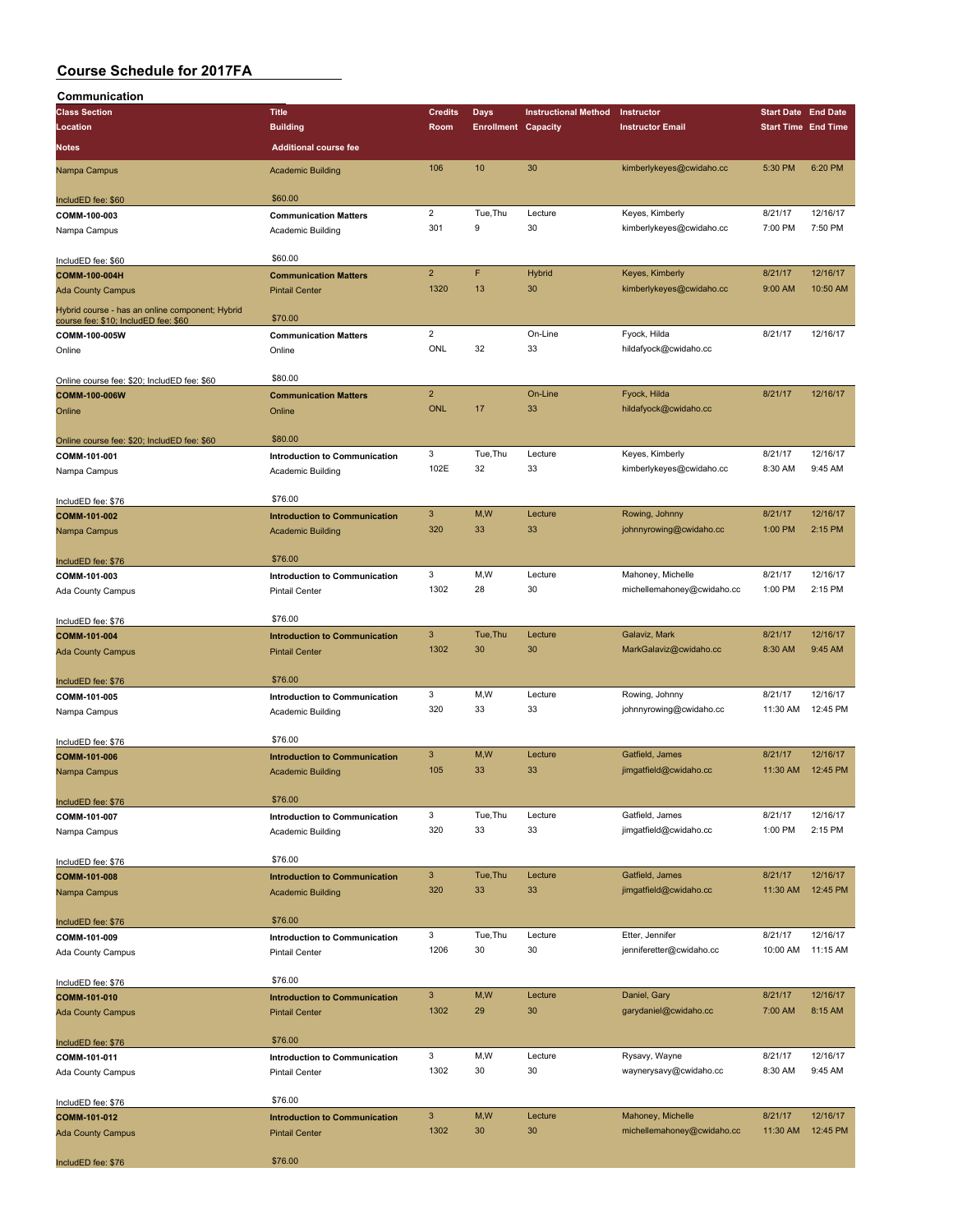| Communication                                                                           |                                      |                           |                            |                             |                            |                            |          |
|-----------------------------------------------------------------------------------------|--------------------------------------|---------------------------|----------------------------|-----------------------------|----------------------------|----------------------------|----------|
| <b>Class Section</b>                                                                    | <b>Title</b>                         | <b>Credits</b>            | <b>Days</b>                | <b>Instructional Method</b> | Instructor                 | <b>Start Date End Date</b> |          |
| Location                                                                                | <b>Building</b>                      | Room                      | <b>Enrollment Capacity</b> |                             | <b>Instructor Email</b>    | <b>Start Time End Time</b> |          |
| Notes                                                                                   | <b>Additional course fee</b>         |                           |                            |                             |                            |                            |          |
|                                                                                         |                                      |                           |                            |                             |                            |                            |          |
| Nampa Campus                                                                            | <b>Academic Building</b>             | 106                       | 10                         | 30                          | kimberlykeyes@cwidaho.cc   | 5:30 PM                    | 6:20 PM  |
| IncludED fee: \$60                                                                      | \$60.00                              |                           |                            |                             |                            |                            |          |
| COMM-100-003                                                                            | <b>Communication Matters</b>         | $\overline{2}$            | Tue, Thu                   | Lecture                     | Keyes, Kimberly            | 8/21/17                    | 12/16/17 |
|                                                                                         | Academic Building                    | 301                       | 9                          | 30                          | kimberlykeyes@cwidaho.cc   | 7:00 PM                    | 7:50 PM  |
| Nampa Campus                                                                            |                                      |                           |                            |                             |                            |                            |          |
| IncludED fee: \$60                                                                      | \$60.00                              |                           |                            |                             |                            |                            |          |
| COMM-100-004H                                                                           | <b>Communication Matters</b>         | $\overline{2}$            | F                          | <b>Hybrid</b>               | Keyes, Kimberly            | 8/21/17                    | 12/16/17 |
| <b>Ada County Campus</b>                                                                | <b>Pintail Center</b>                | 1320                      | 13                         | 30                          | kimberlykeyes@cwidaho.cc   | 9:00 AM                    | 10:50 AM |
|                                                                                         |                                      |                           |                            |                             |                            |                            |          |
| Hybrid course - has an online component; Hybrid<br>course fee: \$10; IncludED fee: \$60 | \$70.00                              |                           |                            |                             |                            |                            |          |
| COMM-100-005W                                                                           | <b>Communication Matters</b>         | $\overline{2}$            |                            | On-Line                     | Fyock, Hilda               | 8/21/17                    | 12/16/17 |
| Online                                                                                  | Online                               | ONL                       | 32                         | 33                          | hildafyock@cwidaho.cc      |                            |          |
|                                                                                         |                                      |                           |                            |                             |                            |                            |          |
| Online course fee: \$20; IncludED fee: \$60                                             | \$80.00                              |                           |                            |                             |                            |                            |          |
| COMM-100-006W                                                                           | <b>Communication Matters</b>         | $\overline{2}$            |                            | On-Line                     | Fyock, Hilda               | 8/21/17                    | 12/16/17 |
| Online                                                                                  | Online                               | <b>ONL</b>                | 17                         | 33                          | hildafyock@cwidaho.cc      |                            |          |
|                                                                                         |                                      |                           |                            |                             |                            |                            |          |
| Online course fee: \$20; IncludED fee: \$60                                             | \$80.00                              |                           |                            |                             |                            |                            |          |
| COMM-101-001                                                                            | Introduction to Communication        | 3                         | Tue, Thu                   | Lecture                     | Keyes, Kimberly            | 8/21/17                    | 12/16/17 |
| Nampa Campus                                                                            | Academic Building                    | 102E                      | 32                         | 33                          | kimberlykeyes@cwidaho.cc   | 8:30 AM                    | 9:45 AM  |
|                                                                                         |                                      |                           |                            |                             |                            |                            |          |
| IncludED fee: \$76                                                                      | \$76.00                              |                           |                            |                             |                            |                            |          |
| COMM-101-002                                                                            | <b>Introduction to Communication</b> | $\mathbf{3}$              | M,W                        | Lecture                     | Rowing, Johnny             | 8/21/17                    | 12/16/17 |
| Nampa Campus                                                                            | <b>Academic Building</b>             | 320                       | 33                         | 33                          | johnnyrowing@cwidaho.cc    | 1:00 PM                    | 2:15 PM  |
|                                                                                         |                                      |                           |                            |                             |                            |                            |          |
| IncludED fee: \$76                                                                      | \$76.00                              |                           |                            |                             |                            |                            |          |
| COMM-101-003                                                                            | Introduction to Communication        | 3                         | M, W                       | Lecture                     | Mahoney, Michelle          | 8/21/17                    | 12/16/17 |
| Ada County Campus                                                                       | <b>Pintail Center</b>                | 1302                      | 28                         | 30                          | michellemahoney@cwidaho.cc | 1:00 PM                    | 2:15 PM  |
|                                                                                         |                                      |                           |                            |                             |                            |                            |          |
| IncludED fee: \$76                                                                      | \$76.00                              |                           |                            |                             |                            |                            |          |
| COMM-101-004                                                                            | <b>Introduction to Communication</b> | $\overline{3}$            | Tue, Thu                   | Lecture                     | Galaviz, Mark              | 8/21/17                    | 12/16/17 |
| <b>Ada County Campus</b>                                                                | <b>Pintail Center</b>                | 1302                      | 30                         | 30                          | MarkGalaviz@cwidaho.cc     | 8:30 AM                    | 9:45 AM  |
|                                                                                         |                                      |                           |                            |                             |                            |                            |          |
| IncludED fee: \$76                                                                      | \$76.00                              |                           |                            |                             |                            |                            |          |
| COMM-101-005                                                                            | Introduction to Communication        | 3                         | M,W                        | Lecture                     | Rowing, Johnny             | 8/21/17                    | 12/16/17 |
| Nampa Campus                                                                            | Academic Building                    | 320                       | 33                         | 33                          | johnnyrowing@cwidaho.cc    | 11:30 AM                   | 12:45 PM |
|                                                                                         |                                      |                           |                            |                             |                            |                            |          |
| IncludED fee: \$76                                                                      | \$76.00                              |                           |                            |                             |                            |                            |          |
| COMM-101-006                                                                            | <b>Introduction to Communication</b> | $\mathbf{3}$              | M, W                       | Lecture                     | Gatfield, James            | 8/21/17                    | 12/16/17 |
| Nampa Campus                                                                            | <b>Academic Building</b>             | 105                       | 33                         | 33                          | jimgatfield@cwidaho.cc     | 11:30 AM                   | 12:45 PM |
|                                                                                         |                                      |                           |                            |                             |                            |                            |          |
| IncludED fee: \$76                                                                      | \$76.00                              |                           |                            |                             |                            |                            |          |
| COMM-101-007                                                                            | Introduction to Communication        | 3                         | Tue, Thu                   | Lecture                     | Gatfield, James            | 8/21/17                    | 12/16/17 |
| Nampa Campus                                                                            | Academic Building                    | 320                       | 33                         | 33                          | jimgatfield@cwidaho.cc     | 1:00 PM                    | 2:15 PM  |
|                                                                                         |                                      |                           |                            |                             |                            |                            |          |
| IncludED fee: \$76                                                                      | \$76.00                              |                           |                            |                             |                            |                            |          |
| COMM-101-008                                                                            | <b>Introduction to Communication</b> | $\mathbf{3}$              | Tue, Thu                   | Lecture                     | Gatfield, James            | 8/21/17                    | 12/16/17 |
| Nampa Campus                                                                            | <b>Academic Building</b>             | 320                       | 33                         | 33                          | jimgatfield@cwidaho.cc     | 11:30 AM                   | 12:45 PM |
|                                                                                         |                                      |                           |                            |                             |                            |                            |          |
| IncludED fee: \$76                                                                      | \$76.00                              |                           |                            |                             |                            |                            |          |
| COMM-101-009                                                                            | <b>Introduction to Communication</b> | 3                         | Tue, Thu                   | Lecture                     | Etter, Jennifer            | 8/21/17                    | 12/16/17 |
| Ada County Campus                                                                       | Pintail Center                       | 1206                      | 30                         | 30                          | jenniferetter@cwidaho.cc   | 10:00 AM                   | 11:15 AM |
|                                                                                         |                                      |                           |                            |                             |                            |                            |          |
| IncludED fee: \$76                                                                      | \$76.00                              |                           |                            |                             |                            |                            |          |
| COMM-101-010                                                                            | <b>Introduction to Communication</b> | $\ensuremath{\mathsf{3}}$ | M,W                        | Lecture                     | Daniel, Gary               | 8/21/17                    | 12/16/17 |
| <b>Ada County Campus</b>                                                                | <b>Pintail Center</b>                | 1302                      | 29                         | 30                          | garydaniel@cwidaho.cc      | 7:00 AM                    | 8:15 AM  |
|                                                                                         |                                      |                           |                            |                             |                            |                            |          |
| IncludED fee: \$76                                                                      | \$76.00                              |                           |                            |                             |                            |                            |          |
| COMM-101-011                                                                            | Introduction to Communication        | 3                         | M,W                        | Lecture                     | Rysavy, Wayne              | 8/21/17                    | 12/16/17 |
| Ada County Campus                                                                       | <b>Pintail Center</b>                | 1302                      | 30                         | 30                          | waynerysavy@cwidaho.cc     | 8:30 AM                    | 9:45 AM  |
|                                                                                         |                                      |                           |                            |                             |                            |                            |          |
| IncludED fee: \$76                                                                      | \$76.00                              |                           |                            |                             |                            |                            |          |
| COMM-101-012                                                                            | <b>Introduction to Communication</b> | $\mathbf{3}$              | M, W                       | Lecture                     | Mahoney, Michelle          | 8/21/17                    | 12/16/17 |
| <b>Ada County Campus</b>                                                                | <b>Pintail Center</b>                | 1302                      | 30                         | 30                          | michellemahoney@cwidaho.cc | 11:30 AM                   | 12:45 PM |
|                                                                                         |                                      |                           |                            |                             |                            |                            |          |
| IncludED fee: \$76                                                                      | \$76.00                              |                           |                            |                             |                            |                            |          |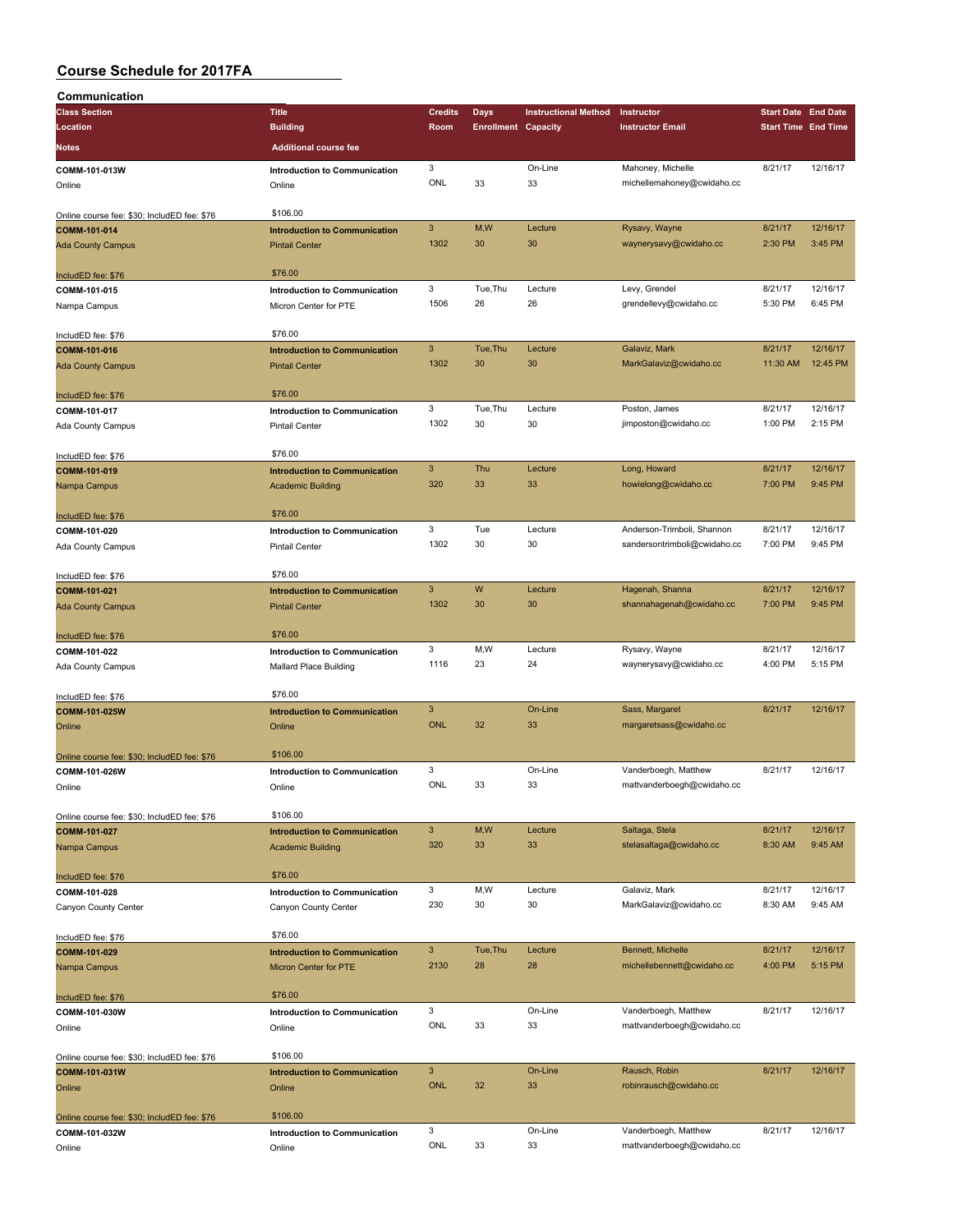| Communication                                               |                                      |                           |                            |                             |                              |                            |          |
|-------------------------------------------------------------|--------------------------------------|---------------------------|----------------------------|-----------------------------|------------------------------|----------------------------|----------|
| <b>Class Section</b>                                        | <b>Title</b>                         | <b>Credits</b>            | Days                       | <b>Instructional Method</b> | Instructor                   | <b>Start Date End Date</b> |          |
| Location                                                    | <b>Building</b>                      | Room                      | <b>Enrollment Capacity</b> |                             | <b>Instructor Email</b>      | <b>Start Time End Time</b> |          |
| Notes                                                       | <b>Additional course fee</b>         |                           |                            |                             |                              |                            |          |
|                                                             |                                      |                           |                            |                             |                              |                            |          |
| COMM-101-013W                                               | Introduction to Communication        | 3                         |                            | On-Line                     | Mahoney, Michelle            | 8/21/17                    | 12/16/17 |
| Online                                                      | Online                               | ONL                       | 33                         | 33                          | michellemahoney@cwidaho.cc   |                            |          |
|                                                             |                                      |                           |                            |                             |                              |                            |          |
| Online course fee: \$30; IncludED fee: \$76                 | \$106.00                             |                           |                            |                             |                              |                            |          |
| COMM-101-014                                                | <b>Introduction to Communication</b> | $\ensuremath{\mathsf{3}}$ | M,W                        | Lecture                     | Rysavy, Wayne                | 8/21/17                    | 12/16/17 |
| <b>Ada County Campus</b>                                    | <b>Pintail Center</b>                | 1302                      | 30                         | 30                          | waynerysavy@cwidaho.cc       | 2:30 PM                    | 3:45 PM  |
|                                                             | \$76.00                              |                           |                            |                             |                              |                            |          |
| IncludED fee: \$76<br>COMM-101-015                          | <b>Introduction to Communication</b> | 3                         | Tue, Thu                   | Lecture                     | Levy, Grendel                | 8/21/17                    | 12/16/17 |
|                                                             | Micron Center for PTE                | 1506                      | 26                         | 26                          | grendellevy@cwidaho.cc       | 5:30 PM                    | 6:45 PM  |
| Nampa Campus                                                |                                      |                           |                            |                             |                              |                            |          |
| IncludED fee: \$76                                          | \$76.00                              |                           |                            |                             |                              |                            |          |
| COMM-101-016                                                | <b>Introduction to Communication</b> | $\mathbf{3}$              | Tue, Thu                   | Lecture                     | Galaviz, Mark                | 8/21/17                    | 12/16/17 |
| <b>Ada County Campus</b>                                    | <b>Pintail Center</b>                | 1302                      | 30                         | 30                          | MarkGalaviz@cwidaho.cc       | 11:30 AM                   | 12:45 PM |
|                                                             |                                      |                           |                            |                             |                              |                            |          |
| IncludED fee: \$76                                          | \$76.00                              |                           |                            |                             |                              |                            |          |
| COMM-101-017                                                | <b>Introduction to Communication</b> | 3                         | Tue, Thu                   | Lecture                     | Poston, James                | 8/21/17                    | 12/16/17 |
| Ada County Campus                                           | <b>Pintail Center</b>                | 1302                      | 30                         | 30                          | jimposton@cwidaho.cc         | 1:00 PM                    | 2:15 PM  |
|                                                             |                                      |                           |                            |                             |                              |                            |          |
| IncludED fee: \$76                                          | \$76.00                              |                           |                            |                             |                              |                            |          |
| COMM-101-019                                                | <b>Introduction to Communication</b> | $\ensuremath{\mathsf{3}}$ | Thu                        | Lecture                     | Long, Howard                 | 8/21/17                    | 12/16/17 |
| Nampa Campus                                                | <b>Academic Building</b>             | 320                       | 33                         | 33                          | howielong@cwidaho.cc         | 7:00 PM                    | 9:45 PM  |
|                                                             |                                      |                           |                            |                             |                              |                            |          |
| IncludED fee: \$76                                          | \$76.00                              |                           |                            |                             |                              |                            |          |
| COMM-101-020                                                | Introduction to Communication        | 3                         | Tue                        | Lecture                     | Anderson-Trimboli, Shannon   | 8/21/17                    | 12/16/17 |
| Ada County Campus                                           | <b>Pintail Center</b>                | 1302                      | 30                         | 30                          | sandersontrimboli@cwidaho.cc | 7:00 PM                    | 9:45 PM  |
|                                                             |                                      |                           |                            |                             |                              |                            |          |
| IncludED fee: \$76                                          | \$76.00                              |                           |                            |                             |                              |                            |          |
| COMM-101-021                                                | <b>Introduction to Communication</b> | 3                         | W                          | Lecture                     | Hagenah, Shanna              | 8/21/17                    | 12/16/17 |
| <b>Ada County Campus</b>                                    | <b>Pintail Center</b>                | 1302                      | 30                         | 30                          | shannahagenah@cwidaho.cc     | 7:00 PM                    | 9:45 PM  |
|                                                             |                                      |                           |                            |                             |                              |                            |          |
| IncludED fee: \$76                                          | \$76.00                              |                           |                            |                             |                              |                            |          |
| COMM-101-022                                                | <b>Introduction to Communication</b> | 3                         | M,W                        | Lecture                     | Rysavy, Wayne                | 8/21/17                    | 12/16/17 |
| Ada County Campus                                           | Mallard Place Building               | 1116                      | 23                         | 24                          | waynerysavy@cwidaho.cc       | 4:00 PM                    | 5:15 PM  |
|                                                             |                                      |                           |                            |                             |                              |                            |          |
| IncludED fee: \$76                                          | \$76.00                              |                           |                            |                             |                              |                            |          |
| COMM-101-025W                                               | <b>Introduction to Communication</b> | $\overline{3}$            |                            | On-Line                     | Sass, Margaret               | 8/21/17                    | 12/16/17 |
| Online                                                      | Online                               | <b>ONL</b>                | 32                         | 33                          | margaretsass@cwidaho.cc      |                            |          |
|                                                             | \$106.00                             |                           |                            |                             |                              |                            |          |
| Online course fee: \$30; IncludED fee: \$76                 |                                      | 3                         |                            | On-Line                     | Vanderboegh, Matthew         | 8/21/17                    | 12/16/17 |
| COMM-101-026W                                               | <b>Introduction to Communication</b> | ONL                       | 33                         | 33                          |                              |                            |          |
| Online                                                      | Online                               |                           |                            |                             | mattvanderboegh@cwidaho.cc   |                            |          |
|                                                             | \$106.00                             |                           |                            |                             |                              |                            |          |
| Online course fee: \$30; IncludED fee: \$76<br>COMM-101-027 | <b>Introduction to Communication</b> | $\mathbf{3}$              | M,W                        | Lecture                     | Saltaga, Stela               | 8/21/17                    | 12/16/17 |
|                                                             |                                      | 320                       | 33                         | 33                          | stelasaltaga@cwidaho.cc      | 8:30 AM                    | 9:45 AM  |
| Nampa Campus                                                | <b>Academic Building</b>             |                           |                            |                             |                              |                            |          |
| IncludED fee: \$76                                          | \$76.00                              |                           |                            |                             |                              |                            |          |
| COMM-101-028                                                | <b>Introduction to Communication</b> | 3                         | M,W                        | Lecture                     | Galaviz, Mark                | 8/21/17                    | 12/16/17 |
| Canyon County Center                                        | Canyon County Center                 | 230                       | 30                         | 30                          | MarkGalaviz@cwidaho.cc       | 8:30 AM                    | 9:45 AM  |
|                                                             |                                      |                           |                            |                             |                              |                            |          |
| IncludED fee: \$76                                          | \$76.00                              |                           |                            |                             |                              |                            |          |
| COMM-101-029                                                | <b>Introduction to Communication</b> | $\mathbf{3}$              | Tue, Thu                   | Lecture                     | Bennett, Michelle            | 8/21/17                    | 12/16/17 |
| Nampa Campus                                                | Micron Center for PTE                | 2130                      | 28                         | 28                          | michellebennett@cwidaho.cc   | 4:00 PM                    | 5:15 PM  |
|                                                             |                                      |                           |                            |                             |                              |                            |          |
| IncludED fee: \$76                                          | \$76.00                              |                           |                            |                             |                              |                            |          |
| COMM-101-030W                                               | Introduction to Communication        | 3                         |                            | On-Line                     | Vanderboegh, Matthew         | 8/21/17                    | 12/16/17 |
| Online                                                      | Online                               | ONL                       | 33                         | 33                          | mattvanderboegh@cwidaho.cc   |                            |          |
|                                                             |                                      |                           |                            |                             |                              |                            |          |
| Online course fee: \$30; IncludED fee: \$76                 | \$106.00                             |                           |                            |                             |                              |                            |          |
| COMM-101-031W                                               | <b>Introduction to Communication</b> | $\mathbf{3}$              |                            | On-Line                     | Rausch, Robin                | 8/21/17                    | 12/16/17 |
| Online                                                      | Online                               | <b>ONL</b>                | 32                         | 33                          | robinrausch@cwidaho.cc       |                            |          |
|                                                             |                                      |                           |                            |                             |                              |                            |          |
| Online course fee: \$30; IncludED fee: \$76                 | \$106.00                             |                           |                            |                             |                              |                            |          |
| COMM-101-032W                                               | Introduction to Communication        | 3                         |                            | On-Line                     | Vanderboegh, Matthew         | 8/21/17                    | 12/16/17 |
| Online                                                      | Online                               | ONL                       | 33                         | 33                          | mattvanderboegh@cwidaho.cc   |                            |          |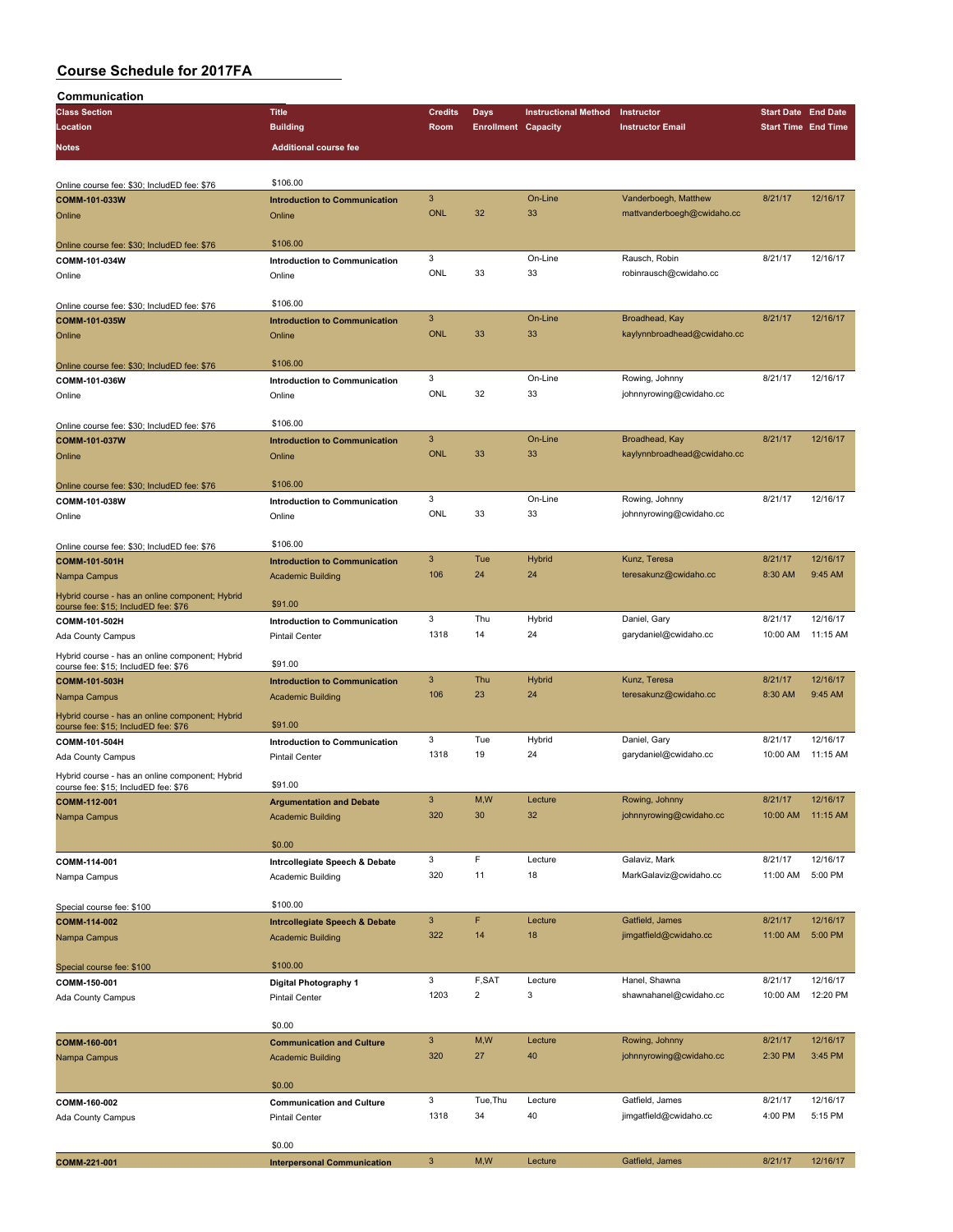| Communication                                                                           |                                           |                |                            |                             |                             |                            |          |
|-----------------------------------------------------------------------------------------|-------------------------------------------|----------------|----------------------------|-----------------------------|-----------------------------|----------------------------|----------|
| <b>Class Section</b>                                                                    | <b>Title</b>                              | <b>Credits</b> | Days                       | <b>Instructional Method</b> | Instructor                  | <b>Start Date End Date</b> |          |
| Location                                                                                | <b>Building</b>                           | Room           | <b>Enrollment Capacity</b> |                             | <b>Instructor Email</b>     | <b>Start Time End Time</b> |          |
|                                                                                         |                                           |                |                            |                             |                             |                            |          |
| <b>Notes</b>                                                                            | <b>Additional course fee</b>              |                |                            |                             |                             |                            |          |
|                                                                                         |                                           |                |                            |                             |                             |                            |          |
| Online course fee: \$30; IncludED fee: \$76                                             | \$106.00                                  |                |                            |                             |                             |                            |          |
| COMM-101-033W                                                                           | <b>Introduction to Communication</b>      | 3              |                            | On-Line                     | Vanderboegh, Matthew        | 8/21/17                    | 12/16/17 |
| Online                                                                                  | Online                                    | <b>ONL</b>     | 32                         | 33                          | mattvanderboegh@cwidaho.cc  |                            |          |
|                                                                                         |                                           |                |                            |                             |                             |                            |          |
|                                                                                         | \$106.00                                  |                |                            |                             |                             |                            |          |
| Online course fee: \$30; IncludED fee: \$76                                             |                                           |                |                            |                             |                             |                            |          |
| COMM-101-034W                                                                           | <b>Introduction to Communication</b>      | 3              |                            | On-Line                     | Rausch, Robin               | 8/21/17                    | 12/16/17 |
| Online                                                                                  | Online                                    | ONL            | 33                         | 33                          | robinrausch@cwidaho.cc      |                            |          |
|                                                                                         |                                           |                |                            |                             |                             |                            |          |
| Online course fee: \$30; IncludED fee: \$76                                             | \$106.00                                  |                |                            |                             |                             |                            |          |
| COMM-101-035W                                                                           | <b>Introduction to Communication</b>      | 3              |                            | On-Line                     | Broadhead, Kay              | 8/21/17                    | 12/16/17 |
| Online                                                                                  | Online                                    | <b>ONL</b>     | 33                         | 33                          | kaylynnbroadhead@cwidaho.cc |                            |          |
|                                                                                         |                                           |                |                            |                             |                             |                            |          |
| Online course fee: \$30; IncludED fee: \$76                                             | \$106.00                                  |                |                            |                             |                             |                            |          |
|                                                                                         |                                           | 3              |                            | On-Line                     | Rowing, Johnny              | 8/21/17                    | 12/16/17 |
| COMM-101-036W                                                                           | Introduction to Communication             |                |                            |                             |                             |                            |          |
| Online                                                                                  | Online                                    | ONL            | 32                         | 33                          | johnnyrowing@cwidaho.cc     |                            |          |
|                                                                                         |                                           |                |                            |                             |                             |                            |          |
| Online course fee: \$30; IncludED fee: \$76                                             | \$106.00                                  |                |                            |                             |                             |                            |          |
| COMM-101-037W                                                                           | <b>Introduction to Communication</b>      | 3              |                            | On-Line                     | Broadhead, Kay              | 8/21/17                    | 12/16/17 |
| Online                                                                                  | Online                                    | <b>ONL</b>     | 33                         | 33                          | kaylynnbroadhead@cwidaho.cc |                            |          |
|                                                                                         |                                           |                |                            |                             |                             |                            |          |
| Online course fee: \$30; IncludED fee: \$76                                             | \$106.00                                  |                |                            |                             |                             |                            |          |
|                                                                                         |                                           | 3              |                            | On-Line                     | Rowing, Johnny              | 8/21/17                    | 12/16/17 |
| COMM-101-038W                                                                           | <b>Introduction to Communication</b>      | <b>ONL</b>     | 33                         |                             |                             |                            |          |
| Online                                                                                  | Online                                    |                |                            | 33                          | johnnyrowing@cwidaho.cc     |                            |          |
|                                                                                         |                                           |                |                            |                             |                             |                            |          |
| Online course fee: \$30; IncludED fee: \$76                                             | \$106.00                                  |                |                            |                             |                             |                            |          |
| COMM-101-501H                                                                           | <b>Introduction to Communication</b>      | 3              | Tue                        | <b>Hybrid</b>               | Kunz, Teresa                | 8/21/17                    | 12/16/17 |
| Nampa Campus                                                                            | <b>Academic Building</b>                  | 106            | 24                         | 24                          | teresakunz@cwidaho.cc       | 8:30 AM                    | 9:45 AM  |
|                                                                                         |                                           |                |                            |                             |                             |                            |          |
| Hybrid course - has an online component; Hybrid<br>course fee: \$15; IncludED fee: \$76 | \$91.00                                   |                |                            |                             |                             |                            |          |
| COMM-101-502H                                                                           | Introduction to Communication             | 3              | Thu                        | Hybrid                      | Daniel, Gary                | 8/21/17                    | 12/16/17 |
|                                                                                         |                                           | 1318           | 14                         | 24                          | garydaniel@cwidaho.cc       | 10:00 AM                   | 11:15 AM |
| Ada County Campus                                                                       | <b>Pintail Center</b>                     |                |                            |                             |                             |                            |          |
| Hybrid course - has an online component; Hybrid                                         |                                           |                |                            |                             |                             |                            |          |
| course fee: \$15; IncludED fee: \$76                                                    | \$91.00                                   |                |                            |                             |                             |                            |          |
| COMM-101-503H                                                                           | <b>Introduction to Communication</b>      | 3              | Thu                        | Hybrid                      | Kunz, Teresa                | 8/21/17                    | 12/16/17 |
| Nampa Campus                                                                            | <b>Academic Building</b>                  | 106            | 23                         | 24                          | teresakunz@cwidaho.cc       | 8:30 AM                    | 9:45 AM  |
| Hybrid course - has an online component; Hybrid                                         |                                           |                |                            |                             |                             |                            |          |
| course fee: \$15; IncludED fee: \$76                                                    | \$91.00                                   |                |                            |                             |                             |                            |          |
| COMM-101-504H                                                                           | <b>Introduction to Communication</b>      | 3              | Tue                        | Hybrid                      | Daniel, Gary                | 8/21/17                    | 12/16/17 |
|                                                                                         |                                           | 1318           | 19                         | 24                          |                             |                            | 11:15 AM |
| Ada County Campus                                                                       | <b>Pintail Center</b>                     |                |                            |                             | garydaniel@cwidaho.cc       | 10:00 AM                   |          |
| Hybrid course - has an online component; Hybrid                                         |                                           |                |                            |                             |                             |                            |          |
| course fee: \$15; IncludED fee: \$76                                                    | \$91.00                                   |                |                            |                             |                             |                            |          |
| COMM-112-001                                                                            | <b>Argumentation and Debate</b>           | 3              | M,W                        | Lecture                     | Rowing, Johnny              | 8/21/17                    | 12/16/17 |
| Nampa Campus                                                                            | <b>Academic Building</b>                  | 320            | 30                         | 32                          | johnnyrowing@cwidaho.cc     | 10:00 AM                   | 11:15 AM |
|                                                                                         |                                           |                |                            |                             |                             |                            |          |
|                                                                                         | \$0.00                                    |                |                            |                             |                             |                            |          |
|                                                                                         |                                           | 3              | F                          | Lecture                     | Galaviz, Mark               | 8/21/17                    | 12/16/17 |
| COMM-114-001                                                                            | Intrcollegiate Speech & Debate            | 320            | 11                         | 18                          | MarkGalaviz@cwidaho.cc      | 11:00 AM                   | 5:00 PM  |
| Nampa Campus                                                                            | Academic Building                         |                |                            |                             |                             |                            |          |
|                                                                                         |                                           |                |                            |                             |                             |                            |          |
| Special course fee: \$100                                                               | \$100.00                                  |                |                            |                             |                             |                            |          |
| COMM-114-002                                                                            | <b>Intrcollegiate Speech &amp; Debate</b> | 3              | F                          | Lecture                     | Gatfield, James             | 8/21/17                    | 12/16/17 |
| Nampa Campus                                                                            | <b>Academic Building</b>                  | 322            | 14                         | 18                          | jimgatfield@cwidaho.cc      | 11:00 AM                   | 5:00 PM  |
|                                                                                         |                                           |                |                            |                             |                             |                            |          |
| Special course fee: \$100                                                               | \$100.00                                  |                |                            |                             |                             |                            |          |
| COMM-150-001                                                                            |                                           | 3              | F,SAT                      | Lecture                     | Hanel, Shawna               | 8/21/17                    | 12/16/17 |
|                                                                                         | Digital Photography 1                     | 1203           | $\overline{c}$             | 3                           | shawnahanel@cwidaho.cc      | 10:00 AM                   | 12:20 PM |
| Ada County Campus                                                                       | Pintail Center                            |                |                            |                             |                             |                            |          |
|                                                                                         |                                           |                |                            |                             |                             |                            |          |
|                                                                                         | \$0.00                                    |                |                            |                             |                             |                            |          |
| COMM-160-001                                                                            | <b>Communication and Culture</b>          | 3              | M,W                        | Lecture                     | Rowing, Johnny              | 8/21/17                    | 12/16/17 |
| Nampa Campus                                                                            | <b>Academic Building</b>                  | 320            | 27                         | 40                          | johnnyrowing@cwidaho.cc     | 2:30 PM                    | 3:45 PM  |
|                                                                                         |                                           |                |                            |                             |                             |                            |          |
|                                                                                         | \$0.00                                    |                |                            |                             |                             |                            |          |
| COMM-160-002                                                                            | <b>Communication and Culture</b>          | 3              | Tue, Thu                   | Lecture                     | Gatfield, James             | 8/21/17                    | 12/16/17 |
|                                                                                         |                                           | 1318           | 34                         | 40                          | jimgatfield@cwidaho.cc      | 4:00 PM                    | 5:15 PM  |
| Ada County Campus                                                                       | <b>Pintail Center</b>                     |                |                            |                             |                             |                            |          |
|                                                                                         |                                           |                |                            |                             |                             |                            |          |
|                                                                                         | \$0.00                                    |                |                            |                             |                             |                            |          |
| COMM-221-001                                                                            | <b>Interpersonal Communication</b>        | 3              | M, W                       | Lecture                     | Gatfield, James             | 8/21/17                    | 12/16/17 |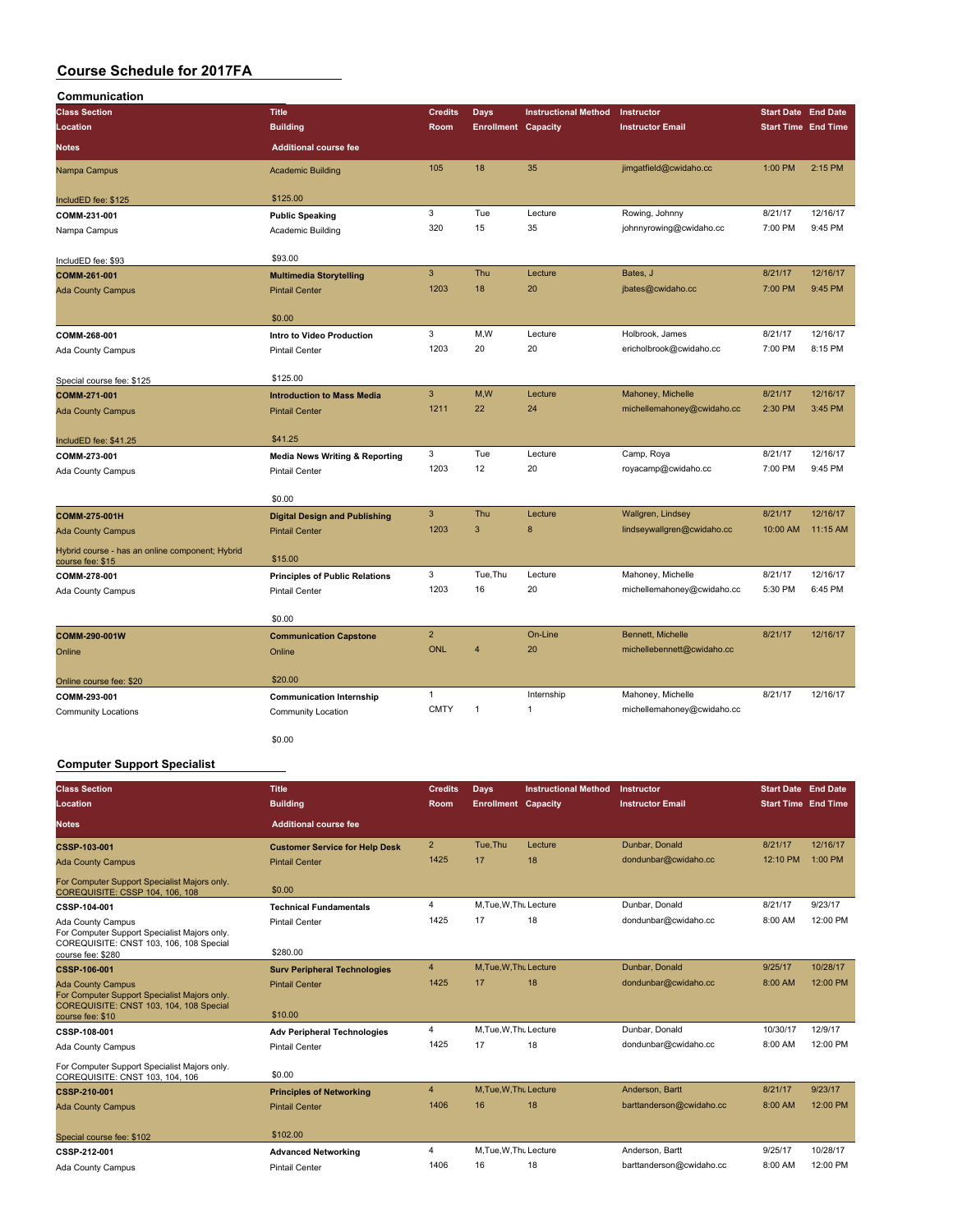| Communication                                                       |                                           |                |                            |                             |                            |                            |                            |
|---------------------------------------------------------------------|-------------------------------------------|----------------|----------------------------|-----------------------------|----------------------------|----------------------------|----------------------------|
| <b>Class Section</b>                                                | <b>Title</b>                              | <b>Credits</b> | <b>Days</b>                | <b>Instructional Method</b> | Instructor                 | <b>Start Date End Date</b> |                            |
| Location                                                            | <b>Building</b>                           | Room           | <b>Enrollment Capacity</b> |                             | <b>Instructor Email</b>    |                            | <b>Start Time End Time</b> |
| <b>Notes</b>                                                        | <b>Additional course fee</b>              |                |                            |                             |                            |                            |                            |
| Nampa Campus                                                        | <b>Academic Building</b>                  | 105            | 18                         | 35                          | jimgatfield@cwidaho.cc     | 1:00 PM                    | 2:15 PM                    |
| IncludED fee: \$125                                                 | \$125.00                                  |                |                            |                             |                            |                            |                            |
| COMM-231-001                                                        | <b>Public Speaking</b>                    | 3              | Tue                        | Lecture                     | Rowing, Johnny             | 8/21/17                    | 12/16/17                   |
| Nampa Campus                                                        | Academic Building                         | 320            | 15                         | 35                          | johnnyrowing@cwidaho.cc    | 7:00 PM                    | 9:45 PM                    |
| IncludED fee: \$93                                                  | \$93.00                                   |                |                            |                             |                            |                            |                            |
| COMM-261-001                                                        | <b>Multimedia Storytelling</b>            | $\mathbf{3}$   | Thu                        | Lecture                     | Bates, J                   | 8/21/17                    | 12/16/17                   |
| <b>Ada County Campus</b>                                            | <b>Pintail Center</b>                     | 1203           | 18                         | 20                          | jbates@cwidaho.cc          | 7:00 PM                    | 9:45 PM                    |
|                                                                     | \$0.00                                    |                |                            |                             |                            |                            |                            |
| COMM-268-001                                                        | Intro to Video Production                 | 3              | M,W                        | Lecture                     | Holbrook, James            | 8/21/17                    | 12/16/17                   |
| Ada County Campus                                                   | <b>Pintail Center</b>                     | 1203           | 20                         | 20                          | ericholbrook@cwidaho.cc    | 7:00 PM                    | 8:15 PM                    |
| Special course fee: \$125                                           | \$125.00                                  |                |                            |                             |                            |                            |                            |
| COMM-271-001                                                        | <b>Introduction to Mass Media</b>         | 3              | M,W                        | Lecture                     | Mahoney, Michelle          | 8/21/17                    | 12/16/17                   |
| <b>Ada County Campus</b>                                            | <b>Pintail Center</b>                     | 1211           | 22                         | 24                          | michellemahoney@cwidaho.cc | 2:30 PM                    | 3:45 PM                    |
| IncludED fee: \$41.25                                               | \$41.25                                   |                |                            |                             |                            |                            |                            |
| COMM-273-001                                                        | <b>Media News Writing &amp; Reporting</b> | 3              | Tue                        | Lecture                     | Camp, Roya                 | 8/21/17                    | 12/16/17                   |
| Ada County Campus                                                   | <b>Pintail Center</b>                     | 1203           | 12                         | 20                          | royacamp@cwidaho.cc        | 7:00 PM                    | 9:45 PM                    |
|                                                                     | \$0.00                                    |                |                            |                             |                            |                            |                            |
| COMM-275-001H                                                       | <b>Digital Design and Publishing</b>      | 3              | Thu                        | Lecture                     | Wallgren, Lindsey          | 8/21/17                    | 12/16/17                   |
| <b>Ada County Campus</b>                                            | <b>Pintail Center</b>                     | 1203           | $\overline{3}$             | 8                           | lindseywallgren@cwidaho.cc | 10:00 AM                   | 11:15 AM                   |
| Hybrid course - has an online component; Hybrid<br>course fee: \$15 | \$15.00                                   |                |                            |                             |                            |                            |                            |
| COMM-278-001                                                        | <b>Principles of Public Relations</b>     | 3              | Tue, Thu                   | Lecture                     | Mahoney, Michelle          | 8/21/17                    | 12/16/17                   |
| Ada County Campus                                                   | <b>Pintail Center</b>                     | 1203           | 16                         | 20                          | michellemahoney@cwidaho.cc | 5:30 PM                    | 6:45 PM                    |
|                                                                     | \$0.00                                    |                |                            |                             |                            |                            |                            |
| COMM-290-001W                                                       | <b>Communication Capstone</b>             | $\overline{2}$ |                            | On-Line                     | Bennett, Michelle          | 8/21/17                    | 12/16/17                   |
| Online                                                              | Online                                    | <b>ONL</b>     | $\overline{4}$             | 20                          | michellebennett@cwidaho.cc |                            |                            |
| Online course fee: \$20                                             | \$20.00                                   |                |                            |                             |                            |                            |                            |
| COMM-293-001                                                        | <b>Communication Internship</b>           | 1              |                            | Internship                  | Mahoney, Michelle          | 8/21/17                    | 12/16/17                   |
| <b>Community Locations</b>                                          | <b>Community Location</b>                 | <b>CMTY</b>    | $\mathbf{1}$               | $\mathbf{1}$                | michellemahoney@cwidaho.cc |                            |                            |
|                                                                     | \$0.00                                    |                |                            |                             |                            |                            |                            |

#### **Computer Support Specialist**

| <b>Class Section</b><br>Location                                                                                    | <b>Title</b><br><b>Building</b>       | <b>Credits</b><br><b>Room</b> | Days<br><b>Enrollment Capacity</b> | <b>Instructional Method</b> | Instructor<br><b>Instructor Email</b> | <b>Start Date End Date</b><br><b>Start Time End Time</b> |          |
|---------------------------------------------------------------------------------------------------------------------|---------------------------------------|-------------------------------|------------------------------------|-----------------------------|---------------------------------------|----------------------------------------------------------|----------|
| <b>Notes</b>                                                                                                        | <b>Additional course fee</b>          |                               |                                    |                             |                                       |                                                          |          |
| CSSP-103-001                                                                                                        | <b>Customer Service for Help Desk</b> | $\overline{2}$                | Tue.Thu                            | Lecture                     | Dunbar, Donald                        | 8/21/17                                                  | 12/16/17 |
| <b>Ada County Campus</b>                                                                                            | <b>Pintail Center</b>                 | 1425                          | 17                                 | 18                          | dondunbar@cwidaho.cc                  | 12:10 PM                                                 | 1:00 PM  |
| For Computer Support Specialist Majors only.<br>COREQUISITE: CSSP 104, 106, 108                                     | \$0.00                                |                               |                                    |                             |                                       |                                                          |          |
| CSSP-104-001                                                                                                        | <b>Technical Fundamentals</b>         | 4                             | M, Tue, W, Thu Lecture             |                             | Dunbar, Donald                        | 8/21/17                                                  | 9/23/17  |
| Ada County Campus<br>For Computer Support Specialist Majors only.<br>COREQUISITE: CNST 103, 106, 108 Special        | <b>Pintail Center</b>                 | 1425                          | 17                                 | 18                          | dondunbar@cwidaho.cc                  | 8:00 AM                                                  | 12:00 PM |
| course fee: \$280                                                                                                   | \$280.00                              |                               |                                    |                             |                                       |                                                          |          |
| CSSP-106-001                                                                                                        | <b>Surv Peripheral Technologies</b>   | $\overline{4}$                | M, Tue, W, Thu Lecture             |                             | Dunbar, Donald                        | 9/25/17                                                  | 10/28/17 |
| <b>Ada County Campus</b><br>For Computer Support Specialist Majors only.<br>COREQUISITE: CNST 103, 104, 108 Special | <b>Pintail Center</b>                 | 1425                          | 17                                 | 18                          | dondunbar@cwidaho.cc                  | 8:00 AM                                                  | 12:00 PM |
| course fee: \$10                                                                                                    | \$10.00                               |                               |                                    |                             |                                       |                                                          |          |
| CSSP-108-001                                                                                                        | <b>Adv Peripheral Technologies</b>    | 4                             | M, Tue, W, Thu Lecture             |                             | Dunbar, Donald                        | 10/30/17                                                 | 12/9/17  |
| Ada County Campus                                                                                                   | <b>Pintail Center</b>                 | 1425                          | 17                                 | 18                          | dondunbar@cwidaho.cc                  | 8:00 AM                                                  | 12:00 PM |
| For Computer Support Specialist Majors only.<br>COREQUISITE: CNST 103, 104, 106                                     | \$0.00                                |                               |                                    |                             |                                       |                                                          |          |
| CSSP-210-001                                                                                                        | <b>Principles of Networking</b>       | $\overline{4}$                | M, Tue, W, Thu Lecture             |                             | Anderson, Bartt                       | 8/21/17                                                  | 9/23/17  |
| <b>Ada County Campus</b>                                                                                            | <b>Pintail Center</b>                 | 1406                          | 16                                 | 18                          | barttanderson@cwidaho.cc              | 8:00 AM                                                  | 12:00 PM |
|                                                                                                                     | \$102.00                              |                               |                                    |                             |                                       |                                                          |          |
| Special course fee: \$102                                                                                           |                                       | 4                             | M.Tue.W.Thu Lecture                |                             | Anderson, Bartt                       | 9/25/17                                                  | 10/28/17 |
| CSSP-212-001                                                                                                        | <b>Advanced Networking</b>            |                               |                                    |                             |                                       |                                                          |          |
| Ada County Campus                                                                                                   | <b>Pintail Center</b>                 | 1406                          | 16                                 | 18                          | barttanderson@cwidaho.cc              | 8:00 AM                                                  | 12:00 PM |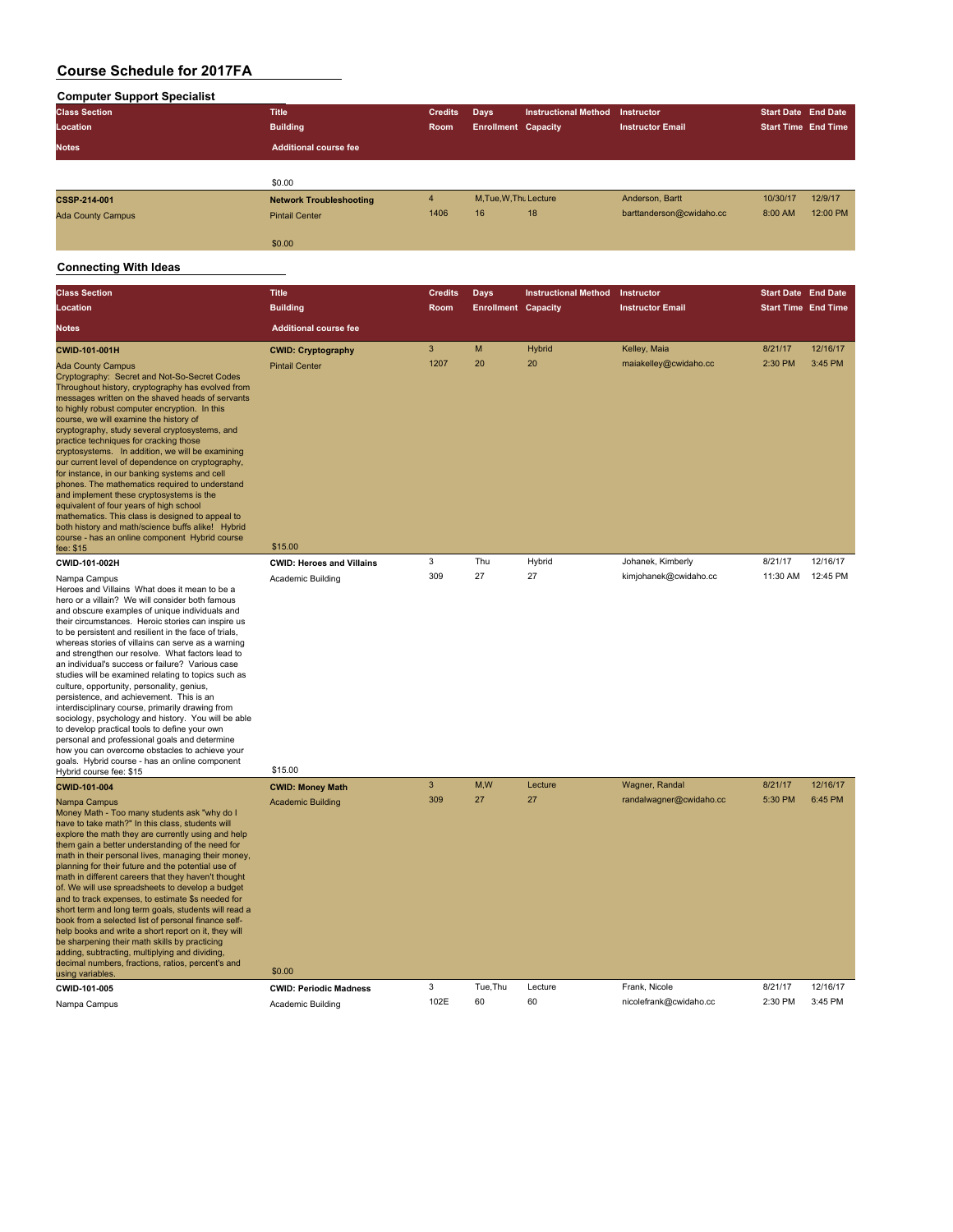| <b>Computer Support Specialist</b> |                                |                |                            |                             |                          |                            |          |
|------------------------------------|--------------------------------|----------------|----------------------------|-----------------------------|--------------------------|----------------------------|----------|
| <b>Class Section</b>               | <b>Title</b>                   | <b>Credits</b> | Days                       | <b>Instructional Method</b> | Instructor               | <b>Start Date End Date</b> |          |
| Location                           | <b>Building</b>                | Room           | <b>Enrollment Capacity</b> |                             | <b>Instructor Email</b>  | <b>Start Time End Time</b> |          |
| <b>Notes</b>                       | <b>Additional course fee</b>   |                |                            |                             |                          |                            |          |
|                                    |                                |                |                            |                             |                          |                            |          |
|                                    | \$0.00                         |                |                            |                             |                          |                            |          |
| <b>CSSP-214-001</b>                | <b>Network Troubleshooting</b> | $\overline{4}$ | M.Tue.W.Thu Lecture        |                             | Anderson, Bartt          | 10/30/17                   | 12/9/17  |
| <b>Ada County Campus</b>           | <b>Pintail Center</b>          | 1406           | 16                         | 18                          | barttanderson@cwidaho.cc | 8:00 AM                    | 12:00 PM |
|                                    | \$0.00                         |                |                            |                             |                          |                            |          |

| <b>Class Section</b>                                                                                                          | <b>Title</b>                     | <b>Credits</b> |                                    |                             | Instructor              | <b>Start Date End Date</b> |                     |
|-------------------------------------------------------------------------------------------------------------------------------|----------------------------------|----------------|------------------------------------|-----------------------------|-------------------------|----------------------------|---------------------|
| Location                                                                                                                      | <b>Building</b>                  | Room           | Days<br><b>Enrollment Capacity</b> | <b>Instructional Method</b> | <b>Instructor Email</b> | <b>Start Time End Time</b> |                     |
| <b>Notes</b>                                                                                                                  | <b>Additional course fee</b>     |                |                                    |                             |                         |                            |                     |
|                                                                                                                               |                                  |                |                                    |                             |                         |                            |                     |
| <b>CWID-101-001H</b>                                                                                                          | <b>CWID: Cryptography</b>        | 3<br>1207      | M<br>20                            | <b>Hybrid</b><br>20         | Kelley, Maia            | 8/21/17<br>2:30 PM         | 12/16/17<br>3:45 PM |
| <b>Ada County Campus</b><br>Cryptography: Secret and Not-So-Secret Codes<br>Throughout history, cryptography has evolved from | <b>Pintail Center</b>            |                |                                    |                             | maiakelley@cwidaho.cc   |                            |                     |
| messages written on the shaved heads of servants                                                                              |                                  |                |                                    |                             |                         |                            |                     |
| to highly robust computer encryption. In this<br>course, we will examine the history of                                       |                                  |                |                                    |                             |                         |                            |                     |
| cryptography, study several cryptosystems, and<br>practice techniques for cracking those                                      |                                  |                |                                    |                             |                         |                            |                     |
| cryptosystems. In addition, we will be examining                                                                              |                                  |                |                                    |                             |                         |                            |                     |
| our current level of dependence on cryptography,<br>for instance, in our banking systems and cell                             |                                  |                |                                    |                             |                         |                            |                     |
| phones. The mathematics required to understand<br>and implement these cryptosystems is the                                    |                                  |                |                                    |                             |                         |                            |                     |
| equivalent of four years of high school                                                                                       |                                  |                |                                    |                             |                         |                            |                     |
| mathematics. This class is designed to appeal to<br>both history and math/science buffs alike! Hybrid                         |                                  |                |                                    |                             |                         |                            |                     |
| course - has an online component Hybrid course<br>fee: \$15                                                                   | \$15.00                          |                |                                    |                             |                         |                            |                     |
| CWID-101-002H                                                                                                                 | <b>CWID: Heroes and Villains</b> | 3              | Thu                                | Hybrid                      | Johanek, Kimberly       | 8/21/17                    | 12/16/17            |
| Nampa Campus                                                                                                                  | Academic Building                | 309            | 27                                 | 27                          | kimjohanek@cwidaho.cc   | 11:30 AM                   | 12:45 PM            |
| Heroes and Villains What does it mean to be a<br>hero or a villain? We will consider both famous                              |                                  |                |                                    |                             |                         |                            |                     |
| and obscure examples of unique individuals and                                                                                |                                  |                |                                    |                             |                         |                            |                     |
| their circumstances. Heroic stories can inspire us<br>to be persistent and resilient in the face of trials,                   |                                  |                |                                    |                             |                         |                            |                     |
| whereas stories of villains can serve as a warning<br>and strengthen our resolve. What factors lead to                        |                                  |                |                                    |                             |                         |                            |                     |
| an individual's success or failure? Various case                                                                              |                                  |                |                                    |                             |                         |                            |                     |
| studies will be examined relating to topics such as<br>culture, opportunity, personality, genius,                             |                                  |                |                                    |                             |                         |                            |                     |
| persistence, and achievement. This is an<br>interdisciplinary course, primarily drawing from                                  |                                  |                |                                    |                             |                         |                            |                     |
| sociology, psychology and history. You will be able                                                                           |                                  |                |                                    |                             |                         |                            |                     |
| to develop practical tools to define your own<br>personal and professional goals and determine                                |                                  |                |                                    |                             |                         |                            |                     |
| how you can overcome obstacles to achieve your<br>goals. Hybrid course - has an online component                              |                                  |                |                                    |                             |                         |                            |                     |
| Hybrid course fee: \$15                                                                                                       | \$15.00                          |                |                                    |                             |                         |                            |                     |
| CWID-101-004                                                                                                                  | <b>CWID: Money Math</b>          | $\mathbf{3}$   | M,W                                | Lecture                     | Wagner, Randal          | 8/21/17                    | 12/16/17            |
| Nampa Campus<br>Money Math - Too many students ask "why do I                                                                  | <b>Academic Building</b>         | 309            | 27                                 | 27                          | randalwagner@cwidaho.cc | 5:30 PM                    | 6:45 PM             |
| have to take math?" In this class, students will                                                                              |                                  |                |                                    |                             |                         |                            |                     |
| explore the math they are currently using and help<br>them gain a better understanding of the need for                        |                                  |                |                                    |                             |                         |                            |                     |
| math in their personal lives, managing their money,<br>planning for their future and the potential use of                     |                                  |                |                                    |                             |                         |                            |                     |
| math in different careers that they haven't thought                                                                           |                                  |                |                                    |                             |                         |                            |                     |
| of. We will use spreadsheets to develop a budget<br>and to track expenses, to estimate \$s needed for                         |                                  |                |                                    |                             |                         |                            |                     |
| short term and long term goals, students will read a<br>book from a selected list of personal finance self-                   |                                  |                |                                    |                             |                         |                            |                     |
| help books and write a short report on it, they will                                                                          |                                  |                |                                    |                             |                         |                            |                     |
| be sharpening their math skills by practicing<br>adding, subtracting, multiplying and dividing,                               |                                  |                |                                    |                             |                         |                            |                     |
| decimal numbers, fractions, ratios, percent's and<br>using variables.                                                         | \$0.00                           |                |                                    |                             |                         |                            |                     |
| CWID-101-005                                                                                                                  | <b>CWID: Periodic Madness</b>    | 3              | Tue, Thu                           | Lecture                     | Frank, Nicole           | 8/21/17                    | 12/16/17            |
| Nampa Campus                                                                                                                  | Academic Building                | 102E           | 60                                 | 60                          | nicolefrank@cwidaho.cc  | 2:30 PM                    | 3:45 PM             |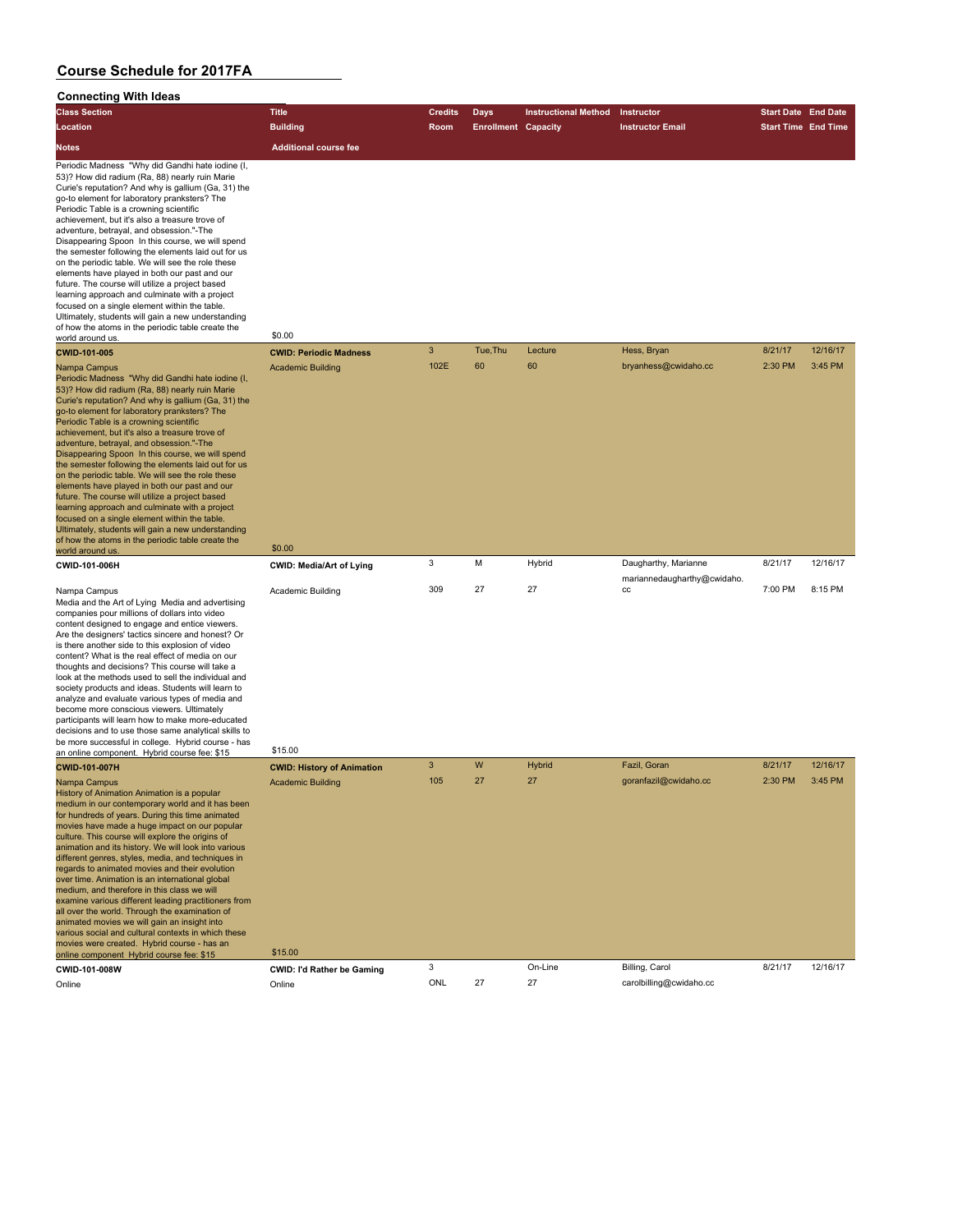| <b>Class Section</b>                                                                                                                                                                                                                                                                                                                                                                                                                                                                                                                                                                                                                                                                                                                                                                                                                                                     | <b>Title</b>                        | <b>Credits</b> | Days                       | <b>Instructional Method</b> | Instructor                        | <b>Start Date End Date</b> |          |
|--------------------------------------------------------------------------------------------------------------------------------------------------------------------------------------------------------------------------------------------------------------------------------------------------------------------------------------------------------------------------------------------------------------------------------------------------------------------------------------------------------------------------------------------------------------------------------------------------------------------------------------------------------------------------------------------------------------------------------------------------------------------------------------------------------------------------------------------------------------------------|-------------------------------------|----------------|----------------------------|-----------------------------|-----------------------------------|----------------------------|----------|
| Location                                                                                                                                                                                                                                                                                                                                                                                                                                                                                                                                                                                                                                                                                                                                                                                                                                                                 | <b>Building</b>                     | Room           | <b>Enrollment Capacity</b> |                             | <b>Instructor Email</b>           | <b>Start Time End Time</b> |          |
| <b>Notes</b>                                                                                                                                                                                                                                                                                                                                                                                                                                                                                                                                                                                                                                                                                                                                                                                                                                                             | <b>Additional course fee</b>        |                |                            |                             |                                   |                            |          |
| Periodic Madness "Why did Gandhi hate iodine (I,<br>53)? How did radium (Ra, 88) nearly ruin Marie<br>Curie's reputation? And why is gallium (Ga, 31) the<br>go-to element for laboratory pranksters? The<br>Periodic Table is a crowning scientific<br>achievement, but it's also a treasure trove of<br>adventure, betrayal, and obsession."-The<br>Disappearing Spoon In this course, we will spend<br>the semester following the elements laid out for us<br>on the periodic table. We will see the role these<br>elements have played in both our past and our<br>future. The course will utilize a project based<br>learning approach and culminate with a project<br>focused on a single element within the table.<br>Ultimately, students will gain a new understanding<br>of how the atoms in the periodic table create the<br>world around us.                 | \$0.00                              |                |                            |                             |                                   |                            |          |
| <b>CWID-101-005</b>                                                                                                                                                                                                                                                                                                                                                                                                                                                                                                                                                                                                                                                                                                                                                                                                                                                      | <b>CWID: Periodic Madness</b>       | 3              | Tue, Thu                   | Lecture                     | Hess, Bryan                       | 8/21/17                    | 12/16/17 |
| Nampa Campus<br>Periodic Madness "Why did Gandhi hate iodine (I,<br>53)? How did radium (Ra, 88) nearly ruin Marie<br>Curie's reputation? And why is gallium (Ga, 31) the<br>go-to element for laboratory pranksters? The<br>Periodic Table is a crowning scientific<br>achievement, but it's also a treasure trove of<br>adventure, betrayal, and obsession."-The<br>Disappearing Spoon In this course, we will spend<br>the semester following the elements laid out for us<br>on the periodic table. We will see the role these<br>elements have played in both our past and our<br>future. The course will utilize a project based<br>learning approach and culminate with a project<br>focused on a single element within the table.<br>Ultimately, students will gain a new understanding<br>of how the atoms in the periodic table create the<br>world around us. | <b>Academic Building</b><br>\$0.00  | 102E           | 60                         | 60                          | bryanhess@cwidaho.cc              | 2:30 PM                    | 3:45 PM  |
| CWID-101-006H                                                                                                                                                                                                                                                                                                                                                                                                                                                                                                                                                                                                                                                                                                                                                                                                                                                            | CWID: Media/Art of Lying            | 3              | M                          | Hybrid                      | Daugharthy, Marianne              | 8/21/17                    | 12/16/17 |
| Nampa Campus<br>Media and the Art of Lying Media and advertising<br>companies pour millions of dollars into video<br>content designed to engage and entice viewers.<br>Are the designers' tactics sincere and honest? Or<br>is there another side to this explosion of video<br>content? What is the real effect of media on our<br>thoughts and decisions? This course will take a<br>look at the methods used to sell the individual and<br>society products and ideas. Students will learn to<br>analyze and evaluate various types of media and<br>become more conscious viewers. Ultimately<br>participants will learn how to make more-educated<br>decisions and to use those same analytical skills to<br>be more successful in college. Hybrid course - has<br>an online component. Hybrid course fee: \$15                                                      | Academic Building<br>\$15.00        | 309            | 27                         | 27                          | mariannedaugharthy@cwidaho.<br>CC | 7:00 PM                    | 8:15 PM  |
| CWID-101-007H                                                                                                                                                                                                                                                                                                                                                                                                                                                                                                                                                                                                                                                                                                                                                                                                                                                            | <b>CWID: History of Animation</b>   | 3              | W                          | <b>Hybrid</b>               | Fazil, Goran                      | 8/21/17                    | 12/16/17 |
| Nampa Campus<br>History of Animation Animation is a popular<br>medium in our contemporary world and it has been<br>for hundreds of years. During this time animated<br>movies have made a huge impact on our popular<br>culture. This course will explore the origins of<br>animation and its history. We will look into various<br>different genres, styles, media, and techniques in<br>regards to animated movies and their evolution<br>over time. Animation is an international global<br>medium, and therefore in this class we will<br>examine various different leading practitioners from<br>all over the world. Through the examination of<br>animated movies we will gain an insight into<br>various social and cultural contexts in which these<br>movies were created. Hybrid course - has an<br>online component Hybrid course fee: \$15                   | <b>Academic Building</b><br>\$15.00 | 105            | 27                         | 27                          | goranfazil@cwidaho.cc             | 2:30 PM                    | 3:45 PM  |
| CWID-101-008W                                                                                                                                                                                                                                                                                                                                                                                                                                                                                                                                                                                                                                                                                                                                                                                                                                                            | <b>CWID: I'd Rather be Gaming</b>   | 3              |                            | On-Line                     | Billing, Carol                    | 8/21/17                    | 12/16/17 |
| Online                                                                                                                                                                                                                                                                                                                                                                                                                                                                                                                                                                                                                                                                                                                                                                                                                                                                   | Online                              | ONL            | 27                         | 27                          | carolbilling@cwidaho.cc           |                            |          |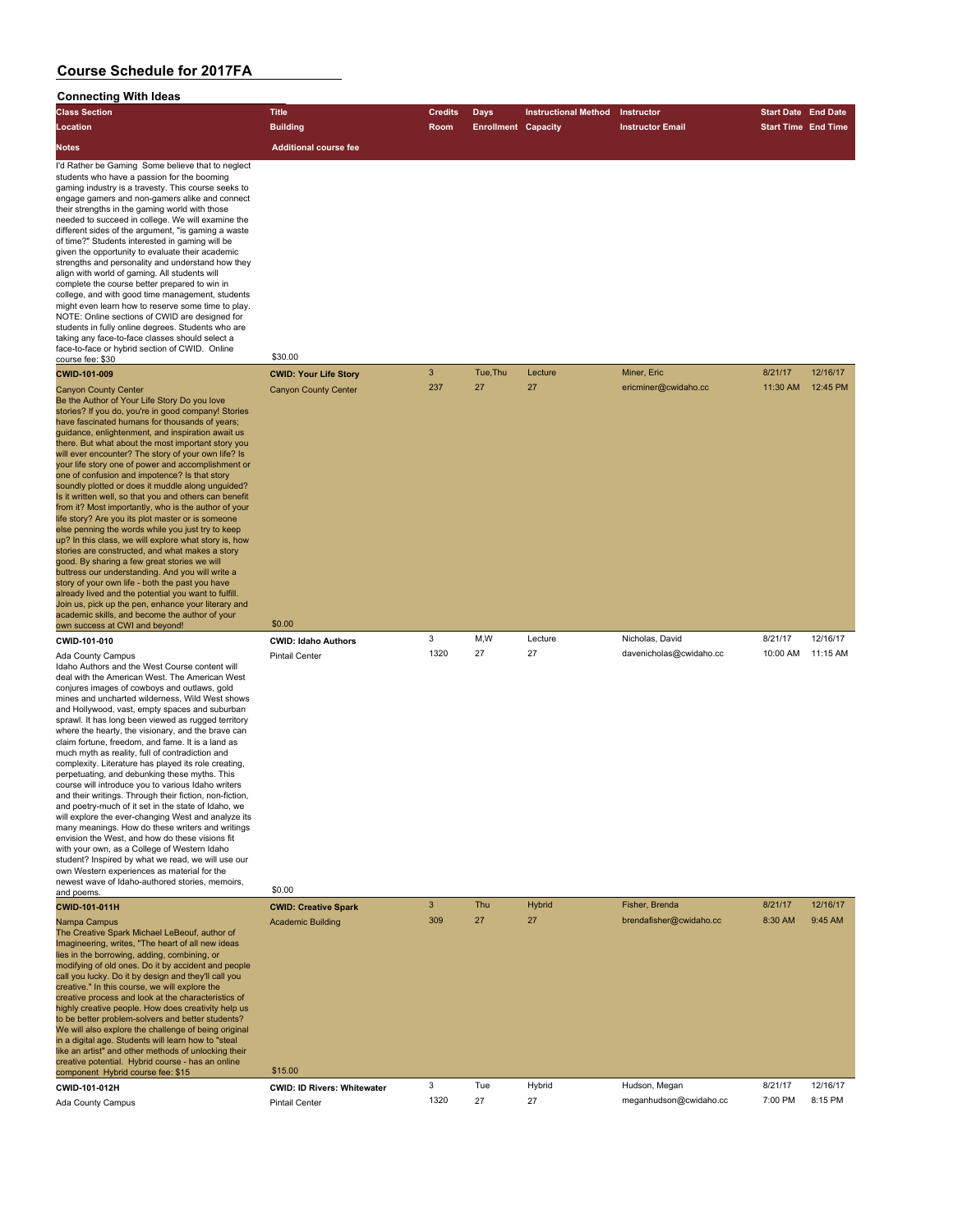| <b>Connecting With ideas</b>                                                                                                                                                                                                                                                                                                                                                                                                                                                                                                                                                                                                                                                                                                                                                                                                                                                                                                                                                                                                                                                                                                                                                                                                                                                                                                                                                                                                                                                                                           |                                                                        |                |                            |                             |                                     |                            |                      |
|------------------------------------------------------------------------------------------------------------------------------------------------------------------------------------------------------------------------------------------------------------------------------------------------------------------------------------------------------------------------------------------------------------------------------------------------------------------------------------------------------------------------------------------------------------------------------------------------------------------------------------------------------------------------------------------------------------------------------------------------------------------------------------------------------------------------------------------------------------------------------------------------------------------------------------------------------------------------------------------------------------------------------------------------------------------------------------------------------------------------------------------------------------------------------------------------------------------------------------------------------------------------------------------------------------------------------------------------------------------------------------------------------------------------------------------------------------------------------------------------------------------------|------------------------------------------------------------------------|----------------|----------------------------|-----------------------------|-------------------------------------|----------------------------|----------------------|
| <b>Class Section</b>                                                                                                                                                                                                                                                                                                                                                                                                                                                                                                                                                                                                                                                                                                                                                                                                                                                                                                                                                                                                                                                                                                                                                                                                                                                                                                                                                                                                                                                                                                   | <b>Title</b>                                                           | <b>Credits</b> | <b>Days</b>                | <b>Instructional Method</b> | Instructor                          | <b>Start Date End Date</b> |                      |
| Location                                                                                                                                                                                                                                                                                                                                                                                                                                                                                                                                                                                                                                                                                                                                                                                                                                                                                                                                                                                                                                                                                                                                                                                                                                                                                                                                                                                                                                                                                                               | <b>Building</b>                                                        | Room           | <b>Enrollment Capacity</b> |                             | <b>Instructor Email</b>             | <b>Start Time End Time</b> |                      |
| <b>Notes</b>                                                                                                                                                                                                                                                                                                                                                                                                                                                                                                                                                                                                                                                                                                                                                                                                                                                                                                                                                                                                                                                                                                                                                                                                                                                                                                                                                                                                                                                                                                           | <b>Additional course fee</b>                                           |                |                            |                             |                                     |                            |                      |
| I'd Rather be Gaming Some believe that to neglect<br>students who have a passion for the booming<br>gaming industry is a travesty. This course seeks to<br>engage gamers and non-gamers alike and connect<br>their strengths in the gaming world with those<br>needed to succeed in college. We will examine the<br>different sides of the argument, "is gaming a waste<br>of time?" Students interested in gaming will be<br>given the opportunity to evaluate their academic<br>strengths and personality and understand how they<br>align with world of gaming. All students will<br>complete the course better prepared to win in<br>college, and with good time management, students<br>might even learn how to reserve some time to play.<br>NOTE: Online sections of CWID are designed for<br>students in fully online degrees. Students who are<br>taking any face-to-face classes should select a<br>face-to-face or hybrid section of CWID. Online<br>course fee: \$30<br>CWID-101-009<br><b>Canyon County Center</b><br>Be the Author of Your Life Story Do you love<br>stories? If you do, you're in good company! Stories<br>have fascinated humans for thousands of years;<br>guidance, enlightenment, and inspiration await us<br>there. But what about the most important story you<br>will ever encounter? The story of your own life? Is<br>your life story one of power and accomplishment or<br>one of confusion and impotence? Is that story<br>soundly plotted or does it muddle along unguided? | \$30.00<br><b>CWID: Your Life Story</b><br><b>Canyon County Center</b> | 3<br>237       | Tue, Thu<br>27             | Lecture<br>27               | Miner, Eric<br>ericminer@cwidaho.cc | 8/21/17<br>11:30 AM        | 12/16/17<br>12:45 PM |
| Is it written well, so that you and others can benefit<br>from it? Most importantly, who is the author of your<br>life story? Are you its plot master or is someone<br>else penning the words while you just try to keep<br>up? In this class, we will explore what story is, how<br>stories are constructed, and what makes a story<br>good. By sharing a few great stories we will<br>buttress our understanding. And you will write a<br>story of your own life - both the past you have<br>already lived and the potential you want to fulfill.<br>Join us, pick up the pen, enhance your literary and<br>academic skills, and become the author of your<br>own success at CWI and beyond!                                                                                                                                                                                                                                                                                                                                                                                                                                                                                                                                                                                                                                                                                                                                                                                                                         | \$0.00                                                                 |                |                            |                             |                                     |                            |                      |
| CWID-101-010                                                                                                                                                                                                                                                                                                                                                                                                                                                                                                                                                                                                                                                                                                                                                                                                                                                                                                                                                                                                                                                                                                                                                                                                                                                                                                                                                                                                                                                                                                           | <b>CWID: Idaho Authors</b>                                             | 3              | M,W                        | Lecture                     | Nicholas, David                     | 8/21/17                    | 12/16/17             |
| Ada County Campus<br>Idaho Authors and the West Course content will<br>deal with the American West. The American West<br>conjures images of cowboys and outlaws, gold<br>mines and uncharted wilderness, Wild West shows<br>and Hollywood, vast, empty spaces and suburban<br>sprawl. It has long been viewed as rugged territory<br>where the hearty, the visionary, and the brave can<br>claim fortune, freedom, and fame. It is a land as<br>much myth as reality, full of contradiction and<br>complexity. Literature has played its role creating,<br>perpetuating, and debunking these myths. This<br>course will introduce you to various Idaho writers<br>and their writings. Through their fiction, non-fiction,<br>and poetry-much of it set in the state of Idaho, we<br>will explore the ever-changing West and analyze its<br>many meanings. How do these writers and writings<br>envision the West, and how do these visions fit<br>with your own, as a College of Western Idaho<br>student? Inspired by what we read, we will use our<br>own Western experiences as material for the<br>newest wave of Idaho-authored stories, memoirs,                                                                                                                                                                                                                                                                                                                                                                 | <b>Pintail Center</b>                                                  | 1320           | 27                         | 27                          | davenicholas@cwidaho.cc             | 10:00 AM                   | 11:15 AM             |
| and poems.                                                                                                                                                                                                                                                                                                                                                                                                                                                                                                                                                                                                                                                                                                                                                                                                                                                                                                                                                                                                                                                                                                                                                                                                                                                                                                                                                                                                                                                                                                             | \$0.00                                                                 |                |                            |                             |                                     |                            |                      |
| CWID-101-011H                                                                                                                                                                                                                                                                                                                                                                                                                                                                                                                                                                                                                                                                                                                                                                                                                                                                                                                                                                                                                                                                                                                                                                                                                                                                                                                                                                                                                                                                                                          | <b>CWID: Creative Spark</b>                                            | 3              | Thu                        | <b>Hybrid</b>               | Fisher, Brenda                      | 8/21/17                    | 12/16/17             |
| Nampa Campus<br>The Creative Spark Michael LeBeouf, author of<br>Imagineering, writes, "The heart of all new ideas<br>lies in the borrowing, adding, combining, or<br>modifying of old ones. Do it by accident and people<br>call you lucky. Do it by design and they'll call you<br>creative." In this course, we will explore the<br>creative process and look at the characteristics of<br>highly creative people. How does creativity help us<br>to be better problem-solvers and better students?<br>We will also explore the challenge of being original<br>in a digital age. Students will learn how to "steal<br>like an artist" and other methods of unlocking their<br>creative potential. Hybrid course - has an online                                                                                                                                                                                                                                                                                                                                                                                                                                                                                                                                                                                                                                                                                                                                                                                     | <b>Academic Building</b>                                               | 309            | 27                         | 27                          | brendafisher@cwidaho.cc             | 8:30 AM                    | 9:45 AM              |
| component Hybrid course fee: \$15<br>CWID-101-012H                                                                                                                                                                                                                                                                                                                                                                                                                                                                                                                                                                                                                                                                                                                                                                                                                                                                                                                                                                                                                                                                                                                                                                                                                                                                                                                                                                                                                                                                     | \$15.00<br><b>CWID: ID Rivers: Whitewater</b>                          | 3              | Tue                        | Hybrid                      | Hudson, Megan                       | 8/21/17                    | 12/16/17             |
| Ada County Campus                                                                                                                                                                                                                                                                                                                                                                                                                                                                                                                                                                                                                                                                                                                                                                                                                                                                                                                                                                                                                                                                                                                                                                                                                                                                                                                                                                                                                                                                                                      | <b>Pintail Center</b>                                                  | 1320           | 27                         | 27                          | meganhudson@cwidaho.cc              | 7:00 PM                    | 8:15 PM              |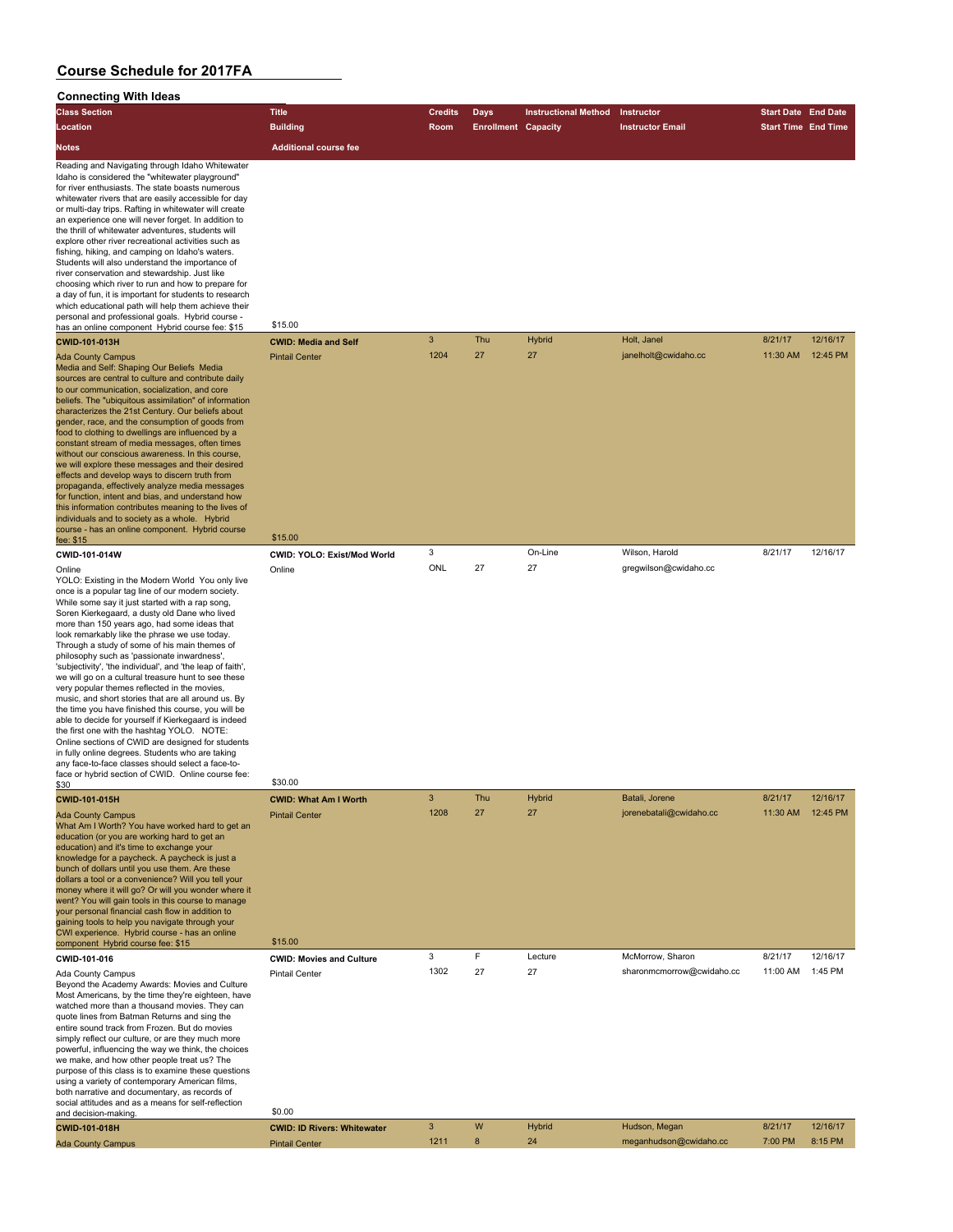| <b>Connecting With Ideas</b>                                                                                                                                                                                                                                                                                                                                                                                                                                                                                                                                                                                                                                                                                                                                                                                                                                                                    |                                  |                |                            |                             |                         |                            |          |
|-------------------------------------------------------------------------------------------------------------------------------------------------------------------------------------------------------------------------------------------------------------------------------------------------------------------------------------------------------------------------------------------------------------------------------------------------------------------------------------------------------------------------------------------------------------------------------------------------------------------------------------------------------------------------------------------------------------------------------------------------------------------------------------------------------------------------------------------------------------------------------------------------|----------------------------------|----------------|----------------------------|-----------------------------|-------------------------|----------------------------|----------|
| <b>Class Section</b>                                                                                                                                                                                                                                                                                                                                                                                                                                                                                                                                                                                                                                                                                                                                                                                                                                                                            | <b>Title</b>                     | <b>Credits</b> | Days                       | <b>Instructional Method</b> | <b>Instructor</b>       | <b>Start Date End Date</b> |          |
| Location                                                                                                                                                                                                                                                                                                                                                                                                                                                                                                                                                                                                                                                                                                                                                                                                                                                                                        | <b>Building</b>                  | Room           | <b>Enrollment Capacity</b> |                             | <b>Instructor Email</b> | <b>Start Time End Time</b> |          |
| <b>Notes</b>                                                                                                                                                                                                                                                                                                                                                                                                                                                                                                                                                                                                                                                                                                                                                                                                                                                                                    | <b>Additional course fee</b>     |                |                            |                             |                         |                            |          |
| Reading and Navigating through Idaho Whitewater<br>Idaho is considered the "whitewater playground"<br>for river enthusiasts. The state boasts numerous<br>whitewater rivers that are easily accessible for day<br>or multi-day trips. Rafting in whitewater will create<br>an experience one will never forget. In addition to<br>the thrill of whitewater adventures, students will<br>explore other river recreational activities such as<br>fishing, hiking, and camping on Idaho's waters.<br>Students will also understand the importance of<br>river conservation and stewardship. Just like<br>choosing which river to run and how to prepare for<br>a day of fun, it is important for students to research<br>which educational path will help them achieve their<br>personal and professional goals. Hybrid course -<br>has an online component Hybrid course fee: \$15                | \$15.00                          |                |                            |                             |                         |                            |          |
| CWID-101-013H                                                                                                                                                                                                                                                                                                                                                                                                                                                                                                                                                                                                                                                                                                                                                                                                                                                                                   | <b>CWID: Media and Self</b>      | 3              | Thu                        | Hybrid                      | Holt. Janel             | 8/21/17                    | 12/16/17 |
| <b>Ada County Campus</b><br>Media and Self: Shaping Our Beliefs Media<br>sources are central to culture and contribute daily<br>to our communication, socialization, and core<br>beliefs. The "ubiquitous assimilation" of information<br>characterizes the 21st Century. Our beliefs about<br>gender, race, and the consumption of goods from<br>food to clothing to dwellings are influenced by a<br>constant stream of media messages, often times<br>without our conscious awareness. In this course,<br>we will explore these messages and their desired<br>effects and develop ways to discern truth from<br>propaganda, effectively analyze media messages<br>for function, intent and bias, and understand how<br>this information contributes meaning to the lives of<br>individuals and to society as a whole. Hybrid<br>course - has an online component. Hybrid course<br>fee: \$15 | <b>Pintail Center</b><br>\$15.00 | 1204           | 27                         | 27                          | janelholt@cwidaho.cc    | 11:30 AM                   | 12:45 PM |

# **CWID-101-014W CWID: YOLO: Exist/Mod World** 3 On-Line Wilson, Harold 8/21/17 12/16/17<br>
Conline Online ONL 27 27 gregwilson@cwidaho.cc

Online Online ONL 27 27 gregwilson@cwidaho.cc

YOLO: Existing in the Modern World You only live once is a popular tag line of our modern society. While some say it just started with a rap song, Soren Kierkegaard, a dusty old Dane who lived more than 150 years ago, had some ideas that look remarkably like the phrase we use today. Through a study of some of his main themes of philosophy such as 'passionate inwardness', 'subjectivity', 'the individual', and 'the leap of faith', we will go on a cultural treasure hunt to see these very popular themes reflected in the movies, music, and short stories that are all around us. By the time you have finished this course, you will be able to decide for yourself if Kierkegaard is indeed the first one with the hashtag YOLO. NOTE: Online sections of CWID are designed for students in fully online degrees. Students who are taking any face-to-face classes should select a face-toface or hybrid section of CWID. Online course fee:

**\$30.00** \$30.00 **CWID-101-015H CWID: What Am I Worth** 3 Thu Hybrid Batali, Jorene 8/21/17 12/16/17<br>
Ada County Campus Pintail Center 1208 27 27 interviewed and the Pintail Center 11:30 AM 12:45 PM Ada County Campus **11:30 AM 12:45 PM 12:45 PM 12:45 PM 12:45 PM** 12:45 PM 12:45 PM 12:45 PM 12:45 PM 12:45 PM 12:45 PM What Am I Worth? You have worked hard to get an education (or you are working hard to get an education) and it's time to exchange your knowledge for a paycheck. A paycheck is just a bunch of dollars until you use them. Are these dollars a tool or a convenience? Will you tell your money where it will go? Or will you wonder where it went? You will gain tools in this course to manage your personal financial cash flow in addition to gaining tools to help you navigate through your CWI experience. Hybrid course - has an online component Hybrid course fee: \$15 \$15.00 **CWID-101-016 CWID: Movies and Culture** 3 F Lecture McMorrow, Sharon 8/21/17 12/16/17 Ada County Campus **11:00 AM** 1:45 PM Pintail Center 1302 27 27 27 sharonmcmorrow@cwidaho.cc 11:00 AM 1:45 PM Beyond the Academy Awards: Movies and Culture Most Americans, by the time they're eighteen, have watched more than a thousand movies. They can quote lines from Batman Returns and sing the entire sound track from Frozen. But do movies simply reflect our culture, or are they much more powerful, influencing the way we think, the choices we make, and how other people treat us? The purpose of this class is to examine these questions using a variety of contemporary American films, both narrative and documentary, as records of social attitudes and as a means for self-reflection and decision-making. \$0.00 **CWID-101-018H CWID: ID Rivers: Whitewater** 3 W Hybrid Hudson, Megan 8/21/17 12/16/17 Ada County Campus **Ada County Campus** Pintail Center 1211 8 24 meganhudson@cwidaho.cc 7:00 PM 8:15 PM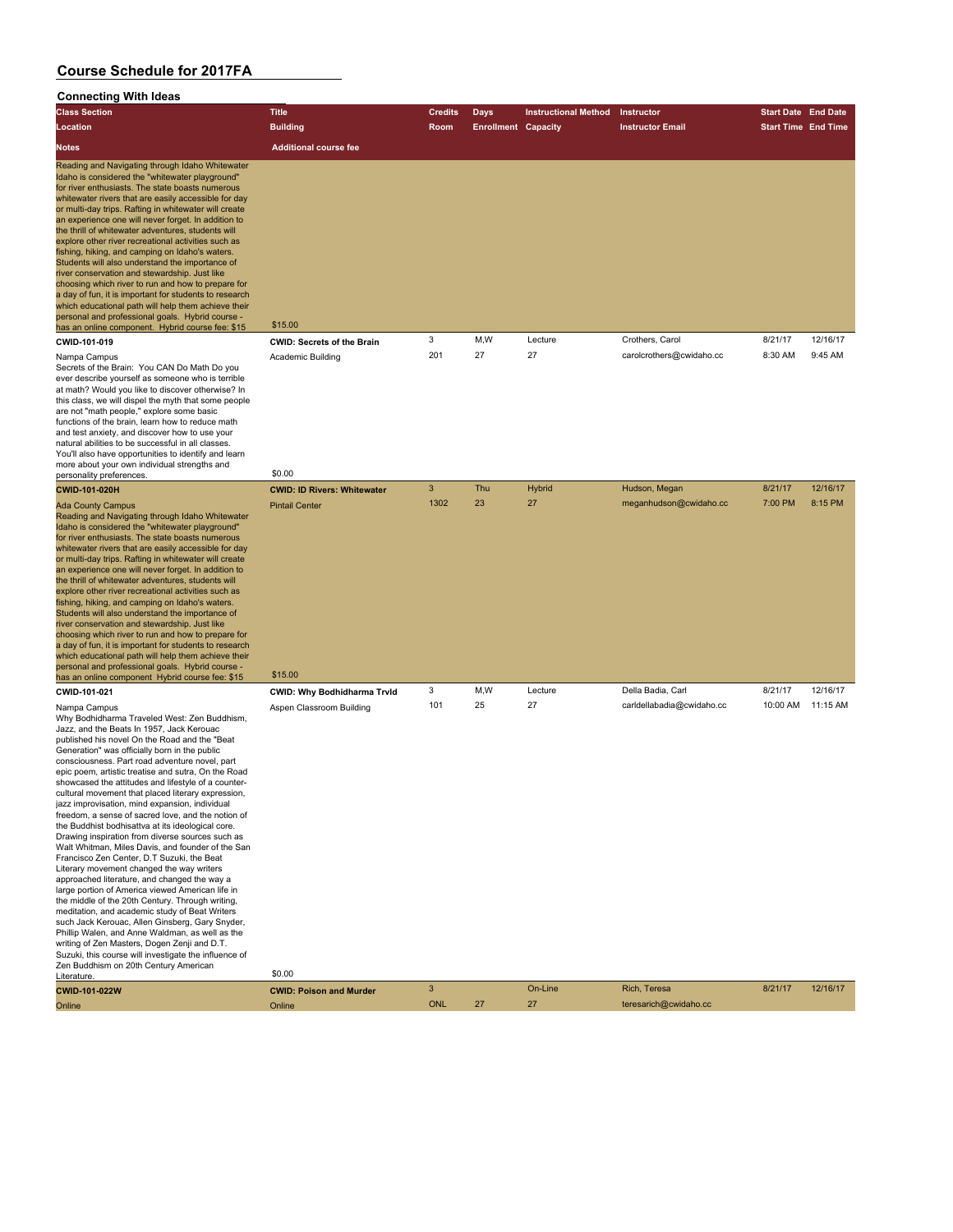#### **Connecting With Ideas**

| <b>Class Section</b>                                                                                                                                                                                                                                                                                                                                                                                                                                                                                                                                                                                                                                                                                                                                                                                                                                                              | <b>Title</b>                      | <b>Credits</b> | <b>Days</b>                | <b>Instructional Method</b> | <b>Instructor</b>        | <b>Start Date</b> End Date |          |
|-----------------------------------------------------------------------------------------------------------------------------------------------------------------------------------------------------------------------------------------------------------------------------------------------------------------------------------------------------------------------------------------------------------------------------------------------------------------------------------------------------------------------------------------------------------------------------------------------------------------------------------------------------------------------------------------------------------------------------------------------------------------------------------------------------------------------------------------------------------------------------------|-----------------------------------|----------------|----------------------------|-----------------------------|--------------------------|----------------------------|----------|
| Location                                                                                                                                                                                                                                                                                                                                                                                                                                                                                                                                                                                                                                                                                                                                                                                                                                                                          | <b>Building</b>                   | <b>Room</b>    | <b>Enrollment Capacity</b> |                             | <b>Instructor Email</b>  | <b>Start Time End Time</b> |          |
| <b>Notes</b>                                                                                                                                                                                                                                                                                                                                                                                                                                                                                                                                                                                                                                                                                                                                                                                                                                                                      | <b>Additional course fee</b>      |                |                            |                             |                          |                            |          |
| Reading and Navigating through Idaho Whitewater<br>Idaho is considered the "whitewater playground"<br>for river enthusiasts. The state boasts numerous<br>whitewater rivers that are easily accessible for day<br>or multi-day trips. Rafting in whitewater will create<br>an experience one will never forget. In addition to<br>the thrill of whitewater adventures, students will<br>explore other river recreational activities such as<br>fishing, hiking, and camping on Idaho's waters.<br>Students will also understand the importance of<br>river conservation and stewardship. Just like<br>choosing which river to run and how to prepare for<br>a day of fun, it is important for students to research<br>which educational path will help them achieve their<br>personal and professional goals. Hybrid course -<br>has an online component. Hybrid course fee: \$15 | \$15.00                           |                |                            |                             |                          |                            |          |
| CWID-101-019                                                                                                                                                                                                                                                                                                                                                                                                                                                                                                                                                                                                                                                                                                                                                                                                                                                                      | <b>CWID: Secrets of the Brain</b> | 3              | M.W                        | Lecture                     | Crothers, Carol          | 8/21/17                    | 12/16/17 |
| Nampa Campus<br>Secrets of the Brain: You CAN Do Math Do you<br>ever describe yourself as someone who is terrible<br>at math? Would you like to discover otherwise? In<br>this class, we will dispel the myth that some people<br>are not "math people," explore some basic                                                                                                                                                                                                                                                                                                                                                                                                                                                                                                                                                                                                       | Academic Building                 | 201            | 27                         | 27                          | carolcrothers@cwidaho.cc | 8:30 AM                    | 9:45 AM  |

functions of the brain, learn how to reduce math and test anxiety, and discover how to use your natural abilities to be successful in all classes. You'll also have opportunities to identify and learn more about your own individual strengths and more about your own individual strengths and<br>personality preferences. \$0.00

| personality preferences.                                                                                                                                                                                                                                                                                                                                                                                                                                                                                                                                                                                                                                                                                                                                                                                                                                                                                     |                                    |      |     |         |                           |          |          |
|--------------------------------------------------------------------------------------------------------------------------------------------------------------------------------------------------------------------------------------------------------------------------------------------------------------------------------------------------------------------------------------------------------------------------------------------------------------------------------------------------------------------------------------------------------------------------------------------------------------------------------------------------------------------------------------------------------------------------------------------------------------------------------------------------------------------------------------------------------------------------------------------------------------|------------------------------------|------|-----|---------|---------------------------|----------|----------|
| <b>CWID-101-020H</b>                                                                                                                                                                                                                                                                                                                                                                                                                                                                                                                                                                                                                                                                                                                                                                                                                                                                                         | <b>CWID: ID Rivers: Whitewater</b> | 3    | Thu | Hybrid  | Hudson, Megan             | 8/21/17  | 12/16/17 |
| <b>Ada County Campus</b><br>Reading and Navigating through Idaho Whitewater<br>Idaho is considered the "whitewater playground"<br>for river enthusiasts. The state boasts numerous<br>whitewater rivers that are easily accessible for day<br>or multi-day trips. Rafting in whitewater will create<br>an experience one will never forget. In addition to<br>the thrill of whitewater adventures, students will<br>explore other river recreational activities such as<br>fishing, hiking, and camping on Idaho's waters.<br>Students will also understand the importance of<br>river conservation and stewardship. Just like<br>choosing which river to run and how to prepare for<br>a day of fun, it is important for students to research<br>which educational path will help them achieve their<br>personal and professional goals. Hybrid course -<br>has an online component Hybrid course fee: \$15 | <b>Pintail Center</b><br>\$15.00   | 1302 | 23  | 27      | meganhudson@cwidaho.cc    | 7:00 PM  | 8:15 PM  |
| CWID-101-021                                                                                                                                                                                                                                                                                                                                                                                                                                                                                                                                                                                                                                                                                                                                                                                                                                                                                                 | CWID: Why Bodhidharma Trvld        | 3    | M,W | Lecture | Della Badia, Carl         | 8/21/17  | 12/16/17 |
| Nampa Campus<br>Why Bodhidharma Traveled West: Zen Buddhism,<br>Jazz, and the Beats In 1957, Jack Kerouac<br>published his novel On the Road and the "Beat<br>Concretion" was efficially born in the public                                                                                                                                                                                                                                                                                                                                                                                                                                                                                                                                                                                                                                                                                                  | Aspen Classroom Building           | 101  | 25  | 27      | carldellabadia@cwidaho.cc | 10:00 AM | 11:15 AM |

Why Bodhidh Jazz, and the published his Generation" was officially born in the public consciousness. Part road adventure novel, part epic poem, artistic treatise and sutra, On the Road showcased the attitudes and lifestyle of a countercultural movement that placed literary expression, jazz improvisation, mind expansion, individual freedom, a sense of sacred love, and the notion of the Buddhist bodhisattva at its ideological core. Drawing inspiration from diverse sources such as Walt Whitman, Miles Davis, and founder of the San Francisco Zen Center, D.T Suzuki, the Beat Literary movement changed the way writers approached literature, and changed the way a large portion of America viewed American life in the middle of the 20th Century. Through writing, meditation, and academic study of Beat Writers

such Jack Kerouac, Allen Ginsberg, Gary Snyder, Phillip Walen, and Anne Waldman, as well as the writing of Zen Masters, Dogen Zenji and D.T.

| Suzuki, this course will investigate the influence of |                                |     |    |         |                       |         |          |
|-------------------------------------------------------|--------------------------------|-----|----|---------|-----------------------|---------|----------|
| Zen Buddhism on 20th Century American                 |                                |     |    |         |                       |         |          |
| Literature.                                           | \$0.00                         |     |    |         |                       |         |          |
| <b>CWID-101-022W</b>                                  | <b>CWID: Poison and Murder</b> |     |    | On-Line | Rich, Teresa          | 8/21/17 | 12/16/17 |
| Online                                                | Online                         | ONL | 27 |         | teresarich@cwidaho.cc |         |          |
|                                                       |                                |     |    |         |                       |         |          |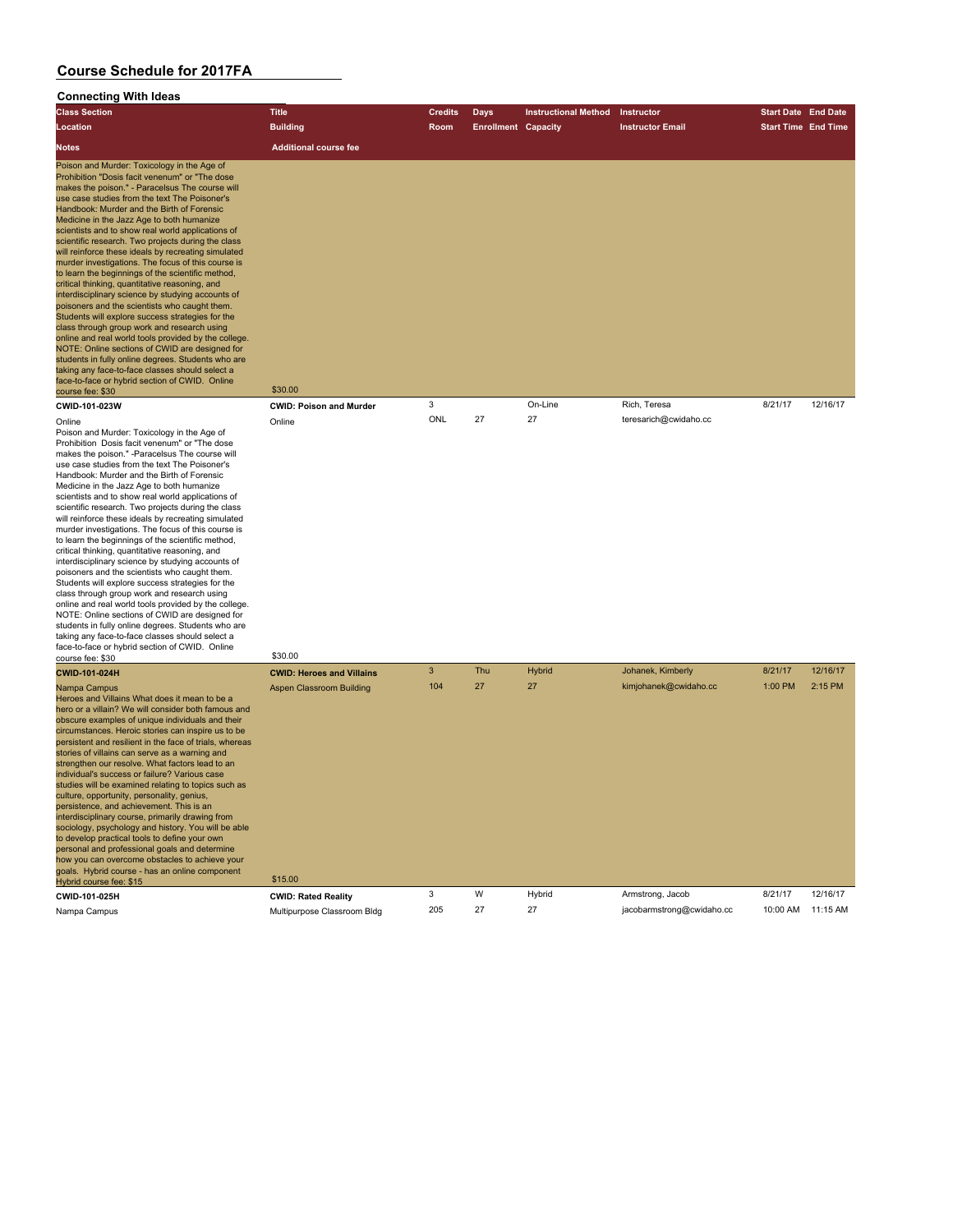| Connecting with ideas                                                                                                                                                                                                                                                                                                                                                                                                                                                                                                                                                                                                                                                                                                                                                                                                                                                                                                                                                                                                                                                                                                                 |                                            |                |                            |                             |                           |                            |          |
|---------------------------------------------------------------------------------------------------------------------------------------------------------------------------------------------------------------------------------------------------------------------------------------------------------------------------------------------------------------------------------------------------------------------------------------------------------------------------------------------------------------------------------------------------------------------------------------------------------------------------------------------------------------------------------------------------------------------------------------------------------------------------------------------------------------------------------------------------------------------------------------------------------------------------------------------------------------------------------------------------------------------------------------------------------------------------------------------------------------------------------------|--------------------------------------------|----------------|----------------------------|-----------------------------|---------------------------|----------------------------|----------|
| <b>Class Section</b>                                                                                                                                                                                                                                                                                                                                                                                                                                                                                                                                                                                                                                                                                                                                                                                                                                                                                                                                                                                                                                                                                                                  | <b>Title</b>                               | <b>Credits</b> | Days                       | <b>Instructional Method</b> | Instructor                | <b>Start Date End Date</b> |          |
| Location                                                                                                                                                                                                                                                                                                                                                                                                                                                                                                                                                                                                                                                                                                                                                                                                                                                                                                                                                                                                                                                                                                                              | <b>Building</b>                            | Room           | <b>Enrollment Capacity</b> |                             | <b>Instructor Email</b>   | <b>Start Time End Time</b> |          |
| Notes                                                                                                                                                                                                                                                                                                                                                                                                                                                                                                                                                                                                                                                                                                                                                                                                                                                                                                                                                                                                                                                                                                                                 | <b>Additional course fee</b>               |                |                            |                             |                           |                            |          |
| Poison and Murder: Toxicology in the Age of<br>Prohibition "Dosis facit venenum" or "The dose<br>makes the poison." - Paracelsus The course will<br>use case studies from the text The Poisoner's<br>Handbook: Murder and the Birth of Forensic<br>Medicine in the Jazz Age to both humanize<br>scientists and to show real world applications of<br>scientific research. Two projects during the class<br>will reinforce these ideals by recreating simulated<br>murder investigations. The focus of this course is<br>to learn the beginnings of the scientific method,<br>critical thinking, quantitative reasoning, and<br>interdisciplinary science by studying accounts of<br>poisoners and the scientists who caught them.<br>Students will explore success strategies for the<br>class through group work and research using<br>online and real world tools provided by the college.<br>NOTE: Online sections of CWID are designed for<br>students in fully online degrees. Students who are<br>taking any face-to-face classes should select a<br>face-to-face or hybrid section of CWID. Online<br>course fee: \$30         | \$30.00                                    |                |                            |                             |                           |                            |          |
| CWID-101-023W                                                                                                                                                                                                                                                                                                                                                                                                                                                                                                                                                                                                                                                                                                                                                                                                                                                                                                                                                                                                                                                                                                                         | <b>CWID: Poison and Murder</b>             | 3              |                            | On-Line                     | Rich, Teresa              | 8/21/17                    | 12/16/17 |
| Online<br>Poison and Murder: Toxicology in the Age of<br>Prohibition Dosis facit venenum" or "The dose<br>makes the poison." -Paracelsus The course will<br>use case studies from the text The Poisoner's<br>Handbook: Murder and the Birth of Forensic<br>Medicine in the Jazz Age to both humanize<br>scientists and to show real world applications of<br>scientific research. Two projects during the class<br>will reinforce these ideals by recreating simulated<br>murder investigations. The focus of this course is<br>to learn the beginnings of the scientific method,<br>critical thinking, quantitative reasoning, and<br>interdisciplinary science by studying accounts of<br>poisoners and the scientists who caught them.<br>Students will explore success strategies for the<br>class through group work and research using<br>online and real world tools provided by the college.<br>NOTE: Online sections of CWID are designed for<br>students in fully online degrees. Students who are<br>taking any face-to-face classes should select a<br>face-to-face or hybrid section of CWID. Online<br>course fee: \$30 | Online<br>\$30.00                          | ONL            | 27                         | 27                          | teresarich@cwidaho.cc     |                            |          |
| CWID-101-024H                                                                                                                                                                                                                                                                                                                                                                                                                                                                                                                                                                                                                                                                                                                                                                                                                                                                                                                                                                                                                                                                                                                         | <b>CWID: Heroes and Villains</b>           | 3              | Thu                        | Hybrid                      | Johanek, Kimberly         | 8/21/17                    | 12/16/17 |
| Nampa Campus<br>Heroes and Villains What does it mean to be a<br>hero or a villain? We will consider both famous and<br>obscure examples of unique individuals and their<br>circumstances. Heroic stories can inspire us to be<br>persistent and resilient in the face of trials, whereas<br>stories of villains can serve as a warning and<br>strengthen our resolve. What factors lead to an<br>individual's success or failure? Various case<br>studies will be examined relating to topics such as<br>culture, opportunity, personality, genius,<br>persistence, and achievement. This is an<br>interdisciplinary course, primarily drawing from<br>sociology, psychology and history. You will be able<br>to develop practical tools to define your own<br>personal and professional goals and determine<br>how you can overcome obstacles to achieve your<br>goals. Hybrid course - has an online component<br>Hybrid course fee: \$15                                                                                                                                                                                          | <b>Aspen Classroom Building</b><br>\$15.00 | 104            | 27                         | 27                          | kimjohanek@cwidaho.cc     | 1:00 PM                    | 2:15 PM  |
| CWID-101-025H                                                                                                                                                                                                                                                                                                                                                                                                                                                                                                                                                                                                                                                                                                                                                                                                                                                                                                                                                                                                                                                                                                                         | <b>CWID: Rated Reality</b>                 | 3              | W                          | Hybrid                      | Armstrong, Jacob          | 8/21/17                    | 12/16/17 |
| Nampa Campus                                                                                                                                                                                                                                                                                                                                                                                                                                                                                                                                                                                                                                                                                                                                                                                                                                                                                                                                                                                                                                                                                                                          | Multipurpose Classroom Bldg                | 205            | 27                         | 27                          | jacobarmstrong@cwidaho.cc | 10:00 AM                   | 11:15 AM |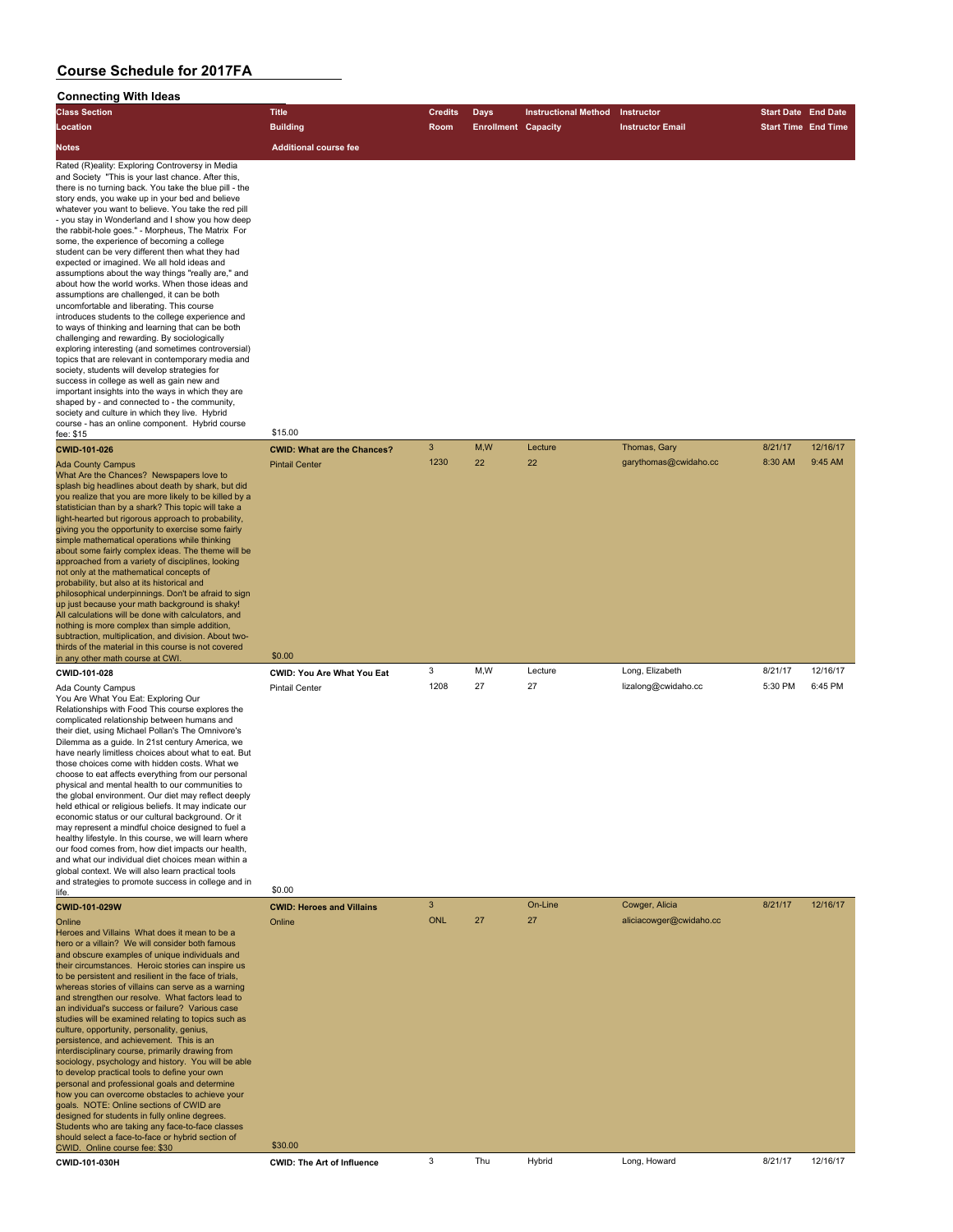| <b>Class Section</b>                                                                                                                                                                                                                                                                                                                                                                                                                                                                                                                                                                                                                                                                                                                                                                                                                                                                                                                                                                                                                                                                                                                                                                                                                                                                                                                   | <b>Title</b>                                                         | <b>Credits</b> | <b>Days</b>                | <b>Instructional Method</b> | Instructor              | <b>Start Date End Date</b> |          |
|----------------------------------------------------------------------------------------------------------------------------------------------------------------------------------------------------------------------------------------------------------------------------------------------------------------------------------------------------------------------------------------------------------------------------------------------------------------------------------------------------------------------------------------------------------------------------------------------------------------------------------------------------------------------------------------------------------------------------------------------------------------------------------------------------------------------------------------------------------------------------------------------------------------------------------------------------------------------------------------------------------------------------------------------------------------------------------------------------------------------------------------------------------------------------------------------------------------------------------------------------------------------------------------------------------------------------------------|----------------------------------------------------------------------|----------------|----------------------------|-----------------------------|-------------------------|----------------------------|----------|
| Location                                                                                                                                                                                                                                                                                                                                                                                                                                                                                                                                                                                                                                                                                                                                                                                                                                                                                                                                                                                                                                                                                                                                                                                                                                                                                                                               | <b>Building</b>                                                      | Room           | <b>Enrollment Capacity</b> |                             | <b>Instructor Email</b> | <b>Start Time End Time</b> |          |
| Notes                                                                                                                                                                                                                                                                                                                                                                                                                                                                                                                                                                                                                                                                                                                                                                                                                                                                                                                                                                                                                                                                                                                                                                                                                                                                                                                                  | <b>Additional course fee</b>                                         |                |                            |                             |                         |                            |          |
| Rated (R)eality: Exploring Controversy in Media<br>and Society "This is your last chance. After this,<br>there is no turning back. You take the blue pill - the<br>story ends, you wake up in your bed and believe<br>whatever you want to believe. You take the red pill<br>- you stay in Wonderland and I show you how deep<br>the rabbit-hole goes." - Morpheus, The Matrix For<br>some, the experience of becoming a college<br>student can be very different then what they had<br>expected or imagined. We all hold ideas and<br>assumptions about the way things "really are," and<br>about how the world works. When those ideas and<br>assumptions are challenged, it can be both<br>uncomfortable and liberating. This course<br>introduces students to the college experience and<br>to ways of thinking and learning that can be both<br>challenging and rewarding. By sociologically<br>exploring interesting (and sometimes controversial)<br>topics that are relevant in contemporary media and<br>society, students will develop strategies for<br>success in college as well as gain new and<br>important insights into the ways in which they are<br>shaped by - and connected to - the community,<br>society and culture in which they live. Hybrid<br>course - has an online component. Hybrid course<br>fee: \$15 | \$15.00                                                              |                |                            |                             |                         |                            |          |
| CWID-101-026                                                                                                                                                                                                                                                                                                                                                                                                                                                                                                                                                                                                                                                                                                                                                                                                                                                                                                                                                                                                                                                                                                                                                                                                                                                                                                                           | <b>CWID: What are the Chances?</b>                                   | $\mathbf{3}$   | M, W                       | Lecture                     | Thomas, Gary            | 8/21/17                    | 12/16/17 |
| <b>Ada County Campus</b><br>What Are the Chances? Newspapers love to<br>splash big headlines about death by shark, but did<br>you realize that you are more likely to be killed by a<br>statistician than by a shark? This topic will take a<br>light-hearted but rigorous approach to probability.<br>giving you the opportunity to exercise some fairly<br>simple mathematical operations while thinking<br>about some fairly complex ideas. The theme will be<br>approached from a variety of disciplines, looking<br>not only at the mathematical concepts of<br>probability, but also at its historical and<br>philosophical underpinnings. Don't be afraid to sign<br>up just because your math background is shaky!<br>All calculations will be done with calculators, and<br>nothing is more complex than simple addition,<br>subtraction, multiplication, and division. About two-                                                                                                                                                                                                                                                                                                                                                                                                                                            | <b>Pintail Center</b>                                                | 1230           | 22                         | 22                          | garythomas@cwidaho.cc   | 8:30 AM                    | 9:45 AM  |
| thirds of the material in this course is not covered                                                                                                                                                                                                                                                                                                                                                                                                                                                                                                                                                                                                                                                                                                                                                                                                                                                                                                                                                                                                                                                                                                                                                                                                                                                                                   | \$0.00                                                               |                |                            |                             |                         |                            |          |
| in any other math course at CWI.                                                                                                                                                                                                                                                                                                                                                                                                                                                                                                                                                                                                                                                                                                                                                                                                                                                                                                                                                                                                                                                                                                                                                                                                                                                                                                       |                                                                      | 3              | M,W                        | Lecture                     | Long, Elizabeth         | 8/21/17                    | 12/16/17 |
| CWID-101-028<br>Ada County Campus<br>You Are What You Eat: Exploring Our<br>Relationships with Food This course explores the<br>complicated relationship between humans and<br>their diet, using Michael Pollan's The Omnivore's<br>Dilemma as a guide. In 21st century America, we<br>have nearly limitless choices about what to eat. But<br>those choices come with hidden costs. What we<br>choose to eat affects everything from our personal<br>physical and mental health to our communities to<br>the global environment. Our diet may reflect deeply<br>held ethical or religious beliefs. It may indicate our<br>economic status or our cultural background. Or it<br>may represent a mindful choice designed to fuel a<br>healthy lifestyle. In this course, we will learn where<br>our food comes from, how diet impacts our health,<br>and what our individual diet choices mean within a<br>global context. We will also learn practical tools<br>and strategies to promote success in college and in<br>life.                                                                                                                                                                                                                                                                                                           | <b>CWID: You Are What You Eat</b><br><b>Pintail Center</b><br>\$0.00 | 1208           | 27                         | 27                          | lizalong@cwidaho.cc     | 5:30 PM                    | 6:45 PM  |
| CWID-101-029W                                                                                                                                                                                                                                                                                                                                                                                                                                                                                                                                                                                                                                                                                                                                                                                                                                                                                                                                                                                                                                                                                                                                                                                                                                                                                                                          | <b>CWID: Heroes and Villains</b>                                     | 3              |                            | On-Line                     | Cowger, Alicia          | 8/21/17                    | 12/16/17 |
| Online<br>Heroes and Villains What does it mean to be a<br>hero or a villain? We will consider both famous<br>and obscure examples of unique individuals and<br>their circumstances. Heroic stories can inspire us<br>to be persistent and resilient in the face of trials,<br>whereas stories of villains can serve as a warning<br>and strengthen our resolve. What factors lead to<br>an individual's success or failure? Various case<br>studies will be examined relating to topics such as<br>culture, opportunity, personality, genius,<br>persistence, and achievement. This is an<br>interdisciplinary course, primarily drawing from<br>sociology, psychology and history. You will be able<br>to develop practical tools to define your own<br>personal and professional goals and determine<br>how you can overcome obstacles to achieve your<br>goals. NOTE: Online sections of CWID are<br>designed for students in fully online degrees.<br>Students who are taking any face-to-face classes<br>should select a face-to-face or hybrid section of                                                                                                                                                                                                                                                                       | Online                                                               | <b>ONL</b>     | 27                         | 27                          | aliciacowger@cwidaho.cc |                            |          |
| CWID. Online course fee: \$30                                                                                                                                                                                                                                                                                                                                                                                                                                                                                                                                                                                                                                                                                                                                                                                                                                                                                                                                                                                                                                                                                                                                                                                                                                                                                                          | \$30.00                                                              |                |                            |                             |                         |                            |          |
| CWID-101-030H                                                                                                                                                                                                                                                                                                                                                                                                                                                                                                                                                                                                                                                                                                                                                                                                                                                                                                                                                                                                                                                                                                                                                                                                                                                                                                                          | <b>CWID: The Art of Influence</b>                                    | 3              | Thu                        | Hybrid                      | Long, Howard            | 8/21/17                    | 12/16/17 |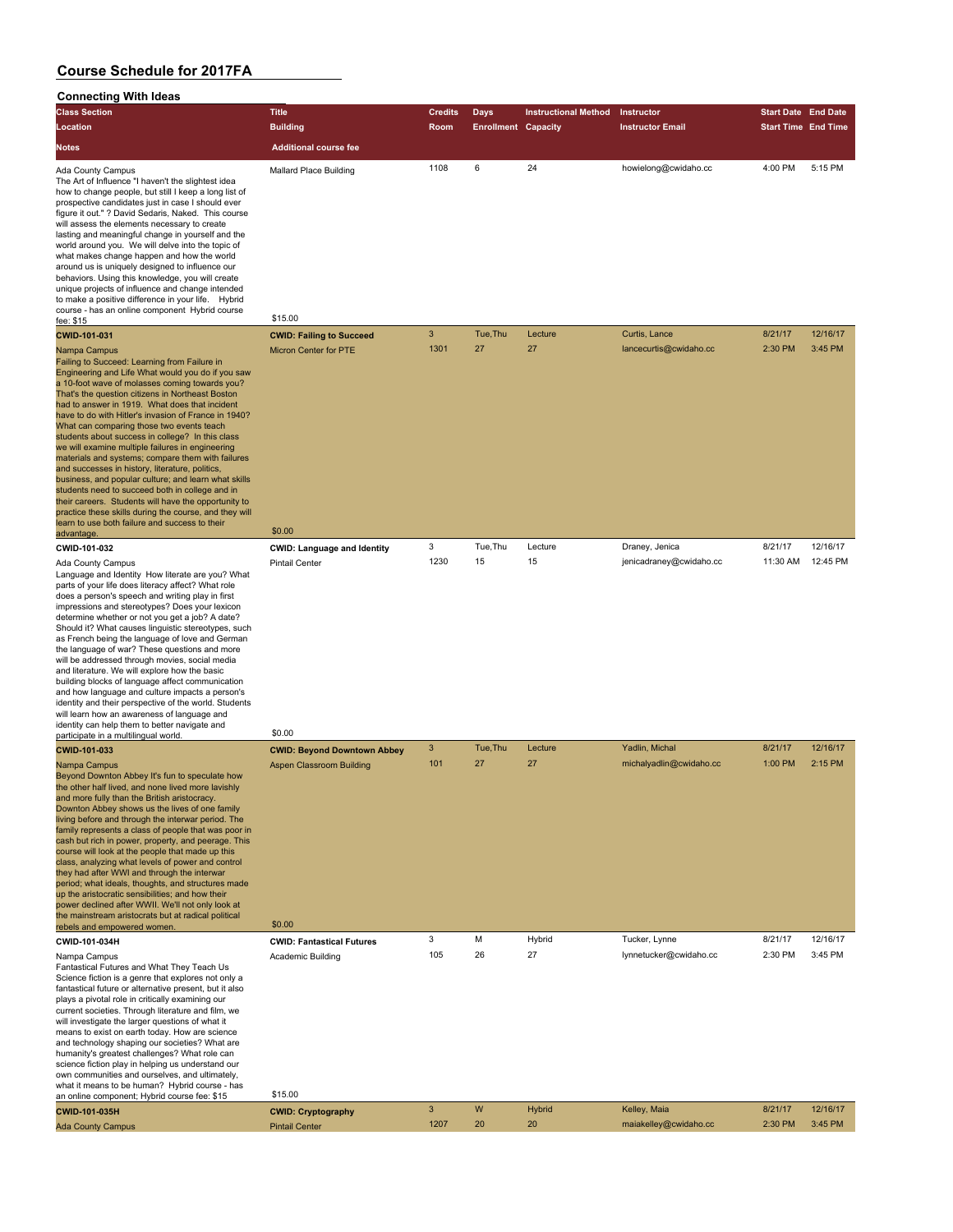| <b>Connecting With Ideas</b>                                                                                                                                                                                                                                                                                                                                                                                                                                                                                                                                                                                                                                                                                                                                                                                                                                                  |                                                    |                |                            |                             |                                         |                            |                     |
|-------------------------------------------------------------------------------------------------------------------------------------------------------------------------------------------------------------------------------------------------------------------------------------------------------------------------------------------------------------------------------------------------------------------------------------------------------------------------------------------------------------------------------------------------------------------------------------------------------------------------------------------------------------------------------------------------------------------------------------------------------------------------------------------------------------------------------------------------------------------------------|----------------------------------------------------|----------------|----------------------------|-----------------------------|-----------------------------------------|----------------------------|---------------------|
| <b>Class Section</b>                                                                                                                                                                                                                                                                                                                                                                                                                                                                                                                                                                                                                                                                                                                                                                                                                                                          | <b>Title</b>                                       | <b>Credits</b> | <b>Days</b>                | <b>Instructional Method</b> | Instructor                              | <b>Start Date End Date</b> |                     |
| Location                                                                                                                                                                                                                                                                                                                                                                                                                                                                                                                                                                                                                                                                                                                                                                                                                                                                      | <b>Building</b>                                    | Room           | <b>Enrollment Capacity</b> |                             | <b>Instructor Email</b>                 | <b>Start Time End Time</b> |                     |
| <b>Notes</b>                                                                                                                                                                                                                                                                                                                                                                                                                                                                                                                                                                                                                                                                                                                                                                                                                                                                  | <b>Additional course fee</b>                       |                |                            |                             |                                         |                            |                     |
| Ada County Campus<br>The Art of Influence "I haven't the slightest idea<br>how to change people, but still I keep a long list of<br>prospective candidates just in case I should ever<br>figure it out." ? David Sedaris, Naked. This course<br>will assess the elements necessary to create<br>lasting and meaningful change in yourself and the<br>world around you. We will delve into the topic of<br>what makes change happen and how the world<br>around us is uniquely designed to influence our<br>behaviors. Using this knowledge, you will create<br>unique projects of influence and change intended<br>to make a positive difference in your life. Hybrid<br>course - has an online component Hybrid course                                                                                                                                                       | Mallard Place Building                             | 1108           | 6                          | 24                          | howielong@cwidaho.cc                    | 4:00 PM                    | 5:15 PM             |
| fee: \$15                                                                                                                                                                                                                                                                                                                                                                                                                                                                                                                                                                                                                                                                                                                                                                                                                                                                     | \$15.00                                            |                |                            |                             |                                         |                            |                     |
| <b>CWID-101-031</b>                                                                                                                                                                                                                                                                                                                                                                                                                                                                                                                                                                                                                                                                                                                                                                                                                                                           | <b>CWID: Failing to Succeed</b>                    | 3<br>1301      | Tue, Thu<br>27             | Lecture<br>27               | Curtis, Lance<br>lancecurtis@cwidaho.cc | 8/21/17<br>2:30 PM         | 12/16/17<br>3:45 PM |
| Nampa Campus<br>Failing to Succeed: Learning from Failure in<br>Engineering and Life What would you do if you saw<br>a 10-foot wave of molasses coming towards you?<br>That's the question citizens in Northeast Boston<br>had to answer in 1919. What does that incident<br>have to do with Hitler's invasion of France in 1940?<br>What can comparing those two events teach<br>students about success in college? In this class<br>we will examine multiple failures in engineering<br>materials and systems; compare them with failures<br>and successes in history, literature, politics,<br>business, and popular culture; and learn what skills<br>students need to succeed both in college and in<br>their careers. Students will have the opportunity to<br>practice these skills during the course, and they will<br>learn to use both failure and success to their | Micron Center for PTE<br>\$0.00                    |                |                            |                             |                                         |                            |                     |
| advantage.<br>CWID-101-032                                                                                                                                                                                                                                                                                                                                                                                                                                                                                                                                                                                                                                                                                                                                                                                                                                                    | <b>CWID: Language and Identity</b>                 | 3              | Tue, Thu                   | Lecture                     | Draney, Jenica                          | 8/21/17                    | 12/16/17            |
| Ada County Campus<br>Language and Identity How literate are you? What<br>parts of your life does literacy affect? What role<br>does a person's speech and writing play in first<br>impressions and stereotypes? Does your lexicon<br>determine whether or not you get a job? A date?<br>Should it? What causes linguistic stereotypes, such<br>as French being the language of love and German<br>the language of war? These questions and more<br>will be addressed through movies, social media<br>and literature. We will explore how the basic<br>building blocks of language affect communication<br>and how language and culture impacts a person's<br>identity and their perspective of the world. Students<br>will learn how an awareness of language and<br>identity can help them to better navigate and                                                            | <b>Pintail Center</b>                              | 1230           | 15                         | 15                          | jenicadraney@cwidaho.cc                 | 11:30 AM                   | 12:45 PM            |
| participate in a multilingual world.<br>CWID-101-033                                                                                                                                                                                                                                                                                                                                                                                                                                                                                                                                                                                                                                                                                                                                                                                                                          | \$0.00<br><b>CWID: Beyond Downtown Abbey</b>       | 3              | Tue, Thu                   | Lecture                     | Yadlin, Michal                          | 8/21/17                    | 12/16/17            |
| Nampa Campus<br>Beyond Downton Abbey It's fun to speculate how<br>the other half lived, and none lived more lavishly<br>and more fully than the British aristocracy<br>Downton Abbey shows us the lives of one family<br>living before and through the interwar period. The<br>family represents a class of people that was poor in<br>cash but rich in power, property, and peerage. This<br>course will look at the people that made up this<br>class, analyzing what levels of power and control<br>they had after WWI and through the interwar<br>period; what ideals, thoughts, and structures made<br>up the aristocratic sensibilities; and how their<br>power declined after WWII. We'll not only look at<br>the mainstream aristocrats but at radical political                                                                                                      | Aspen Classroom Building<br>\$0.00                 | 101            | 27                         | 27                          | michalyadlin@cwidaho.cc                 | 1:00 PM                    | 2:15 PM             |
| rebels and empowered women.<br>CWID-101-034H                                                                                                                                                                                                                                                                                                                                                                                                                                                                                                                                                                                                                                                                                                                                                                                                                                  | <b>CWID: Fantastical Futures</b>                   | 3              | М                          | Hybrid                      | Tucker, Lynne                           | 8/21/17                    | 12/16/17            |
| Nampa Campus<br>Fantastical Futures and What They Teach Us<br>Science fiction is a genre that explores not only a<br>fantastical future or alternative present, but it also<br>plays a pivotal role in critically examining our<br>current societies. Through literature and film, we<br>will investigate the larger questions of what it<br>means to exist on earth today. How are science<br>and technology shaping our societies? What are<br>humanity's greatest challenges? What role can<br>science fiction play in helping us understand our<br>own communities and ourselves, and ultimately,<br>what it means to be human? Hybrid course - has                                                                                                                                                                                                                       | Academic Building                                  | 105            | 26                         | 27                          | lynnetucker@cwidaho.cc                  | 2:30 PM                    | 3:45 PM             |
| an online component; Hybrid course fee: \$15                                                                                                                                                                                                                                                                                                                                                                                                                                                                                                                                                                                                                                                                                                                                                                                                                                  | \$15.00                                            |                |                            |                             |                                         |                            |                     |
| <b>CWID-101-035H</b><br><b>Ada County Campus</b>                                                                                                                                                                                                                                                                                                                                                                                                                                                                                                                                                                                                                                                                                                                                                                                                                              | <b>CWID: Cryptography</b><br><b>Pintail Center</b> | 3<br>1207      | W<br>20                    | Hybrid<br>20                | Kelley, Maia<br>maiakelley@cwidaho.cc   | 8/21/17<br>2:30 PM         | 12/16/17<br>3:45 PM |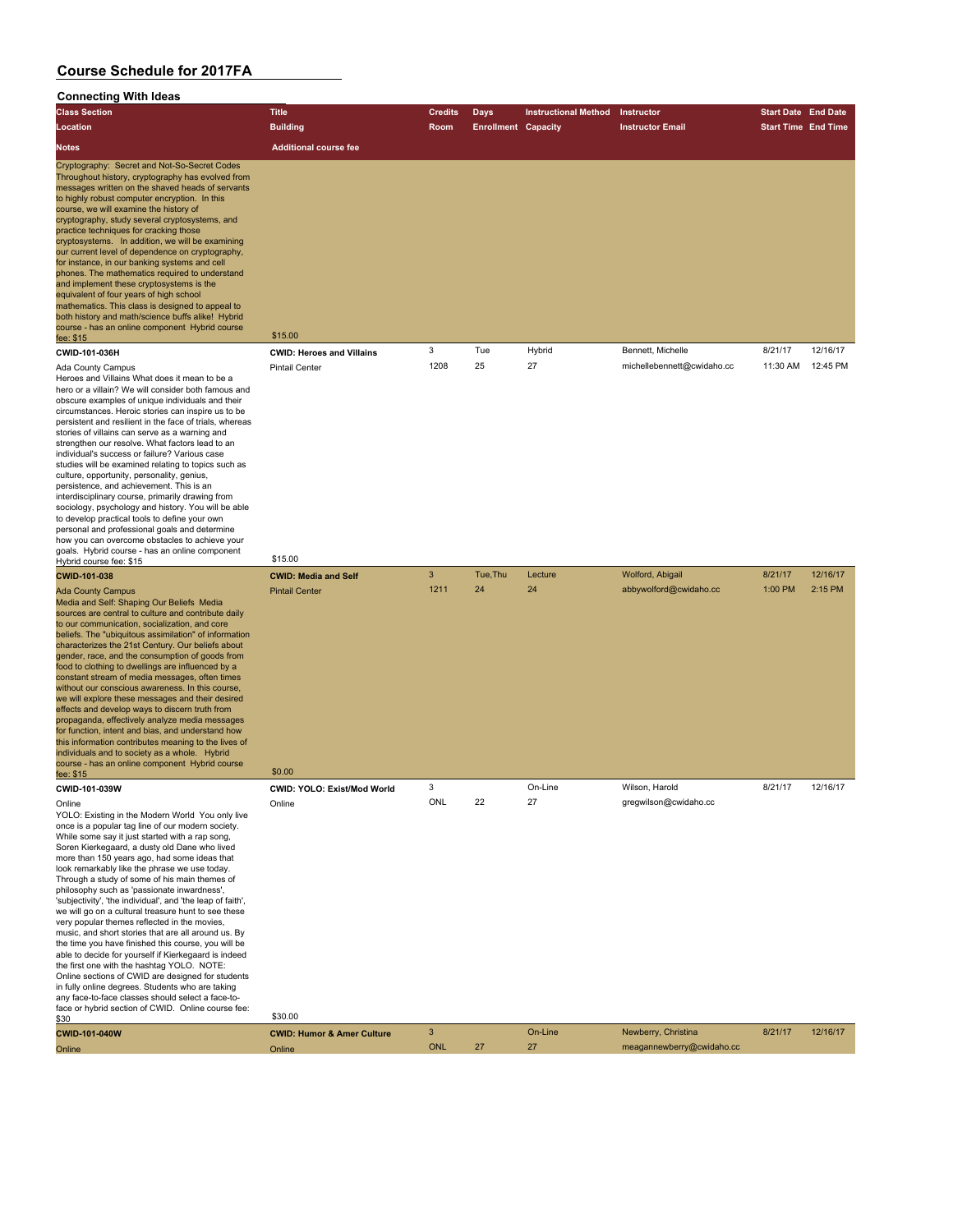#### **Connecting With Ideas**

| <b>Class Section</b>                                                                                                                                                                                                                                                                                                                                                                                                                                                                                                                                                                                                                                                                                                                                                                                                   | <b>Title</b>                     | <b>Credits</b> | Days                       | <b>Instructional Method</b> | Instructor                 | <b>Start Date End Date</b> |          |
|------------------------------------------------------------------------------------------------------------------------------------------------------------------------------------------------------------------------------------------------------------------------------------------------------------------------------------------------------------------------------------------------------------------------------------------------------------------------------------------------------------------------------------------------------------------------------------------------------------------------------------------------------------------------------------------------------------------------------------------------------------------------------------------------------------------------|----------------------------------|----------------|----------------------------|-----------------------------|----------------------------|----------------------------|----------|
| Location                                                                                                                                                                                                                                                                                                                                                                                                                                                                                                                                                                                                                                                                                                                                                                                                               | <b>Building</b>                  | Room           | <b>Enrollment Capacity</b> |                             | <b>Instructor Email</b>    | <b>Start Time End Time</b> |          |
| <b>Notes</b>                                                                                                                                                                                                                                                                                                                                                                                                                                                                                                                                                                                                                                                                                                                                                                                                           | <b>Additional course fee</b>     |                |                            |                             |                            |                            |          |
| Cryptography: Secret and Not-So-Secret Codes<br>Throughout history, cryptography has evolved from<br>messages written on the shaved heads of servants<br>to highly robust computer encryption. In this<br>course, we will examine the history of<br>cryptography, study several cryptosystems, and<br>practice techniques for cracking those<br>cryptosystems. In addition, we will be examining<br>our current level of dependence on cryptography,<br>for instance, in our banking systems and cell<br>phones. The mathematics required to understand<br>and implement these cryptosystems is the<br>equivalent of four years of high school<br>mathematics. This class is designed to appeal to<br>both history and math/science buffs alike! Hybrid<br>course - has an online component Hybrid course<br>fee: \$15 | \$15.00                          |                |                            |                             |                            |                            |          |
| CWID-101-036H                                                                                                                                                                                                                                                                                                                                                                                                                                                                                                                                                                                                                                                                                                                                                                                                          | <b>CWID: Heroes and Villains</b> | 3              | Tue                        | Hybrid                      | Bennett, Michelle          | 8/21/17                    | 12/16/17 |
| <b>Ada County Campus</b><br>Heroes and Villains What does it mean to be a<br>hero or a villain? We will consider both famous and                                                                                                                                                                                                                                                                                                                                                                                                                                                                                                                                                                                                                                                                                       | <b>Pintail Center</b>            | 1208           | 25                         | 27                          | michellebennett@cwidaho.cc | 11:30 AM                   | 12:45 PM |

hero or a villain? We will consider both famous and obscure examples of unique individuals and their circumstances. Heroic stories can inspire us to be persistent and resilient in the face of trials, whereas stories of villains can serve as a warning and strengthen our resolve. What factors lead to an individual's success or failure? Various case studies will be examined relating to topics such as culture, opportunity, personality, genius, persistence, and achievement. This is an interdisciplinary course, primarily drawing from sociology, psychology and history. You will be able to develop practical tools to define your own personal and professional goals and determine how you can overcome obstacles to achieve your goals. Hybrid course - has an online component Hybrid course fee: \$15

**CWID-101-038 CWID: Media and Self** 3 Tue,Thu Lecture Wolford, Abigail 8/21/17 12/16/17 Ada County Campus Pintail Center 1211 24 24 abbywolford@cwidaho.cc 1:00 PM 2:15 PM Media and Self: Shaping Our Beliefs Media sources are central to culture and contribute daily to our communication, socialization, and core beliefs. The "ubiquitous assimilation" of information characterizes the 21st Century. Our beliefs about ender, race, and the consumption of goods from food to clothing to dwellings are influenced by a constant stream of media messages, often times without our conscious awareness. In this course, we will explore these messages and their desired effects and develop ways to discern truth from propaganda, effectively analyze media messages for function, intent and bias, and understand how this information contributes meaning to the lives of individuals and to society as a whole. Hybrid

course - has an online component Hybrid course tee: \$15 \$0.00 **CWID-101-039W CWID: YOLO: Exist/Mod World** 3 On-Line Wilson, Harold 8/21/17 12/16/17 Online Christian Conline Contine Christian Constantine Constantine Constantine Online Constantine Constantine Constantine Constantine Constantine Constantine Constantine Constantine Constantine Constantine Constantine Cons YOLO: Existing in the Modern World You only live once is a popular tag line of our modern society. While some say it just started with a rap song, Soren Kierkegaard, a dusty old Dane who lived more than 150 years ago, had some ideas that look remarkably like the phrase we use today. Through a study of some of his main themes of philosophy such as 'passionate inwardness', 'subjectivity', 'the individual', and 'the leap of faith', we will go on a cultural treasure hunt to see these very popular themes reflected in the movies, music, and short stories that are all around us. By the time you have finished this course, you will be able to decide for yourself if Kierkegaard is indeed the first one with the hashtag YOLO. NOTE: Online sections of CWID are designed for students in fully online degrees. Students who are taking any face-to-face classes should select a face-toface or hybrid section of CWID. Online course fee: \$30 \$30.00 **CWID-101-040W CWID: Humor & Amer Culture** 3 On-Line Newberry, Christina 8/21/17 12/16/17

Online Online ONL 27 27 meagannewberry@cwidaho.cc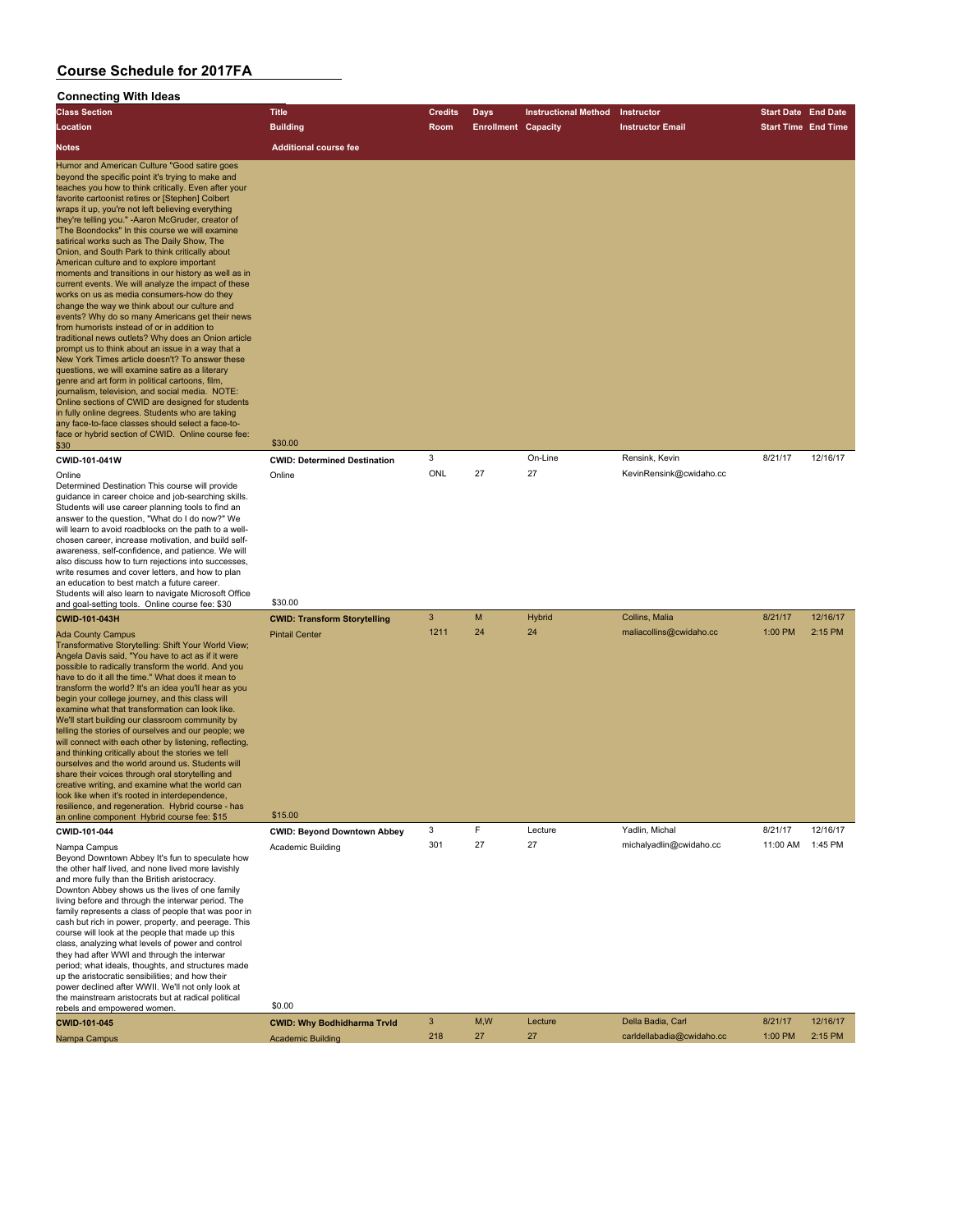| <b>Class Section</b>                                                                                                                                                                                                                                                                                                                                                                                                                                                                                                                                                                                                                                                                                                                                                                                                                                                                                                                                                                                                                                                                                                                                                                                                                                                                                                                                                                  | <b>Title</b>                                                            | <b>Credits</b> | Days                       | <b>Instructional Method</b> | Instructor                                | <b>Start Date End Date</b> |                     |
|---------------------------------------------------------------------------------------------------------------------------------------------------------------------------------------------------------------------------------------------------------------------------------------------------------------------------------------------------------------------------------------------------------------------------------------------------------------------------------------------------------------------------------------------------------------------------------------------------------------------------------------------------------------------------------------------------------------------------------------------------------------------------------------------------------------------------------------------------------------------------------------------------------------------------------------------------------------------------------------------------------------------------------------------------------------------------------------------------------------------------------------------------------------------------------------------------------------------------------------------------------------------------------------------------------------------------------------------------------------------------------------|-------------------------------------------------------------------------|----------------|----------------------------|-----------------------------|-------------------------------------------|----------------------------|---------------------|
| Location                                                                                                                                                                                                                                                                                                                                                                                                                                                                                                                                                                                                                                                                                                                                                                                                                                                                                                                                                                                                                                                                                                                                                                                                                                                                                                                                                                              | <b>Building</b>                                                         | Room           | <b>Enrollment Capacity</b> |                             | <b>Instructor Email</b>                   | <b>Start Time End Time</b> |                     |
| <b>Notes</b>                                                                                                                                                                                                                                                                                                                                                                                                                                                                                                                                                                                                                                                                                                                                                                                                                                                                                                                                                                                                                                                                                                                                                                                                                                                                                                                                                                          | <b>Additional course fee</b>                                            |                |                            |                             |                                           |                            |                     |
| Humor and American Culture "Good satire goes<br>beyond the specific point it's trying to make and<br>teaches you how to think critically. Even after your<br>favorite cartoonist retires or [Stephen] Colbert<br>wraps it up, you're not left believing everything<br>they're telling you." - Aaron McGruder, creator of<br>"The Boondocks" In this course we will examine<br>satirical works such as The Daily Show, The<br>Onion, and South Park to think critically about<br>American culture and to explore important<br>moments and transitions in our history as well as in<br>current events. We will analyze the impact of these<br>works on us as media consumers-how do they<br>change the way we think about our culture and<br>events? Why do so many Americans get their news<br>from humorists instead of or in addition to<br>traditional news outlets? Why does an Onion article<br>prompt us to think about an issue in a way that a<br>New York Times article doesn't? To answer these<br>questions, we will examine satire as a literary<br>genre and art form in political cartoons, film,<br>journalism, television, and social media. NOTE:<br>Online sections of CWID are designed for students<br>in fully online degrees. Students who are taking<br>any face-to-face classes should select a face-to-<br>face or hybrid section of CWID. Online course fee: | \$30.00                                                                 |                |                            |                             |                                           |                            |                     |
| \$30<br>CWID-101-041W                                                                                                                                                                                                                                                                                                                                                                                                                                                                                                                                                                                                                                                                                                                                                                                                                                                                                                                                                                                                                                                                                                                                                                                                                                                                                                                                                                 | <b>CWID: Determined Destination</b>                                     | 3              |                            | On-Line                     | Rensink, Kevin                            | 8/21/17                    | 12/16/17            |
| Online<br>Determined Destination This course will provide<br>guidance in career choice and job-searching skills.<br>Students will use career planning tools to find an<br>answer to the question, "What do I do now?" We<br>will learn to avoid roadblocks on the path to a well-<br>chosen career, increase motivation, and build self-<br>awareness, self-confidence, and patience. We will<br>also discuss how to turn rejections into successes,<br>write resumes and cover letters, and how to plan<br>an education to best match a future career.<br>Students will also learn to navigate Microsoft Office                                                                                                                                                                                                                                                                                                                                                                                                                                                                                                                                                                                                                                                                                                                                                                      | Online<br>\$30.00                                                       | ONL            | 27                         | 27                          | KevinRensink@cwidaho.cc                   |                            |                     |
| and goal-setting tools. Online course fee: \$30<br>CWID-101-043H                                                                                                                                                                                                                                                                                                                                                                                                                                                                                                                                                                                                                                                                                                                                                                                                                                                                                                                                                                                                                                                                                                                                                                                                                                                                                                                      |                                                                         | 3              | M                          | <b>Hybrid</b>               | Collins, Malia                            | 8/21/17                    | 12/16/17            |
| <b>Ada County Campus</b><br>Transformative Storytelling: Shift Your World View;<br>Angela Davis said, "You have to act as if it were<br>possible to radically transform the world. And you<br>have to do it all the time." What does it mean to<br>transform the world? It's an idea you'll hear as you<br>begin your college journey, and this class will<br>examine what that transformation can look like.<br>We'll start building our classroom community by<br>telling the stories of ourselves and our people; we<br>will connect with each other by listening, reflecting,<br>and thinking critically about the stories we tell<br>ourselves and the world around us. Students will<br>share their voices through oral storytelling and<br>creative writing, and examine what the world can<br>look like when it's rooted in interdependence<br>resilience, and regeneration. Hybrid course - has<br>an online component Hybrid course fee: \$15                                                                                                                                                                                                                                                                                                                                                                                                                               | <b>CWID: Transform Storytelling</b><br><b>Pintail Center</b><br>\$15.00 | 1211           | 24                         | 24                          | maliacollins@cwidaho.cc<br>Yadlin, Michal | 1:00 PM                    | 2:15 PM             |
| CWID-101-044                                                                                                                                                                                                                                                                                                                                                                                                                                                                                                                                                                                                                                                                                                                                                                                                                                                                                                                                                                                                                                                                                                                                                                                                                                                                                                                                                                          | <b>CWID: Beyond Downtown Abbey</b>                                      | 3<br>301       | F<br>27                    | Lecture<br>27               | michalyadlin@cwidaho.cc                   | 8/21/17<br>11:00 AM        | 12/16/17<br>1:45 PM |
| Nampa Campus<br>Beyond Downtown Abbey It's fun to speculate how<br>the other half lived, and none lived more lavishly<br>and more fully than the British aristocracy.<br>Downton Abbey shows us the lives of one family<br>living before and through the interwar period. The<br>family represents a class of people that was poor in<br>cash but rich in power, property, and peerage. This<br>course will look at the people that made up this<br>class, analyzing what levels of power and control<br>they had after WWI and through the interwar<br>period; what ideals, thoughts, and structures made<br>up the aristocratic sensibilities; and how their<br>power declined after WWII. We'll not only look at                                                                                                                                                                                                                                                                                                                                                                                                                                                                                                                                                                                                                                                                   | Academic Building                                                       |                |                            |                             |                                           |                            |                     |
| the mainstream aristocrats but at radical political<br>rebels and empowered women.                                                                                                                                                                                                                                                                                                                                                                                                                                                                                                                                                                                                                                                                                                                                                                                                                                                                                                                                                                                                                                                                                                                                                                                                                                                                                                    | \$0.00                                                                  |                |                            |                             |                                           |                            |                     |
| CWID-101-045                                                                                                                                                                                                                                                                                                                                                                                                                                                                                                                                                                                                                                                                                                                                                                                                                                                                                                                                                                                                                                                                                                                                                                                                                                                                                                                                                                          | <b>CWID: Why Bodhidharma Trvld</b>                                      | 3              | M, W                       | Lecture                     | Della Badia, Carl                         | 8/21/17                    | 12/16/17            |
| Nampa Campus                                                                                                                                                                                                                                                                                                                                                                                                                                                                                                                                                                                                                                                                                                                                                                                                                                                                                                                                                                                                                                                                                                                                                                                                                                                                                                                                                                          | <b>Academic Building</b>                                                | 218            | 27                         | 27                          | carldellabadia@cwidaho.cc                 | 1:00 PM                    | 2:15 PM             |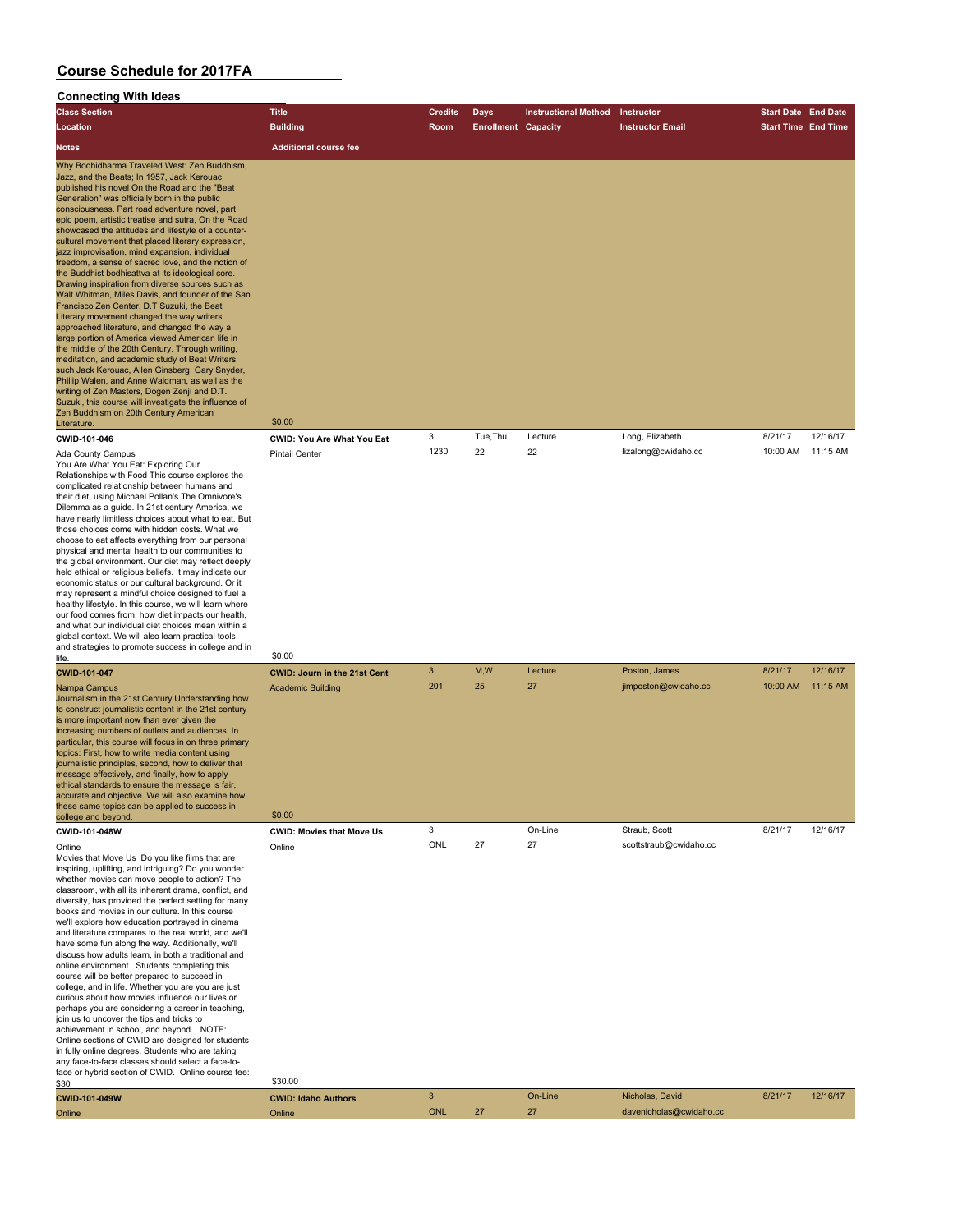| <b>Class Section</b>                                                                                                                                                                                                                                                                                                                                                                                                                                                                                                                                                                                                                                                                                                                                                                                                                                                                                                                                                                                                                                                                                                                                                                                                                                                 | <b>Title</b>                                                              | <b>Credits</b> | Days                       | <b>Instructional Method</b> | Instructor                            | <b>Start Date</b> End Date |                      |
|----------------------------------------------------------------------------------------------------------------------------------------------------------------------------------------------------------------------------------------------------------------------------------------------------------------------------------------------------------------------------------------------------------------------------------------------------------------------------------------------------------------------------------------------------------------------------------------------------------------------------------------------------------------------------------------------------------------------------------------------------------------------------------------------------------------------------------------------------------------------------------------------------------------------------------------------------------------------------------------------------------------------------------------------------------------------------------------------------------------------------------------------------------------------------------------------------------------------------------------------------------------------|---------------------------------------------------------------------------|----------------|----------------------------|-----------------------------|---------------------------------------|----------------------------|----------------------|
| Location                                                                                                                                                                                                                                                                                                                                                                                                                                                                                                                                                                                                                                                                                                                                                                                                                                                                                                                                                                                                                                                                                                                                                                                                                                                             | <b>Building</b>                                                           | Room           | <b>Enrollment Capacity</b> |                             | <b>Instructor Email</b>               | <b>Start Time End Time</b> |                      |
| Notes                                                                                                                                                                                                                                                                                                                                                                                                                                                                                                                                                                                                                                                                                                                                                                                                                                                                                                                                                                                                                                                                                                                                                                                                                                                                | <b>Additional course fee</b>                                              |                |                            |                             |                                       |                            |                      |
| Why Bodhidharma Traveled West: Zen Buddhism,<br>Jazz, and the Beats; In 1957, Jack Kerouac<br>published his novel On the Road and the "Beat<br>Generation" was officially born in the public<br>consciousness. Part road adventure novel, part<br>epic poem, artistic treatise and sutra, On the Road<br>showcased the attitudes and lifestyle of a counter-<br>cultural movement that placed literary expression,<br>jazz improvisation, mind expansion, individual<br>freedom, a sense of sacred love, and the notion of<br>the Buddhist bodhisattva at its ideological core.<br>Drawing inspiration from diverse sources such as<br>Walt Whitman, Miles Davis, and founder of the San<br>Francisco Zen Center, D.T Suzuki, the Beat<br>Literary movement changed the way writers<br>approached literature, and changed the way a<br>large portion of America viewed American life in<br>the middle of the 20th Century. Through writing,<br>meditation, and academic study of Beat Writers<br>such Jack Kerouac, Allen Ginsberg, Gary Snyder,<br>Phillip Walen, and Anne Waldman, as well as the<br>writing of Zen Masters, Dogen Zenji and D.T.<br>Suzuki, this course will investigate the influence of<br>Zen Buddhism on 20th Century American<br>Literature. | \$0.00                                                                    |                |                            |                             |                                       |                            |                      |
| CWID-101-046                                                                                                                                                                                                                                                                                                                                                                                                                                                                                                                                                                                                                                                                                                                                                                                                                                                                                                                                                                                                                                                                                                                                                                                                                                                         | CWID: You Are What You Eat                                                | 3              | Tue, Thu                   | Lecture                     | Long, Elizabeth                       | 8/21/17                    | 12/16/17             |
| Ada County Campus<br>You Are What You Eat: Exploring Our<br>Relationships with Food This course explores the<br>complicated relationship between humans and<br>their diet, using Michael Pollan's The Omnivore's<br>Dilemma as a guide. In 21st century America, we<br>have nearly limitless choices about what to eat. But<br>those choices come with hidden costs. What we<br>choose to eat affects everything from our personal<br>physical and mental health to our communities to<br>the global environment. Our diet may reflect deeply<br>held ethical or religious beliefs. It may indicate our<br>economic status or our cultural background. Or it<br>may represent a mindful choice designed to fuel a<br>healthy lifestyle. In this course, we will learn where<br>our food comes from, how diet impacts our health,<br>and what our individual diet choices mean within a<br>global context. We will also learn practical tools<br>and strategies to promote success in college and in                                                                                                                                                                                                                                                                  | <b>Pintail Center</b>                                                     | 1230           | 22                         | 22                          | lizalong@cwidaho.cc                   | 10:00 AM                   | 11:15 AM             |
| life.                                                                                                                                                                                                                                                                                                                                                                                                                                                                                                                                                                                                                                                                                                                                                                                                                                                                                                                                                                                                                                                                                                                                                                                                                                                                | \$0.00                                                                    |                |                            |                             |                                       |                            |                      |
| CWID-101-047<br>Nampa Campus<br>Journalism in the 21st Century Understanding how<br>to construct journalistic content in the 21st century<br>is more important now than ever given the<br>increasing numbers of outlets and audiences. In<br>particular, this course will focus in on three primary<br>topics: First, how to write media content using<br>journalistic principles, second, how to deliver that<br>message effectively, and finally, how to apply<br>ethical standards to ensure the message is fair,<br>accurate and objective. We will also examine how<br>these same topics can be applied to success in<br>college and beyond.                                                                                                                                                                                                                                                                                                                                                                                                                                                                                                                                                                                                                    | <b>CWID: Journ in the 21st Cent</b><br><b>Academic Building</b><br>\$0.00 | 3<br>201       | M,W<br>25                  | Lecture<br>27               | Poston, James<br>jimposton@cwidaho.cc | 8/21/17<br>10:00 AM        | 12/16/17<br>11:15 AM |
| CWID-101-048W                                                                                                                                                                                                                                                                                                                                                                                                                                                                                                                                                                                                                                                                                                                                                                                                                                                                                                                                                                                                                                                                                                                                                                                                                                                        | <b>CWID: Movies that Move Us</b>                                          | 3              |                            | On-Line                     | Straub, Scott                         | 8/21/17                    | 12/16/17             |
| Online<br>Movies that Move Us Do you like films that are<br>inspiring, uplifting, and intriguing? Do you wonder<br>whether movies can move people to action? The<br>classroom, with all its inherent drama, conflict, and<br>diversity, has provided the perfect setting for many<br>books and movies in our culture. In this course<br>we'll explore how education portrayed in cinema<br>and literature compares to the real world, and we'll<br>have some fun along the way. Additionally, we'll<br>discuss how adults learn, in both a traditional and<br>online environment. Students completing this<br>course will be better prepared to succeed in<br>college, and in life. Whether you are you are just<br>curious about how movies influence our lives or<br>perhaps you are considering a career in teaching,<br>join us to uncover the tips and tricks to<br>achievement in school, and beyond. NOTE:<br>Online sections of CWID are designed for students<br>in fully online degrees. Students who are taking<br>any face-to-face classes should select a face-to-<br>face or hybrid section of CWID. Online course fee:<br>\$30                                                                                                                        | Online<br>\$30.00                                                         | ONL            | 27                         | 27                          | scottstraub@cwidaho.cc                |                            |                      |
| CWID-101-049W                                                                                                                                                                                                                                                                                                                                                                                                                                                                                                                                                                                                                                                                                                                                                                                                                                                                                                                                                                                                                                                                                                                                                                                                                                                        | <b>CWID: Idaho Authors</b>                                                | 3              |                            | On-Line                     | Nicholas, David                       | 8/21/17                    | 12/16/17             |
| Online                                                                                                                                                                                                                                                                                                                                                                                                                                                                                                                                                                                                                                                                                                                                                                                                                                                                                                                                                                                                                                                                                                                                                                                                                                                               | Online                                                                    | <b>ONL</b>     | 27                         | 27                          | davenicholas@cwidaho.cc               |                            |                      |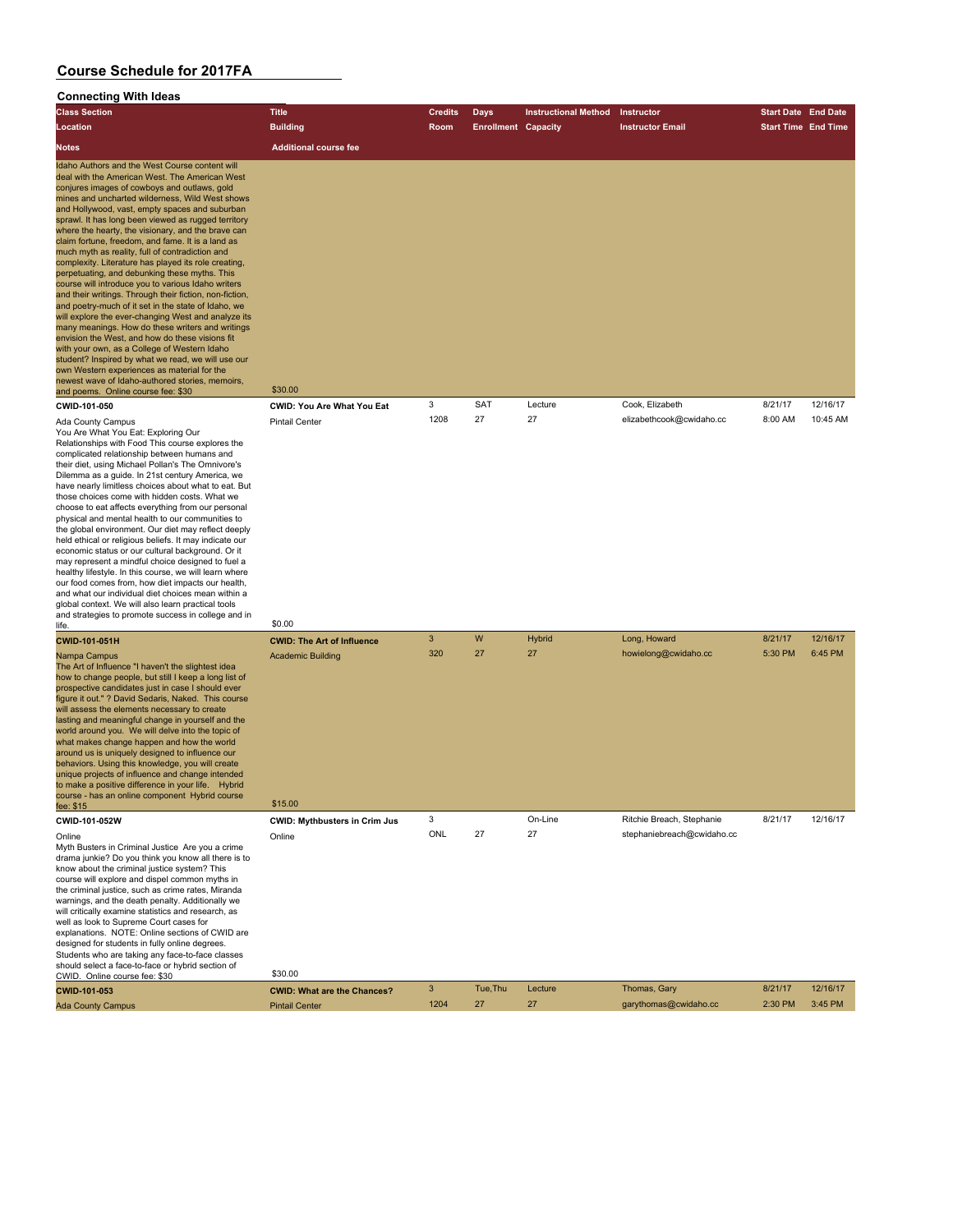#### **Connecting With Ideas**

| <b>Class Section</b>                                                                                                                                                                                                                                                                                                                                                                                                                                                                                                                                                                                                                                                                                                                                                                                                                                                                                                                                                                                                                                                                                                                                                                                         | <b>Title</b>                                                             | <b>Credits</b>       | Days                       | <b>Instructional Method</b> | Instructor                                  | <b>Start Date End Date</b> |                      |
|--------------------------------------------------------------------------------------------------------------------------------------------------------------------------------------------------------------------------------------------------------------------------------------------------------------------------------------------------------------------------------------------------------------------------------------------------------------------------------------------------------------------------------------------------------------------------------------------------------------------------------------------------------------------------------------------------------------------------------------------------------------------------------------------------------------------------------------------------------------------------------------------------------------------------------------------------------------------------------------------------------------------------------------------------------------------------------------------------------------------------------------------------------------------------------------------------------------|--------------------------------------------------------------------------|----------------------|----------------------------|-----------------------------|---------------------------------------------|----------------------------|----------------------|
| Location                                                                                                                                                                                                                                                                                                                                                                                                                                                                                                                                                                                                                                                                                                                                                                                                                                                                                                                                                                                                                                                                                                                                                                                                     | <b>Building</b>                                                          | Room                 | <b>Enrollment Capacity</b> |                             | <b>Instructor Email</b>                     | <b>Start Time End Time</b> |                      |
| Notes                                                                                                                                                                                                                                                                                                                                                                                                                                                                                                                                                                                                                                                                                                                                                                                                                                                                                                                                                                                                                                                                                                                                                                                                        | <b>Additional course fee</b>                                             |                      |                            |                             |                                             |                            |                      |
| Idaho Authors and the West Course content will<br>deal with the American West. The American West<br>conjures images of cowboys and outlaws, gold<br>mines and uncharted wilderness, Wild West shows<br>and Hollywood, vast, empty spaces and suburban<br>sprawl. It has long been viewed as rugged territory<br>where the hearty, the visionary, and the brave can<br>claim fortune, freedom, and fame. It is a land as<br>much myth as reality, full of contradiction and<br>complexity. Literature has played its role creating,<br>perpetuating, and debunking these myths. This<br>course will introduce you to various Idaho writers<br>and their writings. Through their fiction, non-fiction,<br>and poetry-much of it set in the state of Idaho, we<br>will explore the ever-changing West and analyze its<br>many meanings. How do these writers and writings<br>envision the West, and how do these visions fit<br>with your own, as a College of Western Idaho<br>student? Inspired by what we read, we will use our<br>own Western experiences as material for the<br>newest wave of Idaho-authored stories, memoirs,<br>and poems. Online course fee: \$30<br>CWID-101-050<br>Ada County Campus | \$30.00<br><b>CWID: You Are What You Eat</b><br><b>Pintail Center</b>    | 3<br>1208            | SAT<br>27                  | Lecture<br>27               | Cook, Elizabeth<br>elizabethcook@cwidaho.cc | 8/21/17<br>8:00 AM         | 12/16/17<br>10:45 AM |
| You Are What You Eat: Exploring Our<br>Relationships with Food This course explores the<br>complicated relationship between humans and<br>their diet, using Michael Pollan's The Omnivore's<br>Dilemma as a guide. In 21st century America, we<br>have nearly limitless choices about what to eat. But<br>those choices come with hidden costs. What we<br>choose to eat affects everything from our personal<br>physical and mental health to our communities to<br>the global environment. Our diet may reflect deeply<br>held ethical or religious beliefs. It may indicate our<br>economic status or our cultural background. Or it<br>may represent a mindful choice designed to fuel a<br>healthy lifestyle. In this course, we will learn where<br>our food comes from, how diet impacts our health,<br>and what our individual diet choices mean within a<br>global context. We will also learn practical tools<br>and strategies to promote success in college and in                                                                                                                                                                                                                               |                                                                          |                      |                            |                             |                                             |                            |                      |
| <u>life.</u>                                                                                                                                                                                                                                                                                                                                                                                                                                                                                                                                                                                                                                                                                                                                                                                                                                                                                                                                                                                                                                                                                                                                                                                                 | \$0.00                                                                   |                      |                            |                             |                                             |                            |                      |
| CWID-101-051H<br>Nampa Campus<br>The Art of Influence "I haven't the slightest idea<br>how to change people, but still I keep a long list of<br>prospective candidates just in case I should ever<br>figure it out." ? David Sedaris, Naked. This course<br>will assess the elements necessary to create<br>lasting and meaningful change in yourself and the<br>world around you. We will delve into the topic of<br>what makes change happen and how the world<br>around us is uniquely designed to influence our<br>behaviors. Using this knowledge, you will create<br>unique projects of influence and change intended<br>to make a positive difference in your life. Hybrid<br>course - has an online component Hybrid course<br>fee: \$15                                                                                                                                                                                                                                                                                                                                                                                                                                                             | <b>CWID: The Art of Influence</b><br><b>Academic Building</b><br>\$15.00 | 3<br>320             | W<br>27                    | Hybrid<br>27                | Long, Howard<br>howielong@cwidaho.cc        | 8/21/17<br>5:30 PM         | 12/16/17<br>6:45 PM  |
| CWID-101-052W                                                                                                                                                                                                                                                                                                                                                                                                                                                                                                                                                                                                                                                                                                                                                                                                                                                                                                                                                                                                                                                                                                                                                                                                | <b>CWID: Mythbusters in Crim Jus</b>                                     | 3                    |                            | On-Line                     | Ritchie Breach, Stephanie                   | 8/21/17                    | 12/16/17             |
| Online<br>Myth Busters in Criminal Justice Are you a crime<br>drama junkie? Do you think you know all there is to<br>know about the criminal justice system? This<br>course will explore and dispel common myths in<br>the criminal justice, such as crime rates, Miranda<br>warnings, and the death penalty. Additionally we<br>will critically examine statistics and research, as<br>well as look to Supreme Court cases for<br>explanations. NOTE: Online sections of CWID are<br>designed for students in fully online degrees.<br>Students who are taking any face-to-face classes<br>should select a face-to-face or hybrid section of                                                                                                                                                                                                                                                                                                                                                                                                                                                                                                                                                                | Online                                                                   | <b>ONL</b>           | 27                         | 27                          | stephaniebreach@cwidaho.cc                  |                            |                      |
| CWID. Online course fee: \$30                                                                                                                                                                                                                                                                                                                                                                                                                                                                                                                                                                                                                                                                                                                                                                                                                                                                                                                                                                                                                                                                                                                                                                                | \$30.00                                                                  |                      |                            |                             |                                             |                            |                      |
| CWID-101-053<br><b>Ada County Campus</b>                                                                                                                                                                                                                                                                                                                                                                                                                                                                                                                                                                                                                                                                                                                                                                                                                                                                                                                                                                                                                                                                                                                                                                     | <b>CWID: What are the Chances?</b><br><b>Pintail Center</b>              | $\mathbf{3}$<br>1204 | Tue, Thu<br>27             | Lecture<br>27               | Thomas, Gary<br>garythomas@cwidaho.cc       | 8/21/17<br>2:30 PM         | 12/16/17<br>3:45 PM  |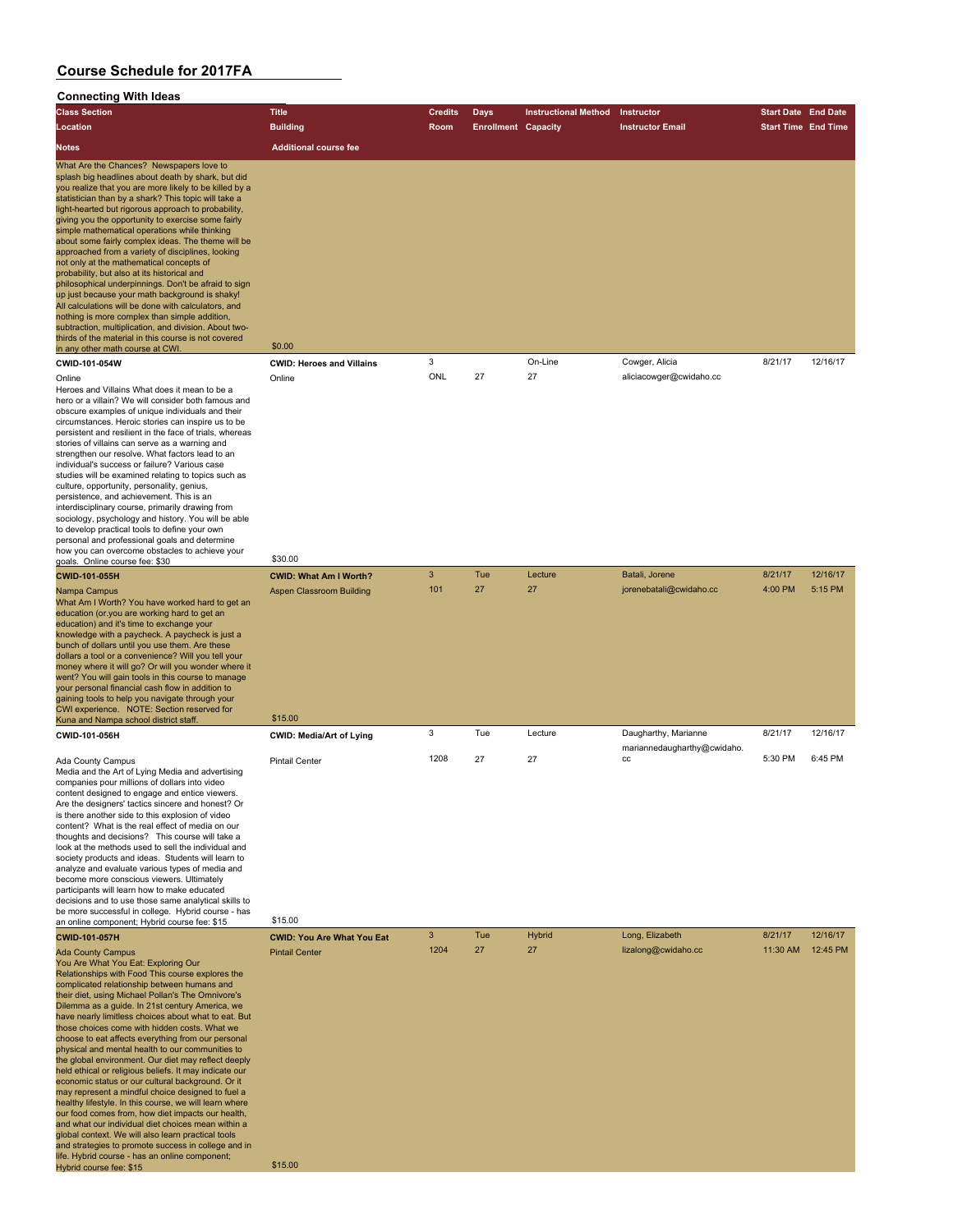#### **Connecting With Ideas**

| <b>Class Section</b>                                                                                                                                                                                                                                                                                                                                                                                                                                                                                                                                                                                                                                                                                                                                                                                                                                                                                                                                                                                                                                                                                                                                               | <b>Title</b>                                                                         | <b>Credits</b> | Days                       | <b>Instructional Method</b> | Instructor                                | <b>Start Date End Date</b> |                     |
|--------------------------------------------------------------------------------------------------------------------------------------------------------------------------------------------------------------------------------------------------------------------------------------------------------------------------------------------------------------------------------------------------------------------------------------------------------------------------------------------------------------------------------------------------------------------------------------------------------------------------------------------------------------------------------------------------------------------------------------------------------------------------------------------------------------------------------------------------------------------------------------------------------------------------------------------------------------------------------------------------------------------------------------------------------------------------------------------------------------------------------------------------------------------|--------------------------------------------------------------------------------------|----------------|----------------------------|-----------------------------|-------------------------------------------|----------------------------|---------------------|
| Location                                                                                                                                                                                                                                                                                                                                                                                                                                                                                                                                                                                                                                                                                                                                                                                                                                                                                                                                                                                                                                                                                                                                                           | <b>Building</b>                                                                      | Room           | <b>Enrollment Capacity</b> |                             | <b>Instructor Email</b>                   | <b>Start Time End Time</b> |                     |
|                                                                                                                                                                                                                                                                                                                                                                                                                                                                                                                                                                                                                                                                                                                                                                                                                                                                                                                                                                                                                                                                                                                                                                    |                                                                                      |                |                            |                             |                                           |                            |                     |
| <b>Notes</b><br>What Are the Chances? Newspapers love to<br>splash big headlines about death by shark, but did<br>you realize that you are more likely to be killed by a<br>statistician than by a shark? This topic will take a<br>light-hearted but rigorous approach to probability,<br>giving you the opportunity to exercise some fairly<br>simple mathematical operations while thinking<br>about some fairly complex ideas. The theme will be<br>approached from a variety of disciplines, looking<br>not only at the mathematical concepts of<br>probability, but also at its historical and<br>philosophical underpinnings. Don't be afraid to sign<br>up just because your math background is shaky!<br>All calculations will be done with calculators, and<br>nothing is more complex than simple addition,<br>subtraction, multiplication, and division. About two-<br>thirds of the material in this course is not covered<br>in any other math course at CWI.<br>CWID-101-054W<br>Online<br>Heroes and Villains What does it mean to be a<br>hero or a villain? We will consider both famous and<br>obscure examples of unique individuals and their | <b>Additional course fee</b><br>\$0.00<br><b>CWID: Heroes and Villains</b><br>Online | 3<br>ONL       | 27                         | On-Line<br>27               | Cowger, Alicia<br>aliciacowger@cwidaho.cc | 8/21/17                    | 12/16/17            |
| circumstances. Heroic stories can inspire us to be<br>persistent and resilient in the face of trials, whereas<br>stories of villains can serve as a warning and<br>strengthen our resolve. What factors lead to an<br>individual's success or failure? Various case<br>studies will be examined relating to topics such as<br>culture, opportunity, personality, genius,<br>persistence, and achievement. This is an<br>interdisciplinary course, primarily drawing from<br>sociology, psychology and history. You will be able<br>to develop practical tools to define your own<br>personal and professional goals and determine<br>how you can overcome obstacles to achieve your                                                                                                                                                                                                                                                                                                                                                                                                                                                                                |                                                                                      |                |                            |                             |                                           |                            |                     |
| goals. Online course fee: \$30                                                                                                                                                                                                                                                                                                                                                                                                                                                                                                                                                                                                                                                                                                                                                                                                                                                                                                                                                                                                                                                                                                                                     | \$30.00                                                                              |                |                            |                             |                                           |                            |                     |
| CWID-101-055H                                                                                                                                                                                                                                                                                                                                                                                                                                                                                                                                                                                                                                                                                                                                                                                                                                                                                                                                                                                                                                                                                                                                                      | <b>CWID: What Am I Worth?</b>                                                        | 3<br>101       | Tue<br>27                  | Lecture<br>27               | Batali, Jorene<br>jorenebatali@cwidaho.cc | 8/21/17<br>4:00 PM         | 12/16/17<br>5:15 PM |
| What Am I Worth? You have worked hard to get an<br>education (or.you are working hard to get an<br>education) and it's time to exchange your<br>knowledge with a paycheck. A paycheck is just a<br>bunch of dollars until you use them. Are these<br>dollars a tool or a convenience? Will you tell your<br>money where it will go? Or will you wonder where it<br>went? You will gain tools in this course to manage<br>your personal financial cash flow in addition to<br>gaining tools to help you navigate through your<br>CWI experience. NOTE: Section reserved for                                                                                                                                                                                                                                                                                                                                                                                                                                                                                                                                                                                         |                                                                                      |                |                            |                             |                                           |                            |                     |
| Kuna and Nampa school district staff.                                                                                                                                                                                                                                                                                                                                                                                                                                                                                                                                                                                                                                                                                                                                                                                                                                                                                                                                                                                                                                                                                                                              | \$15.00                                                                              |                |                            |                             |                                           |                            |                     |
| CWID-101-056H                                                                                                                                                                                                                                                                                                                                                                                                                                                                                                                                                                                                                                                                                                                                                                                                                                                                                                                                                                                                                                                                                                                                                      | <b>CWID: Media/Art of Lying</b>                                                      | 3              | Tue                        | Lecture                     | Daugharthy, Marianne                      | 8/21/17                    | 12/16/17            |
| Ada County Campus<br>Media and the Art of Lying Media and advertising<br>companies pour millions of dollars into video<br>content designed to engage and entice viewers.<br>Are the designers' tactics sincere and honest? Or<br>is there another side to this explosion of video<br>content? What is the real effect of media on our<br>thoughts and decisions? This course will take a<br>look at the methods used to sell the individual and<br>society products and ideas. Students will learn to<br>analyze and evaluate various types of media and<br>become more conscious viewers. Ultimately<br>participants will learn how to make educated<br>decisions and to use those same analytical skills to<br>be more successful in college. Hybrid course - has<br>an online component; Hybrid course fee: \$15                                                                                                                                                                                                                                                                                                                                                | <b>Pintail Center</b><br>\$15.00                                                     | 1208           | 27                         | 27                          | mariannedaugharthy@cwidaho.<br>CC         | 5:30 PM                    | 6:45 PM             |
| CWID-101-057H                                                                                                                                                                                                                                                                                                                                                                                                                                                                                                                                                                                                                                                                                                                                                                                                                                                                                                                                                                                                                                                                                                                                                      | <b>CWID: You Are What You Eat</b>                                                    | 3              | Tue                        | Hybrid                      | Long, Elizabeth                           | 8/21/17                    | 12/16/17            |
| <b>Ada County Campus</b><br>You Are What You Eat: Exploring Our<br>Relationships with Food This course explores the<br>complicated relationship between humans and<br>their diet, using Michael Pollan's The Omnivore's<br>Dilemma as a guide. In 21st century America, we<br>have nearly limitless choices about what to eat. But<br>those choices come with hidden costs. What we<br>choose to eat affects everything from our personal<br>physical and mental health to our communities to<br>the global environment. Our diet may reflect deeply<br>held ethical or religious beliefs. It may indicate our<br>economic status or our cultural background. Or it<br>may represent a mindful choice designed to fuel a<br>healthy lifestyle. In this course, we will learn where<br>our food comes from, how diet impacts our health,<br>and what our individual diet choices mean within a<br>global context. We will also learn practical tools<br>and strategies to promote success in college and in<br>life. Hybrid course - has an online component;                                                                                                       | <b>Pintail Center</b>                                                                | 1204           | 27                         | 27                          | lizalong@cwidaho.cc                       | 11:30 AM                   | 12:45 PM            |
| Hybrid course fee: \$15                                                                                                                                                                                                                                                                                                                                                                                                                                                                                                                                                                                                                                                                                                                                                                                                                                                                                                                                                                                                                                                                                                                                            | \$15.00                                                                              |                |                            |                             |                                           |                            |                     |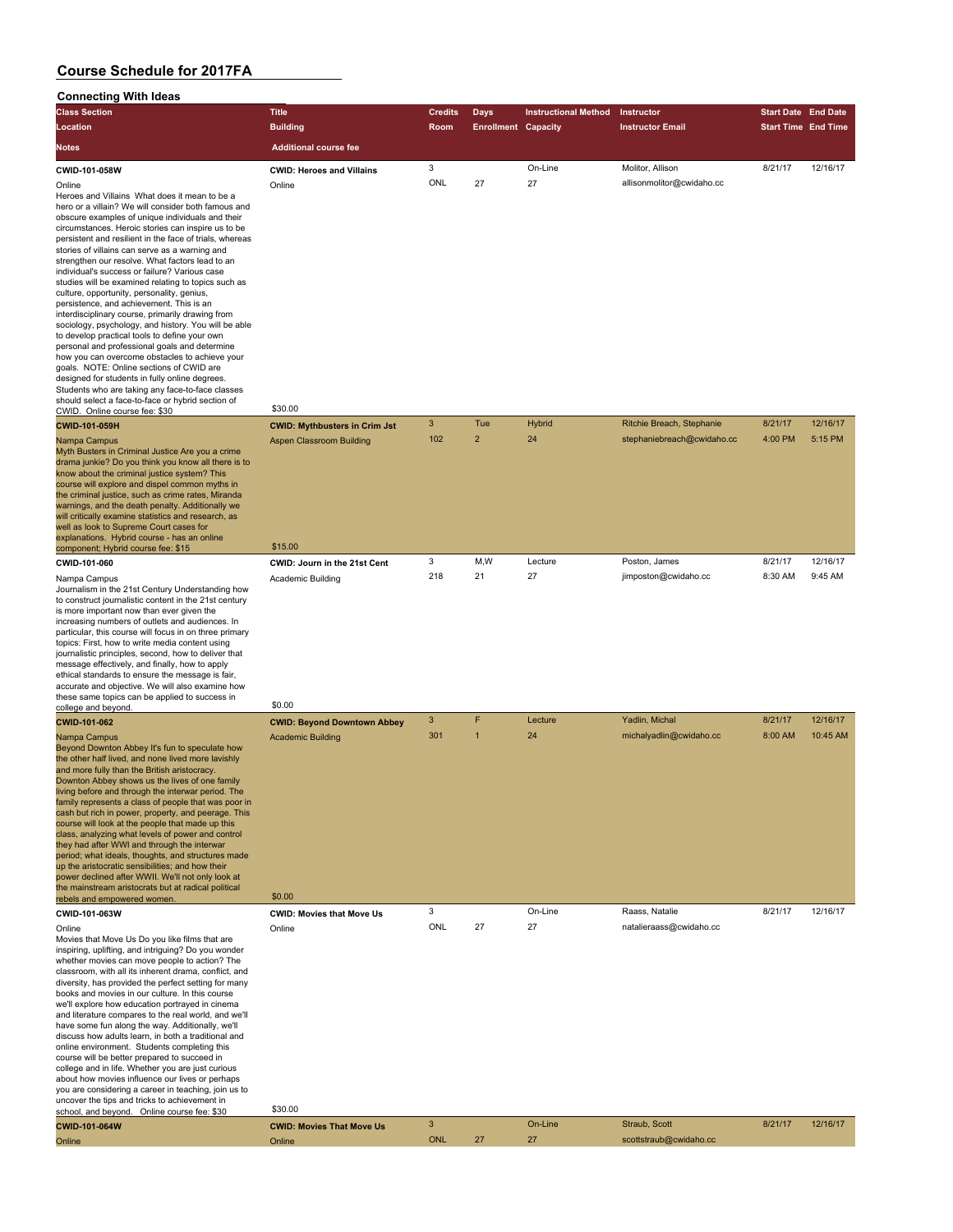| <b>Connecting With Ideas</b>                                                                                  |                                      |                |                            |                             |                            |                            |          |
|---------------------------------------------------------------------------------------------------------------|--------------------------------------|----------------|----------------------------|-----------------------------|----------------------------|----------------------------|----------|
| <b>Class Section</b>                                                                                          | <b>Title</b>                         | <b>Credits</b> | <b>Days</b>                | <b>Instructional Method</b> | Instructor                 | <b>Start Date End Date</b> |          |
| Location                                                                                                      | <b>Building</b>                      | Room           | <b>Enrollment Capacity</b> |                             | <b>Instructor Email</b>    | <b>Start Time End Time</b> |          |
| Notes                                                                                                         | <b>Additional course fee</b>         |                |                            |                             |                            |                            |          |
| CWID-101-058W                                                                                                 | <b>CWID: Heroes and Villains</b>     | 3              |                            | On-Line                     | Molitor, Allison           | 8/21/17                    | 12/16/17 |
| Online                                                                                                        | Online                               | ONL            | 27                         | 27                          | allisonmolitor@cwidaho.cc  |                            |          |
| Heroes and Villains What does it mean to be a                                                                 |                                      |                |                            |                             |                            |                            |          |
| hero or a villain? We will consider both famous and                                                           |                                      |                |                            |                             |                            |                            |          |
| obscure examples of unique individuals and their                                                              |                                      |                |                            |                             |                            |                            |          |
| circumstances. Heroic stories can inspire us to be<br>persistent and resilient in the face of trials, whereas |                                      |                |                            |                             |                            |                            |          |
| stories of villains can serve as a warning and                                                                |                                      |                |                            |                             |                            |                            |          |
| strengthen our resolve. What factors lead to an                                                               |                                      |                |                            |                             |                            |                            |          |
| individual's success or failure? Various case<br>studies will be examined relating to topics such as          |                                      |                |                            |                             |                            |                            |          |
| culture, opportunity, personality, genius,                                                                    |                                      |                |                            |                             |                            |                            |          |
| persistence, and achievement. This is an<br>interdisciplinary course, primarily drawing from                  |                                      |                |                            |                             |                            |                            |          |
| sociology, psychology, and history. You will be able                                                          |                                      |                |                            |                             |                            |                            |          |
| to develop practical tools to define your own                                                                 |                                      |                |                            |                             |                            |                            |          |
| personal and professional goals and determine<br>how you can overcome obstacles to achieve your               |                                      |                |                            |                             |                            |                            |          |
| goals. NOTE: Online sections of CWID are                                                                      |                                      |                |                            |                             |                            |                            |          |
| designed for students in fully online degrees.                                                                |                                      |                |                            |                             |                            |                            |          |
| Students who are taking any face-to-face classes<br>should select a face-to-face or hybrid section of         |                                      |                |                            |                             |                            |                            |          |
| CWID. Online course fee: \$30                                                                                 | \$30.00                              |                |                            |                             |                            |                            |          |
| <b>CWID-101-059H</b>                                                                                          | <b>CWID: Mythbusters in Crim Jst</b> | 3              | Tue                        | <b>Hybrid</b>               | Ritchie Breach, Stephanie  | 8/21/17                    | 12/16/17 |
| Nampa Campus                                                                                                  | Aspen Classroom Building             | 102            | $\overline{2}$             | 24                          | stephaniebreach@cwidaho.cc | 4:00 PM                    | 5:15 PM  |
| Myth Busters in Criminal Justice Are you a crime                                                              |                                      |                |                            |                             |                            |                            |          |
| drama junkie? Do you think you know all there is to                                                           |                                      |                |                            |                             |                            |                            |          |
| know about the criminal justice system? This<br>course will explore and dispel common myths in                |                                      |                |                            |                             |                            |                            |          |
| the criminal justice, such as crime rates, Miranda                                                            |                                      |                |                            |                             |                            |                            |          |
| warnings, and the death penalty. Additionally we<br>will critically examine statistics and research, as       |                                      |                |                            |                             |                            |                            |          |
| well as look to Supreme Court cases for                                                                       |                                      |                |                            |                             |                            |                            |          |
| explanations. Hybrid course - has an online                                                                   |                                      |                |                            |                             |                            |                            |          |
| component; Hybrid course fee: \$15                                                                            | \$15.00                              |                |                            |                             |                            |                            | 12/16/17 |
| CWID-101-060                                                                                                  | CWID: Journ in the 21st Cent         | 3<br>218       | M,W<br>21                  | Lecture                     | Poston, James              | 8/21/17                    | 9:45 AM  |
| Nampa Campus<br>Journalism in the 21st Century Understanding how                                              | Academic Building                    |                |                            | 27                          | jimposton@cwidaho.cc       | 8:30 AM                    |          |
| to construct journalistic content in the 21st century                                                         |                                      |                |                            |                             |                            |                            |          |
| is more important now than ever given the                                                                     |                                      |                |                            |                             |                            |                            |          |
| increasing numbers of outlets and audiences. In<br>particular, this course will focus in on three primary     |                                      |                |                            |                             |                            |                            |          |
| topics: First, how to write media content using                                                               |                                      |                |                            |                             |                            |                            |          |
| journalistic principles, second, how to deliver that                                                          |                                      |                |                            |                             |                            |                            |          |
| message effectively, and finally, how to apply<br>ethical standards to ensure the message is fair,            |                                      |                |                            |                             |                            |                            |          |
| accurate and objective. We will also examine how                                                              |                                      |                |                            |                             |                            |                            |          |
| these same topics can be applied to success in                                                                | \$0.00                               |                |                            |                             |                            |                            |          |
| college and beyond                                                                                            |                                      | 3              | F                          | Lecture                     | Yadlin, Michal             | 8/21/17                    | 12/16/17 |
| CWID-101-062                                                                                                  | <b>CWID: Beyond Downtown Abbey</b>   | 301            | $\overline{1}$             | 24                          |                            | 8:00 AM                    | 10:45 AM |
| Nampa Campus<br>Beyond Downton Abbey It's fun to speculate how                                                | <b>Academic Building</b>             |                |                            |                             | michalyadlin@cwidaho.cc    |                            |          |
| the other half lived, and none lived more lavishly                                                            |                                      |                |                            |                             |                            |                            |          |
| and more fully than the British aristocracy.                                                                  |                                      |                |                            |                             |                            |                            |          |
| Downton Abbey shows us the lives of one family<br>living before and through the interwar period. The          |                                      |                |                            |                             |                            |                            |          |
| family represents a class of people that was poor in                                                          |                                      |                |                            |                             |                            |                            |          |
| cash but rich in power, property, and peerage. This                                                           |                                      |                |                            |                             |                            |                            |          |
| course will look at the people that made up this<br>class, analyzing what levels of power and control         |                                      |                |                            |                             |                            |                            |          |
| they had after WWI and through the interwar                                                                   |                                      |                |                            |                             |                            |                            |          |
| period; what ideals, thoughts, and structures made                                                            |                                      |                |                            |                             |                            |                            |          |
| up the aristocratic sensibilities; and how their<br>power declined after WWII. We'll not only look at         |                                      |                |                            |                             |                            |                            |          |
| the mainstream aristocrats but at radical political                                                           |                                      |                |                            |                             |                            |                            |          |
| rebels and empowered women.                                                                                   | \$0.00                               |                |                            |                             |                            |                            |          |
| CWID-101-063W                                                                                                 | <b>CWID: Movies that Move Us</b>     | 3              |                            | On-Line                     | Raass, Natalie             | 8/21/17                    | 12/16/17 |
| Online                                                                                                        | Online                               | ONL            | 27                         | 27                          | natalieraass@cwidaho.cc    |                            |          |
| Movies that Move Us Do you like films that are<br>inspiring, uplifting, and intriguing? Do you wonder         |                                      |                |                            |                             |                            |                            |          |
| whether movies can move people to action? The                                                                 |                                      |                |                            |                             |                            |                            |          |
| classroom, with all its inherent drama, conflict, and<br>diversity, has provided the perfect setting for many |                                      |                |                            |                             |                            |                            |          |
| books and movies in our culture. In this course                                                               |                                      |                |                            |                             |                            |                            |          |
| we'll explore how education portrayed in cinema                                                               |                                      |                |                            |                             |                            |                            |          |
| and literature compares to the real world, and we'll                                                          |                                      |                |                            |                             |                            |                            |          |
| have some fun along the way. Additionally, we'll<br>discuss how adults learn, in both a traditional and       |                                      |                |                            |                             |                            |                            |          |
| online environment. Students completing this                                                                  |                                      |                |                            |                             |                            |                            |          |
| course will be better prepared to succeed in<br>college and in life. Whether you are just curious             |                                      |                |                            |                             |                            |                            |          |
| about how movies influence our lives or perhaps                                                               |                                      |                |                            |                             |                            |                            |          |
| you are considering a career in teaching, join us to                                                          |                                      |                |                            |                             |                            |                            |          |
| uncover the tips and tricks to achievement in<br>school, and beyond. Online course fee: \$30                  | \$30.00                              |                |                            |                             |                            |                            |          |
| CWID-101-064W                                                                                                 | <b>CWID: Movies That Move Us</b>     | $\sqrt{3}$     |                            | On-Line                     | Straub, Scott              | 8/21/17                    | 12/16/17 |
| Online                                                                                                        | Online                               | <b>ONL</b>     | 27                         | 27                          | scottstraub@cwidaho.cc     |                            |          |
|                                                                                                               |                                      |                |                            |                             |                            |                            |          |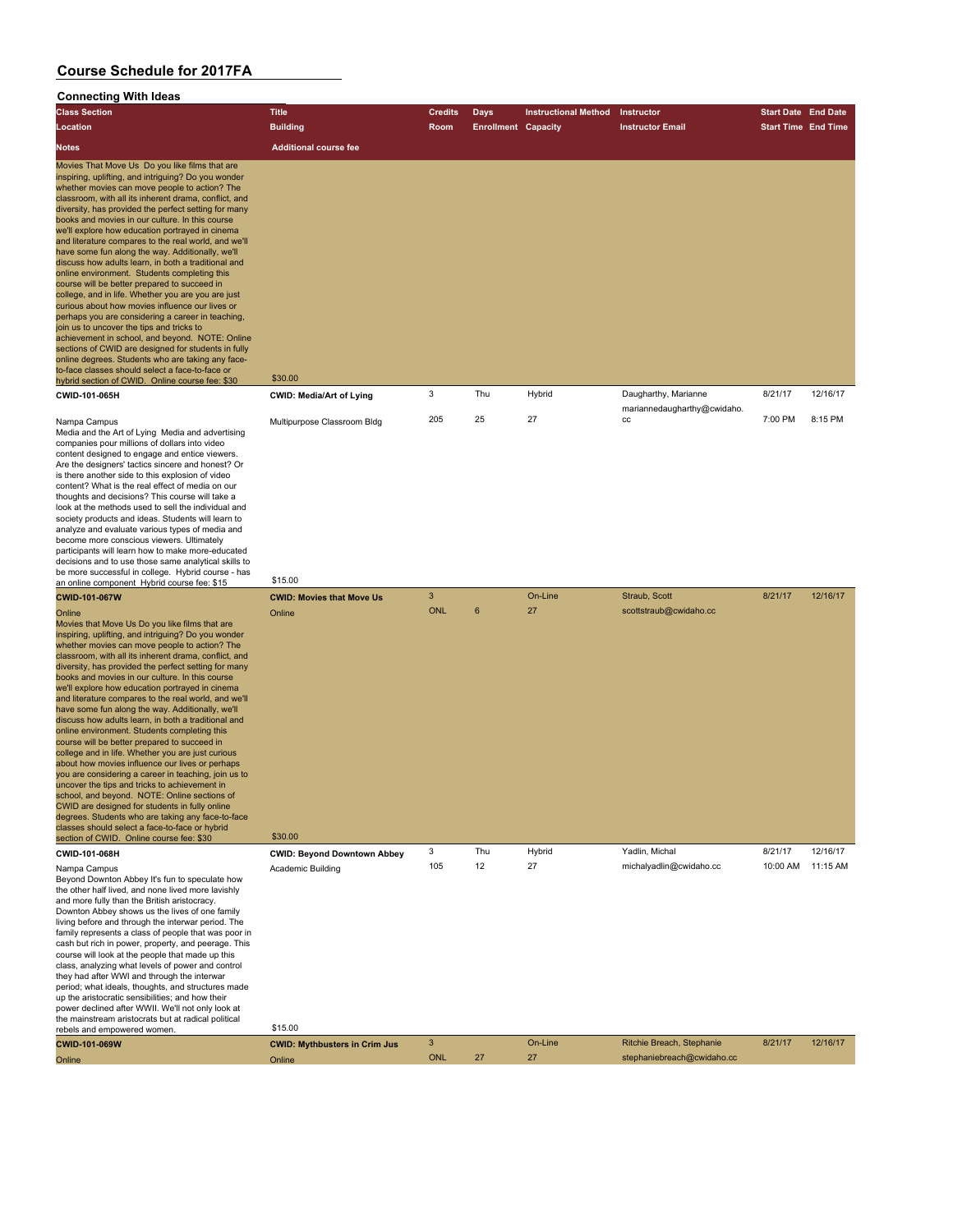#### **Connecting With Ideas**

| oomoonny muunoo<br><b>Class Section</b>                                                                                                                                                                                                                                                                                                                                                                                                                                                                                                                                                                                                                                                                                                                                                                                                                                                                                                                                                                                                                                                                                                                  | <b>Title</b>                                                       | <b>Credits</b>  | Days                       | <b>Instructional Method</b> | Instructor                                | <b>Start Date End Date</b> |                      |
|----------------------------------------------------------------------------------------------------------------------------------------------------------------------------------------------------------------------------------------------------------------------------------------------------------------------------------------------------------------------------------------------------------------------------------------------------------------------------------------------------------------------------------------------------------------------------------------------------------------------------------------------------------------------------------------------------------------------------------------------------------------------------------------------------------------------------------------------------------------------------------------------------------------------------------------------------------------------------------------------------------------------------------------------------------------------------------------------------------------------------------------------------------|--------------------------------------------------------------------|-----------------|----------------------------|-----------------------------|-------------------------------------------|----------------------------|----------------------|
| Location                                                                                                                                                                                                                                                                                                                                                                                                                                                                                                                                                                                                                                                                                                                                                                                                                                                                                                                                                                                                                                                                                                                                                 | <b>Building</b>                                                    | <b>Room</b>     | <b>Enrollment Capacity</b> |                             | <b>Instructor Email</b>                   | <b>Start Time End Time</b> |                      |
| <b>Notes</b>                                                                                                                                                                                                                                                                                                                                                                                                                                                                                                                                                                                                                                                                                                                                                                                                                                                                                                                                                                                                                                                                                                                                             | <b>Additional course fee</b>                                       |                 |                            |                             |                                           |                            |                      |
| Movies That Move Us Do you like films that are<br>inspiring, uplifting, and intriguing? Do you wonder<br>whether movies can move people to action? The<br>classroom, with all its inherent drama, conflict, and<br>diversity, has provided the perfect setting for many<br>books and movies in our culture. In this course<br>we'll explore how education portrayed in cinema<br>and literature compares to the real world, and we'll<br>have some fun along the way. Additionally, we'll<br>discuss how adults learn, in both a traditional and<br>online environment. Students completing this<br>course will be better prepared to succeed in<br>college, and in life. Whether you are you are just<br>curious about how movies influence our lives or<br>perhaps you are considering a career in teaching,<br>join us to uncover the tips and tricks to<br>achievement in school, and beyond. NOTE: Online<br>sections of CWID are designed for students in fully<br>online degrees. Students who are taking any face-<br>to-face classes should select a face-to-face or                                                                            | \$30.00                                                            |                 |                            |                             |                                           |                            |                      |
| hybrid section of CWID. Online course fee: \$30<br>CWID-101-065H                                                                                                                                                                                                                                                                                                                                                                                                                                                                                                                                                                                                                                                                                                                                                                                                                                                                                                                                                                                                                                                                                         | <b>CWID: Media/Art of Lying</b>                                    | 3               | Thu                        | Hybrid                      | Daugharthy, Marianne                      | 8/21/17                    | 12/16/17             |
| Nampa Campus<br>Media and the Art of Lying Media and advertising<br>companies pour millions of dollars into video<br>content designed to engage and entice viewers.<br>Are the designers' tactics sincere and honest? Or<br>is there another side to this explosion of video<br>content? What is the real effect of media on our<br>thoughts and decisions? This course will take a<br>look at the methods used to sell the individual and<br>society products and ideas. Students will learn to<br>analyze and evaluate various types of media and<br>become more conscious viewers. Ultimately<br>participants will learn how to make more-educated<br>decisions and to use those same analytical skills to<br>be more successful in college. Hybrid course - has                                                                                                                                                                                                                                                                                                                                                                                      | Multipurpose Classroom Bldg                                        | 205             | 25                         | 27                          | mariannedaugharthy@cwidaho.<br>CC         | 7:00 PM                    | 8:15 PM              |
| an online component Hybrid course fee: \$15                                                                                                                                                                                                                                                                                                                                                                                                                                                                                                                                                                                                                                                                                                                                                                                                                                                                                                                                                                                                                                                                                                              | \$15.00                                                            |                 |                            |                             |                                           |                            |                      |
| <b>CWID-101-067W</b><br>Online<br>Movies that Move Us Do you like films that are<br>inspiring, uplifting, and intriguing? Do you wonder<br>whether movies can move people to action? The<br>classroom, with all its inherent drama, conflict, and<br>diversity, has provided the perfect setting for many<br>books and movies in our culture. In this course<br>we'll explore how education portrayed in cinema<br>and literature compares to the real world, and we'll<br>have some fun along the way. Additionally, we'll<br>discuss how adults learn, in both a traditional and<br>online environment. Students completing this<br>course will be better prepared to succeed in<br>college and in life. Whether you are just curious<br>about how movies influence our lives or perhaps<br>you are considering a career in teaching, join us to<br>uncover the tips and tricks to achievement in<br>school, and beyond. NOTE: Online sections of<br>CWID are designed for students in fully online<br>degrees. Students who are taking any face-to-face<br>classes should select a face-to-face or hybrid<br>section of CWID. Online course fee: \$30 | <b>CWID: Movies that Move Us</b><br>Online<br>\$30.00              | 3<br><b>ONL</b> | 6                          | On-Line<br>27               | Straub, Scott<br>scottstraub@cwidaho.cc   | 8/21/17                    | 12/16/17             |
| CWID-101-068H<br>Nampa Campus<br>Beyond Downton Abbey It's fun to speculate how<br>the other half lived, and none lived more lavishly<br>and more fully than the British aristocracy.<br>Downton Abbey shows us the lives of one family<br>living before and through the interwar period. The<br>family represents a class of people that was poor in<br>cash but rich in power, property, and peerage. This<br>course will look at the people that made up this<br>class, analyzing what levels of power and control<br>they had after WWI and through the interwar<br>period; what ideals, thoughts, and structures made<br>up the aristocratic sensibilities; and how their<br>power declined after WWII. We'll not only look at<br>the mainstream aristocrats but at radical political<br>rebels and empowered women.                                                                                                                                                                                                                                                                                                                                | <b>CWID: Beyond Downtown Abbey</b><br>Academic Building<br>\$15.00 | 3<br>105        | Thu<br>12                  | Hybrid<br>27                | Yadlin, Michal<br>michalyadlin@cwidaho.cc | 8/21/17<br>10:00 AM        | 12/16/17<br>11:15 AM |

| <b>CWID-101-069W</b> | <b>CWID: Mythbusters in Crim Jus</b> |     | On-Line | Ritchie Breach, Stephanie  | 8/21/17 | 12/16/17 |
|----------------------|--------------------------------------|-----|---------|----------------------------|---------|----------|
| Online               | Online                               | ONL |         | stephaniebreach@cwidaho.cc |         |          |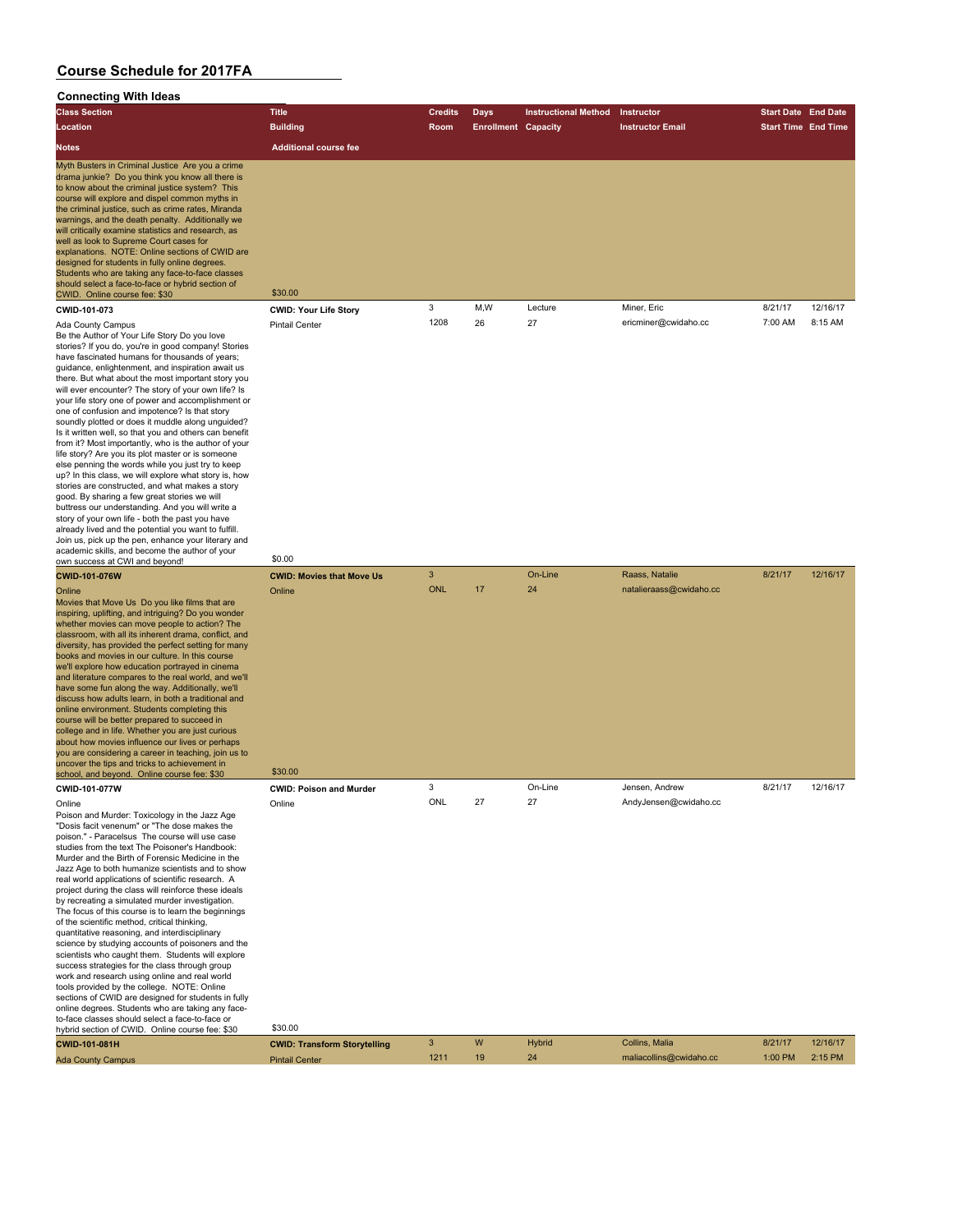| <b>Connecting With Ideas</b>                                                                                                                                                                                                                                                                                                                                                                                                                                                                                                                                                                                                                                                                                                                                                                                                                                                                                                                                                                                                                                                                                                                                             |                                                       |                 |                            |                             |                                           |                            |          |
|--------------------------------------------------------------------------------------------------------------------------------------------------------------------------------------------------------------------------------------------------------------------------------------------------------------------------------------------------------------------------------------------------------------------------------------------------------------------------------------------------------------------------------------------------------------------------------------------------------------------------------------------------------------------------------------------------------------------------------------------------------------------------------------------------------------------------------------------------------------------------------------------------------------------------------------------------------------------------------------------------------------------------------------------------------------------------------------------------------------------------------------------------------------------------|-------------------------------------------------------|-----------------|----------------------------|-----------------------------|-------------------------------------------|----------------------------|----------|
| <b>Class Section</b>                                                                                                                                                                                                                                                                                                                                                                                                                                                                                                                                                                                                                                                                                                                                                                                                                                                                                                                                                                                                                                                                                                                                                     | <b>Title</b>                                          | <b>Credits</b>  | <b>Days</b>                | <b>Instructional Method</b> | Instructor                                | <b>Start Date End Date</b> |          |
| Location                                                                                                                                                                                                                                                                                                                                                                                                                                                                                                                                                                                                                                                                                                                                                                                                                                                                                                                                                                                                                                                                                                                                                                 | <b>Building</b>                                       | Room            | <b>Enrollment Capacity</b> |                             | <b>Instructor Email</b>                   | <b>Start Time End Time</b> |          |
| <b>Notes</b>                                                                                                                                                                                                                                                                                                                                                                                                                                                                                                                                                                                                                                                                                                                                                                                                                                                                                                                                                                                                                                                                                                                                                             | <b>Additional course fee</b>                          |                 |                            |                             |                                           |                            |          |
| Myth Busters in Criminal Justice Are you a crime<br>drama junkie? Do you think you know all there is<br>to know about the criminal justice system? This<br>course will explore and dispel common myths in<br>the criminal justice, such as crime rates, Miranda<br>warnings, and the death penalty. Additionally we<br>will critically examine statistics and research, as<br>well as look to Supreme Court cases for<br>explanations. NOTE: Online sections of CWID are<br>designed for students in fully online degrees.<br>Students who are taking any face-to-face classes<br>should select a face-to-face or hybrid section of<br>CWID. Online course fee: \$30                                                                                                                                                                                                                                                                                                                                                                                                                                                                                                     | \$30.00                                               |                 |                            |                             |                                           |                            |          |
| CWID-101-073                                                                                                                                                                                                                                                                                                                                                                                                                                                                                                                                                                                                                                                                                                                                                                                                                                                                                                                                                                                                                                                                                                                                                             | <b>CWID: Your Life Story</b>                          | 3               | M,W                        | Lecture                     | Miner, Eric                               | 8/21/17                    | 12/16/17 |
| Ada County Campus<br>Be the Author of Your Life Story Do you love<br>stories? If you do, you're in good company! Stories<br>have fascinated humans for thousands of years;<br>guidance, enlightenment, and inspiration await us<br>there. But what about the most important story you<br>will ever encounter? The story of your own life? Is<br>your life story one of power and accomplishment or<br>one of confusion and impotence? Is that story<br>soundly plotted or does it muddle along unquided?<br>Is it written well, so that you and others can benefit<br>from it? Most importantly, who is the author of your<br>life story? Are you its plot master or is someone<br>else penning the words while you just try to keep<br>up? In this class, we will explore what story is, how<br>stories are constructed, and what makes a story<br>good. By sharing a few great stories we will<br>buttress our understanding. And you will write a<br>story of your own life - both the past you have<br>already lived and the potential you want to fulfill.<br>Join us, pick up the pen, enhance your literary and<br>academic skills, and become the author of your | <b>Pintail Center</b>                                 | 1208            | 26                         | 27                          | ericminer@cwidaho.cc                      | 7:00 AM                    | 8:15 AM  |
| own success at CWI and beyond!                                                                                                                                                                                                                                                                                                                                                                                                                                                                                                                                                                                                                                                                                                                                                                                                                                                                                                                                                                                                                                                                                                                                           | \$0.00                                                | 3               |                            | On-Line                     | Raass, Natalie                            | 8/21/17                    | 12/16/17 |
| <b>CWID-101-076W</b><br>Online<br>Movies that Move Us Do you like films that are<br>inspiring, uplifting, and intriguing? Do you wonder<br>whether movies can move people to action? The<br>classroom, with all its inherent drama, conflict, and<br>diversity, has provided the perfect setting for many<br>books and movies in our culture. In this course<br>we'll explore how education portrayed in cinema<br>and literature compares to the real world, and we'll<br>have some fun along the way. Additionally, we'll<br>discuss how adults learn, in both a traditional and<br>online environment. Students completing this<br>course will be better prepared to succeed in<br>college and in life. Whether you are just curious<br>about how movies influence our lives or perhaps<br>you are considering a career in teaching, join us to<br>uncover the tips and tricks to achievement in<br>school, and beyond. Online course fee: \$30                                                                                                                                                                                                                       | <b>CWID: Movies that Move Us</b><br>Online<br>\$30.00 | <b>ONL</b><br>3 | 17                         | 24                          | natalieraass@cwidaho.cc<br>Jensen, Andrew |                            |          |
| CWID-101-077W<br>Online                                                                                                                                                                                                                                                                                                                                                                                                                                                                                                                                                                                                                                                                                                                                                                                                                                                                                                                                                                                                                                                                                                                                                  | <b>CWID: Poison and Murder</b><br>Online              | ONL             | 27                         | On-Line<br>27               | AndyJensen@cwidaho.cc                     | 8/21/17                    | 12/16/17 |
| Poison and Murder: Toxicology in the Jazz Age<br>"Dosis facit venenum" or "The dose makes the<br>poison." - Paracelsus The course will use case<br>studies from the text The Poisoner's Handbook:<br>Murder and the Birth of Forensic Medicine in the<br>Jazz Age to both humanize scientists and to show<br>real world applications of scientific research. A<br>project during the class will reinforce these ideals<br>by recreating a simulated murder investigation.<br>The focus of this course is to learn the beginnings<br>of the scientific method, critical thinking,<br>quantitative reasoning, and interdisciplinary<br>science by studying accounts of poisoners and the<br>scientists who caught them. Students will explore<br>success strategies for the class through group<br>work and research using online and real world<br>tools provided by the college. NOTE: Online<br>sections of CWID are designed for students in fully                                                                                                                                                                                                                     |                                                       |                 |                            |                             |                                           |                            |          |

sections of CWID are designed for students in fully<br>online degrees. Students who are taking any face-<br>to-face classes should select a face-to-face or<br>hybrid section of CWID. Online course fee: \$30 \$30.00

| CWID-101-081H            | <b>CWID: Transform Storvtelling</b> |      |    | <b>Hybrid</b> | Collins, Malia          | 8/21/17         | 12/16/17 |
|--------------------------|-------------------------------------|------|----|---------------|-------------------------|-----------------|----------|
| <b>Ada County Campus</b> | <b>Pintail Center</b>               | 1211 | 19 |               | maliacollins@cwidaho.cc | 1:00 PM 2:15 PM |          |
|                          |                                     |      |    |               |                         |                 |          |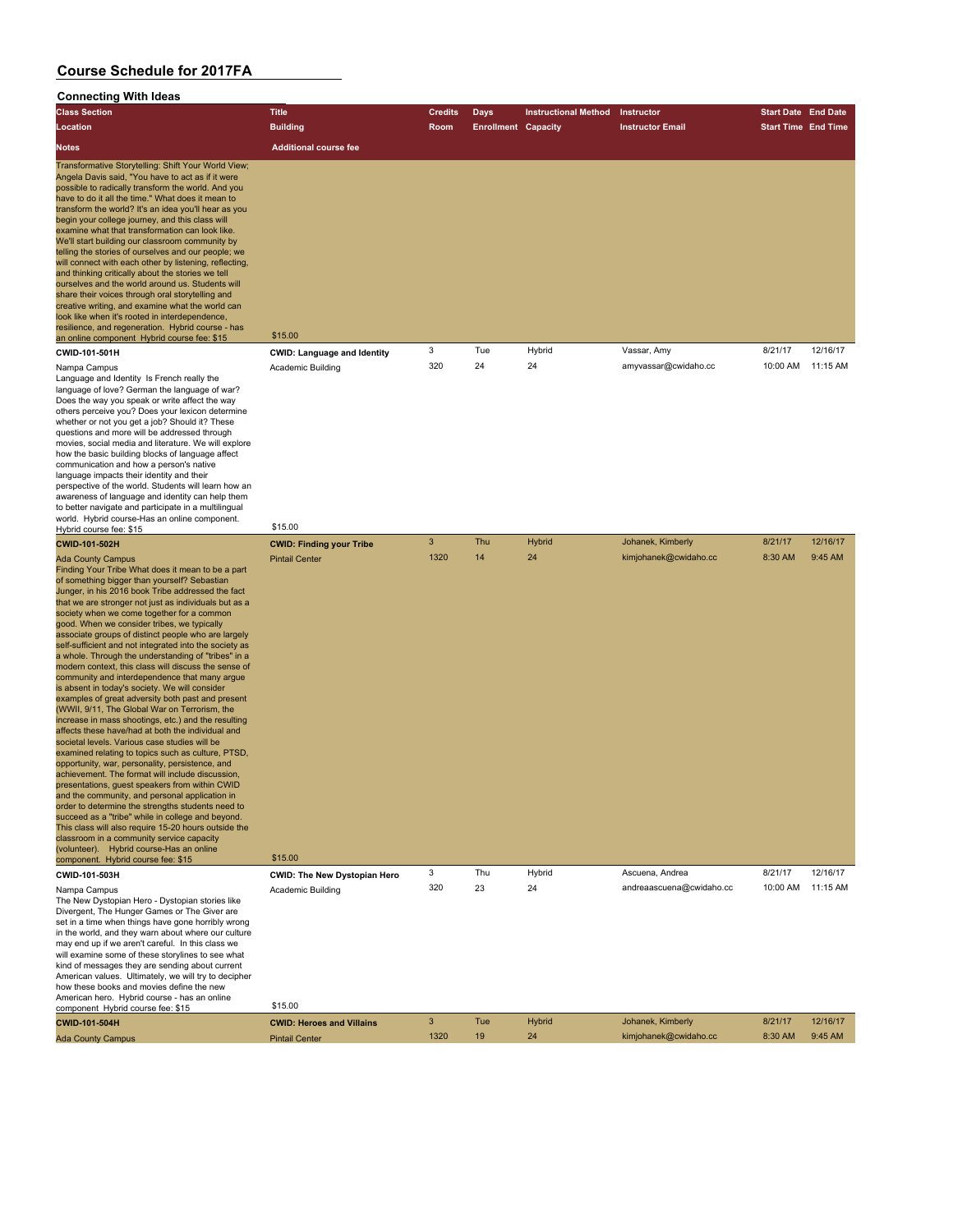# **Connecting With Ideas**

| Connecung with ideas                                                                                                                                                                                                                                                                                                                                                                                                                                                                                                                                                                                                                                                                                                                                                                                                                                                                                                                                                                                                                                                                                                                                                                                                                                                                                                                                                                                                                                                                               |                                                          |                |                            |                             |                          |                            |          |
|----------------------------------------------------------------------------------------------------------------------------------------------------------------------------------------------------------------------------------------------------------------------------------------------------------------------------------------------------------------------------------------------------------------------------------------------------------------------------------------------------------------------------------------------------------------------------------------------------------------------------------------------------------------------------------------------------------------------------------------------------------------------------------------------------------------------------------------------------------------------------------------------------------------------------------------------------------------------------------------------------------------------------------------------------------------------------------------------------------------------------------------------------------------------------------------------------------------------------------------------------------------------------------------------------------------------------------------------------------------------------------------------------------------------------------------------------------------------------------------------------|----------------------------------------------------------|----------------|----------------------------|-----------------------------|--------------------------|----------------------------|----------|
| <b>Class Section</b>                                                                                                                                                                                                                                                                                                                                                                                                                                                                                                                                                                                                                                                                                                                                                                                                                                                                                                                                                                                                                                                                                                                                                                                                                                                                                                                                                                                                                                                                               | <b>Title</b>                                             | <b>Credits</b> | <b>Days</b>                | <b>Instructional Method</b> | Instructor               | <b>Start Date End Date</b> |          |
| Location                                                                                                                                                                                                                                                                                                                                                                                                                                                                                                                                                                                                                                                                                                                                                                                                                                                                                                                                                                                                                                                                                                                                                                                                                                                                                                                                                                                                                                                                                           | <b>Building</b>                                          | <b>Room</b>    | <b>Enrollment Capacity</b> |                             | <b>Instructor Email</b>  | <b>Start Time End Time</b> |          |
| <b>Notes</b>                                                                                                                                                                                                                                                                                                                                                                                                                                                                                                                                                                                                                                                                                                                                                                                                                                                                                                                                                                                                                                                                                                                                                                                                                                                                                                                                                                                                                                                                                       | <b>Additional course fee</b>                             |                |                            |                             |                          |                            |          |
| Transformative Storytelling: Shift Your World View;<br>Angela Davis said, "You have to act as if it were<br>possible to radically transform the world. And you<br>have to do it all the time." What does it mean to<br>transform the world? It's an idea you'll hear as you<br>begin your college journey, and this class will<br>examine what that transformation can look like.<br>We'll start building our classroom community by<br>telling the stories of ourselves and our people; we<br>will connect with each other by listening, reflecting,<br>and thinking critically about the stories we tell<br>ourselves and the world around us. Students will<br>share their voices through oral storytelling and<br>creative writing, and examine what the world can<br>look like when it's rooted in interdependence,<br>resilience, and regeneration. Hybrid course - has<br>an online component Hybrid course fee: \$15                                                                                                                                                                                                                                                                                                                                                                                                                                                                                                                                                                       | \$15.00                                                  | 3              | Tue                        | Hybrid                      | Vassar, Amy              | 8/21/17                    | 12/16/17 |
| CWID-101-501H<br>Nampa Campus                                                                                                                                                                                                                                                                                                                                                                                                                                                                                                                                                                                                                                                                                                                                                                                                                                                                                                                                                                                                                                                                                                                                                                                                                                                                                                                                                                                                                                                                      | <b>CWID: Language and Identity</b><br>Academic Building  | 320            | 24                         | 24                          | amyvassar@cwidaho.cc     | 10:00 AM                   | 11:15 AM |
| Language and Identity Is French really the<br>language of love? German the language of war?<br>Does the way you speak or write affect the way<br>others perceive you? Does your lexicon determine<br>whether or not you get a job? Should it? These<br>questions and more will be addressed through<br>movies, social media and literature. We will explore<br>how the basic building blocks of language affect<br>communication and how a person's native<br>language impacts their identity and their<br>perspective of the world. Students will learn how an<br>awareness of language and identity can help them<br>to better navigate and participate in a multilingual<br>world. Hybrid course-Has an online component.                                                                                                                                                                                                                                                                                                                                                                                                                                                                                                                                                                                                                                                                                                                                                                       | \$15.00                                                  |                |                            |                             |                          |                            |          |
| Hybrid course fee: \$15                                                                                                                                                                                                                                                                                                                                                                                                                                                                                                                                                                                                                                                                                                                                                                                                                                                                                                                                                                                                                                                                                                                                                                                                                                                                                                                                                                                                                                                                            |                                                          | 3              | Thu                        | <b>Hybrid</b>               | Johanek, Kimberly        | 8/21/17                    | 12/16/17 |
| <b>CWID-101-502H</b><br><b>Ada County Campus</b><br>Finding Your Tribe What does it mean to be a part<br>of something bigger than yourself? Sebastian<br>Junger, in his 2016 book Tribe addressed the fact<br>that we are stronger not just as individuals but as a<br>society when we come together for a common<br>good. When we consider tribes, we typically<br>associate groups of distinct people who are largely<br>self-sufficient and not integrated into the society as<br>a whole. Through the understanding of "tribes" in a<br>modern context, this class will discuss the sense of<br>community and interdependence that many argue<br>is absent in today's society. We will consider<br>examples of great adversity both past and present<br>(WWII, 9/11, The Global War on Terrorism, the<br>increase in mass shootings, etc.) and the resulting<br>affects these have/had at both the individual and<br>societal levels. Various case studies will be<br>examined relating to topics such as culture, PTSD,<br>opportunity, war, personality, persistence, and<br>achievement. The format will include discussion,<br>presentations, guest speakers from within CWID<br>and the community, and personal application in<br>order to determine the strengths students need to<br>succeed as a "tribe" while in college and beyond.<br>This class will also require 15-20 hours outside the<br>classroom in a community service capacity<br>(volunteer). Hybrid course-Has an online | <b>CWID: Finding your Tribe</b><br><b>Pintail Center</b> | 1320           | 14                         | 24                          | kimjohanek@cwidaho.cc    | 8:30 AM                    | 9:45 AM  |
| component. Hybrid course fee: \$15                                                                                                                                                                                                                                                                                                                                                                                                                                                                                                                                                                                                                                                                                                                                                                                                                                                                                                                                                                                                                                                                                                                                                                                                                                                                                                                                                                                                                                                                 | \$15.00                                                  | 3              | Thu                        | Hybrid                      | Ascuena, Andrea          | 8/21/17                    | 12/16/17 |
| CWID-101-503H<br>Nampa Campus<br>The New Dystopian Hero - Dystopian stories like<br>Divergent, The Hunger Games or The Giver are<br>set in a time when things have gone horribly wrong<br>in the world, and they warn about where our culture<br>may end up if we aren't careful. In this class we<br>will examine some of these storylines to see what<br>kind of messages they are sending about current<br>American values. Ultimately, we will try to decipher<br>how these books and movies define the new                                                                                                                                                                                                                                                                                                                                                                                                                                                                                                                                                                                                                                                                                                                                                                                                                                                                                                                                                                                    | <b>CWID: The New Dystopian Hero</b><br>Academic Building | 320            | 23                         | 24                          | andreaascuena@cwidaho.cc | 10:00 AM                   | 11:15 AM |
| American hero. Hybrid course - has an online<br>component Hybrid course fee: \$15                                                                                                                                                                                                                                                                                                                                                                                                                                                                                                                                                                                                                                                                                                                                                                                                                                                                                                                                                                                                                                                                                                                                                                                                                                                                                                                                                                                                                  | \$15.00                                                  |                |                            |                             |                          |                            |          |
| CWID-101-504H                                                                                                                                                                                                                                                                                                                                                                                                                                                                                                                                                                                                                                                                                                                                                                                                                                                                                                                                                                                                                                                                                                                                                                                                                                                                                                                                                                                                                                                                                      | <b>CWID: Heroes and Villains</b>                         | 3              | Tue                        | <b>Hybrid</b>               | Johanek, Kimberly        | 8/21/17                    | 12/16/17 |
| <b>Ada County Campus</b>                                                                                                                                                                                                                                                                                                                                                                                                                                                                                                                                                                                                                                                                                                                                                                                                                                                                                                                                                                                                                                                                                                                                                                                                                                                                                                                                                                                                                                                                           | <b>Pintail Center</b>                                    | 1320           | 19                         | 24                          | kimjohanek@cwidaho.cc    | 8:30 AM                    | 9:45 AM  |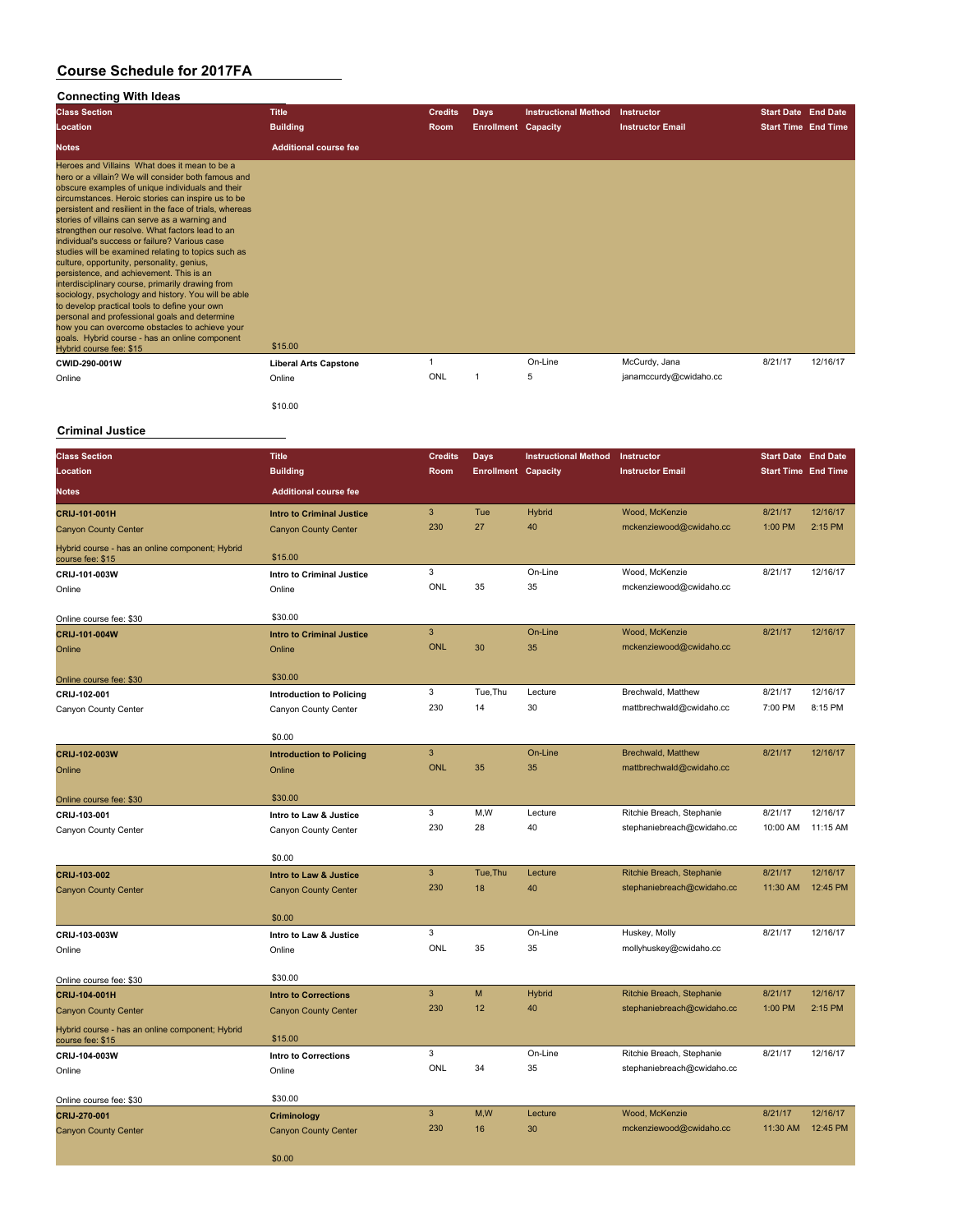#### **Connecting With Ideas**

| <b>Class Section</b>                                                                                                                                                                                                                                                                                                                                                                                                                                                                                                                                                                                                                                                                                                                                                                                                                                                                                                         | <b>Title</b>                 | <b>Credits</b> | <b>Days</b>                | <b>Instructional Method</b> | Instructor              | <b>Start Date End Date</b> |          |
|------------------------------------------------------------------------------------------------------------------------------------------------------------------------------------------------------------------------------------------------------------------------------------------------------------------------------------------------------------------------------------------------------------------------------------------------------------------------------------------------------------------------------------------------------------------------------------------------------------------------------------------------------------------------------------------------------------------------------------------------------------------------------------------------------------------------------------------------------------------------------------------------------------------------------|------------------------------|----------------|----------------------------|-----------------------------|-------------------------|----------------------------|----------|
| Location                                                                                                                                                                                                                                                                                                                                                                                                                                                                                                                                                                                                                                                                                                                                                                                                                                                                                                                     | <b>Building</b>              | Room           | <b>Enrollment Capacity</b> |                             | <b>Instructor Email</b> | <b>Start Time End Time</b> |          |
| <b>Notes</b>                                                                                                                                                                                                                                                                                                                                                                                                                                                                                                                                                                                                                                                                                                                                                                                                                                                                                                                 | <b>Additional course fee</b> |                |                            |                             |                         |                            |          |
| Heroes and Villains What does it mean to be a<br>hero or a villain? We will consider both famous and<br>obscure examples of unique individuals and their<br>circumstances. Heroic stories can inspire us to be<br>persistent and resilient in the face of trials, whereas<br>stories of villains can serve as a warning and<br>strengthen our resolve. What factors lead to an<br>individual's success or failure? Various case<br>studies will be examined relating to topics such as<br>culture, opportunity, personality, genius,<br>persistence, and achievement. This is an<br>interdisciplinary course, primarily drawing from<br>sociology, psychology and history. You will be able<br>to develop practical tools to define your own<br>personal and professional goals and determine<br>how you can overcome obstacles to achieve your<br>goals. Hybrid course - has an online component<br>Hybrid course fee: \$15 | \$15,00                      |                |                            |                             |                         |                            |          |
| CWID-290-001W                                                                                                                                                                                                                                                                                                                                                                                                                                                                                                                                                                                                                                                                                                                                                                                                                                                                                                                | <b>Liberal Arts Capstone</b> |                |                            | On-Line                     | McCurdy, Jana           | 8/21/17                    | 12/16/17 |
| Online                                                                                                                                                                                                                                                                                                                                                                                                                                                                                                                                                                                                                                                                                                                                                                                                                                                                                                                       | Online                       | ONL            |                            | 5                           | janamccurdy@cwidaho.cc  |                            |          |

#### **Criminal Justice**

\$10.00

| <b>Class Section</b>                                                | <b>Title</b>                               | <b>Credits</b>  | <b>Days</b>                | <b>Instructional Method</b> | Instructor                 | <b>Start Date End Date</b> |          |
|---------------------------------------------------------------------|--------------------------------------------|-----------------|----------------------------|-----------------------------|----------------------------|----------------------------|----------|
| Location                                                            | <b>Building</b>                            | Room            | <b>Enrollment Capacity</b> |                             | <b>Instructor Email</b>    | <b>Start Time End Time</b> |          |
| <b>Notes</b>                                                        | <b>Additional course fee</b>               |                 |                            |                             |                            |                            |          |
| CRIJ-101-001H                                                       | <b>Intro to Criminal Justice</b>           | $\mathbf{3}$    | Tue                        | <b>Hybrid</b>               | Wood, McKenzie             | 8/21/17                    | 12/16/17 |
| <b>Canyon County Center</b>                                         | <b>Canyon County Center</b>                | 230             | 27                         | 40                          | mckenziewood@cwidaho.cc    | 1:00 PM                    | 2:15 PM  |
| Hybrid course - has an online component; Hybrid<br>course fee: \$15 | \$15.00                                    |                 |                            |                             |                            |                            |          |
| CRIJ-101-003W                                                       | <b>Intro to Criminal Justice</b>           | 3               |                            | On-Line                     | Wood, McKenzie             | 8/21/17                    | 12/16/17 |
| Online                                                              | Online                                     | ONL             | 35                         | 35                          | mckenziewood@cwidaho.cc    |                            |          |
|                                                                     | \$30.00                                    |                 |                            |                             |                            |                            |          |
| Online course fee: \$30                                             |                                            | 3               |                            | On-Line                     | Wood, McKenzie             | 8/21/17                    | 12/16/17 |
| CRIJ-101-004W<br>Online                                             | <b>Intro to Criminal Justice</b><br>Online | <b>ONL</b>      | 30                         | 35                          | mckenziewood@cwidaho.cc    |                            |          |
|                                                                     |                                            |                 |                            |                             |                            |                            |          |
| Online course fee: \$30                                             | \$30.00                                    |                 |                            |                             |                            |                            |          |
| CRIJ-102-001                                                        | <b>Introduction to Policing</b>            | 3               | Tue, Thu                   | Lecture                     | Brechwald, Matthew         | 8/21/17                    | 12/16/17 |
| Canyon County Center                                                | Canyon County Center                       | 230             | 14                         | 30                          | mattbrechwald@cwidaho.cc   | 7:00 PM                    | 8:15 PM  |
|                                                                     |                                            |                 |                            |                             |                            |                            |          |
|                                                                     | \$0.00                                     |                 |                            |                             |                            |                            |          |
| CRIJ-102-003W                                                       | <b>Introduction to Policing</b>            | 3<br><b>ONL</b> | 35                         | On-Line<br>35               | <b>Brechwald, Matthew</b>  | 8/21/17                    | 12/16/17 |
| Online                                                              | Online                                     |                 |                            |                             | mattbrechwald@cwidaho.cc   |                            |          |
| Online course fee: \$30                                             | \$30.00                                    |                 |                            |                             |                            |                            |          |
| CRIJ-103-001                                                        | Intro to Law & Justice                     | 3               | M,W                        | Lecture                     | Ritchie Breach, Stephanie  | 8/21/17                    | 12/16/17 |
| Canyon County Center                                                | Canyon County Center                       | 230             | 28                         | 40                          | stephaniebreach@cwidaho.cc | 10:00 AM                   | 11:15 AM |
|                                                                     |                                            |                 |                            |                             |                            |                            |          |
|                                                                     | \$0.00                                     | 3               | Tue, Thu                   | Lecture                     | Ritchie Breach, Stephanie  | 8/21/17                    | 12/16/17 |
| CRIJ-103-002                                                        | Intro to Law & Justice                     | 230             | 18                         | 40                          | stephaniebreach@cwidaho.cc | 11:30 AM                   | 12:45 PM |
| <b>Canyon County Center</b>                                         | <b>Canyon County Center</b>                |                 |                            |                             |                            |                            |          |
|                                                                     | \$0.00                                     |                 |                            |                             |                            |                            |          |
| CRIJ-103-003W                                                       | Intro to Law & Justice                     | 3               |                            | On-Line                     | Huskey, Molly              | 8/21/17                    | 12/16/17 |
| Online                                                              | Online                                     | ONL             | 35                         | 35                          | mollyhuskey@cwidaho.cc     |                            |          |
|                                                                     |                                            |                 |                            |                             |                            |                            |          |
| Online course fee: \$30                                             | \$30.00                                    | 3               | M                          | <b>Hybrid</b>               | Ritchie Breach, Stephanie  | 8/21/17                    | 12/16/17 |
| CRIJ-104-001H                                                       | <b>Intro to Corrections</b>                | 230             | 12                         | 40                          | stephaniebreach@cwidaho.cc | 1:00 PM                    | 2:15 PM  |
| <b>Canyon County Center</b>                                         | <b>Canyon County Center</b>                |                 |                            |                             |                            |                            |          |
| Hybrid course - has an online component; Hybrid<br>course fee: \$15 | \$15.00                                    |                 |                            |                             |                            |                            |          |
| CRIJ-104-003W                                                       | <b>Intro to Corrections</b>                | 3               |                            | On-Line                     | Ritchie Breach, Stephanie  | 8/21/17                    | 12/16/17 |
| Online                                                              | Online                                     | ONL             | 34                         | 35                          | stephaniebreach@cwidaho.cc |                            |          |
|                                                                     |                                            |                 |                            |                             |                            |                            |          |
| Online course fee: \$30                                             | \$30.00                                    | $\overline{3}$  | M,W                        | Lecture                     | Wood, McKenzie             | 8/21/17                    | 12/16/17 |
| CRIJ-270-001<br><b>Canyon County Center</b>                         | Criminology<br><b>Canyon County Center</b> | 230             | 16                         | 30                          | mckenziewood@cwidaho.cc    | 11:30 AM                   | 12:45 PM |
|                                                                     |                                            |                 |                            |                             |                            |                            |          |
|                                                                     | \$0.00                                     |                 |                            |                             |                            |                            |          |
|                                                                     |                                            |                 |                            |                             |                            |                            |          |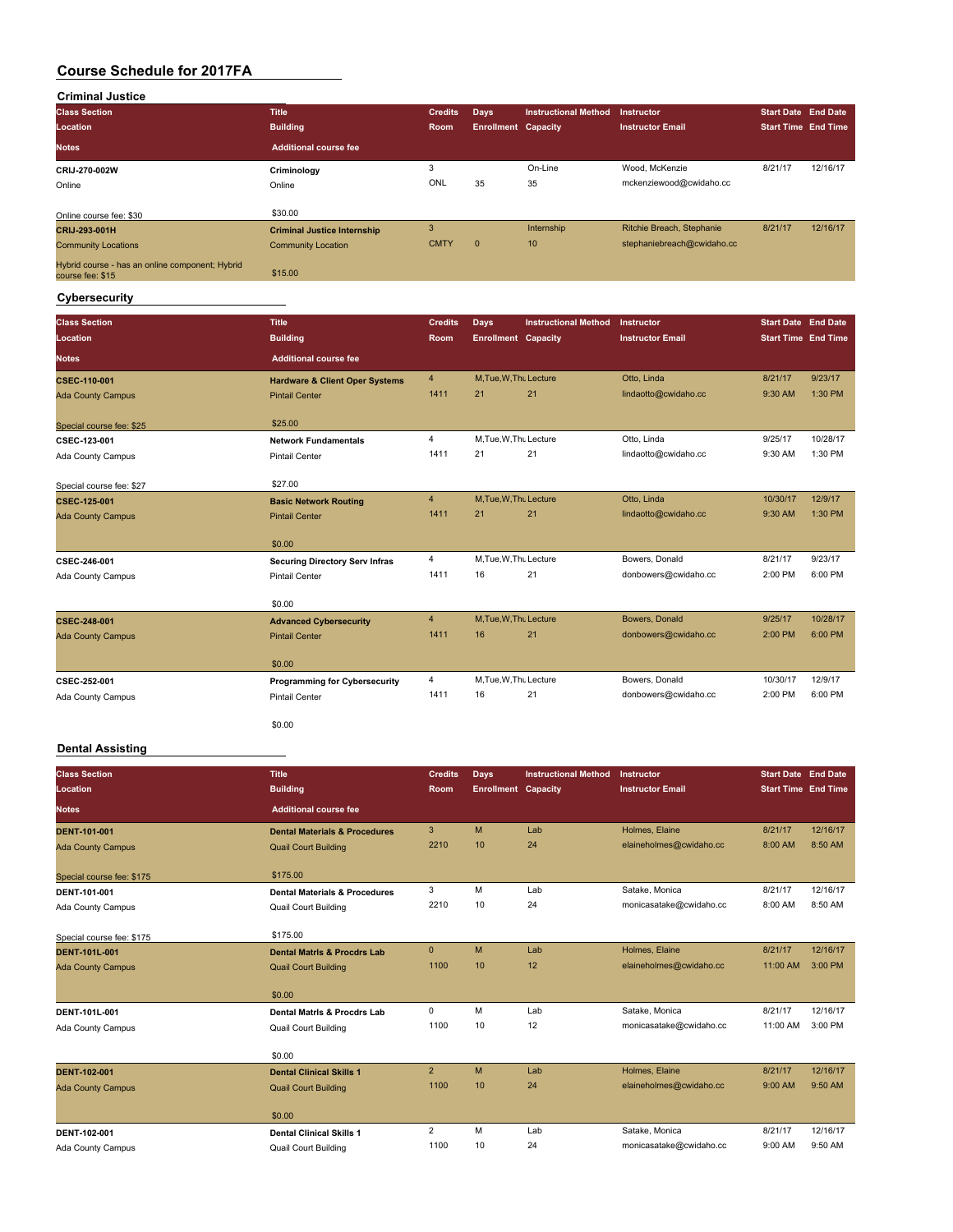| <b>Criminal Justice</b>                                             |                                    |                |                            |                             |                            |                            |          |
|---------------------------------------------------------------------|------------------------------------|----------------|----------------------------|-----------------------------|----------------------------|----------------------------|----------|
| <b>Class Section</b>                                                | <b>Title</b>                       | <b>Credits</b> | Days                       | <b>Instructional Method</b> | <b>Instructor</b>          | Start Date End Date        |          |
| Location                                                            | <b>Building</b>                    | Room           | <b>Enrollment Capacity</b> |                             | <b>Instructor Email</b>    | <b>Start Time End Time</b> |          |
| <b>Notes</b>                                                        | <b>Additional course fee</b>       |                |                            |                             |                            |                            |          |
| CRIJ-270-002W                                                       | Criminology                        | 3              |                            | On-Line                     | Wood, McKenzie             | 8/21/17                    | 12/16/17 |
| Online                                                              | Online                             | ONL            | 35                         | 35                          | mckenziewood@cwidaho.cc    |                            |          |
| Online course fee: \$30                                             | \$30.00                            |                |                            |                             |                            |                            |          |
| CRIJ-293-001H                                                       | <b>Criminal Justice Internship</b> | 3              |                            | Internship                  | Ritchie Breach, Stephanie  | 8/21/17                    | 12/16/17 |
| <b>Community Locations</b>                                          | <b>Community Location</b>          | <b>CMTY</b>    | $\mathbf{0}$               | 10                          | stephaniebreach@cwidaho.cc |                            |          |
| Hybrid course - has an online component; Hybrid<br>course fee: \$15 | \$15.00                            |                |                            |                             |                            |                            |          |

#### **Cybersecurity**

| <b>Class Section</b><br>Location | <b>Title</b><br><b>Building</b>           | <b>Credits</b><br><b>Room</b> | Days<br><b>Enrollment Capacity</b> | <b>Instructional Method</b> | Instructor<br><b>Instructor Email</b> | <b>Start Date End Date</b><br><b>Start Time End Time</b> |          |
|----------------------------------|-------------------------------------------|-------------------------------|------------------------------------|-----------------------------|---------------------------------------|----------------------------------------------------------|----------|
| <b>Notes</b>                     | <b>Additional course fee</b>              |                               |                                    |                             |                                       |                                                          |          |
| <b>CSEC-110-001</b>              | <b>Hardware &amp; Client Oper Systems</b> | $\overline{4}$                | M.Tue, W.Thu Lecture               |                             | Otto, Linda                           | 8/21/17                                                  | 9/23/17  |
| <b>Ada County Campus</b>         | <b>Pintail Center</b>                     | 1411                          | 21                                 | 21                          | lindaotto@cwidaho.cc                  | 9:30 AM                                                  | 1:30 PM  |
| Special course fee: \$25         | \$25.00                                   |                               |                                    |                             |                                       |                                                          |          |
| CSEC-123-001                     | <b>Network Fundamentals</b>               | $\overline{4}$                | M, Tue, W, Thu Lecture             |                             | Otto, Linda                           | 9/25/17                                                  | 10/28/17 |
| Ada County Campus                | <b>Pintail Center</b>                     | 1411                          | 21                                 | 21                          | lindaotto@cwidaho.cc                  | 9:30 AM                                                  | 1:30 PM  |
| Special course fee: \$27         | \$27.00                                   |                               |                                    |                             |                                       |                                                          |          |
| <b>CSEC-125-001</b>              | <b>Basic Network Routing</b>              | $\overline{4}$                | M, Tue, W, Thu Lecture             |                             | Otto, Linda                           | 10/30/17                                                 | 12/9/17  |
| <b>Ada County Campus</b>         | <b>Pintail Center</b>                     | 1411                          | 21                                 | 21                          | lindaotto@cwidaho.cc                  | 9:30 AM                                                  | 1:30 PM  |
|                                  | \$0.00                                    |                               |                                    |                             |                                       |                                                          |          |
| CSEC-246-001                     | <b>Securing Directory Serv Infras</b>     | $\overline{4}$                | M, Tue, W, Thu Lecture             |                             | Bowers, Donald                        | 8/21/17                                                  | 9/23/17  |
| Ada County Campus                | <b>Pintail Center</b>                     | 1411                          | 16                                 | 21                          | donbowers@cwidaho.cc                  | 2:00 PM                                                  | 6:00 PM  |
|                                  | \$0.00                                    |                               |                                    |                             |                                       |                                                          |          |
| <b>CSEC-248-001</b>              | <b>Advanced Cybersecurity</b>             | $\overline{4}$                | M.Tue, W.Thu Lecture               |                             | Bowers, Donald                        | 9/25/17                                                  | 10/28/17 |
| <b>Ada County Campus</b>         | <b>Pintail Center</b>                     | 1411                          | 16                                 | 21                          | donbowers@cwidaho.cc                  | 2:00 PM                                                  | 6:00 PM  |
|                                  | \$0.00                                    |                               |                                    |                             |                                       |                                                          |          |
| CSEC-252-001                     | <b>Programming for Cybersecurity</b>      | 4                             | M, Tue, W, Thu Lecture             |                             | Bowers, Donald                        | 10/30/17                                                 | 12/9/17  |
| Ada County Campus                | <b>Pintail Center</b>                     | 1411                          | 16                                 | 21                          | donbowers@cwidaho.cc                  | 2:00 PM                                                  | 6:00 PM  |
|                                  | \$0.00                                    |                               |                                    |                             |                                       |                                                          |          |

#### **Dental Assisting**

| <b>Class Section</b><br>Location | <b>Title</b><br><b>Building</b>          | <b>Credits</b><br>Room | <b>Days</b><br><b>Enrollment Capacity</b> | <b>Instructional Method</b> | Instructor<br><b>Instructor Email</b> | <b>Start Date</b> End Date<br><b>Start Time End Time</b> |          |
|----------------------------------|------------------------------------------|------------------------|-------------------------------------------|-----------------------------|---------------------------------------|----------------------------------------------------------|----------|
| Notes.                           | <b>Additional course fee</b>             |                        |                                           |                             |                                       |                                                          |          |
| <b>DENT-101-001</b>              | <b>Dental Materials &amp; Procedures</b> | 3                      | M                                         | Lab                         | Holmes, Elaine                        | 8/21/17                                                  | 12/16/17 |
| <b>Ada County Campus</b>         | <b>Quail Court Building</b>              | 2210                   | 10                                        | 24                          | elaineholmes@cwidaho.cc               | 8:00 AM                                                  | 8:50 AM  |
| Special course fee: \$175        | \$175.00                                 |                        |                                           |                             |                                       |                                                          |          |
| DENT-101-001                     | <b>Dental Materials &amp; Procedures</b> | 3                      | M                                         | Lab                         | Satake, Monica                        | 8/21/17                                                  | 12/16/17 |
| Ada County Campus                | <b>Quail Court Building</b>              | 2210                   | 10                                        | 24                          | monicasatake@cwidaho.cc               | 8:00 AM                                                  | 8:50 AM  |
| Special course fee: \$175        | \$175.00                                 |                        |                                           |                             |                                       |                                                          |          |
| DENT-101L-001                    | <b>Dental Matris &amp; Procdrs Lab</b>   | $\mathbf{0}$           | M                                         | Lab                         | Holmes, Elaine                        | 8/21/17                                                  | 12/16/17 |
| <b>Ada County Campus</b>         | <b>Quail Court Building</b>              | 1100                   | 10                                        | 12                          | elaineholmes@cwidaho.cc               | 11:00 AM                                                 | 3:00 PM  |
|                                  | \$0.00                                   |                        |                                           |                             |                                       |                                                          |          |
| DENT-101L-001                    | <b>Dental Matris &amp; Procdrs Lab</b>   | 0                      | M                                         | Lab                         | Satake, Monica                        | 8/21/17                                                  | 12/16/17 |
| Ada County Campus                | <b>Quail Court Building</b>              | 1100                   | 10                                        | 12                          | monicasatake@cwidaho.cc               | 11:00 AM                                                 | 3:00 PM  |
|                                  | \$0.00                                   |                        |                                           |                             |                                       |                                                          |          |
| <b>DENT-102-001</b>              | <b>Dental Clinical Skills 1</b>          | $\overline{2}$         | M                                         | Lab                         | Holmes, Elaine                        | 8/21/17                                                  | 12/16/17 |
| <b>Ada County Campus</b>         | <b>Quail Court Building</b>              | 1100                   | 10                                        | 24                          | elaineholmes@cwidaho.cc               | 9:00 AM                                                  | 9:50 AM  |
|                                  | \$0.00                                   |                        |                                           |                             |                                       |                                                          |          |
| DENT-102-001                     | <b>Dental Clinical Skills 1</b>          | $\overline{2}$         | M                                         | Lab                         | Satake, Monica                        | 8/21/17                                                  | 12/16/17 |
| Ada County Campus                | <b>Quail Court Building</b>              | 1100                   | 10                                        | 24                          | monicasatake@cwidaho.cc               | 9:00 AM                                                  | 9:50 AM  |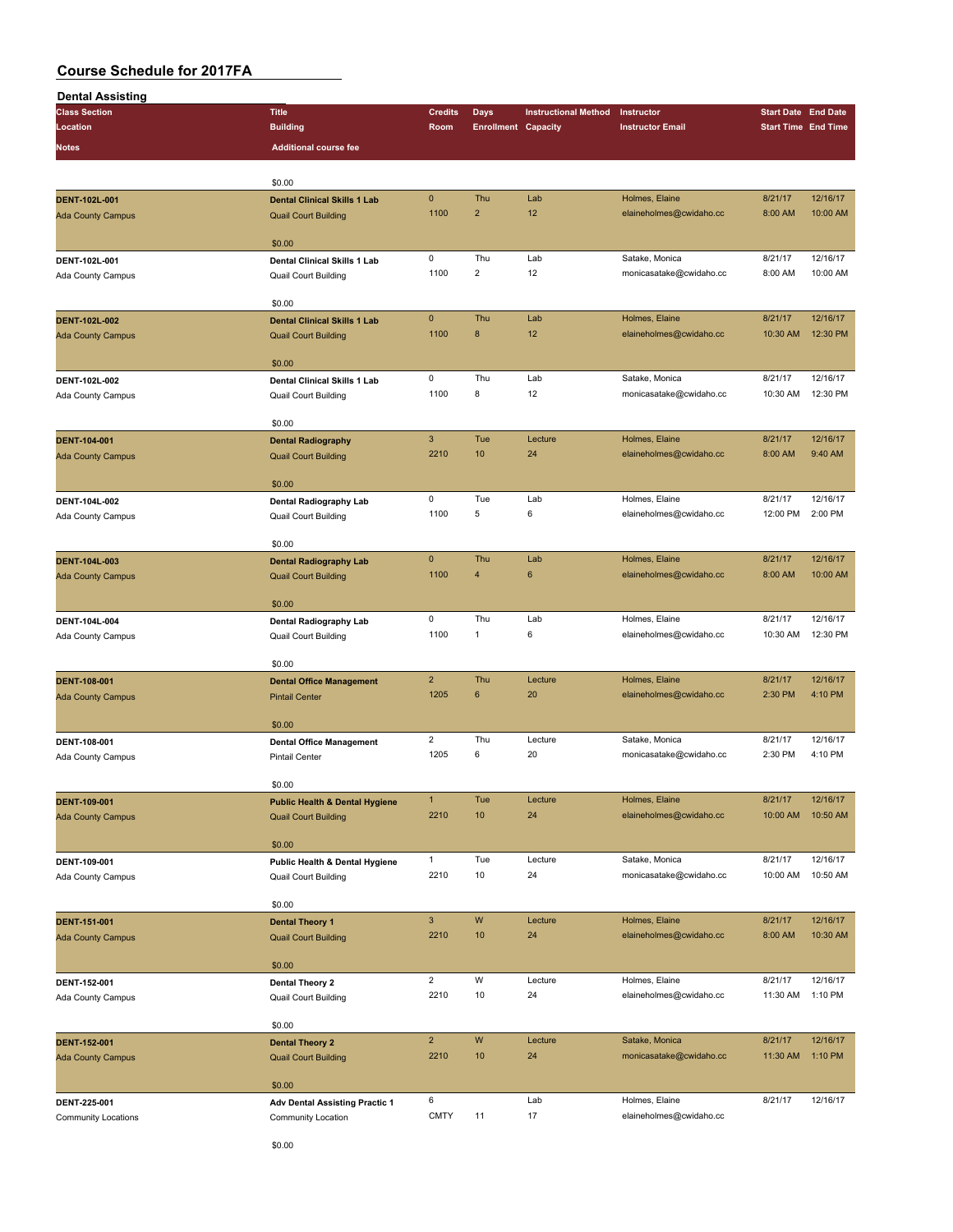| Dental Assisting                                                                                                                                                                                                                                                      |                                                                                                                                                                                                                                                                                                                                                                                                                                                                                                                                                                                                                                                                                                                                                                                                                                                                                                                                                                                                                                                                                                                                                                                                                                                                                                                                                                                                                                                                                                                                                                                                                                                                                                                                                                                                                                                                                                                                                                                                                                                                                                                                                                                                                                                                                                                                                                                                                                                                                                                                                                                                                                                                                                                                                                                                                                                                                                                                                                                                                                                            |                |      |                                                                                              |                         |  |          |
|-----------------------------------------------------------------------------------------------------------------------------------------------------------------------------------------------------------------------------------------------------------------------|------------------------------------------------------------------------------------------------------------------------------------------------------------------------------------------------------------------------------------------------------------------------------------------------------------------------------------------------------------------------------------------------------------------------------------------------------------------------------------------------------------------------------------------------------------------------------------------------------------------------------------------------------------------------------------------------------------------------------------------------------------------------------------------------------------------------------------------------------------------------------------------------------------------------------------------------------------------------------------------------------------------------------------------------------------------------------------------------------------------------------------------------------------------------------------------------------------------------------------------------------------------------------------------------------------------------------------------------------------------------------------------------------------------------------------------------------------------------------------------------------------------------------------------------------------------------------------------------------------------------------------------------------------------------------------------------------------------------------------------------------------------------------------------------------------------------------------------------------------------------------------------------------------------------------------------------------------------------------------------------------------------------------------------------------------------------------------------------------------------------------------------------------------------------------------------------------------------------------------------------------------------------------------------------------------------------------------------------------------------------------------------------------------------------------------------------------------------------------------------------------------------------------------------------------------------------------------------------------------------------------------------------------------------------------------------------------------------------------------------------------------------------------------------------------------------------------------------------------------------------------------------------------------------------------------------------------------------------------------------------------------------------------------------------------------|----------------|------|----------------------------------------------------------------------------------------------|-------------------------|--|----------|
| <b>Class Section</b>                                                                                                                                                                                                                                                  | <b>Title</b>                                                                                                                                                                                                                                                                                                                                                                                                                                                                                                                                                                                                                                                                                                                                                                                                                                                                                                                                                                                                                                                                                                                                                                                                                                                                                                                                                                                                                                                                                                                                                                                                                                                                                                                                                                                                                                                                                                                                                                                                                                                                                                                                                                                                                                                                                                                                                                                                                                                                                                                                                                                                                                                                                                                                                                                                                                                                                                                                                                                                                                               | <b>Credits</b> | Days | <b>Instructional Method</b>                                                                  | Instructor              |  |          |
| Location                                                                                                                                                                                                                                                              | <b>Building</b>                                                                                                                                                                                                                                                                                                                                                                                                                                                                                                                                                                                                                                                                                                                                                                                                                                                                                                                                                                                                                                                                                                                                                                                                                                                                                                                                                                                                                                                                                                                                                                                                                                                                                                                                                                                                                                                                                                                                                                                                                                                                                                                                                                                                                                                                                                                                                                                                                                                                                                                                                                                                                                                                                                                                                                                                                                                                                                                                                                                                                                            | Room           |      |                                                                                              | <b>Instructor Email</b> |  |          |
| Notes                                                                                                                                                                                                                                                                 |                                                                                                                                                                                                                                                                                                                                                                                                                                                                                                                                                                                                                                                                                                                                                                                                                                                                                                                                                                                                                                                                                                                                                                                                                                                                                                                                                                                                                                                                                                                                                                                                                                                                                                                                                                                                                                                                                                                                                                                                                                                                                                                                                                                                                                                                                                                                                                                                                                                                                                                                                                                                                                                                                                                                                                                                                                                                                                                                                                                                                                                            |                |      |                                                                                              |                         |  |          |
|                                                                                                                                                                                                                                                                       |                                                                                                                                                                                                                                                                                                                                                                                                                                                                                                                                                                                                                                                                                                                                                                                                                                                                                                                                                                                                                                                                                                                                                                                                                                                                                                                                                                                                                                                                                                                                                                                                                                                                                                                                                                                                                                                                                                                                                                                                                                                                                                                                                                                                                                                                                                                                                                                                                                                                                                                                                                                                                                                                                                                                                                                                                                                                                                                                                                                                                                                            |                |      |                                                                                              |                         |  |          |
|                                                                                                                                                                                                                                                                       |                                                                                                                                                                                                                                                                                                                                                                                                                                                                                                                                                                                                                                                                                                                                                                                                                                                                                                                                                                                                                                                                                                                                                                                                                                                                                                                                                                                                                                                                                                                                                                                                                                                                                                                                                                                                                                                                                                                                                                                                                                                                                                                                                                                                                                                                                                                                                                                                                                                                                                                                                                                                                                                                                                                                                                                                                                                                                                                                                                                                                                                            |                |      |                                                                                              |                         |  |          |
|                                                                                                                                                                                                                                                                       |                                                                                                                                                                                                                                                                                                                                                                                                                                                                                                                                                                                                                                                                                                                                                                                                                                                                                                                                                                                                                                                                                                                                                                                                                                                                                                                                                                                                                                                                                                                                                                                                                                                                                                                                                                                                                                                                                                                                                                                                                                                                                                                                                                                                                                                                                                                                                                                                                                                                                                                                                                                                                                                                                                                                                                                                                                                                                                                                                                                                                                                            |                |      |                                                                                              |                         |  |          |
| DENT-102L-001                                                                                                                                                                                                                                                         | <b>Enrollment Capacity</b><br><b>Additional course fee</b><br>\$0.00<br>$\pmb{0}$<br>Thu<br>Holmes, Elaine<br>Lab<br>8/21/17<br><b>Dental Clinical Skills 1 Lab</b><br>1100<br>$\overline{2}$<br>12<br>elaineholmes@cwidaho.cc<br>8:00 AM<br><b>Quail Court Building</b><br>\$0.00<br>$\mathsf 0$<br>Thu<br>Lab<br>Satake, Monica<br>8/21/17<br>Dental Clinical Skills 1 Lab<br>1100<br>$\overline{2}$<br>12<br>monicasatake@cwidaho.cc<br>8:00 AM<br>Quail Court Building<br>\$0.00<br>$\pmb{0}$<br>Thu<br>8/21/17<br>Lab<br>Holmes, Elaine<br><b>Dental Clinical Skills 1 Lab</b><br>8<br>12<br>1100<br>elaineholmes@cwidaho.cc<br>10:30 AM<br><b>Quail Court Building</b><br>\$0.00<br>0<br>Thu<br>Lab<br>Satake, Monica<br>8/21/17<br>Dental Clinical Skills 1 Lab<br>1100<br>8<br>12<br>monicasatake@cwidaho.cc<br>10:30 AM<br>Quail Court Building<br>\$0.00<br>$\ensuremath{\mathsf{3}}$<br>Tue<br>Lecture<br>Holmes, Elaine<br>8/21/17<br><b>Dental Radiography</b><br>2210<br>10<br>24<br>elaineholmes@cwidaho.cc<br>8:00 AM<br><b>Quail Court Building</b><br>\$0.00<br>$\pmb{0}$<br>Tue<br>Lab<br>Holmes, Elaine<br>8/21/17<br>Dental Radiography Lab<br>1100<br>5<br>6<br>12:00 PM<br>elaineholmes@cwidaho.cc<br>Quail Court Building<br>\$0.00<br>$\mathbf 0$<br>Thu<br>Lab<br>Holmes, Elaine<br>8/21/17<br><b>Dental Radiography Lab</b><br>1100<br>$\overline{4}$<br>$\boldsymbol{6}$<br>elaineholmes@cwidaho.cc<br>8:00 AM<br><b>Quail Court Building</b><br>\$0.00<br>0<br>Thu<br>Holmes, Elaine<br>8/21/17<br>Lab<br>Dental Radiography Lab<br>1100<br>elaineholmes@cwidaho.cc<br>10:30 AM<br>1<br>6<br>Quail Court Building<br>\$0.00<br>$\overline{2}$<br>Thu<br>Holmes, Elaine<br>Lecture<br>8/21/17<br><b>Dental Office Management</b><br>1205<br>6<br>20<br>elaineholmes@cwidaho.cc<br>2:30 PM<br><b>Pintail Center</b><br>\$0.00<br>$\overline{2}$<br>Thu<br>Lecture<br>Satake, Monica<br>8/21/17<br><b>Dental Office Management</b><br>1205<br>6<br>20<br>2:30 PM<br>monicasatake@cwidaho.cc<br><b>Pintail Center</b><br>\$0.00<br>Holmes, Elaine<br>$\mathbf{1}$<br>Tue<br>8/21/17<br>Lecture<br><b>Public Health &amp; Dental Hygiene</b><br>2210<br>10<br>24<br>elaineholmes@cwidaho.cc<br>10:00 AM<br><b>Quail Court Building</b><br>\$0.00<br>$\mathbf{1}$<br>Tue<br>Satake, Monica<br>8/21/17<br>Lecture<br>Public Health & Dental Hygiene<br>10<br>24<br>2210<br>monicasatake@cwidaho.cc<br>10:00 AM<br><b>Quail Court Building</b><br>\$0.00<br>$\mathbf{3}$<br>W<br>Holmes, Elaine<br>Lecture<br>8/21/17<br><b>Dental Theory 1</b><br>2210<br>10<br>24<br>elaineholmes@cwidaho.cc<br>8:00 AM<br><b>Quail Court Building</b><br>\$0.00<br>$\overline{\mathbf{c}}$<br>W<br>Holmes, Elaine<br>Lecture<br>8/21/17<br>Dental Theory 2<br>2210<br>10<br>24<br>elaineholmes@cwidaho.cc<br>11:30 AM<br>Quail Court Building<br>\$0.00<br>$\overline{2}$<br>${\sf W}$<br>Satake, Monica<br>8/21/17<br>Lecture<br><b>Dental Theory 2</b><br>10<br>24<br>monicasatake@cwidaho.cc<br>2210<br>11:30 AM<br><b>Quail Court Building</b> |                |      |                                                                                              |                         |  |          |
| <b>Ada County Campus</b>                                                                                                                                                                                                                                              | \$0.00<br>6<br>Holmes, Elaine<br>8/21/17<br>Lab<br><b>Adv Dental Assisting Practic 1</b>                                                                                                                                                                                                                                                                                                                                                                                                                                                                                                                                                                                                                                                                                                                                                                                                                                                                                                                                                                                                                                                                                                                                                                                                                                                                                                                                                                                                                                                                                                                                                                                                                                                                                                                                                                                                                                                                                                                                                                                                                                                                                                                                                                                                                                                                                                                                                                                                                                                                                                                                                                                                                                                                                                                                                                                                                                                                                                                                                                   |                |      |                                                                                              |                         |  |          |
|                                                                                                                                                                                                                                                                       |                                                                                                                                                                                                                                                                                                                                                                                                                                                                                                                                                                                                                                                                                                                                                                                                                                                                                                                                                                                                                                                                                                                                                                                                                                                                                                                                                                                                                                                                                                                                                                                                                                                                                                                                                                                                                                                                                                                                                                                                                                                                                                                                                                                                                                                                                                                                                                                                                                                                                                                                                                                                                                                                                                                                                                                                                                                                                                                                                                                                                                                            |                |      |                                                                                              |                         |  |          |
| DENT-102L-001                                                                                                                                                                                                                                                         |                                                                                                                                                                                                                                                                                                                                                                                                                                                                                                                                                                                                                                                                                                                                                                                                                                                                                                                                                                                                                                                                                                                                                                                                                                                                                                                                                                                                                                                                                                                                                                                                                                                                                                                                                                                                                                                                                                                                                                                                                                                                                                                                                                                                                                                                                                                                                                                                                                                                                                                                                                                                                                                                                                                                                                                                                                                                                                                                                                                                                                                            |                |      |                                                                                              |                         |  | 12/16/17 |
|                                                                                                                                                                                                                                                                       |                                                                                                                                                                                                                                                                                                                                                                                                                                                                                                                                                                                                                                                                                                                                                                                                                                                                                                                                                                                                                                                                                                                                                                                                                                                                                                                                                                                                                                                                                                                                                                                                                                                                                                                                                                                                                                                                                                                                                                                                                                                                                                                                                                                                                                                                                                                                                                                                                                                                                                                                                                                                                                                                                                                                                                                                                                                                                                                                                                                                                                                            |                |      | <b>Start Date End Date</b><br><b>Start Time End Time</b><br>12/16/17<br>10:00 AM<br>12:30 PM | 10:00 AM                |  |          |
|                                                                                                                                                                                                                                                                       |                                                                                                                                                                                                                                                                                                                                                                                                                                                                                                                                                                                                                                                                                                                                                                                                                                                                                                                                                                                                                                                                                                                                                                                                                                                                                                                                                                                                                                                                                                                                                                                                                                                                                                                                                                                                                                                                                                                                                                                                                                                                                                                                                                                                                                                                                                                                                                                                                                                                                                                                                                                                                                                                                                                                                                                                                                                                                                                                                                                                                                                            |                |      |                                                                                              |                         |  |          |
|                                                                                                                                                                                                                                                                       |                                                                                                                                                                                                                                                                                                                                                                                                                                                                                                                                                                                                                                                                                                                                                                                                                                                                                                                                                                                                                                                                                                                                                                                                                                                                                                                                                                                                                                                                                                                                                                                                                                                                                                                                                                                                                                                                                                                                                                                                                                                                                                                                                                                                                                                                                                                                                                                                                                                                                                                                                                                                                                                                                                                                                                                                                                                                                                                                                                                                                                                            |                |      |                                                                                              |                         |  |          |
| <b>DENT-102L-002</b>                                                                                                                                                                                                                                                  |                                                                                                                                                                                                                                                                                                                                                                                                                                                                                                                                                                                                                                                                                                                                                                                                                                                                                                                                                                                                                                                                                                                                                                                                                                                                                                                                                                                                                                                                                                                                                                                                                                                                                                                                                                                                                                                                                                                                                                                                                                                                                                                                                                                                                                                                                                                                                                                                                                                                                                                                                                                                                                                                                                                                                                                                                                                                                                                                                                                                                                                            |                |      |                                                                                              |                         |  | 12/16/17 |
| <b>Ada County Campus</b>                                                                                                                                                                                                                                              |                                                                                                                                                                                                                                                                                                                                                                                                                                                                                                                                                                                                                                                                                                                                                                                                                                                                                                                                                                                                                                                                                                                                                                                                                                                                                                                                                                                                                                                                                                                                                                                                                                                                                                                                                                                                                                                                                                                                                                                                                                                                                                                                                                                                                                                                                                                                                                                                                                                                                                                                                                                                                                                                                                                                                                                                                                                                                                                                                                                                                                                            |                |      |                                                                                              |                         |  | 12:30 PM |
|                                                                                                                                                                                                                                                                       |                                                                                                                                                                                                                                                                                                                                                                                                                                                                                                                                                                                                                                                                                                                                                                                                                                                                                                                                                                                                                                                                                                                                                                                                                                                                                                                                                                                                                                                                                                                                                                                                                                                                                                                                                                                                                                                                                                                                                                                                                                                                                                                                                                                                                                                                                                                                                                                                                                                                                                                                                                                                                                                                                                                                                                                                                                                                                                                                                                                                                                                            |                |      |                                                                                              |                         |  |          |
|                                                                                                                                                                                                                                                                       |                                                                                                                                                                                                                                                                                                                                                                                                                                                                                                                                                                                                                                                                                                                                                                                                                                                                                                                                                                                                                                                                                                                                                                                                                                                                                                                                                                                                                                                                                                                                                                                                                                                                                                                                                                                                                                                                                                                                                                                                                                                                                                                                                                                                                                                                                                                                                                                                                                                                                                                                                                                                                                                                                                                                                                                                                                                                                                                                                                                                                                                            |                |      |                                                                                              |                         |  |          |
| DENT-102L-002                                                                                                                                                                                                                                                         |                                                                                                                                                                                                                                                                                                                                                                                                                                                                                                                                                                                                                                                                                                                                                                                                                                                                                                                                                                                                                                                                                                                                                                                                                                                                                                                                                                                                                                                                                                                                                                                                                                                                                                                                                                                                                                                                                                                                                                                                                                                                                                                                                                                                                                                                                                                                                                                                                                                                                                                                                                                                                                                                                                                                                                                                                                                                                                                                                                                                                                                            |                |      |                                                                                              |                         |  | 12/16/17 |
| Ada County Campus                                                                                                                                                                                                                                                     |                                                                                                                                                                                                                                                                                                                                                                                                                                                                                                                                                                                                                                                                                                                                                                                                                                                                                                                                                                                                                                                                                                                                                                                                                                                                                                                                                                                                                                                                                                                                                                                                                                                                                                                                                                                                                                                                                                                                                                                                                                                                                                                                                                                                                                                                                                                                                                                                                                                                                                                                                                                                                                                                                                                                                                                                                                                                                                                                                                                                                                                            |                |      |                                                                                              |                         |  | 12:30 PM |
|                                                                                                                                                                                                                                                                       | Ada County Campus<br><b>CMTY</b><br>11<br>17<br>elaineholmes@cwidaho.cc<br>Community Location                                                                                                                                                                                                                                                                                                                                                                                                                                                                                                                                                                                                                                                                                                                                                                                                                                                                                                                                                                                                                                                                                                                                                                                                                                                                                                                                                                                                                                                                                                                                                                                                                                                                                                                                                                                                                                                                                                                                                                                                                                                                                                                                                                                                                                                                                                                                                                                                                                                                                                                                                                                                                                                                                                                                                                                                                                                                                                                                                              |                |      |                                                                                              |                         |  |          |
|                                                                                                                                                                                                                                                                       |                                                                                                                                                                                                                                                                                                                                                                                                                                                                                                                                                                                                                                                                                                                                                                                                                                                                                                                                                                                                                                                                                                                                                                                                                                                                                                                                                                                                                                                                                                                                                                                                                                                                                                                                                                                                                                                                                                                                                                                                                                                                                                                                                                                                                                                                                                                                                                                                                                                                                                                                                                                                                                                                                                                                                                                                                                                                                                                                                                                                                                                            |                |      |                                                                                              |                         |  |          |
| <b>DENT-104-001</b>                                                                                                                                                                                                                                                   |                                                                                                                                                                                                                                                                                                                                                                                                                                                                                                                                                                                                                                                                                                                                                                                                                                                                                                                                                                                                                                                                                                                                                                                                                                                                                                                                                                                                                                                                                                                                                                                                                                                                                                                                                                                                                                                                                                                                                                                                                                                                                                                                                                                                                                                                                                                                                                                                                                                                                                                                                                                                                                                                                                                                                                                                                                                                                                                                                                                                                                                            |                |      |                                                                                              |                         |  | 12/16/17 |
| <b>Ada County Campus</b>                                                                                                                                                                                                                                              |                                                                                                                                                                                                                                                                                                                                                                                                                                                                                                                                                                                                                                                                                                                                                                                                                                                                                                                                                                                                                                                                                                                                                                                                                                                                                                                                                                                                                                                                                                                                                                                                                                                                                                                                                                                                                                                                                                                                                                                                                                                                                                                                                                                                                                                                                                                                                                                                                                                                                                                                                                                                                                                                                                                                                                                                                                                                                                                                                                                                                                                            |                |      |                                                                                              |                         |  | 9:40 AM  |
|                                                                                                                                                                                                                                                                       |                                                                                                                                                                                                                                                                                                                                                                                                                                                                                                                                                                                                                                                                                                                                                                                                                                                                                                                                                                                                                                                                                                                                                                                                                                                                                                                                                                                                                                                                                                                                                                                                                                                                                                                                                                                                                                                                                                                                                                                                                                                                                                                                                                                                                                                                                                                                                                                                                                                                                                                                                                                                                                                                                                                                                                                                                                                                                                                                                                                                                                                            |                |      |                                                                                              |                         |  |          |
|                                                                                                                                                                                                                                                                       |                                                                                                                                                                                                                                                                                                                                                                                                                                                                                                                                                                                                                                                                                                                                                                                                                                                                                                                                                                                                                                                                                                                                                                                                                                                                                                                                                                                                                                                                                                                                                                                                                                                                                                                                                                                                                                                                                                                                                                                                                                                                                                                                                                                                                                                                                                                                                                                                                                                                                                                                                                                                                                                                                                                                                                                                                                                                                                                                                                                                                                                            |                |      |                                                                                              |                         |  |          |
| DENT-104L-002                                                                                                                                                                                                                                                         |                                                                                                                                                                                                                                                                                                                                                                                                                                                                                                                                                                                                                                                                                                                                                                                                                                                                                                                                                                                                                                                                                                                                                                                                                                                                                                                                                                                                                                                                                                                                                                                                                                                                                                                                                                                                                                                                                                                                                                                                                                                                                                                                                                                                                                                                                                                                                                                                                                                                                                                                                                                                                                                                                                                                                                                                                                                                                                                                                                                                                                                            |                |      |                                                                                              |                         |  | 12/16/17 |
| Ada County Campus                                                                                                                                                                                                                                                     |                                                                                                                                                                                                                                                                                                                                                                                                                                                                                                                                                                                                                                                                                                                                                                                                                                                                                                                                                                                                                                                                                                                                                                                                                                                                                                                                                                                                                                                                                                                                                                                                                                                                                                                                                                                                                                                                                                                                                                                                                                                                                                                                                                                                                                                                                                                                                                                                                                                                                                                                                                                                                                                                                                                                                                                                                                                                                                                                                                                                                                                            |                |      |                                                                                              |                         |  | 2:00 PM  |
|                                                                                                                                                                                                                                                                       |                                                                                                                                                                                                                                                                                                                                                                                                                                                                                                                                                                                                                                                                                                                                                                                                                                                                                                                                                                                                                                                                                                                                                                                                                                                                                                                                                                                                                                                                                                                                                                                                                                                                                                                                                                                                                                                                                                                                                                                                                                                                                                                                                                                                                                                                                                                                                                                                                                                                                                                                                                                                                                                                                                                                                                                                                                                                                                                                                                                                                                                            |                |      |                                                                                              |                         |  |          |
|                                                                                                                                                                                                                                                                       |                                                                                                                                                                                                                                                                                                                                                                                                                                                                                                                                                                                                                                                                                                                                                                                                                                                                                                                                                                                                                                                                                                                                                                                                                                                                                                                                                                                                                                                                                                                                                                                                                                                                                                                                                                                                                                                                                                                                                                                                                                                                                                                                                                                                                                                                                                                                                                                                                                                                                                                                                                                                                                                                                                                                                                                                                                                                                                                                                                                                                                                            |                |      |                                                                                              |                         |  |          |
| DENT-104L-003                                                                                                                                                                                                                                                         |                                                                                                                                                                                                                                                                                                                                                                                                                                                                                                                                                                                                                                                                                                                                                                                                                                                                                                                                                                                                                                                                                                                                                                                                                                                                                                                                                                                                                                                                                                                                                                                                                                                                                                                                                                                                                                                                                                                                                                                                                                                                                                                                                                                                                                                                                                                                                                                                                                                                                                                                                                                                                                                                                                                                                                                                                                                                                                                                                                                                                                                            |                |      |                                                                                              |                         |  | 12/16/17 |
| <b>Ada County Campus</b>                                                                                                                                                                                                                                              |                                                                                                                                                                                                                                                                                                                                                                                                                                                                                                                                                                                                                                                                                                                                                                                                                                                                                                                                                                                                                                                                                                                                                                                                                                                                                                                                                                                                                                                                                                                                                                                                                                                                                                                                                                                                                                                                                                                                                                                                                                                                                                                                                                                                                                                                                                                                                                                                                                                                                                                                                                                                                                                                                                                                                                                                                                                                                                                                                                                                                                                            |                |      |                                                                                              |                         |  | 10:00 AM |
|                                                                                                                                                                                                                                                                       |                                                                                                                                                                                                                                                                                                                                                                                                                                                                                                                                                                                                                                                                                                                                                                                                                                                                                                                                                                                                                                                                                                                                                                                                                                                                                                                                                                                                                                                                                                                                                                                                                                                                                                                                                                                                                                                                                                                                                                                                                                                                                                                                                                                                                                                                                                                                                                                                                                                                                                                                                                                                                                                                                                                                                                                                                                                                                                                                                                                                                                                            |                |      |                                                                                              |                         |  |          |
|                                                                                                                                                                                                                                                                       |                                                                                                                                                                                                                                                                                                                                                                                                                                                                                                                                                                                                                                                                                                                                                                                                                                                                                                                                                                                                                                                                                                                                                                                                                                                                                                                                                                                                                                                                                                                                                                                                                                                                                                                                                                                                                                                                                                                                                                                                                                                                                                                                                                                                                                                                                                                                                                                                                                                                                                                                                                                                                                                                                                                                                                                                                                                                                                                                                                                                                                                            |                |      |                                                                                              |                         |  |          |
|                                                                                                                                                                                                                                                                       |                                                                                                                                                                                                                                                                                                                                                                                                                                                                                                                                                                                                                                                                                                                                                                                                                                                                                                                                                                                                                                                                                                                                                                                                                                                                                                                                                                                                                                                                                                                                                                                                                                                                                                                                                                                                                                                                                                                                                                                                                                                                                                                                                                                                                                                                                                                                                                                                                                                                                                                                                                                                                                                                                                                                                                                                                                                                                                                                                                                                                                                            |                |      |                                                                                              |                         |  | 12/16/17 |
|                                                                                                                                                                                                                                                                       |                                                                                                                                                                                                                                                                                                                                                                                                                                                                                                                                                                                                                                                                                                                                                                                                                                                                                                                                                                                                                                                                                                                                                                                                                                                                                                                                                                                                                                                                                                                                                                                                                                                                                                                                                                                                                                                                                                                                                                                                                                                                                                                                                                                                                                                                                                                                                                                                                                                                                                                                                                                                                                                                                                                                                                                                                                                                                                                                                                                                                                                            |                |      |                                                                                              |                         |  |          |
|                                                                                                                                                                                                                                                                       |                                                                                                                                                                                                                                                                                                                                                                                                                                                                                                                                                                                                                                                                                                                                                                                                                                                                                                                                                                                                                                                                                                                                                                                                                                                                                                                                                                                                                                                                                                                                                                                                                                                                                                                                                                                                                                                                                                                                                                                                                                                                                                                                                                                                                                                                                                                                                                                                                                                                                                                                                                                                                                                                                                                                                                                                                                                                                                                                                                                                                                                            |                |      |                                                                                              |                         |  |          |
|                                                                                                                                                                                                                                                                       |                                                                                                                                                                                                                                                                                                                                                                                                                                                                                                                                                                                                                                                                                                                                                                                                                                                                                                                                                                                                                                                                                                                                                                                                                                                                                                                                                                                                                                                                                                                                                                                                                                                                                                                                                                                                                                                                                                                                                                                                                                                                                                                                                                                                                                                                                                                                                                                                                                                                                                                                                                                                                                                                                                                                                                                                                                                                                                                                                                                                                                                            |                |      |                                                                                              |                         |  | 12/16/17 |
|                                                                                                                                                                                                                                                                       |                                                                                                                                                                                                                                                                                                                                                                                                                                                                                                                                                                                                                                                                                                                                                                                                                                                                                                                                                                                                                                                                                                                                                                                                                                                                                                                                                                                                                                                                                                                                                                                                                                                                                                                                                                                                                                                                                                                                                                                                                                                                                                                                                                                                                                                                                                                                                                                                                                                                                                                                                                                                                                                                                                                                                                                                                                                                                                                                                                                                                                                            |                |      | 4:10 PM                                                                                      |                         |  |          |
|                                                                                                                                                                                                                                                                       |                                                                                                                                                                                                                                                                                                                                                                                                                                                                                                                                                                                                                                                                                                                                                                                                                                                                                                                                                                                                                                                                                                                                                                                                                                                                                                                                                                                                                                                                                                                                                                                                                                                                                                                                                                                                                                                                                                                                                                                                                                                                                                                                                                                                                                                                                                                                                                                                                                                                                                                                                                                                                                                                                                                                                                                                                                                                                                                                                                                                                                                            |                |      |                                                                                              |                         |  |          |
|                                                                                                                                                                                                                                                                       |                                                                                                                                                                                                                                                                                                                                                                                                                                                                                                                                                                                                                                                                                                                                                                                                                                                                                                                                                                                                                                                                                                                                                                                                                                                                                                                                                                                                                                                                                                                                                                                                                                                                                                                                                                                                                                                                                                                                                                                                                                                                                                                                                                                                                                                                                                                                                                                                                                                                                                                                                                                                                                                                                                                                                                                                                                                                                                                                                                                                                                                            |                |      |                                                                                              |                         |  |          |
|                                                                                                                                                                                                                                                                       |                                                                                                                                                                                                                                                                                                                                                                                                                                                                                                                                                                                                                                                                                                                                                                                                                                                                                                                                                                                                                                                                                                                                                                                                                                                                                                                                                                                                                                                                                                                                                                                                                                                                                                                                                                                                                                                                                                                                                                                                                                                                                                                                                                                                                                                                                                                                                                                                                                                                                                                                                                                                                                                                                                                                                                                                                                                                                                                                                                                                                                                            |                |      |                                                                                              |                         |  | 12/16/17 |
|                                                                                                                                                                                                                                                                       |                                                                                                                                                                                                                                                                                                                                                                                                                                                                                                                                                                                                                                                                                                                                                                                                                                                                                                                                                                                                                                                                                                                                                                                                                                                                                                                                                                                                                                                                                                                                                                                                                                                                                                                                                                                                                                                                                                                                                                                                                                                                                                                                                                                                                                                                                                                                                                                                                                                                                                                                                                                                                                                                                                                                                                                                                                                                                                                                                                                                                                                            |                |      |                                                                                              |                         |  | 4:10 PM  |
|                                                                                                                                                                                                                                                                       |                                                                                                                                                                                                                                                                                                                                                                                                                                                                                                                                                                                                                                                                                                                                                                                                                                                                                                                                                                                                                                                                                                                                                                                                                                                                                                                                                                                                                                                                                                                                                                                                                                                                                                                                                                                                                                                                                                                                                                                                                                                                                                                                                                                                                                                                                                                                                                                                                                                                                                                                                                                                                                                                                                                                                                                                                                                                                                                                                                                                                                                            |                |      |                                                                                              |                         |  |          |
|                                                                                                                                                                                                                                                                       |                                                                                                                                                                                                                                                                                                                                                                                                                                                                                                                                                                                                                                                                                                                                                                                                                                                                                                                                                                                                                                                                                                                                                                                                                                                                                                                                                                                                                                                                                                                                                                                                                                                                                                                                                                                                                                                                                                                                                                                                                                                                                                                                                                                                                                                                                                                                                                                                                                                                                                                                                                                                                                                                                                                                                                                                                                                                                                                                                                                                                                                            |                |      |                                                                                              |                         |  |          |
|                                                                                                                                                                                                                                                                       |                                                                                                                                                                                                                                                                                                                                                                                                                                                                                                                                                                                                                                                                                                                                                                                                                                                                                                                                                                                                                                                                                                                                                                                                                                                                                                                                                                                                                                                                                                                                                                                                                                                                                                                                                                                                                                                                                                                                                                                                                                                                                                                                                                                                                                                                                                                                                                                                                                                                                                                                                                                                                                                                                                                                                                                                                                                                                                                                                                                                                                                            |                |      |                                                                                              |                         |  | 12/16/17 |
|                                                                                                                                                                                                                                                                       |                                                                                                                                                                                                                                                                                                                                                                                                                                                                                                                                                                                                                                                                                                                                                                                                                                                                                                                                                                                                                                                                                                                                                                                                                                                                                                                                                                                                                                                                                                                                                                                                                                                                                                                                                                                                                                                                                                                                                                                                                                                                                                                                                                                                                                                                                                                                                                                                                                                                                                                                                                                                                                                                                                                                                                                                                                                                                                                                                                                                                                                            |                |      |                                                                                              |                         |  | 10:50 AM |
| DENT-104L-004<br>Ada County Campus<br><b>DENT-108-001</b><br><b>Ada County Campus</b><br>DENT-108-001<br>Ada County Campus<br><b>DENT-109-001</b><br><b>Ada County Campus</b><br>DENT-109-001<br>Ada County Campus<br><b>DENT-151-001</b><br><b>Ada County Campus</b> |                                                                                                                                                                                                                                                                                                                                                                                                                                                                                                                                                                                                                                                                                                                                                                                                                                                                                                                                                                                                                                                                                                                                                                                                                                                                                                                                                                                                                                                                                                                                                                                                                                                                                                                                                                                                                                                                                                                                                                                                                                                                                                                                                                                                                                                                                                                                                                                                                                                                                                                                                                                                                                                                                                                                                                                                                                                                                                                                                                                                                                                            |                |      |                                                                                              |                         |  |          |
|                                                                                                                                                                                                                                                                       |                                                                                                                                                                                                                                                                                                                                                                                                                                                                                                                                                                                                                                                                                                                                                                                                                                                                                                                                                                                                                                                                                                                                                                                                                                                                                                                                                                                                                                                                                                                                                                                                                                                                                                                                                                                                                                                                                                                                                                                                                                                                                                                                                                                                                                                                                                                                                                                                                                                                                                                                                                                                                                                                                                                                                                                                                                                                                                                                                                                                                                                            |                |      |                                                                                              |                         |  |          |
|                                                                                                                                                                                                                                                                       |                                                                                                                                                                                                                                                                                                                                                                                                                                                                                                                                                                                                                                                                                                                                                                                                                                                                                                                                                                                                                                                                                                                                                                                                                                                                                                                                                                                                                                                                                                                                                                                                                                                                                                                                                                                                                                                                                                                                                                                                                                                                                                                                                                                                                                                                                                                                                                                                                                                                                                                                                                                                                                                                                                                                                                                                                                                                                                                                                                                                                                                            |                |      |                                                                                              |                         |  | 12/16/17 |
|                                                                                                                                                                                                                                                                       |                                                                                                                                                                                                                                                                                                                                                                                                                                                                                                                                                                                                                                                                                                                                                                                                                                                                                                                                                                                                                                                                                                                                                                                                                                                                                                                                                                                                                                                                                                                                                                                                                                                                                                                                                                                                                                                                                                                                                                                                                                                                                                                                                                                                                                                                                                                                                                                                                                                                                                                                                                                                                                                                                                                                                                                                                                                                                                                                                                                                                                                            |                |      |                                                                                              |                         |  | 10:50 AM |
|                                                                                                                                                                                                                                                                       |                                                                                                                                                                                                                                                                                                                                                                                                                                                                                                                                                                                                                                                                                                                                                                                                                                                                                                                                                                                                                                                                                                                                                                                                                                                                                                                                                                                                                                                                                                                                                                                                                                                                                                                                                                                                                                                                                                                                                                                                                                                                                                                                                                                                                                                                                                                                                                                                                                                                                                                                                                                                                                                                                                                                                                                                                                                                                                                                                                                                                                                            |                |      |                                                                                              |                         |  |          |
|                                                                                                                                                                                                                                                                       |                                                                                                                                                                                                                                                                                                                                                                                                                                                                                                                                                                                                                                                                                                                                                                                                                                                                                                                                                                                                                                                                                                                                                                                                                                                                                                                                                                                                                                                                                                                                                                                                                                                                                                                                                                                                                                                                                                                                                                                                                                                                                                                                                                                                                                                                                                                                                                                                                                                                                                                                                                                                                                                                                                                                                                                                                                                                                                                                                                                                                                                            |                |      |                                                                                              |                         |  |          |
|                                                                                                                                                                                                                                                                       |                                                                                                                                                                                                                                                                                                                                                                                                                                                                                                                                                                                                                                                                                                                                                                                                                                                                                                                                                                                                                                                                                                                                                                                                                                                                                                                                                                                                                                                                                                                                                                                                                                                                                                                                                                                                                                                                                                                                                                                                                                                                                                                                                                                                                                                                                                                                                                                                                                                                                                                                                                                                                                                                                                                                                                                                                                                                                                                                                                                                                                                            |                |      |                                                                                              |                         |  | 12/16/17 |
|                                                                                                                                                                                                                                                                       |                                                                                                                                                                                                                                                                                                                                                                                                                                                                                                                                                                                                                                                                                                                                                                                                                                                                                                                                                                                                                                                                                                                                                                                                                                                                                                                                                                                                                                                                                                                                                                                                                                                                                                                                                                                                                                                                                                                                                                                                                                                                                                                                                                                                                                                                                                                                                                                                                                                                                                                                                                                                                                                                                                                                                                                                                                                                                                                                                                                                                                                            |                |      |                                                                                              |                         |  | 10:30 AM |
|                                                                                                                                                                                                                                                                       |                                                                                                                                                                                                                                                                                                                                                                                                                                                                                                                                                                                                                                                                                                                                                                                                                                                                                                                                                                                                                                                                                                                                                                                                                                                                                                                                                                                                                                                                                                                                                                                                                                                                                                                                                                                                                                                                                                                                                                                                                                                                                                                                                                                                                                                                                                                                                                                                                                                                                                                                                                                                                                                                                                                                                                                                                                                                                                                                                                                                                                                            |                |      |                                                                                              |                         |  |          |
|                                                                                                                                                                                                                                                                       |                                                                                                                                                                                                                                                                                                                                                                                                                                                                                                                                                                                                                                                                                                                                                                                                                                                                                                                                                                                                                                                                                                                                                                                                                                                                                                                                                                                                                                                                                                                                                                                                                                                                                                                                                                                                                                                                                                                                                                                                                                                                                                                                                                                                                                                                                                                                                                                                                                                                                                                                                                                                                                                                                                                                                                                                                                                                                                                                                                                                                                                            |                |      |                                                                                              |                         |  |          |
| DENT-152-001                                                                                                                                                                                                                                                          |                                                                                                                                                                                                                                                                                                                                                                                                                                                                                                                                                                                                                                                                                                                                                                                                                                                                                                                                                                                                                                                                                                                                                                                                                                                                                                                                                                                                                                                                                                                                                                                                                                                                                                                                                                                                                                                                                                                                                                                                                                                                                                                                                                                                                                                                                                                                                                                                                                                                                                                                                                                                                                                                                                                                                                                                                                                                                                                                                                                                                                                            |                |      |                                                                                              |                         |  | 12/16/17 |
| Ada County Campus                                                                                                                                                                                                                                                     |                                                                                                                                                                                                                                                                                                                                                                                                                                                                                                                                                                                                                                                                                                                                                                                                                                                                                                                                                                                                                                                                                                                                                                                                                                                                                                                                                                                                                                                                                                                                                                                                                                                                                                                                                                                                                                                                                                                                                                                                                                                                                                                                                                                                                                                                                                                                                                                                                                                                                                                                                                                                                                                                                                                                                                                                                                                                                                                                                                                                                                                            |                |      |                                                                                              |                         |  | 1:10 PM  |
|                                                                                                                                                                                                                                                                       |                                                                                                                                                                                                                                                                                                                                                                                                                                                                                                                                                                                                                                                                                                                                                                                                                                                                                                                                                                                                                                                                                                                                                                                                                                                                                                                                                                                                                                                                                                                                                                                                                                                                                                                                                                                                                                                                                                                                                                                                                                                                                                                                                                                                                                                                                                                                                                                                                                                                                                                                                                                                                                                                                                                                                                                                                                                                                                                                                                                                                                                            |                |      |                                                                                              |                         |  |          |
|                                                                                                                                                                                                                                                                       |                                                                                                                                                                                                                                                                                                                                                                                                                                                                                                                                                                                                                                                                                                                                                                                                                                                                                                                                                                                                                                                                                                                                                                                                                                                                                                                                                                                                                                                                                                                                                                                                                                                                                                                                                                                                                                                                                                                                                                                                                                                                                                                                                                                                                                                                                                                                                                                                                                                                                                                                                                                                                                                                                                                                                                                                                                                                                                                                                                                                                                                            |                |      |                                                                                              |                         |  |          |
| <b>DENT-152-001</b>                                                                                                                                                                                                                                                   |                                                                                                                                                                                                                                                                                                                                                                                                                                                                                                                                                                                                                                                                                                                                                                                                                                                                                                                                                                                                                                                                                                                                                                                                                                                                                                                                                                                                                                                                                                                                                                                                                                                                                                                                                                                                                                                                                                                                                                                                                                                                                                                                                                                                                                                                                                                                                                                                                                                                                                                                                                                                                                                                                                                                                                                                                                                                                                                                                                                                                                                            |                |      |                                                                                              |                         |  | 12/16/17 |
| <b>Ada County Campus</b>                                                                                                                                                                                                                                              |                                                                                                                                                                                                                                                                                                                                                                                                                                                                                                                                                                                                                                                                                                                                                                                                                                                                                                                                                                                                                                                                                                                                                                                                                                                                                                                                                                                                                                                                                                                                                                                                                                                                                                                                                                                                                                                                                                                                                                                                                                                                                                                                                                                                                                                                                                                                                                                                                                                                                                                                                                                                                                                                                                                                                                                                                                                                                                                                                                                                                                                            |                |      |                                                                                              |                         |  | 1:10 PM  |
|                                                                                                                                                                                                                                                                       |                                                                                                                                                                                                                                                                                                                                                                                                                                                                                                                                                                                                                                                                                                                                                                                                                                                                                                                                                                                                                                                                                                                                                                                                                                                                                                                                                                                                                                                                                                                                                                                                                                                                                                                                                                                                                                                                                                                                                                                                                                                                                                                                                                                                                                                                                                                                                                                                                                                                                                                                                                                                                                                                                                                                                                                                                                                                                                                                                                                                                                                            |                |      |                                                                                              |                         |  |          |
|                                                                                                                                                                                                                                                                       |                                                                                                                                                                                                                                                                                                                                                                                                                                                                                                                                                                                                                                                                                                                                                                                                                                                                                                                                                                                                                                                                                                                                                                                                                                                                                                                                                                                                                                                                                                                                                                                                                                                                                                                                                                                                                                                                                                                                                                                                                                                                                                                                                                                                                                                                                                                                                                                                                                                                                                                                                                                                                                                                                                                                                                                                                                                                                                                                                                                                                                                            |                |      |                                                                                              |                         |  | 12/16/17 |
| DENT-225-001                                                                                                                                                                                                                                                          |                                                                                                                                                                                                                                                                                                                                                                                                                                                                                                                                                                                                                                                                                                                                                                                                                                                                                                                                                                                                                                                                                                                                                                                                                                                                                                                                                                                                                                                                                                                                                                                                                                                                                                                                                                                                                                                                                                                                                                                                                                                                                                                                                                                                                                                                                                                                                                                                                                                                                                                                                                                                                                                                                                                                                                                                                                                                                                                                                                                                                                                            |                |      |                                                                                              |                         |  |          |
| <b>Community Locations</b>                                                                                                                                                                                                                                            |                                                                                                                                                                                                                                                                                                                                                                                                                                                                                                                                                                                                                                                                                                                                                                                                                                                                                                                                                                                                                                                                                                                                                                                                                                                                                                                                                                                                                                                                                                                                                                                                                                                                                                                                                                                                                                                                                                                                                                                                                                                                                                                                                                                                                                                                                                                                                                                                                                                                                                                                                                                                                                                                                                                                                                                                                                                                                                                                                                                                                                                            |                |      |                                                                                              |                         |  |          |
|                                                                                                                                                                                                                                                                       |                                                                                                                                                                                                                                                                                                                                                                                                                                                                                                                                                                                                                                                                                                                                                                                                                                                                                                                                                                                                                                                                                                                                                                                                                                                                                                                                                                                                                                                                                                                                                                                                                                                                                                                                                                                                                                                                                                                                                                                                                                                                                                                                                                                                                                                                                                                                                                                                                                                                                                                                                                                                                                                                                                                                                                                                                                                                                                                                                                                                                                                            |                |      |                                                                                              |                         |  |          |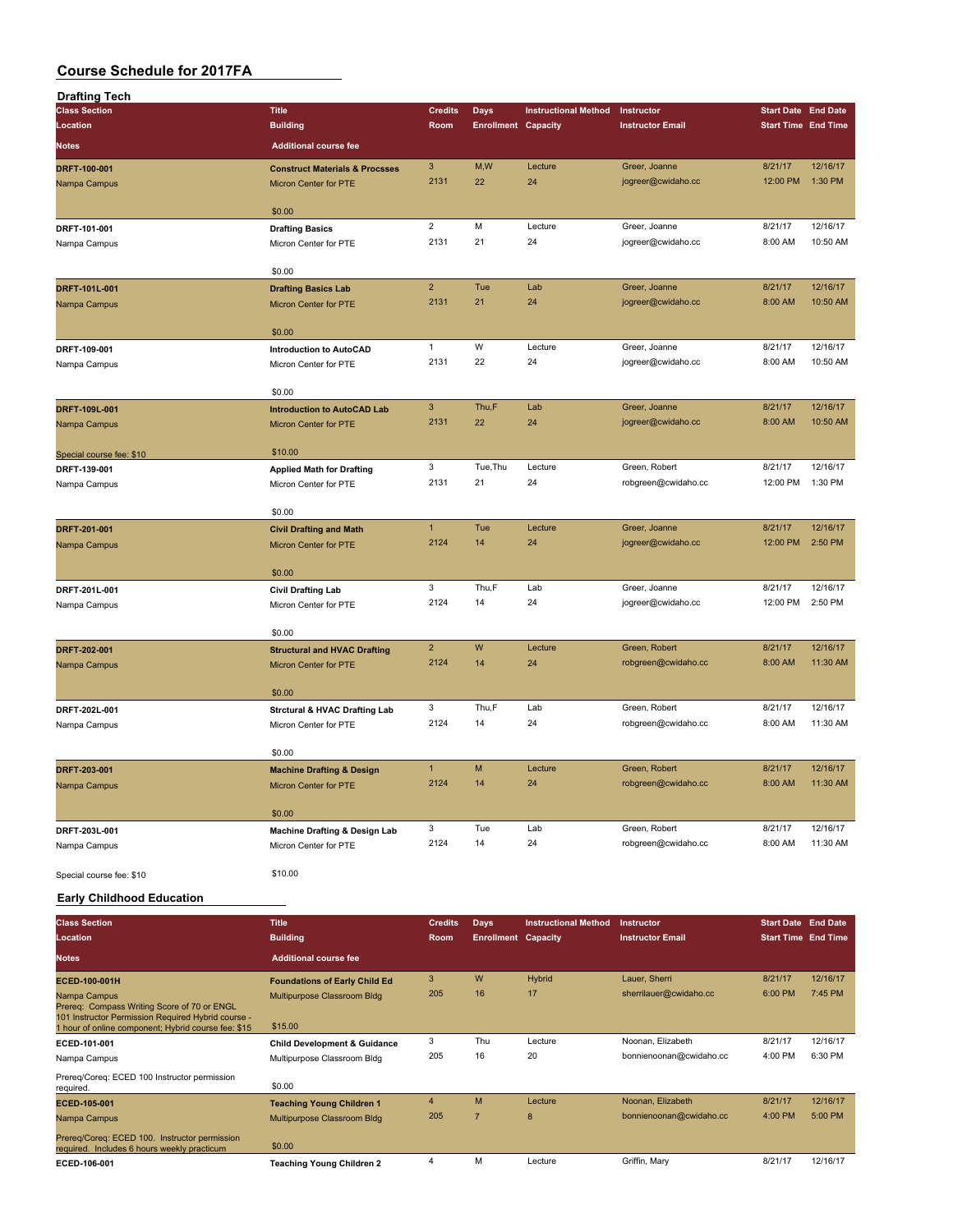| <b>Drafting Tech</b>                                                                              |                                                     |                |                            |                             |                         |                            |          |
|---------------------------------------------------------------------------------------------------|-----------------------------------------------------|----------------|----------------------------|-----------------------------|-------------------------|----------------------------|----------|
| <b>Class Section</b>                                                                              | <b>Title</b>                                        | <b>Credits</b> | <b>Days</b>                | <b>Instructional Method</b> | Instructor              | <b>Start Date End Date</b> |          |
| Location                                                                                          | <b>Building</b>                                     | Room           | <b>Enrollment Capacity</b> |                             | <b>Instructor Email</b> | <b>Start Time End Time</b> |          |
| <b>Notes</b>                                                                                      | <b>Additional course fee</b>                        |                |                            |                             |                         |                            |          |
|                                                                                                   |                                                     |                |                            |                             |                         |                            |          |
| DRFT-100-001                                                                                      | <b>Construct Materials &amp; Procsses</b>           | $\mathbf{3}$   | M,W                        | Lecture                     | Greer, Joanne           | 8/21/17                    | 12/16/17 |
| Nampa Campus                                                                                      | Micron Center for PTE                               | 2131           | 22                         | 24                          | jogreer@cwidaho.cc      | 12:00 PM                   | 1:30 PM  |
|                                                                                                   | \$0.00                                              |                |                            |                             |                         |                            |          |
|                                                                                                   |                                                     | $\overline{2}$ | M                          | Lecture                     | Greer, Joanne           | 8/21/17                    | 12/16/17 |
| DRFT-101-001                                                                                      | <b>Drafting Basics</b>                              | 2131           | 21                         | 24                          |                         | 8:00 AM                    | 10:50 AM |
| Nampa Campus                                                                                      | Micron Center for PTE                               |                |                            |                             | jogreer@cwidaho.cc      |                            |          |
|                                                                                                   | \$0.00                                              |                |                            |                             |                         |                            |          |
| DRFT-101L-001                                                                                     |                                                     | $\overline{2}$ | Tue                        | Lab                         | Greer, Joanne           | 8/21/17                    | 12/16/17 |
| Nampa Campus                                                                                      | <b>Drafting Basics Lab</b><br>Micron Center for PTE | 2131           | 21                         | 24                          | jogreer@cwidaho.cc      | 8:00 AM                    | 10:50 AM |
|                                                                                                   |                                                     |                |                            |                             |                         |                            |          |
|                                                                                                   | \$0.00                                              |                |                            |                             |                         |                            |          |
| DRFT-109-001                                                                                      | <b>Introduction to AutoCAD</b>                      | $\mathbf{1}$   | W                          | Lecture                     | Greer, Joanne           | 8/21/17                    | 12/16/17 |
| Nampa Campus                                                                                      | Micron Center for PTE                               | 2131           | 22                         | 24                          | jogreer@cwidaho.cc      | 8:00 AM                    | 10:50 AM |
|                                                                                                   |                                                     |                |                            |                             |                         |                            |          |
|                                                                                                   | \$0.00                                              |                |                            |                             |                         |                            |          |
| DRFT-109L-001                                                                                     | <b>Introduction to AutoCAD Lab</b>                  | $\mathbf{3}$   | Thu,F                      | Lab                         | Greer, Joanne           | 8/21/17                    | 12/16/17 |
| Nampa Campus                                                                                      | Micron Center for PTE                               | 2131           | 22                         | 24                          | jogreer@cwidaho.cc      | 8:00 AM                    | 10:50 AM |
|                                                                                                   |                                                     |                |                            |                             |                         |                            |          |
| Special course fee: \$10                                                                          | \$10.00                                             |                |                            |                             |                         |                            |          |
| DRFT-139-001                                                                                      | <b>Applied Math for Drafting</b>                    | 3              | Tue, Thu                   | Lecture                     | Green, Robert           | 8/21/17                    | 12/16/17 |
| Nampa Campus                                                                                      | Micron Center for PTE                               | 2131           | 21                         | 24                          | robgreen@cwidaho.cc     | 12:00 PM                   | 1:30 PM  |
|                                                                                                   |                                                     |                |                            |                             |                         |                            |          |
|                                                                                                   | \$0.00                                              |                |                            |                             |                         |                            |          |
| DRFT-201-001                                                                                      | <b>Civil Drafting and Math</b>                      | $\mathbf{1}$   | Tue                        | Lecture                     | Greer, Joanne           | 8/21/17                    | 12/16/17 |
| Nampa Campus                                                                                      | <b>Micron Center for PTE</b>                        | 2124           | 14                         | 24                          | jogreer@cwidaho.cc      | 12:00 PM                   | 2:50 PM  |
|                                                                                                   |                                                     |                |                            |                             |                         |                            |          |
|                                                                                                   | \$0.00                                              |                |                            |                             |                         |                            |          |
| DRFT-201L-001                                                                                     | <b>Civil Drafting Lab</b>                           | 3              | Thu,F                      | Lab                         | Greer, Joanne           | 8/21/17                    | 12/16/17 |
| Nampa Campus                                                                                      | Micron Center for PTE                               | 2124           | 14                         | 24                          | jogreer@cwidaho.cc      | 12:00 PM                   | 2:50 PM  |
|                                                                                                   |                                                     |                |                            |                             |                         |                            |          |
|                                                                                                   | \$0.00                                              |                |                            |                             |                         |                            |          |
| DRFT-202-001                                                                                      | <b>Structural and HVAC Drafting</b>                 | $\overline{2}$ | W                          | Lecture                     | Green, Robert           | 8/21/17                    | 12/16/17 |
| Nampa Campus                                                                                      | Micron Center for PTE                               | 2124           | 14                         | 24                          | robgreen@cwidaho.cc     | 8:00 AM                    | 11:30 AM |
|                                                                                                   |                                                     |                |                            |                             |                         |                            |          |
|                                                                                                   | \$0.00                                              |                |                            |                             |                         |                            |          |
| DRFT-202L-001                                                                                     | <b>Strctural &amp; HVAC Drafting Lab</b>            | 3              | Thu,F                      | Lab                         | Green, Robert           | 8/21/17                    | 12/16/17 |
| Nampa Campus                                                                                      | Micron Center for PTE                               | 2124           | 14                         | 24                          | robgreen@cwidaho.cc     | 8:00 AM                    | 11:30 AM |
|                                                                                                   |                                                     |                |                            |                             |                         |                            |          |
|                                                                                                   | \$0.00                                              |                |                            |                             |                         |                            |          |
| DRFT-203-001                                                                                      | <b>Machine Drafting &amp; Design</b>                | $\mathbf{1}$   | M                          | Lecture                     | Green, Robert           | 8/21/17                    | 12/16/17 |
| Nampa Campus                                                                                      | Micron Center for PTE                               | 2124           | 14                         | 24                          | robgreen@cwidaho.cc     | 8:00 AM                    | 11:30 AM |
|                                                                                                   |                                                     |                |                            |                             |                         |                            |          |
|                                                                                                   | \$0.00                                              |                |                            |                             |                         |                            |          |
| DRFT-203L-001                                                                                     | Machine Drafting & Design Lab                       | 3              | Tue                        | Lab                         | Green, Robert           | 8/21/17                    | 12/16/17 |
| Nampa Campus                                                                                      | Micron Center for PTE                               | 2124           | 14                         | 24                          | robgreen@cwidaho.cc     | 8:00 AM                    | 11:30 AM |
|                                                                                                   |                                                     |                |                            |                             |                         |                            |          |
| Special course fee: \$10                                                                          | \$10.00                                             |                |                            |                             |                         |                            |          |
| <b>Early Childhood Education</b>                                                                  |                                                     |                |                            |                             |                         |                            |          |
|                                                                                                   |                                                     |                |                            |                             |                         |                            |          |
| <b>Class Section</b>                                                                              | <b>Title</b>                                        | <b>Credits</b> | <b>Days</b>                | <b>Instructional Method</b> | Instructor              | <b>Start Date End Date</b> |          |
| Location                                                                                          | <b>Building</b>                                     | Room           | <b>Enrollment Capacity</b> |                             | <b>Instructor Email</b> | <b>Start Time End Time</b> |          |
| <b>Notes</b>                                                                                      | <b>Additional course fee</b>                        |                |                            |                             |                         |                            |          |
|                                                                                                   |                                                     |                |                            |                             |                         |                            |          |
| ECED-100-001H                                                                                     | <b>Foundations of Early Child Ed</b>                | $\mathbf{3}$   | W                          | Hybrid                      | Lauer, Sherri           | 8/21/17                    | 12/16/17 |
| Nampa Campus                                                                                      | Multipurpose Classroom Bldg                         | 205            | 16                         | 17                          | sherrilauer@cwidaho.cc  | 6:00 PM                    | 7:45 PM  |
| Prereq: Compass Writing Score of 70 or ENGL<br>101 Instructor Permission Required Hybrid course - |                                                     |                |                            |                             |                         |                            |          |
| 1 hour of online component; Hybrid course fee: \$15                                               | \$15.00                                             |                |                            |                             |                         |                            |          |
| ECED-101-001                                                                                      | <b>Child Development &amp; Guidance</b>             | 3              | Thu                        | Lecture                     | Noonan, Elizabeth       | 8/21/17                    | 12/16/17 |
| Nampa Campus                                                                                      | Multipurpose Classroom Bldg                         | 205            | 16                         | 20                          | bonnienoonan@cwidaho.cc | 4:00 PM                    | 6:30 PM  |
| Prereq/Coreq: ECED 100 Instructor permission                                                      |                                                     |                |                            |                             |                         |                            |          |
| required.                                                                                         | \$0.00                                              |                |                            |                             |                         |                            |          |
| ECED-105-001                                                                                      | <b>Teaching Young Children 1</b>                    | $\overline{4}$ | M                          | Lecture                     | Noonan, Elizabeth       | 8/21/17                    | 12/16/17 |
| Nampa Campus                                                                                      | Multipurpose Classroom Bldg                         | 205            | $\overline{7}$             | 8                           | bonnienoonan@cwidaho.cc | 4:00 PM                    | 5:00 PM  |
| Prereq/Coreq: ECED 100. Instructor permission                                                     |                                                     |                |                            |                             |                         |                            |          |
| required. Includes 6 hours weekly practicum                                                       | \$0.00                                              |                |                            |                             |                         |                            |          |
| ECED-106-001                                                                                      | <b>Teaching Young Children 2</b>                    | 4              | M                          | Lecture                     | Griffin, Mary           | 8/21/17                    | 12/16/17 |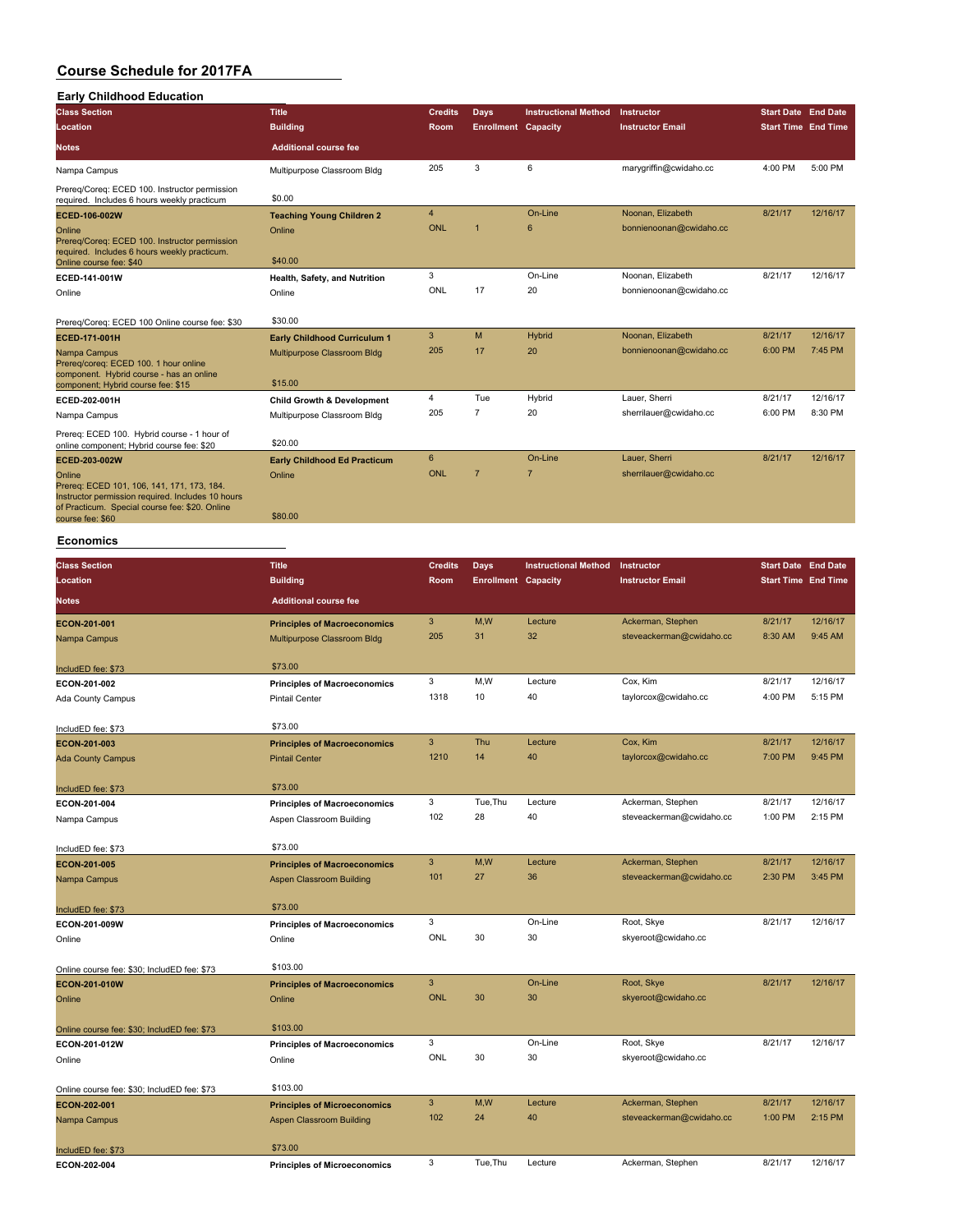#### **Course Schedule for 2017FA Early Childhood Education**

| Early Childhood Education                                                                                                                                                       |                                       |                |                            |                             |                         |                            |          |
|---------------------------------------------------------------------------------------------------------------------------------------------------------------------------------|---------------------------------------|----------------|----------------------------|-----------------------------|-------------------------|----------------------------|----------|
| <b>Class Section</b>                                                                                                                                                            | <b>Title</b>                          | <b>Credits</b> | Days                       | <b>Instructional Method</b> | Instructor              | <b>Start Date End Date</b> |          |
| Location                                                                                                                                                                        | <b>Building</b>                       | Room           | <b>Enrollment</b> Capacity |                             | <b>Instructor Email</b> | <b>Start Time End Time</b> |          |
| <b>Notes</b>                                                                                                                                                                    | <b>Additional course fee</b>          |                |                            |                             |                         |                            |          |
| Nampa Campus                                                                                                                                                                    | Multipurpose Classroom Bldg           | 205            | 3                          | 6                           | marygriffin@cwidaho.cc  | 4:00 PM                    | 5:00 PM  |
| Prereq/Coreq: ECED 100. Instructor permission<br>required. Includes 6 hours weekly practicum                                                                                    | \$0.00                                |                |                            |                             |                         |                            |          |
| ECED-106-002W                                                                                                                                                                   | <b>Teaching Young Children 2</b>      | $\overline{4}$ |                            | On-Line                     | Noonan, Elizabeth       | 8/21/17                    | 12/16/17 |
| Online<br>Prereg/Coreg: ECED 100. Instructor permission<br>required. Includes 6 hours weekly practicum.                                                                         | Online                                | <b>ONL</b>     |                            | 6                           | bonnienoonan@cwidaho.cc |                            |          |
| Online course fee: \$40                                                                                                                                                         | \$40.00                               |                |                            |                             |                         |                            |          |
| ECED-141-001W                                                                                                                                                                   | Health, Safety, and Nutrition         | 3              |                            | On-Line                     | Noonan, Elizabeth       | 8/21/17                    | 12/16/17 |
| Online                                                                                                                                                                          | Online                                | ONL            | 17                         | 20                          | bonnienoonan@cwidaho.cc |                            |          |
| Prereg/Coreg: ECED 100 Online course fee: \$30                                                                                                                                  | \$30.00                               |                |                            |                             |                         |                            |          |
| ECED-171-001H                                                                                                                                                                   | <b>Early Childhood Curriculum 1</b>   | 3              | M                          | Hybrid                      | Noonan, Elizabeth       | 8/21/17                    | 12/16/17 |
| Nampa Campus<br>Prereg/coreg: ECED 100. 1 hour online                                                                                                                           | Multipurpose Classroom Bldg           | 205            | 17                         | 20                          | bonnienoonan@cwidaho.cc | 6:00 PM                    | 7:45 PM  |
| component. Hybrid course - has an online<br>component; Hybrid course fee: \$15                                                                                                  | \$15.00                               |                |                            |                             |                         |                            |          |
| ECED-202-001H                                                                                                                                                                   | <b>Child Growth &amp; Development</b> | 4              | Tue                        | Hybrid                      | Lauer, Sherri           | 8/21/17                    | 12/16/17 |
| Nampa Campus                                                                                                                                                                    | Multipurpose Classroom Bldg           | 205            | $\overline{7}$             | 20                          | sherrilauer@cwidaho.cc  | 6:00 PM                    | 8:30 PM  |
| Prereg: ECED 100. Hybrid course - 1 hour of<br>online component; Hybrid course fee: \$20                                                                                        | \$20.00                               |                |                            |                             |                         |                            |          |
| ECED-203-002W                                                                                                                                                                   | <b>Early Childhood Ed Practicum</b>   | 6              |                            | On-Line                     | Lauer, Sherri           | 8/21/17                    | 12/16/17 |
| Online<br>Prereg: ECED 101, 106, 141, 171, 173, 184.<br>Instructor permission required. Includes 10 hours<br>of Practicum. Special course fee: \$20. Online<br>course fee: \$60 | Online<br>\$80.00                     | <b>ONL</b>     | $\overline{7}$             | $\overline{7}$              | sherrilauer@cwidaho.cc  |                            |          |

#### **Economics**

| <b>Class Section</b>                        | <b>Title</b>                        | <b>Credits</b> | <b>Days</b>                | <b>Instructional Method</b> | Instructor               | <b>Start Date End Date</b> |          |
|---------------------------------------------|-------------------------------------|----------------|----------------------------|-----------------------------|--------------------------|----------------------------|----------|
| Location                                    | <b>Building</b>                     | Room           | <b>Enrollment Capacity</b> |                             | <b>Instructor Email</b>  | <b>Start Time End Time</b> |          |
| <b>Notes</b>                                | <b>Additional course fee</b>        |                |                            |                             |                          |                            |          |
| ECON-201-001                                | <b>Principles of Macroeconomics</b> | 3              | M,W                        | Lecture                     | Ackerman, Stephen        | 8/21/17                    | 12/16/17 |
| Nampa Campus                                | Multipurpose Classroom Bldg         | 205            | 31                         | 32                          | steveackerman@cwidaho.cc | 8:30 AM                    | 9:45 AM  |
| IncludED fee: \$73                          | \$73.00                             |                |                            |                             |                          |                            |          |
| ECON-201-002                                | <b>Principles of Macroeconomics</b> | 3              | M,W                        | Lecture                     | Cox, Kim                 | 8/21/17                    | 12/16/17 |
| Ada County Campus                           | <b>Pintail Center</b>               | 1318           | 10                         | 40                          | taylorcox@cwidaho.cc     | 4:00 PM                    | 5:15 PM  |
| IncludED fee: \$73                          | \$73.00                             |                |                            |                             |                          |                            |          |
| ECON-201-003                                | <b>Principles of Macroeconomics</b> | 3              | Thu                        | Lecture                     | Cox, Kim                 | 8/21/17                    | 12/16/17 |
| <b>Ada County Campus</b>                    | <b>Pintail Center</b>               | 1210           | 14                         | 40                          | taylorcox@cwidaho.cc     | 7:00 PM                    | 9:45 PM  |
| IncludED fee: \$73                          | \$73.00                             |                |                            |                             |                          |                            |          |
| ECON-201-004                                | <b>Principles of Macroeconomics</b> | 3              | Tue, Thu                   | Lecture                     | Ackerman, Stephen        | 8/21/17                    | 12/16/17 |
| Nampa Campus                                | Aspen Classroom Building            | 102            | 28                         | 40                          | steveackerman@cwidaho.cc | 1:00 PM                    | 2:15 PM  |
| IncludED fee: \$73                          | \$73.00                             |                |                            |                             |                          |                            |          |
| ECON-201-005                                | <b>Principles of Macroeconomics</b> | $\mathbf{3}$   | M,W                        | Lecture                     | Ackerman, Stephen        | 8/21/17                    | 12/16/17 |
| Nampa Campus                                | <b>Aspen Classroom Building</b>     | 101            | 27                         | 36                          | steveackerman@cwidaho.cc | 2:30 PM                    | 3:45 PM  |
| IncludED fee: \$73                          | \$73.00                             |                |                            |                             |                          |                            |          |
| ECON-201-009W                               | <b>Principles of Macroeconomics</b> | 3              |                            | On-Line                     | Root, Skye               | 8/21/17                    | 12/16/17 |
| Online                                      | Online                              | ONL            | 30                         | 30                          | skyeroot@cwidaho.cc      |                            |          |
| Online course fee: \$30; IncludED fee: \$73 | \$103.00                            |                |                            |                             |                          |                            |          |
| ECON-201-010W                               | <b>Principles of Macroeconomics</b> | 3              |                            | On-Line                     | Root, Skye               | 8/21/17                    | 12/16/17 |
| Online                                      | Online                              | <b>ONL</b>     | 30                         | 30                          | skyeroot@cwidaho.cc      |                            |          |
| Online course fee: \$30; IncludED fee: \$73 | \$103.00                            |                |                            |                             |                          |                            |          |
| ECON-201-012W                               | <b>Principles of Macroeconomics</b> | 3              |                            | On-Line                     | Root, Skye               | 8/21/17                    | 12/16/17 |
| Online                                      | Online                              | ONL            | 30                         | 30                          | skyeroot@cwidaho.cc      |                            |          |
| Online course fee: \$30; IncludED fee: \$73 | \$103.00                            |                |                            |                             |                          |                            |          |
| ECON-202-001                                | <b>Principles of Microeconomics</b> | 3              | M,W                        | Lecture                     | Ackerman, Stephen        | 8/21/17                    | 12/16/17 |
| Nampa Campus                                | <b>Aspen Classroom Building</b>     | 102            | 24                         | 40                          | steveackerman@cwidaho.cc | 1:00 PM                    | 2:15 PM  |
| IncludED fee: \$73                          | \$73.00                             |                |                            |                             |                          |                            |          |
| ECON-202-004                                | <b>Principles of Microeconomics</b> | 3              | Tue, Thu                   | Lecture                     | Ackerman, Stephen        | 8/21/17                    | 12/16/17 |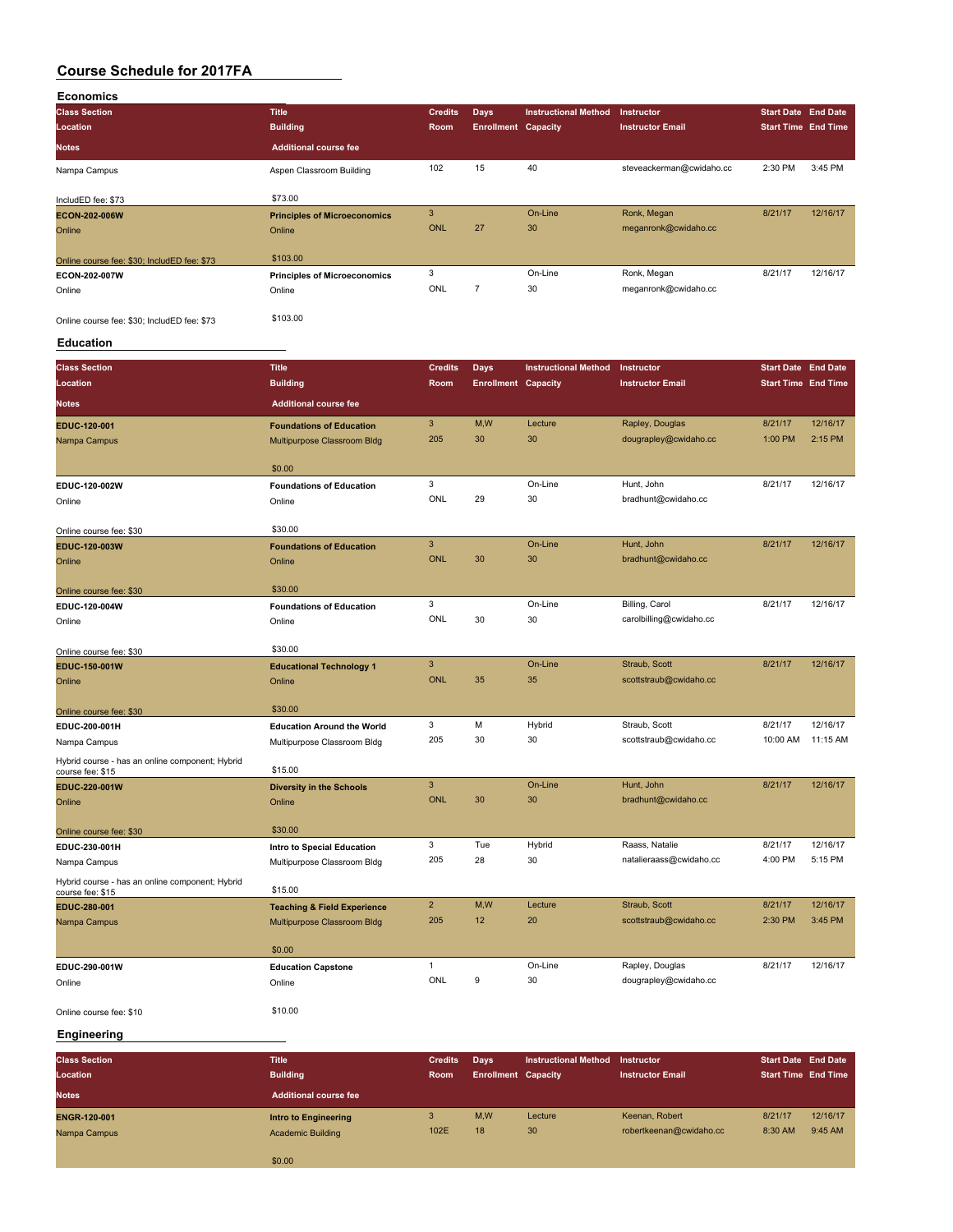| <b>Economics</b>                            |                                     |                |                            |                             |                          |         |                            |
|---------------------------------------------|-------------------------------------|----------------|----------------------------|-----------------------------|--------------------------|---------|----------------------------|
| <b>Class Section</b>                        | <b>Title</b>                        | <b>Credits</b> | Days                       | <b>Instructional Method</b> | <b>Instructor</b>        |         | <b>Start Date End Date</b> |
| Location                                    | <b>Building</b>                     | Room           | <b>Enrollment Capacity</b> |                             | <b>Instructor Email</b>  |         | <b>Start Time End Time</b> |
| <b>Notes</b>                                | <b>Additional course fee</b>        |                |                            |                             |                          |         |                            |
| Nampa Campus                                | Aspen Classroom Building            | 102            | 15                         | 40                          | steveackerman@cwidaho.cc | 2:30 PM | 3:45 PM                    |
| IncludED fee: \$73                          | \$73.00                             |                |                            |                             |                          |         |                            |
| ECON-202-006W                               | <b>Principles of Microeconomics</b> | 3              |                            | On-Line                     | Ronk, Megan              | 8/21/17 | 12/16/17                   |
| Online                                      | Online                              | <b>ONL</b>     | 27                         | 30                          | meganronk@cwidaho.cc     |         |                            |
| Online course fee: \$30; IncludED fee: \$73 | \$103.00                            |                |                            |                             |                          |         |                            |
| ECON-202-007W                               | <b>Principles of Microeconomics</b> | 3              |                            | On-Line                     | Ronk, Megan              | 8/21/17 | 12/16/17                   |
| Online                                      | Online                              | ONL            | $\overline{7}$             | 30                          | meganronk@cwidaho.cc     |         |                            |
| Online course fee: \$30; IncludED fee: \$73 | \$103.00                            |                |                            |                             |                          |         |                            |

#### **Education**

| <b>Class Section</b>                                                | <b>Title</b>                                              | <b>Credits</b> | <b>Days</b>                | <b>Instructional Method</b> | Instructor              | <b>Start Date End Date</b> |           |
|---------------------------------------------------------------------|-----------------------------------------------------------|----------------|----------------------------|-----------------------------|-------------------------|----------------------------|-----------|
| Location                                                            | <b>Building</b>                                           | Room           | <b>Enrollment Capacity</b> |                             | <b>Instructor Email</b> | <b>Start Time End Time</b> |           |
| <b>Notes</b>                                                        | <b>Additional course fee</b>                              |                |                            |                             |                         |                            |           |
| EDUC-120-001                                                        | <b>Foundations of Education</b>                           | $\mathbf{3}$   | M,W                        | Lecture                     | Rapley, Douglas         | 8/21/17                    | 12/16/17  |
| Nampa Campus                                                        | Multipurpose Classroom Bldg                               | 205            | 30                         | 30                          | dougrapley@cwidaho.cc   | 1:00 PM                    | $2:15$ PM |
|                                                                     | \$0.00                                                    |                |                            |                             |                         |                            |           |
| EDUC-120-002W                                                       | <b>Foundations of Education</b>                           | 3              |                            | On-Line                     | Hunt, John              | 8/21/17                    | 12/16/17  |
| Online                                                              | Online                                                    | <b>ONL</b>     | 29                         | 30                          | bradhunt@cwidaho.cc     |                            |           |
|                                                                     | \$30.00                                                   |                |                            |                             |                         |                            |           |
| Online course fee: \$30<br>EDUC-120-003W                            | <b>Foundations of Education</b>                           | 3              |                            | On-Line                     | Hunt, John              | 8/21/17                    | 12/16/17  |
| Online                                                              | Online                                                    | <b>ONL</b>     | 30                         | 30                          | bradhunt@cwidaho.cc     |                            |           |
|                                                                     |                                                           |                |                            |                             |                         |                            |           |
| Online course fee: \$30                                             | \$30.00                                                   |                |                            |                             |                         |                            |           |
| EDUC-120-004W                                                       | <b>Foundations of Education</b>                           | 3              |                            | On-Line                     | Billing, Carol          | 8/21/17                    | 12/16/17  |
| Online                                                              | Online                                                    | ONL            | 30                         | 30                          | carolbilling@cwidaho.cc |                            |           |
|                                                                     |                                                           |                |                            |                             |                         |                            |           |
| Online course fee: \$30                                             | \$30.00                                                   |                |                            |                             |                         |                            |           |
| EDUC-150-001W                                                       | <b>Educational Technology 1</b>                           | 3              |                            | On-Line                     | Straub, Scott           | 8/21/17                    | 12/16/17  |
| Online                                                              | Online                                                    | <b>ONL</b>     | 35                         | 35                          | scottstraub@cwidaho.cc  |                            |           |
| Online course fee: \$30                                             | \$30.00                                                   |                |                            |                             |                         |                            |           |
| EDUC-200-001H                                                       | <b>Education Around the World</b>                         | 3              | M                          | Hybrid                      | Straub, Scott           | 8/21/17                    | 12/16/17  |
| Nampa Campus                                                        | Multipurpose Classroom Bldg                               | 205            | 30                         | 30                          | scottstraub@cwidaho.cc  | 10:00 AM                   | 11:15 AM  |
| Hybrid course - has an online component; Hybrid<br>course fee: \$15 | \$15.00                                                   |                |                            |                             |                         |                            |           |
| EDUC-220-001W                                                       | <b>Diversity in the Schools</b>                           | $\overline{3}$ |                            | On-Line                     | Hunt, John              | 8/21/17                    | 12/16/17  |
| Online                                                              | Online                                                    | <b>ONL</b>     | 30                         | 30                          | bradhunt@cwidaho.cc     |                            |           |
|                                                                     | \$30.00                                                   |                |                            |                             |                         |                            |           |
| Online course fee: \$30                                             |                                                           | 3              | Tue                        | Hybrid                      | Raass, Natalie          | 8/21/17                    | 12/16/17  |
| EDUC-230-001H<br>Nampa Campus                                       | Intro to Special Education<br>Multipurpose Classroom Bldg | 205            | 28                         | 30                          | natalieraass@cwidaho.cc | 4:00 PM                    | 5:15 PM   |
|                                                                     |                                                           |                |                            |                             |                         |                            |           |
| Hybrid course - has an online component; Hybrid<br>course fee: \$15 | \$15.00                                                   |                |                            |                             |                         |                            |           |
| EDUC-280-001                                                        | <b>Teaching &amp; Field Experience</b>                    | $\overline{2}$ | M,W                        | Lecture                     | Straub, Scott           | 8/21/17                    | 12/16/17  |
| Nampa Campus                                                        | Multipurpose Classroom Bldg                               | 205            | 12                         | 20                          | scottstraub@cwidaho.cc  | 2:30 PM                    | 3:45 PM   |
|                                                                     |                                                           |                |                            |                             |                         |                            |           |
| EDUC-290-001W                                                       | \$0.00                                                    | $\mathbf{1}$   |                            | On-Line                     | Rapley, Douglas         | 8/21/17                    | 12/16/17  |
|                                                                     | <b>Education Capstone</b>                                 | <b>ONL</b>     | 9                          | 30                          | dougrapley@cwidaho.cc   |                            |           |
| Online                                                              | Online                                                    |                |                            |                             |                         |                            |           |
| Online course fee: \$10                                             | \$10.00                                                   |                |                            |                             |                         |                            |           |

#### **Engineering**

| <b>Class Section</b><br>Location<br><b>Notes</b> | <b>Title</b><br><b>Building</b><br>Additional course fee | <b>Credits</b><br><b>Room</b> | Days<br><b>Enrollment Capacity</b> | Instructional Method Instructor | <b>Instructor Email</b>                   | <b>Start Date End Date</b><br><b>Start Time End Time</b> |                     |
|--------------------------------------------------|----------------------------------------------------------|-------------------------------|------------------------------------|---------------------------------|-------------------------------------------|----------------------------------------------------------|---------------------|
| ENGR-120-001<br>Nampa Campus                     | Intro to Engineering<br>Academic Building                | 3<br>102E                     | M,W<br>18                          | Lecture<br>30                   | Keenan, Robert<br>robertkeenan@cwidaho.cc | 8/21/17<br>8:30 AM                                       | 12/16/17<br>9:45 AM |
|                                                  | \$0.00                                                   |                               |                                    |                                 |                                           |                                                          |                     |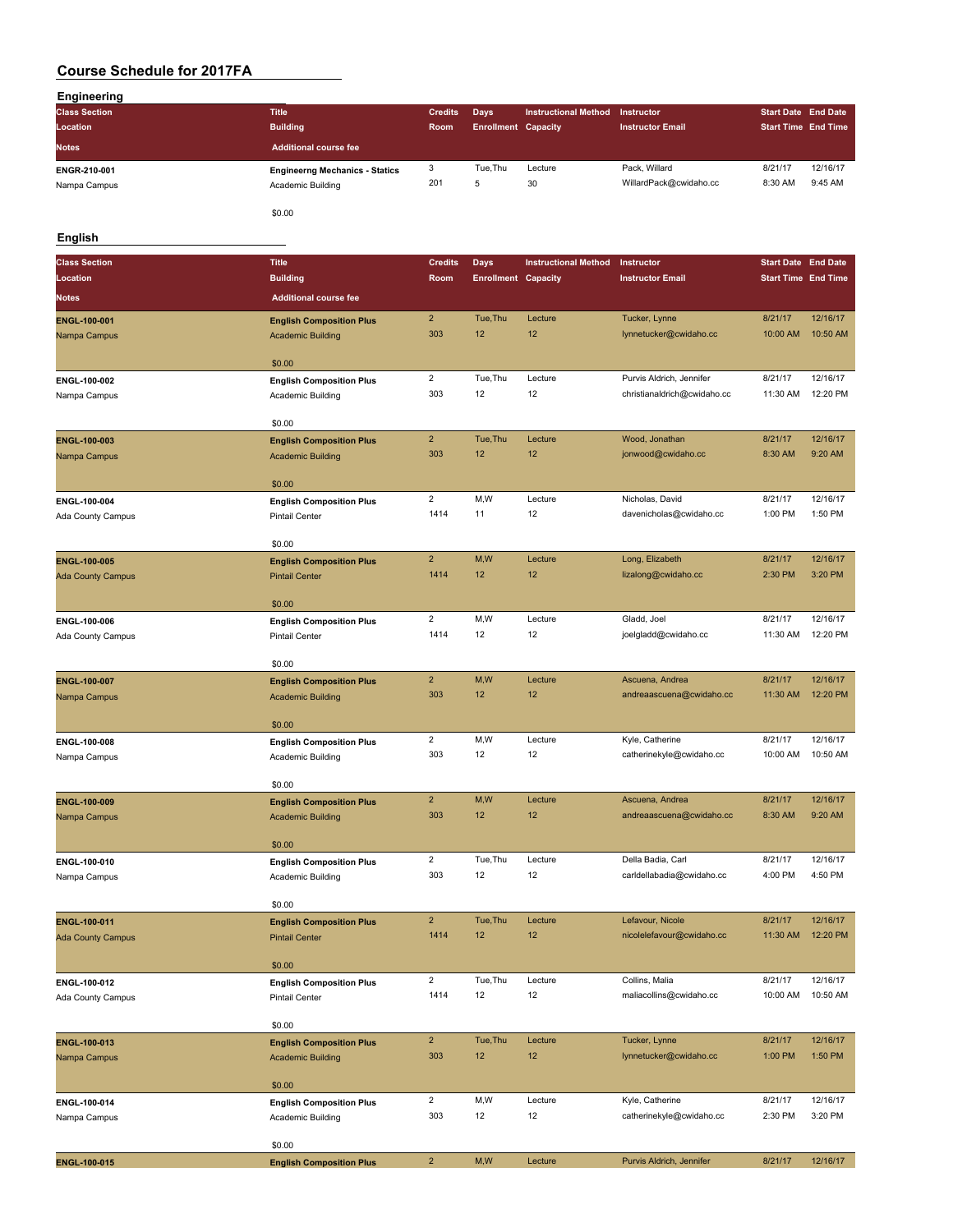| <b>Engineering</b>   |                                       |                |                            |                             |                         |                            |          |
|----------------------|---------------------------------------|----------------|----------------------------|-----------------------------|-------------------------|----------------------------|----------|
| <b>Class Section</b> | <b>Title</b>                          | <b>Credits</b> | <b>Days</b>                | <b>Instructional Method</b> | Instructor              | Start Date End Date        |          |
| Location             | <b>Building</b>                       | Room           | <b>Enrollment Capacity</b> |                             | <b>Instructor Email</b> | <b>Start Time End Time</b> |          |
| <b>Notes</b>         | Additional course fee                 |                |                            |                             |                         |                            |          |
| ENGR-210-001         | <b>Engineerng Mechanics - Statics</b> | 3              | Tue, Thu                   | Lecture                     | Pack, Willard           | 8/21/17                    | 12/16/17 |
| Nampa Campus         | Academic Building                     | 201            | 5                          | 30                          | WillardPack@cwidaho.cc  | 8:30 AM                    | 9:45 AM  |
|                      | \$0.00                                |                |                            |                             |                         |                            |          |

#### **English**

| <b>Class Section</b>         | <b>Title</b>                                                | <b>Credits</b>        | Days                       | <b>Instructional Method</b> | Instructor                  | <b>Start Date End Date</b> |                      |
|------------------------------|-------------------------------------------------------------|-----------------------|----------------------------|-----------------------------|-----------------------------|----------------------------|----------------------|
| Location                     | <b>Building</b>                                             | Room                  | <b>Enrollment Capacity</b> |                             | <b>Instructor Email</b>     | <b>Start Time End Time</b> |                      |
| <b>Notes</b>                 | <b>Additional course fee</b>                                |                       |                            |                             |                             |                            |                      |
| ENGL-100-001                 | <b>English Composition Plus</b>                             | $\overline{2}$        | Tue, Thu                   | Lecture                     | Tucker, Lynne               | 8/21/17                    | 12/16/17             |
| Nampa Campus                 | <b>Academic Building</b>                                    | 303                   | 12                         | 12                          | lynnetucker@cwidaho.cc      | 10:00 AM                   | 10:50 AM             |
|                              |                                                             |                       |                            |                             |                             |                            |                      |
|                              | \$0.00                                                      |                       |                            |                             |                             |                            |                      |
| ENGL-100-002                 | <b>English Composition Plus</b>                             | $\overline{c}$<br>303 | Tue, Thu<br>12             | Lecture<br>12               | Purvis Aldrich, Jennifer    | 8/21/17<br>11:30 AM        | 12/16/17<br>12:20 PM |
| Nampa Campus                 | Academic Building                                           |                       |                            |                             | christianaldrich@cwidaho.cc |                            |                      |
|                              | \$0.00                                                      |                       |                            |                             |                             |                            |                      |
| <b>ENGL-100-003</b>          | <b>English Composition Plus</b>                             | $\mathbf 2$           | Tue, Thu                   | Lecture                     | Wood, Jonathan              | 8/21/17                    | 12/16/17             |
| Nampa Campus                 | <b>Academic Building</b>                                    | 303                   | 12                         | 12                          | jonwood@cwidaho.cc          | 8:30 AM                    | 9:20 AM              |
|                              | \$0.00                                                      |                       |                            |                             |                             |                            |                      |
| ENGL-100-004                 | <b>English Composition Plus</b>                             | $\overline{2}$        | M,W                        | Lecture                     | Nicholas, David             | 8/21/17                    | 12/16/17             |
| Ada County Campus            | Pintail Center                                              | 1414                  | 11                         | 12                          | davenicholas@cwidaho.cc     | 1:00 PM                    | 1:50 PM              |
|                              |                                                             |                       |                            |                             |                             |                            |                      |
|                              | \$0.00                                                      |                       |                            |                             |                             |                            |                      |
| ENGL-100-005                 | <b>English Composition Plus</b>                             | $\mathbf 2$           | M,W                        | Lecture                     | Long, Elizabeth             | 8/21/17                    | 12/16/17             |
| <b>Ada County Campus</b>     | <b>Pintail Center</b>                                       | 1414                  | 12 <sup>2</sup>            | 12                          | lizalong@cwidaho.cc         | 2:30 PM                    | 3:20 PM              |
|                              | \$0.00                                                      |                       |                            |                             |                             |                            |                      |
| ENGL-100-006                 | <b>English Composition Plus</b>                             | $\overline{2}$        | M, W                       | Lecture                     | Gladd, Joel                 | 8/21/17                    | 12/16/17             |
| Ada County Campus            | Pintail Center                                              | 1414                  | 12                         | 12                          | joelgladd@cwidaho.cc        | 11:30 AM                   | 12:20 PM             |
|                              |                                                             |                       |                            |                             |                             |                            |                      |
| ENGL-100-007                 | \$0.00                                                      | $\overline{2}$        | M,W                        | Lecture                     | Ascuena, Andrea             | 8/21/17                    | 12/16/17             |
| Nampa Campus                 | <b>English Composition Plus</b><br><b>Academic Building</b> | 303                   | 12                         | 12                          | andreaascuena@cwidaho.cc    | 11:30 AM                   | 12:20 PM             |
|                              |                                                             |                       |                            |                             |                             |                            |                      |
|                              | \$0.00                                                      |                       |                            |                             |                             |                            |                      |
| ENGL-100-008                 | <b>English Composition Plus</b>                             | $\overline{c}$        | M,W                        | Lecture                     | Kyle, Catherine             | 8/21/17                    | 12/16/17             |
| Nampa Campus                 | Academic Building                                           | 303                   | 12                         | 12                          | catherinekyle@cwidaho.cc    | 10:00 AM                   | 10:50 AM             |
|                              | \$0.00                                                      |                       |                            |                             |                             |                            |                      |
| ENGL-100-009                 | <b>English Composition Plus</b>                             | $\mathbf 2$           | M,W                        | Lecture                     | Ascuena, Andrea             | 8/21/17                    | 12/16/17             |
| Nampa Campus                 | <b>Academic Building</b>                                    | 303                   | 12                         | 12                          | andreaascuena@cwidaho.cc    | 8:30 AM                    | 9:20 AM              |
|                              |                                                             |                       |                            |                             |                             |                            |                      |
|                              | \$0.00                                                      | $\overline{2}$        | Tue, Thu                   | Lecture                     | Della Badia, Carl           | 8/21/17                    | 12/16/17             |
| ENGL-100-010<br>Nampa Campus | <b>English Composition Plus</b><br>Academic Building        | 303                   | 12                         | 12                          | carldellabadia@cwidaho.cc   | 4:00 PM                    | 4:50 PM              |
|                              |                                                             |                       |                            |                             |                             |                            |                      |
|                              | \$0.00                                                      |                       |                            |                             |                             |                            |                      |
| <b>ENGL-100-011</b>          | <b>English Composition Plus</b>                             | $\overline{2}$        | Tue, Thu                   | Lecture                     | Lefavour, Nicole            | 8/21/17                    | 12/16/17             |
| <b>Ada County Campus</b>     | <b>Pintail Center</b>                                       | 1414                  | 12                         | 12                          | nicolelefavour@cwidaho.cc   | 11:30 AM                   | 12:20 PM             |
|                              | \$0.00                                                      |                       |                            |                             |                             |                            |                      |
| ENGL-100-012                 | <b>English Composition Plus</b>                             | $\overline{c}$        | Tue, Thu                   | Lecture                     | Collins, Malia              | 8/21/17                    | 12/16/17             |
| Ada County Campus            | Pintail Center                                              | 1414                  | 12                         | 12                          | maliacollins@cwidaho.cc     | 10:00 AM                   | 10:50 AM             |
|                              |                                                             |                       |                            |                             |                             |                            |                      |
|                              | \$0.00                                                      | $\overline{2}$        | Tue, Thu                   | Lecture                     | Tucker, Lynne               | 8/21/17                    | 12/16/17             |
| ENGL-100-013<br>Nampa Campus | <b>English Composition Plus</b><br><b>Academic Building</b> | 303                   | 12                         | 12                          | lynnetucker@cwidaho.cc      | 1:00 PM                    | 1:50 PM              |
|                              |                                                             |                       |                            |                             |                             |                            |                      |
|                              | \$0.00                                                      |                       |                            |                             |                             |                            |                      |
| ENGL-100-014                 | <b>English Composition Plus</b>                             | $\overline{2}$        | M, W                       | Lecture                     | Kyle, Catherine             | 8/21/17                    | 12/16/17             |
| Nampa Campus                 | Academic Building                                           | 303                   | 12                         | 12                          | catherinekyle@cwidaho.cc    | 2:30 PM                    | 3:20 PM              |
|                              | \$0.00                                                      |                       |                            |                             |                             |                            |                      |
| ENGL-100-015                 | <b>English Composition Plus</b>                             | $\overline{2}$        | M,W                        | Lecture                     | Purvis Aldrich, Jennifer    | 8/21/17                    | 12/16/17             |
|                              |                                                             |                       |                            |                             |                             |                            |                      |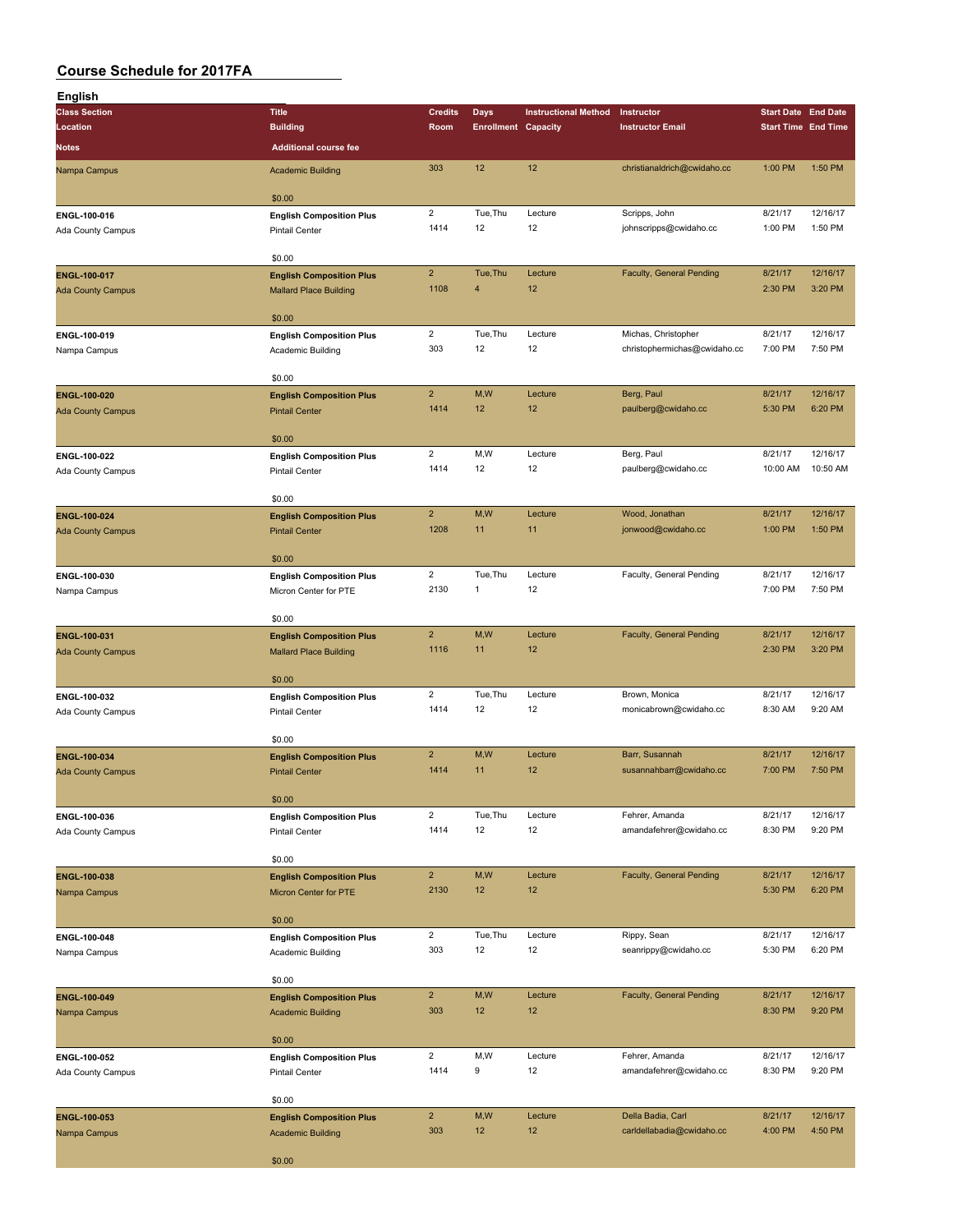| <b>English</b>                           |                                                                  |                         |                            |                             |                                           |                    |                            |
|------------------------------------------|------------------------------------------------------------------|-------------------------|----------------------------|-----------------------------|-------------------------------------------|--------------------|----------------------------|
| <b>Class Section</b>                     | <b>Title</b>                                                     | <b>Credits</b>          | <b>Days</b>                | <b>Instructional Method</b> | Instructor                                |                    | <b>Start Date End Date</b> |
| Location                                 | <b>Building</b>                                                  | Room                    | <b>Enrollment Capacity</b> |                             | <b>Instructor Email</b>                   |                    | <b>Start Time End Time</b> |
| Notes                                    | <b>Additional course fee</b>                                     |                         |                            |                             |                                           |                    |                            |
| Nampa Campus                             | <b>Academic Building</b>                                         | 303                     | 12                         | 12                          | christianaldrich@cwidaho.cc               | 1:00 PM            | 1:50 PM                    |
|                                          | \$0.00                                                           |                         |                            |                             |                                           |                    |                            |
| ENGL-100-016                             | <b>English Composition Plus</b>                                  | $\overline{2}$          | Tue, Thu                   | Lecture                     | Scripps, John                             | 8/21/17            | 12/16/17                   |
| Ada County Campus                        | <b>Pintail Center</b>                                            | 1414                    | 12                         | 12                          | johnscripps@cwidaho.cc                    | 1:00 PM            | 1:50 PM                    |
|                                          | \$0.00                                                           |                         |                            |                             |                                           |                    |                            |
| ENGL-100-017                             | <b>English Composition Plus</b>                                  | $\overline{2}$          | Tue, Thu                   | Lecture                     | Faculty, General Pending                  | 8/21/17            | 12/16/17                   |
| <b>Ada County Campus</b>                 | <b>Mallard Place Building</b>                                    | 1108                    | $\overline{4}$             | 12                          |                                           | 2:30 PM            | 3:20 PM                    |
|                                          | \$0.00                                                           |                         |                            |                             |                                           |                    |                            |
| ENGL-100-019                             | <b>English Composition Plus</b>                                  | $\overline{c}$          | Tue, Thu                   | Lecture                     | Michas, Christopher                       | 8/21/17            | 12/16/17                   |
| Nampa Campus                             | Academic Building                                                | 303                     | 12                         | 12                          | christophermichas@cwidaho.cc              | 7:00 PM            | 7:50 PM                    |
|                                          | \$0.00                                                           |                         |                            |                             |                                           |                    |                            |
| ENGL-100-020                             | <b>English Composition Plus</b>                                  | $\overline{2}$          | M,W                        | Lecture                     | Berg, Paul                                | 8/21/17            | 12/16/17                   |
| <b>Ada County Campus</b>                 | <b>Pintail Center</b>                                            | 1414                    | 12                         | 12                          | paulberg@cwidaho.cc                       | 5:30 PM            | 6:20 PM                    |
|                                          | \$0.00                                                           |                         |                            |                             |                                           |                    |                            |
| ENGL-100-022                             | <b>English Composition Plus</b>                                  | $\overline{2}$          | M, W                       | Lecture                     | Berg, Paul                                | 8/21/17            | 12/16/17                   |
| Ada County Campus                        | <b>Pintail Center</b>                                            | 1414                    | 12                         | 12                          | paulberg@cwidaho.cc                       | 10:00 AM           | 10:50 AM                   |
|                                          | \$0.00                                                           |                         |                            |                             |                                           |                    |                            |
| ENGL-100-024                             | <b>English Composition Plus</b>                                  | $\overline{2}$          | M, W                       | Lecture                     | Wood, Jonathan                            | 8/21/17            | 12/16/17                   |
| <b>Ada County Campus</b>                 | <b>Pintail Center</b>                                            | 1208                    | 11                         | 11                          | jonwood@cwidaho.cc                        | 1:00 PM            | 1:50 PM                    |
|                                          |                                                                  |                         |                            |                             |                                           |                    |                            |
| ENGL-100-030                             | \$0.00<br><b>English Composition Plus</b>                        | $\overline{\mathbf{c}}$ | Tue, Thu                   | Lecture                     | Faculty, General Pending                  | 8/21/17            | 12/16/17                   |
| Nampa Campus                             | Micron Center for PTE                                            | 2130                    | $\mathbf{1}$               | 12                          |                                           | 7:00 PM            | 7:50 PM                    |
|                                          |                                                                  |                         |                            |                             |                                           |                    |                            |
|                                          | \$0.00                                                           | $\overline{2}$          | M,W                        |                             |                                           |                    | 12/16/17                   |
| ENGL-100-031<br><b>Ada County Campus</b> | <b>English Composition Plus</b><br><b>Mallard Place Building</b> | 1116                    | 11                         | Lecture<br>12               | Faculty, General Pending                  | 8/21/17<br>2:30 PM | 3:20 PM                    |
|                                          |                                                                  |                         |                            |                             |                                           |                    |                            |
|                                          | \$0.00                                                           |                         |                            |                             |                                           |                    |                            |
| ENGL-100-032                             | <b>English Composition Plus</b><br><b>Pintail Center</b>         | $\overline{2}$<br>1414  | Tue, Thu<br>12             | Lecture<br>12               | Brown, Monica<br>monicabrown@cwidaho.cc   | 8/21/17<br>8:30 AM | 12/16/17<br>9:20 AM        |
| Ada County Campus                        |                                                                  |                         |                            |                             |                                           |                    |                            |
|                                          | \$0.00                                                           |                         |                            |                             |                                           |                    |                            |
| ENGL-100-034                             | <b>English Composition Plus</b>                                  | 2 <sup>2</sup><br>1414  | M, W<br>11                 | Lecture<br>12               | Barr, Susannah<br>susannahbarr@cwidaho.cc | 8/21/17<br>7:00 PM | 12/16/17<br>7:50 PM        |
| <b>Ada County Campus</b>                 | <b>Pintail Center</b>                                            |                         |                            |                             |                                           |                    |                            |
|                                          | \$0.00                                                           |                         |                            |                             |                                           |                    |                            |
| ENGL-100-036                             | <b>English Composition Plus</b>                                  | $\overline{2}$          | Tue, Thu                   | Lecture                     | Fehrer, Amanda                            | 8/21/17            | 12/16/17                   |
| Ada County Campus                        | Pintail Center                                                   | 1414                    | 12                         | 12                          | amandafehrer@cwidaho.cc                   | 8:30 PM            | 9:20 PM                    |
|                                          | \$0.00                                                           |                         |                            |                             |                                           |                    |                            |
| ENGL-100-038                             | <b>English Composition Plus</b>                                  | $\overline{2}$          | M,W                        | Lecture                     | Faculty, General Pending                  | 8/21/17            | 12/16/17                   |
| Nampa Campus                             | Micron Center for PTE                                            | 2130                    | 12                         | 12                          |                                           | 5:30 PM            | 6:20 PM                    |
|                                          | \$0.00                                                           |                         |                            |                             |                                           |                    |                            |
| ENGL-100-048                             | <b>English Composition Plus</b>                                  | $\overline{2}$          | Tue, Thu                   | Lecture                     | Rippy, Sean                               | 8/21/17            | 12/16/17                   |
| Nampa Campus                             | Academic Building                                                | 303                     | 12                         | 12                          | seanrippy@cwidaho.cc                      | 5:30 PM            | 6:20 PM                    |
|                                          | \$0.00                                                           |                         |                            |                             |                                           |                    |                            |
| ENGL-100-049                             | <b>English Composition Plus</b>                                  | $\overline{2}$          | M,W                        | Lecture                     | Faculty, General Pending                  | 8/21/17            | 12/16/17                   |
| Nampa Campus                             | <b>Academic Building</b>                                         | 303                     | 12                         | 12                          |                                           | 8:30 PM            | 9:20 PM                    |
|                                          | \$0.00                                                           |                         |                            |                             |                                           |                    |                            |
| ENGL-100-052                             | <b>English Composition Plus</b>                                  | $\overline{2}$          | M,W                        | Lecture                     | Fehrer, Amanda                            | 8/21/17            | 12/16/17                   |
| Ada County Campus                        | Pintail Center                                                   | 1414                    | 9                          | 12                          | amandafehrer@cwidaho.cc                   | 8:30 PM            | 9:20 PM                    |
|                                          |                                                                  |                         |                            |                             |                                           |                    |                            |
| ENGL-100-053                             | \$0.00<br><b>English Composition Plus</b>                        | $\overline{2}$          | M,W                        | Lecture                     | Della Badia, Carl                         | 8/21/17            | 12/16/17                   |
| Nampa Campus                             | <b>Academic Building</b>                                         | 303                     | 12                         | 12                          | carldellabadia@cwidaho.cc                 | 4:00 PM            | 4:50 PM                    |
|                                          |                                                                  |                         |                            |                             |                                           |                    |                            |
|                                          | \$0.00                                                           |                         |                            |                             |                                           |                    |                            |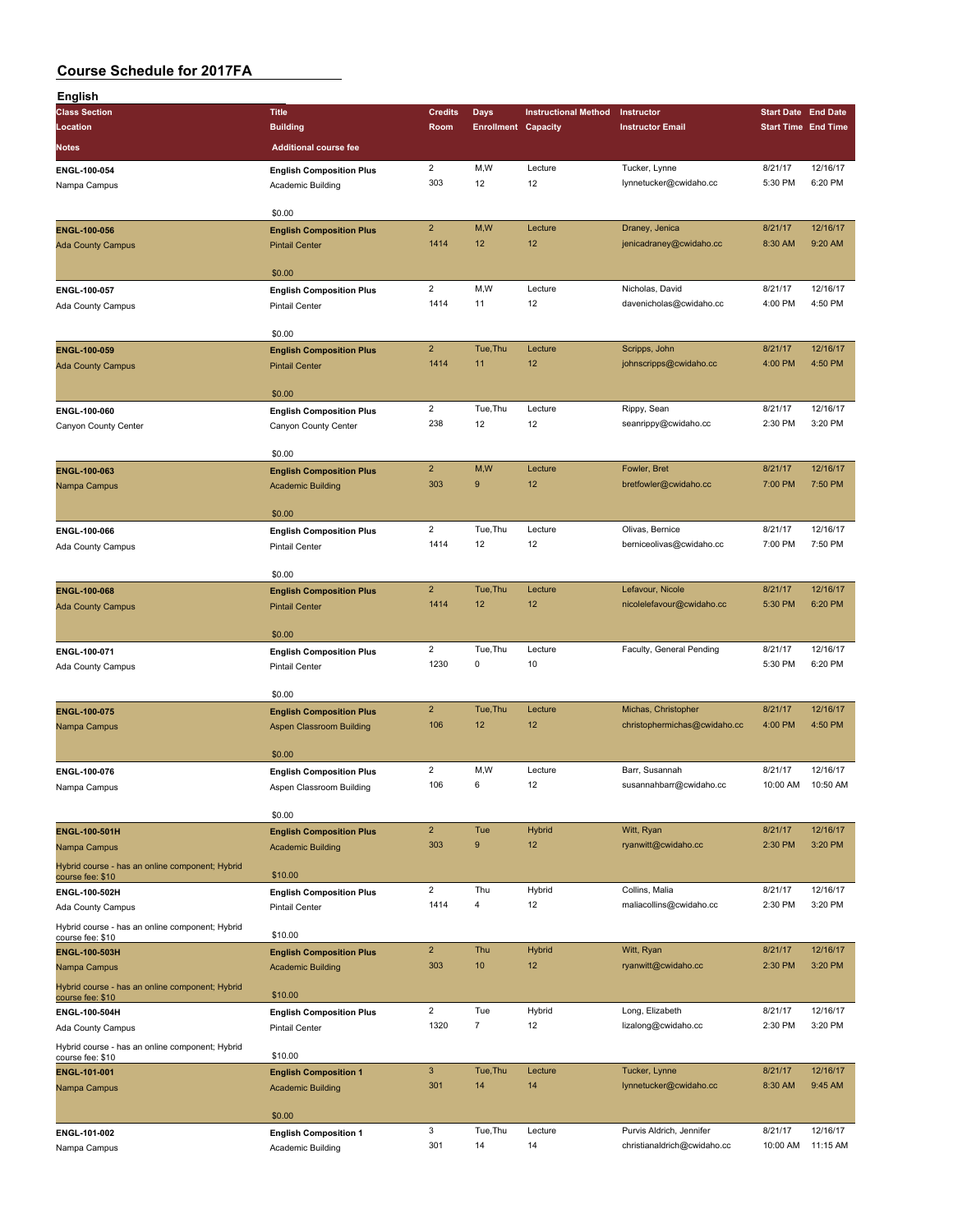| English                                         |                                 |                         |                            |                             |                              |                            |                      |
|-------------------------------------------------|---------------------------------|-------------------------|----------------------------|-----------------------------|------------------------------|----------------------------|----------------------|
| <b>Class Section</b>                            | <b>Title</b>                    | <b>Credits</b>          | <b>Days</b>                | <b>Instructional Method</b> | Instructor                   | <b>Start Date End Date</b> |                      |
| Location                                        | <b>Building</b>                 | Room                    | <b>Enrollment Capacity</b> |                             | <b>Instructor Email</b>      | <b>Start Time End Time</b> |                      |
| Notes                                           | <b>Additional course fee</b>    |                         |                            |                             |                              |                            |                      |
|                                                 |                                 |                         |                            |                             |                              |                            |                      |
| ENGL-100-054                                    | <b>English Composition Plus</b> | $\overline{\mathbf{c}}$ | M,W                        | Lecture                     | Tucker, Lynne                | 8/21/17                    | 12/16/17             |
| Nampa Campus                                    | Academic Building               | 303                     | 12                         | 12                          | lynnetucker@cwidaho.cc       | 5:30 PM                    | 6:20 PM              |
|                                                 |                                 |                         |                            |                             |                              |                            |                      |
|                                                 | \$0.00                          |                         |                            |                             |                              |                            |                      |
| <b>ENGL-100-056</b>                             | <b>English Composition Plus</b> | $\overline{2}$          | M,W                        | Lecture                     | Draney, Jenica               | 8/21/17                    | 12/16/17             |
| <b>Ada County Campus</b>                        | <b>Pintail Center</b>           | 1414                    | 12                         | 12                          | jenicadraney@cwidaho.cc      | 8:30 AM                    | 9:20 AM              |
|                                                 |                                 |                         |                            |                             |                              |                            |                      |
|                                                 | \$0.00                          |                         |                            |                             |                              |                            | 12/16/17             |
| ENGL-100-057                                    | <b>English Composition Plus</b> | 2                       | M,W                        | Lecture                     | Nicholas, David              | 8/21/17                    |                      |
| Ada County Campus                               | Pintail Center                  | 1414                    | 11                         | 12                          | davenicholas@cwidaho.cc      | 4:00 PM                    | 4:50 PM              |
|                                                 | \$0.00                          |                         |                            |                             |                              |                            |                      |
|                                                 |                                 | $\overline{2}$          | Tue, Thu                   | Lecture                     |                              | 8/21/17                    | 12/16/17             |
| ENGL-100-059                                    | <b>English Composition Plus</b> | 1414                    | 11                         | 12                          | Scripps, John                | 4:00 PM                    | 4:50 PM              |
| <b>Ada County Campus</b>                        | <b>Pintail Center</b>           |                         |                            |                             | johnscripps@cwidaho.cc       |                            |                      |
|                                                 | \$0.00                          |                         |                            |                             |                              |                            |                      |
|                                                 |                                 | $\overline{2}$          | Tue, Thu                   | Lecture                     | Rippy, Sean                  | 8/21/17                    | 12/16/17             |
| ENGL-100-060                                    | <b>English Composition Plus</b> | 238                     | 12                         | 12                          | seanrippy@cwidaho.cc         | 2:30 PM                    | 3:20 PM              |
| Canyon County Center                            | Canyon County Center            |                         |                            |                             |                              |                            |                      |
|                                                 | \$0.00                          |                         |                            |                             |                              |                            |                      |
| ENGL-100-063                                    |                                 | $\overline{2}$          | M,W                        | Lecture                     | Fowler, Bret                 | 8/21/17                    | 12/16/17             |
| Nampa Campus                                    | <b>English Composition Plus</b> | 303                     | $9$                        | 12                          | bretfowler@cwidaho.cc        | 7:00 PM                    | 7:50 PM              |
|                                                 | <b>Academic Building</b>        |                         |                            |                             |                              |                            |                      |
|                                                 | \$0.00                          |                         |                            |                             |                              |                            |                      |
| ENGL-100-066                                    | <b>English Composition Plus</b> | $\overline{2}$          | Tue, Thu                   | Lecture                     | Olivas, Bernice              | 8/21/17                    | 12/16/17             |
| Ada County Campus                               | <b>Pintail Center</b>           | 1414                    | 12                         | 12                          | berniceolivas@cwidaho.cc     | 7:00 PM                    | 7:50 PM              |
|                                                 |                                 |                         |                            |                             |                              |                            |                      |
|                                                 | \$0.00                          |                         |                            |                             |                              |                            |                      |
| <b>ENGL-100-068</b>                             | <b>English Composition Plus</b> | $\overline{2}$          | Tue, Thu                   | Lecture                     | Lefavour, Nicole             | 8/21/17                    | 12/16/17             |
| <b>Ada County Campus</b>                        | <b>Pintail Center</b>           | 1414                    | 12                         | 12                          | nicolelefavour@cwidaho.cc    | 5:30 PM                    | 6:20 PM              |
|                                                 |                                 |                         |                            |                             |                              |                            |                      |
|                                                 | \$0.00                          |                         |                            |                             |                              |                            |                      |
| ENGL-100-071                                    | <b>English Composition Plus</b> | $\overline{2}$          | Tue, Thu                   | Lecture                     | Faculty, General Pending     | 8/21/17                    | 12/16/17             |
| Ada County Campus                               | <b>Pintail Center</b>           | 1230                    | 0                          | 10                          |                              | 5:30 PM                    | 6:20 PM              |
|                                                 |                                 |                         |                            |                             |                              |                            |                      |
|                                                 | \$0.00                          |                         |                            |                             |                              |                            |                      |
| ENGL-100-075                                    | <b>English Composition Plus</b> | $\overline{2}$          | Tue, Thu                   | Lecture                     | Michas, Christopher          | 8/21/17                    | 12/16/17             |
| Nampa Campus                                    | Aspen Classroom Building        | 106                     | 12                         | 12                          | christophermichas@cwidaho.cc | 4:00 PM                    | 4:50 PM              |
|                                                 |                                 |                         |                            |                             |                              |                            |                      |
|                                                 | \$0.00                          |                         |                            |                             |                              |                            |                      |
| ENGL-100-076                                    | <b>English Composition Plus</b> | $\overline{c}$          | M,W                        | Lecture                     | Barr, Susannah               | 8/21/17                    | 12/16/17             |
| Nampa Campus                                    | Aspen Classroom Building        | 106                     | 6                          | 12                          | susannahbarr@cwidaho.cc      | 10:00 AM                   | 10:50 AM             |
|                                                 |                                 |                         |                            |                             |                              |                            |                      |
|                                                 | \$0.00                          |                         |                            |                             |                              |                            |                      |
| <b>ENGL-100-501H</b>                            | <b>English Composition Plus</b> | $\overline{2}$          | Tue                        | <b>Hybrid</b>               | Witt, Ryan                   | 8/21/17                    | 12/16/17             |
| Nampa Campus                                    | <b>Academic Building</b>        | 303                     | 9                          | 12                          | ryanwitt@cwidaho.cc          | 2:30 PM                    | 3:20 PM              |
| Hybrid course - has an online component; Hybrid |                                 |                         |                            |                             |                              |                            |                      |
| course fee: \$10                                | \$10.00                         |                         |                            |                             |                              |                            |                      |
| ENGL-100-502H                                   | <b>English Composition Plus</b> | $\overline{\mathbf{c}}$ | Thu                        | Hybrid                      | Collins, Malia               | 8/21/17                    | 12/16/17             |
| Ada County Campus                               | <b>Pintail Center</b>           | 1414                    | 4                          | 12                          | maliacollins@cwidaho.cc      | 2:30 PM                    | 3:20 PM              |
| Hybrid course - has an online component; Hybrid |                                 |                         |                            |                             |                              |                            |                      |
| course fee: \$10                                | \$10.00                         |                         |                            |                             |                              |                            |                      |
| ENGL-100-503H                                   | <b>English Composition Plus</b> | $\overline{2}$          | Thu                        | <b>Hybrid</b>               | Witt, Ryan                   | 8/21/17                    | 12/16/17             |
| Nampa Campus                                    | <b>Academic Building</b>        | 303                     | 10                         | 12                          | ryanwitt@cwidaho.cc          | 2:30 PM                    | 3:20 PM              |
| Hybrid course - has an online component; Hybrid |                                 |                         |                            |                             |                              |                            |                      |
| course fee: \$10                                | \$10.00                         |                         |                            |                             |                              |                            |                      |
| ENGL-100-504H                                   | <b>English Composition Plus</b> | $\overline{2}$          | Tue                        | Hybrid                      | Long, Elizabeth              | 8/21/17                    | 12/16/17             |
| Ada County Campus                               | Pintail Center                  | 1320                    | $\overline{7}$             | 12                          | lizalong@cwidaho.cc          | 2:30 PM                    | 3:20 PM              |
| Hybrid course - has an online component; Hybrid |                                 |                         |                            |                             |                              |                            |                      |
| course fee: \$10                                | \$10.00                         |                         |                            |                             |                              |                            |                      |
| ENGL-101-001                                    | <b>English Composition 1</b>    | 3                       | Tue, Thu                   | Lecture                     | Tucker, Lynne                | 8/21/17                    | 12/16/17             |
| Nampa Campus                                    | <b>Academic Building</b>        | 301                     | 14                         | 14                          | lynnetucker@cwidaho.cc       | 8:30 AM                    | 9:45 AM              |
|                                                 |                                 |                         |                            |                             |                              |                            |                      |
|                                                 | \$0.00                          |                         |                            |                             |                              |                            |                      |
| ENGL-101-002                                    | <b>English Composition 1</b>    | 3<br>301                | Tue, Thu                   | Lecture                     | Purvis Aldrich, Jennifer     | 8/21/17                    | 12/16/17<br>11:15 AM |
| Nampa Campus                                    | Academic Building               |                         | 14                         | 14                          | christianaldrich@cwidaho.cc  | 10:00 AM                   |                      |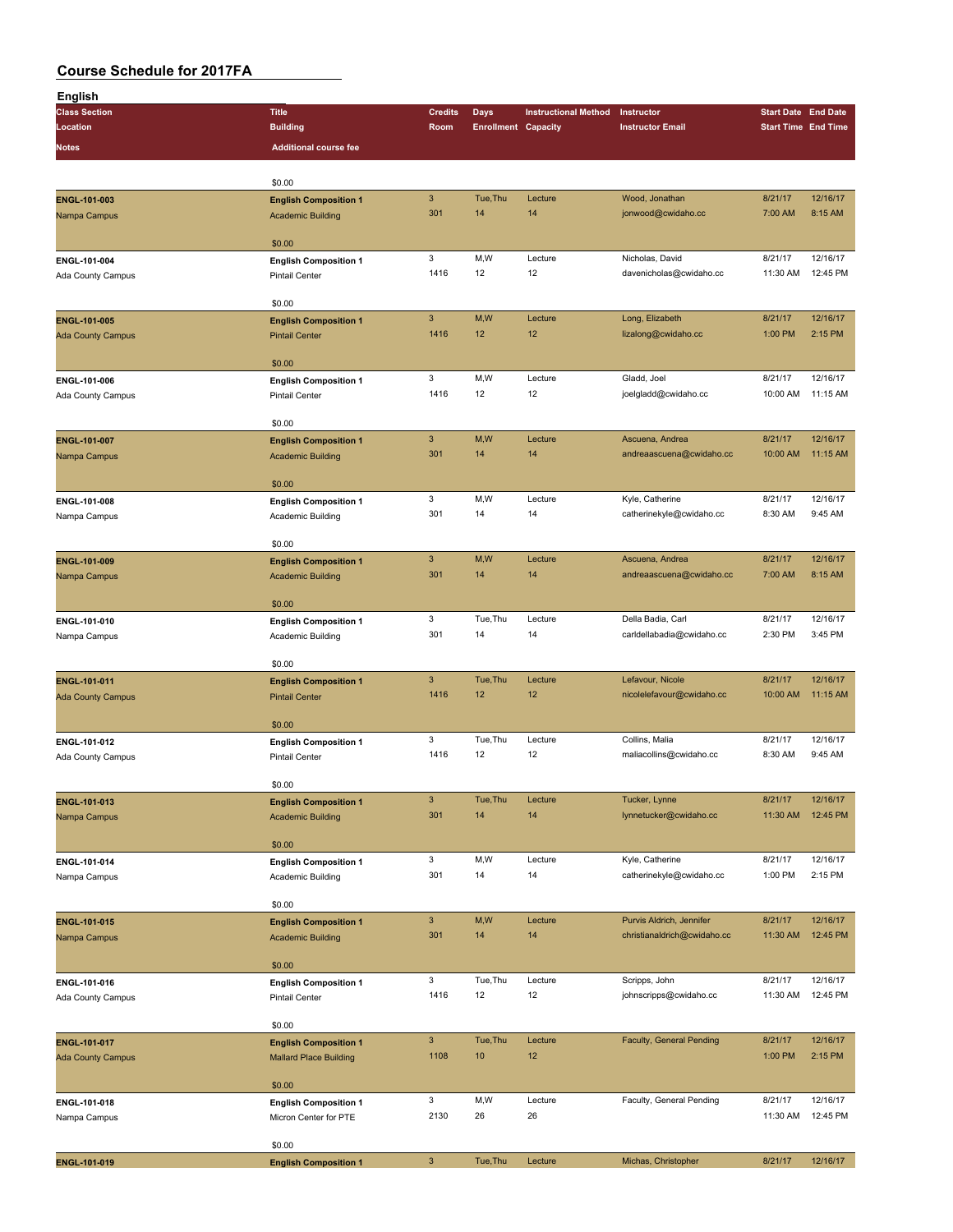| <b>English</b>           |                               |                           |                            |                             |                             |                            |          |
|--------------------------|-------------------------------|---------------------------|----------------------------|-----------------------------|-----------------------------|----------------------------|----------|
| <b>Class Section</b>     | <b>Title</b>                  | <b>Credits</b>            | Days                       | <b>Instructional Method</b> | Instructor                  | <b>Start Date End Date</b> |          |
| Location                 | <b>Building</b>               | Room                      | <b>Enrollment Capacity</b> |                             | <b>Instructor Email</b>     | <b>Start Time End Time</b> |          |
| Notes                    | <b>Additional course fee</b>  |                           |                            |                             |                             |                            |          |
|                          |                               |                           |                            |                             |                             |                            |          |
|                          | \$0.00                        |                           |                            |                             |                             |                            |          |
| ENGL-101-003             | <b>English Composition 1</b>  | $\ensuremath{\mathsf{3}}$ | Tue, Thu                   | Lecture                     | Wood, Jonathan              | 8/21/17                    | 12/16/17 |
| Nampa Campus             | <b>Academic Building</b>      | 301                       | 14                         | 14                          | jonwood@cwidaho.cc          | 7:00 AM                    | 8:15 AM  |
|                          |                               |                           |                            |                             |                             |                            |          |
|                          | \$0.00                        |                           |                            |                             |                             |                            |          |
| ENGL-101-004             | <b>English Composition 1</b>  | 3                         | M,W                        | Lecture                     | Nicholas, David             | 8/21/17                    | 12/16/17 |
| Ada County Campus        | <b>Pintail Center</b>         | 1416                      | 12                         | 12                          | davenicholas@cwidaho.cc     | 11:30 AM                   | 12:45 PM |
|                          |                               |                           |                            |                             |                             |                            |          |
|                          | \$0.00                        |                           |                            |                             |                             |                            |          |
| ENGL-101-005             | <b>English Composition 1</b>  | $\sqrt{3}$                | M,W                        | Lecture                     | Long, Elizabeth             | 8/21/17                    | 12/16/17 |
| <b>Ada County Campus</b> | <b>Pintail Center</b>         | 1416                      | 12                         | 12                          | lizalong@cwidaho.cc         | 1:00 PM                    | 2:15 PM  |
|                          |                               |                           |                            |                             |                             |                            |          |
|                          | \$0.00                        | 3                         | M,W                        |                             | Gladd, Joel                 |                            | 12/16/17 |
| ENGL-101-006             | <b>English Composition 1</b>  | 1416                      | 12                         | Lecture<br>12               |                             | 8/21/17<br>10:00 AM        | 11:15 AM |
| Ada County Campus        | <b>Pintail Center</b>         |                           |                            |                             | joelgladd@cwidaho.cc        |                            |          |
|                          | \$0.00                        |                           |                            |                             |                             |                            |          |
| ENGL-101-007             | <b>English Composition 1</b>  | $\ensuremath{\mathsf{3}}$ | M,W                        | Lecture                     | Ascuena, Andrea             | 8/21/17                    | 12/16/17 |
| Nampa Campus             | <b>Academic Building</b>      | 301                       | 14                         | 14                          | andreaascuena@cwidaho.cc    | 10:00 AM                   | 11:15 AM |
|                          |                               |                           |                            |                             |                             |                            |          |
|                          | \$0.00                        |                           |                            |                             |                             |                            |          |
| ENGL-101-008             | <b>English Composition 1</b>  | 3                         | M,W                        | Lecture                     | Kyle, Catherine             | 8/21/17                    | 12/16/17 |
| Nampa Campus             | Academic Building             | 301                       | 14                         | 14                          | catherinekyle@cwidaho.cc    | 8:30 AM                    | 9:45 AM  |
|                          |                               |                           |                            |                             |                             |                            |          |
|                          | \$0.00                        |                           |                            |                             |                             |                            |          |
| ENGL-101-009             | <b>English Composition 1</b>  | $\ensuremath{\mathsf{3}}$ | M,W                        | Lecture                     | Ascuena, Andrea             | 8/21/17                    | 12/16/17 |
| Nampa Campus             | <b>Academic Building</b>      | 301                       | 14                         | 14                          | andreaascuena@cwidaho.cc    | 7:00 AM                    | 8:15 AM  |
|                          |                               |                           |                            |                             |                             |                            |          |
|                          | \$0.00                        |                           |                            |                             |                             |                            |          |
| ENGL-101-010             | <b>English Composition 1</b>  | 3                         | Tue, Thu                   | Lecture                     | Della Badia, Carl           | 8/21/17                    | 12/16/17 |
| Nampa Campus             | Academic Building             | 301                       | 14                         | 14                          | carldellabadia@cwidaho.cc   | 2:30 PM                    | 3:45 PM  |
|                          | \$0.00                        |                           |                            |                             |                             |                            |          |
| ENGL-101-011             | <b>English Composition 1</b>  | 3                         | Tue, Thu                   | Lecture                     | Lefavour, Nicole            | 8/21/17                    | 12/16/17 |
| <b>Ada County Campus</b> | <b>Pintail Center</b>         | 1416                      | 12                         | 12                          | nicolelefavour@cwidaho.cc   | 10:00 AM                   | 11:15 AM |
|                          |                               |                           |                            |                             |                             |                            |          |
|                          | \$0.00                        |                           |                            |                             |                             |                            |          |
| ENGL-101-012             | <b>English Composition 1</b>  | 3                         | Tue, Thu                   | Lecture                     | Collins, Malia              | 8/21/17                    | 12/16/17 |
| Ada County Campus        | <b>Pintail Center</b>         | 1416                      | 12                         | 12                          | maliacollins@cwidaho.cc     | 8:30 AM                    | 9:45 AM  |
|                          |                               |                           |                            |                             |                             |                            |          |
|                          | \$0.00                        |                           |                            |                             |                             |                            |          |
| ENGL-101-013             | <b>English Composition 1</b>  | $\ensuremath{\mathsf{3}}$ | Tue, Thu                   | Lecture                     | Tucker, Lynne               | 8/21/17                    | 12/16/17 |
| Nampa Campus             | <b>Academic Building</b>      | 301                       | 14                         | 14                          | lynnetucker@cwidaho.cc      | 11:30 AM                   | 12:45 PM |
|                          |                               |                           |                            |                             |                             |                            |          |
|                          | \$0.00                        |                           |                            |                             |                             |                            |          |
| ENGL-101-014             | <b>English Composition 1</b>  | 3                         | M,W                        | Lecture                     | Kyle, Catherine             | 8/21/17                    | 12/16/17 |
| Nampa Campus             | Academic Building             | 301                       | 14                         | 14                          | catherinekyle@cwidaho.cc    | 1:00 PM                    | 2:15 PM  |
|                          | \$0.00                        |                           |                            |                             |                             |                            |          |
|                          |                               | $\ensuremath{\mathsf{3}}$ | M,W                        | Lecture                     | Purvis Aldrich, Jennifer    | 8/21/17                    | 12/16/17 |
| ENGL-101-015             | <b>English Composition 1</b>  | 301                       | 14                         | 14                          | christianaldrich@cwidaho.cc | 11:30 AM                   | 12:45 PM |
| Nampa Campus             | <b>Academic Building</b>      |                           |                            |                             |                             |                            |          |
|                          | \$0.00                        |                           |                            |                             |                             |                            |          |
| ENGL-101-016             | <b>English Composition 1</b>  | 3                         | Tue, Thu                   | Lecture                     | Scripps, John               | 8/21/17                    | 12/16/17 |
| Ada County Campus        | Pintail Center                | 1416                      | 12                         | 12                          | johnscripps@cwidaho.cc      | 11:30 AM                   | 12:45 PM |
|                          |                               |                           |                            |                             |                             |                            |          |
|                          | \$0.00                        |                           |                            |                             |                             |                            |          |
| ENGL-101-017             | <b>English Composition 1</b>  | $\mathsf 3$               | Tue, Thu                   | Lecture                     | Faculty, General Pending    | 8/21/17                    | 12/16/17 |
| <b>Ada County Campus</b> | <b>Mallard Place Building</b> | 1108                      | 10                         | 12                          |                             | 1:00 PM                    | 2:15 PM  |
|                          |                               |                           |                            |                             |                             |                            |          |
|                          | \$0.00                        |                           |                            |                             |                             |                            |          |
| ENGL-101-018             | <b>English Composition 1</b>  | 3                         | M,W                        | Lecture                     | Faculty, General Pending    | 8/21/17                    | 12/16/17 |
| Nampa Campus             | Micron Center for PTE         | 2130                      | 26                         | 26                          |                             | 11:30 AM                   | 12:45 PM |
|                          |                               |                           |                            |                             |                             |                            |          |
|                          | \$0.00                        |                           |                            |                             |                             |                            |          |
| ENGL-101-019             | <b>English Composition 1</b>  | $\mathsf 3$               | Tue, Thu                   | Lecture                     | Michas, Christopher         | 8/21/17                    | 12/16/17 |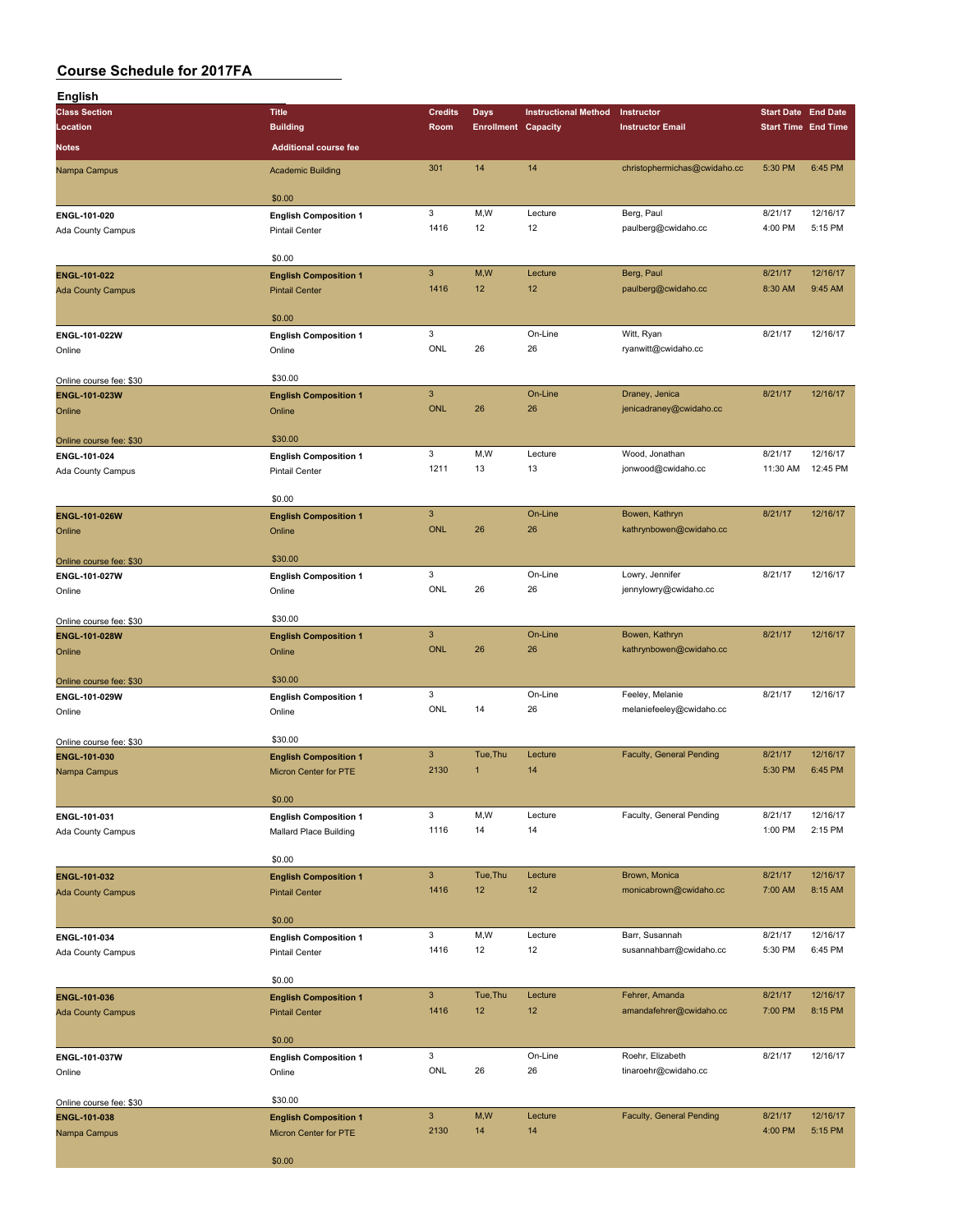| English                                 |                                                       |                           |                            |                             |                                           |                            |                     |
|-----------------------------------------|-------------------------------------------------------|---------------------------|----------------------------|-----------------------------|-------------------------------------------|----------------------------|---------------------|
| <b>Class Section</b>                    | <b>Title</b>                                          | <b>Credits</b>            | <b>Days</b>                | <b>Instructional Method</b> | Instructor                                | <b>Start Date End Date</b> |                     |
| Location                                | <b>Building</b>                                       | Room                      | <b>Enrollment Capacity</b> |                             | <b>Instructor Email</b>                   | <b>Start Time End Time</b> |                     |
| Notes                                   | <b>Additional course fee</b>                          |                           |                            |                             |                                           |                            |                     |
| Nampa Campus                            | <b>Academic Building</b>                              | 301                       | 14                         | 14                          | christophermichas@cwidaho.cc              | 5:30 PM                    | 6:45 PM             |
|                                         | \$0.00                                                |                           |                            |                             |                                           |                            |                     |
| ENGL-101-020                            | <b>English Composition 1</b>                          | 3                         | M,W                        | Lecture                     | Berg, Paul                                | 8/21/17                    | 12/16/17            |
| Ada County Campus                       | Pintail Center                                        | 1416                      | 12                         | 12                          | paulberg@cwidaho.cc                       | 4:00 PM                    | 5:15 PM             |
|                                         | \$0.00                                                |                           |                            |                             |                                           |                            |                     |
| ENGL-101-022                            | <b>English Composition 1</b>                          | $\mathbf{3}$              | M,W                        | Lecture                     | Berg, Paul                                | 8/21/17                    | 12/16/17            |
| <b>Ada County Campus</b>                | <b>Pintail Center</b>                                 | 1416                      | 12                         | 12                          | paulberg@cwidaho.cc                       | 8:30 AM                    | 9:45 AM             |
|                                         | \$0.00                                                |                           |                            |                             |                                           |                            |                     |
| ENGL-101-022W                           | <b>English Composition 1</b>                          | 3                         |                            | On-Line                     | Witt, Ryan                                | 8/21/17                    | 12/16/17            |
| Online                                  | Online                                                | ONL                       | 26                         | 26                          | ryanwitt@cwidaho.cc                       |                            |                     |
| Online course fee: \$30                 | \$30.00                                               |                           |                            |                             |                                           |                            |                     |
| ENGL-101-023W                           | <b>English Composition 1</b>                          | $\ensuremath{\mathsf{3}}$ |                            | On-Line                     | Draney, Jenica                            | 8/21/17                    | 12/16/17            |
| Online                                  | Online                                                | <b>ONL</b>                | 26                         | 26                          | jenicadraney@cwidaho.cc                   |                            |                     |
|                                         | \$30.00                                               |                           |                            |                             |                                           |                            |                     |
| Online course fee: \$30<br>ENGL-101-024 | <b>English Composition 1</b>                          | 3                         | M,W                        | Lecture                     | Wood, Jonathan                            | 8/21/17                    | 12/16/17            |
| Ada County Campus                       | <b>Pintail Center</b>                                 | 1211                      | 13                         | 13                          | jonwood@cwidaho.cc                        | 11:30 AM                   | 12:45 PM            |
|                                         |                                                       |                           |                            |                             |                                           |                            |                     |
|                                         | \$0.00                                                | $\mathbf{3}$              |                            | On-Line                     | Bowen, Kathryn                            | 8/21/17                    | 12/16/17            |
| <b>ENGL-101-026W</b><br>Online          | <b>English Composition 1</b><br>Online                | <b>ONL</b>                | 26                         | 26                          | kathrynbowen@cwidaho.cc                   |                            |                     |
|                                         |                                                       |                           |                            |                             |                                           |                            |                     |
| Online course fee: \$30                 | \$30.00                                               |                           |                            |                             |                                           |                            |                     |
| ENGL-101-027W                           | <b>English Composition 1</b>                          | 3<br>ONL                  | 26                         | On-Line<br>26               | Lowry, Jennifer<br>jennylowry@cwidaho.cc  | 8/21/17                    | 12/16/17            |
| Online                                  | Online                                                |                           |                            |                             |                                           |                            |                     |
| Online course fee: \$30                 | \$30.00                                               |                           |                            |                             |                                           |                            |                     |
| ENGL-101-028W                           | <b>English Composition 1</b>                          | $\mathbf{3}$              |                            | On-Line                     | Bowen, Kathryn                            | 8/21/17                    | 12/16/17            |
| Online                                  | Online                                                | <b>ONL</b>                | 26                         | 26                          | kathrynbowen@cwidaho.cc                   |                            |                     |
| Online course fee: \$30                 | \$30.00                                               |                           |                            |                             |                                           |                            |                     |
| ENGL-101-029W                           | <b>English Composition 1</b>                          | 3                         |                            | On-Line                     | Feeley, Melanie                           | 8/21/17                    | 12/16/17            |
| Online                                  | Online                                                | ONL                       | 14                         | 26                          | melaniefeeley@cwidaho.cc                  |                            |                     |
| Online course fee: \$30                 | \$30.00                                               |                           |                            |                             |                                           |                            |                     |
| ENGL-101-030                            | <b>English Composition 1</b>                          | $\mathbf{3}$              | Tue, Thu                   | Lecture                     | Faculty, General Pending                  | 8/21/17                    | 12/16/17            |
| Nampa Campus                            | <b>Micron Center for PTE</b>                          | 2130                      | $\mathbf{1}$               | 14                          |                                           | 5:30 PM                    | 6:45 PM             |
|                                         | \$0.00                                                |                           |                            |                             |                                           |                            |                     |
| ENGL-101-031                            | <b>English Composition 1</b>                          | 3                         | M,W                        | Lecture                     | Faculty, General Pending                  | 8/21/17                    | 12/16/17            |
| Ada County Campus                       | Mallard Place Building                                | 1116                      | 14                         | 14                          |                                           | 1:00 PM                    | 2:15 PM             |
|                                         |                                                       |                           |                            |                             |                                           |                            |                     |
| ENGL-101-032                            | \$0.00<br><b>English Composition 1</b>                | $\mathbf{3}$              | Tue, Thu                   | Lecture                     | Brown, Monica                             | 8/21/17                    | 12/16/17            |
| <b>Ada County Campus</b>                | <b>Pintail Center</b>                                 | 1416                      | 12                         | 12                          | monicabrown@cwidaho.cc                    | 7:00 AM                    | 8:15 AM             |
|                                         |                                                       |                           |                            |                             |                                           |                            |                     |
|                                         | \$0.00                                                | 3                         | M,W                        | Lecture                     | Barr, Susannah                            | 8/21/17                    | 12/16/17            |
| ENGL-101-034<br>Ada County Campus       | <b>English Composition 1</b><br>Pintail Center        | 1416                      | 12                         | 12                          | susannahbarr@cwidaho.cc                   | 5:30 PM                    | 6:45 PM             |
|                                         |                                                       |                           |                            |                             |                                           |                            |                     |
|                                         | \$0.00                                                |                           |                            |                             |                                           |                            |                     |
| ENGL-101-036                            | <b>English Composition 1</b><br><b>Pintail Center</b> | $\mathbf{3}$<br>1416      | Tue, Thu<br>12             | Lecture<br>12               | Fehrer, Amanda<br>amandafehrer@cwidaho.cc | 8/21/17<br>7:00 PM         | 12/16/17<br>8:15 PM |
| <b>Ada County Campus</b>                |                                                       |                           |                            |                             |                                           |                            |                     |
|                                         | \$0.00                                                |                           |                            |                             |                                           |                            |                     |
| ENGL-101-037W                           | <b>English Composition 1</b>                          | 3                         |                            | On-Line                     | Roehr, Elizabeth                          | 8/21/17                    | 12/16/17            |
| Online                                  | Online                                                | ONL                       | 26                         | 26                          | tinaroehr@cwidaho.cc                      |                            |                     |
| Online course fee: \$30                 | \$30.00                                               |                           |                            |                             |                                           |                            |                     |
| ENGL-101-038                            | <b>English Composition 1</b>                          | $\mathbf{3}$              | M,W                        | Lecture                     | Faculty, General Pending                  | 8/21/17                    | 12/16/17            |
| Nampa Campus                            | Micron Center for PTE                                 | 2130                      | 14                         | 14                          |                                           | 4:00 PM                    | 5:15 PM             |
|                                         | \$0.00                                                |                           |                            |                             |                                           |                            |                     |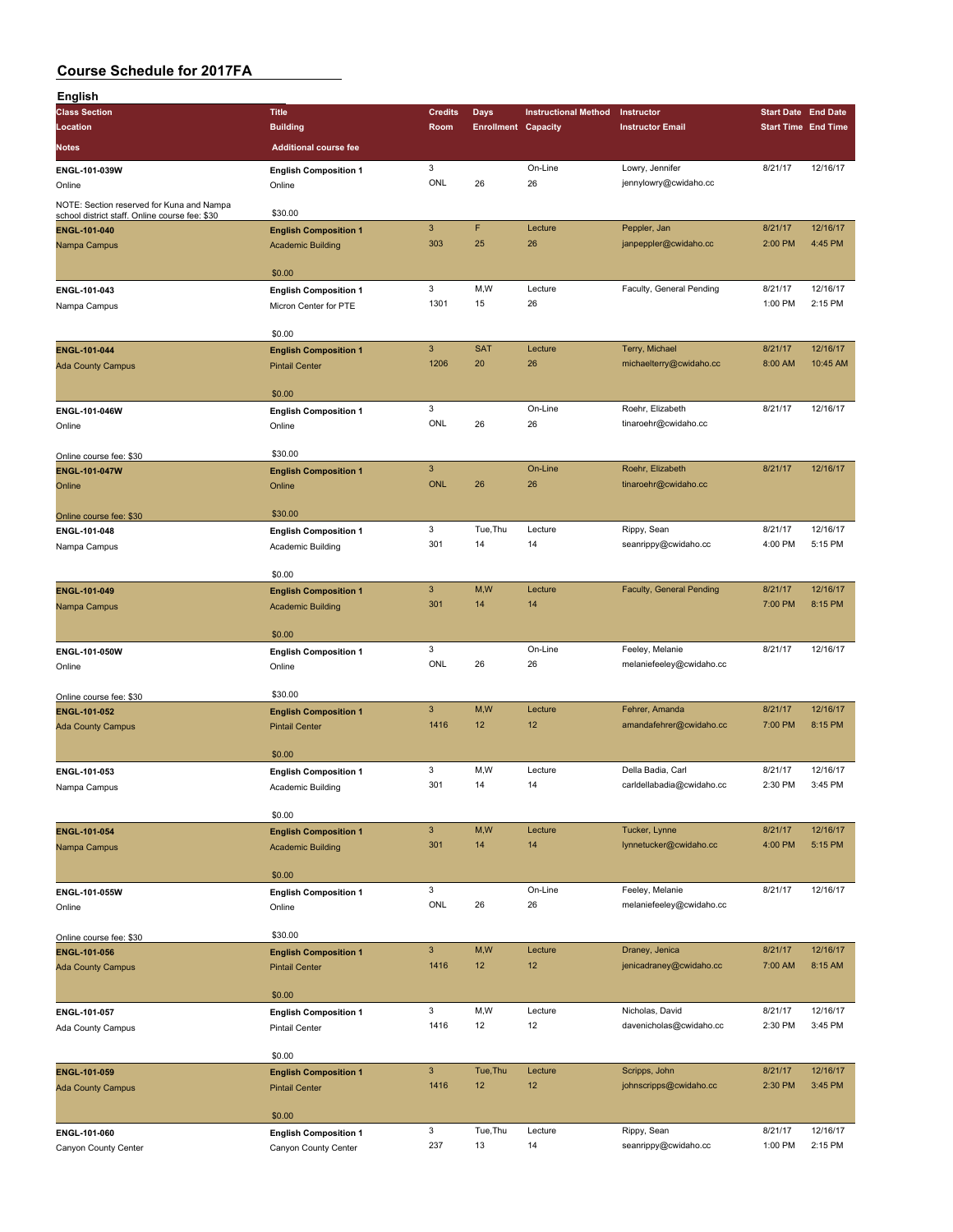| English                                                                                     |                                                      |                            |                            |                             |                                          |                            |                     |
|---------------------------------------------------------------------------------------------|------------------------------------------------------|----------------------------|----------------------------|-----------------------------|------------------------------------------|----------------------------|---------------------|
| <b>Class Section</b>                                                                        | <b>Title</b>                                         | <b>Credits</b>             | Days                       | <b>Instructional Method</b> | Instructor                               | <b>Start Date End Date</b> |                     |
| Location                                                                                    | <b>Building</b>                                      | Room                       | <b>Enrollment Capacity</b> |                             | <b>Instructor Email</b>                  | <b>Start Time End Time</b> |                     |
| Notes                                                                                       | <b>Additional course fee</b>                         |                            |                            |                             |                                          |                            |                     |
| ENGL-101-039W                                                                               | <b>English Composition 1</b>                         | 3                          |                            | On-Line                     | Lowry, Jennifer                          | 8/21/17                    | 12/16/17            |
| Online                                                                                      | Online                                               | ONL                        | 26                         | 26                          | jennylowry@cwidaho.cc                    |                            |                     |
| NOTE: Section reserved for Kuna and Nampa<br>school district staff. Online course fee: \$30 | \$30.00                                              |                            |                            |                             |                                          |                            |                     |
| ENGL-101-040                                                                                | <b>English Composition 1</b>                         | $\ensuremath{\mathsf{3}}$  | F                          | Lecture                     | Peppler, Jan                             | 8/21/17                    | 12/16/17            |
| Nampa Campus                                                                                | <b>Academic Building</b>                             | 303                        | 25                         | 26                          | janpeppler@cwidaho.cc                    | 2:00 PM                    | 4:45 PM             |
|                                                                                             | \$0.00                                               |                            |                            |                             |                                          |                            |                     |
| ENGL-101-043                                                                                | <b>English Composition 1</b>                         | 3                          | M,W                        | Lecture                     | Faculty, General Pending                 | 8/21/17                    | 12/16/17            |
| Nampa Campus                                                                                | Micron Center for PTE                                | 1301                       | 15                         | 26                          |                                          | 1:00 PM                    | 2:15 PM             |
|                                                                                             | \$0.00                                               |                            |                            |                             |                                          |                            |                     |
| ENGL-101-044                                                                                | <b>English Composition 1</b>                         | $\mathbf{3}$               | <b>SAT</b>                 | Lecture                     | Terry, Michael                           | 8/21/17                    | 12/16/17            |
| <b>Ada County Campus</b>                                                                    | <b>Pintail Center</b>                                | 1206                       | 20                         | 26                          | michaelterry@cwidaho.cc                  | 8:00 AM                    | 10:45 AM            |
|                                                                                             |                                                      |                            |                            |                             |                                          |                            |                     |
|                                                                                             | \$0.00                                               | 3                          |                            | On-Line                     | Roehr, Elizabeth                         | 8/21/17                    | 12/16/17            |
| ENGL-101-046W<br>Online                                                                     | <b>English Composition 1</b><br>Online               | ONL                        | 26                         | 26                          | tinaroehr@cwidaho.cc                     |                            |                     |
|                                                                                             |                                                      |                            |                            |                             |                                          |                            |                     |
| Online course fee: \$30                                                                     | \$30.00                                              |                            |                            |                             |                                          |                            |                     |
| <b>ENGL-101-047W</b>                                                                        | <b>English Composition 1</b>                         | $\mathbf{3}$<br><b>ONL</b> | 26                         | On-Line<br>26               | Roehr, Elizabeth<br>tinaroehr@cwidaho.cc | 8/21/17                    | 12/16/17            |
| Online                                                                                      | Online                                               |                            |                            |                             |                                          |                            |                     |
| Online course fee: \$30                                                                     | \$30.00                                              |                            |                            |                             |                                          |                            |                     |
| ENGL-101-048                                                                                | <b>English Composition 1</b>                         | 3                          | Tue, Thu                   | Lecture                     | Rippy, Sean                              | 8/21/17                    | 12/16/17            |
| Nampa Campus                                                                                | Academic Building                                    | 301                        | 14                         | 14                          | seanrippy@cwidaho.cc                     | 4:00 PM                    | 5:15 PM             |
|                                                                                             | \$0.00                                               |                            |                            |                             |                                          |                            |                     |
| ENGL-101-049                                                                                | <b>English Composition 1</b>                         | $\mathbf{3}$               | M, W                       | Lecture                     | Faculty, General Pending                 | 8/21/17                    | 12/16/17            |
| Nampa Campus                                                                                | <b>Academic Building</b>                             | 301                        | 14                         | 14                          |                                          | 7:00 PM                    | 8:15 PM             |
|                                                                                             | \$0.00                                               |                            |                            |                             |                                          |                            |                     |
| ENGL-101-050W                                                                               | <b>English Composition 1</b>                         | 3                          |                            | On-Line                     | Feeley, Melanie                          | 8/21/17                    | 12/16/17            |
| Online                                                                                      | Online                                               | ONL                        | 26                         | 26                          | melaniefeeley@cwidaho.cc                 |                            |                     |
|                                                                                             | \$30.00                                              |                            |                            |                             |                                          |                            |                     |
| Online course fee: \$30<br>ENGL-101-052                                                     | <b>English Composition 1</b>                         | $\mathbf{3}$               | M,W                        | Lecture                     | Fehrer, Amanda                           | 8/21/17                    | 12/16/17            |
| <b>Ada County Campus</b>                                                                    | <b>Pintail Center</b>                                | 1416                       | 12                         | 12                          | amandafehrer@cwidaho.cc                  | 7:00 PM                    | 8:15 PM             |
|                                                                                             |                                                      |                            |                            |                             |                                          |                            |                     |
|                                                                                             | \$0.00<br><b>English Composition 1</b>               | 3                          | M, W                       | Lecture                     | Della Badia, Carl                        | 8/21/17                    | 12/16/17            |
| ENGL-101-053<br>Nampa Campus                                                                | Academic Building                                    | 301                        | 14                         | 14                          | carldellabadia@cwidaho.cc                | 2:30 PM                    | 3:45 PM             |
|                                                                                             |                                                      |                            |                            |                             |                                          |                            |                     |
|                                                                                             | \$0.00                                               |                            |                            |                             |                                          |                            |                     |
| ENGL-101-054                                                                                | <b>English Composition 1</b>                         | $\mathbf{3}$<br>301        | M,W<br>14                  | Lecture<br>14               | Tucker, Lynne<br>lynnetucker@cwidaho.cc  | 8/21/17<br>4:00 PM         | 12/16/17<br>5:15 PM |
| Nampa Campus                                                                                | <b>Academic Building</b>                             |                            |                            |                             |                                          |                            |                     |
|                                                                                             | \$0.00                                               |                            |                            |                             |                                          |                            |                     |
| ENGL-101-055W                                                                               | <b>English Composition 1</b>                         | 3                          |                            | On-Line                     | Feeley, Melanie                          | 8/21/17                    | 12/16/17            |
| Online                                                                                      | Online                                               | ONL                        | 26                         | 26                          | melaniefeeley@cwidaho.cc                 |                            |                     |
| Online course fee: \$30                                                                     | \$30.00                                              |                            |                            |                             |                                          |                            |                     |
| ENGL-101-056                                                                                | <b>English Composition 1</b>                         | $\mathbf{3}$               | M,W                        | Lecture                     | Draney, Jenica                           | 8/21/17                    | 12/16/17            |
| <b>Ada County Campus</b>                                                                    | <b>Pintail Center</b>                                | 1416                       | 12                         | 12                          | jenicadraney@cwidaho.cc                  | 7:00 AM                    | 8:15 AM             |
|                                                                                             | \$0.00                                               |                            |                            |                             |                                          |                            |                     |
| ENGL-101-057                                                                                | <b>English Composition 1</b>                         | 3                          | M,W                        | Lecture                     | Nicholas, David                          | 8/21/17                    | 12/16/17            |
| Ada County Campus                                                                           | Pintail Center                                       | 1416                       | 12                         | 12                          | davenicholas@cwidaho.cc                  | 2:30 PM                    | 3:45 PM             |
|                                                                                             |                                                      |                            |                            |                             |                                          |                            |                     |
| ENGL-101-059                                                                                | \$0.00<br><b>English Composition 1</b>               | $\mathbf{3}$               | Tue, Thu                   | Lecture                     | Scripps, John                            | 8/21/17                    | 12/16/17            |
| <b>Ada County Campus</b>                                                                    | <b>Pintail Center</b>                                | 1416                       | 12                         | 12                          | johnscripps@cwidaho.cc                   | 2:30 PM                    | 3:45 PM             |
|                                                                                             |                                                      |                            |                            |                             |                                          |                            |                     |
|                                                                                             | \$0.00                                               |                            |                            |                             |                                          |                            |                     |
| ENGL-101-060<br>Canyon County Center                                                        | <b>English Composition 1</b><br>Canyon County Center | 3<br>237                   | Tue, Thu<br>13             | Lecture<br>14               | Rippy, Sean<br>seanrippy@cwidaho.cc      | 8/21/17<br>1:00 PM         | 12/16/17<br>2:15 PM |
|                                                                                             |                                                      |                            |                            |                             |                                          |                            |                     |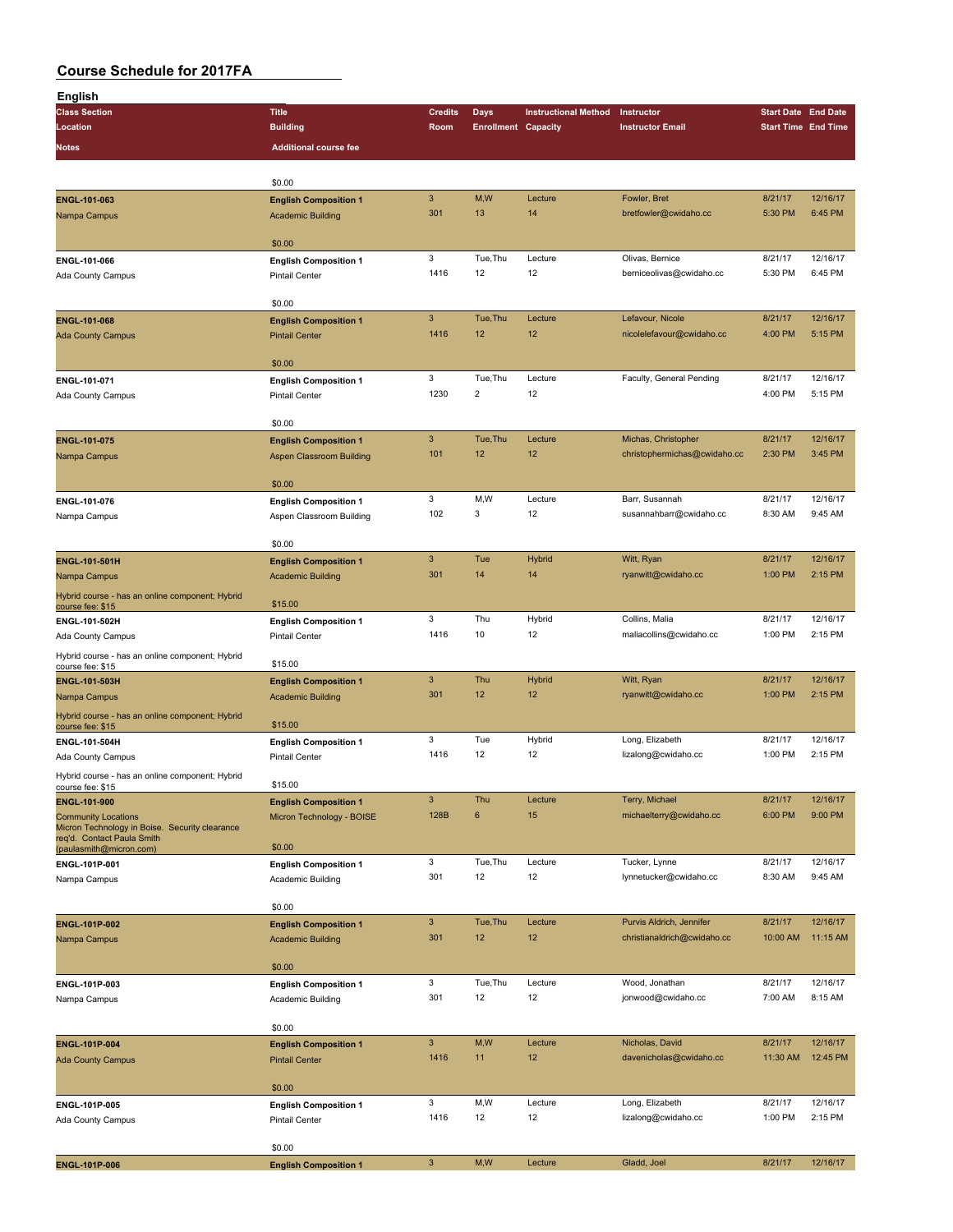| English                                                             |                                                           |                |                            |                             |                              |                            |          |
|---------------------------------------------------------------------|-----------------------------------------------------------|----------------|----------------------------|-----------------------------|------------------------------|----------------------------|----------|
| <b>Class Section</b>                                                | <b>Title</b>                                              | <b>Credits</b> | Days                       | <b>Instructional Method</b> | Instructor                   | <b>Start Date End Date</b> |          |
| Location                                                            | <b>Building</b>                                           | Room           | <b>Enrollment Capacity</b> |                             | <b>Instructor Email</b>      | <b>Start Time End Time</b> |          |
| Notes                                                               | <b>Additional course fee</b>                              |                |                            |                             |                              |                            |          |
|                                                                     |                                                           |                |                            |                             |                              |                            |          |
|                                                                     |                                                           |                |                            |                             |                              |                            |          |
|                                                                     | \$0.00                                                    | 3              | M,W                        | Lecture                     | Fowler, Bret                 | 8/21/17                    | 12/16/17 |
| ENGL-101-063                                                        | <b>English Composition 1</b>                              | 301            | 13                         | 14                          | bretfowler@cwidaho.cc        | 5:30 PM                    | 6:45 PM  |
| Nampa Campus                                                        | <b>Academic Building</b>                                  |                |                            |                             |                              |                            |          |
|                                                                     | \$0.00                                                    |                |                            |                             |                              |                            |          |
| ENGL-101-066                                                        | <b>English Composition 1</b>                              | 3              | Tue, Thu                   | Lecture                     | Olivas, Bernice              | 8/21/17                    | 12/16/17 |
| Ada County Campus                                                   | <b>Pintail Center</b>                                     | 1416           | 12                         | 12                          | berniceolivas@cwidaho.cc     | 5:30 PM                    | 6:45 PM  |
|                                                                     |                                                           |                |                            |                             |                              |                            |          |
|                                                                     | \$0.00                                                    |                |                            |                             |                              |                            |          |
| <b>ENGL-101-068</b>                                                 | <b>English Composition 1</b>                              | $\mathbf{3}$   | Tue, Thu                   | Lecture                     | Lefavour, Nicole             | 8/21/17                    | 12/16/17 |
| <b>Ada County Campus</b>                                            | <b>Pintail Center</b>                                     | 1416           | 12                         | 12                          | nicolelefavour@cwidaho.cc    | 4:00 PM                    | 5:15 PM  |
|                                                                     |                                                           |                |                            |                             |                              |                            |          |
|                                                                     | \$0.00                                                    | 3              | Tue, Thu                   |                             |                              | 8/21/17                    | 12/16/17 |
| ENGL-101-071                                                        | <b>English Composition 1</b>                              | 1230           | $\overline{2}$             | Lecture<br>12               | Faculty, General Pending     | 4:00 PM                    | 5:15 PM  |
| Ada County Campus                                                   | <b>Pintail Center</b>                                     |                |                            |                             |                              |                            |          |
|                                                                     | \$0.00                                                    |                |                            |                             |                              |                            |          |
| ENGL-101-075                                                        | <b>English Composition 1</b>                              | $\mathbf{3}$   | Tue, Thu                   | Lecture                     | Michas, Christopher          | 8/21/17                    | 12/16/17 |
| Nampa Campus                                                        | <b>Aspen Classroom Building</b>                           | 101            | 12                         | 12                          | christophermichas@cwidaho.cc | 2:30 PM                    | 3:45 PM  |
|                                                                     |                                                           |                |                            |                             |                              |                            |          |
|                                                                     | \$0.00                                                    |                |                            |                             |                              |                            |          |
| ENGL-101-076                                                        | <b>English Composition 1</b>                              | 3              | M,W                        | Lecture                     | Barr, Susannah               | 8/21/17                    | 12/16/17 |
| Nampa Campus                                                        | Aspen Classroom Building                                  | 102            | 3                          | 12                          | susannahbarr@cwidaho.cc      | 8:30 AM                    | 9:45 AM  |
|                                                                     |                                                           |                |                            |                             |                              |                            |          |
|                                                                     | \$0.00                                                    |                |                            |                             |                              |                            |          |
| <b>ENGL-101-501H</b>                                                | <b>English Composition 1</b>                              | $\mathbf{3}$   | Tue                        | <b>Hybrid</b>               | Witt, Ryan                   | 8/21/17                    | 12/16/17 |
| Nampa Campus                                                        | <b>Academic Building</b>                                  | 301            | 14                         | 14                          | ryanwitt@cwidaho.cc          | 1:00 PM                    | 2:15 PM  |
| Hybrid course - has an online component; Hybrid                     | \$15.00                                                   |                |                            |                             |                              |                            |          |
| course fee: \$15<br>ENGL-101-502H                                   | <b>English Composition 1</b>                              | 3              | Thu                        | Hybrid                      | Collins, Malia               | 8/21/17                    | 12/16/17 |
| Ada County Campus                                                   | <b>Pintail Center</b>                                     | 1416           | 10                         | 12                          | maliacollins@cwidaho.cc      | 1:00 PM                    | 2:15 PM  |
|                                                                     |                                                           |                |                            |                             |                              |                            |          |
| Hybrid course - has an online component; Hybrid<br>course fee: \$15 | \$15.00                                                   |                |                            |                             |                              |                            |          |
| ENGL-101-503H                                                       | <b>English Composition 1</b>                              | 3              | Thu                        | <b>Hybrid</b>               | Witt, Ryan                   | 8/21/17                    | 12/16/17 |
| Nampa Campus                                                        | <b>Academic Building</b>                                  | 301            | 12                         | 12                          | ryanwitt@cwidaho.cc          | 1:00 PM                    | 2:15 PM  |
| Hybrid course - has an online component; Hybrid                     |                                                           |                |                            |                             |                              |                            |          |
| course fee: \$15                                                    | \$15.00                                                   |                |                            |                             |                              |                            |          |
| ENGL-101-504H                                                       | <b>English Composition 1</b>                              | 3              | Tue                        | Hybrid                      | Long, Elizabeth              | 8/21/17                    | 12/16/17 |
| Ada County Campus                                                   | <b>Pintail Center</b>                                     | 1416           | 12                         | 12                          | lizalong@cwidaho.cc          | 1:00 PM                    | 2:15 PM  |
| Hybrid course - has an online component; Hybrid                     | \$15.00                                                   |                |                            |                             |                              |                            |          |
| course fee: \$15                                                    |                                                           | 3              | Thu                        | Lecture                     | Terry, Michael               | 8/21/17                    | 12/16/17 |
| ENGL-101-900<br><b>Community Locations</b>                          | <b>English Composition 1</b><br>Micron Technology - BOISE | 128B           | 6                          | 15                          | michaelterry@cwidaho.cc      | 6:00 PM                    | 9:00 PM  |
| Micron Technology in Boise. Security clearance                      |                                                           |                |                            |                             |                              |                            |          |
| req'd. Contact Paula Smith<br>(paulasmith@micron.com)               | \$0.00                                                    |                |                            |                             |                              |                            |          |
| ENGL-101P-001                                                       | <b>English Composition 1</b>                              | 3              | Tue, Thu                   | Lecture                     | Tucker, Lynne                | 8/21/17                    | 12/16/17 |
| Nampa Campus                                                        | Academic Building                                         | 301            | 12                         | 12                          | lynnetucker@cwidaho.cc       | 8:30 AM                    | 9:45 AM  |
|                                                                     |                                                           |                |                            |                             |                              |                            |          |
|                                                                     | \$0.00                                                    |                |                            |                             |                              |                            |          |
| ENGL-101P-002                                                       | <b>English Composition 1</b>                              | $\mathbf{3}$   | Tue, Thu                   | Lecture                     | Purvis Aldrich, Jennifer     | 8/21/17                    | 12/16/17 |
| Nampa Campus                                                        | <b>Academic Building</b>                                  | 301            | 12                         | 12                          | christianaldrich@cwidaho.cc  | 10:00 AM                   | 11:15 AM |
|                                                                     |                                                           |                |                            |                             |                              |                            |          |
|                                                                     | \$0.00                                                    |                |                            |                             |                              |                            |          |
| ENGL-101P-003                                                       | <b>English Composition 1</b>                              | 3              | Tue, Thu                   | Lecture                     | Wood, Jonathan               | 8/21/17                    | 12/16/17 |
| Nampa Campus                                                        | Academic Building                                         | 301            | 12                         | 12                          | jonwood@cwidaho.cc           | 7:00 AM                    | 8:15 AM  |
|                                                                     | \$0.00                                                    |                |                            |                             |                              |                            |          |
| <b>ENGL-101P-004</b>                                                | <b>English Composition 1</b>                              | 3              | M, W                       | Lecture                     | Nicholas, David              | 8/21/17                    | 12/16/17 |
| <b>Ada County Campus</b>                                            | <b>Pintail Center</b>                                     | 1416           | 11                         | 12                          | davenicholas@cwidaho.cc      | 11:30 AM                   | 12:45 PM |
|                                                                     |                                                           |                |                            |                             |                              |                            |          |
|                                                                     | \$0.00                                                    |                |                            |                             |                              |                            |          |
| ENGL-101P-005                                                       | <b>English Composition 1</b>                              | 3              | M,W                        | Lecture                     | Long, Elizabeth              | 8/21/17                    | 12/16/17 |
| Ada County Campus                                                   | Pintail Center                                            | 1416           | 12                         | 12                          | lizalong@cwidaho.cc          | 1:00 PM                    | 2:15 PM  |
|                                                                     |                                                           |                |                            |                             |                              |                            |          |
|                                                                     | \$0.00                                                    |                |                            |                             |                              |                            |          |
| ENGL-101P-006                                                       | <b>English Composition 1</b>                              | $\mathbf{3}$   | M,W                        | Lecture                     | Gladd, Joel                  | 8/21/17                    | 12/16/17 |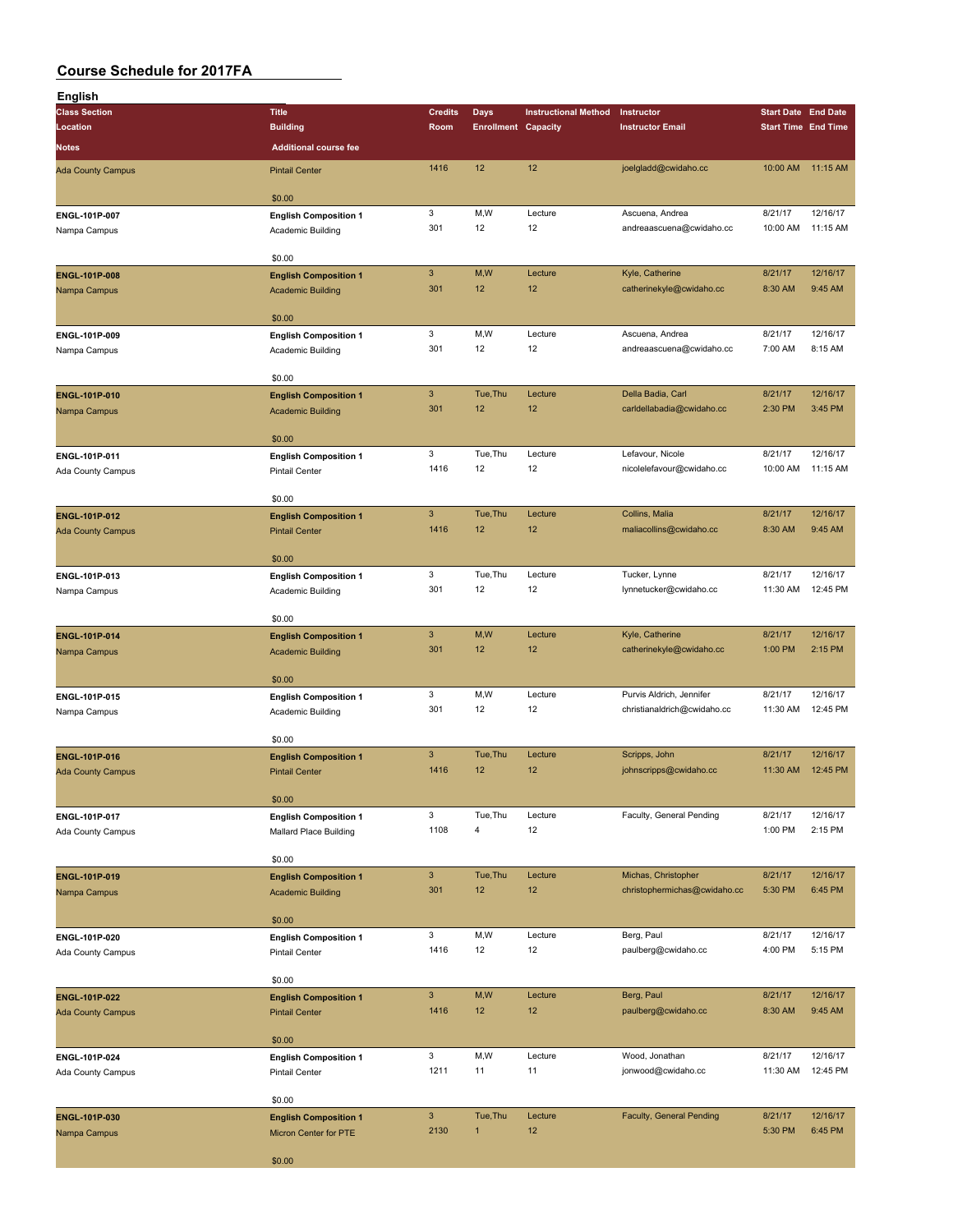| <b>English</b>                |                                                   |                                   |                          |                             |                                               |                            |                      |
|-------------------------------|---------------------------------------------------|-----------------------------------|--------------------------|-----------------------------|-----------------------------------------------|----------------------------|----------------------|
| <b>Class Section</b>          | <b>Title</b>                                      | <b>Credits</b>                    | Days                     | <b>Instructional Method</b> | Instructor                                    | <b>Start Date End Date</b> |                      |
| Location                      | <b>Building</b>                                   | Room                              |                          | <b>Enrollment Capacity</b>  | <b>Instructor Email</b>                       | <b>Start Time End Time</b> |                      |
| <b>Notes</b>                  | <b>Additional course fee</b>                      |                                   |                          |                             |                                               |                            |                      |
| <b>Ada County Campus</b>      | <b>Pintail Center</b>                             | 1416                              | 12                       | 12                          | joelgladd@cwidaho.cc                          | 10:00 AM                   | 11:15 AM             |
|                               |                                                   |                                   |                          |                             |                                               |                            |                      |
|                               | \$0.00                                            |                                   |                          |                             |                                               |                            |                      |
| ENGL-101P-007                 | <b>English Composition 1</b>                      | 3                                 | M, W                     | Lecture                     | Ascuena, Andrea                               | 8/21/17                    | 12/16/17             |
| Nampa Campus                  | Academic Building                                 | 301                               | 12                       | 12                          | andreaascuena@cwidaho.cc                      | 10:00 AM                   | 11:15 AM             |
|                               | \$0.00                                            |                                   |                          |                             |                                               |                            |                      |
| <b>ENGL-101P-008</b>          | <b>English Composition 1</b>                      | $\ensuremath{\mathsf{3}}$         | M,W                      | Lecture                     | Kyle, Catherine                               | 8/21/17                    | 12/16/17             |
| Nampa Campus                  | <b>Academic Building</b>                          | 301                               | 12                       | 12                          | catherinekyle@cwidaho.cc                      | 8:30 AM                    | 9:45 AM              |
|                               |                                                   |                                   |                          |                             |                                               |                            |                      |
|                               | \$0.00                                            |                                   |                          |                             |                                               |                            |                      |
| ENGL-101P-009                 | <b>English Composition 1</b>                      | $\mathbf 3$                       | M, W                     | Lecture                     | Ascuena, Andrea                               | 8/21/17                    | 12/16/17             |
| Nampa Campus                  | Academic Building                                 | 301                               | 12                       | 12                          | andreaascuena@cwidaho.cc                      | 7:00 AM                    | 8:15 AM              |
|                               | \$0.00                                            |                                   |                          |                             |                                               |                            |                      |
| ENGL-101P-010                 | <b>English Composition 1</b>                      | $\ensuremath{\mathsf{3}}$         | Tue, Thu                 | Lecture                     | Della Badia, Carl                             | 8/21/17                    | 12/16/17             |
| Nampa Campus                  | <b>Academic Building</b>                          | 301                               | 12                       | 12                          | carldellabadia@cwidaho.cc                     | 2:30 PM                    | 3:45 PM              |
|                               |                                                   |                                   |                          |                             |                                               |                            |                      |
|                               | \$0.00                                            |                                   |                          |                             |                                               |                            |                      |
| ENGL-101P-011                 | <b>English Composition 1</b>                      | 3<br>1416                         | Tue, Thu<br>12           | Lecture<br>12               | Lefavour, Nicole<br>nicolelefavour@cwidaho.cc | 8/21/17<br>10:00 AM        | 12/16/17<br>11:15 AM |
| Ada County Campus             | <b>Pintail Center</b>                             |                                   |                          |                             |                                               |                            |                      |
|                               | \$0.00                                            |                                   |                          |                             |                                               |                            |                      |
| <b>ENGL-101P-012</b>          | <b>English Composition 1</b>                      | $\mathbf{3}$                      | Tue, Thu                 | Lecture                     | Collins, Malia                                | 8/21/17                    | 12/16/17             |
| <b>Ada County Campus</b>      | <b>Pintail Center</b>                             | 1416                              | 12                       | 12                          | maliacollins@cwidaho.cc                       | 8:30 AM                    | 9:45 AM              |
|                               |                                                   |                                   |                          |                             |                                               |                            |                      |
|                               | \$0.00                                            | 3                                 | Tue, Thu                 | Lecture                     | Tucker, Lynne                                 | 8/21/17                    | 12/16/17             |
| ENGL-101P-013                 | <b>English Composition 1</b>                      | 301                               | 12                       | 12                          | lynnetucker@cwidaho.cc                        | 11:30 AM                   | 12:45 PM             |
| Nampa Campus                  | Academic Building                                 |                                   |                          |                             |                                               |                            |                      |
|                               | \$0.00                                            |                                   |                          |                             |                                               |                            |                      |
| ENGL-101P-014                 | <b>English Composition 1</b>                      | $\ensuremath{\mathsf{3}}$         | M,W                      | Lecture                     | Kyle, Catherine                               | 8/21/17                    | 12/16/17             |
| Nampa Campus                  | <b>Academic Building</b>                          | 301                               | 12                       | 12                          | catherinekyle@cwidaho.cc                      | 1:00 PM                    | 2:15 PM              |
|                               |                                                   |                                   |                          |                             |                                               |                            |                      |
|                               | \$0.00                                            | $\mathbf 3$                       | M,W                      | Lecture                     | Purvis Aldrich, Jennifer                      | 8/21/17                    | 12/16/17             |
| ENGL-101P-015<br>Nampa Campus | <b>English Composition 1</b><br>Academic Building | 301                               | 12                       | 12                          | christianaldrich@cwidaho.cc                   | 11:30 AM                   | 12:45 PM             |
|                               |                                                   |                                   |                          |                             |                                               |                            |                      |
|                               | \$0.00                                            |                                   |                          |                             |                                               |                            |                      |
| <b>ENGL-101P-016</b>          | <b>English Composition 1</b>                      | $\mathbf{3}$                      | Tue, Thu                 | Lecture                     | Scripps, John                                 | 8/21/17                    | 12/16/17             |
| <b>Ada County Campus</b>      | <b>Pintail Center</b>                             | 1416                              | 12                       | 12                          | johnscripps@cwidaho.cc                        | 11:30 AM                   | 12:45 PM             |
|                               | \$0.00                                            |                                   |                          |                             |                                               |                            |                      |
| ENGL-101P-017                 | <b>English Composition 1</b>                      | $\mathbf 3$                       | Tue, Thu                 | Lecture                     | Faculty, General Pending                      | 8/21/17                    | 12/16/17             |
| Ada County Campus             | Mallard Place Building                            | 1108                              | 4                        | 12                          |                                               | 1:00 PM                    | 2:15 PM              |
|                               |                                                   |                                   |                          |                             |                                               |                            |                      |
|                               | \$0.00                                            |                                   |                          |                             |                                               |                            |                      |
| ENGL-101P-019                 | <b>English Composition 1</b>                      | $\ensuremath{\mathsf{3}}$         | Tue, Thu                 | Lecture                     | Michas, Christopher                           | 8/21/17                    | 12/16/17             |
| Nampa Campus                  | <b>Academic Building</b>                          | 301                               | 12                       | 12                          | christophermichas@cwidaho.cc                  | 5:30 PM                    | 6:45 PM              |
|                               | \$0.00                                            |                                   |                          |                             |                                               |                            |                      |
| ENGL-101P-020                 | <b>English Composition 1</b>                      | 3                                 | M,W                      | Lecture                     | Berg, Paul                                    | 8/21/17                    | 12/16/17             |
| Ada County Campus             | Pintail Center                                    | 1416                              | 12                       | 12                          | paulberg@cwidaho.cc                           | 4:00 PM                    | 5:15 PM              |
|                               |                                                   |                                   |                          |                             |                                               |                            |                      |
|                               | \$0.00                                            |                                   |                          |                             |                                               |                            |                      |
| ENGL-101P-022                 | <b>English Composition 1</b>                      | $\mathbf{3}$<br>1416              | M,W<br>12 <sup>2</sup>   | Lecture<br>12               | Berg, Paul                                    | 8/21/17                    | 12/16/17<br>9:45 AM  |
| <b>Ada County Campus</b>      | <b>Pintail Center</b>                             |                                   |                          |                             | paulberg@cwidaho.cc                           | 8:30 AM                    |                      |
|                               | \$0.00                                            |                                   |                          |                             |                                               |                            |                      |
| ENGL-101P-024                 | <b>English Composition 1</b>                      | 3                                 | M,W                      | Lecture                     | Wood, Jonathan                                | 8/21/17                    | 12/16/17             |
| Ada County Campus             | Pintail Center                                    | 1211                              | 11                       | 11                          | jonwood@cwidaho.cc                            | 11:30 AM                   | 12:45 PM             |
|                               |                                                   |                                   |                          |                             |                                               |                            |                      |
|                               | \$0.00                                            |                                   |                          |                             |                                               |                            |                      |
| ENGL-101P-030                 | <b>English Composition 1</b>                      | $\ensuremath{\mathsf{3}}$<br>2130 | Tue, Thu<br>$\mathbf{1}$ | Lecture<br>12               | Faculty, General Pending                      | 8/21/17<br>5:30 PM         | 12/16/17<br>6:45 PM  |
| Nampa Campus                  | Micron Center for PTE                             |                                   |                          |                             |                                               |                            |                      |
|                               | \$0.00                                            |                                   |                          |                             |                                               |                            |                      |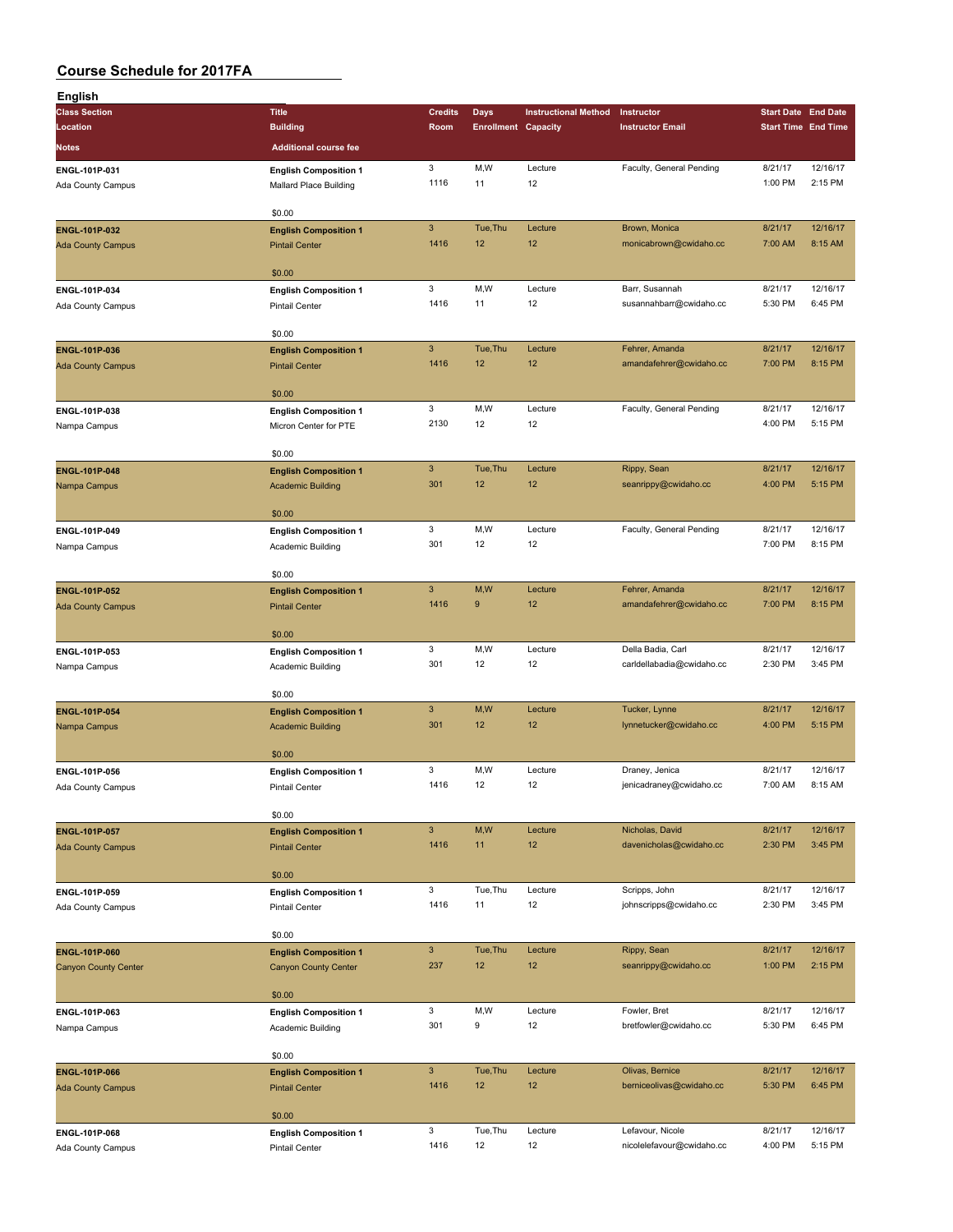| English                     |                                                             |                           |                            |                             |                           |                    |                            |
|-----------------------------|-------------------------------------------------------------|---------------------------|----------------------------|-----------------------------|---------------------------|--------------------|----------------------------|
| <b>Class Section</b>        | <b>Title</b>                                                | <b>Credits</b>            | <b>Days</b>                | <b>Instructional Method</b> | Instructor                |                    | <b>Start Date End Date</b> |
| Location                    | <b>Building</b>                                             | Room                      | <b>Enrollment Capacity</b> |                             | <b>Instructor Email</b>   |                    | <b>Start Time End Time</b> |
| Notes                       | <b>Additional course fee</b>                                |                           |                            |                             |                           |                    |                            |
|                             |                                                             |                           |                            |                             |                           |                    |                            |
| ENGL-101P-031               | <b>English Composition 1</b>                                | 3                         | M, W                       | Lecture<br>12               | Faculty, General Pending  | 8/21/17<br>1:00 PM | 12/16/17<br>2:15 PM        |
| Ada County Campus           | Mallard Place Building                                      | 1116                      | 11                         |                             |                           |                    |                            |
|                             | \$0.00                                                      |                           |                            |                             |                           |                    |                            |
| ENGL-101P-032               |                                                             | $\mathbf{3}$              | Tue, Thu                   | Lecture                     | Brown, Monica             | 8/21/17            | 12/16/17                   |
|                             | <b>English Composition 1</b><br><b>Pintail Center</b>       | 1416                      | 12                         | 12                          | monicabrown@cwidaho.cc    | 7:00 AM            | 8:15 AM                    |
| <b>Ada County Campus</b>    |                                                             |                           |                            |                             |                           |                    |                            |
|                             | \$0.00                                                      |                           |                            |                             |                           |                    |                            |
| ENGL-101P-034               | <b>English Composition 1</b>                                | 3                         | M,W                        | Lecture                     | Barr, Susannah            | 8/21/17            | 12/16/17                   |
| Ada County Campus           | <b>Pintail Center</b>                                       | 1416                      | 11                         | 12                          | susannahbarr@cwidaho.cc   | 5:30 PM            | 6:45 PM                    |
|                             |                                                             |                           |                            |                             |                           |                    |                            |
|                             | \$0.00                                                      |                           |                            |                             |                           |                    |                            |
| ENGL-101P-036               | <b>English Composition 1</b>                                | $\mathbf{3}$              | Tue, Thu                   | Lecture                     | Fehrer, Amanda            | 8/21/17            | 12/16/17                   |
| <b>Ada County Campus</b>    | <b>Pintail Center</b>                                       | 1416                      | 12                         | 12                          | amandafehrer@cwidaho.cc   | 7:00 PM            | 8:15 PM                    |
|                             |                                                             |                           |                            |                             |                           |                    |                            |
|                             | \$0.00                                                      |                           |                            |                             |                           |                    |                            |
| ENGL-101P-038               | <b>English Composition 1</b>                                | 3                         | M,W                        | Lecture                     | Faculty, General Pending  | 8/21/17            | 12/16/17                   |
| Nampa Campus                | Micron Center for PTE                                       | 2130                      | 12                         | 12                          |                           | 4:00 PM            | 5:15 PM                    |
|                             |                                                             |                           |                            |                             |                           |                    |                            |
|                             | \$0.00                                                      |                           |                            |                             |                           |                    |                            |
| <b>ENGL-101P-048</b>        | <b>English Composition 1</b>                                | $\mathbf{3}$              | Tue, Thu                   | Lecture                     | Rippy, Sean               | 8/21/17            | 12/16/17                   |
| Nampa Campus                | <b>Academic Building</b>                                    | 301                       | 12                         | 12                          | seanrippy@cwidaho.cc      | 4:00 PM            | 5:15 PM                    |
|                             |                                                             |                           |                            |                             |                           |                    |                            |
|                             | \$0.00                                                      |                           |                            |                             |                           |                    |                            |
| ENGL-101P-049               | <b>English Composition 1</b>                                | 3                         | M,W                        | Lecture                     | Faculty, General Pending  | 8/21/17            | 12/16/17                   |
| Nampa Campus                | Academic Building                                           | 301                       | 12                         | 12                          |                           | 7:00 PM            | 8:15 PM                    |
|                             | \$0.00                                                      |                           |                            |                             |                           |                    |                            |
|                             |                                                             | $\ensuremath{\mathsf{3}}$ | M,W                        | Lecture                     | Fehrer, Amanda            | 8/21/17            | 12/16/17                   |
| <b>ENGL-101P-052</b>        | <b>English Composition 1</b>                                | 1416                      | $\boldsymbol{9}$           | 12                          | amandafehrer@cwidaho.cc   | 7:00 PM            | 8:15 PM                    |
| <b>Ada County Campus</b>    | <b>Pintail Center</b>                                       |                           |                            |                             |                           |                    |                            |
|                             | \$0.00                                                      |                           |                            |                             |                           |                    |                            |
| ENGL-101P-053               | <b>English Composition 1</b>                                | 3                         | M,W                        | Lecture                     | Della Badia, Carl         | 8/21/17            | 12/16/17                   |
| Nampa Campus                | Academic Building                                           | 301                       | 12                         | 12                          | carldellabadia@cwidaho.cc | 2:30 PM            | 3:45 PM                    |
|                             |                                                             |                           |                            |                             |                           |                    |                            |
|                             | \$0.00                                                      |                           |                            |                             |                           |                    |                            |
| ENGL-101P-054               | <b>English Composition 1</b>                                | $\mathbf{3}$              | M,W                        | Lecture                     | Tucker, Lynne             | 8/21/17            | 12/16/17                   |
| Nampa Campus                | <b>Academic Building</b>                                    | 301                       | 12                         | 12                          | lynnetucker@cwidaho.cc    | 4:00 PM            | 5:15 PM                    |
|                             |                                                             |                           |                            |                             |                           |                    |                            |
|                             | \$0.00                                                      |                           |                            |                             |                           |                    |                            |
| ENGL-101P-056               | <b>English Composition 1</b>                                | 3                         | M,W                        | Lecture                     | Draney, Jenica            | 8/21/17            | 12/16/17                   |
| Ada County Campus           | Pintail Center                                              | 1416                      | 12                         | 12                          | jenicadraney@cwidaho.cc   | 7:00 AM            | 8:15 AM                    |
|                             |                                                             |                           |                            |                             |                           |                    |                            |
|                             | \$0.00                                                      |                           |                            |                             |                           |                    |                            |
| <b>ENGL-101P-057</b>        | <b>English Composition 1</b>                                | $\mathbf{3}$              | M,W                        | Lecture                     | Nicholas, David           | 8/21/17            | 12/16/17                   |
| <b>Ada County Campus</b>    | <b>Pintail Center</b>                                       | 1416                      | 11                         | 12                          | davenicholas@cwidaho.cc   | 2:30 PM            | 3:45 PM                    |
|                             |                                                             |                           |                            |                             |                           |                    |                            |
|                             | \$0.00                                                      |                           |                            |                             |                           |                    |                            |
| ENGL-101P-059               | <b>English Composition 1</b>                                | $\mathbf{3}$              | Tue, Thu                   | Lecture                     | Scripps, John             | 8/21/17            | 12/16/17                   |
| Ada County Campus           | <b>Pintail Center</b>                                       | 1416                      | 11                         | 12                          | johnscripps@cwidaho.cc    | 2:30 PM            | 3:45 PM                    |
|                             | \$0.00                                                      |                           |                            |                             |                           |                    |                            |
|                             |                                                             | $\mathbf{3}$              | Tue, Thu                   | Lecture                     | Rippy, Sean               | 8/21/17            | 12/16/17                   |
| ENGL-101P-060               | <b>English Composition 1</b><br><b>Canyon County Center</b> | 237                       | 12                         | 12                          | seanrippy@cwidaho.cc      | 1:00 PM            | 2:15 PM                    |
| <b>Canyon County Center</b> |                                                             |                           |                            |                             |                           |                    |                            |
|                             | \$0.00                                                      |                           |                            |                             |                           |                    |                            |
| ENGL-101P-063               | <b>English Composition 1</b>                                | 3                         | M, W                       | Lecture                     | Fowler, Bret              | 8/21/17            | 12/16/17                   |
| Nampa Campus                | Academic Building                                           | 301                       | 9                          | 12                          | bretfowler@cwidaho.cc     | 5:30 PM            | 6:45 PM                    |
|                             |                                                             |                           |                            |                             |                           |                    |                            |
|                             | \$0.00                                                      |                           |                            |                             |                           |                    |                            |
| <b>ENGL-101P-066</b>        | <b>English Composition 1</b>                                | $\mathbf{3}$              | Tue, Thu                   | Lecture                     | Olivas, Bernice           | 8/21/17            | 12/16/17                   |
| <b>Ada County Campus</b>    | <b>Pintail Center</b>                                       | 1416                      | 12                         | 12                          | berniceolivas@cwidaho.cc  | 5:30 PM            | 6:45 PM                    |
|                             |                                                             |                           |                            |                             |                           |                    |                            |
|                             | \$0.00                                                      |                           |                            |                             |                           |                    |                            |
| ENGL-101P-068               | <b>English Composition 1</b>                                | 3                         | Tue, Thu                   | Lecture                     | Lefavour, Nicole          | 8/21/17            | 12/16/17                   |
| Ada County Campus           | Pintail Center                                              | 1416                      | 12                         | 12                          | nicolelefavour@cwidaho.cc | 4:00 PM            | 5:15 PM                    |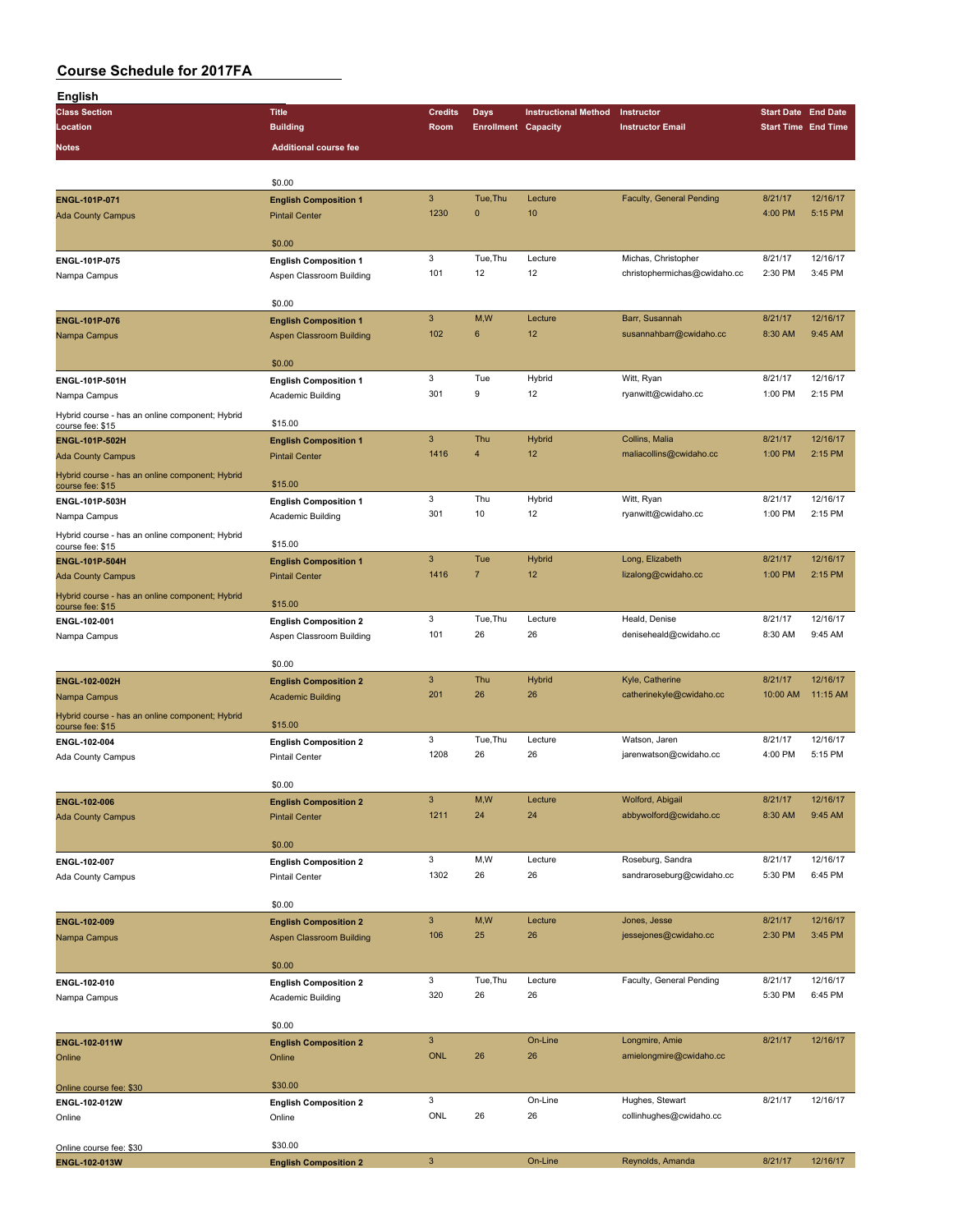| English                                                             |                                                          |                     |                            |                             |                                       |                            |                     |
|---------------------------------------------------------------------|----------------------------------------------------------|---------------------|----------------------------|-----------------------------|---------------------------------------|----------------------------|---------------------|
| <b>Class Section</b>                                                | <b>Title</b>                                             | <b>Credits</b>      | Days                       | <b>Instructional Method</b> | Instructor                            | <b>Start Date End Date</b> |                     |
| Location                                                            | <b>Building</b>                                          | Room                | <b>Enrollment Capacity</b> |                             | <b>Instructor Email</b>               | <b>Start Time End Time</b> |                     |
| <b>Notes</b>                                                        | <b>Additional course fee</b>                             |                     |                            |                             |                                       |                            |                     |
|                                                                     |                                                          |                     |                            |                             |                                       |                            |                     |
|                                                                     | \$0.00                                                   |                     |                            |                             |                                       |                            |                     |
| ENGL-101P-071                                                       | <b>English Composition 1</b>                             | $\mathbf{3}$        | Tue, Thu                   | Lecture                     | <b>Faculty, General Pending</b>       | 8/21/17                    | 12/16/17            |
| <b>Ada County Campus</b>                                            | <b>Pintail Center</b>                                    | 1230                | $\mathbf{0}$               | 10                          |                                       | 4:00 PM                    | 5:15 PM             |
|                                                                     | \$0.00                                                   |                     |                            |                             |                                       |                            |                     |
|                                                                     |                                                          | 3                   | Tue.Thu                    | Lecture                     | Michas, Christopher                   | 8/21/17                    | 12/16/17            |
| ENGL-101P-075<br>Nampa Campus                                       | <b>English Composition 1</b><br>Aspen Classroom Building | 101                 | 12                         | 12                          | christophermichas@cwidaho.cc          | 2:30 PM                    | 3:45 PM             |
|                                                                     |                                                          |                     |                            |                             |                                       |                            |                     |
|                                                                     | \$0.00                                                   |                     |                            |                             |                                       |                            |                     |
| ENGL-101P-076                                                       | <b>English Composition 1</b>                             | $\mathbf{3}$        | M,W                        | Lecture                     | Barr, Susannah                        | 8/21/17                    | 12/16/17            |
| Nampa Campus                                                        | Aspen Classroom Building                                 | 102                 | 6                          | 12                          | susannahbarr@cwidaho.cc               | 8:30 AM                    | 9:45 AM             |
|                                                                     |                                                          |                     |                            |                             |                                       |                            |                     |
|                                                                     | \$0.00                                                   |                     |                            |                             |                                       |                            |                     |
| ENGL-101P-501H                                                      | <b>English Composition 1</b>                             | 3<br>301            | Tue<br>9                   | Hybrid<br>12                | Witt, Ryan<br>ryanwitt@cwidaho.cc     | 8/21/17<br>1:00 PM         | 12/16/17<br>2:15 PM |
| Nampa Campus                                                        | Academic Building                                        |                     |                            |                             |                                       |                            |                     |
| Hybrid course - has an online component; Hybrid<br>course fee: \$15 | \$15.00                                                  |                     |                            |                             |                                       |                            |                     |
| ENGL-101P-502H                                                      | <b>English Composition 1</b>                             | 3                   | Thu                        | Hybrid                      | Collins, Malia                        | 8/21/17                    | 12/16/17            |
| <b>Ada County Campus</b>                                            | <b>Pintail Center</b>                                    | 1416                | $\overline{4}$             | 12                          | maliacollins@cwidaho.cc               | 1:00 PM                    | 2:15 PM             |
| Hybrid course - has an online component; Hybrid                     |                                                          |                     |                            |                             |                                       |                            |                     |
| course fee: \$15                                                    | \$15.00                                                  |                     |                            |                             |                                       |                            |                     |
| ENGL-101P-503H                                                      | <b>English Composition 1</b>                             | 3                   | Thu                        | Hybrid                      | Witt, Ryan                            | 8/21/17                    | 12/16/17            |
| Nampa Campus                                                        | Academic Building                                        | 301                 | 10                         | 12                          | ryanwitt@cwidaho.cc                   | 1:00 PM                    | 2:15 PM             |
| Hybrid course - has an online component; Hybrid<br>course fee: \$15 | \$15.00                                                  |                     |                            |                             |                                       |                            |                     |
| <b>ENGL-101P-504H</b>                                               | <b>English Composition 1</b>                             | 3                   | Tue                        | <b>Hybrid</b>               | Long, Elizabeth                       | 8/21/17                    | 12/16/17            |
| <b>Ada County Campus</b>                                            | <b>Pintail Center</b>                                    | 1416                | $\overline{7}$             | 12                          | lizalong@cwidaho.cc                   | 1:00 PM                    | 2:15 PM             |
| Hybrid course - has an online component; Hybrid                     |                                                          |                     |                            |                             |                                       |                            |                     |
| course fee: \$15                                                    | \$15.00                                                  |                     |                            |                             |                                       |                            |                     |
| ENGL-102-001                                                        | <b>English Composition 2</b>                             | 3                   | Tue, Thu                   | Lecture                     | Heald, Denise                         | 8/21/17                    | 12/16/17            |
| Nampa Campus                                                        | Aspen Classroom Building                                 | 101                 | 26                         | 26                          | deniseheald@cwidaho.cc                | 8:30 AM                    | 9:45 AM             |
|                                                                     | \$0.00                                                   |                     |                            |                             |                                       |                            |                     |
| ENGL-102-002H                                                       | <b>English Composition 2</b>                             | 3                   | Thu                        | Hybrid                      | Kyle, Catherine                       | 8/21/17                    | 12/16/17            |
| Nampa Campus                                                        | <b>Academic Building</b>                                 | 201                 | 26                         | 26                          | catherinekyle@cwidaho.cc              | 10:00 AM                   | 11:15 AM            |
| Hybrid course - has an online component; Hybrid                     |                                                          |                     |                            |                             |                                       |                            |                     |
| course fee: \$15                                                    | \$15.00                                                  |                     |                            |                             |                                       |                            |                     |
| ENGL-102-004                                                        | <b>English Composition 2</b>                             | 3                   | Tue, Thu                   | Lecture                     | Watson, Jaren                         | 8/21/17                    | 12/16/17            |
| Ada County Campus                                                   | <b>Pintail Center</b>                                    | 1208                | 26                         | 26                          | jarenwatson@cwidaho.cc                | 4:00 PM                    | 5:15 PM             |
|                                                                     |                                                          |                     |                            |                             |                                       |                            |                     |
|                                                                     | \$0.00                                                   | 3                   | M, W                       | Lecture                     | Wolford, Abigail                      | 8/21/17                    | 12/16/17            |
| <b>ENGL-102-006</b><br><b>Ada County Campus</b>                     | <b>English Composition 2</b><br><b>Pintail Center</b>    | 1211                | 24                         | 24                          | abbywolford@cwidaho.cc                | 8:30 AM                    | 9:45 AM             |
|                                                                     |                                                          |                     |                            |                             |                                       |                            |                     |
|                                                                     | \$0.00                                                   |                     |                            |                             |                                       |                            |                     |
| ENGL-102-007                                                        | <b>English Composition 2</b>                             | $\mathbf{3}$        | M,W                        | Lecture                     | Roseburg, Sandra                      | 8/21/17                    | 12/16/17            |
| Ada County Campus                                                   | Pintail Center                                           | 1302                | 26                         | 26                          | sandraroseburg@cwidaho.cc             | 5:30 PM                    | 6:45 PM             |
|                                                                     |                                                          |                     |                            |                             |                                       |                            |                     |
|                                                                     | \$0.00                                                   |                     |                            |                             |                                       |                            | 12/16/17            |
| ENGL-102-009                                                        | <b>English Composition 2</b>                             | $\mathbf{3}$<br>106 | M, W<br>25                 | Lecture<br>26               | Jones, Jesse<br>jessejones@cwidaho.cc | 8/21/17<br>2:30 PM         | 3:45 PM             |
| Nampa Campus                                                        | Aspen Classroom Building                                 |                     |                            |                             |                                       |                            |                     |
|                                                                     | \$0.00                                                   |                     |                            |                             |                                       |                            |                     |
| ENGL-102-010                                                        | <b>English Composition 2</b>                             | 3                   | Tue, Thu                   | Lecture                     | Faculty, General Pending              | 8/21/17                    | 12/16/17            |
| Nampa Campus                                                        | Academic Building                                        | 320                 | 26                         | 26                          |                                       | 5:30 PM                    | 6:45 PM             |
|                                                                     |                                                          |                     |                            |                             |                                       |                            |                     |
|                                                                     | \$0.00                                                   |                     |                            |                             |                                       |                            |                     |
| ENGL-102-011W                                                       | <b>English Composition 2</b>                             | 3                   |                            | On-Line                     | Longmire, Amie                        | 8/21/17                    | 12/16/17            |
| Online                                                              | Online                                                   | ONL                 | 26                         | 26                          | amielongmire@cwidaho.cc               |                            |                     |
|                                                                     | \$30.00                                                  |                     |                            |                             |                                       |                            |                     |
| Online course fee: \$30<br>ENGL-102-012W                            | <b>English Composition 2</b>                             | 3                   |                            | On-Line                     | Hughes, Stewart                       | 8/21/17                    | 12/16/17            |
| Online                                                              | Online                                                   | ONL                 | 26                         | 26                          | collinhughes@cwidaho.cc               |                            |                     |
|                                                                     |                                                          |                     |                            |                             |                                       |                            |                     |
| Online course fee: \$30                                             | \$30.00                                                  |                     |                            |                             |                                       |                            |                     |
| ENGL-102-013W                                                       | <b>English Composition 2</b>                             | $\mathbf{3}$        |                            | On-Line                     | Reynolds, Amanda                      | 8/21/17                    | 12/16/17            |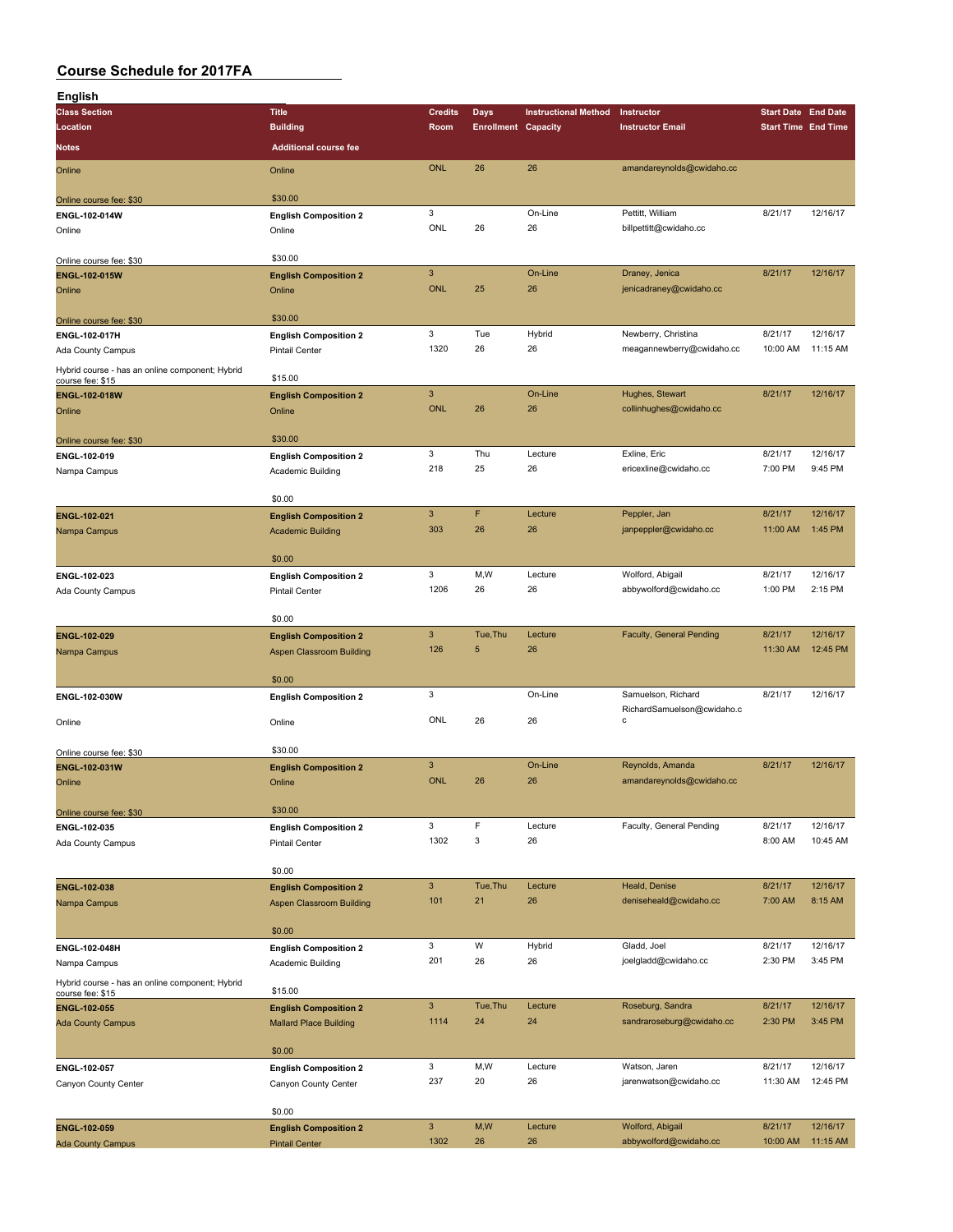| English                                                             |                                 |                |                            |                             |                            |                            |          |
|---------------------------------------------------------------------|---------------------------------|----------------|----------------------------|-----------------------------|----------------------------|----------------------------|----------|
| <b>Class Section</b>                                                | <b>Title</b>                    | <b>Credits</b> | <b>Days</b>                | <b>Instructional Method</b> | Instructor                 | <b>Start Date End Date</b> |          |
| Location                                                            | <b>Building</b>                 | Room           | <b>Enrollment Capacity</b> |                             | <b>Instructor Email</b>    | <b>Start Time End Time</b> |          |
| <b>Notes</b>                                                        | <b>Additional course fee</b>    |                |                            |                             |                            |                            |          |
|                                                                     |                                 | <b>ONL</b>     | 26                         | 26                          | amandareynolds@cwidaho.cc  |                            |          |
| Online                                                              | Online                          |                |                            |                             |                            |                            |          |
| Online course fee: \$30                                             | \$30.00                         |                |                            |                             |                            |                            |          |
| ENGL-102-014W                                                       | <b>English Composition 2</b>    | 3              |                            | On-Line                     | Pettitt, William           | 8/21/17                    | 12/16/17 |
| Online                                                              | Online                          | ONL            | 26                         | 26                          | billpettitt@cwidaho.cc     |                            |          |
|                                                                     |                                 |                |                            |                             |                            |                            |          |
| Online course fee: \$30                                             | \$30.00                         |                |                            |                             |                            |                            |          |
| <b>ENGL-102-015W</b>                                                | <b>English Composition 2</b>    | $\mathbf{3}$   |                            | On-Line                     | Draney, Jenica             | 8/21/17                    | 12/16/17 |
| Online                                                              | Online                          | <b>ONL</b>     | 25                         | 26                          | jenicadraney@cwidaho.cc    |                            |          |
|                                                                     |                                 |                |                            |                             |                            |                            |          |
| Online course fee: \$30                                             | \$30.00                         |                |                            |                             |                            |                            |          |
| ENGL-102-017H                                                       | <b>English Composition 2</b>    | 3              | Tue                        | Hybrid                      | Newberry, Christina        | 8/21/17                    | 12/16/17 |
| Ada County Campus                                                   | <b>Pintail Center</b>           | 1320           | 26                         | 26                          | meagannewberry@cwidaho.cc  | 10:00 AM                   | 11:15 AM |
| Hybrid course - has an online component; Hybrid                     |                                 |                |                            |                             |                            |                            |          |
| course fee: \$15                                                    | \$15.00                         |                |                            |                             |                            |                            |          |
| ENGL-102-018W                                                       | <b>English Composition 2</b>    | $\overline{3}$ |                            | On-Line                     | Hughes, Stewart            | 8/21/17                    | 12/16/17 |
| Online                                                              | Online                          | <b>ONL</b>     | 26                         | 26                          | collinhughes@cwidaho.cc    |                            |          |
|                                                                     |                                 |                |                            |                             |                            |                            |          |
| Online course fee: \$30                                             | \$30.00                         |                |                            |                             |                            |                            |          |
| ENGL-102-019                                                        | <b>English Composition 2</b>    | 3              | Thu                        | Lecture                     | Exline, Eric               | 8/21/17                    | 12/16/17 |
| Nampa Campus                                                        | Academic Building               | 218            | 25                         | 26                          | ericexline@cwidaho.cc      | 7:00 PM                    | 9:45 PM  |
|                                                                     |                                 |                |                            |                             |                            |                            |          |
|                                                                     | \$0.00                          | $\mathbf{3}$   | F                          | Lecture                     |                            | 8/21/17                    | 12/16/17 |
| ENGL-102-021                                                        | <b>English Composition 2</b>    | 303            | 26                         | 26                          | Peppler, Jan               | 11:00 AM                   | 1:45 PM  |
| Nampa Campus                                                        | <b>Academic Building</b>        |                |                            |                             | janpeppler@cwidaho.cc      |                            |          |
|                                                                     | \$0.00                          |                |                            |                             |                            |                            |          |
|                                                                     |                                 | 3              | M,W                        | Lecture                     | Wolford, Abigail           | 8/21/17                    | 12/16/17 |
| ENGL-102-023                                                        | <b>English Composition 2</b>    | 1206           | 26                         | 26                          | abbywolford@cwidaho.cc     | 1:00 PM                    | 2:15 PM  |
| Ada County Campus                                                   | <b>Pintail Center</b>           |                |                            |                             |                            |                            |          |
|                                                                     | \$0.00                          |                |                            |                             |                            |                            |          |
| ENGL-102-029                                                        | <b>English Composition 2</b>    | $\mathbf{3}$   | Tue, Thu                   | Lecture                     | Faculty, General Pending   | 8/21/17                    | 12/16/17 |
| Nampa Campus                                                        | <b>Aspen Classroom Building</b> | 126            | 5                          | 26                          |                            | 11:30 AM                   | 12:45 PM |
|                                                                     |                                 |                |                            |                             |                            |                            |          |
|                                                                     | \$0.00                          |                |                            |                             |                            |                            |          |
| ENGL-102-030W                                                       | <b>English Composition 2</b>    | 3              |                            | On-Line                     | Samuelson, Richard         | 8/21/17                    | 12/16/17 |
|                                                                     |                                 |                |                            |                             | RichardSamuelson@cwidaho.c |                            |          |
| Online                                                              | Online                          | ONL            | 26                         | 26                          | C                          |                            |          |
|                                                                     |                                 |                |                            |                             |                            |                            |          |
| Online course fee: \$30                                             | \$30.00                         |                |                            |                             |                            |                            |          |
| ENGL-102-031W                                                       | <b>English Composition 2</b>    | 3              |                            | On-Line                     | Reynolds, Amanda           | 8/21/17                    | 12/16/17 |
| Online                                                              | Online                          | <b>ONL</b>     | 26                         | 26                          | amandareynolds@cwidaho.cc  |                            |          |
|                                                                     |                                 |                |                            |                             |                            |                            |          |
| Online course fee: \$30                                             | \$30.00                         |                | F                          |                             |                            |                            | 12/16/17 |
| ENGL-102-035                                                        | <b>English Composition 2</b>    | 3              |                            | Lecture                     | Faculty, General Pending   | 8/21/17                    |          |
| Ada County Campus                                                   | Pintail Center                  | 1302           | 3                          | 26                          |                            | 8:00 AM                    | 10:45 AM |
|                                                                     | \$0.00                          |                |                            |                             |                            |                            |          |
|                                                                     |                                 | $\mathbf{3}$   | Tue, Thu                   | Lecture                     | Heald, Denise              | 8/21/17                    | 12/16/17 |
| ENGL-102-038                                                        | <b>English Composition 2</b>    | 101            | 21                         | 26                          | deniseheald@cwidaho.cc     | 7:00 AM                    | 8:15 AM  |
| Nampa Campus                                                        | <b>Aspen Classroom Building</b> |                |                            |                             |                            |                            |          |
|                                                                     | \$0.00                          |                |                            |                             |                            |                            |          |
| ENGL-102-048H                                                       | <b>English Composition 2</b>    | 3              | W                          | Hybrid                      | Gladd, Joel                | 8/21/17                    | 12/16/17 |
| Nampa Campus                                                        | Academic Building               | 201            | 26                         | 26                          | joelgladd@cwidaho.cc       | 2:30 PM                    | 3:45 PM  |
|                                                                     |                                 |                |                            |                             |                            |                            |          |
| Hybrid course - has an online component; Hybrid<br>course fee: \$15 | \$15.00                         |                |                            |                             |                            |                            |          |
| ENGL-102-055                                                        | <b>English Composition 2</b>    | $\mathbf{3}$   | Tue, Thu                   | Lecture                     | Roseburg, Sandra           | 8/21/17                    | 12/16/17 |
| <b>Ada County Campus</b>                                            | <b>Mallard Place Building</b>   | 1114           | 24                         | 24                          | sandraroseburg@cwidaho.cc  | 2:30 PM                    | 3:45 PM  |
|                                                                     |                                 |                |                            |                             |                            |                            |          |
|                                                                     | \$0.00                          |                |                            |                             |                            |                            |          |
| ENGL-102-057                                                        | <b>English Composition 2</b>    | 3              | M,W                        | Lecture                     | Watson, Jaren              | 8/21/17                    | 12/16/17 |
| Canyon County Center                                                | Canyon County Center            | 237            | 20                         | 26                          | jarenwatson@cwidaho.cc     | 11:30 AM                   | 12:45 PM |
|                                                                     |                                 |                |                            |                             |                            |                            |          |
|                                                                     | \$0.00                          |                |                            |                             |                            |                            |          |
| ENGL-102-059                                                        | <b>English Composition 2</b>    | $\mathbf{3}$   | M,W                        | Lecture                     | Wolford, Abigail           | 8/21/17                    | 12/16/17 |
| <b>Ada County Campus</b>                                            | <b>Pintail Center</b>           | 1302           | 26                         | 26                          | abbywolford@cwidaho.cc     | 10:00 AM                   | 11:15 AM |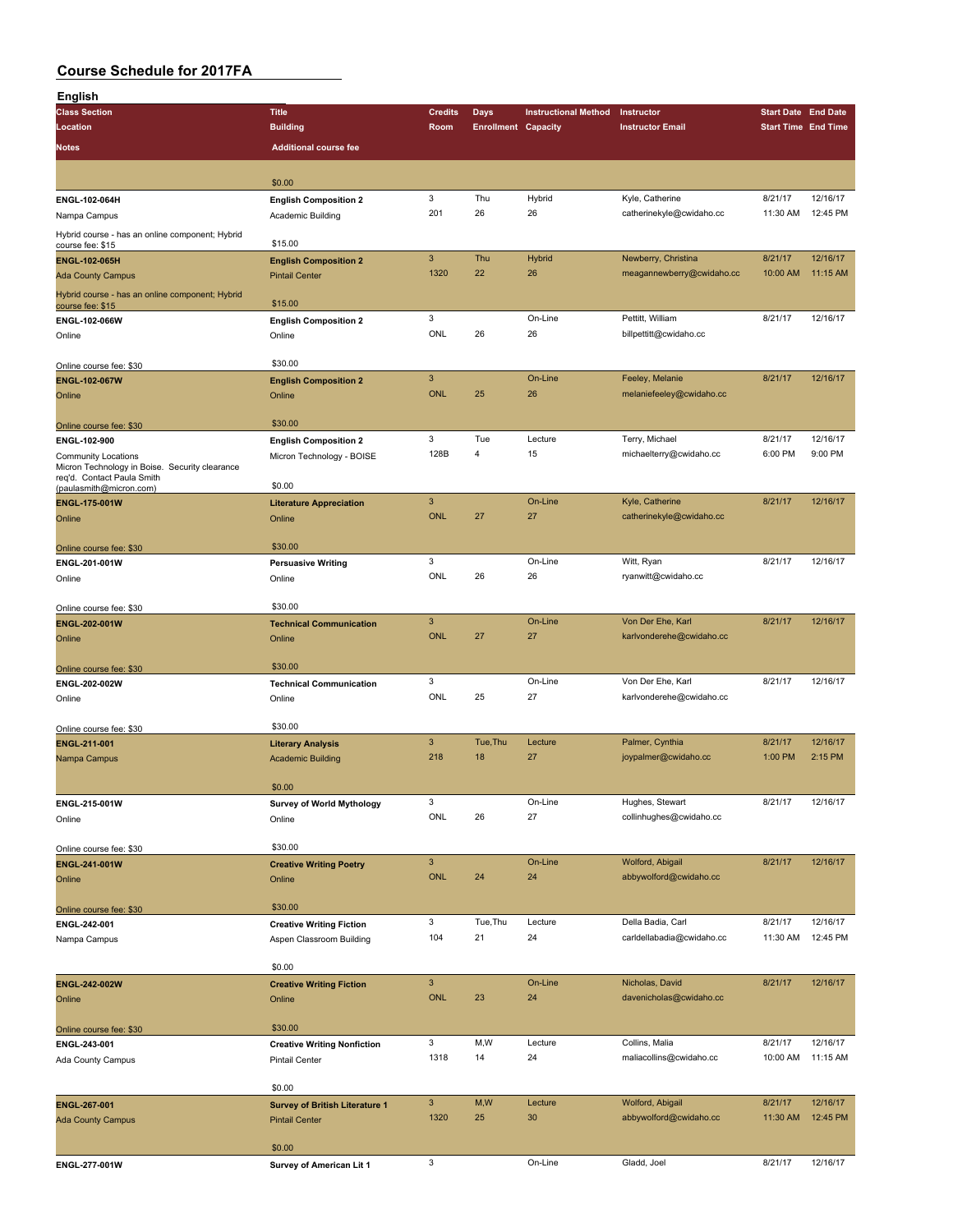| English                                         |                                                                                                                                                                                                                                                                                                                                                                                                                                                                                                                                                                                                                                                                                                                                                                                                                                                                                                                                                                                                                                                                                                                       |                      |                            |                             |                                            |                            |                      |
|-------------------------------------------------|-----------------------------------------------------------------------------------------------------------------------------------------------------------------------------------------------------------------------------------------------------------------------------------------------------------------------------------------------------------------------------------------------------------------------------------------------------------------------------------------------------------------------------------------------------------------------------------------------------------------------------------------------------------------------------------------------------------------------------------------------------------------------------------------------------------------------------------------------------------------------------------------------------------------------------------------------------------------------------------------------------------------------------------------------------------------------------------------------------------------------|----------------------|----------------------------|-----------------------------|--------------------------------------------|----------------------------|----------------------|
| <b>Class Section</b>                            | <b>Title</b>                                                                                                                                                                                                                                                                                                                                                                                                                                                                                                                                                                                                                                                                                                                                                                                                                                                                                                                                                                                                                                                                                                          | <b>Credits</b>       | <b>Days</b>                | <b>Instructional Method</b> | Instructor                                 | <b>Start Date End Date</b> |                      |
| Location                                        | <b>Building</b>                                                                                                                                                                                                                                                                                                                                                                                                                                                                                                                                                                                                                                                                                                                                                                                                                                                                                                                                                                                                                                                                                                       | Room                 | <b>Enrollment Capacity</b> |                             | <b>Instructor Email</b>                    | <b>Start Time End Time</b> |                      |
| Notes                                           | <b>Additional course fee</b>                                                                                                                                                                                                                                                                                                                                                                                                                                                                                                                                                                                                                                                                                                                                                                                                                                                                                                                                                                                                                                                                                          |                      |                            |                             |                                            |                            |                      |
|                                                 |                                                                                                                                                                                                                                                                                                                                                                                                                                                                                                                                                                                                                                                                                                                                                                                                                                                                                                                                                                                                                                                                                                                       |                      |                            |                             |                                            |                            |                      |
|                                                 | \$0.00                                                                                                                                                                                                                                                                                                                                                                                                                                                                                                                                                                                                                                                                                                                                                                                                                                                                                                                                                                                                                                                                                                                |                      |                            |                             |                                            |                            |                      |
| ENGL-102-064H                                   | <b>English Composition 2</b>                                                                                                                                                                                                                                                                                                                                                                                                                                                                                                                                                                                                                                                                                                                                                                                                                                                                                                                                                                                                                                                                                          | 3                    | Thu                        | Hybrid                      | Kyle, Catherine                            | 8/21/17                    | 12/16/17             |
| Nampa Campus                                    | Academic Building                                                                                                                                                                                                                                                                                                                                                                                                                                                                                                                                                                                                                                                                                                                                                                                                                                                                                                                                                                                                                                                                                                     | 201                  | 26                         | 26                          | catherinekyle@cwidaho.cc                   | 11:30 AM                   | 12:45 PM             |
| Hybrid course - has an online component; Hybrid |                                                                                                                                                                                                                                                                                                                                                                                                                                                                                                                                                                                                                                                                                                                                                                                                                                                                                                                                                                                                                                                                                                                       |                      |                            |                             |                                            |                            |                      |
| course fee: \$15                                | \$15.00                                                                                                                                                                                                                                                                                                                                                                                                                                                                                                                                                                                                                                                                                                                                                                                                                                                                                                                                                                                                                                                                                                               |                      |                            |                             |                                            |                            |                      |
| <b>ENGL-102-065H</b>                            | <b>English Composition 2</b>                                                                                                                                                                                                                                                                                                                                                                                                                                                                                                                                                                                                                                                                                                                                                                                                                                                                                                                                                                                                                                                                                          | $\mathbf{3}$         | Thu                        | <b>Hybrid</b>               | Newberry, Christina                        | 8/21/17                    | 12/16/17             |
| <b>Ada County Campus</b>                        | <b>Pintail Center</b>                                                                                                                                                                                                                                                                                                                                                                                                                                                                                                                                                                                                                                                                                                                                                                                                                                                                                                                                                                                                                                                                                                 | 1320                 | 22                         | 26                          | meagannewberry@cwidaho.cc                  | 10:00 AM                   | 11:15 AM             |
| Hybrid course - has an online component; Hybrid | \$15.00<br>3<br>On-Line<br>Pettitt, William<br>8/21/17<br><b>English Composition 2</b><br>ENGL-102-066W<br>ONL<br>26<br>26<br>billpettitt@cwidaho.cc<br>Online<br>\$30.00<br>$\mathsf 3$<br>On-Line<br>8/21/17<br>Feeley, Melanie<br><b>English Composition 2</b><br>26<br><b>ONL</b><br>25<br>melaniefeeley@cwidaho.cc<br>Online<br>\$30.00<br>3<br>Tue<br>Lecture<br>Terry, Michael<br>8/21/17<br><b>English Composition 2</b><br>128B<br>4<br>15<br>michaelterry@cwidaho.cc<br>6:00 PM<br>Micron Technology - BOISE<br>Micron Technology in Boise. Security clearance<br>\$0.00<br>$\overline{3}$<br>8/21/17<br>On-Line<br>Kyle, Catherine<br><b>Literature Appreciation</b><br><b>ONL</b><br>27<br>27<br>catherinekyle@cwidaho.cc<br>Online<br>\$30.00<br>Online course fee: \$30<br>3<br>On-Line<br>Witt, Ryan<br>8/21/17<br><b>Persuasive Writing</b><br>ENGL-201-001W<br>ONL<br>26<br>26<br>ryanwitt@cwidaho.cc<br>Online<br>\$30.00<br>$\ensuremath{\mathsf{3}}$<br>On-Line<br>Von Der Ehe, Karl<br>8/21/17<br><b>Technical Communication</b><br><b>ONL</b><br>27<br>27<br>karlvonderehe@cwidaho.cc<br>Online |                      |                            |                             |                                            |                            |                      |
| course fee: \$15                                |                                                                                                                                                                                                                                                                                                                                                                                                                                                                                                                                                                                                                                                                                                                                                                                                                                                                                                                                                                                                                                                                                                                       |                      |                            |                             |                                            |                            | 12/16/17             |
| Online                                          |                                                                                                                                                                                                                                                                                                                                                                                                                                                                                                                                                                                                                                                                                                                                                                                                                                                                                                                                                                                                                                                                                                                       |                      |                            |                             |                                            |                            |                      |
|                                                 |                                                                                                                                                                                                                                                                                                                                                                                                                                                                                                                                                                                                                                                                                                                                                                                                                                                                                                                                                                                                                                                                                                                       |                      |                            |                             |                                            |                            |                      |
| Online course fee: \$30                         |                                                                                                                                                                                                                                                                                                                                                                                                                                                                                                                                                                                                                                                                                                                                                                                                                                                                                                                                                                                                                                                                                                                       |                      |                            |                             |                                            |                            |                      |
| ENGL-102-067W                                   |                                                                                                                                                                                                                                                                                                                                                                                                                                                                                                                                                                                                                                                                                                                                                                                                                                                                                                                                                                                                                                                                                                                       |                      |                            |                             |                                            |                            | 12/16/17             |
| Online                                          |                                                                                                                                                                                                                                                                                                                                                                                                                                                                                                                                                                                                                                                                                                                                                                                                                                                                                                                                                                                                                                                                                                                       |                      |                            |                             |                                            |                            |                      |
|                                                 |                                                                                                                                                                                                                                                                                                                                                                                                                                                                                                                                                                                                                                                                                                                                                                                                                                                                                                                                                                                                                                                                                                                       |                      |                            |                             |                                            |                            |                      |
| Online course fee: \$30                         |                                                                                                                                                                                                                                                                                                                                                                                                                                                                                                                                                                                                                                                                                                                                                                                                                                                                                                                                                                                                                                                                                                                       |                      |                            |                             |                                            |                            |                      |
| ENGL-102-900                                    |                                                                                                                                                                                                                                                                                                                                                                                                                                                                                                                                                                                                                                                                                                                                                                                                                                                                                                                                                                                                                                                                                                                       |                      |                            |                             |                                            |                            | 12/16/17             |
| <b>Community Locations</b>                      |                                                                                                                                                                                                                                                                                                                                                                                                                                                                                                                                                                                                                                                                                                                                                                                                                                                                                                                                                                                                                                                                                                                       |                      |                            |                             |                                            |                            | 9:00 PM              |
| reg'd. Contact Paula Smith                      |                                                                                                                                                                                                                                                                                                                                                                                                                                                                                                                                                                                                                                                                                                                                                                                                                                                                                                                                                                                                                                                                                                                       |                      |                            |                             |                                            |                            |                      |
| (paulasmith@micron.com)                         |                                                                                                                                                                                                                                                                                                                                                                                                                                                                                                                                                                                                                                                                                                                                                                                                                                                                                                                                                                                                                                                                                                                       |                      |                            |                             |                                            |                            |                      |
| <b>ENGL-175-001W</b>                            |                                                                                                                                                                                                                                                                                                                                                                                                                                                                                                                                                                                                                                                                                                                                                                                                                                                                                                                                                                                                                                                                                                                       |                      |                            |                             |                                            |                            | 12/16/17             |
| Online                                          |                                                                                                                                                                                                                                                                                                                                                                                                                                                                                                                                                                                                                                                                                                                                                                                                                                                                                                                                                                                                                                                                                                                       |                      |                            |                             |                                            |                            |                      |
|                                                 |                                                                                                                                                                                                                                                                                                                                                                                                                                                                                                                                                                                                                                                                                                                                                                                                                                                                                                                                                                                                                                                                                                                       |                      |                            |                             |                                            |                            |                      |
|                                                 |                                                                                                                                                                                                                                                                                                                                                                                                                                                                                                                                                                                                                                                                                                                                                                                                                                                                                                                                                                                                                                                                                                                       |                      |                            |                             |                                            |                            | 12/16/17             |
| Online                                          |                                                                                                                                                                                                                                                                                                                                                                                                                                                                                                                                                                                                                                                                                                                                                                                                                                                                                                                                                                                                                                                                                                                       |                      |                            |                             |                                            |                            |                      |
|                                                 |                                                                                                                                                                                                                                                                                                                                                                                                                                                                                                                                                                                                                                                                                                                                                                                                                                                                                                                                                                                                                                                                                                                       |                      |                            |                             |                                            |                            |                      |
| Online course fee: \$30                         |                                                                                                                                                                                                                                                                                                                                                                                                                                                                                                                                                                                                                                                                                                                                                                                                                                                                                                                                                                                                                                                                                                                       |                      |                            |                             |                                            |                            |                      |
| ENGL-202-001W                                   |                                                                                                                                                                                                                                                                                                                                                                                                                                                                                                                                                                                                                                                                                                                                                                                                                                                                                                                                                                                                                                                                                                                       |                      |                            |                             |                                            |                            | 12/16/17             |
| Online                                          |                                                                                                                                                                                                                                                                                                                                                                                                                                                                                                                                                                                                                                                                                                                                                                                                                                                                                                                                                                                                                                                                                                                       |                      |                            |                             |                                            |                            |                      |
|                                                 |                                                                                                                                                                                                                                                                                                                                                                                                                                                                                                                                                                                                                                                                                                                                                                                                                                                                                                                                                                                                                                                                                                                       |                      |                            |                             |                                            |                            |                      |
| Online course fee: \$30                         | \$30.00                                                                                                                                                                                                                                                                                                                                                                                                                                                                                                                                                                                                                                                                                                                                                                                                                                                                                                                                                                                                                                                                                                               |                      |                            |                             |                                            |                            |                      |
| ENGL-202-002W                                   | <b>Technical Communication</b>                                                                                                                                                                                                                                                                                                                                                                                                                                                                                                                                                                                                                                                                                                                                                                                                                                                                                                                                                                                                                                                                                        | 3                    |                            | On-Line                     | Von Der Ehe, Karl                          | 8/21/17                    | 12/16/17             |
| Online                                          | Online                                                                                                                                                                                                                                                                                                                                                                                                                                                                                                                                                                                                                                                                                                                                                                                                                                                                                                                                                                                                                                                                                                                | ONL                  | 25                         | 27                          | karlvonderehe@cwidaho.cc                   |                            |                      |
|                                                 | \$30.00                                                                                                                                                                                                                                                                                                                                                                                                                                                                                                                                                                                                                                                                                                                                                                                                                                                                                                                                                                                                                                                                                                               |                      |                            |                             |                                            |                            |                      |
| Online course fee: \$30<br>ENGL-211-001         | <b>Literary Analysis</b>                                                                                                                                                                                                                                                                                                                                                                                                                                                                                                                                                                                                                                                                                                                                                                                                                                                                                                                                                                                                                                                                                              | $\mathbf{3}$         | Tue, Thu                   | Lecture                     | Palmer, Cynthia                            | 8/21/17                    | 12/16/17             |
| Nampa Campus                                    | <b>Academic Building</b>                                                                                                                                                                                                                                                                                                                                                                                                                                                                                                                                                                                                                                                                                                                                                                                                                                                                                                                                                                                                                                                                                              | 218                  | 18                         | 27                          | joypalmer@cwidaho.cc                       | 1:00 PM                    | 2:15 PM              |
|                                                 |                                                                                                                                                                                                                                                                                                                                                                                                                                                                                                                                                                                                                                                                                                                                                                                                                                                                                                                                                                                                                                                                                                                       |                      |                            |                             |                                            |                            |                      |
|                                                 | \$0.00                                                                                                                                                                                                                                                                                                                                                                                                                                                                                                                                                                                                                                                                                                                                                                                                                                                                                                                                                                                                                                                                                                                |                      |                            |                             |                                            |                            |                      |
| ENGL-215-001W                                   | Survey of World Mythology                                                                                                                                                                                                                                                                                                                                                                                                                                                                                                                                                                                                                                                                                                                                                                                                                                                                                                                                                                                                                                                                                             | 3                    |                            | On-Line                     | Hughes, Stewart                            | 8/21/17                    | 12/16/17             |
| Online                                          | Online                                                                                                                                                                                                                                                                                                                                                                                                                                                                                                                                                                                                                                                                                                                                                                                                                                                                                                                                                                                                                                                                                                                | ONL                  | 26                         | 27                          | collinhughes@cwidaho.cc                    |                            |                      |
|                                                 |                                                                                                                                                                                                                                                                                                                                                                                                                                                                                                                                                                                                                                                                                                                                                                                                                                                                                                                                                                                                                                                                                                                       |                      |                            |                             |                                            |                            |                      |
| Online course fee: \$30                         | \$30.00                                                                                                                                                                                                                                                                                                                                                                                                                                                                                                                                                                                                                                                                                                                                                                                                                                                                                                                                                                                                                                                                                                               |                      |                            |                             |                                            |                            |                      |
| ENGL-241-001W                                   | <b>Creative Writing Poetry</b>                                                                                                                                                                                                                                                                                                                                                                                                                                                                                                                                                                                                                                                                                                                                                                                                                                                                                                                                                                                                                                                                                        | $\mathbf{3}$         |                            | On-Line                     | Wolford, Abigail                           | 8/21/17                    | 12/16/17             |
| Online                                          | Online                                                                                                                                                                                                                                                                                                                                                                                                                                                                                                                                                                                                                                                                                                                                                                                                                                                                                                                                                                                                                                                                                                                | ONL                  | 24                         | 24                          | abbywolford@cwidaho.cc                     |                            |                      |
|                                                 | \$30.00                                                                                                                                                                                                                                                                                                                                                                                                                                                                                                                                                                                                                                                                                                                                                                                                                                                                                                                                                                                                                                                                                                               |                      |                            |                             |                                            |                            |                      |
| Online course fee: \$30                         |                                                                                                                                                                                                                                                                                                                                                                                                                                                                                                                                                                                                                                                                                                                                                                                                                                                                                                                                                                                                                                                                                                                       | 3                    | Tue, Thu                   | Lecture                     | Della Badia, Carl                          | 8/21/17                    | 12/16/17             |
| ENGL-242-001<br>Nampa Campus                    | <b>Creative Writing Fiction</b><br>Aspen Classroom Building                                                                                                                                                                                                                                                                                                                                                                                                                                                                                                                                                                                                                                                                                                                                                                                                                                                                                                                                                                                                                                                           | 104                  | 21                         | 24                          | carldellabadia@cwidaho.cc                  | 11:30 AM                   | 12:45 PM             |
|                                                 |                                                                                                                                                                                                                                                                                                                                                                                                                                                                                                                                                                                                                                                                                                                                                                                                                                                                                                                                                                                                                                                                                                                       |                      |                            |                             |                                            |                            |                      |
|                                                 | \$0.00                                                                                                                                                                                                                                                                                                                                                                                                                                                                                                                                                                                                                                                                                                                                                                                                                                                                                                                                                                                                                                                                                                                |                      |                            |                             |                                            |                            |                      |
| ENGL-242-002W                                   | <b>Creative Writing Fiction</b>                                                                                                                                                                                                                                                                                                                                                                                                                                                                                                                                                                                                                                                                                                                                                                                                                                                                                                                                                                                                                                                                                       | $\mathbf{3}$         |                            | On-Line                     | Nicholas, David                            | 8/21/17                    | 12/16/17             |
| Online                                          | Online                                                                                                                                                                                                                                                                                                                                                                                                                                                                                                                                                                                                                                                                                                                                                                                                                                                                                                                                                                                                                                                                                                                | <b>ONL</b>           | 23                         | 24                          | davenicholas@cwidaho.cc                    |                            |                      |
|                                                 |                                                                                                                                                                                                                                                                                                                                                                                                                                                                                                                                                                                                                                                                                                                                                                                                                                                                                                                                                                                                                                                                                                                       |                      |                            |                             |                                            |                            |                      |
| Online course fee: \$30                         | \$30.00                                                                                                                                                                                                                                                                                                                                                                                                                                                                                                                                                                                                                                                                                                                                                                                                                                                                                                                                                                                                                                                                                                               |                      |                            |                             |                                            |                            |                      |
| ENGL-243-001                                    | <b>Creative Writing Nonfiction</b>                                                                                                                                                                                                                                                                                                                                                                                                                                                                                                                                                                                                                                                                                                                                                                                                                                                                                                                                                                                                                                                                                    | 3                    | M,W                        | Lecture                     | Collins, Malia                             | 8/21/17                    | 12/16/17             |
| Ada County Campus                               | Pintail Center                                                                                                                                                                                                                                                                                                                                                                                                                                                                                                                                                                                                                                                                                                                                                                                                                                                                                                                                                                                                                                                                                                        | 1318                 | 14                         | 24                          | maliacollins@cwidaho.cc                    | 10:00 AM                   | 11:15 AM             |
|                                                 |                                                                                                                                                                                                                                                                                                                                                                                                                                                                                                                                                                                                                                                                                                                                                                                                                                                                                                                                                                                                                                                                                                                       |                      |                            |                             |                                            |                            |                      |
|                                                 | \$0.00                                                                                                                                                                                                                                                                                                                                                                                                                                                                                                                                                                                                                                                                                                                                                                                                                                                                                                                                                                                                                                                                                                                |                      |                            |                             |                                            |                            |                      |
| ENGL-267-001                                    | <b>Survey of British Literature 1</b>                                                                                                                                                                                                                                                                                                                                                                                                                                                                                                                                                                                                                                                                                                                                                                                                                                                                                                                                                                                                                                                                                 | $\mathbf{3}$<br>1320 | M,W<br>25                  | Lecture<br>30               | Wolford, Abigail<br>abbywolford@cwidaho.cc | 8/21/17<br>11:30 AM        | 12/16/17<br>12:45 PM |
| <b>Ada County Campus</b>                        | <b>Pintail Center</b>                                                                                                                                                                                                                                                                                                                                                                                                                                                                                                                                                                                                                                                                                                                                                                                                                                                                                                                                                                                                                                                                                                 |                      |                            |                             |                                            |                            |                      |
|                                                 | \$0.00                                                                                                                                                                                                                                                                                                                                                                                                                                                                                                                                                                                                                                                                                                                                                                                                                                                                                                                                                                                                                                                                                                                |                      |                            |                             |                                            |                            |                      |
| ENGL-277-001W                                   | Survey of American Lit 1                                                                                                                                                                                                                                                                                                                                                                                                                                                                                                                                                                                                                                                                                                                                                                                                                                                                                                                                                                                                                                                                                              | 3                    |                            | On-Line                     | Gladd, Joel                                | 8/21/17                    | 12/16/17             |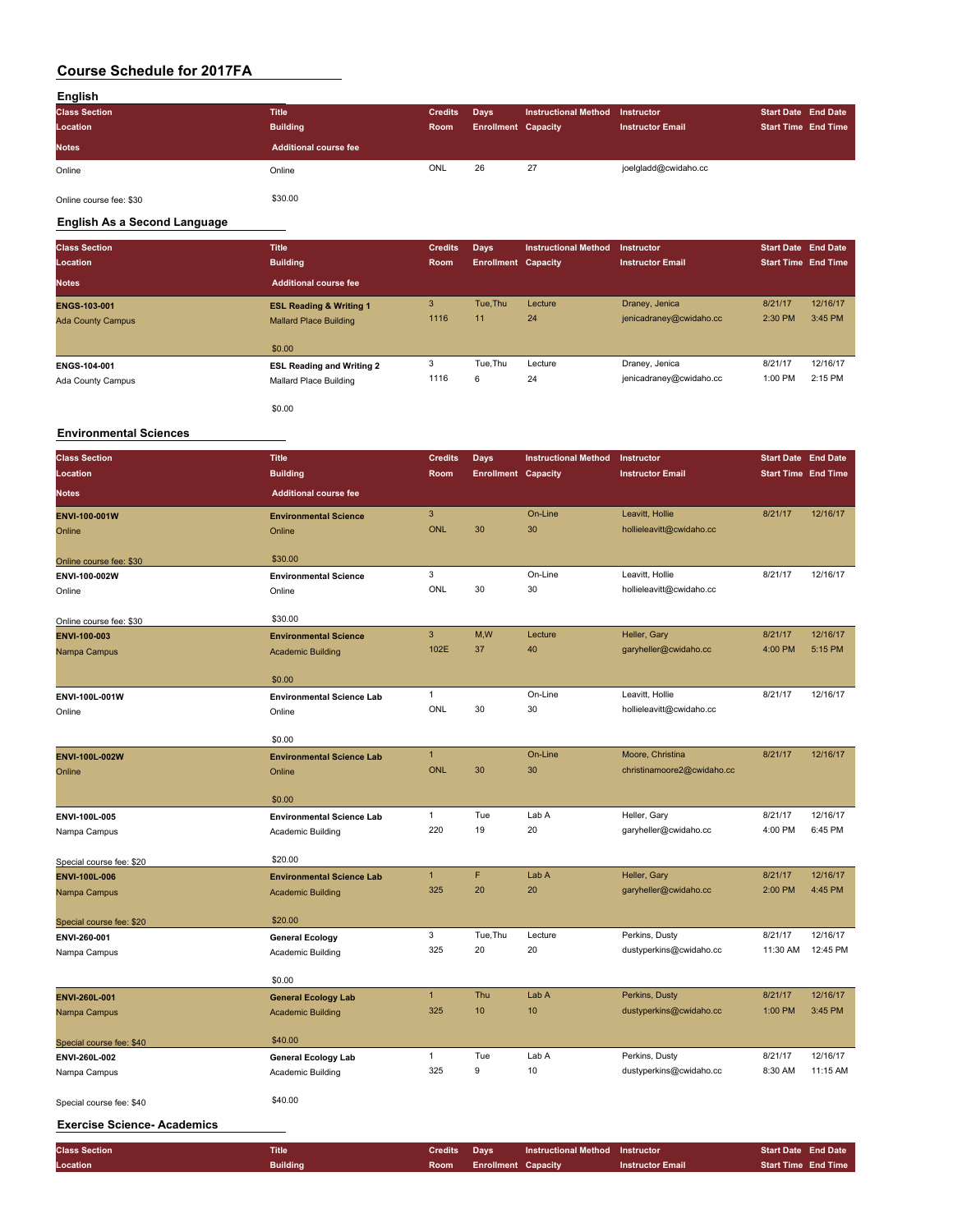| English              |                       |                |                            |                      |                         |                            |  |
|----------------------|-----------------------|----------------|----------------------------|----------------------|-------------------------|----------------------------|--|
| <b>Class Section</b> | <b>Title</b>          | <b>Credits</b> | Days                       | Instructional Method | Instructor              | <b>Start Date End Date</b> |  |
| Location             | <b>Building</b>       | Room           | <b>Enrollment Capacity</b> |                      | <b>Instructor Email</b> | <b>Start Time End Time</b> |  |
| <b>Notes</b>         | Additional course fee |                |                            |                      |                         |                            |  |
| Online               | Online                | ONL            | 26                         | 27                   | joelgladd@cwidaho.cc    |                            |  |

Online course fee: \$30 \$30.00

**English As a Second Language**

\$0.00

| <b>Class Section</b><br>Location                | <b>Title</b><br><b>Building</b>                                     | <b>Credits</b><br>Room | Days<br><b>Enrollment Capacity</b> | <b>Instructional Method</b> | Instructor<br><b>Instructor Email</b>     | <b>Start Date End Date</b><br><b>Start Time End Time</b> |                     |
|-------------------------------------------------|---------------------------------------------------------------------|------------------------|------------------------------------|-----------------------------|-------------------------------------------|----------------------------------------------------------|---------------------|
| <b>Notes</b>                                    | <b>Additional course fee</b>                                        |                        |                                    |                             |                                           |                                                          |                     |
| <b>ENGS-103-001</b><br><b>Ada County Campus</b> | <b>ESL Reading &amp; Writing 1</b><br><b>Mallard Place Building</b> | 3<br>1116              | Tue.Thu<br>11                      | Lecture<br>24               | Draney, Jenica<br>jenicadraney@cwidaho.cc | 8/21/17<br>2:30 PM                                       | 12/16/17<br>3:45 PM |
|                                                 | \$0.00                                                              |                        |                                    |                             |                                           |                                                          |                     |
| ENGS-104-001                                    | <b>ESL Reading and Writing 2</b>                                    | 3                      | Tue.Thu                            | Lecture                     | Draney, Jenica                            | 8/21/17                                                  | 12/16/17            |
| Ada County Campus                               | Mallard Place Building                                              | 1116                   | 6                                  | 24                          | jenicadraney@cwidaho.cc                   | 1:00 PM                                                  | 2:15 PM             |

#### **Environmental Sciences**

| <b>Class Section</b>               | <b>Title</b>                     | <b>Credits</b> | Days                       | <b>Instructional Method</b> | Instructor                 | <b>Start Date End Date</b> |          |
|------------------------------------|----------------------------------|----------------|----------------------------|-----------------------------|----------------------------|----------------------------|----------|
| Location                           | <b>Building</b>                  | Room           | <b>Enrollment Capacity</b> |                             | <b>Instructor Email</b>    | <b>Start Time End Time</b> |          |
| <b>Notes</b>                       | <b>Additional course fee</b>     |                |                            |                             |                            |                            |          |
| ENVI-100-001W                      | <b>Environmental Science</b>     | $\overline{3}$ |                            | On-Line                     | Leavitt, Hollie            | 8/21/17                    | 12/16/17 |
| Online                             | Online                           | <b>ONL</b>     | 30                         | 30                          | hollieleavitt@cwidaho.cc   |                            |          |
|                                    | \$30.00                          |                |                            |                             |                            |                            |          |
| Online course fee: \$30            |                                  | 3              |                            | On-Line                     | Leavitt, Hollie            | 8/21/17                    | 12/16/17 |
| ENVI-100-002W                      | <b>Environmental Science</b>     | <b>ONL</b>     | 30                         | 30                          | hollieleavitt@cwidaho.cc   |                            |          |
| Online                             | Online                           |                |                            |                             |                            |                            |          |
| Online course fee: \$30            | \$30.00                          |                |                            |                             |                            |                            |          |
| ENVI-100-003                       | <b>Environmental Science</b>     | $\mathbf{3}$   | M,W                        | Lecture                     | Heller, Gary               | 8/21/17                    | 12/16/17 |
| Nampa Campus                       | <b>Academic Building</b>         | 102E           | 37                         | 40                          | garyheller@cwidaho.cc      | 4:00 PM                    | 5:15 PM  |
|                                    | \$0.00                           |                |                            |                             |                            |                            |          |
| ENVI-100L-001W                     | <b>Environmental Science Lab</b> | $\mathbf{1}$   |                            | On-Line                     | Leavitt, Hollie            | 8/21/17                    | 12/16/17 |
| Online                             | Online                           | ONL            | 30                         | 30                          | hollieleavitt@cwidaho.cc   |                            |          |
|                                    |                                  |                |                            |                             |                            |                            |          |
|                                    | \$0.00                           |                |                            |                             |                            |                            |          |
| ENVI-100L-002W                     | <b>Environmental Science Lab</b> | $\mathbf{1}$   |                            | On-Line                     | Moore, Christina           | 8/21/17                    | 12/16/17 |
| Online                             | Online                           | <b>ONL</b>     | 30                         | 30                          | christinamoore2@cwidaho.cc |                            |          |
|                                    | \$0.00                           |                |                            |                             |                            |                            |          |
| ENVI-100L-005                      | <b>Environmental Science Lab</b> | $\mathbf{1}$   | Tue                        | Lab A                       | Heller, Gary               | 8/21/17                    | 12/16/17 |
| Nampa Campus                       | Academic Building                | 220            | 19                         | 20                          | garyheller@cwidaho.cc      | 4:00 PM                    | 6:45 PM  |
|                                    |                                  |                |                            |                             |                            |                            |          |
| Special course fee: \$20           | \$20.00                          |                |                            |                             |                            |                            |          |
| ENVI-100L-006                      | <b>Environmental Science Lab</b> | $\mathbf{1}$   | F                          | Lab A                       | Heller, Gary               | 8/21/17                    | 12/16/17 |
| Nampa Campus                       | <b>Academic Building</b>         | 325            | 20                         | 20                          | garyheller@cwidaho.cc      | 2:00 PM                    | 4:45 PM  |
| Special course fee: \$20           | \$20.00                          |                |                            |                             |                            |                            |          |
| ENVI-260-001                       | <b>General Ecology</b>           | 3              | Tue, Thu                   | Lecture                     | Perkins, Dusty             | 8/21/17                    | 12/16/17 |
| Nampa Campus                       | Academic Building                | 325            | 20                         | 20                          | dustyperkins@cwidaho.cc    | 11:30 AM                   | 12:45 PM |
|                                    |                                  |                |                            |                             |                            |                            |          |
|                                    | \$0.00                           |                |                            |                             |                            |                            |          |
| ENVI-260L-001                      | <b>General Ecology Lab</b>       | $\mathbf{1}$   | Thu                        | Lab A                       | Perkins, Dusty             | 8/21/17                    | 12/16/17 |
| Nampa Campus                       | <b>Academic Building</b>         | 325            | 10                         | 10                          | dustyperkins@cwidaho.cc    | 1:00 PM                    | 3:45 PM  |
| Special course fee: \$40           | \$40.00                          |                |                            |                             |                            |                            |          |
| ENVI-260L-002                      | <b>General Ecology Lab</b>       | $\mathbf{1}$   | Tue                        | Lab A                       | Perkins, Dusty             | 8/21/17                    | 12/16/17 |
| Nampa Campus                       | Academic Building                | 325            | 9                          | 10                          | dustyperkins@cwidaho.cc    | 8:30 AM                    | 11:15 AM |
| Special course fee: \$40           | \$40.00                          |                |                            |                             |                            |                            |          |
| <b>Exercise Science- Academics</b> |                                  |                |                            |                             |                            |                            |          |
|                                    |                                  |                |                            |                             |                            |                            |          |

**Class Section Title Credits Days Instructional Method Instructor Start Date End Date Location Building Room Enrollment Capacity Instructor Email Start Time End Time**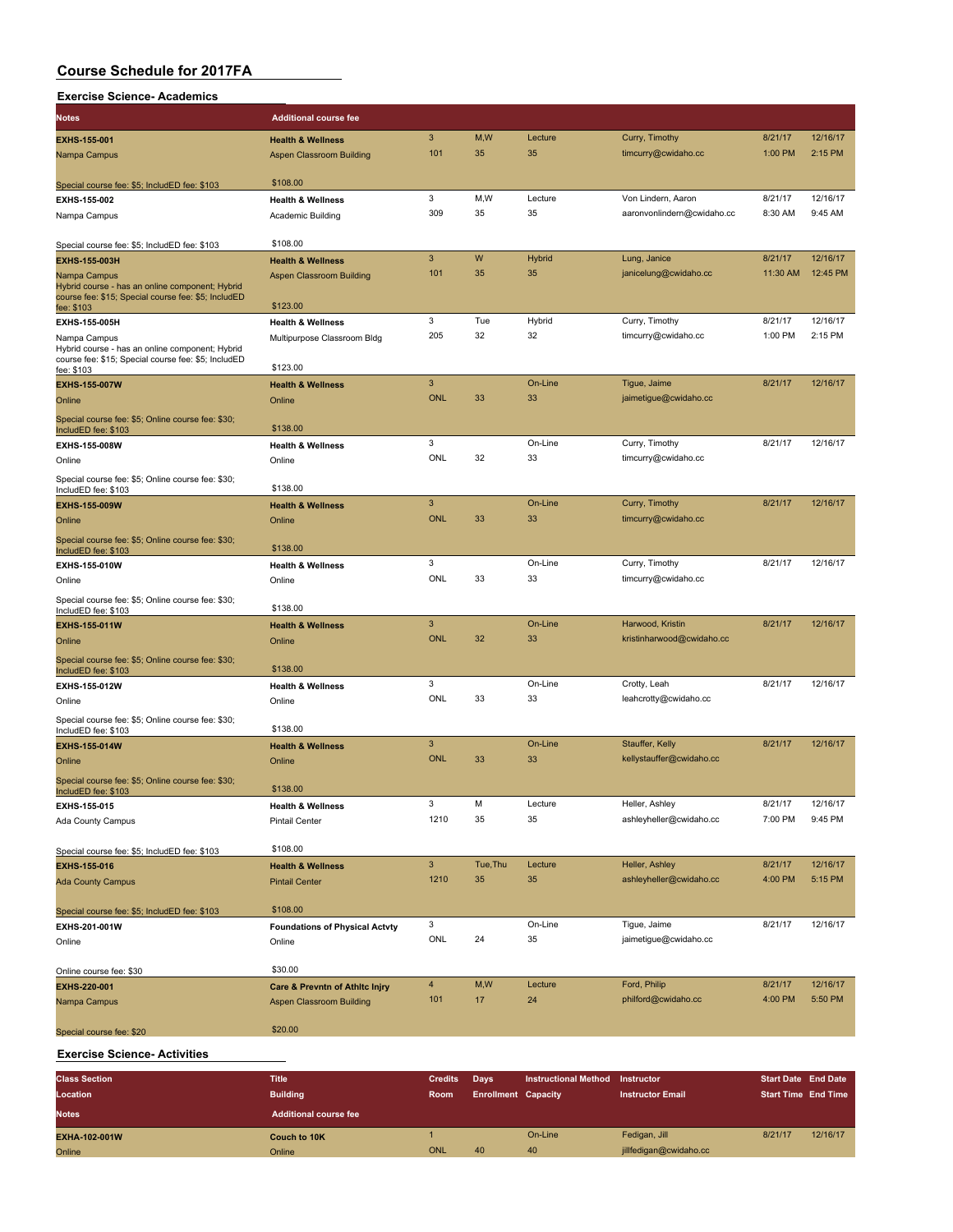| Exercise Science- Academics |  |
|-----------------------------|--|
|-----------------------------|--|

| <b>Notes</b>                                                                                                         | <b>Additional course fee</b>              |                |          |               |                            |          |          |
|----------------------------------------------------------------------------------------------------------------------|-------------------------------------------|----------------|----------|---------------|----------------------------|----------|----------|
| <b>EXHS-155-001</b>                                                                                                  | <b>Health &amp; Wellness</b>              | 3              | M, W     | Lecture       | Curry, Timothy             | 8/21/17  | 12/16/17 |
| Nampa Campus                                                                                                         | Aspen Classroom Building                  | 101            | 35       | 35            | timcurry@cwidaho.cc        | 1:00 PM  | 2:15 PM  |
|                                                                                                                      |                                           |                |          |               |                            |          |          |
| Special course fee: \$5; IncludED fee: \$103                                                                         | \$108.00                                  |                |          |               |                            |          |          |
| EXHS-155-002                                                                                                         | <b>Health &amp; Wellness</b>              | 3              | M,W      | Lecture       | Von Lindern, Aaron         | 8/21/17  | 12/16/17 |
| Nampa Campus                                                                                                         | Academic Building                         | 309            | 35       | 35            | aaronvonlindern@cwidaho.cc | 8:30 AM  | 9:45 AM  |
| Special course fee: \$5; IncludED fee: \$103                                                                         | \$108.00                                  |                |          |               |                            |          |          |
| <b>EXHS-155-003H</b>                                                                                                 | <b>Health &amp; Wellness</b>              | 3              | W        | <b>Hybrid</b> | Lung, Janice               | 8/21/17  | 12/16/17 |
| Nampa Campus                                                                                                         | Aspen Classroom Building                  | 101            | 35       | 35            | janicelung@cwidaho.cc      | 11:30 AM | 12:45 PM |
| Hybrid course - has an online component; Hybrid<br>course fee: \$15; Special course fee: \$5; IncludED<br>fee: \$103 | \$123.00                                  |                |          |               |                            |          |          |
| EXHS-155-005H                                                                                                        | <b>Health &amp; Wellness</b>              | 3              | Tue      | Hybrid        | Curry, Timothy             | 8/21/17  | 12/16/17 |
| Nampa Campus                                                                                                         | Multipurpose Classroom Bldg               | 205            | 32       | 32            | timcurry@cwidaho.cc        | 1:00 PM  | 2:15 PM  |
| Hybrid course - has an online component; Hybrid                                                                      |                                           |                |          |               |                            |          |          |
| course fee: \$15; Special course fee: \$5; IncludED<br>fee: \$103                                                    | \$123.00                                  |                |          |               |                            |          |          |
| <b>EXHS-155-007W</b>                                                                                                 | <b>Health &amp; Wellness</b>              | 3              |          | On-Line       | Tigue, Jaime               | 8/21/17  | 12/16/17 |
| Online                                                                                                               | Online                                    | <b>ONL</b>     | 33       | 33            | jaimetigue@cwidaho.cc      |          |          |
| Special course fee: \$5; Online course fee: \$30;                                                                    |                                           |                |          |               |                            |          |          |
| IncludED fee: \$103                                                                                                  | \$138.00                                  |                |          |               |                            |          |          |
| EXHS-155-008W                                                                                                        | <b>Health &amp; Wellness</b>              | 3              |          | On-Line       | Curry, Timothy             | 8/21/17  | 12/16/17 |
| Online                                                                                                               | Online                                    | ONL            | 32       | 33            | timcurry@cwidaho.cc        |          |          |
| Special course fee: \$5; Online course fee: \$30;<br>IncludED fee: \$103                                             | \$138.00                                  |                |          |               |                            |          |          |
| EXHS-155-009W                                                                                                        | <b>Health &amp; Wellness</b>              | $\mathbf{3}$   |          | On-Line       | Curry, Timothy             | 8/21/17  | 12/16/17 |
| Online                                                                                                               | Online                                    | <b>ONL</b>     | 33       | 33            | timcurry@cwidaho.cc        |          |          |
| Special course fee: \$5; Online course fee: \$30;<br>IncludED fee: \$103                                             | \$138.00                                  |                |          |               |                            |          |          |
| EXHS-155-010W                                                                                                        | <b>Health &amp; Wellness</b>              | 3              |          | On-Line       | Curry, Timothy             | 8/21/17  | 12/16/17 |
| Online                                                                                                               | Online                                    | <b>ONL</b>     | 33       | 33            | timcurry@cwidaho.cc        |          |          |
| Special course fee: \$5; Online course fee: \$30;<br>IncludED fee: \$103                                             | \$138.00                                  |                |          |               |                            |          |          |
| <b>EXHS-155-011W</b>                                                                                                 | <b>Health &amp; Wellness</b>              | 3              |          | On-Line       | Harwood, Kristin           | 8/21/17  | 12/16/17 |
| Online                                                                                                               | Online                                    | <b>ONL</b>     | 32       | 33            | kristinharwood@cwidaho.cc  |          |          |
| Special course fee: \$5; Online course fee: \$30;<br>IncludED fee: \$103                                             | \$138.00                                  |                |          |               |                            |          |          |
| EXHS-155-012W                                                                                                        | <b>Health &amp; Wellness</b>              | 3              |          | On-Line       | Crotty, Leah               | 8/21/17  | 12/16/17 |
| Online                                                                                                               | Online                                    | ONL            | 33       | 33            | leahcrotty@cwidaho.cc      |          |          |
| Special course fee: \$5; Online course fee: \$30;                                                                    |                                           |                |          |               |                            |          |          |
| IncludED fee: \$103                                                                                                  | \$138.00                                  | 3              |          | On-Line       | Stauffer, Kelly            | 8/21/17  | 12/16/17 |
| <b>EXHS-155-014W</b>                                                                                                 | <b>Health &amp; Wellness</b>              | <b>ONL</b>     | 33       | 33            | kellystauffer@cwidaho.cc   |          |          |
| Online                                                                                                               | Online                                    |                |          |               |                            |          |          |
| Special course fee: \$5; Online course fee: \$30;<br>IncludED fee: \$103                                             | \$138.00                                  |                |          |               |                            |          |          |
| EXHS-155-015                                                                                                         | <b>Health &amp; Wellness</b>              | 3              | М        | Lecture       | Heller, Ashley             | 8/21/17  | 12/16/17 |
| Ada County Campus                                                                                                    | <b>Pintail Center</b>                     | 1210           | 35       | 35            | ashleyheller@cwidaho.cc    | 7:00 PM  | 9:45 PM  |
| Special course fee: \$5; IncludED fee: \$103                                                                         | \$108.00                                  |                |          |               |                            |          |          |
| EXHS-155-016                                                                                                         | <b>Health &amp; Wellness</b>              | $\mathbf{3}$   | Tue, Thu | Lecture       | Heller, Ashley             | 8/21/17  | 12/16/17 |
| <b>Ada County Campus</b>                                                                                             | <b>Pintail Center</b>                     | 1210           | 35       | 35            | ashleyheller@cwidaho.cc    | 4:00 PM  | 5:15 PM  |
|                                                                                                                      |                                           |                |          |               |                            |          |          |
| Special course fee: \$5; IncludED fee: \$103                                                                         | \$108.00                                  |                |          |               |                            |          |          |
| EXHS-201-001W                                                                                                        | <b>Foundations of Physical Actvty</b>     | 3              |          | On-Line       | Tigue, Jaime               | 8/21/17  | 12/16/17 |
| Online                                                                                                               | Online                                    | ONL            | 24       | 35            | jaimetigue@cwidaho.cc      |          |          |
|                                                                                                                      | \$30.00                                   |                |          |               |                            |          |          |
| Online course fee: \$30<br>EXHS-220-001                                                                              | <b>Care &amp; Prevntn of Athitc Injry</b> | $\overline{4}$ | M, W     | Lecture       | Ford, Philip               | 8/21/17  | 12/16/17 |
| Nampa Campus                                                                                                         | <b>Aspen Classroom Building</b>           | 101            | 17       | 24            | philford@cwidaho.cc        | 4:00 PM  | 5:50 PM  |
|                                                                                                                      | \$20.00                                   |                |          |               |                            |          |          |
| Special course fee: \$20                                                                                             |                                           |                |          |               |                            |          |          |

#### **Exercise Science- Activities**

| <b>Class Section</b> | <b>Title</b>                 | <b>Credits</b> | <b>Davs</b>                | <b>Instructional Method</b> | Instructor              | <b>Start Date End Date</b> |          |
|----------------------|------------------------------|----------------|----------------------------|-----------------------------|-------------------------|----------------------------|----------|
| Location             | <b>Building</b>              | <b>Room</b>    | <b>Enrollment Capacity</b> |                             | <b>Instructor Email</b> | Start Time End Time        |          |
| <b>Notes</b>         | <b>Additional course fee</b> |                |                            |                             |                         |                            |          |
| EXHA-102-001W        | Couch to 10K                 |                |                            | On-Line                     | Fedigan, Jill           | 8/21/17                    | 12/16/17 |
| Online               | Online                       | ONL            | 40                         | 40                          | jillfedigan@cwidaho.cc  |                            |          |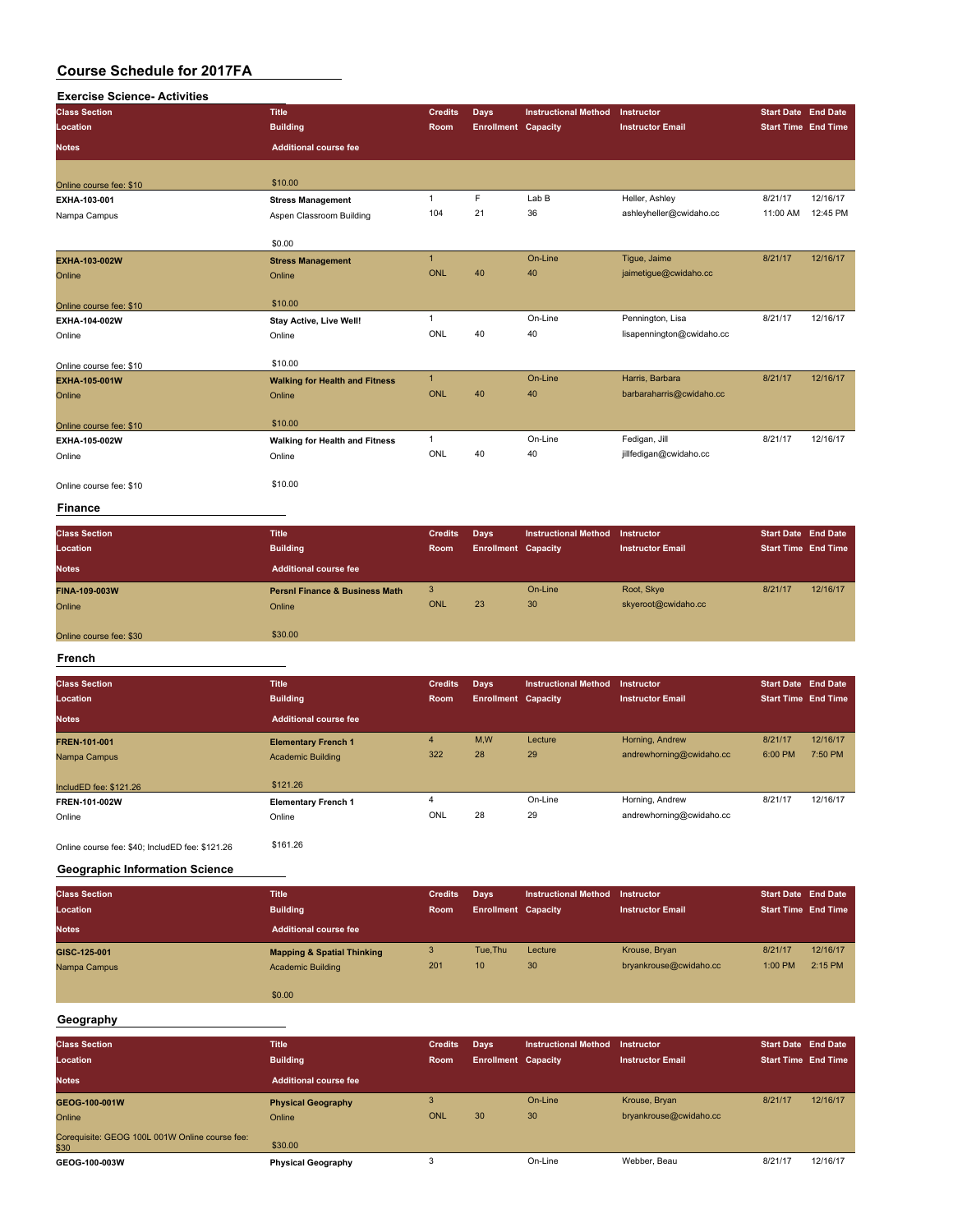| <b>Exercise Science- Activities</b> |                                           |                |                            |                             |                           |                            |          |
|-------------------------------------|-------------------------------------------|----------------|----------------------------|-----------------------------|---------------------------|----------------------------|----------|
| <b>Class Section</b>                | <b>Title</b>                              | <b>Credits</b> | <b>Days</b>                | <b>Instructional Method</b> | Instructor                | <b>Start Date End Date</b> |          |
| Location                            | <b>Building</b>                           | Room           | <b>Enrollment Capacity</b> |                             | <b>Instructor Email</b>   | <b>Start Time End Time</b> |          |
| <b>Notes</b>                        | <b>Additional course fee</b>              |                |                            |                             |                           |                            |          |
| Online course fee: \$10             | \$10.00                                   |                |                            |                             |                           |                            |          |
| EXHA-103-001                        | <b>Stress Management</b>                  | $\mathbf{1}$   | $\mathsf F$                | Lab B                       | Heller, Ashley            | 8/21/17                    | 12/16/17 |
| Nampa Campus                        | Aspen Classroom Building                  | 104            | 21                         | 36                          | ashleyheller@cwidaho.cc   | 11:00 AM                   | 12:45 PM |
|                                     | \$0.00                                    |                |                            |                             |                           |                            |          |
| EXHA-103-002W                       | <b>Stress Management</b>                  | $\mathbf{1}$   |                            | On-Line                     | Tigue, Jaime              | 8/21/17                    | 12/16/17 |
| Online                              | Online                                    | <b>ONL</b>     | 40                         | 40                          | jaimetigue@cwidaho.cc     |                            |          |
| Online course fee: \$10             | \$10.00                                   |                |                            |                             |                           |                            |          |
| EXHA-104-002W                       | Stay Active, Live Well!                   | $\mathbf{1}$   |                            | On-Line                     | Pennington, Lisa          | 8/21/17                    | 12/16/17 |
| Online                              | Online                                    | ONL            | 40                         | 40                          | lisapennington@cwidaho.cc |                            |          |
| Online course fee: \$10             | \$10.00                                   |                |                            |                             |                           |                            |          |
| EXHA-105-001W                       | <b>Walking for Health and Fitness</b>     | $\mathbf{1}$   |                            | On-Line                     | Harris, Barbara           | 8/21/17                    | 12/16/17 |
| Online                              | Online                                    | <b>ONL</b>     | 40                         | 40                          | barbaraharris@cwidaho.cc  |                            |          |
| Online course fee: \$10             | \$10.00                                   |                |                            |                             |                           |                            |          |
| EXHA-105-002W                       | <b>Walking for Health and Fitness</b>     | $\mathbf{1}$   |                            | On-Line                     | Fedigan, Jill             | 8/21/17                    | 12/16/17 |
| Online                              | Online                                    | <b>ONL</b>     | 40                         | 40                          | jillfedigan@cwidaho.cc    |                            |          |
| Online course fee: \$10             | \$10.00                                   |                |                            |                             |                           |                            |          |
| <b>Finance</b>                      |                                           |                |                            |                             |                           |                            |          |
| <b>Class Section</b>                | <b>Title</b>                              | <b>Credits</b> | Days                       | <b>Instructional Method</b> | Instructor                | <b>Start Date End Date</b> |          |
| Location                            | <b>Building</b>                           | Room           | <b>Enrollment Capacity</b> |                             | <b>Instructor Email</b>   | <b>Start Time End Time</b> |          |
| <b>Notes</b>                        | <b>Additional course fee</b>              |                |                            |                             |                           |                            |          |
| FINA-109-003W                       | <b>Persni Finance &amp; Business Math</b> | 3              |                            | On-Line                     | Root, Skye                | 8/21/17                    | 12/16/17 |
| Online                              | Online                                    | <b>ONL</b>     | 23                         | 30                          | skyeroot@cwidaho.cc       |                            |          |
| Online course fee: \$30             | \$30.00                                   |                |                            |                             |                           |                            |          |
| French                              |                                           |                |                            |                             |                           |                            |          |
| <b>Class Section</b>                | <b>Title</b>                              | <b>Credits</b> | Days                       | <b>Instructional Method</b> | Instructor                | <b>Start Date End Date</b> |          |
| Location                            | <b>Building</b>                           | Room           | <b>Enrollment Capacity</b> |                             | <b>Instructor Email</b>   | <b>Start Time End Time</b> |          |
| <b>Notes</b>                        | <b>Additional course fee</b>              |                |                            |                             |                           |                            |          |
| FREN-101-001                        | <b>Elementary French 1</b>                | $\overline{4}$ | M.W                        | Lecture                     | Horning, Andrew           | 8/21/17                    | 12/16/17 |
| Nampa Campus                        | <b>Academic Building</b>                  | 322            | 28                         | 29                          | andrewhorning@cwidaho.cc  | 6:00 PM                    | 7:50 PM  |

**IncludED fee: \$121.26** \$121.26 **FREN-101-002W Elementary French 1** 4 On-Line Horning, Andrew 8/21/17 12/16/17 online Christian Conline Christian Christian Concerns and Christian Concernsive Christian Concernsive Christian<br>Concernsive Christian Christian Christian Christian Christian Christian Christian Christian Christian Christia Online course fee: \$40; IncludED fee: \$121.26 \$161.26

**Geographic Information Science**

| <b>Class Section</b> | <b>Title</b>                          | <b>Credits</b> | Days                       | <b>Instructional Method</b> | Instructor              | <b>Start Date End Date</b> |          |
|----------------------|---------------------------------------|----------------|----------------------------|-----------------------------|-------------------------|----------------------------|----------|
| Location             | <b>Building</b>                       | Room           | <b>Enrollment Capacity</b> |                             | <b>Instructor Email</b> | <b>Start Time End Time</b> |          |
| <b>Notes</b>         | <b>Additional course fee</b>          |                |                            |                             |                         |                            |          |
| GISC-125-001         | <b>Mapping &amp; Spatial Thinking</b> | 3              | Tue.Thu                    | Lecture                     | Krouse, Bryan           | 8/21/17                    | 12/16/17 |
| Nampa Campus         | <b>Academic Building</b>              | 201            | 10                         | 30                          | bryankrouse@cwidaho.cc  | 1:00 PM                    | 2:15 PM  |
|                      |                                       |                |                            |                             |                         |                            |          |
|                      | \$0.00                                |                |                            |                             |                         |                            |          |

#### **Geography**

| <b>Class Section</b><br>Location                       | <b>Title</b><br><b>Building</b> | <b>Credits</b><br><b>Room</b> | Days<br><b>Enrollment Capacity</b> | <b>Instructional Method</b> | Instructor<br><b>Instructor Email</b> | <b>Start Date End Date</b><br><b>Start Time End Time</b> |          |
|--------------------------------------------------------|---------------------------------|-------------------------------|------------------------------------|-----------------------------|---------------------------------------|----------------------------------------------------------|----------|
| <b>Notes</b>                                           | Additional course fee           |                               |                                    |                             |                                       |                                                          |          |
| GEOG-100-001W                                          | <b>Physical Geography</b>       |                               |                                    | On-Line                     | Krouse, Bryan                         | 8/21/17                                                  | 12/16/17 |
| Online                                                 | Online                          | ONL                           | 30                                 | 30                          | bryankrouse@cwidaho.cc                |                                                          |          |
| Corequisite: GEOG 100L 001W Online course fee:<br>\$30 | \$30.00                         |                               |                                    |                             |                                       |                                                          |          |
| GEOG-100-003W                                          | <b>Physical Geography</b>       |                               |                                    | On-Line                     | Webber, Beau                          | 8/21/17                                                  | 12/16/17 |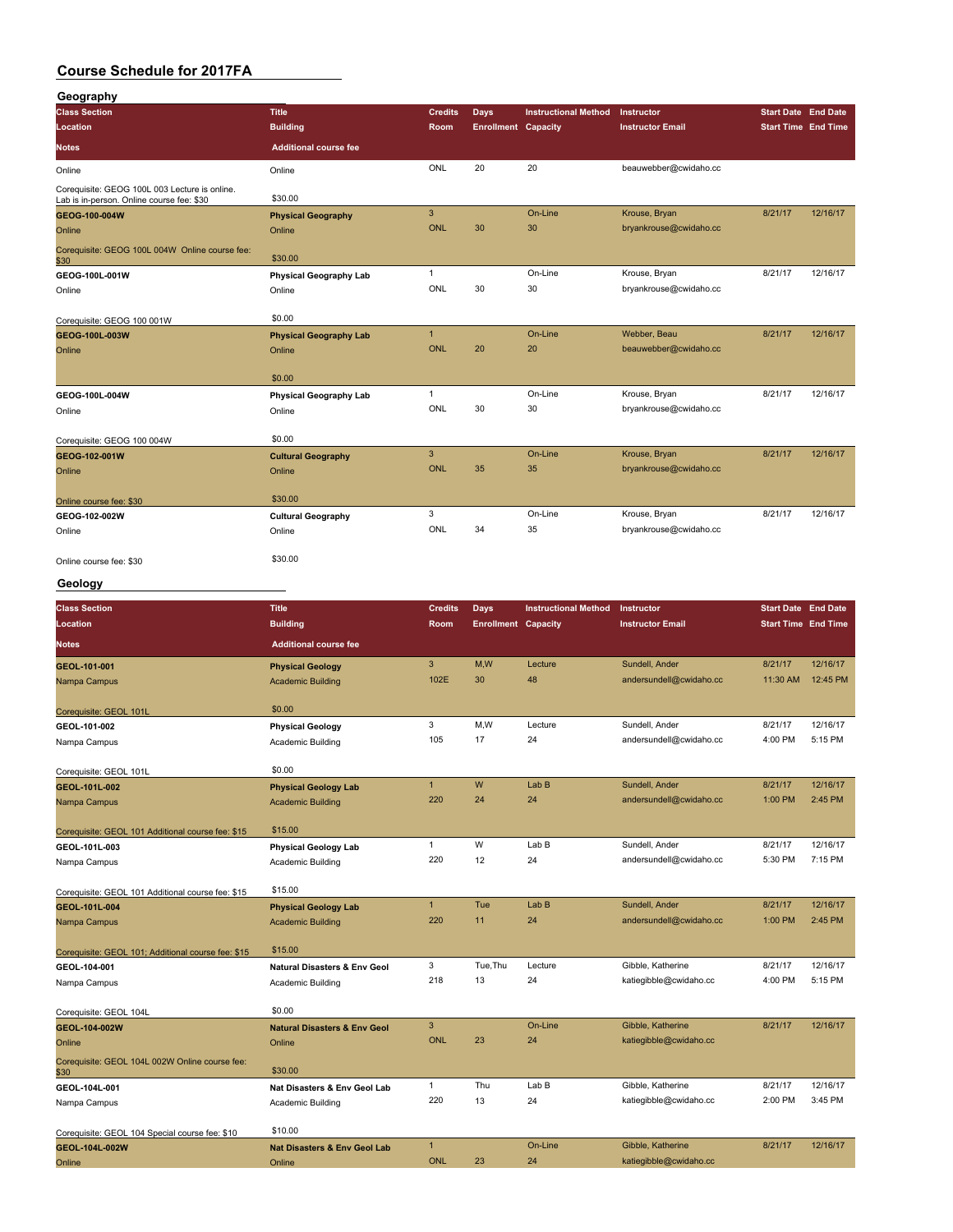| Geography                                                                                  |                               |                |                            |                             |                         |                            |                            |
|--------------------------------------------------------------------------------------------|-------------------------------|----------------|----------------------------|-----------------------------|-------------------------|----------------------------|----------------------------|
| <b>Class Section</b>                                                                       | <b>Title</b>                  | <b>Credits</b> | Days                       | <b>Instructional Method</b> | Instructor              | <b>Start Date End Date</b> |                            |
| Location                                                                                   | <b>Building</b>               | Room           | <b>Enrollment Capacity</b> |                             | <b>Instructor Email</b> |                            | <b>Start Time End Time</b> |
| <b>Notes</b>                                                                               | <b>Additional course fee</b>  |                |                            |                             |                         |                            |                            |
| Online                                                                                     | Online                        | ONL            | 20                         | 20                          | beauwebber@cwidaho.cc   |                            |                            |
| Corequisite: GEOG 100L 003 Lecture is online.<br>Lab is in-person. Online course fee: \$30 | \$30.00                       |                |                            |                             |                         |                            |                            |
| GEOG-100-004W                                                                              | <b>Physical Geography</b>     | 3              |                            | On-Line                     | Krouse, Bryan           | 8/21/17                    | 12/16/17                   |
| Online                                                                                     | Online                        | <b>ONL</b>     | 30                         | 30                          | bryankrouse@cwidaho.cc  |                            |                            |
| Corequisite: GEOG 100L 004W Online course fee:<br>\$30                                     | \$30.00                       |                |                            |                             |                         |                            |                            |
| GEOG-100L-001W                                                                             | <b>Physical Geography Lab</b> | $\mathbf{1}$   |                            | On-Line                     | Krouse, Bryan           | 8/21/17                    | 12/16/17                   |
| Online                                                                                     | Online                        | ONL            | 30                         | 30                          | bryankrouse@cwidaho.cc  |                            |                            |
| Corequisite: GEOG 100 001W                                                                 | \$0.00                        |                |                            |                             |                         |                            |                            |
| GEOG-100L-003W                                                                             | <b>Physical Geography Lab</b> | $\mathbf{1}$   |                            | On-Line                     | Webber, Beau            | 8/21/17                    | 12/16/17                   |
| Online                                                                                     | Online                        | <b>ONL</b>     | 20                         | 20                          | beauwebber@cwidaho.cc   |                            |                            |
|                                                                                            | \$0.00                        |                |                            |                             |                         |                            |                            |
| GEOG-100L-004W                                                                             | <b>Physical Geography Lab</b> | $\mathbf{1}$   |                            | On-Line                     | Krouse, Bryan           | 8/21/17                    | 12/16/17                   |
| Online                                                                                     | Online                        | ONL            | 30                         | 30                          | bryankrouse@cwidaho.cc  |                            |                            |
| Corequisite: GEOG 100 004W                                                                 | \$0.00                        |                |                            |                             |                         |                            |                            |
| GEOG-102-001W                                                                              | <b>Cultural Geography</b>     | 3              |                            | On-Line                     | Krouse, Bryan           | 8/21/17                    | 12/16/17                   |
| Online                                                                                     | Online                        | <b>ONL</b>     | 35                         | 35                          | bryankrouse@cwidaho.cc  |                            |                            |
| Online course fee: \$30                                                                    | \$30.00                       |                |                            |                             |                         |                            |                            |
| GEOG-102-002W                                                                              | <b>Cultural Geography</b>     | 3              |                            | On-Line                     | Krouse, Bryan           | 8/21/17                    | 12/16/17                   |
| Online                                                                                     | Online                        | ONL            | 34                         | 35                          | bryankrouse@cwidaho.cc  |                            |                            |
| Online course fee: \$30                                                                    | \$30.00                       |                |                            |                             |                         |                            |                            |

#### **Geology**

| <b>Class Section</b>                                   | <b>Title</b>                            | <b>Credits</b> | <b>Days</b>                | <b>Instructional Method</b> | Instructor              | <b>Start Date End Date</b> |          |
|--------------------------------------------------------|-----------------------------------------|----------------|----------------------------|-----------------------------|-------------------------|----------------------------|----------|
| Location                                               | <b>Building</b>                         | Room           | <b>Enrollment Capacity</b> |                             | <b>Instructor Email</b> | <b>Start Time End Time</b> |          |
| <b>Notes</b>                                           | <b>Additional course fee</b>            |                |                            |                             |                         |                            |          |
| GEOL-101-001                                           | <b>Physical Geology</b>                 | 3              | M,W                        | Lecture                     | Sundell, Ander          | 8/21/17                    | 12/16/17 |
| Nampa Campus                                           | <b>Academic Building</b>                | 102E           | 30                         | 48                          | andersundell@cwidaho.cc | 11:30 AM                   | 12:45 PM |
| Corequisite: GEOL 101L                                 | \$0.00                                  |                |                            |                             |                         |                            |          |
| GEOL-101-002                                           | <b>Physical Geology</b>                 | 3              | M,W                        | Lecture                     | Sundell, Ander          | 8/21/17                    | 12/16/17 |
| Nampa Campus                                           | Academic Building                       | 105            | 17                         | 24                          | andersundell@cwidaho.cc | 4:00 PM                    | 5:15 PM  |
| Corequisite: GEOL 101L                                 | \$0.00                                  |                |                            |                             |                         |                            |          |
| GEOL-101L-002                                          | <b>Physical Geology Lab</b>             | $\mathbf{1}$   | W                          | Lab <sub>B</sub>            | Sundell, Ander          | 8/21/17                    | 12/16/17 |
| Nampa Campus                                           | <b>Academic Building</b>                | 220            | 24                         | 24                          | andersundell@cwidaho.cc | 1:00 PM                    | 2:45 PM  |
| Corequisite: GEOL 101 Additional course fee: \$15      | \$15.00                                 |                |                            |                             |                         |                            |          |
| GEOL-101L-003                                          | <b>Physical Geology Lab</b>             | $\mathbf{1}$   | W                          | Lab B                       | Sundell, Ander          | 8/21/17                    | 12/16/17 |
| Nampa Campus                                           | Academic Building                       | 220            | 12                         | 24                          | andersundell@cwidaho.cc | 5:30 PM                    | 7:15 PM  |
| Corequisite: GEOL 101 Additional course fee: \$15      | \$15.00                                 |                |                            |                             |                         |                            |          |
| GEOL-101L-004                                          | <b>Physical Geology Lab</b>             | $\mathbf{1}$   | Tue                        | Lab <sub>B</sub>            | Sundell, Ander          | 8/21/17                    | 12/16/17 |
| Nampa Campus                                           | <b>Academic Building</b>                | 220            | 11                         | 24                          | andersundell@cwidaho.cc | 1:00 PM                    | 2:45 PM  |
| Corequisite: GEOL 101; Additional course fee: \$15     | \$15.00                                 |                |                            |                             |                         |                            |          |
| GEOL-104-001                                           | <b>Natural Disasters &amp; Env Geol</b> | 3              | Tue.Thu                    | Lecture                     | Gibble, Katherine       | 8/21/17                    | 12/16/17 |
| Nampa Campus                                           | Academic Building                       | 218            | 13                         | 24                          | katiegibble@cwidaho.cc  | 4:00 PM                    | 5:15 PM  |
| Corequisite: GEOL 104L                                 | \$0.00                                  |                |                            |                             |                         |                            |          |
| GEOL-104-002W                                          | <b>Natural Disasters &amp; Env Geol</b> | 3              |                            | On-Line                     | Gibble, Katherine       | 8/21/17                    | 12/16/17 |
| Online                                                 | Online                                  | <b>ONL</b>     | 23                         | 24                          | katiegibble@cwidaho.cc  |                            |          |
| Corequisite: GEOL 104L 002W Online course fee:<br>\$30 | \$30.00                                 |                |                            |                             |                         |                            |          |
| GEOL-104L-001                                          | Nat Disasters & Env Geol Lab            | $\mathbf{1}$   | Thu                        | Lab B                       | Gibble, Katherine       | 8/21/17                    | 12/16/17 |
| Nampa Campus                                           | <b>Academic Building</b>                | 220            | 13                         | 24                          | katiegibble@cwidaho.cc  | 2:00 PM                    | 3:45 PM  |
| Corequisite: GEOL 104 Special course fee: \$10         | \$10.00                                 |                |                            |                             |                         |                            |          |
| GEOL-104L-002W                                         | <b>Nat Disasters &amp; Env Geol Lab</b> | $\mathbf{1}$   |                            | On-Line                     | Gibble, Katherine       | 8/21/17                    | 12/16/17 |
| Online                                                 | Online                                  | <b>ONL</b>     | 23                         | 24                          | katiegibble@cwidaho.cc  |                            |          |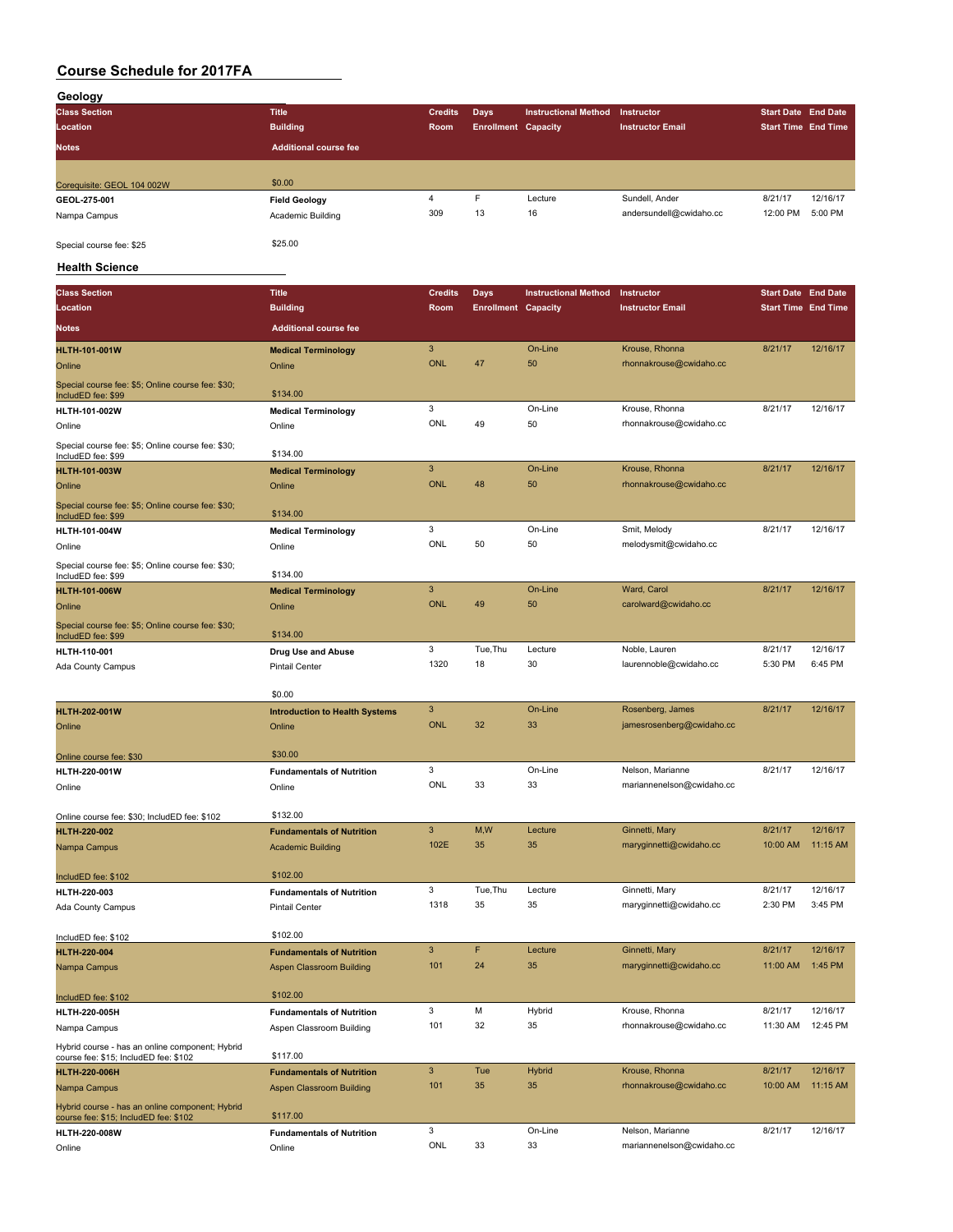| Geology                    |                              |                |                            |                             |                         |                            |          |  |  |
|----------------------------|------------------------------|----------------|----------------------------|-----------------------------|-------------------------|----------------------------|----------|--|--|
| <b>Class Section</b>       | <b>Title</b>                 | <b>Credits</b> | Days                       | <b>Instructional Method</b> | Instructor              | <b>Start Date End Date</b> |          |  |  |
| Location                   | <b>Building</b>              | Room           | <b>Enrollment Capacity</b> |                             | <b>Instructor Email</b> | <b>Start Time End Time</b> |          |  |  |
| <b>Notes</b>               | <b>Additional course fee</b> |                |                            |                             |                         |                            |          |  |  |
|                            |                              |                |                            |                             |                         |                            |          |  |  |
| Corequisite: GEOL 104 002W | \$0.00                       |                |                            |                             |                         |                            |          |  |  |
| GEOL-275-001               | <b>Field Geology</b>         | 4              | F                          | Lecture                     | Sundell, Ander          | 8/21/17                    | 12/16/17 |  |  |
| Nampa Campus               | Academic Building            | 309            | 13                         | 16                          | andersundell@cwidaho.cc | 12:00 PM                   | 5:00 PM  |  |  |
| Special course fee: \$25   | \$25.00                      |                |                            |                             |                         |                            |          |  |  |

#### **Health Science**

| <b>Class Section</b>                                                                     | <b>Title</b>                          | <b>Credits</b> | Days                       | <b>Instructional Method</b> | Instructor                | <b>Start Date End Date</b> |          |
|------------------------------------------------------------------------------------------|---------------------------------------|----------------|----------------------------|-----------------------------|---------------------------|----------------------------|----------|
| Location                                                                                 | <b>Building</b>                       | Room           | <b>Enrollment Capacity</b> |                             | <b>Instructor Email</b>   | <b>Start Time End Time</b> |          |
| Notes                                                                                    | <b>Additional course fee</b>          |                |                            |                             |                           |                            |          |
| <b>HLTH-101-001W</b>                                                                     | <b>Medical Terminology</b>            | $\mathbf{3}$   |                            | On-Line                     | Krouse, Rhonna            | 8/21/17                    | 12/16/17 |
| Online                                                                                   | Online                                | <b>ONL</b>     | 47                         | 50                          | rhonnakrouse@cwidaho.cc   |                            |          |
| Special course fee: \$5; Online course fee: \$30;<br>IncludED fee: \$99                  | \$134.00                              |                |                            |                             |                           |                            |          |
| HLTH-101-002W                                                                            | <b>Medical Terminology</b>            | 3              |                            | On-Line                     | Krouse, Rhonna            | 8/21/17                    | 12/16/17 |
| Online                                                                                   | Online                                | <b>ONL</b>     | 49                         | 50                          | rhonnakrouse@cwidaho.cc   |                            |          |
| Special course fee: \$5; Online course fee: \$30;<br>IncludED fee: \$99                  | \$134.00                              |                |                            |                             |                           |                            |          |
| <b>HLTH-101-003W</b>                                                                     | <b>Medical Terminology</b>            | 3              |                            | On-Line                     | Krouse, Rhonna            | 8/21/17                    | 12/16/17 |
| Online                                                                                   | Online                                | <b>ONL</b>     | 48                         | 50                          | rhonnakrouse@cwidaho.cc   |                            |          |
| Special course fee: \$5; Online course fee: \$30;<br>IncludED fee: \$99                  | \$134.00                              |                |                            |                             |                           |                            |          |
| HLTH-101-004W                                                                            | <b>Medical Terminology</b>            | 3              |                            | On-Line                     | Smit, Melody              | 8/21/17                    | 12/16/17 |
| Online                                                                                   | Online                                | ONL            | 50                         | 50                          | melodysmit@cwidaho.cc     |                            |          |
| Special course fee: \$5; Online course fee: \$30;<br>IncludED fee: \$99                  | \$134.00                              |                |                            |                             |                           |                            |          |
| <b>HLTH-101-006W</b>                                                                     | <b>Medical Terminology</b>            | 3              |                            | On-Line                     | Ward, Carol               | 8/21/17                    | 12/16/17 |
| Online                                                                                   | Online                                | <b>ONL</b>     | 49                         | 50                          | carolward@cwidaho.cc      |                            |          |
| Special course fee: \$5; Online course fee: \$30;<br>IncludED fee: \$99                  | \$134.00                              |                |                            |                             |                           |                            |          |
| HLTH-110-001                                                                             | Drug Use and Abuse                    | 3              | Tue, Thu                   | Lecture                     | Noble, Lauren             | 8/21/17                    | 12/16/17 |
| Ada County Campus                                                                        | <b>Pintail Center</b>                 | 1320           | 18                         | 30                          | laurennoble@cwidaho.cc    | 5:30 PM                    | 6:45 PM  |
|                                                                                          | \$0.00                                |                |                            |                             |                           |                            |          |
| <b>HLTH-202-001W</b>                                                                     | <b>Introduction to Health Systems</b> | 3              |                            | On-Line                     | Rosenberg, James          | 8/21/17                    | 12/16/17 |
| Online                                                                                   | Online                                | <b>ONL</b>     | 32                         | 33                          | jamesrosenberg@cwidaho.cc |                            |          |
| Online course fee: \$30                                                                  | \$30.00                               |                |                            |                             |                           |                            |          |
| <b>HLTH-220-001W</b>                                                                     | <b>Fundamentals of Nutrition</b>      | 3              |                            | On-Line                     | Nelson, Marianne          | 8/21/17                    | 12/16/17 |
| Online                                                                                   | Online                                | ONL            | 33                         | 33                          | mariannenelson@cwidaho.cc |                            |          |
| Online course fee: \$30; IncludED fee: \$102                                             | \$132.00                              |                |                            |                             |                           |                            |          |
| HLTH-220-002                                                                             | <b>Fundamentals of Nutrition</b>      | $\mathbf{3}$   | M,W                        | Lecture                     | Ginnetti, Mary            | 8/21/17                    | 12/16/17 |
| Nampa Campus                                                                             | <b>Academic Building</b>              | 102E           | 35                         | 35                          | maryginnetti@cwidaho.cc   | 10:00 AM                   | 11:15 AM |
|                                                                                          |                                       |                |                            |                             |                           |                            |          |
| IncludED fee: \$102                                                                      | \$102.00                              |                |                            |                             |                           |                            |          |
| HLTH-220-003                                                                             | <b>Fundamentals of Nutrition</b>      | 3              | Tue, Thu                   | Lecture                     | Ginnetti, Mary            | 8/21/17                    | 12/16/17 |
| Ada County Campus                                                                        | Pintail Center                        | 1318           | 35                         | 35                          | maryginnetti@cwidaho.cc   | 2:30 PM                    | 3:45 PM  |
| IncludED fee: \$102                                                                      | \$102.00                              |                |                            |                             |                           |                            |          |
| <b>HLTH-220-004</b>                                                                      | <b>Fundamentals of Nutrition</b>      | 3              | F                          | Lecture                     | Ginnetti, Mary            | 8/21/17                    | 12/16/17 |
| Nampa Campus                                                                             | Aspen Classroom Building              | 101            | 24                         | 35                          | maryginnetti@cwidaho.cc   | 11:00 AM                   | 1:45 PM  |
| IncludED fee: \$102                                                                      | \$102.00                              |                |                            |                             |                           |                            |          |
| HLTH-220-005H                                                                            | <b>Fundamentals of Nutrition</b>      | 3              | М                          | Hybrid                      | Krouse, Rhonna            | 8/21/17                    | 12/16/17 |
| Nampa Campus                                                                             | Aspen Classroom Building              | 101            | 32                         | 35                          | rhonnakrouse@cwidaho.cc   | 11:30 AM                   | 12:45 PM |
| Hybrid course - has an online component; Hybrid<br>course fee: \$15; IncludED fee: \$102 | \$117.00                              |                |                            |                             |                           |                            |          |
| <b>HLTH-220-006H</b>                                                                     | <b>Fundamentals of Nutrition</b>      | 3              | Tue                        | <b>Hybrid</b>               | Krouse, Rhonna            | 8/21/17                    | 12/16/17 |
| Nampa Campus                                                                             | Aspen Classroom Building              | 101            | 35                         | 35                          | rhonnakrouse@cwidaho.cc   | 10:00 AM                   | 11:15 AM |
| Hybrid course - has an online component; Hybrid<br>course fee: \$15; IncludED fee: \$102 | \$117.00                              |                |                            |                             |                           |                            |          |
| HLTH-220-008W                                                                            | <b>Fundamentals of Nutrition</b>      | 3              |                            | On-Line                     | Nelson, Marianne          | 8/21/17                    | 12/16/17 |
| Online                                                                                   | Online                                | ONL            | 33                         | 33                          | mariannenelson@cwidaho.cc |                            |          |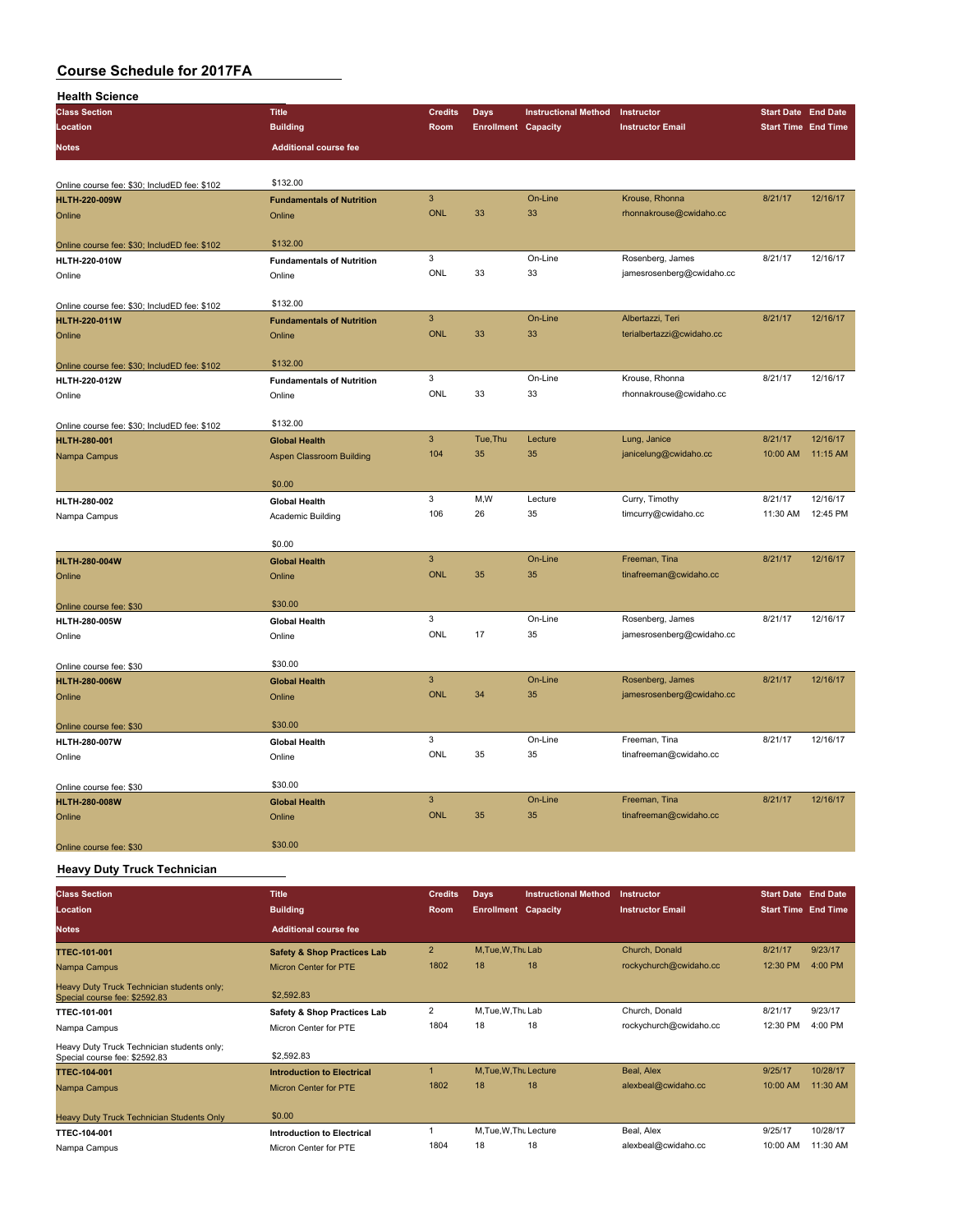| <b>Health Science</b>                                               |                                  |                           |                            |                             |                           |                            |          |
|---------------------------------------------------------------------|----------------------------------|---------------------------|----------------------------|-----------------------------|---------------------------|----------------------------|----------|
| <b>Class Section</b>                                                | <b>Title</b>                     | <b>Credits</b>            | <b>Days</b>                | <b>Instructional Method</b> | Instructor                | Start Date End Date        |          |
| Location                                                            | <b>Building</b>                  | Room                      | <b>Enrollment Capacity</b> |                             | <b>Instructor Email</b>   | <b>Start Time End Time</b> |          |
| <b>Notes</b>                                                        | <b>Additional course fee</b>     |                           |                            |                             |                           |                            |          |
|                                                                     |                                  |                           |                            |                             |                           |                            |          |
| Online course fee: \$30; IncludED fee: \$102                        | \$132.00                         |                           |                            |                             |                           |                            |          |
| <b>HLTH-220-009W</b>                                                | <b>Fundamentals of Nutrition</b> | 3                         |                            | On-Line                     | Krouse, Rhonna            | 8/21/17                    | 12/16/17 |
| Online                                                              | Online                           | <b>ONL</b>                | 33                         | 33                          | rhonnakrouse@cwidaho.cc   |                            |          |
|                                                                     |                                  |                           |                            |                             |                           |                            |          |
| Online course fee: \$30; IncludED fee: \$102                        | \$132.00                         |                           |                            |                             |                           |                            |          |
| HLTH-220-010W                                                       | <b>Fundamentals of Nutrition</b> | 3                         |                            | On-Line                     | Rosenberg, James          | 8/21/17                    | 12/16/17 |
| Online                                                              | Online                           | ONL                       | 33                         | 33                          | jamesrosenberg@cwidaho.cc |                            |          |
| Online course fee: \$30; IncludED fee: \$102                        | \$132.00                         |                           |                            |                             |                           |                            |          |
| <b>HLTH-220-011W</b>                                                | <b>Fundamentals of Nutrition</b> | 3                         |                            | On-Line                     | Albertazzi, Teri          | 8/21/17                    | 12/16/17 |
| Online                                                              | Online                           | <b>ONL</b>                | 33                         | 33                          | terialbertazzi@cwidaho.cc |                            |          |
|                                                                     |                                  |                           |                            |                             |                           |                            |          |
| Online course fee: \$30; IncludED fee: \$102                        | \$132.00                         |                           |                            |                             |                           |                            |          |
| HLTH-220-012W                                                       | <b>Fundamentals of Nutrition</b> | 3                         |                            | On-Line                     | Krouse, Rhonna            | 8/21/17                    | 12/16/17 |
| Online                                                              | Online                           | <b>ONL</b>                | 33                         | 33                          | rhonnakrouse@cwidaho.cc   |                            |          |
|                                                                     | \$132.00                         |                           |                            |                             |                           |                            |          |
| Online course fee: \$30; IncludED fee: \$102<br><b>HLTH-280-001</b> | <b>Global Health</b>             | $\overline{3}$            | Tue, Thu                   | Lecture                     | Lung, Janice              | 8/21/17                    | 12/16/17 |
| Nampa Campus                                                        | <b>Aspen Classroom Building</b>  | 104                       | 35                         | 35                          | janicelung@cwidaho.cc     | 10:00 AM                   | 11:15 AM |
|                                                                     |                                  |                           |                            |                             |                           |                            |          |
|                                                                     | \$0.00                           |                           |                            |                             |                           |                            |          |
| HLTH-280-002                                                        | <b>Global Health</b>             | 3                         | M,W                        | Lecture                     | Curry, Timothy            | 8/21/17                    | 12/16/17 |
| Nampa Campus                                                        | Academic Building                | 106                       | 26                         | 35                          | timcurry@cwidaho.cc       | 11:30 AM                   | 12:45 PM |
|                                                                     |                                  |                           |                            |                             |                           |                            |          |
|                                                                     | \$0.00                           |                           |                            |                             |                           |                            |          |
| <b>HLTH-280-004W</b>                                                | <b>Global Health</b>             | $\overline{3}$            |                            | On-Line                     | Freeman, Tina             | 8/21/17                    | 12/16/17 |
| Online                                                              | Online                           | <b>ONL</b>                | 35                         | 35                          | tinafreeman@cwidaho.cc    |                            |          |
|                                                                     |                                  |                           |                            |                             |                           |                            |          |
| Online course fee: \$30                                             | \$30.00                          | 3                         |                            | On-Line                     | Rosenberg, James          | 8/21/17                    | 12/16/17 |
| HLTH-280-005W<br>Online                                             | <b>Global Health</b><br>Online   | <b>ONL</b>                | 17                         | 35                          | jamesrosenberg@cwidaho.cc |                            |          |
|                                                                     |                                  |                           |                            |                             |                           |                            |          |
| Online course fee: \$30                                             | \$30.00                          |                           |                            |                             |                           |                            |          |
| <b>HLTH-280-006W</b>                                                | <b>Global Health</b>             | $\mathsf 3$               |                            | On-Line                     | Rosenberg, James          | 8/21/17                    | 12/16/17 |
| Online                                                              | Online                           | <b>ONL</b>                | 34                         | 35                          | jamesrosenberg@cwidaho.cc |                            |          |
|                                                                     |                                  |                           |                            |                             |                           |                            |          |
| Online course fee: \$30                                             | \$30.00                          |                           |                            |                             |                           |                            |          |
| HLTH-280-007W                                                       | <b>Global Health</b>             | 3                         |                            | On-Line                     | Freeman, Tina             | 8/21/17                    | 12/16/17 |
| Online                                                              | Online                           | ONL                       | 35                         | 35                          | tinafreeman@cwidaho.cc    |                            |          |
| Online course fee: \$30                                             | \$30.00                          |                           |                            |                             |                           |                            |          |
| <b>HLTH-280-008W</b>                                                | <b>Global Health</b>             | $\ensuremath{\mathsf{3}}$ |                            | On-Line                     | Freeman, Tina             | 8/21/17                    | 12/16/17 |
| Online                                                              | Online                           | <b>ONL</b>                | 35                         | 35                          | tinafreeman@cwidaho.cc    |                            |          |
|                                                                     |                                  |                           |                            |                             |                           |                            |          |
| Online course fee: \$30                                             | \$30.00                          |                           |                            |                             |                           |                            |          |
| Providence Process and Contractors and the                          |                                  |                           |                            |                             |                           |                            |          |

**Heavy Duty Truck Technician**

| <b>Class Section</b>                                                        | <b>Title</b>                           | <b>Credits</b>       | <b>Days</b>                | <b>Instructional Method</b> | Instructor              | <b>Start Date End Date</b> |          |
|-----------------------------------------------------------------------------|----------------------------------------|----------------------|----------------------------|-----------------------------|-------------------------|----------------------------|----------|
| Location                                                                    | <b>Building</b>                        | <b>Room</b>          | <b>Enrollment Capacity</b> |                             | <b>Instructor Email</b> | <b>Start Time End Time</b> |          |
| <b>Notes</b>                                                                | <b>Additional course fee</b>           |                      |                            |                             |                         |                            |          |
| <b>TTEC-101-001</b>                                                         | <b>Safety &amp; Shop Practices Lab</b> | $\overline{2}$       | M.Tue.W.Thu Lab            |                             | Church, Donald          | 8/21/17                    | 9/23/17  |
| Nampa Campus                                                                | <b>Micron Center for PTE</b>           | 1802                 | 18                         | 18                          | rockychurch@cwidaho.cc  | 12:30 PM                   | 4:00 PM  |
| Heavy Duty Truck Technician students only;<br>Special course fee: \$2592.83 | \$2,592.83                             |                      |                            |                             |                         |                            |          |
| TTEC-101-001                                                                | Safety & Shop Practices Lab            | $\overline{2}$       | M.Tue.W.Thu Lab            |                             | Church, Donald          | 8/21/17                    | 9/23/17  |
| Nampa Campus                                                                | Micron Center for PTE                  | 1804                 | 18                         | 18                          | rockychurch@cwidaho.cc  | 12:30 PM                   | 4:00 PM  |
| Heavy Duty Truck Technician students only;<br>Special course fee: \$2592.83 | \$2,592.83                             |                      |                            |                             |                         |                            |          |
| <b>TTEC-104-001</b>                                                         | <b>Introduction to Electrical</b>      | $\blacktriangleleft$ | M.Tue.W.Tht Lecture        |                             | Beal, Alex              | 9/25/17                    | 10/28/17 |
| Nampa Campus                                                                | Micron Center for PTE                  | 1802                 | 18                         | 18                          | alexbeal@cwidaho.cc     | 10:00 AM                   | 11:30 AM |
| Heavy Duty Truck Technician Students Only                                   | \$0.00                                 |                      |                            |                             |                         |                            |          |
| TTEC-104-001                                                                | <b>Introduction to Electrical</b>      |                      | M, Tue, W, Thu Lecture     |                             | Beal, Alex              | 9/25/17                    | 10/28/17 |
| Nampa Campus                                                                | Micron Center for PTE                  | 1804                 | 18                         | 18                          | alexbeal@cwidaho.cc     | 10:00 AM                   | 11:30 AM |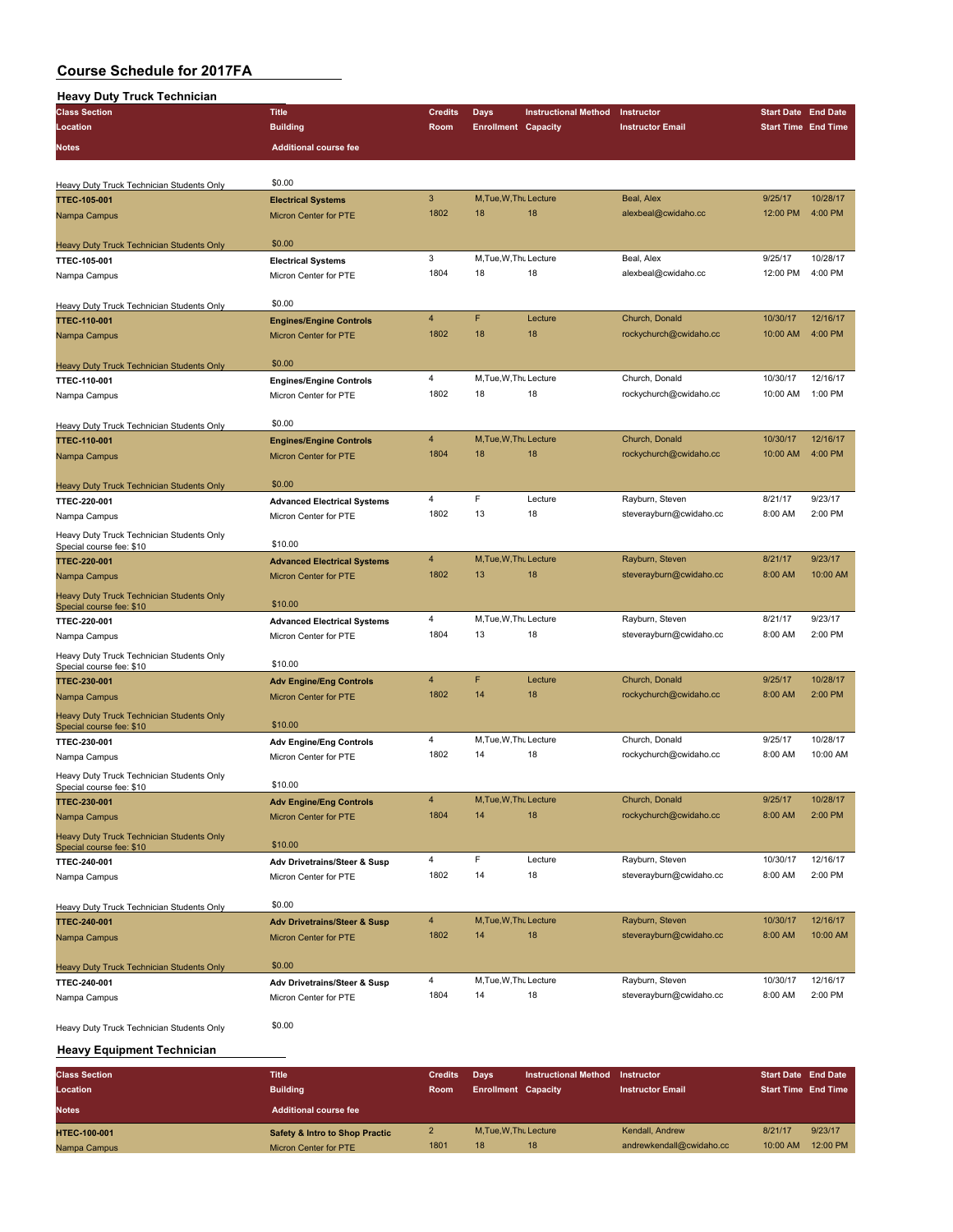| <b>Heavy Duty Truck Technician</b>                                    |                                                         |                |                              |                             |                         |                            |                     |
|-----------------------------------------------------------------------|---------------------------------------------------------|----------------|------------------------------|-----------------------------|-------------------------|----------------------------|---------------------|
| <b>Class Section</b>                                                  | <b>Title</b>                                            | <b>Credits</b> | Days                         | <b>Instructional Method</b> | Instructor              | <b>Start Date End Date</b> |                     |
| Location                                                              | <b>Building</b>                                         | Room           | <b>Enrollment Capacity</b>   |                             | <b>Instructor Email</b> | <b>Start Time End Time</b> |                     |
| <b>Notes</b>                                                          | <b>Additional course fee</b>                            |                |                              |                             |                         |                            |                     |
|                                                                       |                                                         |                |                              |                             |                         |                            |                     |
|                                                                       | \$0.00                                                  |                |                              |                             |                         |                            |                     |
| Heavy Duty Truck Technician Students Only                             | <b>Electrical Systems</b>                               | 3              | M, Tue, W, Thu Lecture       |                             | Beal, Alex              | 9/25/17                    | 10/28/17            |
| <b>TTEC-105-001</b>                                                   | Micron Center for PTE                                   | 1802           | 18                           | 18                          | alexbeal@cwidaho.cc     | 12:00 PM                   | 4:00 PM             |
| Nampa Campus                                                          |                                                         |                |                              |                             |                         |                            |                     |
| Heavy Duty Truck Technician Students Only                             | \$0.00                                                  |                |                              |                             |                         |                            |                     |
| TTEC-105-001                                                          | <b>Electrical Systems</b>                               | 3              | M, Tue, W, Thu Lecture       |                             | Beal, Alex              | 9/25/17                    | 10/28/17            |
| Nampa Campus                                                          | Micron Center for PTE                                   | 1804           | 18                           | 18                          | alexbeal@cwidaho.cc     | 12:00 PM                   | 4:00 PM             |
|                                                                       |                                                         |                |                              |                             |                         |                            |                     |
| Heavy Duty Truck Technician Students Only                             | \$0.00                                                  |                |                              |                             |                         |                            |                     |
| <b>TTEC-110-001</b>                                                   | <b>Engines/Engine Controls</b>                          | $\overline{4}$ | F                            | Lecture                     | Church, Donald          | 10/30/17                   | 12/16/17            |
| Nampa Campus                                                          | <b>Micron Center for PTE</b>                            | 1802           | 18                           | 18                          | rockychurch@cwidaho.cc  | 10:00 AM                   | 4:00 PM             |
|                                                                       |                                                         |                |                              |                             |                         |                            |                     |
| Heavy Duty Truck Technician Students Only                             | \$0.00                                                  |                |                              |                             |                         |                            |                     |
| TTEC-110-001                                                          | <b>Engines/Engine Controls</b>                          | $\overline{4}$ | M, Tue, W, Thu Lecture       |                             | Church, Donald          | 10/30/17                   | 12/16/17            |
| Nampa Campus                                                          | Micron Center for PTE                                   | 1802           | 18                           | 18                          | rockychurch@cwidaho.cc  | 10:00 AM                   | 1:00 PM             |
|                                                                       |                                                         |                |                              |                             |                         |                            |                     |
| Heavy Duty Truck Technician Students Only                             | \$0.00                                                  | $\overline{4}$ | M, Tue, W, Thu Lecture       |                             |                         | 10/30/17                   | 12/16/17            |
| <b>TTEC-110-001</b>                                                   | <b>Engines/Engine Controls</b>                          | 1804           | 18                           | 18                          | Church, Donald          | 10:00 AM                   | 4:00 PM             |
| Nampa Campus                                                          | Micron Center for PTE                                   |                |                              |                             | rockychurch@cwidaho.cc  |                            |                     |
| Heavy Duty Truck Technician Students Only                             | \$0.00                                                  |                |                              |                             |                         |                            |                     |
| TTEC-220-001                                                          | <b>Advanced Electrical Systems</b>                      | 4              | F                            | Lecture                     | Rayburn, Steven         | 8/21/17                    | 9/23/17             |
| Nampa Campus                                                          | Micron Center for PTE                                   | 1802           | 13                           | 18                          | steverayburn@cwidaho.cc | 8:00 AM                    | 2:00 PM             |
|                                                                       |                                                         |                |                              |                             |                         |                            |                     |
| Heavy Duty Truck Technician Students Only<br>Special course fee: \$10 | \$10.00                                                 |                |                              |                             |                         |                            |                     |
| <b>TTEC-220-001</b>                                                   | <b>Advanced Electrical Systems</b>                      | $\overline{4}$ | M, Tue, W, Thu Lecture       |                             | Rayburn, Steven         | 8/21/17                    | 9/23/17             |
| Nampa Campus                                                          | <b>Micron Center for PTE</b>                            | 1802           | 13                           | 18                          | steverayburn@cwidaho.cc | 8:00 AM                    | 10:00 AM            |
| Heavy Duty Truck Technician Students Only                             |                                                         |                |                              |                             |                         |                            |                     |
| Special course fee: \$10                                              | \$10.00                                                 |                |                              |                             |                         |                            |                     |
| TTEC-220-001                                                          | <b>Advanced Electrical Systems</b>                      | $\overline{4}$ | M, Tue, W, Thu Lecture       |                             | Rayburn, Steven         | 8/21/17                    | 9/23/17             |
| Nampa Campus                                                          | Micron Center for PTE                                   | 1804           | 13                           | 18                          | steverayburn@cwidaho.cc | 8:00 AM                    | 2:00 PM             |
| Heavy Duty Truck Technician Students Only                             |                                                         |                |                              |                             |                         |                            |                     |
| Special course fee: \$10                                              | \$10.00                                                 |                |                              |                             |                         |                            |                     |
| <b>TTEC-230-001</b>                                                   | <b>Adv Engine/Eng Controls</b>                          | $\overline{4}$ | F                            | Lecture                     | Church, Donald          | 9/25/17                    | 10/28/17            |
| Nampa Campus                                                          | Micron Center for PTE                                   | 1802           | 14                           | 18                          | rockychurch@cwidaho.cc  | 8:00 AM                    | 2:00 PM             |
| <b>Heavy Duty Truck Technician Students Only</b>                      | \$10.00                                                 |                |                              |                             |                         |                            |                     |
| Special course fee: \$10                                              |                                                         | 4              | M, Tue, W, Thu Lecture       |                             | Church, Donald          | 9/25/17                    | 10/28/17            |
| TTEC-230-001                                                          | <b>Adv Engine/Eng Controls</b><br>Micron Center for PTE | 1802           | 14                           | 18                          | rockychurch@cwidaho.cc  | 8:00 AM                    | 10:00 AM            |
| Nampa Campus                                                          |                                                         |                |                              |                             |                         |                            |                     |
| Heavy Duty Truck Technician Students Only<br>Special course fee: \$10 | \$10.00                                                 |                |                              |                             |                         |                            |                     |
| TTEC-230-001                                                          | <b>Adv Engine/Eng Controls</b>                          | $\overline{4}$ | M, Tue, W, Thu Lecture       |                             | Church, Donald          | 9/25/17                    | 10/28/17            |
| Nampa Campus                                                          | <b>Micron Center for PTE</b>                            | 1804           | 14                           | 18                          | rockychurch@cwidaho.cc  | 8:00 AM                    | 2:00 PM             |
|                                                                       |                                                         |                |                              |                             |                         |                            |                     |
| Heavy Duty Truck Technician Students Only<br>Special course fee: \$10 | \$10.00                                                 |                |                              |                             |                         |                            |                     |
| TTEC-240-001                                                          | <b>Adv Drivetrains/Steer &amp; Susp</b>                 | $\overline{4}$ | F                            | Lecture                     | Rayburn, Steven         | 10/30/17                   | 12/16/17            |
| Nampa Campus                                                          | Micron Center for PTE                                   | 1802           | 14                           | 18                          | steverayburn@cwidaho.cc | 8:00 AM                    | 2:00 PM             |
|                                                                       |                                                         |                |                              |                             |                         |                            |                     |
| Heavy Duty Truck Technician Students Only                             | \$0.00                                                  |                |                              |                             |                         |                            |                     |
| <b>TTEC-240-001</b>                                                   | <b>Adv Drivetrains/Steer &amp; Susp</b>                 | $\overline{4}$ | M, Tue, W, Thu Lecture       |                             | Rayburn, Steven         | 10/30/17                   | 12/16/17            |
| Nampa Campus                                                          | Micron Center for PTE                                   | 1802           | 14                           | 18                          | steverayburn@cwidaho.cc | 8:00 AM                    | 10:00 AM            |
|                                                                       |                                                         |                |                              |                             |                         |                            |                     |
| Heavy Duty Truck Technician Students Only                             | \$0.00                                                  |                |                              |                             | Rayburn, Steven         |                            |                     |
| TTEC-240-001                                                          | Adv Drivetrains/Steer & Susp                            | 4<br>1804      | M, Tue, W, Thu Lecture<br>14 | 18                          | steverayburn@cwidaho.cc | 10/30/17<br>8:00 AM        | 12/16/17<br>2:00 PM |
| Nampa Campus                                                          | Micron Center for PTE                                   |                |                              |                             |                         |                            |                     |
|                                                                       | \$0.00                                                  |                |                              |                             |                         |                            |                     |
| Heavy Duty Truck Technician Students Only                             |                                                         |                |                              |                             |                         |                            |                     |
| <b>Heavy Equipment Technician</b>                                     |                                                         |                |                              |                             |                         |                            |                     |
| <b>Class Section</b>                                                  | <b>Title</b>                                            | <b>Credits</b> | <b>Days</b>                  | <b>Instructional Method</b> | Instructor              | <b>Start Date End Date</b> |                     |
| Location                                                              | <b>Building</b>                                         | Room           | <b>Enrollment Capacity</b>   |                             | <b>Instructor Email</b> | <b>Start Time End Time</b> |                     |
|                                                                       |                                                         |                |                              |                             |                         |                            |                     |
| <b>Notes</b>                                                          | <b>Additional course fee</b>                            |                |                              |                             |                         |                            |                     |

| <b>Notes</b>        | Additional course fee                     |      |                     |    |                          |          |          |
|---------------------|-------------------------------------------|------|---------------------|----|--------------------------|----------|----------|
| <b>HTEC-100-001</b> | <b>Safety &amp; Intro to Shop Practic</b> |      | M.Tue.W.Thu Lecture |    | Kendall, Andrew          | 8/21/17  | 9/23/17  |
| Nampa Campus        | Micron Center for PTE                     | 1801 | 18                  | 18 | andrewkendall@cwidaho.cc | 10:00 AM | 12:00 PM |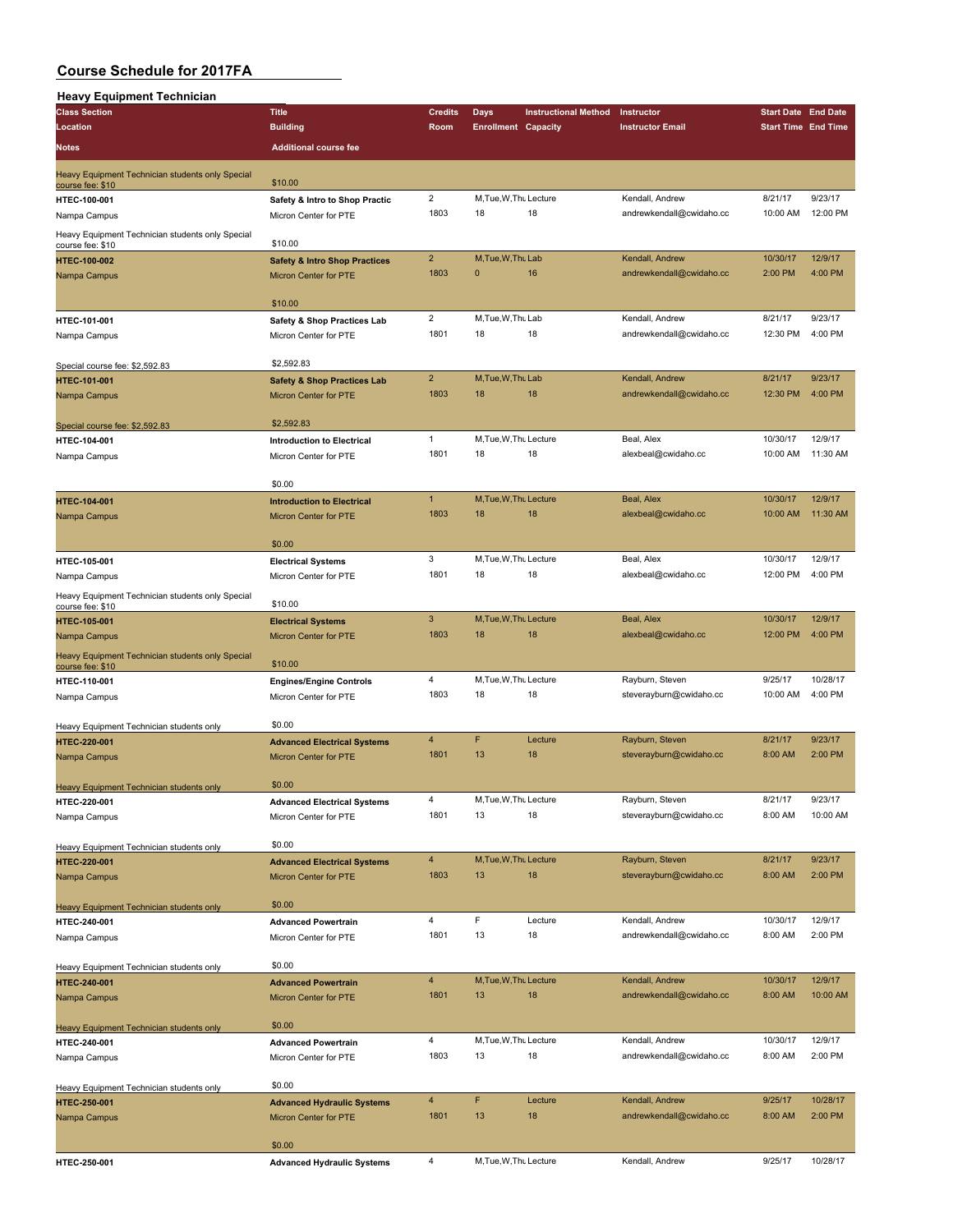| <b>Heavy Equipment Technician</b>                                    |                                                         |                |                            |                             |                                             |                            |                    |
|----------------------------------------------------------------------|---------------------------------------------------------|----------------|----------------------------|-----------------------------|---------------------------------------------|----------------------------|--------------------|
| <b>Class Section</b>                                                 | <b>Title</b>                                            | <b>Credits</b> | Days                       | <b>Instructional Method</b> | Instructor                                  | <b>Start Date End Date</b> |                    |
| Location                                                             | <b>Building</b>                                         | Room           | <b>Enrollment Capacity</b> |                             | <b>Instructor Email</b>                     | <b>Start Time End Time</b> |                    |
| Notes                                                                | <b>Additional course fee</b>                            |                |                            |                             |                                             |                            |                    |
|                                                                      |                                                         |                |                            |                             |                                             |                            |                    |
| Heavy Equipment Technician students only Special                     | \$10.00                                                 |                |                            |                             |                                             |                            |                    |
| course fee: \$10<br>HTEC-100-001                                     | Safety & Intro to Shop Practic                          | $\overline{2}$ | M, Tue, W, Thu Lecture     |                             | Kendall, Andrew                             | 8/21/17                    | 9/23/17            |
| Nampa Campus                                                         | Micron Center for PTE                                   | 1803           | 18                         | 18                          | andrewkendall@cwidaho.cc                    | 10:00 AM                   | 12:00 PM           |
|                                                                      |                                                         |                |                            |                             |                                             |                            |                    |
| Heavy Equipment Technician students only Special<br>course fee: \$10 | \$10.00                                                 |                |                            |                             |                                             |                            |                    |
| HTEC-100-002                                                         | <b>Safety &amp; Intro Shop Practices</b>                | $\overline{2}$ | M, Tue, W, Thu Lab         |                             | Kendall, Andrew                             | 10/30/17                   | 12/9/17            |
| Nampa Campus                                                         | <b>Micron Center for PTE</b>                            | 1803           | 0                          | 16                          | andrewkendall@cwidaho.cc                    | 2:00 PM                    | 4:00 PM            |
|                                                                      |                                                         |                |                            |                             |                                             |                            |                    |
|                                                                      | \$10.00                                                 |                |                            |                             |                                             |                            |                    |
| HTEC-101-001                                                         | Safety & Shop Practices Lab                             | $\overline{2}$ | M, Tue, W, Thu Lab         |                             | Kendall, Andrew                             | 8/21/17                    | 9/23/17            |
| Nampa Campus                                                         | Micron Center for PTE                                   | 1801           | 18                         | 18                          | andrewkendall@cwidaho.cc                    | 12:30 PM                   | 4:00 PM            |
|                                                                      |                                                         |                |                            |                             |                                             |                            |                    |
| Special course fee: \$2,592.83                                       | \$2,592.83                                              | $\overline{2}$ | M.Tue, W.Thu Lab           |                             | Kendall, Andrew                             | 8/21/17                    | 9/23/17            |
| <b>HTEC-101-001</b>                                                  | <b>Safety &amp; Shop Practices Lab</b>                  | 1803           | 18                         | 18                          | andrewkendall@cwidaho.cc                    | 12:30 PM                   | 4:00 PM            |
| Nampa Campus                                                         | <b>Micron Center for PTE</b>                            |                |                            |                             |                                             |                            |                    |
|                                                                      | \$2,592.83                                              |                |                            |                             |                                             |                            |                    |
| Special course fee: \$2,592.83<br>HTEC-104-001                       | <b>Introduction to Electrical</b>                       | $\mathbf{1}$   | M, Tue, W, Thu Lecture     |                             | Beal, Alex                                  | 10/30/17                   | 12/9/17            |
| Nampa Campus                                                         | Micron Center for PTE                                   | 1801           | 18                         | 18                          | alexbeal@cwidaho.cc                         | 10:00 AM                   | 11:30 AM           |
|                                                                      |                                                         |                |                            |                             |                                             |                            |                    |
|                                                                      | \$0.00                                                  |                |                            |                             |                                             |                            |                    |
| HTEC-104-001                                                         | <b>Introduction to Electrical</b>                       | $\mathbf{1}$   | M, Tue, W, Thu Lecture     |                             | Beal, Alex                                  | 10/30/17                   | 12/9/17            |
| Nampa Campus                                                         | <b>Micron Center for PTE</b>                            | 1803           | 18                         | 18                          | alexbeal@cwidaho.cc                         | 10:00 AM                   | 11:30 AM           |
|                                                                      |                                                         |                |                            |                             |                                             |                            |                    |
|                                                                      | \$0.00                                                  |                |                            |                             |                                             |                            |                    |
| HTEC-105-001                                                         | <b>Electrical Systems</b>                               | 3              | M, Tue, W, Thu Lecture     |                             | Beal, Alex                                  | 10/30/17                   | 12/9/17            |
| Nampa Campus                                                         | Micron Center for PTE                                   | 1801           | 18                         | 18                          | alexbeal@cwidaho.cc                         | 12:00 PM                   | 4:00 PM            |
| Heavy Equipment Technician students only Special                     |                                                         |                |                            |                             |                                             |                            |                    |
| course fee: \$10                                                     | \$10.00                                                 |                |                            |                             |                                             |                            |                    |
| <b>HTEC-105-001</b>                                                  | <b>Electrical Systems</b>                               | $\mathbf{3}$   | M, Tue, W, Thu Lecture     |                             | Beal, Alex                                  | 10/30/17                   | 12/9/17            |
| Nampa Campus                                                         | <b>Micron Center for PTE</b>                            | 1803           | 18                         | 18                          | alexbeal@cwidaho.cc                         | 12:00 PM                   | 4:00 PM            |
| Heavy Equipment Technician students only Special                     | \$10.00                                                 |                |                            |                             |                                             |                            |                    |
| course fee: \$10                                                     |                                                         | $\overline{4}$ | M, Tue, W, Thu Lecture     |                             | Rayburn, Steven                             | 9/25/17                    | 10/28/17           |
| HTEC-110-001                                                         | <b>Engines/Engine Controls</b><br>Micron Center for PTE | 1803           | 18                         | 18                          | steverayburn@cwidaho.cc                     | 10:00 AM                   | 4:00 PM            |
| Nampa Campus                                                         |                                                         |                |                            |                             |                                             |                            |                    |
| Heavy Equipment Technician students only                             | \$0.00                                                  |                |                            |                             |                                             |                            |                    |
| HTEC-220-001                                                         | <b>Advanced Electrical Systems</b>                      | 4              | F                          | Lecture                     | Rayburn, Steven                             | 8/21/17                    | 9/23/17            |
| Nampa Campus                                                         | <b>Micron Center for PTE</b>                            | 1801           | 13                         | 18                          | steverayburn@cwidaho.cc                     | 8:00 AM                    | 2:00 PM            |
|                                                                      |                                                         |                |                            |                             |                                             |                            |                    |
| Heavy Equipment Technician students only                             | \$0.00                                                  |                |                            |                             |                                             |                            |                    |
| HTEC-220-001                                                         | <b>Advanced Electrical Systems</b>                      | $\overline{4}$ | M, Tue, W, Thu Lecture     |                             | Rayburn, Steven                             | 8/21/17                    | 9/23/17            |
| Nampa Campus                                                         | Micron Center for PTE                                   | 1801           | 13                         | 18                          | steverayburn@cwidaho.cc                     | 8:00 AM                    | 10:00 AM           |
|                                                                      |                                                         |                |                            |                             |                                             |                            |                    |
| Heavy Equipment Technician students only                             | \$0.00                                                  |                |                            |                             |                                             |                            |                    |
| HTEC-220-001                                                         | <b>Advanced Electrical Systems</b>                      | $\overline{4}$ | M, Tue, W, Thu Lecture     |                             | Rayburn, Steven                             | 8/21/17                    | 9/23/17            |
| Nampa Campus                                                         | Micron Center for PTE                                   | 1803           | 13                         | 18                          | steverayburn@cwidaho.cc                     | 8:00 AM                    | 2:00 PM            |
|                                                                      |                                                         |                |                            |                             |                                             |                            |                    |
| Heavy Equipment Technician students only                             | \$0.00                                                  | $\overline{4}$ | F                          | Lecture                     |                                             | 10/30/17                   |                    |
| HTEC-240-001                                                         | <b>Advanced Powertrain</b>                              | 1801           | 13                         | 18                          | Kendall, Andrew<br>andrewkendall@cwidaho.cc | 8:00 AM                    | 12/9/17<br>2:00 PM |
| Nampa Campus                                                         | Micron Center for PTE                                   |                |                            |                             |                                             |                            |                    |
| Heavy Equipment Technician students only                             | \$0.00                                                  |                |                            |                             |                                             |                            |                    |
| HTEC-240-001                                                         | <b>Advanced Powertrain</b>                              | $\overline{4}$ | M, Tue, W, Thu Lecture     |                             | Kendall, Andrew                             | 10/30/17                   | 12/9/17            |
| Nampa Campus                                                         | Micron Center for PTE                                   | 1801           | 13                         | 18                          | andrewkendall@cwidaho.cc                    | 8:00 AM                    | 10:00 AM           |
|                                                                      |                                                         |                |                            |                             |                                             |                            |                    |
| Heavy Equipment Technician students only                             | \$0.00                                                  |                |                            |                             |                                             |                            |                    |
| HTEC-240-001                                                         | <b>Advanced Powertrain</b>                              | $\overline{4}$ | M, Tue, W, Thu Lecture     |                             | Kendall, Andrew                             | 10/30/17                   | 12/9/17            |
| Nampa Campus                                                         | Micron Center for PTE                                   | 1803           | 13                         | 18                          | andrewkendall@cwidaho.cc                    | 8:00 AM                    | 2:00 PM            |
|                                                                      |                                                         |                |                            |                             |                                             |                            |                    |
| Heavy Equipment Technician students only                             | \$0.00                                                  |                |                            |                             |                                             |                            |                    |
| HTEC-250-001                                                         | <b>Advanced Hydraulic Systems</b>                       | $\overline{4}$ | F                          | Lecture                     | Kendall, Andrew                             | 9/25/17                    | 10/28/17           |
| Nampa Campus                                                         | Micron Center for PTE                                   | 1801           | 13                         | 18                          | andrewkendall@cwidaho.cc                    | 8:00 AM                    | 2:00 PM            |
|                                                                      |                                                         |                |                            |                             |                                             |                            |                    |
|                                                                      | \$0.00                                                  |                |                            |                             |                                             |                            |                    |
| HTEC-250-001                                                         | <b>Advanced Hydraulic Systems</b>                       | 4              | M, Tue, W, Thu Lecture     |                             | Kendall, Andrew                             | 9/25/17                    | 10/28/17           |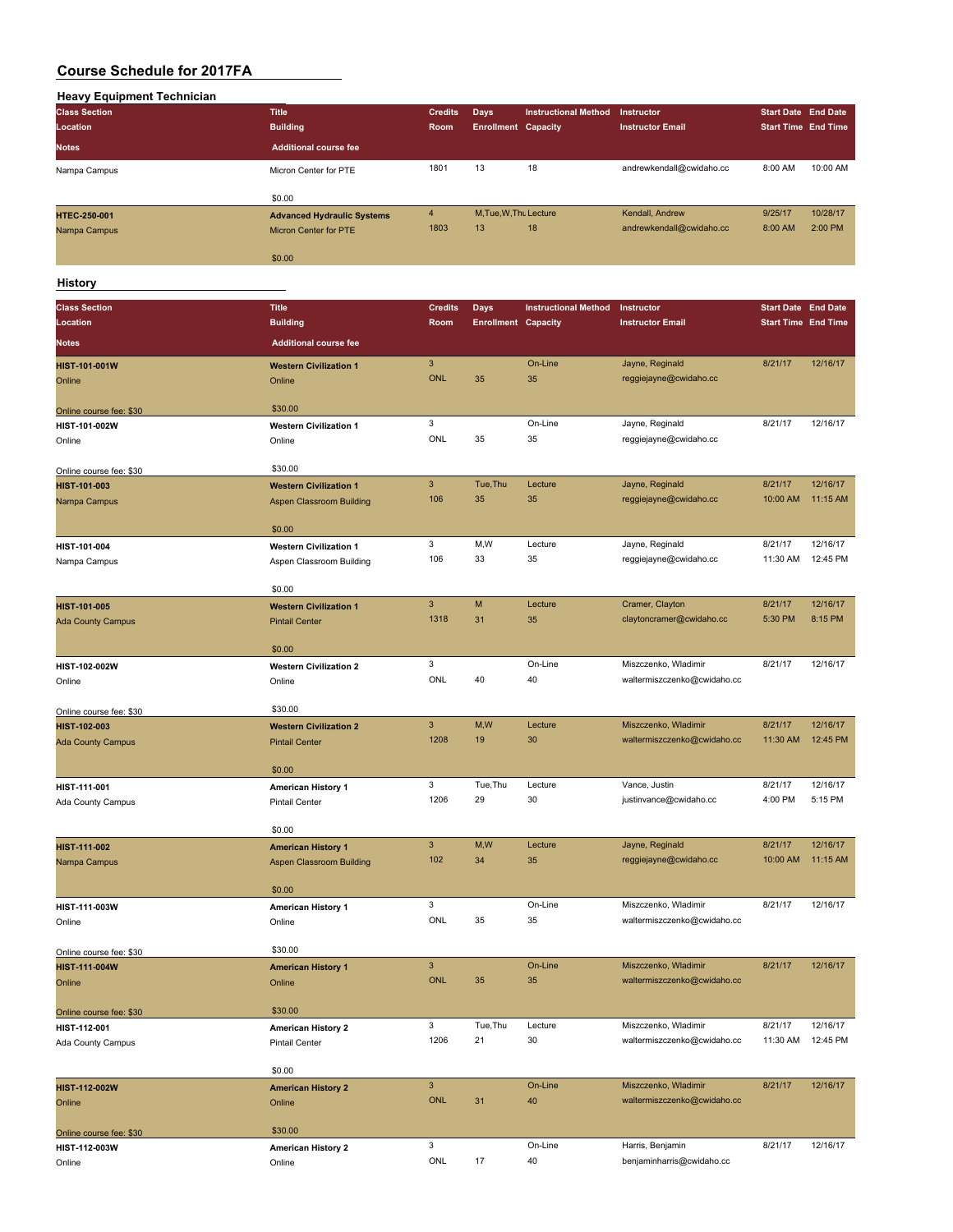| <b>Heavy Equipment Technician</b> |                                   |                |                            |                             |                             |                            |          |
|-----------------------------------|-----------------------------------|----------------|----------------------------|-----------------------------|-----------------------------|----------------------------|----------|
| <b>Class Section</b>              | <b>Title</b>                      | <b>Credits</b> | <b>Days</b>                | <b>Instructional Method</b> | Instructor                  | <b>Start Date End Date</b> |          |
| Location                          | <b>Building</b>                   | Room           | <b>Enrollment Capacity</b> |                             | <b>Instructor Email</b>     | <b>Start Time End Time</b> |          |
|                                   |                                   |                |                            |                             |                             |                            |          |
| <b>Notes</b>                      | <b>Additional course fee</b>      |                |                            |                             |                             |                            |          |
| Nampa Campus                      | Micron Center for PTE             | 1801           | 13                         | 18                          | andrewkendall@cwidaho.cc    | 8:00 AM                    | 10:00 AM |
|                                   |                                   |                |                            |                             |                             |                            |          |
|                                   | \$0.00                            |                |                            |                             |                             |                            |          |
| HTEC-250-001                      | <b>Advanced Hydraulic Systems</b> | $\overline{4}$ | M, Tue, W, Thu Lecture     |                             | Kendall, Andrew             | 9/25/17                    | 10/28/17 |
| Nampa Campus                      | Micron Center for PTE             | 1803           | 13                         | 18                          | andrewkendall@cwidaho.cc    | 8:00 AM                    | 2:00 PM  |
|                                   |                                   |                |                            |                             |                             |                            |          |
|                                   | \$0.00                            |                |                            |                             |                             |                            |          |
|                                   |                                   |                |                            |                             |                             |                            |          |
| History                           |                                   |                |                            |                             |                             |                            |          |
| <b>Class Section</b>              | <b>Title</b>                      | <b>Credits</b> | <b>Days</b>                | <b>Instructional Method</b> | Instructor                  | <b>Start Date End Date</b> |          |
| Location                          | <b>Building</b>                   | Room           | <b>Enrollment Capacity</b> |                             | <b>Instructor Email</b>     | <b>Start Time End Time</b> |          |
| <b>Notes</b>                      | <b>Additional course fee</b>      |                |                            |                             |                             |                            |          |
|                                   |                                   |                |                            |                             |                             |                            |          |
| HIST-101-001W                     | <b>Western Civilization 1</b>     | $\mathbf{3}$   |                            | On-Line                     | Jayne, Reginald             | 8/21/17                    | 12/16/17 |
| Online                            | Online                            | <b>ONL</b>     | 35                         | 35                          | reggiejayne@cwidaho.cc      |                            |          |
|                                   |                                   |                |                            |                             |                             |                            |          |
| Online course fee: \$30           | \$30.00                           |                |                            |                             |                             |                            |          |
| HIST-101-002W                     | <b>Western Civilization 1</b>     | 3              |                            | On-Line                     | Jayne, Reginald             | 8/21/17                    | 12/16/17 |
| Online                            | Online                            | <b>ONL</b>     | 35                         | 35                          | reggiejayne@cwidaho.cc      |                            |          |
|                                   |                                   |                |                            |                             |                             |                            |          |
| Online course fee: \$30           | \$30.00                           |                |                            |                             |                             |                            |          |
| HIST-101-003                      | <b>Western Civilization 1</b>     | $\mathbf{3}$   | Tue.Thu                    | Lecture                     | Jayne, Reginald             | 8/21/17                    | 12/16/17 |
| Nampa Campus                      | <b>Aspen Classroom Building</b>   | 106            | 35                         | 35                          | reggiejayne@cwidaho.cc      | 10:00 AM                   | 11:15 AM |
|                                   |                                   |                |                            |                             |                             |                            |          |
|                                   | \$0.00                            |                |                            |                             |                             |                            |          |
| HIST-101-004                      | <b>Western Civilization 1</b>     | 3              | M, W                       | Lecture                     | Jayne, Reginald             | 8/21/17                    | 12/16/17 |
| Nampa Campus                      | Aspen Classroom Building          | 106            | 33                         | 35                          | reggiejayne@cwidaho.cc      | 11:30 AM                   | 12:45 PM |
|                                   |                                   |                |                            |                             |                             |                            |          |
|                                   | \$0.00                            |                |                            |                             |                             |                            |          |
| HIST-101-005                      | <b>Western Civilization 1</b>     | $\overline{3}$ | M                          | Lecture                     | Cramer, Clayton             | 8/21/17                    | 12/16/17 |
| <b>Ada County Campus</b>          | <b>Pintail Center</b>             | 1318           | 31                         | 35                          | claytoncramer@cwidaho.cc    | 5:30 PM                    | 8:15 PM  |
|                                   |                                   |                |                            |                             |                             |                            |          |
|                                   | \$0.00                            |                |                            |                             |                             |                            |          |
| HIST-102-002W                     | <b>Western Civilization 2</b>     | 3              |                            | On-Line                     | Miszczenko, Wladimir        | 8/21/17                    | 12/16/17 |
| Online                            | Online                            | ONL            | 40                         | 40                          | waltermiszczenko@cwidaho.cc |                            |          |
|                                   |                                   |                |                            |                             |                             |                            |          |
| Online course fee: \$30           | \$30.00                           |                |                            |                             |                             |                            |          |
| HIST-102-003                      | <b>Western Civilization 2</b>     | $\mathbf{3}$   | M,W                        | Lecture                     | Miszczenko, Wladimir        | 8/21/17                    | 12/16/17 |
| <b>Ada County Campus</b>          | <b>Pintail Center</b>             | 1208           | 19                         | 30                          | waltermiszczenko@cwidaho.cc | 11:30 AM                   | 12:45 PM |
|                                   |                                   |                |                            |                             |                             |                            |          |
|                                   | \$0.00                            |                |                            |                             |                             |                            |          |
| HIST-111-001                      | American History 1                | 3              | Tue, Thu                   | Lecture                     | Vance, Justin               | 8/21/17                    | 12/16/17 |
| Ada County Campus                 | <b>Pintail Center</b>             | 1206           | 29                         | 30                          | justinvance@cwidaho.cc      | 4:00 PM                    | 5:15 PM  |
|                                   |                                   |                |                            |                             |                             |                            |          |
|                                   | \$0.00                            |                |                            |                             |                             |                            |          |
| HIST-111-002                      | <b>American History 1</b>         | $\mathbf{3}$   | M,W                        | Lecture                     | Jayne, Reginald             | 8/21/17                    | 12/16/17 |
|                                   |                                   | 102            | 34                         | 35                          | reggiejayne@cwidaho.cc      | 10:00 AM                   | 11:15 AM |
| Nampa Campus                      | Aspen Classroom Building          |                |                            |                             |                             |                            |          |
|                                   | \$0.00                            |                |                            |                             |                             |                            |          |
|                                   |                                   | 3              |                            | On-Line                     | Miszczenko, Wladimir        | 8/21/17                    | 12/16/17 |
| HIST-111-003W                     | <b>American History 1</b>         | ONL            | 35                         | 35                          | waltermiszczenko@cwidaho.cc |                            |          |
| Online                            | Online                            |                |                            |                             |                             |                            |          |
|                                   | \$30.00                           |                |                            |                             |                             |                            |          |
| Online course fee: \$30           |                                   | $\mathbf{3}$   |                            | On-Line                     | Miszczenko, Wladimir        | 8/21/17                    | 12/16/17 |
| HIST-111-004W                     | <b>American History 1</b>         | <b>ONL</b>     | 35                         | 35                          |                             |                            |          |
| Online                            | Online                            |                |                            |                             | waltermiszczenko@cwidaho.cc |                            |          |
|                                   |                                   |                |                            |                             |                             |                            |          |
| Online course fee: \$30           | \$30.00                           |                |                            |                             |                             |                            |          |
| HIST-112-001                      | <b>American History 2</b>         | 3              | Tue, Thu                   | Lecture                     | Miszczenko, Wladimir        | 8/21/17                    | 12/16/17 |
| Ada County Campus                 | Pintail Center                    | 1206           | 21                         | 30                          | waltermiszczenko@cwidaho.cc | 11:30 AM                   | 12:45 PM |
|                                   |                                   |                |                            |                             |                             |                            |          |
|                                   | \$0.00                            |                |                            |                             |                             |                            |          |
| HIST-112-002W                     | <b>American History 2</b>         | $\mathbf{3}$   |                            | On-Line                     | Miszczenko, Wladimir        | 8/21/17                    | 12/16/17 |
| Online                            | Online                            | ONL            | 31                         | 40                          | waltermiszczenko@cwidaho.cc |                            |          |
|                                   |                                   |                |                            |                             |                             |                            |          |
| Online course fee: \$30           | \$30.00                           |                |                            |                             |                             |                            |          |
| HIST-112-003W                     | <b>American History 2</b>         | 3              |                            | On-Line                     | Harris, Benjamin            | 8/21/17                    | 12/16/17 |
| Online                            | Online                            | ONL            | 17                         | 40                          | benjaminharris@cwidaho.cc   |                            |          |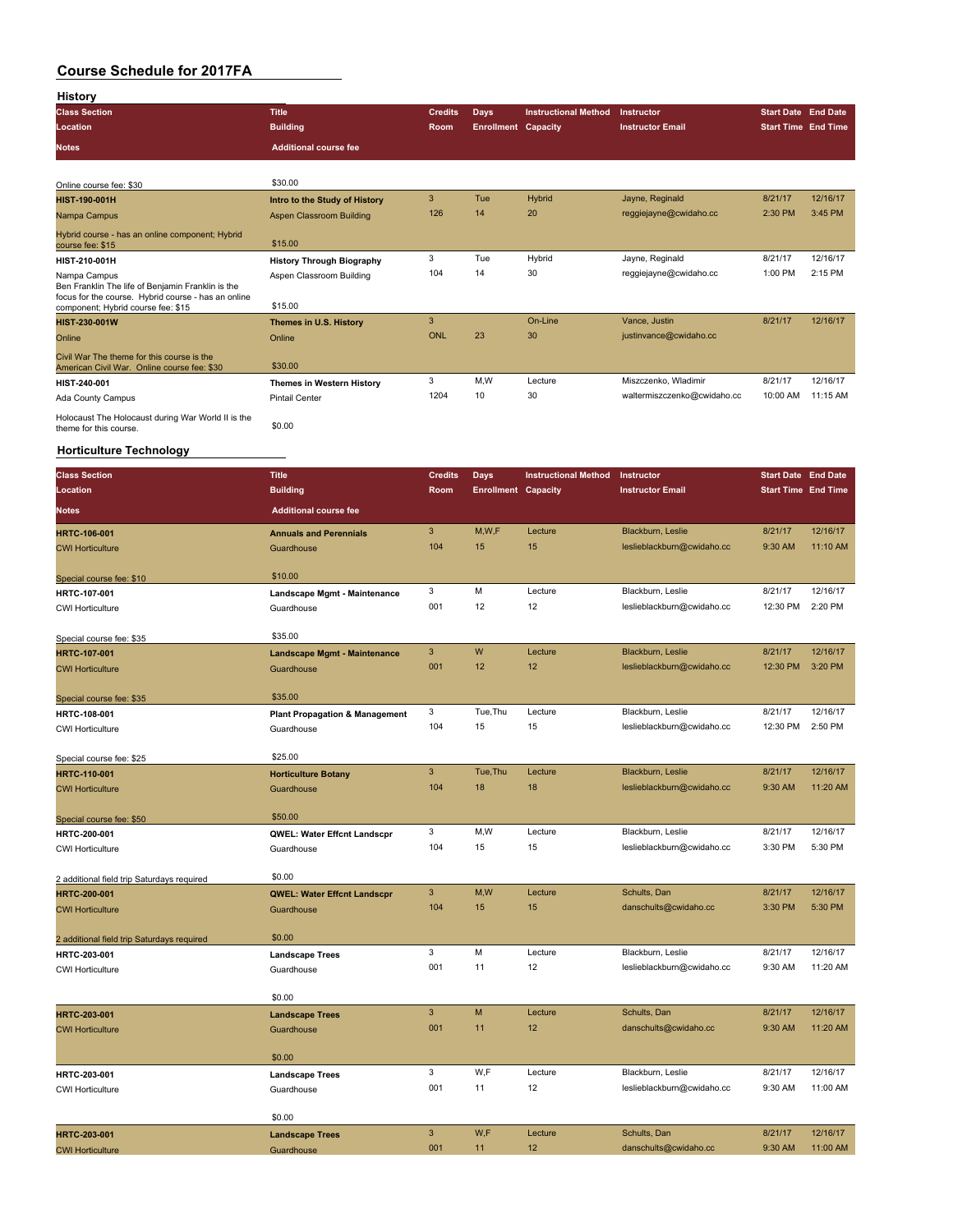| History                                                                                                  |                                           |                |                            |                             |                             |                            |          |
|----------------------------------------------------------------------------------------------------------|-------------------------------------------|----------------|----------------------------|-----------------------------|-----------------------------|----------------------------|----------|
| <b>Class Section</b>                                                                                     | <b>Title</b>                              | <b>Credits</b> | Days                       | <b>Instructional Method</b> | Instructor                  | <b>Start Date End Date</b> |          |
| Location                                                                                                 | <b>Building</b>                           | Room           | <b>Enrollment Capacity</b> |                             | <b>Instructor Email</b>     | <b>Start Time End Time</b> |          |
| <b>Notes</b>                                                                                             | <b>Additional course fee</b>              |                |                            |                             |                             |                            |          |
|                                                                                                          |                                           |                |                            |                             |                             |                            |          |
| Online course fee: \$30                                                                                  | \$30.00                                   |                |                            |                             |                             |                            |          |
| <b>HIST-190-001H</b>                                                                                     | Intro to the Study of History             | 3              | Tue                        | Hybrid                      | Jayne, Reginald             | 8/21/17                    | 12/16/17 |
| Nampa Campus                                                                                             | <b>Aspen Classroom Building</b>           | 126            | 14                         | 20                          | reggiejayne@cwidaho.cc      | 2:30 PM                    | 3:45 PM  |
| Hybrid course - has an online component; Hybrid                                                          |                                           |                |                            |                             |                             |                            |          |
| course fee: \$15                                                                                         | \$15.00                                   |                |                            |                             |                             |                            |          |
| <b>HIST-210-001H</b>                                                                                     | <b>History Through Biography</b>          | 3              | Tue                        | Hybrid                      | Jayne, Reginald             | 8/21/17                    | 12/16/17 |
| Nampa Campus                                                                                             | Aspen Classroom Building                  | 104            | 14                         | 30                          | reggiejayne@cwidaho.cc      | 1:00 PM                    | 2:15 PM  |
| Ben Franklin The life of Benjamin Franklin is the<br>focus for the course. Hybrid course - has an online |                                           |                |                            |                             |                             |                            |          |
| component; Hybrid course fee: \$15                                                                       | \$15.00                                   |                |                            |                             |                             |                            |          |
| HIST-230-001W                                                                                            | Themes in U.S. History                    | 3              |                            | On-Line                     | Vance, Justin               | 8/21/17                    | 12/16/17 |
| Online                                                                                                   | Online                                    | <b>ONL</b>     | 23                         | 30                          | justinvance@cwidaho.cc      |                            |          |
| Civil War The theme for this course is the                                                               |                                           |                |                            |                             |                             |                            |          |
| American Civil War. Online course fee: \$30                                                              | \$30.00                                   |                |                            |                             |                             |                            |          |
| HIST-240-001                                                                                             | <b>Themes in Western History</b>          | 3              | M,W                        | Lecture                     | Miszczenko, Wladimir        | 8/21/17                    | 12/16/17 |
| Ada County Campus                                                                                        | <b>Pintail Center</b>                     | 1204           | 10                         | 30                          | waltermiszczenko@cwidaho.cc | 10:00 AM                   | 11:15 AM |
| Holocaust The Holocaust during War World II is the                                                       | \$0.00                                    |                |                            |                             |                             |                            |          |
| theme for this course.                                                                                   |                                           |                |                            |                             |                             |                            |          |
| <b>Horticulture Technology</b>                                                                           |                                           |                |                            |                             |                             |                            |          |
|                                                                                                          |                                           |                |                            |                             |                             |                            |          |
| <b>Class Section</b>                                                                                     | <b>Title</b>                              | <b>Credits</b> | Days                       | <b>Instructional Method</b> | Instructor                  | <b>Start Date End Date</b> |          |
| Location                                                                                                 | <b>Building</b>                           | Room           | <b>Enrollment Capacity</b> |                             | <b>Instructor Email</b>     | <b>Start Time End Time</b> |          |
| Notes                                                                                                    | <b>Additional course fee</b>              |                |                            |                             |                             |                            |          |
| <b>HRTC-106-001</b>                                                                                      | <b>Annuals and Perennials</b>             | 3              | M,W,F                      | Lecture                     | Blackburn, Leslie           | 8/21/17                    | 12/16/17 |
| <b>CWI Horticulture</b>                                                                                  | Guardhouse                                | 104            | 15                         | 15                          | leslieblackburn@cwidaho.cc  | 9:30 AM                    | 11:10 AM |
|                                                                                                          |                                           |                |                            |                             |                             |                            |          |
| Special course fee: \$10                                                                                 | \$10.00                                   |                |                            |                             |                             |                            |          |
| <b>HRTC-107-001</b>                                                                                      | Landscape Mgmt - Maintenance              | 3              | M                          | Lecture                     | Blackburn, Leslie           | 8/21/17                    | 12/16/17 |
| <b>CWI Horticulture</b>                                                                                  | Guardhouse                                | 001            | 12                         | 12                          | leslieblackburn@cwidaho.cc  | 12:30 PM                   | 2:20 PM  |
|                                                                                                          |                                           |                |                            |                             |                             |                            |          |
| Special course fee: \$35                                                                                 | \$35.00                                   |                |                            |                             |                             |                            |          |
| <b>HRTC-107-001</b>                                                                                      | Landscape Mgmt - Maintenance              | 3              | W                          | Lecture                     | Blackburn, Leslie           | 8/21/17                    | 12/16/17 |
| <b>CWI Horticulture</b>                                                                                  | Guardhouse                                | 001            | 12                         | 12                          | leslieblackburn@cwidaho.cc  | 12:30 PM                   | 3:20 PM  |
|                                                                                                          | \$35.00                                   |                |                            |                             |                             |                            |          |
| Special course fee: \$35                                                                                 |                                           | 3              | Tue, Thu                   | Lecture                     | Blackburn, Leslie           | 8/21/17                    | 12/16/17 |
| HRTC-108-001                                                                                             | <b>Plant Propagation &amp; Management</b> | 104            | 15                         | 15                          | leslieblackburn@cwidaho.cc  | 12:30 PM                   | 2:50 PM  |
| <b>CWI Horticulture</b>                                                                                  | Guardhouse                                |                |                            |                             |                             |                            |          |
| Special course fee: \$25                                                                                 | \$25.00                                   |                |                            |                             |                             |                            |          |
| <b>HRTC-110-001</b>                                                                                      | <b>Horticulture Botany</b>                | 3              | Tue, Thu                   | Lecture                     | Blackburn, Leslie           | 8/21/17                    | 12/16/17 |
| <b>CWI Horticulture</b>                                                                                  | Guardhouse                                | 104            | 18                         | 18                          | leslieblackburn@cwidaho.cc  | 9:30 AM                    | 11:20 AM |
|                                                                                                          |                                           |                |                            |                             |                             |                            |          |
| Special course fee: \$50                                                                                 | \$50.00                                   |                |                            |                             |                             |                            |          |
| HRTC-200-001                                                                                             | QWEL: Water Effcnt Landscpr               | 3              | M,W                        | Lecture                     | Blackburn, Leslie           | 8/21/17                    | 12/16/17 |
| <b>CWI Horticulture</b>                                                                                  | Guardhouse                                | 104            | 15                         | 15                          | leslieblackburn@cwidaho.cc  | 3:30 PM                    | 5:30 PM  |
|                                                                                                          |                                           |                |                            |                             |                             |                            |          |
| 2 additional field trip Saturdays required                                                               | \$0.00                                    |                |                            |                             |                             |                            |          |
| <b>HRTC-200-001</b>                                                                                      | <b>QWEL: Water Effcnt Landscpr</b>        | 3              | M,W                        | Lecture                     | Schults, Dan                | 8/21/17                    | 12/16/17 |
| <b>CWI Horticulture</b>                                                                                  | Guardhouse                                | 104            | 15                         | 15                          | danschults@cwidaho.cc       | 3:30 PM                    | 5:30 PM  |
|                                                                                                          |                                           |                |                            |                             |                             |                            |          |
| 2 additional field trip Saturdays required                                                               | \$0.00                                    |                |                            |                             |                             |                            |          |
| <b>HRTC-203-001</b>                                                                                      | <b>Landscape Trees</b>                    | 3              | М                          | Lecture                     | Blackburn, Leslie           | 8/21/17                    | 12/16/17 |
| <b>CWI Horticulture</b>                                                                                  | Guardhouse                                | 001            | 11                         | 12                          | leslieblackburn@cwidaho.cc  | 9:30 AM                    | 11:20 AM |
|                                                                                                          | \$0.00                                    |                |                            |                             |                             |                            |          |
|                                                                                                          |                                           | $\mathbf{3}$   | M                          | Lecture                     | Schults, Dan                | 8/21/17                    | 12/16/17 |
| HRTC-203-001                                                                                             | <b>Landscape Trees</b>                    | 001            | 11                         | 12                          | danschults@cwidaho.cc       | 9:30 AM                    | 11:20 AM |
| <b>CWI Horticulture</b>                                                                                  | Guardhouse                                |                |                            |                             |                             |                            |          |
|                                                                                                          | \$0.00                                    |                |                            |                             |                             |                            |          |
| <b>HRTC-203-001</b>                                                                                      | <b>Landscape Trees</b>                    | 3              | W,F                        | Lecture                     | Blackburn, Leslie           | 8/21/17                    | 12/16/17 |
| <b>CWI Horticulture</b>                                                                                  | Guardhouse                                | 001            | 11                         | 12                          | leslieblackburn@cwidaho.cc  | 9:30 AM                    | 11:00 AM |
|                                                                                                          |                                           |                |                            |                             |                             |                            |          |
|                                                                                                          | \$0.00                                    |                |                            |                             |                             |                            |          |
| HRTC-203-001                                                                                             | <b>Landscape Trees</b>                    | $\mathbf{3}$   | W,F                        | Lecture                     | Schults, Dan                | 8/21/17                    | 12/16/17 |
| <b>CWI Horticulture</b>                                                                                  | Guardhouse                                | 001            | 11                         | 12                          | danschults@cwidaho.cc       | 9:30 AM                    | 11:00 AM |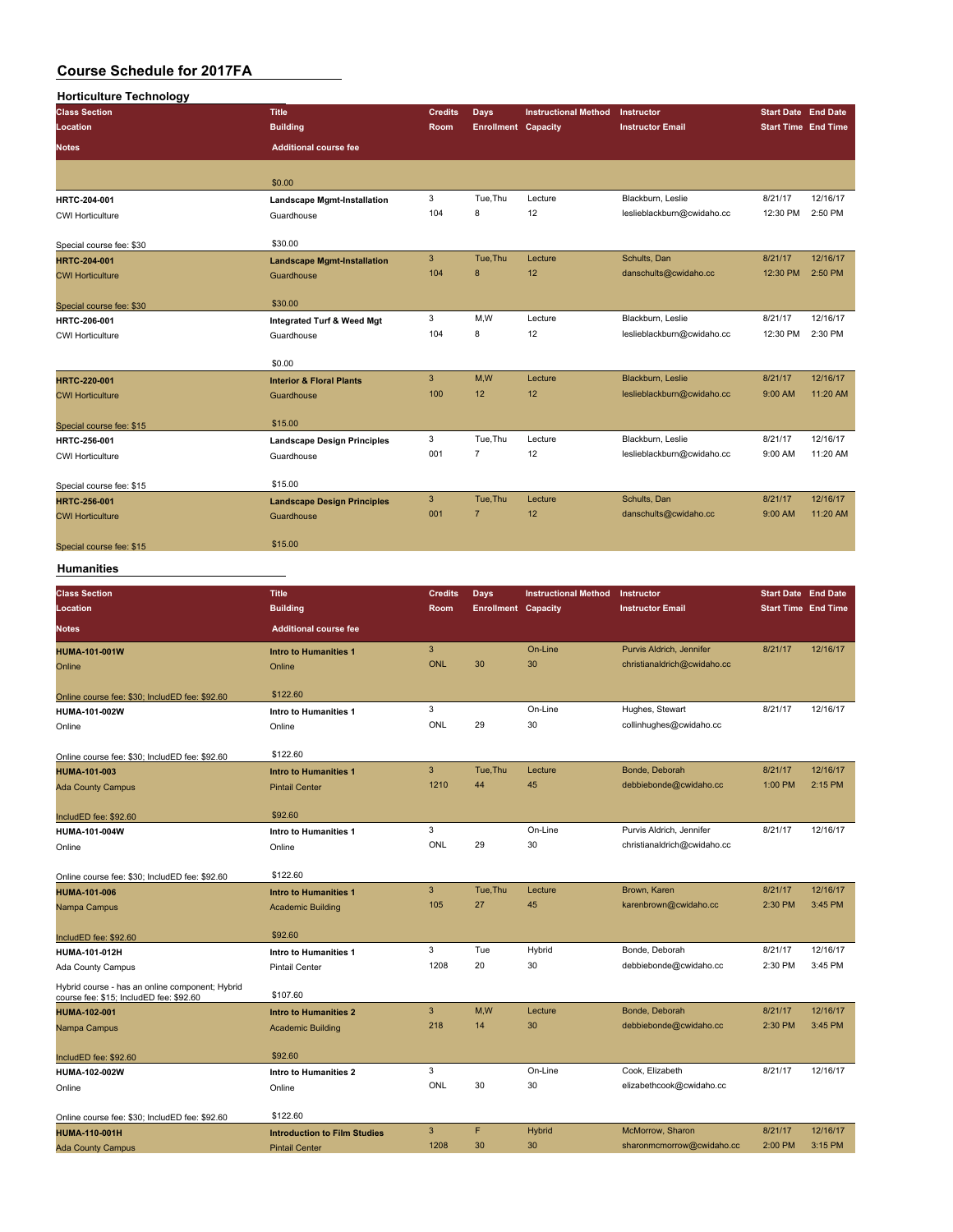| <b>Horticulture Technology</b> |                                       |                |                            |                             |                            |                            |          |
|--------------------------------|---------------------------------------|----------------|----------------------------|-----------------------------|----------------------------|----------------------------|----------|
| <b>Class Section</b>           | <b>Title</b>                          | <b>Credits</b> | <b>Days</b>                | <b>Instructional Method</b> | Instructor                 | <b>Start Date End Date</b> |          |
| Location                       | <b>Building</b>                       | Room           | <b>Enrollment Capacity</b> |                             | <b>Instructor Email</b>    | <b>Start Time End Time</b> |          |
| <b>Notes</b>                   | <b>Additional course fee</b>          |                |                            |                             |                            |                            |          |
|                                | \$0.00                                |                |                            |                             |                            |                            |          |
| HRTC-204-001                   | <b>Landscape Mgmt-Installation</b>    | 3              | Tue, Thu                   | Lecture                     | Blackburn, Leslie          | 8/21/17                    | 12/16/17 |
| <b>CWI Horticulture</b>        | Guardhouse                            | 104            | 8                          | 12                          | leslieblackburn@cwidaho.cc | 12:30 PM                   | 2:50 PM  |
| Special course fee: \$30       | \$30.00                               |                |                            |                             |                            |                            |          |
| HRTC-204-001                   | <b>Landscape Mgmt-Installation</b>    | 3              | Tue.Thu                    | Lecture                     | Schults, Dan               | 8/21/17                    | 12/16/17 |
| <b>CWI Horticulture</b>        | Guardhouse                            | 104            | 8                          | 12                          | danschults@cwidaho.cc      | 12:30 PM                   | 2:50 PM  |
| Special course fee: \$30       | \$30.00                               |                |                            |                             |                            |                            |          |
| HRTC-206-001                   | <b>Integrated Turf &amp; Weed Mgt</b> | 3              | M,W                        | Lecture                     | Blackburn, Leslie          | 8/21/17                    | 12/16/17 |
| <b>CWI Horticulture</b>        | Guardhouse                            | 104            | 8                          | 12                          | leslieblackburn@cwidaho.cc | 12:30 PM                   | 2:30 PM  |
|                                | \$0.00                                |                |                            |                             |                            |                            |          |
| HRTC-220-001                   | <b>Interior &amp; Floral Plants</b>   | 3              | M,W                        | Lecture                     | Blackburn, Leslie          | 8/21/17                    | 12/16/17 |
| <b>CWI Horticulture</b>        | Guardhouse                            | 100            | 12                         | 12                          | leslieblackburn@cwidaho.cc | 9:00 AM                    | 11:20 AM |
| Special course fee: \$15       | \$15.00                               |                |                            |                             |                            |                            |          |
| HRTC-256-001                   | <b>Landscape Design Principles</b>    | 3              | Tue, Thu                   | Lecture                     | Blackburn, Leslie          | 8/21/17                    | 12/16/17 |
| <b>CWI Horticulture</b>        | Guardhouse                            | 001            | $\overline{7}$             | 12                          | leslieblackburn@cwidaho.cc | 9:00 AM                    | 11:20 AM |
| Special course fee: \$15       | \$15.00                               |                |                            |                             |                            |                            |          |
| HRTC-256-001                   | <b>Landscape Design Principles</b>    | $\mathbf{3}$   | Tue.Thu                    | Lecture                     | Schults, Dan               | 8/21/17                    | 12/16/17 |
| <b>CWI Horticulture</b>        | Guardhouse                            | 001            | $\overline{7}$             | 12                          | danschults@cwidaho.cc      | 9:00 AM                    | 11:20 AM |
| Special course fee: \$15       | \$15.00                               |                |                            |                             |                            |                            |          |

#### **Humanities**

| <b>Class Section</b>                                                                       | Title                               | <b>Credits</b> | <b>Days</b>                | <b>Instructional Method</b> | Instructor                  | <b>Start Date End Date</b> |          |
|--------------------------------------------------------------------------------------------|-------------------------------------|----------------|----------------------------|-----------------------------|-----------------------------|----------------------------|----------|
| Location                                                                                   | <b>Building</b>                     | Room           | <b>Enrollment Capacity</b> |                             | <b>Instructor Email</b>     | <b>Start Time End Time</b> |          |
| <b>Notes</b>                                                                               | <b>Additional course fee</b>        |                |                            |                             |                             |                            |          |
| <b>HUMA-101-001W</b>                                                                       | <b>Intro to Humanities 1</b>        | 3              |                            | On-Line                     | Purvis Aldrich, Jennifer    | 8/21/17                    | 12/16/17 |
| Online                                                                                     | Online                              | <b>ONL</b>     | 30                         | 30                          | christianaldrich@cwidaho.cc |                            |          |
| Online course fee: \$30; IncludED fee: \$92.60                                             | \$122.60                            |                |                            |                             |                             |                            |          |
| HUMA-101-002W                                                                              | Intro to Humanities 1               | 3              |                            | On-Line                     | Hughes, Stewart             | 8/21/17                    | 12/16/17 |
| Online                                                                                     | Online                              | ONL            | 29                         | 30                          | collinhughes@cwidaho.cc     |                            |          |
| Online course fee: \$30; IncludED fee: \$92.60                                             | \$122.60                            |                |                            |                             |                             |                            |          |
| <b>HUMA-101-003</b>                                                                        | <b>Intro to Humanities 1</b>        | $\mathbf{3}$   | Tue.Thu                    | Lecture                     | Bonde, Deborah              | 8/21/17                    | 12/16/17 |
| <b>Ada County Campus</b>                                                                   | <b>Pintail Center</b>               | 1210           | 44                         | 45                          | debbiebonde@cwidaho.cc      | 1:00 PM                    | 2:15 PM  |
| IncludED fee: \$92.60                                                                      | \$92.60                             |                |                            |                             |                             |                            |          |
| HUMA-101-004W                                                                              | Intro to Humanities 1               | 3              |                            | On-Line                     | Purvis Aldrich, Jennifer    | 8/21/17                    | 12/16/17 |
| Online                                                                                     | Online                              | ONL            | 29                         | 30                          | christianaldrich@cwidaho.cc |                            |          |
| Online course fee: \$30; IncludED fee: \$92.60                                             | \$122.60                            |                |                            |                             |                             |                            |          |
| <b>HUMA-101-006</b>                                                                        | <b>Intro to Humanities 1</b>        | 3              | Tue, Thu                   | Lecture                     | Brown, Karen                | 8/21/17                    | 12/16/17 |
| Nampa Campus                                                                               | <b>Academic Building</b>            | 105            | 27                         | 45                          | karenbrown@cwidaho.cc       | 2:30 PM                    | 3:45 PM  |
| IncludED fee: \$92.60                                                                      | \$92.60                             |                |                            |                             |                             |                            |          |
| HUMA-101-012H                                                                              | Intro to Humanities 1               | 3              | Tue                        | Hybrid                      | Bonde, Deborah              | 8/21/17                    | 12/16/17 |
| Ada County Campus                                                                          | <b>Pintail Center</b>               | 1208           | 20                         | 30                          | debbiebonde@cwidaho.cc      | 2:30 PM                    | 3:45 PM  |
| Hybrid course - has an online component; Hybrid<br>course fee: \$15; IncludED fee: \$92.60 | \$107.60                            |                |                            |                             |                             |                            |          |
| <b>HUMA-102-001</b>                                                                        | <b>Intro to Humanities 2</b>        | 3              | M,W                        | Lecture                     | Bonde, Deborah              | 8/21/17                    | 12/16/17 |
| Nampa Campus                                                                               | <b>Academic Building</b>            | 218            | 14                         | 30                          | debbiebonde@cwidaho.cc      | 2:30 PM                    | 3:45 PM  |
| IncludED fee: \$92.60                                                                      | \$92.60                             |                |                            |                             |                             |                            |          |
| HUMA-102-002W                                                                              | Intro to Humanities 2               | 3              |                            | On-Line                     | Cook, Elizabeth             | 8/21/17                    | 12/16/17 |
| Online                                                                                     | Online                              | ONL            | 30                         | 30                          | elizabethcook@cwidaho.cc    |                            |          |
| Online course fee: \$30; IncludED fee: \$92.60                                             | \$122.60                            |                |                            |                             |                             |                            |          |
| <b>HUMA-110-001H</b>                                                                       | <b>Introduction to Film Studies</b> | 3              | F                          | <b>Hybrid</b>               | McMorrow, Sharon            | 8/21/17                    | 12/16/17 |
| <b>Ada County Campus</b>                                                                   | <b>Pintail Center</b>               | 1208           | 30                         | 30                          | sharonmcmorrow@cwidaho.cc   | 2:00 PM                    | 3:15 PM  |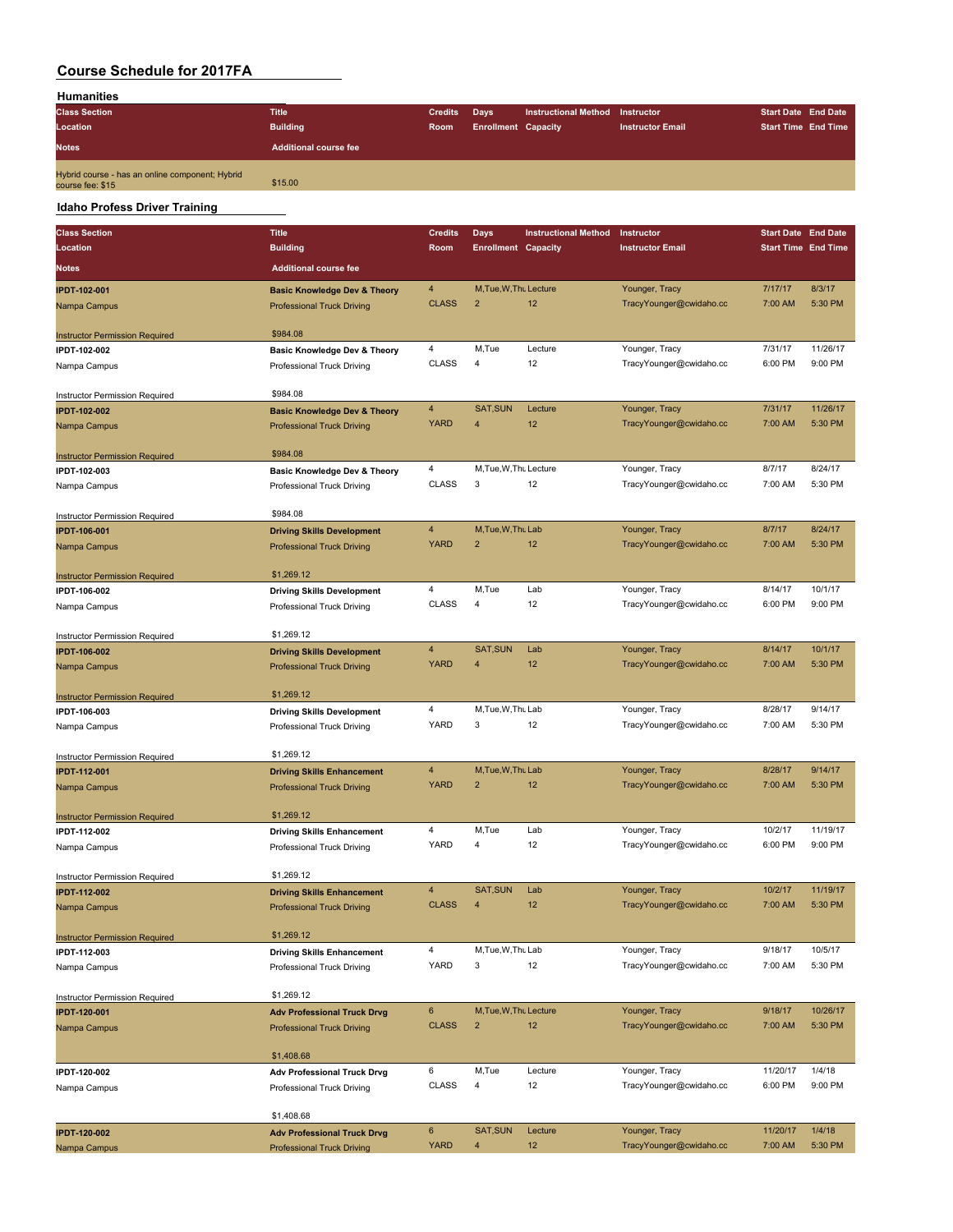| <b>Humanities</b>    |                              |                |                            |                             |                         |                            |  |
|----------------------|------------------------------|----------------|----------------------------|-----------------------------|-------------------------|----------------------------|--|
| <b>Class Section</b> | <b>Title</b>                 | <b>Credits</b> | Days                       | <b>Instructional Method</b> | Instructor              | <b>Start Date End Date</b> |  |
| Location             | <b>Building</b>              | Room           | <b>Enrollment Capacity</b> |                             | <b>Instructor Email</b> | <b>Start Time End Time</b> |  |
| <b>Notes</b>         | <b>Additional course fee</b> |                |                            |                             |                         |                            |  |
|                      |                              |                |                            |                             |                         |                            |  |

#### **Idaho Profess Driver Training**

| <b>Class Section</b>                                  | <b>Title</b>                                                            | <b>Credits</b> | <b>Days</b>                | <b>Instructional Method</b> | Instructor              | <b>Start Date</b> End Date |          |
|-------------------------------------------------------|-------------------------------------------------------------------------|----------------|----------------------------|-----------------------------|-------------------------|----------------------------|----------|
| Location                                              | <b>Building</b>                                                         | Room           | <b>Enrollment Capacity</b> |                             | <b>Instructor Email</b> | <b>Start Time End Time</b> |          |
| <b>Notes</b>                                          | <b>Additional course fee</b>                                            |                |                            |                             |                         |                            |          |
|                                                       |                                                                         |                |                            |                             |                         |                            |          |
| <b>IPDT-102-001</b>                                   | <b>Basic Knowledge Dev &amp; Theory</b>                                 | $\overline{4}$ | M, Tue, W, Thu Lecture     |                             | Younger, Tracy          | 7/17/17                    | 8/3/17   |
| Nampa Campus                                          | <b>Professional Truck Driving</b>                                       | <b>CLASS</b>   | $\overline{2}$             | 12                          | TracyYounger@cwidaho.cc | 7:00 AM                    | 5:30 PM  |
|                                                       | \$984.08                                                                |                |                            |                             |                         |                            |          |
| <b>Instructor Permission Required</b><br>IPDT-102-002 | Basic Knowledge Dev & Theory                                            | 4              | M,Tue                      | Lecture                     | Younger, Tracy          | 7/31/17                    | 11/26/17 |
| Nampa Campus                                          | Professional Truck Driving                                              | <b>CLASS</b>   | $\overline{4}$             | 12                          | TracyYounger@cwidaho.cc | 6:00 PM                    | 9:00 PM  |
|                                                       |                                                                         |                |                            |                             |                         |                            |          |
| Instructor Permission Required                        | \$984.08                                                                |                |                            |                             |                         |                            |          |
| <b>IPDT-102-002</b>                                   | <b>Basic Knowledge Dev &amp; Theory</b>                                 | 4              | SAT, SUN                   | Lecture                     | Younger, Tracy          | 7/31/17                    | 11/26/17 |
| Nampa Campus                                          | <b>Professional Truck Driving</b>                                       | <b>YARD</b>    | $\overline{4}$             | 12                          | TracyYounger@cwidaho.cc | 7:00 AM                    | 5:30 PM  |
|                                                       |                                                                         |                |                            |                             |                         |                            |          |
| <b>Instructor Permission Required</b>                 | \$984.08                                                                |                |                            |                             |                         |                            |          |
| IPDT-102-003                                          | <b>Basic Knowledge Dev &amp; Theory</b>                                 | 4              | M, Tue, W, Thu Lecture     |                             | Younger, Tracy          | 8/7/17                     | 8/24/17  |
| Nampa Campus                                          | Professional Truck Driving                                              | <b>CLASS</b>   | 3                          | 12                          | TracyYounger@cwidaho.cc | 7:00 AM                    | 5:30 PM  |
| Instructor Permission Required                        | \$984.08                                                                |                |                            |                             |                         |                            |          |
| <b>IPDT-106-001</b>                                   | <b>Driving Skills Development</b>                                       | 4              | M, Tue, W, Thu Lab         |                             | Younger, Tracy          | 8/7/17                     | 8/24/17  |
| Nampa Campus                                          | <b>Professional Truck Driving</b>                                       | <b>YARD</b>    | $\overline{2}$             | 12                          | TracyYounger@cwidaho.cc | 7:00 AM                    | 5:30 PM  |
|                                                       |                                                                         |                |                            |                             |                         |                            |          |
| <b>Instructor Permission Required</b>                 | \$1,269.12                                                              |                |                            |                             |                         |                            |          |
| IPDT-106-002                                          | <b>Driving Skills Development</b>                                       | 4              | M,Tue                      | Lab                         | Younger, Tracy          | 8/14/17                    | 10/1/17  |
| Nampa Campus                                          | Professional Truck Driving                                              | <b>CLASS</b>   | 4                          | 12                          | TracyYounger@cwidaho.cc | 6:00 PM                    | 9:00 PM  |
| Instructor Permission Required                        | \$1,269.12                                                              |                |                            |                             |                         |                            |          |
| <b>IPDT-106-002</b>                                   | <b>Driving Skills Development</b>                                       | $\overline{4}$ | SAT, SUN                   | Lab                         | Younger, Tracy          | 8/14/17                    | 10/1/17  |
| Nampa Campus                                          | <b>Professional Truck Driving</b>                                       | <b>YARD</b>    | 4                          | 12                          | TracyYounger@cwidaho.cc | 7:00 AM                    | 5:30 PM  |
|                                                       |                                                                         |                |                            |                             |                         |                            |          |
| <b>Instructor Permission Required</b>                 | \$1,269.12                                                              |                |                            |                             |                         |                            |          |
| IPDT-106-003                                          | <b>Driving Skills Development</b>                                       | 4              | M, Tue, W, Thu Lab         |                             | Younger, Tracy          | 8/28/17                    | 9/14/17  |
| Nampa Campus                                          | Professional Truck Driving                                              | YARD           | 3                          | 12                          | TracyYounger@cwidaho.cc | 7:00 AM                    | 5:30 PM  |
| Instructor Permission Required                        | \$1,269.12                                                              |                |                            |                             |                         |                            |          |
| <b>IPDT-112-001</b>                                   | <b>Driving Skills Enhancement</b>                                       | $\overline{4}$ | M, Tue, W, Thu Lab         |                             | Younger, Tracy          | 8/28/17                    | 9/14/17  |
| Nampa Campus                                          | <b>Professional Truck Driving</b>                                       | <b>YARD</b>    | $\overline{2}$             | 12                          | TracyYounger@cwidaho.cc | 7:00 AM                    | 5:30 PM  |
|                                                       |                                                                         |                |                            |                             |                         |                            |          |
| <b>Instructor Permission Required</b>                 | \$1,269.12                                                              |                |                            |                             |                         |                            |          |
| IPDT-112-002                                          | <b>Driving Skills Enhancement</b>                                       | 4              | M,Tue                      | Lab                         | Younger, Tracy          | 10/2/17                    | 11/19/17 |
| Nampa Campus                                          | Professional Truck Driving                                              | YARD           | 4                          | 12                          | TracyYounger@cwidaho.cc | 6:00 PM                    | 9:00 PM  |
|                                                       | \$1,269.12                                                              |                |                            |                             |                         |                            |          |
| Instructor Permission Required<br><b>IPDT-112-002</b> | <b>Driving Skills Enhancement</b>                                       | 4              | <b>SAT, SUN</b>            | Lab                         | Younger, Tracy          | 10/2/17                    | 11/19/17 |
| Nampa Campus                                          | <b>Professional Truck Driving</b>                                       | <b>CLASS</b>   | $\overline{4}$             | 12                          | TracyYounger@cwidaho.cc | 7:00 AM                    | 5:30 PM  |
|                                                       |                                                                         |                |                            |                             |                         |                            |          |
| <b>Instructor Permission Required</b>                 | \$1,269.12                                                              |                |                            |                             |                         |                            |          |
| IPDT-112-003                                          | <b>Driving Skills Enhancement</b>                                       | 4              | M, Tue, W, Thu Lab         |                             | Younger, Tracy          | 9/18/17                    | 10/5/17  |
| Nampa Campus                                          | Professional Truck Driving                                              | YARD           | 3                          | 12                          | TracyYounger@cwidaho.cc | 7:00 AM                    | 5:30 PM  |
|                                                       |                                                                         |                |                            |                             |                         |                            |          |
| Instructor Permission Required<br><b>IPDT-120-001</b> | \$1,269.12<br><b>Adv Professional Truck Drvg</b>                        | 6              | M, Tue, W, Thu Lecture     |                             | Younger, Tracy          | 9/18/17                    | 10/26/17 |
| Nampa Campus                                          | <b>Professional Truck Driving</b>                                       | <b>CLASS</b>   | $\overline{2}$             | 12                          | TracyYounger@cwidaho.cc | 7:00 AM                    | 5:30 PM  |
|                                                       |                                                                         |                |                            |                             |                         |                            |          |
|                                                       | \$1,408.68                                                              |                |                            |                             |                         |                            |          |
| IPDT-120-002                                          | <b>Adv Professional Truck Drvg</b>                                      | 6              | M,Tue                      | Lecture                     | Younger, Tracy          | 11/20/17                   | 1/4/18   |
| Nampa Campus                                          | Professional Truck Driving                                              | <b>CLASS</b>   | 4                          | 12                          | TracyYounger@cwidaho.cc | 6:00 PM                    | 9:00 PM  |
|                                                       |                                                                         |                |                            |                             |                         |                            |          |
| <b>IPDT-120-002</b>                                   | \$1,408.68                                                              | 6              | SAT, SUN                   | Lecture                     | Younger, Tracy          | 11/20/17                   | 1/4/18   |
| Nampa Campus                                          | <b>Adv Professional Truck Drvg</b><br><b>Professional Truck Driving</b> | <b>YARD</b>    | $\overline{4}$             | 12                          | TracyYounger@cwidaho.cc | 7:00 AM                    | 5:30 PM  |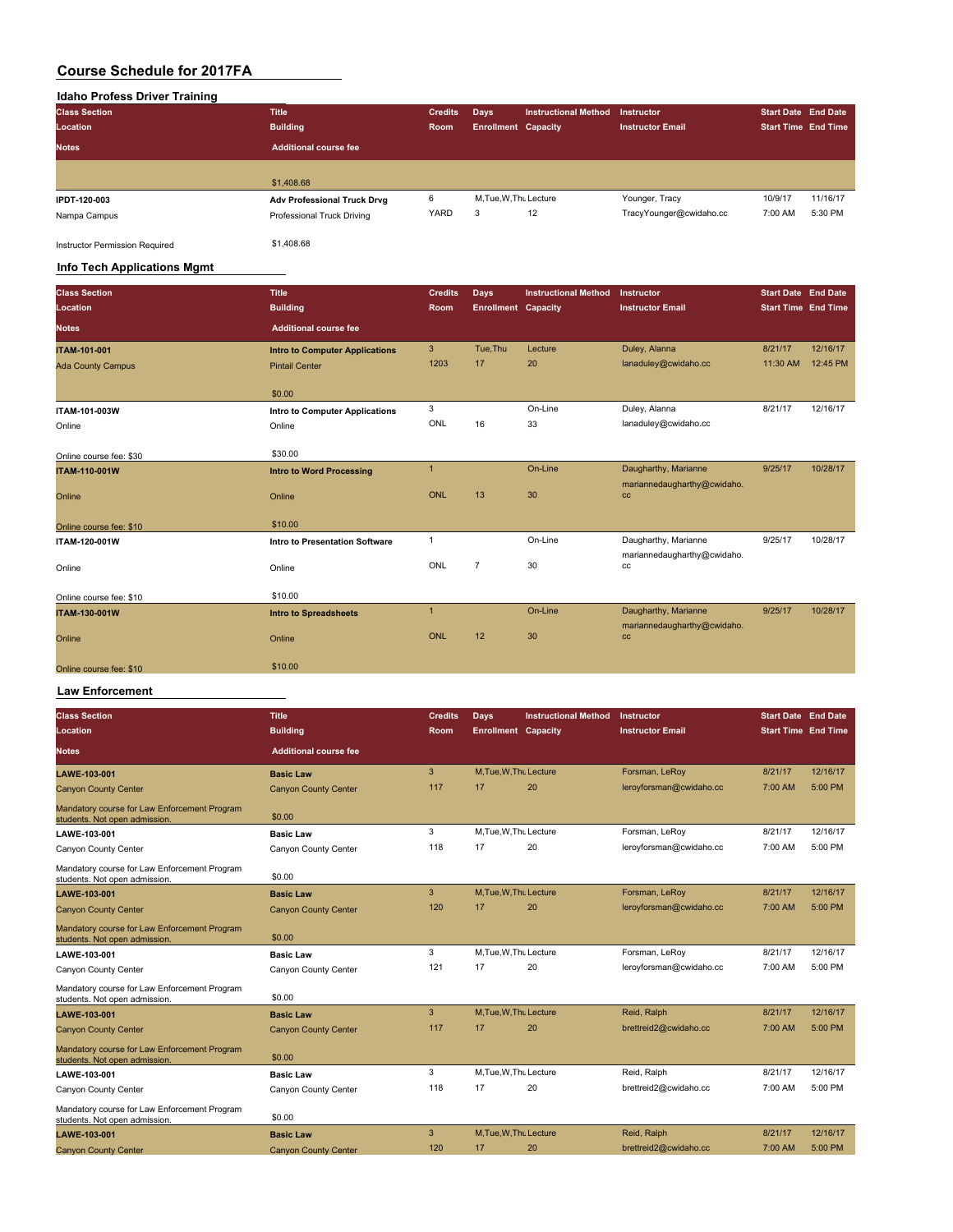### **Idaho Profess Driver Training**

| <b>Title</b>                 | <b>Credits</b> |                        | <b>Instructional Method</b> | Instructor                 | <b>Start Date End Date</b> |          |
|------------------------------|----------------|------------------------|-----------------------------|----------------------------|----------------------------|----------|
| <b>Building</b>              | Room           |                        |                             | <b>Instructor Email</b>    | <b>Start Time End Time</b> |          |
| <b>Additional course fee</b> |                |                        |                             |                            |                            |          |
|                              |                |                        |                             |                            |                            |          |
| \$1,408.68                   |                |                        |                             |                            |                            |          |
| Adv Professional Truck Drvg  | 6              | M, Tue, W, Thu Lecture |                             | Younger, Tracy             | 10/9/17                    | 11/16/17 |
| Professional Truck Driving   | YARD           | 3                      | 12                          | TracyYounger@cwidaho.cc    | 7:00 AM                    | 5:30 PM  |
|                              |                |                        | Days                        | <b>Enrollment Capacity</b> |                            |          |

Instructor Permission Required \$1,408.68

#### **Info Tech Applications Mgmt Class Section Title Credits Days Instructional Method Instructor Start Date End Date Location Building Room Enrollment Capacity Instructor Email Start Time End Time Notes Additional course fee ITAM-101-001 INTO to Computer Applications** 3 Tue,Thu Lecture Duley, Alanna 8/21/17 12/16/17<br>Ada County Campus 11:30 AM 12:45 PM Pintail Center 1203 17 20 lanaduley@cwidaho.cc 11:30 AM 12:45 PM Ada County Campus **Pintail Center 1203 17** 20 lanaduley@cwidaho.cc 11:30 AM 12:45 PM \$0.00 **ITAM-101-003W 11tro to Computer Applications** 3 On-Line Duley, Alanna 8/21/17 12/16/17<br>
Online Online Duley, Alanna 8/21/17 12/16/17 Online Online ONL 16 33 lanaduley@cwidaho.cc Online course fee: \$30 \$30.00 **ITAM-110-001W Intro to Word Processing** 1 On-Line Daugharthy, Marianne 9/25/17 10/28/17 Online **Online Contract Contract Online** Online **Contract Contract Online** ONL 13 30 mariannedaugharthy@cwidaho. cc online course fee: \$10 \$10.00 **ITAM-120-001W Intro to Presentation Software** 1 **Dn-Line** Daugharthy, Marianne 9/25/17 10/28/17 Online Changes on the Online Changes of Changes of Changes Online Changes Online Changes of Changes of Changes of Changes of Changes of Changes of Changes of Changes of Changes of Changes of Changes of Changes of Changes o mariannedaugharthy@cwidaho. cc Online course fee: \$10 \$10.00 **ITAM-130-001W Intro to Spreadsheets** 1 On-Line Daugharthy, Marianne 9/25/17 10/28/17 Online **Online Contract Contract Online** Online **Contract Contract Online** ONL 12 30 mariannedaugharthy@cwidaho.  $cc$ Online course fee: \$10 \$10.00

#### **Law Enforcement**

| <b>Class Section</b>                                                          | Title                        | <b>Credits</b> | Days                       | <b>Instructional Method</b> | Instructor              | <b>Start Date End Date</b> |           |
|-------------------------------------------------------------------------------|------------------------------|----------------|----------------------------|-----------------------------|-------------------------|----------------------------|-----------|
| Location                                                                      | <b>Building</b>              | Room           | <b>Enrollment Capacity</b> |                             | <b>Instructor Email</b> | <b>Start Time</b> End Time |           |
| Notes                                                                         | <b>Additional course fee</b> |                |                            |                             |                         |                            |           |
|                                                                               |                              |                |                            |                             |                         |                            |           |
| LAWE-103-001                                                                  | <b>Basic Law</b>             | 3              | M.Tue.W.Thu Lecture        |                             | Forsman, LeRoy          | 8/21/17                    | 12/16/17  |
| <b>Canyon County Center</b>                                                   | <b>Canyon County Center</b>  | 117            | 17                         | 20                          | leroyforsman@cwidaho.cc | 7:00 AM                    | 5:00 PM   |
| Mandatory course for Law Enforcement Program<br>students. Not open admission. | \$0.00                       |                |                            |                             |                         |                            |           |
| LAWE-103-001                                                                  | <b>Basic Law</b>             | 3              | M.Tue.W.Thu Lecture        |                             | Forsman, LeRoy          | 8/21/17                    | 12/16/17  |
| Canyon County Center                                                          | Canyon County Center         | 118            | 17                         | 20                          | leroyforsman@cwidaho.cc | 7:00 AM                    | 5:00 PM   |
| Mandatory course for Law Enforcement Program<br>students. Not open admission. | \$0.00                       |                |                            |                             |                         |                            |           |
| LAWE-103-001                                                                  | <b>Basic Law</b>             | 3              | M, Tue, W, Thu Lecture     |                             | Forsman, LeRoy          | 8/21/17                    | 12/16/17  |
| <b>Canyon County Center</b>                                                   | <b>Canyon County Center</b>  | 120            | 17                         | 20                          | leroyforsman@cwidaho.cc | 7:00 AM                    | 5:00 PM   |
| Mandatory course for Law Enforcement Program<br>students. Not open admission. | \$0.00                       |                |                            |                             |                         |                            |           |
| LAWE-103-001                                                                  | <b>Basic Law</b>             | 3              | M, Tue, W, Thu Lecture     |                             | Forsman, LeRoy          | 8/21/17                    | 12/16/17  |
| Canyon County Center                                                          | Canyon County Center         | 121            | 17                         | 20                          | leroyforsman@cwidaho.cc | 7:00 AM                    | 5:00 PM   |
| Mandatory course for Law Enforcement Program<br>students. Not open admission. | \$0.00                       |                |                            |                             |                         |                            |           |
| LAWE-103-001                                                                  | <b>Basic Law</b>             | 3              | M.Tue.W.Thu Lecture        |                             | Reid, Ralph             | 8/21/17                    | 12/16/17  |
| <b>Canyon County Center</b>                                                   | <b>Canyon County Center</b>  | 117            | 17                         | 20                          | brettreid2@cwidaho.cc   | 7:00 AM                    | $5:00$ PM |
| Mandatory course for Law Enforcement Program<br>students. Not open admission. | \$0.00                       |                |                            |                             |                         |                            |           |
| LAWE-103-001                                                                  | <b>Basic Law</b>             | 3              | M.Tue.W.Thu Lecture        |                             | Reid, Ralph             | 8/21/17                    | 12/16/17  |
| Canyon County Center                                                          | Canyon County Center         | 118            | 17                         | 20                          | brettreid2@cwidaho.cc   | 7:00 AM                    | 5:00 PM   |
| Mandatory course for Law Enforcement Program<br>students. Not open admission. | \$0.00                       |                |                            |                             |                         |                            |           |
| LAWE-103-001                                                                  | <b>Basic Law</b>             | 3              | M.Tue.W.Thu Lecture        |                             | Reid, Ralph             | 8/21/17                    | 12/16/17  |
| <b>Canyon County Center</b>                                                   | <b>Canyon County Center</b>  | 120            | 17                         | 20                          | brettreid2@cwidaho.cc   | 7:00 AM                    | 5:00 PM   |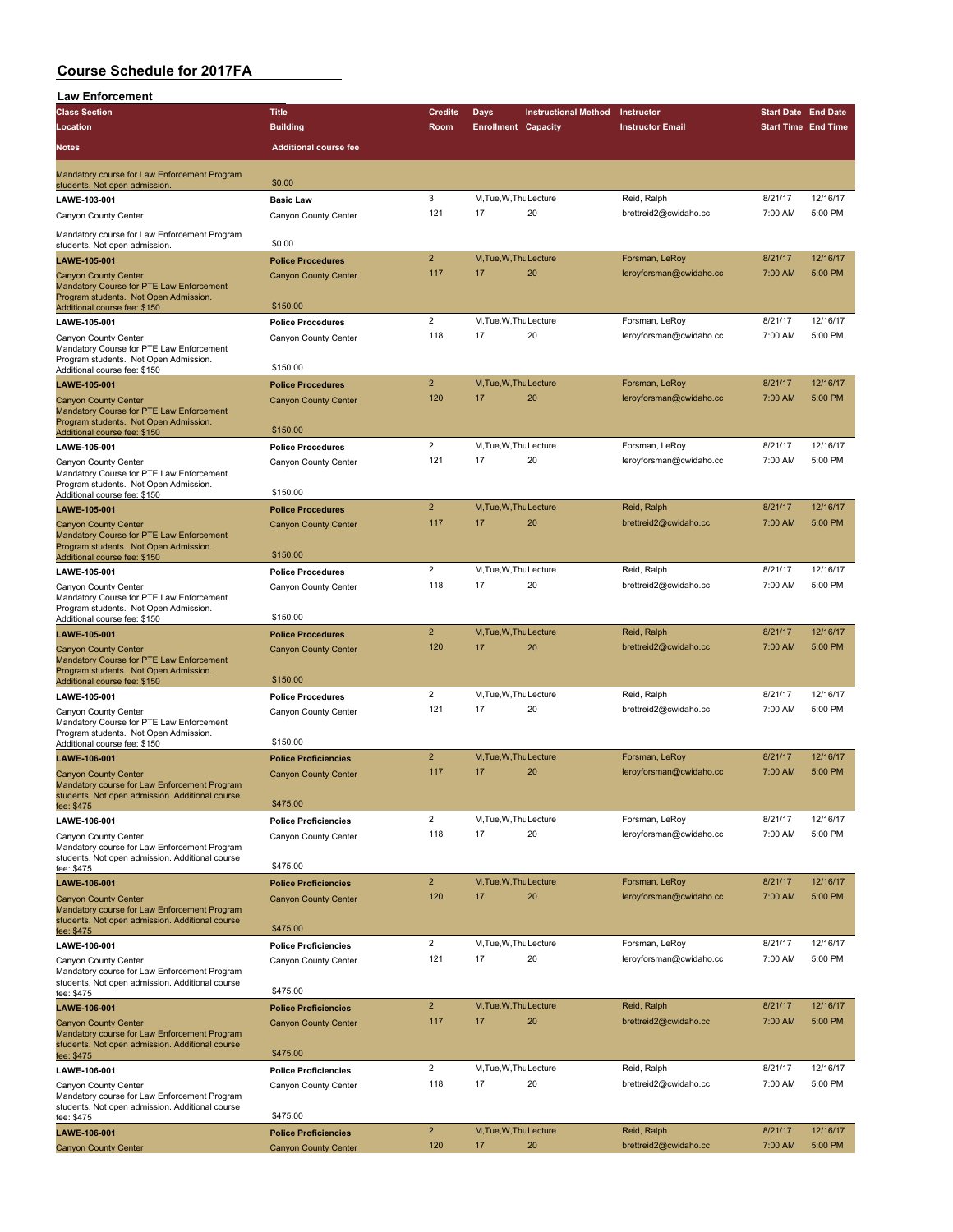| <b>Law Enforcement</b>                                                                                                                           |                                                            |                         |                              |                             |                                      |                            |                     |
|--------------------------------------------------------------------------------------------------------------------------------------------------|------------------------------------------------------------|-------------------------|------------------------------|-----------------------------|--------------------------------------|----------------------------|---------------------|
| <b>Class Section</b>                                                                                                                             | <b>Title</b>                                               | <b>Credits</b>          | <b>Days</b>                  | <b>Instructional Method</b> | Instructor                           | <b>Start Date End Date</b> |                     |
| Location                                                                                                                                         | <b>Building</b>                                            | Room                    | <b>Enrollment Capacity</b>   |                             | <b>Instructor Email</b>              | <b>Start Time End Time</b> |                     |
| Notes                                                                                                                                            | <b>Additional course fee</b>                               |                         |                              |                             |                                      |                            |                     |
|                                                                                                                                                  |                                                            |                         |                              |                             |                                      |                            |                     |
| Mandatory course for Law Enforcement Program<br>students. Not open admission.                                                                    | \$0.00                                                     |                         |                              |                             |                                      |                            |                     |
| LAWE-103-001                                                                                                                                     | <b>Basic Law</b>                                           | 3                       | M, Tue, W, Thu Lecture       |                             | Reid, Ralph                          | 8/21/17                    | 12/16/17            |
| Canyon County Center                                                                                                                             | Canyon County Center                                       | 121                     | 17                           | 20                          | brettreid2@cwidaho.cc                | 7:00 AM                    | 5:00 PM             |
|                                                                                                                                                  |                                                            |                         |                              |                             |                                      |                            |                     |
| Mandatory course for Law Enforcement Program<br>students. Not open admission.                                                                    | \$0.00                                                     |                         |                              |                             |                                      |                            |                     |
| LAWE-105-001                                                                                                                                     | <b>Police Procedures</b>                                   | $\overline{2}$          | M.Tue.W.Thu Lecture          |                             | Forsman, LeRoy                       | 8/21/17                    | 12/16/17            |
| <b>Canyon County Center</b><br>Mandatory Course for PTE Law Enforcement<br>Program students. Not Open Admission.<br>Additional course fee: \$150 | <b>Canyon County Center</b><br>\$150.00                    | 117                     | 17                           | 20                          | leroyforsman@cwidaho.cc              | 7:00 AM                    | 5:00 PM             |
| LAWE-105-001                                                                                                                                     | <b>Police Procedures</b>                                   | $\overline{2}$          | M, Tue, W, Thu Lecture       |                             | Forsman, LeRoy                       | 8/21/17                    | 12/16/17            |
| Canyon County Center                                                                                                                             | Canyon County Center                                       | 118                     | 17                           | 20                          | leroyforsman@cwidaho.cc              | 7:00 AM                    | 5:00 PM             |
| Mandatory Course for PTE Law Enforcement<br>Program students. Not Open Admission.                                                                | \$150.00                                                   |                         |                              |                             |                                      |                            |                     |
| Additional course fee: \$150                                                                                                                     |                                                            | $\overline{2}$          | M, Tue, W, Thu Lecture       |                             | Forsman, LeRoy                       | 8/21/17                    | 12/16/17            |
| LAWE-105-001<br><b>Canyon County Center</b>                                                                                                      | <b>Police Procedures</b><br><b>Canyon County Center</b>    | 120                     | 17                           | 20                          | leroyforsman@cwidaho.cc              | 7:00 AM                    | 5:00 PM             |
| Mandatory Course for PTE Law Enforcement<br>Program students. Not Open Admission.                                                                |                                                            |                         |                              |                             |                                      |                            |                     |
| Additional course fee: \$150                                                                                                                     | \$150.00                                                   |                         |                              |                             |                                      |                            |                     |
| LAWE-105-001                                                                                                                                     | <b>Police Procedures</b>                                   | $\overline{2}$          | M.Tue, W.Thu Lecture         |                             | Forsman, LeRoy                       | 8/21/17                    | 12/16/17            |
| Canyon County Center<br>Mandatory Course for PTE Law Enforcement<br>Program students. Not Open Admission.                                        | Canyon County Center<br>\$150.00                           | 121                     | 17                           | 20                          | leroyforsman@cwidaho.cc              | 7:00 AM                    | 5:00 PM             |
| Additional course fee: \$150                                                                                                                     |                                                            | $\overline{2}$          | M, Tue, W, Thu Lecture       |                             | Reid, Ralph                          | 8/21/17                    | 12/16/17            |
| LAWE-105-001                                                                                                                                     | <b>Police Procedures</b><br><b>Canyon County Center</b>    | 117                     | 17                           | 20                          | brettreid2@cwidaho.cc                | 7:00 AM                    | 5:00 PM             |
| <b>Canyon County Center</b><br>Mandatory Course for PTE Law Enforcement<br>Program students. Not Open Admission.<br>Additional course fee: \$150 | \$150.00                                                   |                         |                              |                             |                                      |                            |                     |
| LAWE-105-001                                                                                                                                     | <b>Police Procedures</b>                                   | $\overline{2}$          | M, Tue, W, Thu Lecture       |                             | Reid, Ralph                          | 8/21/17                    | 12/16/17            |
| Canyon County Center                                                                                                                             | Canyon County Center                                       | 118                     | 17                           | 20                          | brettreid2@cwidaho.cc                | 7:00 AM                    | 5:00 PM             |
| Mandatory Course for PTE Law Enforcement<br>Program students. Not Open Admission.<br>Additional course fee: \$150                                | \$150.00                                                   |                         |                              |                             |                                      |                            |                     |
| LAWE-105-001                                                                                                                                     | <b>Police Procedures</b>                                   | $\overline{2}$          | M.Tue.W.Thu Lecture          |                             | Reid, Ralph                          | 8/21/17                    | 12/16/17            |
| <b>Canyon County Center</b><br>Mandatory Course for PTE Law Enforcement<br>Program students. Not Open Admission.                                 | <b>Canyon County Center</b>                                | 120                     | 17                           | 20                          | brettreid2@cwidaho.cc                | 7:00 AM                    | 5:00 PM             |
| Additional course fee: \$150                                                                                                                     | \$150.00                                                   |                         |                              |                             |                                      |                            |                     |
| LAWE-105-001                                                                                                                                     | <b>Police Procedures</b>                                   | $\overline{2}$<br>121   | M, Tue, W, Thu Lecture<br>17 | 20                          | Reid, Ralph<br>brettreid2@cwidaho.cc | 8/21/17<br>7:00 AM         | 12/16/17<br>5:00 PM |
| Canyon County Center<br>Mandatory Course for PTE Law Enforcement<br>Program students. Not Open Admission.                                        | Canyon County Center                                       |                         |                              |                             |                                      |                            |                     |
| Additional course fee: \$150                                                                                                                     | \$150.00                                                   |                         |                              |                             |                                      |                            |                     |
| LAWE-106-001                                                                                                                                     | <b>Police Proficiencies</b>                                | $\overline{2}$          | M, Tue, W, Thu Lecture       |                             | Forsman, LeRoy                       | 8/21/17                    | 12/16/17            |
| <b>Canvon County Center</b><br>Mandatory course for Law Enforcement Program<br>students. Not open admission. Additional course                   | <b>Canyon County Center</b><br>\$475.00                    | 117                     | 17                           | 20                          | leroyforsman@cwidaho.cc              | 7:00 AM                    | 5:00 PM             |
| fee: \$475                                                                                                                                       |                                                            | $\overline{\mathbf{c}}$ | M, Tue, W, Thu Lecture       |                             | Forsman, LeRoy                       | 8/21/17                    | 12/16/17            |
| LAWE-106-001<br>Canyon County Center                                                                                                             | <b>Police Proficiencies</b><br>Canyon County Center        | 118                     | 17                           | 20                          | leroyforsman@cwidaho.cc              | 7:00 AM                    | 5:00 PM             |
| Mandatory course for Law Enforcement Program<br>students. Not open admission. Additional course                                                  |                                                            |                         |                              |                             |                                      |                            |                     |
| fee: \$475                                                                                                                                       | \$475.00                                                   | $\overline{2}$          | M, Tue, W, Thu Lecture       |                             | Forsman, LeRoy                       | 8/21/17                    | 12/16/17            |
| LAWE-106-001<br><b>Canyon County Center</b><br>Mandatory course for Law Enforcement Program                                                      | <b>Police Proficiencies</b><br><b>Canyon County Center</b> | 120                     | 17                           | 20                          | leroyforsman@cwidaho.cc              | 7:00 AM                    | 5:00 PM             |
| students. Not open admission. Additional course<br>fee: \$475                                                                                    | \$475.00                                                   |                         |                              |                             |                                      |                            |                     |
| LAWE-106-001                                                                                                                                     | <b>Police Proficiencies</b>                                | $\overline{2}$          | M, Tue, W, Thu Lecture       |                             | Forsman, LeRoy                       | 8/21/17                    | 12/16/17            |
| Canyon County Center<br>Mandatory course for Law Enforcement Program<br>students. Not open admission. Additional course                          | Canyon County Center                                       | 121                     | 17                           | 20                          | leroyforsman@cwidaho.cc              | 7:00 AM                    | 5:00 PM             |
| fee: \$475                                                                                                                                       | \$475.00                                                   | $\overline{2}$          | M, Tue, W, Thu Lecture       |                             | Reid, Ralph                          | 8/21/17                    | 12/16/17            |
| LAWE-106-001                                                                                                                                     | <b>Police Proficiencies</b>                                | 117                     | 17                           | 20                          | brettreid2@cwidaho.cc                | 7:00 AM                    | 5:00 PM             |
| <b>Canyon County Center</b><br>Mandatory course for Law Enforcement Program<br>students. Not open admission. Additional course                   | <b>Canyon County Center</b>                                |                         |                              |                             |                                      |                            |                     |
| fee: \$475                                                                                                                                       | \$475.00                                                   | $\overline{\mathbf{c}}$ | M, Tue, W, Thu Lecture       |                             | Reid, Ralph                          | 8/21/17                    | 12/16/17            |
| LAWE-106-001                                                                                                                                     | <b>Police Proficiencies</b>                                | 118                     | 17                           | 20                          | brettreid2@cwidaho.cc                | 7:00 AM                    | 5:00 PM             |
| Canyon County Center<br>Mandatory course for Law Enforcement Program<br>students. Not open admission. Additional course                          | Canyon County Center<br>\$475.00                           |                         |                              |                             |                                      |                            |                     |
| fee: \$475<br>LAWE-106-001                                                                                                                       | <b>Police Proficiencies</b>                                | $\overline{2}$          | M, Tue, W, Thu Lecture       |                             | Reid, Ralph                          | 8/21/17                    | 12/16/17            |
| <b>Canyon County Center</b>                                                                                                                      | <b>Canyon County Center</b>                                | 120                     | 17                           | 20                          | brettreid2@cwidaho.cc                | 7:00 AM                    | 5:00 PM             |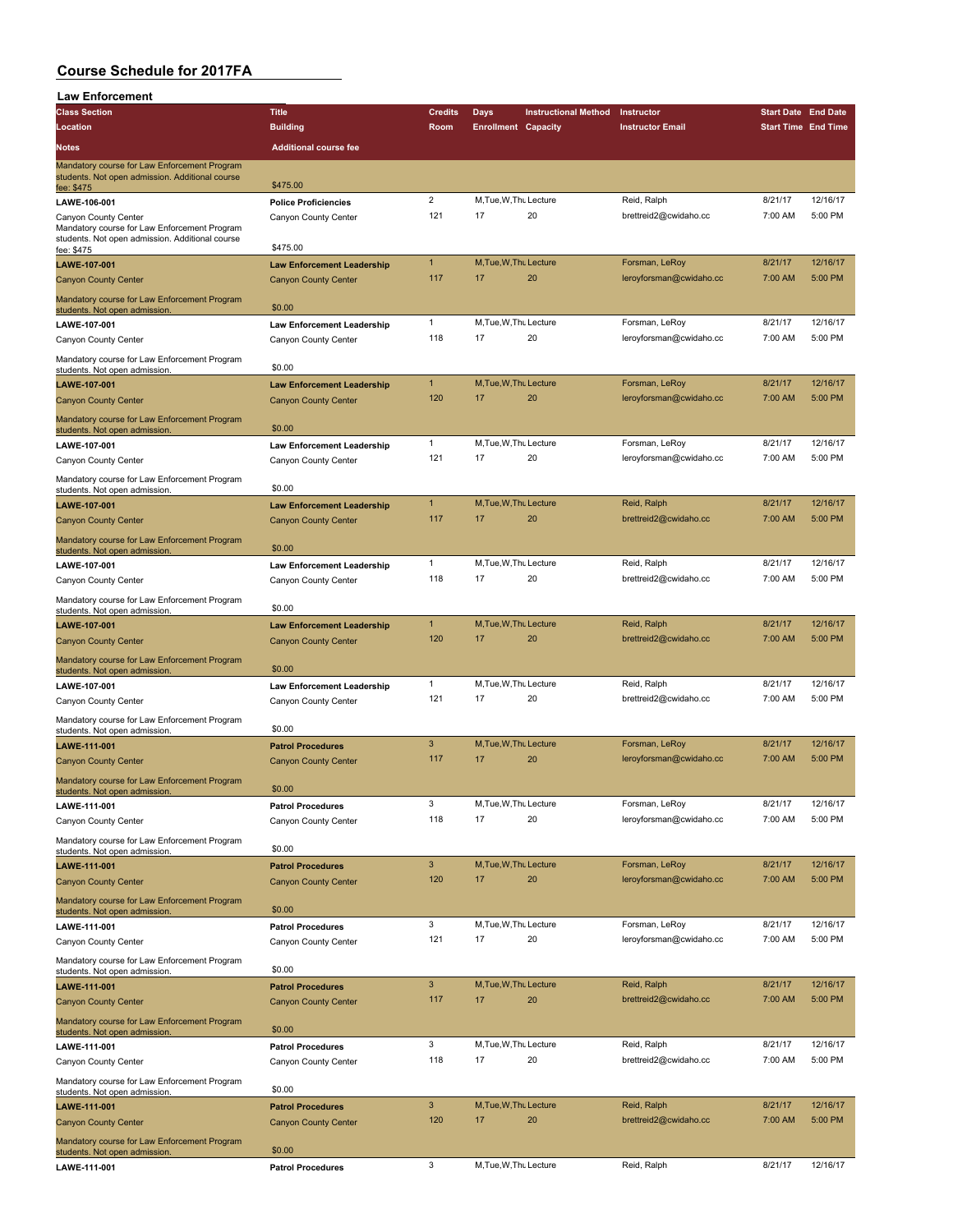| <b>Law Enforcement</b>                                                                                        |                                                                  |                |                            |                             |                         |                            |          |
|---------------------------------------------------------------------------------------------------------------|------------------------------------------------------------------|----------------|----------------------------|-----------------------------|-------------------------|----------------------------|----------|
| <b>Class Section</b>                                                                                          | <b>Title</b>                                                     | <b>Credits</b> | Days                       | <b>Instructional Method</b> | Instructor              | <b>Start Date End Date</b> |          |
| Location                                                                                                      | <b>Building</b>                                                  | Room           | <b>Enrollment Capacity</b> |                             | <b>Instructor Email</b> | <b>Start Time End Time</b> |          |
| Notes                                                                                                         | <b>Additional course fee</b>                                     |                |                            |                             |                         |                            |          |
| Mandatory course for Law Enforcement Program<br>students. Not open admission. Additional course               | \$475.00                                                         |                |                            |                             |                         |                            |          |
| fee: \$475<br>LAWE-106-001                                                                                    | <b>Police Proficiencies</b>                                      | $\overline{2}$ | M, Tue, W, Thu Lecture     |                             | Reid, Ralph             | 8/21/17                    | 12/16/17 |
| Canyon County Center                                                                                          | Canyon County Center                                             | 121            | 17                         | 20                          | brettreid2@cwidaho.cc   | 7:00 AM                    | 5:00 PM  |
| Mandatory course for Law Enforcement Program<br>students. Not open admission. Additional course<br>fee: \$475 | \$475.00                                                         |                |                            |                             |                         |                            |          |
| LAWE-107-001                                                                                                  | <b>Law Enforcement Leadership</b>                                | $\mathbf{1}$   | M, Tue, W, Thu Lecture     |                             | Forsman, LeRoy          | 8/21/17                    | 12/16/17 |
| <b>Canyon County Center</b>                                                                                   | <b>Canyon County Center</b>                                      | 117            | 17                         | 20                          | leroyforsman@cwidaho.cc | 7:00 AM                    | 5:00 PM  |
| Mandatory course for Law Enforcement Program<br>students. Not open admission.                                 | \$0.00                                                           |                |                            |                             |                         |                            |          |
| LAWE-107-001                                                                                                  | <b>Law Enforcement Leadership</b>                                | $\mathbf{1}$   | M.Tue, W.Thu Lecture       |                             | Forsman, LeRoy          | 8/21/17                    | 12/16/17 |
| Canyon County Center                                                                                          | Canyon County Center                                             | 118            | 17                         | 20                          | leroyforsman@cwidaho.cc | 7:00 AM                    | 5:00 PM  |
| Mandatory course for Law Enforcement Program                                                                  |                                                                  |                |                            |                             |                         |                            |          |
| students. Not open admission.                                                                                 | \$0.00                                                           | $\mathbf{1}$   | M, Tue, W, Thu Lecture     |                             | Forsman, LeRoy          | 8/21/17                    | 12/16/17 |
| LAWE-107-001<br><b>Canyon County Center</b>                                                                   | <b>Law Enforcement Leadership</b><br><b>Canyon County Center</b> | 120            | 17                         | 20                          | leroyforsman@cwidaho.cc | 7:00 AM                    | 5:00 PM  |
|                                                                                                               |                                                                  |                |                            |                             |                         |                            |          |
| Mandatory course for Law Enforcement Program<br>students. Not open admission                                  | \$0.00                                                           |                |                            |                             |                         |                            |          |
| LAWE-107-001                                                                                                  | <b>Law Enforcement Leadership</b>                                | $\mathbf{1}$   | M, Tue, W, Thu Lecture     |                             | Forsman, LeRoy          | 8/21/17                    | 12/16/17 |
| Canyon County Center                                                                                          | Canyon County Center                                             | 121            | 17                         | 20                          | leroyforsman@cwidaho.cc | 7:00 AM                    | 5:00 PM  |
| Mandatory course for Law Enforcement Program<br>students. Not open admission                                  | \$0.00                                                           |                |                            |                             |                         |                            |          |
| LAWE-107-001                                                                                                  | <b>Law Enforcement Leadership</b>                                | $\mathbf{1}$   | M, Tue, W, Thu Lecture     |                             | Reid, Ralph             | 8/21/17                    | 12/16/17 |
| <b>Canyon County Center</b>                                                                                   | <b>Canyon County Center</b>                                      | 117            | 17                         | 20                          | brettreid2@cwidaho.cc   | 7:00 AM                    | 5:00 PM  |
| Mandatory course for Law Enforcement Program                                                                  |                                                                  |                |                            |                             |                         |                            |          |
| students. Not open admission.                                                                                 | \$0.00                                                           | 1              | M, Tue, W, Thu Lecture     |                             | Reid, Ralph             | 8/21/17                    | 12/16/17 |
| <b>LAWE-107-001</b><br>Canyon County Center                                                                   | <b>Law Enforcement Leadership</b><br>Canyon County Center        | 118            | 17                         | 20                          | brettreid2@cwidaho.cc   | 7:00 AM                    | 5:00 PM  |
|                                                                                                               |                                                                  |                |                            |                             |                         |                            |          |
| Mandatory course for Law Enforcement Program<br>students. Not open admission                                  | \$0.00                                                           | $\mathbf{1}$   | M, Tue, W, Thu Lecture     |                             | Reid, Ralph             | 8/21/17                    | 12/16/17 |
| LAWE-107-001                                                                                                  | <b>Law Enforcement Leadership</b>                                | 120            | 17                         | 20                          | brettreid2@cwidaho.cc   | 7:00 AM                    | 5:00 PM  |
| <b>Canyon County Center</b><br>Mandatory course for Law Enforcement Program                                   | <b>Canyon County Center</b><br>\$0.00                            |                |                            |                             |                         |                            |          |
| students. Not open admission<br>LAWE-107-001                                                                  | <b>Law Enforcement Leadership</b>                                | $\mathbf{1}$   | M, Tue, W, Thu Lecture     |                             | Reid, Ralph             | 8/21/17                    | 12/16/17 |
| Canyon County Center                                                                                          | Canyon County Center                                             | 121            | 17                         | 20                          | brettreid2@cwidaho.cc   | 7:00 AM                    | 5:00 PM  |
| Mandatory course for Law Enforcement Program                                                                  | \$0.00                                                           |                |                            |                             |                         |                            |          |
| students. Not open admission.                                                                                 |                                                                  | $\mathbf{3}$   | M.Tue.W.Thu Lecture        |                             | Forsman, LeRoy          | 8/21/17                    | 12/16/17 |
| LAWE-111-001<br><b>Canyon County Center</b>                                                                   | <b>Patrol Procedures</b><br><b>Canyon County Center</b>          | 117            | 17                         | 20                          | leroyforsman@cwidaho.cc | 7:00 AM                    | 5:00 PM  |
|                                                                                                               |                                                                  |                |                            |                             |                         |                            |          |
| Mandatory course for Law Enforcement Program<br>students. Not open admission                                  | \$0.00                                                           |                |                            |                             |                         |                            |          |
| <b>LAWE-111-001</b>                                                                                           | <b>Patrol Procedures</b>                                         | 3              | M, Tue, W, Thu Lecture     |                             | Forsman, LeRoy          | 8/21/17                    | 12/16/17 |
| Canyon County Center                                                                                          | Canyon County Center                                             | 118            | 17                         | 20                          | leroyforsman@cwidaho.cc | 7:00 AM                    | 5:00 PM  |
| Mandatory course for Law Enforcement Program<br>students. Not open admission.                                 | \$0.00                                                           |                |                            |                             |                         |                            |          |
| LAWE-111-001                                                                                                  | <b>Patrol Procedures</b>                                         | $\mathbf{3}$   | M, Tue, W, Thu Lecture     |                             | Forsman, LeRoy          | 8/21/17                    | 12/16/17 |
| <b>Canyon County Center</b>                                                                                   | <b>Canyon County Center</b>                                      | 120            | 17                         | 20                          | leroyforsman@cwidaho.cc | 7:00 AM                    | 5:00 PM  |
| Mandatory course for Law Enforcement Program<br>students. Not open admission                                  | \$0.00                                                           |                |                            |                             |                         |                            |          |
| LAWE-111-001                                                                                                  | <b>Patrol Procedures</b>                                         | 3              | M, Tue, W, Thu Lecture     |                             | Forsman, LeRoy          | 8/21/17                    | 12/16/17 |
| Canyon County Center                                                                                          | Canyon County Center                                             | 121            | 17                         | 20                          | leroyforsman@cwidaho.cc | 7:00 AM                    | 5:00 PM  |
| Mandatory course for Law Enforcement Program<br>students. Not open admission.                                 | \$0.00                                                           |                |                            |                             |                         |                            |          |
| LAWE-111-001                                                                                                  | <b>Patrol Procedures</b>                                         | $\mathbf{3}$   | M, Tue, W, Thu Lecture     |                             | Reid, Ralph             | 8/21/17                    | 12/16/17 |
| <b>Canyon County Center</b>                                                                                   | <b>Canyon County Center</b>                                      | 117            | 17                         | 20                          | brettreid2@cwidaho.cc   | 7:00 AM                    | 5:00 PM  |
| Mandatory course for Law Enforcement Program<br>students. Not open admission.                                 | \$0.00                                                           |                |                            |                             |                         |                            |          |
| LAWE-111-001                                                                                                  | <b>Patrol Procedures</b>                                         | 3              | M, Tue, W, Thu Lecture     |                             | Reid, Ralph             | 8/21/17                    | 12/16/17 |
| Canyon County Center                                                                                          | Canyon County Center                                             | 118            | 17                         | 20                          | brettreid2@cwidaho.cc   | 7:00 AM                    | 5:00 PM  |
| Mandatory course for Law Enforcement Program                                                                  | \$0.00                                                           |                |                            |                             |                         |                            |          |
| students. Not open admission.<br>LAWE-111-001                                                                 | <b>Patrol Procedures</b>                                         | $\mathbf{3}$   | M, Tue, W, Thu Lecture     |                             | Reid, Ralph             | 8/21/17                    | 12/16/17 |
| <b>Canyon County Center</b>                                                                                   | <b>Canyon County Center</b>                                      | 120            | 17                         | 20                          | brettreid2@cwidaho.cc   | 7:00 AM                    | 5:00 PM  |
| Mandatory course for Law Enforcement Program                                                                  | \$0.00                                                           |                |                            |                             |                         |                            |          |
| students. Not open admission.<br>LAWE-111-001                                                                 | <b>Patrol Procedures</b>                                         | 3              | M, Tue, W, Thu Lecture     |                             | Reid, Ralph             | 8/21/17                    | 12/16/17 |
|                                                                                                               |                                                                  |                |                            |                             |                         |                            |          |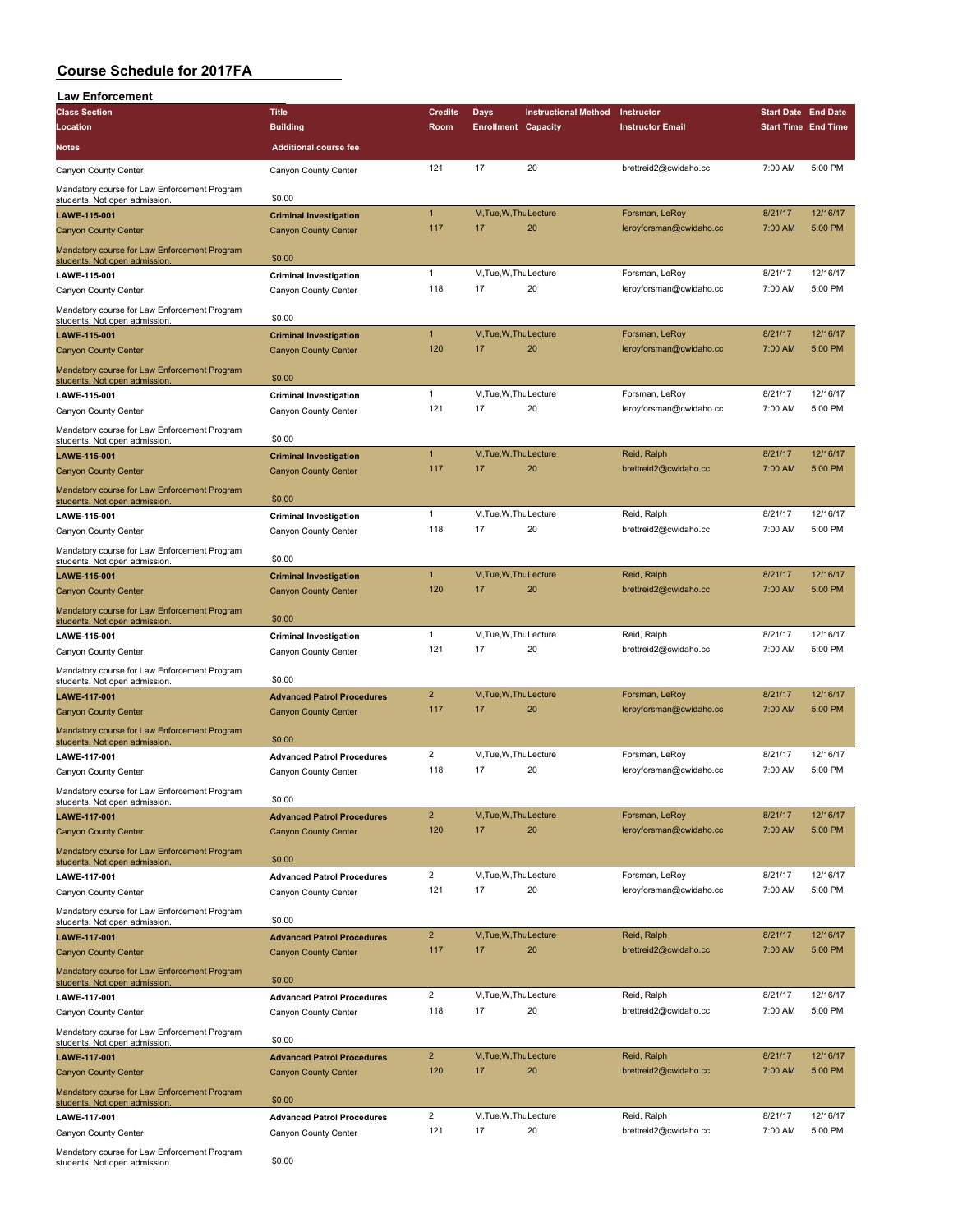| <b>Law Enforcement</b>                                                        |                                                                  |                       |                              |                             |                                           |                            |                     |
|-------------------------------------------------------------------------------|------------------------------------------------------------------|-----------------------|------------------------------|-----------------------------|-------------------------------------------|----------------------------|---------------------|
| <b>Class Section</b>                                                          | <b>Title</b>                                                     | <b>Credits</b>        | Days                         | <b>Instructional Method</b> | Instructor                                | <b>Start Date End Date</b> |                     |
| Location                                                                      | <b>Building</b>                                                  | Room                  | <b>Enrollment Capacity</b>   |                             | <b>Instructor Email</b>                   | <b>Start Time End Time</b> |                     |
| Notes                                                                         | <b>Additional course fee</b>                                     |                       |                              |                             |                                           |                            |                     |
| Canyon County Center                                                          | Canyon County Center                                             | 121                   | 17                           | 20                          | brettreid2@cwidaho.cc                     | 7:00 AM                    | 5:00 PM             |
| Mandatory course for Law Enforcement Program                                  |                                                                  |                       |                              |                             |                                           |                            |                     |
| students. Not open admission.                                                 | \$0.00                                                           |                       |                              |                             |                                           |                            |                     |
| LAWE-115-001                                                                  | <b>Criminal Investigation</b>                                    | $\mathbf{1}$          | M, Tue, W, Thu Lecture       |                             | Forsman, LeRoy                            | 8/21/17                    | 12/16/17            |
| <b>Canyon County Center</b>                                                   | <b>Canyon County Center</b>                                      | 117                   | 17                           | 20                          | leroyforsman@cwidaho.cc                   | 7:00 AM                    | 5:00 PM             |
| Mandatory course for Law Enforcement Program<br>students. Not open admission  | \$0.00                                                           |                       |                              |                             |                                           |                            |                     |
| LAWE-115-001                                                                  | <b>Criminal Investigation</b>                                    | 1                     | M, Tue, W, Thu Lecture       |                             | Forsman, LeRoy                            | 8/21/17                    | 12/16/17            |
| Canyon County Center                                                          | Canyon County Center                                             | 118                   | 17                           | 20                          | leroyforsman@cwidaho.cc                   | 7:00 AM                    | 5:00 PM             |
| Mandatory course for Law Enforcement Program<br>students. Not open admission. | \$0.00                                                           |                       |                              |                             |                                           |                            |                     |
| LAWE-115-001                                                                  | <b>Criminal Investigation</b>                                    | $\mathbf{1}$          | M, Tue, W, Thu Lecture       |                             | Forsman, LeRoy                            | 8/21/17                    | 12/16/17            |
| <b>Canyon County Center</b>                                                   | <b>Canyon County Center</b>                                      | 120                   | 17                           | 20                          | leroyforsman@cwidaho.cc                   | 7:00 AM                    | 5:00 PM             |
| Mandatory course for Law Enforcement Program<br>students. Not open admission. | \$0.00                                                           |                       |                              |                             |                                           |                            |                     |
| <b>LAWE-115-001</b>                                                           | <b>Criminal Investigation</b>                                    | $\mathbf{1}$          | M.Tue, W.Th. Lecture         |                             | Forsman, LeRoy                            | 8/21/17                    | 12/16/17            |
| Canyon County Center                                                          | Canyon County Center                                             | 121                   | 17                           | 20                          | leroyforsman@cwidaho.cc                   | 7:00 AM                    | 5:00 PM             |
| Mandatory course for Law Enforcement Program                                  | \$0.00                                                           |                       |                              |                             |                                           |                            |                     |
| students. Not open admission<br>LAWE-115-001                                  |                                                                  | $\mathbf{1}$          | M, Tue, W, Thu Lecture       |                             | Reid, Ralph                               | 8/21/17                    | 12/16/17            |
| <b>Canyon County Center</b>                                                   | <b>Criminal Investigation</b><br><b>Canyon County Center</b>     | 117                   | 17                           | 20                          | brettreid2@cwidaho.cc                     | 7:00 AM                    | 5:00 PM             |
|                                                                               |                                                                  |                       |                              |                             |                                           |                            |                     |
| Mandatory course for Law Enforcement Program<br>students. Not open admission  | \$0.00                                                           |                       |                              |                             |                                           |                            |                     |
| LAWE-115-001                                                                  | <b>Criminal Investigation</b>                                    | $\mathbf{1}$          | M, Tue, W, Thu Lecture       |                             | Reid, Ralph                               | 8/21/17                    | 12/16/17            |
| Canyon County Center                                                          | Canyon County Center                                             | 118                   | 17                           | 20                          | brettreid2@cwidaho.cc                     | 7:00 AM                    | 5:00 PM             |
| Mandatory course for Law Enforcement Program                                  | \$0.00                                                           |                       |                              |                             |                                           |                            |                     |
| students. Not open admission<br>LAWE-115-001                                  | <b>Criminal Investigation</b>                                    | $\mathbf{1}$          | M.Tue.W.Thu Lecture          |                             | Reid, Ralph                               | 8/21/17                    | 12/16/17            |
| <b>Canyon County Center</b>                                                   | <b>Canyon County Center</b>                                      | 120                   | 17                           | 20                          | brettreid2@cwidaho.cc                     | 7:00 AM                    | 5:00 PM             |
| Mandatory course for Law Enforcement Program                                  |                                                                  |                       |                              |                             |                                           |                            |                     |
| students. Not open admission                                                  | \$0.00                                                           |                       |                              |                             |                                           |                            |                     |
| <b>LAWE-115-001</b>                                                           | <b>Criminal Investigation</b>                                    | $\mathbf{1}$          | M, Tue, W, Thu Lecture       |                             | Reid, Ralph                               | 8/21/17                    | 12/16/17            |
| Canyon County Center                                                          | Canyon County Center                                             | 121                   | 17                           | 20                          | brettreid2@cwidaho.cc                     | 7:00 AM                    | 5:00 PM             |
| Mandatory course for Law Enforcement Program<br>students. Not open admission. | \$0.00                                                           |                       |                              |                             |                                           |                            |                     |
| LAWE-117-001                                                                  | <b>Advanced Patrol Procedures</b>                                | $\overline{2}$        | M, Tue, W, Thu Lecture       |                             | Forsman, LeRoy                            | 8/21/17                    | 12/16/17            |
| <b>Canyon County Center</b>                                                   | <b>Canyon County Center</b>                                      | 117                   | 17                           | 20                          | leroyforsman@cwidaho.cc                   | 7:00 AM                    | 5:00 PM             |
| Mandatory course for Law Enforcement Program<br>students. Not open admission  | \$0.00                                                           |                       |                              |                             |                                           |                            |                     |
| <b>LAWE-117-001</b>                                                           | <b>Advanced Patrol Procedures</b>                                | $\overline{2}$        | M, Tue, W, Thu Lecture       |                             | Forsman, LeRoy                            | 8/21/17                    | 12/16/17            |
| Canyon County Center                                                          | Canyon County Center                                             | 118                   | 17                           | 20                          | leroyforsman@cwidaho.cc                   | 7:00 AM                    | 5:00 PM             |
| Mandatory course for Law Enforcement Program                                  |                                                                  |                       |                              |                             |                                           |                            |                     |
| students. Not open admission.                                                 | \$0.00                                                           |                       |                              |                             |                                           |                            |                     |
| LAWE-117-001                                                                  | <b>Advanced Patrol Procedures</b>                                | $\overline{c}$<br>120 | M, Tue, W, Thu Lecture<br>17 | 20                          | Forsman, LeRoy<br>leroyforsman@cwidaho.cc | 8/21/17<br>7:00 AM         | 12/16/17<br>5:00 PM |
| <b>Canyon County Center</b>                                                   | <b>Canyon County Center</b>                                      |                       |                              |                             |                                           |                            |                     |
| Mandatory course for Law Enforcement Program<br>students. Not open admission. | \$0.00                                                           |                       |                              |                             |                                           |                            |                     |
| LAWE-117-001                                                                  | <b>Advanced Patrol Procedures</b>                                | $\overline{2}$        | M, Tue, W, Thu Lecture       |                             | Forsman, LeRoy                            | 8/21/17                    | 12/16/17            |
| Canyon County Center                                                          | Canyon County Center                                             | 121                   | 17                           | 20                          | leroyforsman@cwidaho.cc                   | 7:00 AM                    | 5:00 PM             |
| Mandatory course for Law Enforcement Program                                  |                                                                  |                       |                              |                             |                                           |                            |                     |
| students. Not open admission.<br>LAWE-117-001                                 | \$0.00                                                           | $\overline{c}$        | M, Tue, W, Thu Lecture       |                             | Reid, Ralph                               | 8/21/17                    | 12/16/17            |
| <b>Canyon County Center</b>                                                   | <b>Advanced Patrol Procedures</b><br><b>Canyon County Center</b> | 117                   | 17                           | 20                          | brettreid2@cwidaho.cc                     | 7:00 AM                    | 5:00 PM             |
| Mandatory course for Law Enforcement Program                                  |                                                                  |                       |                              |                             |                                           |                            |                     |
| students. Not open admission                                                  | \$0.00                                                           |                       |                              |                             |                                           |                            |                     |
| LAWE-117-001                                                                  | <b>Advanced Patrol Procedures</b>                                | $\overline{2}$        | M, Tue, W, Thu Lecture       |                             | Reid, Ralph                               | 8/21/17                    | 12/16/17            |
| Canyon County Center                                                          | Canyon County Center                                             | 118                   | 17                           | 20                          | brettreid2@cwidaho.cc                     | 7:00 AM                    | 5:00 PM             |
| Mandatory course for Law Enforcement Program<br>students. Not open admission. | \$0.00                                                           |                       |                              |                             |                                           |                            |                     |
| LAWE-117-001                                                                  | <b>Advanced Patrol Procedures</b>                                | $\overline{c}$        | M, Tue, W, Thu Lecture       |                             | Reid, Ralph                               | 8/21/17                    | 12/16/17            |
| <b>Canyon County Center</b>                                                   | <b>Canyon County Center</b>                                      | 120                   | 17                           | 20                          | brettreid2@cwidaho.cc                     | 7:00 AM                    | 5:00 PM             |
| Mandatory course for Law Enforcement Program<br>students. Not open admission. | \$0.00                                                           |                       |                              |                             |                                           |                            |                     |
| LAWE-117-001                                                                  | <b>Advanced Patrol Procedures</b>                                | $\overline{c}$        | M, Tue, W, Thu Lecture       |                             | Reid, Ralph                               | 8/21/17                    | 12/16/17            |
| Canyon County Center                                                          | Canyon County Center                                             | 121                   | 17                           | 20                          | brettreid2@cwidaho.cc                     | 7:00 AM                    | 5:00 PM             |
| Mandatory course for Law Enforcement Program                                  |                                                                  |                       |                              |                             |                                           |                            |                     |
| students. Not open admission.                                                 | \$0.00                                                           |                       |                              |                             |                                           |                            |                     |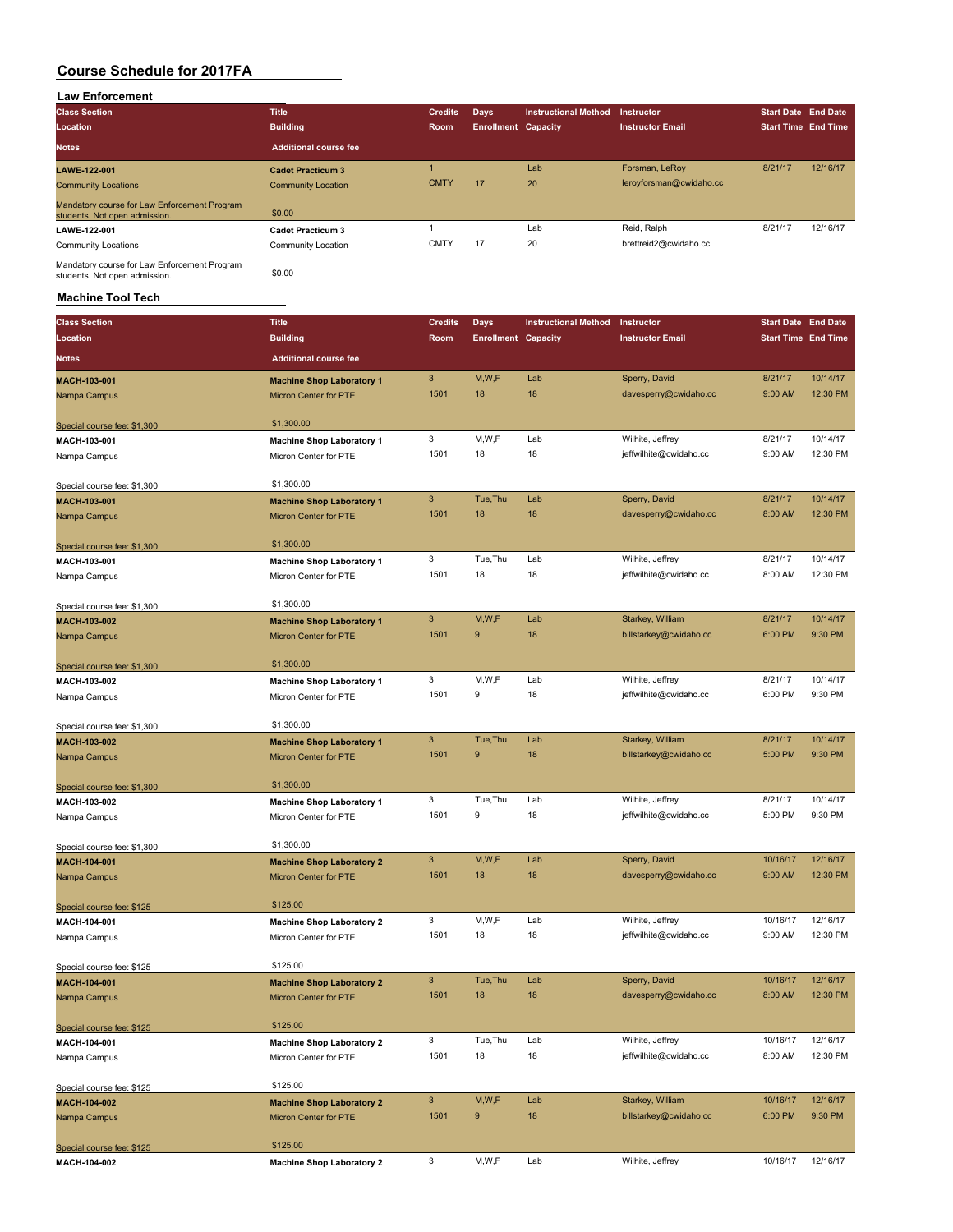### **Law Enforcement Class Section Title Credits Days Instructional Method Instructor Start Date End Date Location Building Room Enrollment Capacity Instructor Email Start Time End Time Notes Additional course fee LAWE-122-001 Cadet Practicum 3** 1 Lab Forsman, LeRoy 8/21/17 12/16/17 Community Locations Community Location CMTY 17 20 leroyforsman@cwidaho.cc Mandatory course for Law Enforcement Program mandalory course for Eaw Enforcement Program<br>students. Not open admission. \$0.00 **LAWE-122-001 Cadet Practicum 3** 1 Lab Reid, Ralph 8/21/17 12/16/17 Community Locations Community Location Community Location CMTY 17 20 brettreid2@cwidaho.cc Mandatory course for Law Enforcement Program<br>students. Not open admission.

#### **Machine Tool Tech**

| <b>Class Section</b>        | <b>Title</b>                     | <b>Credits</b>            | Days                       | <b>Instructional Method</b> | Instructor              | <b>Start Date End Date</b> |          |
|-----------------------------|----------------------------------|---------------------------|----------------------------|-----------------------------|-------------------------|----------------------------|----------|
| Location                    | <b>Building</b>                  | Room                      | <b>Enrollment Capacity</b> |                             | <b>Instructor Email</b> | <b>Start Time End Time</b> |          |
| <b>Notes</b>                | <b>Additional course fee</b>     |                           |                            |                             |                         |                            |          |
| MACH-103-001                | <b>Machine Shop Laboratory 1</b> | $\ensuremath{\mathsf{3}}$ | M,W,F                      | Lab                         | Sperry, David           | 8/21/17                    | 10/14/17 |
| Nampa Campus                | <b>Micron Center for PTE</b>     | 1501                      | 18                         | 18                          | davesperry@cwidaho.cc   | 9:00 AM                    | 12:30 PM |
| Special course fee: \$1,300 | \$1,300.00                       |                           |                            |                             |                         |                            |          |
| MACH-103-001                | <b>Machine Shop Laboratory 1</b> | 3                         | M, W, F                    | Lab                         | Wilhite, Jeffrey        | 8/21/17                    | 10/14/17 |
| Nampa Campus                | Micron Center for PTE            | 1501                      | 18                         | 18                          | jeffwilhite@cwidaho.cc  | 9:00 AM                    | 12:30 PM |
| Special course fee: \$1,300 | \$1,300.00                       |                           |                            |                             |                         |                            |          |
| MACH-103-001                | <b>Machine Shop Laboratory 1</b> | 3                         | Tue, Thu                   | Lab                         | Sperry, David           | 8/21/17                    | 10/14/17 |
| Nampa Campus                | <b>Micron Center for PTE</b>     | 1501                      | 18                         | 18                          | davesperry@cwidaho.cc   | 8:00 AM                    | 12:30 PM |
| Special course fee: \$1,300 | \$1,300.00                       |                           |                            |                             |                         |                            |          |
| MACH-103-001                | <b>Machine Shop Laboratory 1</b> | 3                         | Tue, Thu                   | Lab                         | Wilhite, Jeffrey        | 8/21/17                    | 10/14/17 |
| Nampa Campus                | Micron Center for PTE            | 1501                      | 18                         | 18                          | jeffwilhite@cwidaho.cc  | 8:00 AM                    | 12:30 PM |
| Special course fee: \$1,300 | \$1,300.00                       |                           |                            |                             |                         |                            |          |
| MACH-103-002                | <b>Machine Shop Laboratory 1</b> | 3                         | M,W,F                      | Lab                         | Starkey, William        | 8/21/17                    | 10/14/17 |
| Nampa Campus                | <b>Micron Center for PTE</b>     | 1501                      | 9                          | 18                          | billstarkey@cwidaho.cc  | 6:00 PM                    | 9:30 PM  |
| Special course fee: \$1,300 | \$1,300.00                       |                           |                            |                             |                         |                            |          |
| MACH-103-002                | <b>Machine Shop Laboratory 1</b> | 3                         | M,W,F                      | Lab                         | Wilhite, Jeffrey        | 8/21/17                    | 10/14/17 |
| Nampa Campus                | Micron Center for PTE            | 1501                      | 9                          | 18                          | jeffwilhite@cwidaho.cc  | 6:00 PM                    | 9:30 PM  |
| Special course fee: \$1,300 | \$1,300.00                       |                           |                            |                             |                         |                            |          |
| MACH-103-002                | <b>Machine Shop Laboratory 1</b> | $\sqrt{3}$                | Tue, Thu                   | Lab                         | Starkey, William        | 8/21/17                    | 10/14/17 |
| Nampa Campus                | Micron Center for PTE            | 1501                      | 9                          | 18                          | billstarkey@cwidaho.cc  | 5:00 PM                    | 9:30 PM  |
| Special course fee: \$1,300 | \$1,300.00                       |                           |                            |                             |                         |                            |          |
| MACH-103-002                | <b>Machine Shop Laboratory 1</b> | 3                         | Tue, Thu                   | Lab                         | Wilhite, Jeffrey        | 8/21/17                    | 10/14/17 |
| Nampa Campus                | Micron Center for PTE            | 1501                      | 9                          | 18                          | jeffwilhite@cwidaho.cc  | 5:00 PM                    | 9:30 PM  |
| Special course fee: \$1,300 | \$1,300.00                       |                           |                            |                             |                         |                            |          |
| MACH-104-001                | <b>Machine Shop Laboratory 2</b> | $\ensuremath{\mathsf{3}}$ | M,W,F                      | Lab                         | Sperry, David           | 10/16/17                   | 12/16/17 |
| Nampa Campus                | <b>Micron Center for PTE</b>     | 1501                      | 18                         | 18                          | davesperry@cwidaho.cc   | 9:00 AM                    | 12:30 PM |
| Special course fee: \$125   | \$125.00                         |                           |                            |                             |                         |                            |          |
| MACH-104-001                | <b>Machine Shop Laboratory 2</b> | 3                         | M, W, F                    | Lab                         | Wilhite, Jeffrey        | 10/16/17                   | 12/16/17 |
| Nampa Campus                | Micron Center for PTE            | 1501                      | 18                         | 18                          | jeffwilhite@cwidaho.cc  | 9:00 AM                    | 12:30 PM |
| Special course fee: \$125   | \$125.00                         |                           |                            |                             |                         |                            |          |
| MACH-104-001                | <b>Machine Shop Laboratory 2</b> | 3                         | Tue, Thu                   | Lab                         | Sperry, David           | 10/16/17                   | 12/16/17 |
| Nampa Campus                | <b>Micron Center for PTE</b>     | 1501                      | 18                         | 18                          | davesperry@cwidaho.cc   | 8:00 AM                    | 12:30 PM |
| Special course fee: \$125   | \$125.00                         |                           |                            |                             |                         |                            |          |
| MACH-104-001                | <b>Machine Shop Laboratory 2</b> | 3                         | Tue, Thu                   | Lab                         | Wilhite, Jeffrey        | 10/16/17                   | 12/16/17 |
| Nampa Campus                | Micron Center for PTE            | 1501                      | 18                         | 18                          | jeffwilhite@cwidaho.cc  | 8:00 AM                    | 12:30 PM |
| Special course fee: \$125   | \$125.00                         |                           |                            |                             |                         |                            |          |
| MACH-104-002                | <b>Machine Shop Laboratory 2</b> | 3                         | M,W,F                      | Lab                         | Starkey, William        | 10/16/17                   | 12/16/17 |
| Nampa Campus                | <b>Micron Center for PTE</b>     | 1501                      | 9                          | 18                          | billstarkey@cwidaho.cc  | 6:00 PM                    | 9:30 PM  |
| Special course fee: \$125   | \$125.00                         |                           |                            |                             |                         |                            |          |
| MACH-104-002                | <b>Machine Shop Laboratory 2</b> | 3                         | M,W,F                      | Lab                         | Wilhite, Jeffrey        | 10/16/17                   | 12/16/17 |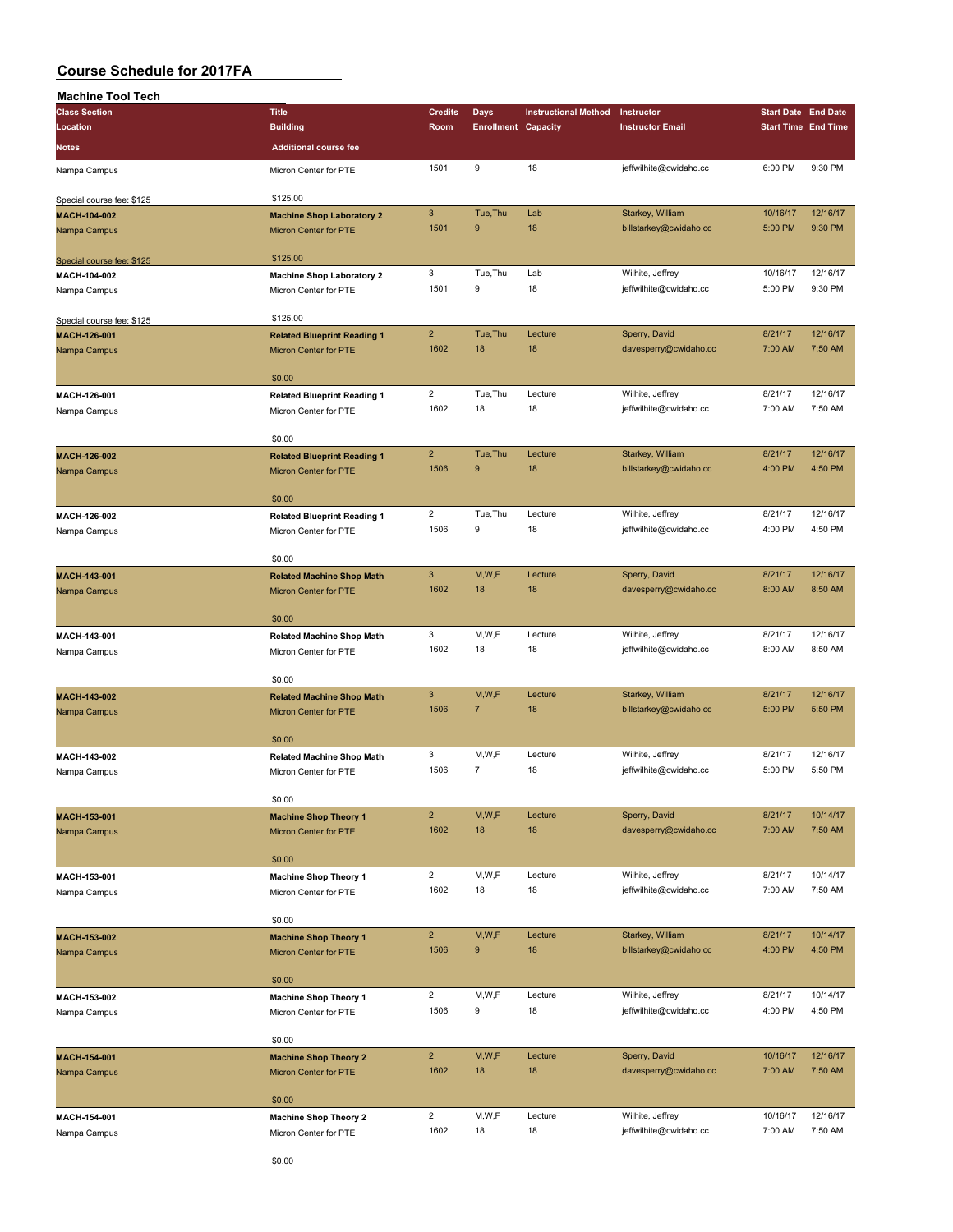| <b>Machine Tool Tech</b>  |                                    |                           |                            |                             |                         |                            |          |
|---------------------------|------------------------------------|---------------------------|----------------------------|-----------------------------|-------------------------|----------------------------|----------|
| <b>Class Section</b>      | <b>Title</b>                       | <b>Credits</b>            | Days                       | <b>Instructional Method</b> | Instructor              | <b>Start Date End Date</b> |          |
| Location                  | <b>Building</b>                    | Room                      | <b>Enrollment Capacity</b> |                             | <b>Instructor Email</b> | <b>Start Time End Time</b> |          |
| Notes                     | <b>Additional course fee</b>       |                           |                            |                             |                         |                            |          |
| Nampa Campus              | Micron Center for PTE              | 1501                      | 9                          | 18                          | jeffwilhite@cwidaho.cc  | 6:00 PM                    | 9:30 PM  |
|                           |                                    |                           |                            |                             |                         |                            |          |
| Special course fee: \$125 | \$125.00                           |                           |                            |                             |                         |                            |          |
| MACH-104-002              | <b>Machine Shop Laboratory 2</b>   | $\ensuremath{\mathsf{3}}$ | Tue, Thu<br>9              | Lab                         | Starkey, William        | 10/16/17                   | 12/16/17 |
| Nampa Campus              | Micron Center for PTE              | 1501                      |                            | 18                          | billstarkey@cwidaho.cc  | 5:00 PM                    | 9:30 PM  |
| Special course fee: \$125 | \$125.00                           |                           |                            |                             |                         |                            |          |
| MACH-104-002              | <b>Machine Shop Laboratory 2</b>   | 3                         | Tue, Thu                   | Lab                         | Wilhite, Jeffrey        | 10/16/17                   | 12/16/17 |
| Nampa Campus              | Micron Center for PTE              | 1501                      | 9                          | 18                          | jeffwilhite@cwidaho.cc  | 5:00 PM                    | 9:30 PM  |
|                           |                                    |                           |                            |                             |                         |                            |          |
| Special course fee: \$125 | \$125.00                           |                           |                            |                             |                         |                            |          |
| MACH-126-001              | <b>Related Blueprint Reading 1</b> | $\overline{2}$            | Tue, Thu                   | Lecture                     | Sperry, David           | 8/21/17                    | 12/16/17 |
| Nampa Campus              | Micron Center for PTE              | 1602                      | 18                         | 18                          | davesperry@cwidaho.cc   | 7:00 AM                    | 7:50 AM  |
|                           | \$0.00                             |                           |                            |                             |                         |                            |          |
| MACH-126-001              | <b>Related Blueprint Reading 1</b> | $\overline{2}$            | Tue, Thu                   | Lecture                     | Wilhite, Jeffrey        | 8/21/17                    | 12/16/17 |
| Nampa Campus              | Micron Center for PTE              | 1602                      | 18                         | 18                          | jeffwilhite@cwidaho.cc  | 7:00 AM                    | 7:50 AM  |
|                           | \$0.00                             |                           |                            |                             |                         |                            |          |
| MACH-126-002              | <b>Related Blueprint Reading 1</b> | $\overline{2}$            | Tue, Thu                   | Lecture                     | Starkey, William        | 8/21/17                    | 12/16/17 |
| Nampa Campus              | Micron Center for PTE              | 1506                      | 9                          | 18                          | billstarkey@cwidaho.cc  | 4:00 PM                    | 4:50 PM  |
|                           |                                    |                           |                            |                             |                         |                            |          |
|                           | \$0.00                             |                           |                            |                             |                         |                            |          |
| MACH-126-002              | <b>Related Blueprint Reading 1</b> | $\overline{2}$            | Tue, Thu                   | Lecture                     | Wilhite, Jeffrey        | 8/21/17                    | 12/16/17 |
| Nampa Campus              | Micron Center for PTE              | 1506                      | 9                          | 18                          | jeffwilhite@cwidaho.cc  | 4:00 PM                    | 4:50 PM  |
|                           | \$0.00                             |                           |                            |                             |                         |                            |          |
| MACH-143-001              | <b>Related Machine Shop Math</b>   | $\mathbf{3}$              | M,W,F                      | Lecture                     | Sperry, David           | 8/21/17                    | 12/16/17 |
| Nampa Campus              | Micron Center for PTE              | 1602                      | 18                         | 18                          | davesperry@cwidaho.cc   | 8:00 AM                    | 8:50 AM  |
|                           |                                    |                           |                            |                             |                         |                            |          |
|                           | \$0.00                             |                           |                            |                             |                         |                            |          |
| MACH-143-001              | <b>Related Machine Shop Math</b>   | 3                         | M,W,F                      | Lecture                     | Wilhite, Jeffrey        | 8/21/17                    | 12/16/17 |
| Nampa Campus              | Micron Center for PTE              | 1602                      | 18                         | 18                          | jeffwilhite@cwidaho.cc  | 8:00 AM                    | 8:50 AM  |
|                           | \$0.00                             |                           |                            |                             |                         |                            |          |
| MACH-143-002              | <b>Related Machine Shop Math</b>   | $\mathbf{3}$              | M,W,F                      | Lecture                     | Starkey, William        | 8/21/17                    | 12/16/17 |
| Nampa Campus              | Micron Center for PTE              | 1506                      | 7                          | 18                          | billstarkey@cwidaho.cc  | 5:00 PM                    | 5:50 PM  |
|                           | \$0.00                             |                           |                            |                             |                         |                            |          |
| MACH-143-002              | <b>Related Machine Shop Math</b>   | 3                         | M,W,F                      | Lecture                     | Wilhite, Jeffrey        | 8/21/17                    | 12/16/17 |
|                           | Micron Center for PTE              | 1506                      | $\overline{7}$             | 18                          | jeffwilhite@cwidaho.cc  | 5:00 PM                    | 5:50 PM  |
| Nampa Campus              |                                    |                           |                            |                             |                         |                            |          |
|                           | \$0.00                             |                           |                            |                             |                         |                            |          |
| MACH-153-001              | <b>Machine Shop Theory 1</b>       | $\overline{2}$            | M,W,F                      | Lecture                     | Sperry, David           | 8/21/17                    | 10/14/17 |
| Nampa Campus              | Micron Center for PTE              | 1602                      | 18                         | 18                          | davesperry@cwidaho.cc   | 7:00 AM                    | 7:50 AM  |
|                           | \$0.00                             |                           |                            |                             |                         |                            |          |
| MACH-153-001              | <b>Machine Shop Theory 1</b>       | $\overline{2}$            | M, W, F                    | Lecture                     | Wilhite, Jeffrey        | 8/21/17                    | 10/14/17 |
| Nampa Campus              | Micron Center for PTE              | 1602                      | 18                         | 18                          | jeffwilhite@cwidaho.cc  | 7:00 AM                    | 7:50 AM  |
|                           |                                    |                           |                            |                             |                         |                            |          |
|                           | \$0.00                             | $\overline{2}$            |                            |                             |                         |                            | 10/14/17 |
| MACH-153-002              | <b>Machine Shop Theory 1</b>       |                           | M,W,F<br>$\boldsymbol{9}$  | Lecture<br>18               | Starkey, William        | 8/21/17                    | 4:50 PM  |
| Nampa Campus              | <b>Micron Center for PTE</b>       | 1506                      |                            |                             | billstarkey@cwidaho.cc  | 4:00 PM                    |          |
|                           | \$0.00                             |                           |                            |                             |                         |                            |          |
| MACH-153-002              | <b>Machine Shop Theory 1</b>       | $\overline{2}$            | M,W,F                      | Lecture                     | Wilhite, Jeffrey        | 8/21/17                    | 10/14/17 |
| Nampa Campus              | Micron Center for PTE              | 1506                      | 9                          | 18                          | jeffwilhite@cwidaho.cc  | 4:00 PM                    | 4:50 PM  |
|                           | \$0.00                             |                           |                            |                             |                         |                            |          |
| MACH-154-001              | <b>Machine Shop Theory 2</b>       | $\overline{2}$            | M,W,F                      | Lecture                     | Sperry, David           | 10/16/17                   | 12/16/17 |
| Nampa Campus              | Micron Center for PTE              | 1602                      | 18                         | 18                          | davesperry@cwidaho.cc   | 7:00 AM                    | 7:50 AM  |
|                           |                                    |                           |                            |                             |                         |                            |          |
|                           | \$0.00                             |                           |                            |                             |                         |                            |          |
| MACH-154-001              | <b>Machine Shop Theory 2</b>       | $\overline{2}$            | M,W,F                      | Lecture                     | Wilhite, Jeffrey        | 10/16/17                   | 12/16/17 |
| Nampa Campus              | Micron Center for PTE              | 1602                      | 18                         | 18                          | jeffwilhite@cwidaho.cc  | 7:00 AM                    | 7:50 AM  |
|                           |                                    |                           |                            |                             |                         |                            |          |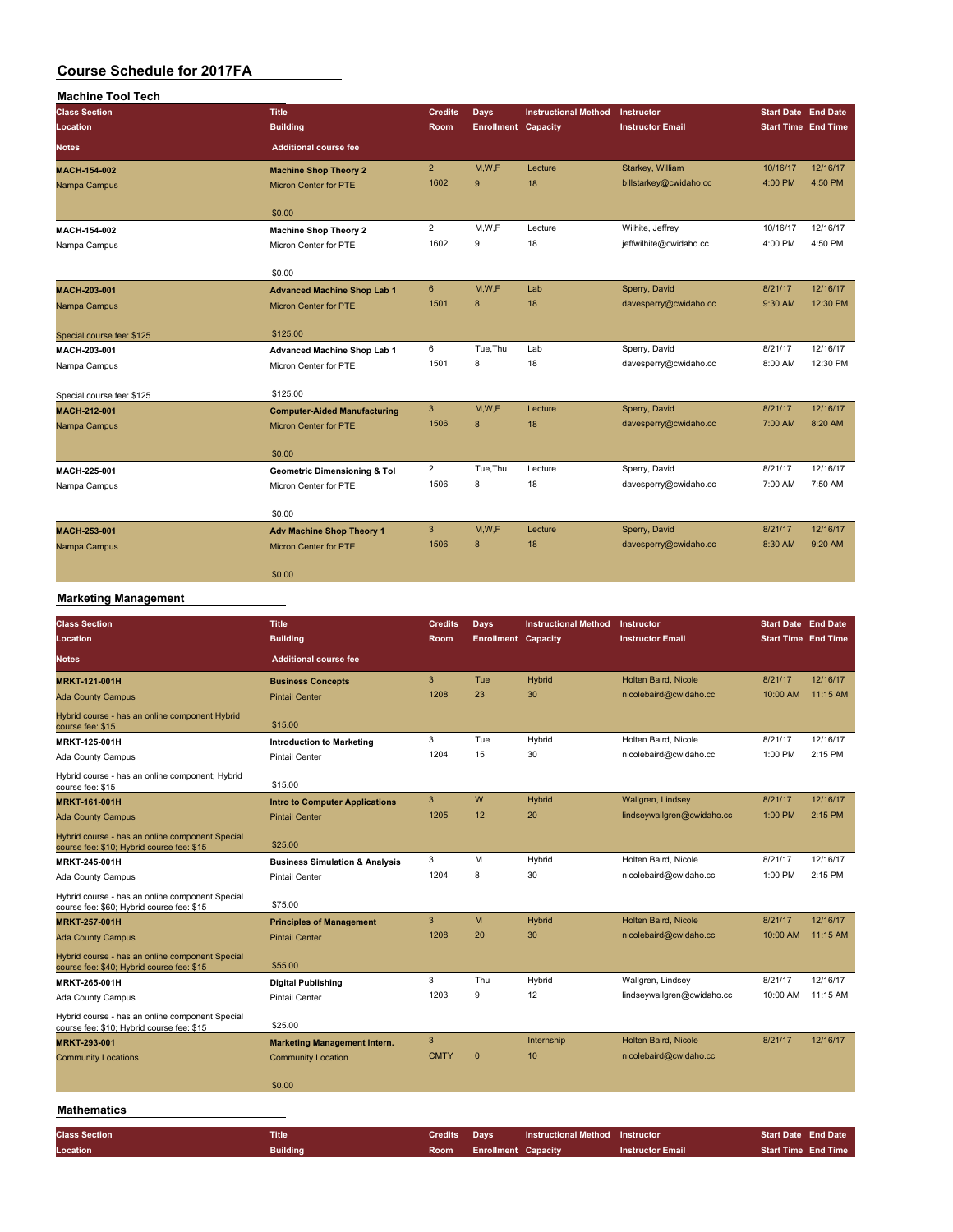| <b>Machine Tool Tech</b>  |                                         |                |                            |                             |                         |                            |          |
|---------------------------|-----------------------------------------|----------------|----------------------------|-----------------------------|-------------------------|----------------------------|----------|
| <b>Class Section</b>      | <b>Title</b>                            | <b>Credits</b> | <b>Days</b>                | <b>Instructional Method</b> | Instructor              | <b>Start Date End Date</b> |          |
| Location                  | <b>Building</b>                         | Room           | <b>Enrollment Capacity</b> |                             | <b>Instructor Email</b> | <b>Start Time End Time</b> |          |
| <b>Notes</b>              | <b>Additional course fee</b>            |                |                            |                             |                         |                            |          |
| <b>MACH-154-002</b>       | <b>Machine Shop Theory 2</b>            | 2 <sup>2</sup> | M,W,F                      | Lecture                     | Starkey, William        | 10/16/17                   | 12/16/17 |
| Nampa Campus              | <b>Micron Center for PTE</b>            | 1602           | 9                          | 18                          | billstarkey@cwidaho.cc  | 4:00 PM                    | 4:50 PM  |
|                           | \$0.00                                  |                |                            |                             |                         |                            |          |
| MACH-154-002              | <b>Machine Shop Theory 2</b>            | $\overline{2}$ | M, W, F                    | Lecture                     | Wilhite, Jeffrey        | 10/16/17                   | 12/16/17 |
| Nampa Campus              | Micron Center for PTE                   | 1602           | 9                          | 18                          | jeffwilhite@cwidaho.cc  | 4:00 PM                    | 4:50 PM  |
|                           | \$0.00                                  |                |                            |                             |                         |                            |          |
| MACH-203-001              | <b>Advanced Machine Shop Lab 1</b>      | 6              | M,W,F                      | Lab                         | Sperry, David           | 8/21/17                    | 12/16/17 |
| Nampa Campus              | <b>Micron Center for PTE</b>            | 1501           | 8                          | 18                          | davesperry@cwidaho.cc   | 9:30 AM                    | 12:30 PM |
| Special course fee: \$125 | \$125.00                                |                |                            |                             |                         |                            |          |
| MACH-203-001              | <b>Advanced Machine Shop Lab 1</b>      | 6              | Tue, Thu                   | Lab                         | Sperry, David           | 8/21/17                    | 12/16/17 |
| Nampa Campus              | Micron Center for PTE                   | 1501           | 8                          | 18                          | davesperry@cwidaho.cc   | 8:00 AM                    | 12:30 PM |
| Special course fee: \$125 | \$125.00                                |                |                            |                             |                         |                            |          |
| <b>MACH-212-001</b>       | <b>Computer-Aided Manufacturing</b>     | 3              | M,W,F                      | Lecture                     | Sperry, David           | 8/21/17                    | 12/16/17 |
| Nampa Campus              | <b>Micron Center for PTE</b>            | 1506           | 8                          | 18                          | davesperry@cwidaho.cc   | 7:00 AM                    | 8:20 AM  |
|                           | \$0.00                                  |                |                            |                             |                         |                            |          |
| MACH-225-001              | <b>Geometric Dimensioning &amp; Tol</b> | $\overline{2}$ | Tue, Thu                   | Lecture                     | Sperry, David           | 8/21/17                    | 12/16/17 |
| Nampa Campus              | Micron Center for PTE                   | 1506           | 8                          | 18                          | davesperry@cwidaho.cc   | 7:00 AM                    | 7:50 AM  |
|                           | \$0.00                                  |                |                            |                             |                         |                            |          |
| MACH-253-001              | <b>Adv Machine Shop Theory 1</b>        | 3              | M.W.F                      | Lecture                     | Sperry, David           | 8/21/17                    | 12/16/17 |
| Nampa Campus              | Micron Center for PTE                   | 1506           | 8                          | 18                          | davesperry@cwidaho.cc   | 8:30 AM                    | 9:20 AM  |
|                           | \$0.00                                  |                |                            |                             |                         |                            |          |

#### **Marketing Management**

| <b>Class Section</b><br>Location                                                             | <b>Title</b><br><b>Building</b>           | <b>Credits</b><br><b>Room</b> | <b>Days</b><br><b>Enrollment Capacity</b> | <b>Instructional Method</b> | Instructor<br><b>Instructor Email</b> | <b>Start Date End Date</b><br><b>Start Time End Time</b> |           |
|----------------------------------------------------------------------------------------------|-------------------------------------------|-------------------------------|-------------------------------------------|-----------------------------|---------------------------------------|----------------------------------------------------------|-----------|
| <b>Notes</b>                                                                                 | <b>Additional course fee</b>              |                               |                                           |                             |                                       |                                                          |           |
| <b>MRKT-121-001H</b>                                                                         | <b>Business Concepts</b>                  | 3                             | Tue                                       | <b>Hybrid</b>               | Holten Baird, Nicole                  | 8/21/17                                                  | 12/16/17  |
| <b>Ada County Campus</b>                                                                     | <b>Pintail Center</b>                     | 1208                          | 23                                        | 30                          | nicolebaird@cwidaho.cc                | 10:00 AM                                                 | 11:15 AM  |
| Hybrid course - has an online component Hybrid<br>course fee: \$15                           | \$15.00                                   |                               |                                           |                             |                                       |                                                          |           |
| MRKT-125-001H                                                                                | <b>Introduction to Marketing</b>          | 3                             | Tue                                       | Hybrid                      | Holten Baird, Nicole                  | 8/21/17                                                  | 12/16/17  |
| Ada County Campus                                                                            | <b>Pintail Center</b>                     | 1204                          | 15                                        | 30                          | nicolebaird@cwidaho.cc                | 1:00 PM                                                  | 2:15 PM   |
| Hybrid course - has an online component; Hybrid<br>course fee: \$15                          | \$15.00                                   |                               |                                           |                             |                                       |                                                          |           |
| <b>MRKT-161-001H</b>                                                                         | <b>Intro to Computer Applications</b>     | 3                             | W                                         | <b>Hybrid</b>               | Wallgren, Lindsey                     | 8/21/17                                                  | 12/16/17  |
| <b>Ada County Campus</b>                                                                     | <b>Pintail Center</b>                     | 1205                          | 12                                        | 20                          | lindseywallgren@cwidaho.cc            | 1:00 PM                                                  | $2:15$ PM |
| Hybrid course - has an online component Special<br>course fee: \$10; Hybrid course fee: \$15 | \$25.00                                   |                               |                                           |                             |                                       |                                                          |           |
| MRKT-245-001H                                                                                | <b>Business Simulation &amp; Analysis</b> | 3                             | M                                         | Hybrid                      | Holten Baird, Nicole                  | 8/21/17                                                  | 12/16/17  |
| Ada County Campus                                                                            | <b>Pintail Center</b>                     | 1204                          | 8                                         | 30                          | nicolebaird@cwidaho.cc                | 1:00 PM                                                  | 2:15 PM   |
| Hybrid course - has an online component Special<br>course fee: \$60; Hybrid course fee: \$15 | \$75.00                                   |                               |                                           |                             |                                       |                                                          |           |
| <b>MRKT-257-001H</b>                                                                         | <b>Principles of Management</b>           | 3                             | M                                         | <b>Hybrid</b>               | Holten Baird, Nicole                  | 8/21/17                                                  | 12/16/17  |
| <b>Ada County Campus</b>                                                                     | <b>Pintail Center</b>                     | 1208                          | 20                                        | 30                          | nicolebaird@cwidaho.cc                | 10:00 AM                                                 | 11:15 AM  |
| Hybrid course - has an online component Special<br>course fee: \$40; Hybrid course fee: \$15 | \$55.00                                   |                               |                                           |                             |                                       |                                                          |           |
| MRKT-265-001H                                                                                | <b>Digital Publishing</b>                 | 3                             | Thu                                       | Hybrid                      | Wallgren, Lindsey                     | 8/21/17                                                  | 12/16/17  |
| Ada County Campus                                                                            | <b>Pintail Center</b>                     | 1203                          | 9                                         | 12                          | lindseywallgren@cwidaho.cc            | 10:00 AM                                                 | 11:15 AM  |
| Hybrid course - has an online component Special<br>course fee: \$10; Hybrid course fee: \$15 | \$25.00                                   |                               |                                           |                             |                                       |                                                          |           |
| MRKT-293-001                                                                                 | <b>Marketing Management Intern.</b>       | 3                             |                                           | Internship                  | Holten Baird, Nicole                  | 8/21/17                                                  | 12/16/17  |
| <b>Community Locations</b>                                                                   | <b>Community Location</b>                 | <b>CMTY</b>                   | $\mathbf{0}$                              | 10                          | nicolebaird@cwidaho.cc                |                                                          |           |
|                                                                                              | \$0.00                                    |                               |                                           |                             |                                       |                                                          |           |
| <b>Mathematics</b>                                                                           |                                           |                               |                                           |                             |                                       |                                                          |           |
| <b>Class Section</b>                                                                         | <b>Title</b>                              | <b>Credits</b>                | <b>Days</b>                               | <b>Instructional Method</b> | Instructor                            | <b>Start Date End Date</b>                               |           |
| Location                                                                                     | <b>Building</b>                           | Room                          | <b>Enrollment Capacity</b>                |                             | <b>Instructor Email</b>               | <b>Start Time End Time</b>                               |           |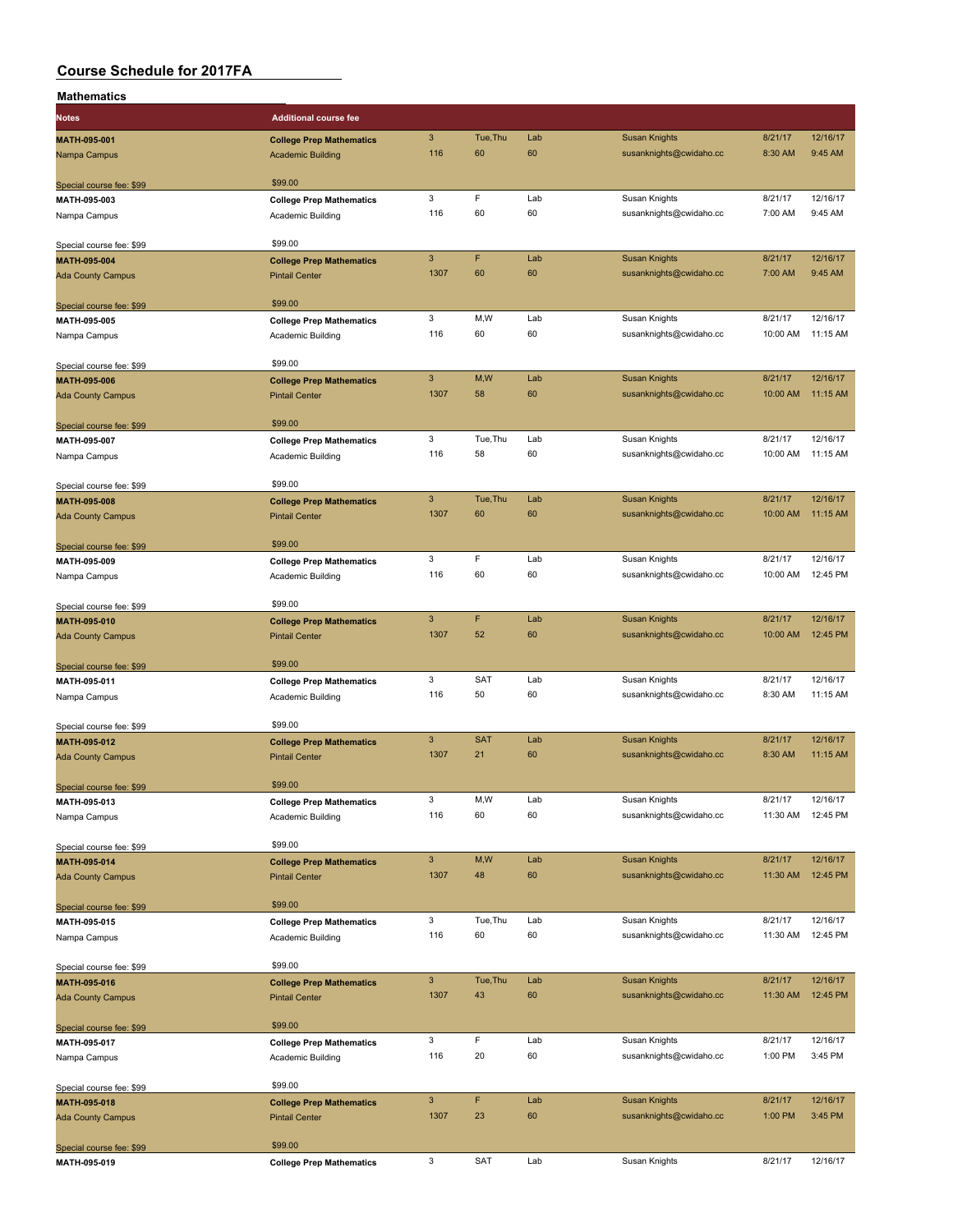| Mathematics              |                                 |                                   |            |           |                                                 |                     |                     |
|--------------------------|---------------------------------|-----------------------------------|------------|-----------|-------------------------------------------------|---------------------|---------------------|
| <b>Notes</b>             | <b>Additional course fee</b>    |                                   |            |           |                                                 |                     |                     |
| MATH-095-001             | <b>College Prep Mathematics</b> | $\mathbf{3}$                      | Tue, Thu   | Lab       | <b>Susan Knights</b>                            | 8/21/17             | 12/16/17            |
| Nampa Campus             | <b>Academic Building</b>        | 116                               | 60         | 60        | susanknights@cwidaho.cc                         | 8:30 AM             | 9:45 AM             |
| Special course fee: \$99 | \$99.00                         |                                   |            |           |                                                 |                     |                     |
| MATH-095-003             | <b>College Prep Mathematics</b> | 3                                 | F          | Lab       | Susan Knights                                   | 8/21/17             | 12/16/17            |
| Nampa Campus             | Academic Building               | 116                               | 60         | 60        | susanknights@cwidaho.cc                         | 7:00 AM             | 9:45 AM             |
| Special course fee: \$99 | \$99.00                         |                                   |            |           |                                                 |                     |                     |
| MATH-095-004             | <b>College Prep Mathematics</b> | $\mathbf{3}$                      | F          | Lab       | <b>Susan Knights</b>                            | 8/21/17             | 12/16/17            |
| <b>Ada County Campus</b> | <b>Pintail Center</b>           | 1307                              | 60         | 60        | susanknights@cwidaho.cc                         | 7:00 AM             | 9:45 AM             |
| Special course fee: \$99 | \$99.00                         |                                   |            |           |                                                 |                     |                     |
| MATH-095-005             | <b>College Prep Mathematics</b> | 3                                 | M,W        | Lab       | Susan Knights                                   | 8/21/17             | 12/16/17            |
| Nampa Campus             | Academic Building               | 116                               | 60         | 60        | susanknights@cwidaho.cc                         | 10:00 AM            | 11:15 AM            |
| Special course fee: \$99 | \$99.00                         |                                   |            |           |                                                 |                     |                     |
| MATH-095-006             | <b>College Prep Mathematics</b> | $\mathbf{3}$                      | M,W        | Lab       | <b>Susan Knights</b>                            | 8/21/17             | 12/16/17            |
| <b>Ada County Campus</b> | <b>Pintail Center</b>           | 1307                              | 58         | 60        | susanknights@cwidaho.cc                         | 10:00 AM            | 11:15 AM            |
| Special course fee: \$99 | \$99.00                         |                                   |            |           |                                                 |                     |                     |
| MATH-095-007             | <b>College Prep Mathematics</b> | 3<br>116                          | Tue, Thu   | Lab<br>60 | Susan Knights                                   | 8/21/17<br>10:00 AM | 12/16/17            |
| Nampa Campus             | Academic Building               |                                   | 58         |           | susanknights@cwidaho.cc                         |                     | 11:15 AM            |
| Special course fee: \$99 | \$99.00                         |                                   |            |           |                                                 |                     |                     |
| <b>MATH-095-008</b>      | <b>College Prep Mathematics</b> | $\mathsf 3$                       | Tue, Thu   | Lab       | <b>Susan Knights</b>                            | 8/21/17             | 12/16/17            |
| <b>Ada County Campus</b> | <b>Pintail Center</b>           | 1307                              | 60         | 60        | susanknights@cwidaho.cc                         | 10:00 AM            | 11:15 AM            |
| Special course fee: \$99 | \$99.00                         |                                   |            |           |                                                 |                     |                     |
| MATH-095-009             | <b>College Prep Mathematics</b> | 3                                 | F          | Lab       | Susan Knights                                   | 8/21/17             | 12/16/17            |
| Nampa Campus             | Academic Building               | 116                               | 60         | 60        | susanknights@cwidaho.cc                         | 10:00 AM            | 12:45 PM            |
| Special course fee: \$99 | \$99.00                         |                                   |            |           |                                                 |                     |                     |
| MATH-095-010             | <b>College Prep Mathematics</b> | $\mathbf{3}$                      | F          | Lab       | <b>Susan Knights</b>                            | 8/21/17             | 12/16/17            |
| <b>Ada County Campus</b> | <b>Pintail Center</b>           | 1307                              | 52         | 60        | susanknights@cwidaho.cc                         | 10:00 AM            | 12:45 PM            |
| Special course fee: \$99 | \$99.00                         |                                   |            |           |                                                 |                     |                     |
| MATH-095-011             | <b>College Prep Mathematics</b> | 3                                 | <b>SAT</b> | Lab       | Susan Knights                                   | 8/21/17             | 12/16/17            |
| Nampa Campus             | Academic Building               | 116                               | 50         | 60        | susanknights@cwidaho.cc                         | 8:30 AM             | 11:15 AM            |
| Special course fee: \$99 | \$99.00                         |                                   |            |           |                                                 |                     |                     |
| MATH-095-012             | <b>College Prep Mathematics</b> | $\mathbf{3}$                      | <b>SAT</b> | Lab       | <b>Susan Knights</b>                            | 8/21/17             | 12/16/17            |
| <b>Ada County Campus</b> | <b>Pintail Center</b>           | 1307                              | 21         | 60        | susanknights@cwidaho.cc                         | 8:30 AM             | 11:15 AM            |
| Special course fee: \$99 | \$99.00                         |                                   |            |           |                                                 |                     |                     |
| MATH-095-013             | <b>College Prep Mathematics</b> | 3                                 | M,W        | Lab       | Susan Knights                                   | 8/21/17             | 12/16/17            |
| Nampa Campus             | Academic Building               | 116                               | 60         | 60        | susanknights@cwidaho.cc                         | 11:30 AM            | 12:45 PM            |
| Special course fee: \$99 | \$99.00                         |                                   |            |           |                                                 |                     |                     |
| MATH-095-014             | <b>College Prep Mathematics</b> | $\ensuremath{\mathsf{3}}$         | M,W        | Lab       | <b>Susan Knights</b>                            | 8/21/17             | 12/16/17            |
| <b>Ada County Campus</b> | <b>Pintail Center</b>           | 1307                              | 48         | 60        | susanknights@cwidaho.cc                         | 11:30 AM            | 12:45 PM            |
| Special course fee: \$99 | \$99.00                         |                                   |            |           |                                                 |                     |                     |
| MATH-095-015             | <b>College Prep Mathematics</b> | 3                                 | Tue, Thu   | Lab       | Susan Knights                                   | 8/21/17             | 12/16/17            |
| Nampa Campus             | Academic Building               | 116                               | 60         | 60        | susanknights@cwidaho.cc                         | 11:30 AM            | 12:45 PM            |
| Special course fee: \$99 | \$99.00                         |                                   |            |           |                                                 |                     |                     |
| MATH-095-016             | <b>College Prep Mathematics</b> | $\mathbf{3}$                      | Tue, Thu   | Lab       | <b>Susan Knights</b>                            | 8/21/17             | 12/16/17            |
| <b>Ada County Campus</b> | <b>Pintail Center</b>           | 1307                              | 43         | 60        | susanknights@cwidaho.cc                         | 11:30 AM            | 12:45 PM            |
| Special course fee: \$99 | \$99.00                         |                                   |            |           |                                                 |                     |                     |
| MATH-095-017             | <b>College Prep Mathematics</b> | 3                                 | F          | Lab       | Susan Knights                                   | 8/21/17             | 12/16/17            |
| Nampa Campus             | Academic Building               | 116                               | 20         | 60        | susanknights@cwidaho.cc                         | 1:00 PM             | 3:45 PM             |
| Special course fee: \$99 | \$99.00                         |                                   |            |           |                                                 |                     |                     |
| MATH-095-018             | <b>College Prep Mathematics</b> | $\ensuremath{\mathsf{3}}$<br>1307 | F<br>23    | Lab<br>60 | <b>Susan Knights</b><br>susanknights@cwidaho.cc | 8/21/17<br>1:00 PM  | 12/16/17<br>3:45 PM |
| <b>Ada County Campus</b> | <b>Pintail Center</b>           |                                   |            |           |                                                 |                     |                     |
| Special course fee: \$99 | \$99.00                         |                                   |            |           |                                                 |                     |                     |
| MATH-095-019             | <b>College Prep Mathematics</b> | 3                                 | <b>SAT</b> | Lab       | Susan Knights                                   | 8/21/17             | 12/16/17            |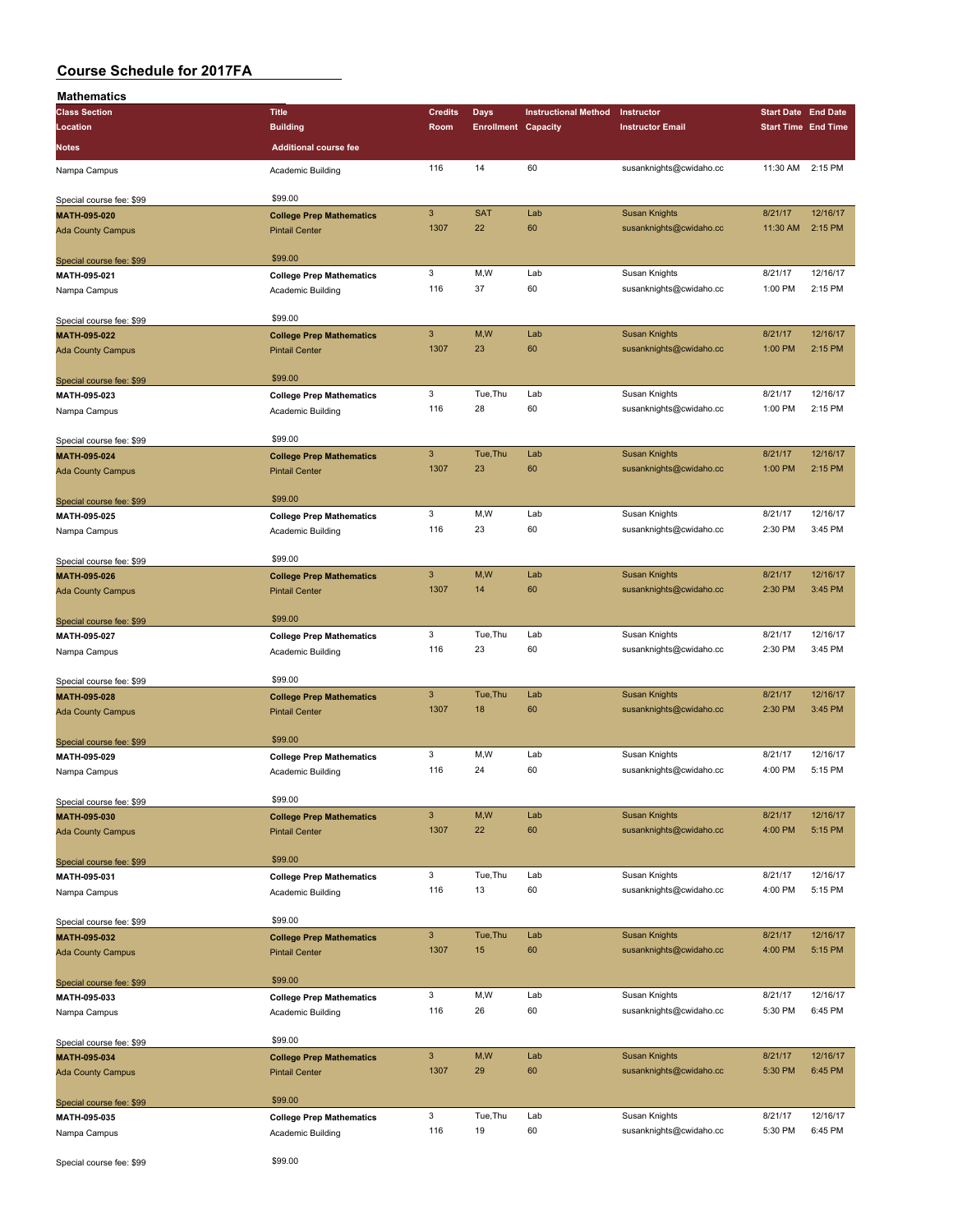| <b>Mathematics</b>       |                                 |                |                            |                             |                         |                            |          |
|--------------------------|---------------------------------|----------------|----------------------------|-----------------------------|-------------------------|----------------------------|----------|
| <b>Class Section</b>     | <b>Title</b>                    | <b>Credits</b> | Days                       | <b>Instructional Method</b> | Instructor              | <b>Start Date End Date</b> |          |
| Location                 | <b>Building</b>                 | Room           | <b>Enrollment Capacity</b> |                             | <b>Instructor Email</b> | <b>Start Time End Time</b> |          |
| <b>Notes</b>             | <b>Additional course fee</b>    |                |                            |                             |                         |                            |          |
| Nampa Campus             | Academic Building               | 116            | 14                         | 60                          | susanknights@cwidaho.cc | 11:30 AM                   | 2:15 PM  |
| Special course fee: \$99 | \$99.00                         |                |                            |                             |                         |                            |          |
| MATH-095-020             | <b>College Prep Mathematics</b> | 3              | <b>SAT</b>                 | Lab                         | <b>Susan Knights</b>    | 8/21/17                    | 12/16/17 |
| <b>Ada County Campus</b> | <b>Pintail Center</b>           | 1307           | 22                         | 60                          | susanknights@cwidaho.cc | 11:30 AM                   | 2:15 PM  |
| Special course fee: \$99 | \$99.00                         |                |                            |                             |                         |                            |          |
| MATH-095-021             | <b>College Prep Mathematics</b> | 3              | M,W                        | Lab                         | Susan Knights           | 8/21/17                    | 12/16/17 |
| Nampa Campus             | Academic Building               | 116            | 37                         | 60                          | susanknights@cwidaho.cc | 1:00 PM                    | 2:15 PM  |
| Special course fee: \$99 | \$99.00                         |                |                            |                             |                         |                            |          |
| MATH-095-022             | <b>College Prep Mathematics</b> | 3              | M,W                        | Lab                         | <b>Susan Knights</b>    | 8/21/17                    | 12/16/17 |
| <b>Ada County Campus</b> | <b>Pintail Center</b>           | 1307           | 23                         | 60                          | susanknights@cwidaho.cc | 1:00 PM                    | 2:15 PM  |
| Special course fee: \$99 | \$99.00                         |                |                            |                             |                         |                            |          |
| MATH-095-023             | <b>College Prep Mathematics</b> | 3              | Tue, Thu                   | Lab                         | Susan Knights           | 8/21/17                    | 12/16/17 |
| Nampa Campus             | Academic Building               | 116            | 28                         | 60                          | susanknights@cwidaho.cc | 1:00 PM                    | 2:15 PM  |
| Special course fee: \$99 | \$99.00                         |                |                            |                             |                         |                            |          |
| MATH-095-024             | <b>College Prep Mathematics</b> | 3              | Tue, Thu                   | Lab                         | <b>Susan Knights</b>    | 8/21/17                    | 12/16/17 |
| <b>Ada County Campus</b> | <b>Pintail Center</b>           | 1307           | 23                         | 60                          | susanknights@cwidaho.cc | 1:00 PM                    | 2:15 PM  |
| Special course fee: \$99 | \$99.00                         |                |                            |                             |                         |                            |          |
| MATH-095-025             | <b>College Prep Mathematics</b> | 3              | M,W                        | Lab                         | Susan Knights           | 8/21/17                    | 12/16/17 |
| Nampa Campus             | Academic Building               | 116            | 23                         | 60                          | susanknights@cwidaho.cc | 2:30 PM                    | 3:45 PM  |
| Special course fee: \$99 | \$99.00                         |                |                            |                             |                         |                            |          |
| MATH-095-026             | <b>College Prep Mathematics</b> | 3              | M,W                        | Lab                         | <b>Susan Knights</b>    | 8/21/17                    | 12/16/17 |
| <b>Ada County Campus</b> | <b>Pintail Center</b>           | 1307           | 14                         | 60                          | susanknights@cwidaho.cc | 2:30 PM                    | 3:45 PM  |
| Special course fee: \$99 | \$99.00                         |                |                            |                             |                         |                            |          |
| MATH-095-027             | <b>College Prep Mathematics</b> | 3              | Tue, Thu                   | Lab                         | Susan Knights           | 8/21/17                    | 12/16/17 |
| Nampa Campus             | Academic Building               | 116            | 23                         | 60                          | susanknights@cwidaho.cc | 2:30 PM                    | 3:45 PM  |
| Special course fee: \$99 | \$99.00                         |                |                            |                             |                         |                            |          |
| MATH-095-028             | <b>College Prep Mathematics</b> | 3              | Tue, Thu                   | Lab                         | <b>Susan Knights</b>    | 8/21/17                    | 12/16/17 |
| <b>Ada County Campus</b> | <b>Pintail Center</b>           | 1307           | 18                         | 60                          | susanknights@cwidaho.cc | 2:30 PM                    | 3:45 PM  |
| Special course fee: \$99 | \$99.00                         |                |                            |                             |                         |                            |          |
| MATH-095-029             | <b>College Prep Mathematics</b> | 3              | M,W                        | Lab                         | Susan Knights           | 8/21/17                    | 12/16/17 |
| Nampa Campus             | Academic Building               | 116            | 24                         | 60                          | susanknights@cwidaho.cc | 4:00 PM                    | 5:15 PM  |
| Special course fee: \$99 | \$99.00                         |                |                            |                             |                         |                            |          |
| MATH-095-030             | <b>College Prep Mathematics</b> | 3              | M,W                        | Lab                         | <b>Susan Knights</b>    | 8/21/17                    | 12/16/17 |
| <b>Ada County Campus</b> | <b>Pintail Center</b>           | 1307           | 22                         | 60                          | susanknights@cwidaho.cc | 4:00 PM                    | 5:15 PM  |
| Special course fee: \$99 | \$99.00                         |                |                            |                             |                         |                            |          |
| MATH-095-031             | <b>College Prep Mathematics</b> | 3              | Tue, Thu                   | Lab                         | Susan Knights           | 8/21/17                    | 12/16/17 |
| Nampa Campus             | Academic Building               | 116            | 13                         | 60                          | susanknights@cwidaho.cc | 4:00 PM                    | 5:15 PM  |
| Special course fee: \$99 | \$99.00                         |                |                            |                             |                         |                            |          |
| MATH-095-032             | <b>College Prep Mathematics</b> | $\mathbf{3}$   | Tue, Thu                   | Lab                         | <b>Susan Knights</b>    | 8/21/17                    | 12/16/17 |
| <b>Ada County Campus</b> | <b>Pintail Center</b>           | 1307           | 15                         | 60                          | susanknights@cwidaho.cc | 4:00 PM                    | 5:15 PM  |
| Special course fee: \$99 | \$99.00                         |                |                            |                             |                         |                            |          |
| MATH-095-033             | <b>College Prep Mathematics</b> | 3              | M,W                        | Lab                         | Susan Knights           | 8/21/17                    | 12/16/17 |
| Nampa Campus             | Academic Building               | 116            | 26                         | 60                          | susanknights@cwidaho.cc | 5:30 PM                    | 6:45 PM  |
| Special course fee: \$99 | \$99.00                         |                |                            |                             |                         |                            |          |
| MATH-095-034             | <b>College Prep Mathematics</b> | $\mathbf{3}$   | M,W                        | Lab                         | <b>Susan Knights</b>    | 8/21/17                    | 12/16/17 |
| <b>Ada County Campus</b> | <b>Pintail Center</b>           | 1307           | 29                         | 60                          | susanknights@cwidaho.cc | 5:30 PM                    | 6:45 PM  |
| Special course fee: \$99 | \$99.00                         |                |                            |                             |                         |                            |          |
| MATH-095-035             | <b>College Prep Mathematics</b> | 3              | Tue, Thu                   | Lab                         | Susan Knights           | 8/21/17                    | 12/16/17 |
| Nampa Campus             | Academic Building               | 116            | 19                         | 60                          | susanknights@cwidaho.cc | 5:30 PM                    | 6:45 PM  |
| Special course fee: \$99 | \$99.00                         |                |                            |                             |                         |                            |          |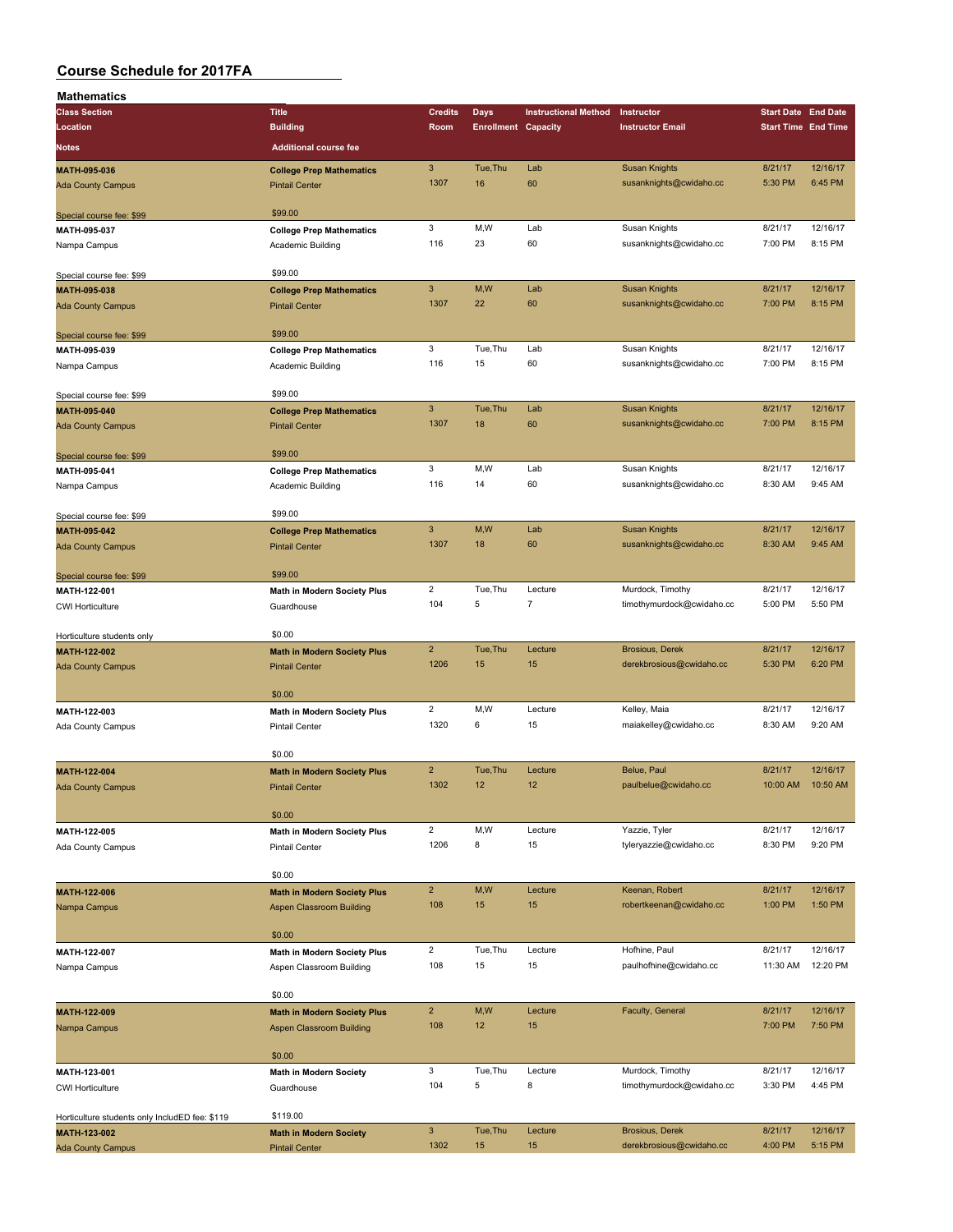| <b>Mathematics</b>                             |                                                          |                      |                            |                             |                                                    |                            |                     |
|------------------------------------------------|----------------------------------------------------------|----------------------|----------------------------|-----------------------------|----------------------------------------------------|----------------------------|---------------------|
| <b>Class Section</b>                           | <b>Title</b>                                             | <b>Credits</b>       | Days                       | <b>Instructional Method</b> | Instructor                                         | <b>Start Date End Date</b> |                     |
| Location                                       | <b>Building</b>                                          | Room                 | <b>Enrollment Capacity</b> |                             | <b>Instructor Email</b>                            | <b>Start Time End Time</b> |                     |
| Notes                                          | <b>Additional course fee</b>                             |                      |                            |                             |                                                    |                            |                     |
|                                                |                                                          | $\sqrt{3}$           | Tue, Thu                   | Lab                         |                                                    | 8/21/17                    | 12/16/17            |
| MATH-095-036                                   | <b>College Prep Mathematics</b>                          | 1307                 | 16                         | 60                          | <b>Susan Knights</b><br>susanknights@cwidaho.cc    | 5:30 PM                    | 6:45 PM             |
| <b>Ada County Campus</b>                       | <b>Pintail Center</b>                                    |                      |                            |                             |                                                    |                            |                     |
| Special course fee: \$99                       | \$99.00                                                  |                      |                            |                             |                                                    |                            |                     |
| MATH-095-037                                   | <b>College Prep Mathematics</b>                          | 3                    | M,W                        | Lab                         | Susan Knights                                      | 8/21/17                    | 12/16/17            |
| Nampa Campus                                   | Academic Building                                        | 116                  | 23                         | 60                          | susanknights@cwidaho.cc                            | 7:00 PM                    | 8:15 PM             |
|                                                |                                                          |                      |                            |                             |                                                    |                            |                     |
| Special course fee: \$99                       | \$99.00                                                  |                      |                            |                             |                                                    |                            |                     |
| MATH-095-038                                   | <b>College Prep Mathematics</b>                          | $\mathbf{3}$         | M,W                        | Lab                         | <b>Susan Knights</b>                               | 8/21/17                    | 12/16/17            |
| Ada County Campus                              | <b>Pintail Center</b>                                    | 1307                 | 22                         | 60                          | susanknights@cwidaho.cc                            | 7:00 PM                    | 8:15 PM             |
|                                                |                                                          |                      |                            |                             |                                                    |                            |                     |
| Special course fee: \$99                       | \$99.00                                                  |                      |                            |                             |                                                    |                            |                     |
| MATH-095-039                                   | <b>College Prep Mathematics</b>                          | 3                    | Tue, Thu                   | Lab                         | Susan Knights                                      | 8/21/17                    | 12/16/17            |
| Nampa Campus                                   | Academic Building                                        | 116                  | 15                         | 60                          | susanknights@cwidaho.cc                            | 7:00 PM                    | 8:15 PM             |
|                                                |                                                          |                      |                            |                             |                                                    |                            |                     |
| Special course fee: \$99                       | \$99.00                                                  |                      |                            |                             |                                                    |                            |                     |
| MATH-095-040                                   | <b>College Prep Mathematics</b>                          | $\mathbf{3}$         | Tue, Thu                   | Lab                         | <b>Susan Knights</b>                               | 8/21/17                    | 12/16/17            |
| <b>Ada County Campus</b>                       | <b>Pintail Center</b>                                    | 1307                 | 18                         | 60                          | susanknights@cwidaho.cc                            | 7:00 PM                    | 8:15 PM             |
|                                                |                                                          |                      |                            |                             |                                                    |                            |                     |
| Special course fee: \$99                       | \$99.00                                                  |                      |                            |                             |                                                    |                            |                     |
| MATH-095-041                                   | <b>College Prep Mathematics</b>                          | 3<br>116             | M, W<br>14                 | Lab                         | Susan Knights                                      | 8/21/17                    | 12/16/17<br>9:45 AM |
| Nampa Campus                                   | Academic Building                                        |                      |                            | 60                          | susanknights@cwidaho.cc                            | 8:30 AM                    |                     |
|                                                | \$99.00                                                  |                      |                            |                             |                                                    |                            |                     |
| Special course fee: \$99                       |                                                          | $\mathbf{3}$         | M,W                        | Lab                         | <b>Susan Knights</b>                               | 8/21/17                    | 12/16/17            |
| MATH-095-042                                   | <b>College Prep Mathematics</b><br><b>Pintail Center</b> | 1307                 | 18                         | 60                          | susanknights@cwidaho.cc                            | 8:30 AM                    | 9:45 AM             |
| <b>Ada County Campus</b>                       |                                                          |                      |                            |                             |                                                    |                            |                     |
| Special course fee: \$99                       | \$99.00                                                  |                      |                            |                             |                                                    |                            |                     |
| MATH-122-001                                   | Math in Modern Society Plus                              | $\overline{2}$       | Tue, Thu                   | Lecture                     | Murdock, Timothy                                   | 8/21/17                    | 12/16/17            |
| <b>CWI Horticulture</b>                        | Guardhouse                                               | 104                  | 5                          | $\overline{7}$              | timothymurdock@cwidaho.cc                          | 5:00 PM                    | 5:50 PM             |
|                                                |                                                          |                      |                            |                             |                                                    |                            |                     |
| Horticulture students only                     | \$0.00                                                   |                      |                            |                             |                                                    |                            |                     |
| MATH-122-002                                   | <b>Math in Modern Society Plus</b>                       | $\overline{2}$       | Tue, Thu                   | Lecture                     | <b>Brosious, Derek</b>                             | 8/21/17                    | 12/16/17            |
| <b>Ada County Campus</b>                       | <b>Pintail Center</b>                                    | 1206                 | 15                         | 15                          | derekbrosious@cwidaho.cc                           | 5:30 PM                    | 6:20 PM             |
|                                                |                                                          |                      |                            |                             |                                                    |                            |                     |
|                                                | \$0.00                                                   |                      |                            |                             |                                                    |                            |                     |
| MATH-122-003                                   | Math in Modern Society Plus                              | $\overline{c}$       | M, W                       | Lecture                     | Kelley, Maia                                       | 8/21/17                    | 12/16/17            |
| Ada County Campus                              | <b>Pintail Center</b>                                    | 1320                 | 6                          | 15                          | maiakelley@cwidaho.cc                              | 8:30 AM                    | 9:20 AM             |
|                                                |                                                          |                      |                            |                             |                                                    |                            |                     |
|                                                | \$0.00                                                   |                      |                            |                             |                                                    |                            |                     |
| MATH-122-004                                   | <b>Math in Modern Society Plus</b>                       | $\overline{2}$       | Tue, Thu                   | Lecture                     | Belue, Paul                                        | 8/21/17                    | 12/16/17            |
| <b>Ada County Campus</b>                       | <b>Pintail Center</b>                                    | 1302                 | 12                         | 12                          | paulbelue@cwidaho.cc                               | 10:00 AM                   | 10:50 AM            |
|                                                | \$0.00                                                   |                      |                            |                             |                                                    |                            |                     |
|                                                |                                                          | $\overline{2}$       | M,W                        | Lecture                     | Yazzie, Tyler                                      | 8/21/17                    | 12/16/17            |
| MATH-122-005<br>Ada County Campus              | Math in Modern Society Plus<br>Pintail Center            | 1206                 | 8                          | 15                          | tyleryazzie@cwidaho.cc                             | 8:30 PM                    | 9:20 PM             |
|                                                |                                                          |                      |                            |                             |                                                    |                            |                     |
|                                                | \$0.00                                                   |                      |                            |                             |                                                    |                            |                     |
| MATH-122-006                                   | <b>Math in Modern Society Plus</b>                       | $\overline{2}$       | M,W                        | Lecture                     | Keenan, Robert                                     | 8/21/17                    | 12/16/17            |
| Nampa Campus                                   | <b>Aspen Classroom Building</b>                          | 108                  | 15                         | 15                          | robertkeenan@cwidaho.cc                            | 1:00 PM                    | 1:50 PM             |
|                                                |                                                          |                      |                            |                             |                                                    |                            |                     |
|                                                | \$0.00                                                   |                      |                            |                             |                                                    |                            |                     |
| MATH-122-007                                   | <b>Math in Modern Society Plus</b>                       | $\overline{2}$       | Tue, Thu                   | Lecture                     | Hofhine, Paul                                      | 8/21/17                    | 12/16/17            |
| Nampa Campus                                   | Aspen Classroom Building                                 | 108                  | 15                         | 15                          | paulhofhine@cwidaho.cc                             | 11:30 AM                   | 12:20 PM            |
|                                                |                                                          |                      |                            |                             |                                                    |                            |                     |
|                                                | \$0.00                                                   |                      |                            |                             |                                                    |                            |                     |
| MATH-122-009                                   | <b>Math in Modern Society Plus</b>                       | $\overline{2}$       | M,W                        | Lecture                     | Faculty, General                                   | 8/21/17                    | 12/16/17            |
| Nampa Campus                                   | <b>Aspen Classroom Building</b>                          | 108                  | 12                         | 15                          |                                                    | 7:00 PM                    | 7:50 PM             |
|                                                |                                                          |                      |                            |                             |                                                    |                            |                     |
|                                                | \$0.00                                                   |                      |                            |                             |                                                    |                            |                     |
| MATH-123-001                                   | <b>Math in Modern Society</b>                            | 3                    | Tue, Thu                   | Lecture                     | Murdock, Timothy                                   | 8/21/17                    | 12/16/17            |
| <b>CWI Horticulture</b>                        | Guardhouse                                               | 104                  | 5                          | 8                           | timothymurdock@cwidaho.cc                          | 3:30 PM                    | 4:45 PM             |
|                                                |                                                          |                      |                            |                             |                                                    |                            |                     |
| Horticulture students only IncludED fee: \$119 | \$119.00                                                 |                      |                            |                             |                                                    |                            | 12/16/17            |
| MATH-123-002                                   | <b>Math in Modern Society</b>                            | $\mathbf{3}$<br>1302 | Tue, Thu<br>15             | Lecture<br>15               | <b>Brosious, Derek</b><br>derekbrosious@cwidaho.cc | 8/21/17<br>4:00 PM         | 5:15 PM             |
| <b>Ada County Campus</b>                       | <b>Pintail Center</b>                                    |                      |                            |                             |                                                    |                            |                     |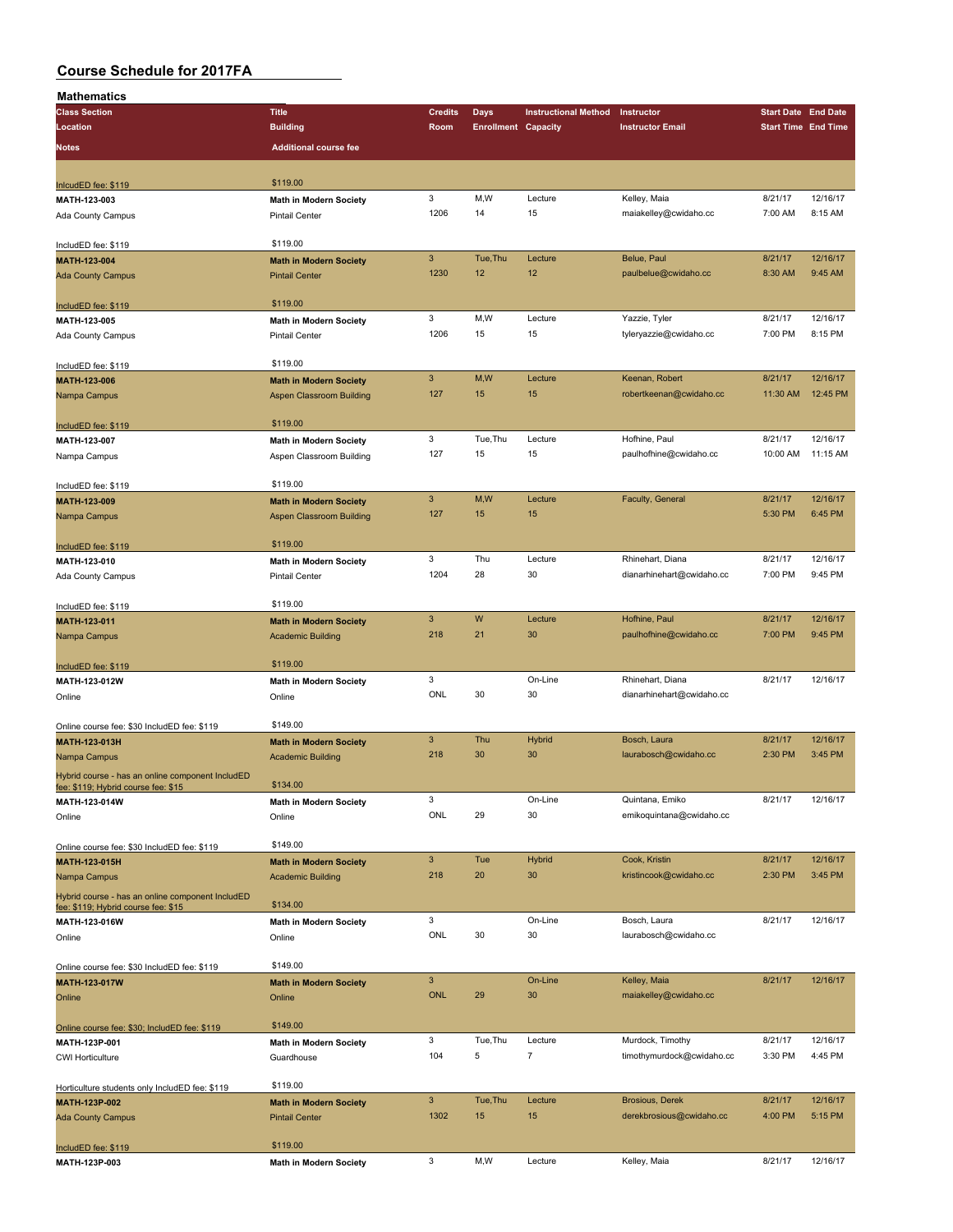| Mathematics                                      |                                 |                           |                            |                             |                           |                            |          |
|--------------------------------------------------|---------------------------------|---------------------------|----------------------------|-----------------------------|---------------------------|----------------------------|----------|
| <b>Class Section</b>                             | <b>Title</b>                    | <b>Credits</b>            | Days                       | <b>Instructional Method</b> | Instructor                | <b>Start Date End Date</b> |          |
| Location                                         | <b>Building</b>                 | Room                      | <b>Enrollment Capacity</b> |                             | <b>Instructor Email</b>   | <b>Start Time End Time</b> |          |
| Notes                                            | <b>Additional course fee</b>    |                           |                            |                             |                           |                            |          |
|                                                  |                                 |                           |                            |                             |                           |                            |          |
| InlcudED fee: \$119                              | \$119.00                        |                           |                            |                             |                           |                            |          |
| MATH-123-003                                     | <b>Math in Modern Society</b>   | 3                         | M, W                       | Lecture                     | Kelley, Maia              | 8/21/17                    | 12/16/17 |
| Ada County Campus                                | <b>Pintail Center</b>           | 1206                      | 14                         | 15                          | maiakelley@cwidaho.cc     | 7:00 AM                    | 8:15 AM  |
|                                                  |                                 |                           |                            |                             |                           |                            |          |
| IncludED fee: \$119                              | \$119.00                        |                           |                            |                             |                           |                            |          |
| MATH-123-004                                     | <b>Math in Modern Society</b>   | $\mathbf{3}$              | Tue, Thu                   | Lecture                     | Belue, Paul               | 8/21/17                    | 12/16/17 |
| <b>Ada County Campus</b>                         | <b>Pintail Center</b>           | 1230                      | 12                         | 12                          | paulbelue@cwidaho.cc      | 8:30 AM                    | 9:45 AM  |
|                                                  |                                 |                           |                            |                             |                           |                            |          |
| IncludED fee: \$119                              | \$119.00                        |                           |                            |                             |                           |                            |          |
| MATH-123-005                                     | <b>Math in Modern Society</b>   | 3                         | M,W                        | Lecture                     | Yazzie, Tyler             | 8/21/17                    | 12/16/17 |
| Ada County Campus                                | <b>Pintail Center</b>           | 1206                      | 15                         | 15                          | tyleryazzie@cwidaho.cc    | 7:00 PM                    | 8:15 PM  |
|                                                  |                                 |                           |                            |                             |                           |                            |          |
| IncludED fee: \$119                              | \$119.00                        |                           |                            |                             |                           |                            |          |
| MATH-123-006                                     | <b>Math in Modern Society</b>   | $\ensuremath{\mathsf{3}}$ | M,W                        | Lecture                     | Keenan, Robert            | 8/21/17                    | 12/16/17 |
| Nampa Campus                                     | Aspen Classroom Building        | 127                       | 15                         | 15                          | robertkeenan@cwidaho.cc   | 11:30 AM                   | 12:45 PM |
|                                                  |                                 |                           |                            |                             |                           |                            |          |
| IncludED fee: \$119                              | \$119.00                        |                           |                            |                             |                           |                            |          |
| MATH-123-007                                     | Math in Modern Society          | 3                         | Tue, Thu                   | Lecture                     | Hofhine, Paul             | 8/21/17                    | 12/16/17 |
| Nampa Campus                                     | Aspen Classroom Building        | 127                       | 15                         | 15                          | paulhofhine@cwidaho.cc    | 10:00 AM                   | 11:15 AM |
|                                                  |                                 |                           |                            |                             |                           |                            |          |
| IncludED fee: \$119                              | \$119.00                        |                           |                            |                             |                           |                            |          |
| MATH-123-009                                     | <b>Math in Modern Society</b>   | $\ensuremath{\mathsf{3}}$ | M,W                        | Lecture                     | Faculty, General          | 8/21/17                    | 12/16/17 |
| Nampa Campus                                     | <b>Aspen Classroom Building</b> | 127                       | 15                         | 15                          |                           | 5:30 PM                    | 6:45 PM  |
|                                                  |                                 |                           |                            |                             |                           |                            |          |
| IncludED fee: \$119                              | \$119.00                        |                           |                            |                             |                           |                            |          |
| MATH-123-010                                     | <b>Math in Modern Society</b>   | 3                         | Thu                        | Lecture                     | Rhinehart, Diana          | 8/21/17                    | 12/16/17 |
| Ada County Campus                                | <b>Pintail Center</b>           | 1204                      | 28                         | 30                          | dianarhinehart@cwidaho.cc | 7:00 PM                    | 9:45 PM  |
|                                                  |                                 |                           |                            |                             |                           |                            |          |
| IncludED fee: \$119                              | \$119.00                        |                           |                            |                             |                           |                            |          |
| MATH-123-011                                     | <b>Math in Modern Society</b>   | $\mathbf{3}$              | W                          | Lecture                     | Hofhine, Paul             | 8/21/17                    | 12/16/17 |
| Nampa Campus                                     | <b>Academic Building</b>        | 218                       | 21                         | 30                          | paulhofhine@cwidaho.cc    | 7:00 PM                    | 9:45 PM  |
|                                                  |                                 |                           |                            |                             |                           |                            |          |
| IncludED fee: \$119                              | \$119.00                        |                           |                            |                             |                           |                            |          |
| MATH-123-012W                                    | <b>Math in Modern Society</b>   | 3                         |                            | On-Line                     | Rhinehart, Diana          | 8/21/17                    | 12/16/17 |
| Online                                           | Online                          | ONL                       | 30                         | 30                          | dianarhinehart@cwidaho.cc |                            |          |
|                                                  |                                 |                           |                            |                             |                           |                            |          |
| Online course fee: \$30 IncludED fee: \$119      | \$149.00                        |                           |                            |                             |                           |                            |          |
| MATH-123-013H                                    | <b>Math in Modern Society</b>   | $\mathbf{3}$              | Thu                        | Hybrid                      | Bosch, Laura              | 8/21/17                    | 12/16/17 |
| Nampa Campus                                     | <b>Academic Building</b>        | 218                       | 30                         | 30                          | laurabosch@cwidaho.cc     | 2:30 PM                    | 3:45 PM  |
| Hybrid course - has an online component IncludED |                                 |                           |                            |                             |                           |                            |          |
| fee: \$119; Hybrid course fee: \$15              | \$134.00                        |                           |                            |                             |                           |                            |          |
| MATH-123-014W                                    | <b>Math in Modern Society</b>   | $\mathbf 3$               |                            | On-Line                     | Quintana, Emiko           | 8/21/17                    | 12/16/17 |
| Online                                           | Online                          | ONL                       | 29                         | 30                          | emikoquintana@cwidaho.cc  |                            |          |
|                                                  |                                 |                           |                            |                             |                           |                            |          |
| Online course fee: \$30 IncludED fee: \$119      | \$149.00                        |                           |                            |                             |                           |                            |          |
| MATH-123-015H                                    | <b>Math in Modern Society</b>   | $\ensuremath{\mathsf{3}}$ | Tue                        | <b>Hybrid</b>               | Cook, Kristin             | 8/21/17                    | 12/16/17 |
| Nampa Campus                                     | <b>Academic Building</b>        | 218                       | 20                         | 30                          | kristincook@cwidaho.cc    | 2:30 PM                    | 3:45 PM  |
| Hybrid course - has an online component IncludED |                                 |                           |                            |                             |                           |                            |          |
| fee: \$119; Hybrid course fee: \$15              | \$134.00                        |                           |                            |                             |                           |                            |          |
| MATH-123-016W                                    | Math in Modern Society          | 3                         |                            | On-Line                     | Bosch, Laura              | 8/21/17                    | 12/16/17 |
| Online                                           | Online                          | ONL                       | 30                         | 30                          | laurabosch@cwidaho.cc     |                            |          |
|                                                  | \$149.00                        |                           |                            |                             |                           |                            |          |
| Online course fee: \$30 IncludED fee: \$119      |                                 | $\mathbf{3}$              |                            | On-Line                     |                           |                            | 12/16/17 |
| MATH-123-017W                                    | <b>Math in Modern Society</b>   | <b>ONL</b>                | 29                         | 30                          | Kelley, Maia              | 8/21/17                    |          |
| Online                                           | Online                          |                           |                            |                             | maiakelley@cwidaho.cc     |                            |          |
|                                                  | \$149.00                        |                           |                            |                             |                           |                            |          |
| Online course fee: \$30; IncludED fee: \$119     |                                 | 3                         | Tue, Thu                   | Lecture                     | Murdock, Timothy          | 8/21/17                    | 12/16/17 |
| MATH-123P-001                                    | <b>Math in Modern Society</b>   | 104                       | 5                          | 7                           | timothymurdock@cwidaho.cc | 3:30 PM                    | 4:45 PM  |
| <b>CWI Horticulture</b>                          | Guardhouse                      |                           |                            |                             |                           |                            |          |
|                                                  | \$119.00                        |                           |                            |                             |                           |                            |          |
| Horticulture students only IncludED fee: \$119   |                                 | $\mathbf{3}$              | Tue, Thu                   | Lecture                     | <b>Brosious, Derek</b>    | 8/21/17                    | 12/16/17 |
| MATH-123P-002                                    | <b>Math in Modern Society</b>   | 1302                      | 15                         | 15                          | derekbrosious@cwidaho.cc  | 4:00 PM                    | 5:15 PM  |
| <b>Ada County Campus</b>                         | <b>Pintail Center</b>           |                           |                            |                             |                           |                            |          |
|                                                  | \$119.00                        |                           |                            |                             |                           |                            |          |
| IncludED fee: \$119<br>MATH-123P-003             | Math in Modern Society          | 3                         | M, W                       | Lecture                     | Kelley, Maia              | 8/21/17                    | 12/16/17 |
|                                                  |                                 |                           |                            |                             |                           |                            |          |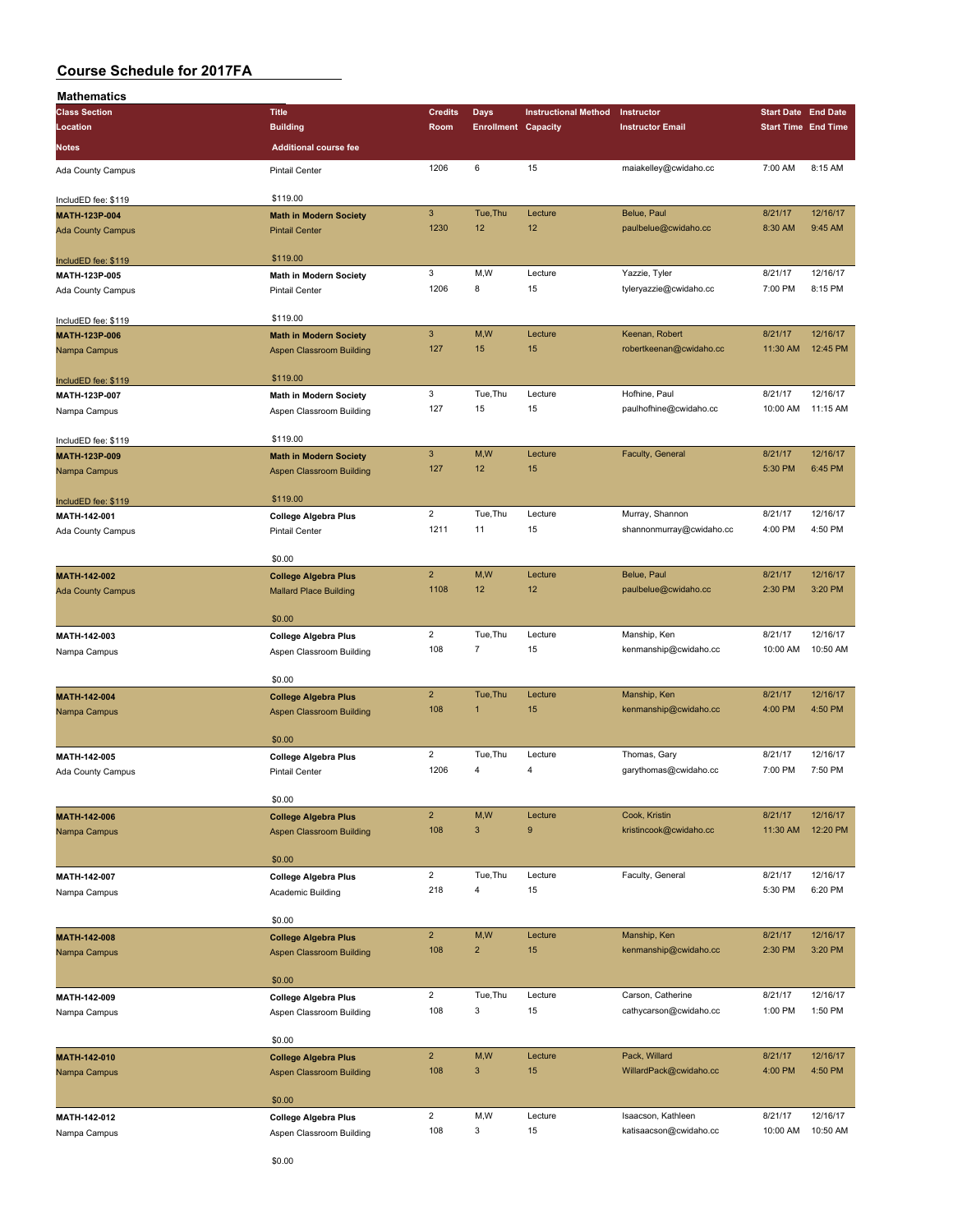| Mathematics              |                                 |                           |                            |                             |                          |                            |          |
|--------------------------|---------------------------------|---------------------------|----------------------------|-----------------------------|--------------------------|----------------------------|----------|
| <b>Class Section</b>     | <b>Title</b>                    | <b>Credits</b>            | <b>Days</b>                | <b>Instructional Method</b> | Instructor               | <b>Start Date End Date</b> |          |
| Location                 | <b>Building</b>                 | Room                      | <b>Enrollment Capacity</b> |                             | <b>Instructor Email</b>  | <b>Start Time End Time</b> |          |
|                          |                                 |                           |                            |                             |                          |                            |          |
| Notes                    | <b>Additional course fee</b>    |                           |                            |                             |                          |                            |          |
| Ada County Campus        | <b>Pintail Center</b>           | 1206                      | 6                          | 15                          | maiakelley@cwidaho.cc    | 7:00 AM                    | 8:15 AM  |
|                          |                                 |                           |                            |                             |                          |                            |          |
|                          | \$119.00                        |                           |                            |                             |                          |                            |          |
| IncludED fee: \$119      |                                 |                           |                            |                             |                          |                            |          |
| MATH-123P-004            | <b>Math in Modern Society</b>   | $\mathbf{3}$              | Tue, Thu                   | Lecture                     | Belue, Paul              | 8/21/17                    | 12/16/17 |
| <b>Ada County Campus</b> | <b>Pintail Center</b>           | 1230                      | 12                         | 12                          | paulbelue@cwidaho.cc     | 8:30 AM                    | 9:45 AM  |
|                          |                                 |                           |                            |                             |                          |                            |          |
| IncludED fee: \$119      | \$119.00                        |                           |                            |                             |                          |                            |          |
| MATH-123P-005            | <b>Math in Modern Society</b>   | 3                         | M,W                        | Lecture                     | Yazzie, Tyler            | 8/21/17                    | 12/16/17 |
| Ada County Campus        | <b>Pintail Center</b>           | 1206                      | 8                          | 15                          | tyleryazzie@cwidaho.cc   | 7:00 PM                    | 8:15 PM  |
|                          |                                 |                           |                            |                             |                          |                            |          |
|                          |                                 |                           |                            |                             |                          |                            |          |
| IncludED fee: \$119      | \$119.00                        |                           |                            |                             |                          |                            |          |
| MATH-123P-006            | <b>Math in Modern Society</b>   | $\mathbf{3}$              | M,W                        | Lecture                     | Keenan, Robert           | 8/21/17                    | 12/16/17 |
| Nampa Campus             | Aspen Classroom Building        | 127                       | 15                         | 15                          | robertkeenan@cwidaho.cc  | 11:30 AM                   | 12:45 PM |
|                          |                                 |                           |                            |                             |                          |                            |          |
| IncludED fee: \$119      | \$119.00                        |                           |                            |                             |                          |                            |          |
| MATH-123P-007            | <b>Math in Modern Society</b>   | 3                         | Tue, Thu                   | Lecture                     | Hofhine, Paul            | 8/21/17                    | 12/16/17 |
|                          |                                 | 127                       | 15                         | 15                          | paulhofhine@cwidaho.cc   | 10:00 AM                   | 11:15 AM |
| Nampa Campus             | Aspen Classroom Building        |                           |                            |                             |                          |                            |          |
|                          |                                 |                           |                            |                             |                          |                            |          |
| IncludED fee: \$119      | \$119.00                        |                           |                            |                             |                          |                            |          |
| MATH-123P-009            | <b>Math in Modern Society</b>   | $\ensuremath{\mathsf{3}}$ | M,W                        | Lecture                     | Faculty, General         | 8/21/17                    | 12/16/17 |
| Nampa Campus             | <b>Aspen Classroom Building</b> | 127                       | 12 <sup>2</sup>            | 15                          |                          | 5:30 PM                    | 6:45 PM  |
|                          |                                 |                           |                            |                             |                          |                            |          |
| IncludED fee: \$119      | \$119.00                        |                           |                            |                             |                          |                            |          |
| MATH-142-001             |                                 | $\overline{2}$            | Tue, Thu                   | Lecture                     | Murray, Shannon          | 8/21/17                    | 12/16/17 |
|                          | <b>College Algebra Plus</b>     | 1211                      | 11                         | 15                          | shannonmurray@cwidaho.cc | 4:00 PM                    | 4:50 PM  |
| Ada County Campus        | <b>Pintail Center</b>           |                           |                            |                             |                          |                            |          |
|                          |                                 |                           |                            |                             |                          |                            |          |
|                          | \$0.00                          |                           |                            |                             |                          |                            |          |
| MATH-142-002             | <b>College Algebra Plus</b>     | $\overline{2}$            | M,W                        | Lecture                     | Belue, Paul              | 8/21/17                    | 12/16/17 |
| <b>Ada County Campus</b> | <b>Mallard Place Building</b>   | 1108                      | 12                         | 12                          | paulbelue@cwidaho.cc     | 2:30 PM                    | 3:20 PM  |
|                          |                                 |                           |                            |                             |                          |                            |          |
|                          | \$0.00                          |                           |                            |                             |                          |                            |          |
|                          |                                 | $\overline{2}$            | Tue, Thu                   | Lecture                     | Manship, Ken             | 8/21/17                    | 12/16/17 |
| MATH-142-003             | <b>College Algebra Plus</b>     |                           |                            |                             |                          |                            |          |
| Nampa Campus             | Aspen Classroom Building        | 108                       | $\overline{7}$             | 15                          | kenmanship@cwidaho.cc    | 10:00 AM                   | 10:50 AM |
|                          |                                 |                           |                            |                             |                          |                            |          |
|                          | \$0.00                          |                           |                            |                             |                          |                            |          |
| MATH-142-004             | <b>College Algebra Plus</b>     | $\overline{2}$            | Tue, Thu                   | Lecture                     | Manship, Ken             | 8/21/17                    | 12/16/17 |
| Nampa Campus             | <b>Aspen Classroom Building</b> | 108                       | $\mathbf{1}$               | 15                          | kenmanship@cwidaho.cc    | 4:00 PM                    | 4:50 PM  |
|                          |                                 |                           |                            |                             |                          |                            |          |
|                          | \$0.00                          |                           |                            |                             |                          |                            |          |
|                          |                                 |                           |                            |                             |                          |                            |          |
| MATH-142-005             | <b>College Algebra Plus</b>     | $\overline{2}$            | Tue, Thu                   | Lecture                     | Thomas, Gary             | 8/21/17                    | 12/16/17 |
| Ada County Campus        | <b>Pintail Center</b>           | 1206                      | $\overline{4}$             | $\overline{4}$              | garythomas@cwidaho.cc    | 7:00 PM                    | 7:50 PM  |
|                          |                                 |                           |                            |                             |                          |                            |          |
|                          | \$0.00                          |                           |                            |                             |                          |                            |          |
| MATH-142-006             | <b>College Algebra Plus</b>     | $\overline{2}$            | M,W                        | Lecture                     | Cook, Kristin            | 8/21/17                    | 12/16/17 |
| Nampa Campus             | <b>Aspen Classroom Building</b> | 108                       | 3                          | $9\,$                       | kristincook@cwidaho.cc   | 11:30 AM                   | 12:20 PM |
|                          |                                 |                           |                            |                             |                          |                            |          |
|                          |                                 |                           |                            |                             |                          |                            |          |
|                          | \$0.00                          |                           |                            |                             |                          |                            |          |
| MATH-142-007             | <b>College Algebra Plus</b>     | $\overline{2}$            | Tue, Thu                   | Lecture                     | Faculty, General         | 8/21/17                    | 12/16/17 |
| Nampa Campus             | Academic Building               | 218                       | 4                          | 15                          |                          | 5:30 PM                    | 6:20 PM  |
|                          |                                 |                           |                            |                             |                          |                            |          |
|                          | \$0.00                          |                           |                            |                             |                          |                            |          |
|                          |                                 | $\overline{2}$            | M,W                        | Lecture                     | Manship, Ken             | 8/21/17                    | 12/16/17 |
| MATH-142-008             | <b>College Algebra Plus</b>     |                           |                            |                             |                          |                            |          |
| Nampa Campus             | <b>Aspen Classroom Building</b> | 108                       | $\overline{\mathbf{c}}$    | 15                          | kenmanship@cwidaho.cc    | 2:30 PM                    | 3:20 PM  |
|                          |                                 |                           |                            |                             |                          |                            |          |
|                          | \$0.00                          |                           |                            |                             |                          |                            |          |
| MATH-142-009             | <b>College Algebra Plus</b>     | $\overline{2}$            | Tue, Thu                   | Lecture                     | Carson, Catherine        | 8/21/17                    | 12/16/17 |
| Nampa Campus             | Aspen Classroom Building        | 108                       | 3                          | 15                          | cathycarson@cwidaho.cc   | 1:00 PM                    | 1:50 PM  |
|                          |                                 |                           |                            |                             |                          |                            |          |
|                          | \$0.00                          |                           |                            |                             |                          |                            |          |
|                          |                                 |                           |                            |                             |                          |                            |          |
| MATH-142-010             | <b>College Algebra Plus</b>     | $\overline{2}$            | M,W                        | Lecture                     | Pack, Willard            | 8/21/17                    | 12/16/17 |
| Nampa Campus             | <b>Aspen Classroom Building</b> | 108                       | 3                          | 15                          | WillardPack@cwidaho.cc   | 4:00 PM                    | 4:50 PM  |
|                          |                                 |                           |                            |                             |                          |                            |          |
|                          | \$0.00                          |                           |                            |                             |                          |                            |          |
| MATH-142-012             | <b>College Algebra Plus</b>     | $\overline{2}$            | M,W                        | Lecture                     | Isaacson, Kathleen       | 8/21/17                    | 12/16/17 |
|                          |                                 | 108                       | 3                          | 15                          | katisaacson@cwidaho.cc   | 10:00 AM                   | 10:50 AM |
| Nampa Campus             | Aspen Classroom Building        |                           |                            |                             |                          |                            |          |
|                          |                                 |                           |                            |                             |                          |                            |          |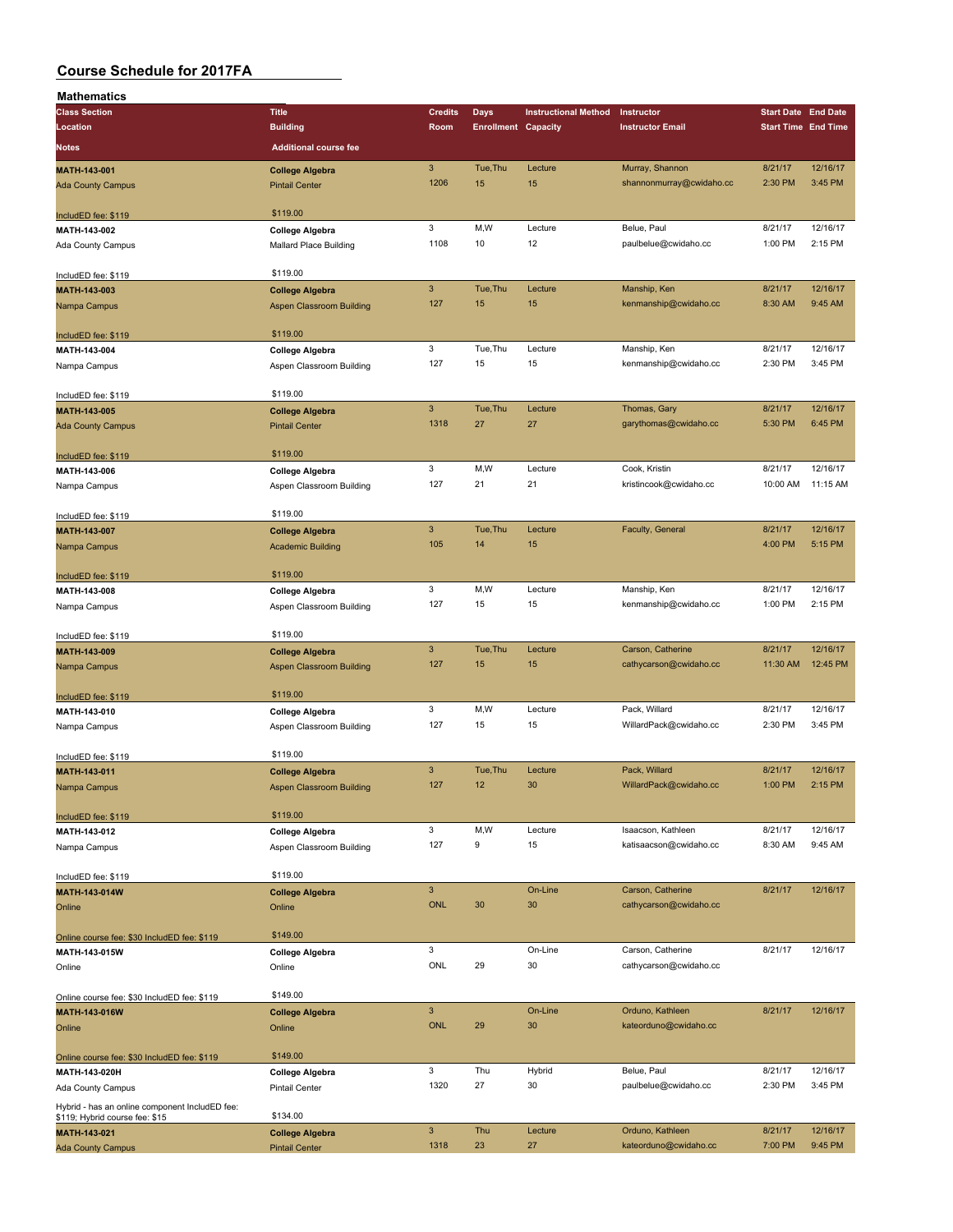| <b>Mathematics</b>                             |                                 |                |                            |                             |                          |                            |          |
|------------------------------------------------|---------------------------------|----------------|----------------------------|-----------------------------|--------------------------|----------------------------|----------|
| <b>Class Section</b>                           | <b>Title</b>                    | <b>Credits</b> | <b>Days</b>                | <b>Instructional Method</b> | Instructor               | <b>Start Date</b> End Date |          |
| Location                                       | <b>Building</b>                 | Room           | <b>Enrollment Capacity</b> |                             | <b>Instructor Email</b>  | <b>Start Time End Time</b> |          |
| Notes                                          | <b>Additional course fee</b>    |                |                            |                             |                          |                            |          |
|                                                |                                 |                |                            |                             |                          |                            |          |
| MATH-143-001                                   | <b>College Algebra</b>          | $\sqrt{3}$     | Tue, Thu                   | Lecture                     | Murray, Shannon          | 8/21/17                    | 12/16/17 |
| <b>Ada County Campus</b>                       | <b>Pintail Center</b>           | 1206           | 15                         | 15                          | shannonmurray@cwidaho.cc | 2:30 PM                    | 3:45 PM  |
|                                                |                                 |                |                            |                             |                          |                            |          |
| IncludED fee: \$119                            | \$119.00                        |                |                            |                             |                          |                            |          |
| MATH-143-002                                   | <b>College Algebra</b>          | 3              | M,W                        | Lecture                     | Belue, Paul              | 8/21/17                    | 12/16/17 |
| Ada County Campus                              | Mallard Place Building          | 1108           | 10                         | 12                          | paulbelue@cwidaho.cc     | 1:00 PM                    | 2:15 PM  |
|                                                |                                 |                |                            |                             |                          |                            |          |
| IncludED fee: \$119                            | \$119.00                        |                |                            |                             |                          |                            |          |
| MATH-143-003                                   | <b>College Algebra</b>          | $\mathsf 3$    | Tue, Thu                   | Lecture                     | Manship, Ken             | 8/21/17                    | 12/16/17 |
| Nampa Campus                                   | Aspen Classroom Building        | 127            | 15                         | 15                          | kenmanship@cwidaho.cc    | 8:30 AM                    | 9:45 AM  |
|                                                |                                 |                |                            |                             |                          |                            |          |
| IncludED fee: \$119                            | \$119.00                        |                |                            |                             |                          |                            |          |
| MATH-143-004                                   | <b>College Algebra</b>          | 3              | Tue, Thu                   | Lecture                     | Manship, Ken             | 8/21/17                    | 12/16/17 |
| Nampa Campus                                   | Aspen Classroom Building        | 127            | 15                         | 15                          | kenmanship@cwidaho.cc    | 2:30 PM                    | 3:45 PM  |
|                                                |                                 |                |                            |                             |                          |                            |          |
| IncludED fee: \$119                            | \$119.00                        |                |                            |                             |                          |                            |          |
| MATH-143-005                                   | <b>College Algebra</b>          | 3              | Tue, Thu                   | Lecture                     | Thomas, Gary             | 8/21/17                    | 12/16/17 |
| <b>Ada County Campus</b>                       | <b>Pintail Center</b>           | 1318           | 27                         | 27                          | garythomas@cwidaho.cc    | 5:30 PM                    | 6:45 PM  |
|                                                |                                 |                |                            |                             |                          |                            |          |
| IncludED fee: \$119                            | \$119.00                        |                |                            |                             |                          |                            |          |
| MATH-143-006                                   | <b>College Algebra</b>          | 3              | M, W                       | Lecture                     | Cook, Kristin            | 8/21/17                    | 12/16/17 |
| Nampa Campus                                   | Aspen Classroom Building        | 127            | 21                         | 21                          | kristincook@cwidaho.cc   | 10:00 AM                   | 11:15 AM |
|                                                |                                 |                |                            |                             |                          |                            |          |
| IncludED fee: \$119                            | \$119.00                        |                |                            |                             |                          |                            |          |
| MATH-143-007                                   | <b>College Algebra</b>          | $\mathbf{3}$   | Tue, Thu                   | Lecture                     | Faculty, General         | 8/21/17                    | 12/16/17 |
| Nampa Campus                                   | <b>Academic Building</b>        | 105            | 14                         | 15                          |                          | 4:00 PM                    | 5:15 PM  |
|                                                |                                 |                |                            |                             |                          |                            |          |
| IncludED fee: \$119                            | \$119.00                        |                |                            |                             |                          |                            |          |
| MATH-143-008                                   | <b>College Algebra</b>          | 3              | M, W                       | Lecture                     | Manship, Ken             | 8/21/17                    | 12/16/17 |
| Nampa Campus                                   | Aspen Classroom Building        | 127            | 15                         | 15                          | kenmanship@cwidaho.cc    | 1:00 PM                    | 2:15 PM  |
|                                                |                                 |                |                            |                             |                          |                            |          |
| IncludED fee: \$119                            | \$119.00                        |                |                            |                             |                          |                            |          |
| MATH-143-009                                   | <b>College Algebra</b>          | 3              | Tue, Thu                   | Lecture                     | Carson, Catherine        | 8/21/17                    | 12/16/17 |
| Nampa Campus                                   | Aspen Classroom Building        | 127            | 15                         | 15                          | cathycarson@cwidaho.cc   | 11:30 AM                   | 12:45 PM |
|                                                |                                 |                |                            |                             |                          |                            |          |
| IncludED fee: \$119                            | \$119.00                        |                |                            |                             |                          |                            |          |
| MATH-143-010                                   | <b>College Algebra</b>          | 3              | M, W                       | Lecture                     | Pack, Willard            | 8/21/17                    | 12/16/17 |
| Nampa Campus                                   | Aspen Classroom Building        | 127            | 15                         | 15                          | WillardPack@cwidaho.cc   | 2:30 PM                    | 3:45 PM  |
|                                                |                                 |                |                            |                             |                          |                            |          |
| IncludED fee: \$119                            | \$119.00                        |                |                            |                             |                          |                            |          |
| MATH-143-011                                   | <b>College Algebra</b>          | $\mathbf{3}$   | Tue, Thu                   | Lecture                     | Pack, Willard            | 8/21/17                    | 12/16/17 |
| Nampa Campus                                   | <b>Aspen Classroom Building</b> | 127            | 12                         | 30                          | WillardPack@cwidaho.cc   | 1:00 PM                    | 2:15 PM  |
|                                                |                                 |                |                            |                             |                          |                            |          |
| IncludED fee: \$119                            | \$119.00                        |                |                            |                             |                          |                            |          |
| MATH-143-012                                   | College Algebra                 | 3              | M, W                       | Lecture                     | Isaacson, Kathleen       | 8/21/17                    | 12/16/17 |
| Nampa Campus                                   | Aspen Classroom Building        | 127            | 9                          | 15                          | katisaacson@cwidaho.cc   | 8:30 AM                    | 9:45 AM  |
|                                                |                                 |                |                            |                             |                          |                            |          |
| IncludED fee: \$119                            | \$119.00                        |                |                            |                             |                          |                            |          |
| MATH-143-014W                                  | <b>College Algebra</b>          | $\mathbf{3}$   |                            | On-Line                     | Carson, Catherine        | 8/21/17                    | 12/16/17 |
| Online                                         | Online                          | <b>ONL</b>     | 30                         | 30                          | cathycarson@cwidaho.cc   |                            |          |
|                                                |                                 |                |                            |                             |                          |                            |          |
| Online course fee: \$30 IncludED fee: \$119    | \$149.00                        |                |                            |                             |                          |                            |          |
| MATH-143-015W                                  | College Algebra                 | 3              |                            | On-Line                     | Carson, Catherine        | 8/21/17                    | 12/16/17 |
|                                                |                                 | ONL            | 29                         | 30                          | cathycarson@cwidaho.cc   |                            |          |
| Online                                         | Online                          |                |                            |                             |                          |                            |          |
|                                                | \$149.00                        |                |                            |                             |                          |                            |          |
| Online course fee: \$30 IncludED fee: \$119    |                                 | $\mathbf{3}$   |                            | On-Line                     | Orduno, Kathleen         | 8/21/17                    | 12/16/17 |
| MATH-143-016W                                  | <b>College Algebra</b>          | <b>ONL</b>     | 29                         | 30                          |                          |                            |          |
| Online                                         | Online                          |                |                            |                             | kateorduno@cwidaho.cc    |                            |          |
|                                                | \$149.00                        |                |                            |                             |                          |                            |          |
| Online course fee: \$30 IncludED fee: \$119    |                                 |                |                            |                             |                          |                            |          |
| MATH-143-020H                                  | College Algebra                 | 3              | Thu                        | Hybrid                      | Belue, Paul              | 8/21/17                    | 12/16/17 |
| Ada County Campus                              | <b>Pintail Center</b>           | 1320           | 27                         | 30                          | paulbelue@cwidaho.cc     | 2:30 PM                    | 3:45 PM  |
| Hybrid - has an online component IncludED fee: |                                 |                |                            |                             |                          |                            |          |
| \$119; Hybrid course fee: \$15                 | \$134.00                        |                |                            |                             |                          |                            |          |
| MATH-143-021                                   | <b>College Algebra</b>          | $\mathsf 3$    | Thu                        | Lecture                     | Orduno, Kathleen         | 8/21/17                    | 12/16/17 |
| <b>Ada County Campus</b>                       | <b>Pintail Center</b>           | 1318           | 23                         | 27                          | kateorduno@cwidaho.cc    | 7:00 PM                    | 9:45 PM  |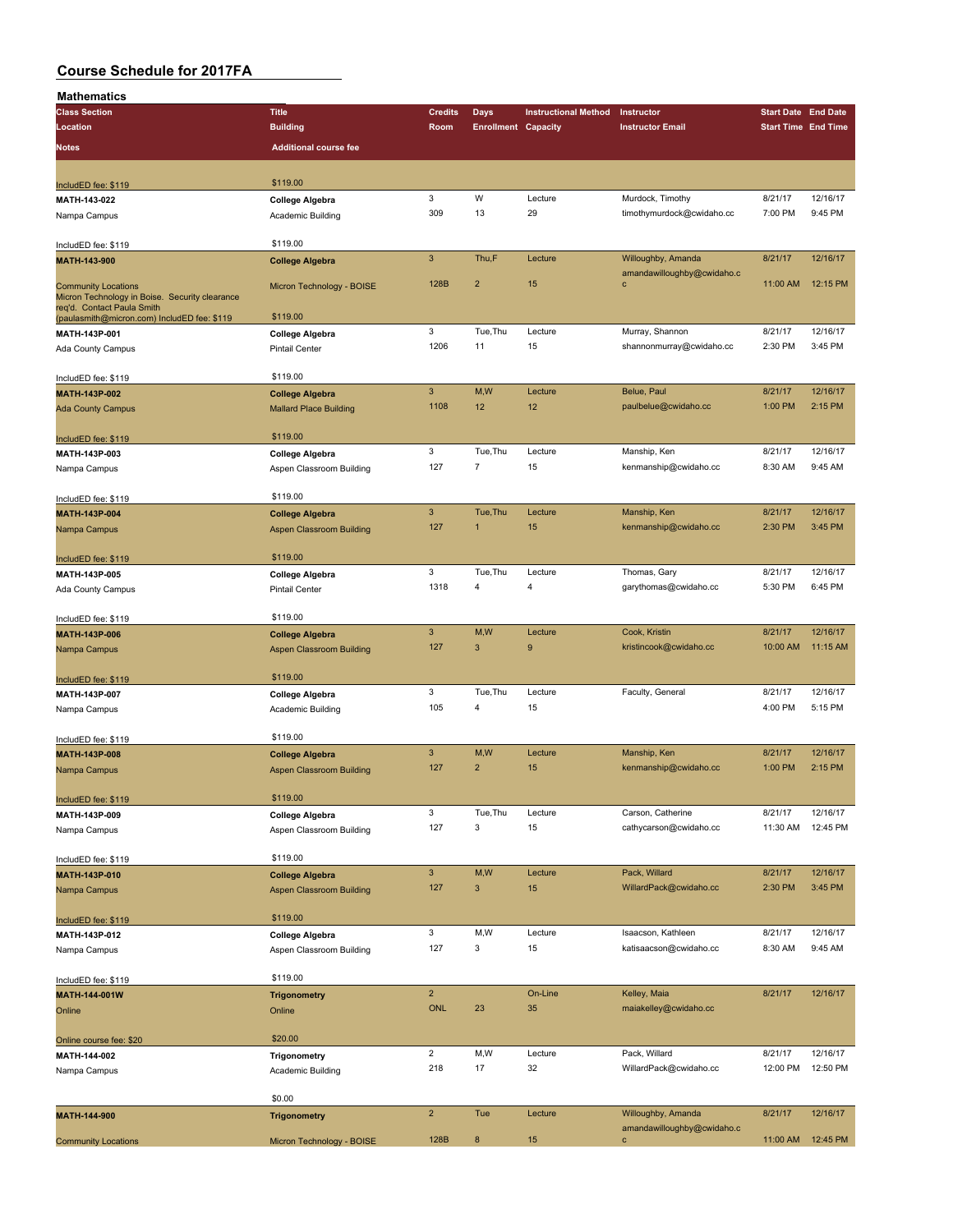| Mathematics                                                                  |                                 |                           |                            |                             |                                           |                            |          |
|------------------------------------------------------------------------------|---------------------------------|---------------------------|----------------------------|-----------------------------|-------------------------------------------|----------------------------|----------|
| <b>Class Section</b>                                                         | <b>Title</b>                    | <b>Credits</b>            | Days                       | <b>Instructional Method</b> | Instructor                                | <b>Start Date End Date</b> |          |
| Location                                                                     | <b>Building</b>                 | Room                      | <b>Enrollment Capacity</b> |                             | <b>Instructor Email</b>                   | <b>Start Time End Time</b> |          |
| <b>Notes</b>                                                                 | <b>Additional course fee</b>    |                           |                            |                             |                                           |                            |          |
|                                                                              |                                 |                           |                            |                             |                                           |                            |          |
|                                                                              |                                 |                           |                            |                             |                                           |                            |          |
| IncludED fee: \$119                                                          | \$119.00                        |                           |                            |                             |                                           |                            |          |
| MATH-143-022                                                                 | <b>College Algebra</b>          | $\mathbf 3$               | W                          | Lecture                     | Murdock, Timothy                          | 8/21/17                    | 12/16/17 |
| Nampa Campus                                                                 | Academic Building               | 309                       | 13                         | 29                          | timothymurdock@cwidaho.cc                 | 7:00 PM                    | 9:45 PM  |
|                                                                              |                                 |                           |                            |                             |                                           |                            |          |
| IncludED fee: \$119                                                          | \$119.00                        |                           |                            |                             |                                           |                            |          |
| MATH-143-900                                                                 | <b>College Algebra</b>          | $\mathbf{3}$              | Thu,F                      | Lecture                     | Willoughby, Amanda                        | 8/21/17                    | 12/16/17 |
|                                                                              |                                 | 128B                      | $\overline{\mathbf{c}}$    | 15                          | amandawilloughby@cwidaho.c<br>$\mathbf c$ | 11:00 AM                   | 12:15 PM |
| <b>Community Locations</b><br>Micron Technology in Boise. Security clearance | Micron Technology - BOISE       |                           |                            |                             |                                           |                            |          |
| req'd. Contact Paula Smith                                                   |                                 |                           |                            |                             |                                           |                            |          |
| (paulasmith@micron.com) IncludED fee: \$119                                  | \$119.00                        |                           |                            |                             |                                           |                            |          |
| MATH-143P-001                                                                | <b>College Algebra</b>          | 3                         | Tue, Thu                   | Lecture                     | Murray, Shannon                           | 8/21/17                    | 12/16/17 |
| Ada County Campus                                                            | Pintail Center                  | 1206                      | 11                         | 15                          | shannonmurray@cwidaho.cc                  | 2:30 PM                    | 3:45 PM  |
|                                                                              |                                 |                           |                            |                             |                                           |                            |          |
| IncludED fee: \$119                                                          | \$119.00                        |                           |                            |                             |                                           |                            |          |
| MATH-143P-002                                                                | <b>College Algebra</b>          | $\mathbf{3}$              | M,W                        | Lecture                     | Belue, Paul                               | 8/21/17                    | 12/16/17 |
| <b>Ada County Campus</b>                                                     | <b>Mallard Place Building</b>   | 1108                      | 12                         | 12                          | paulbelue@cwidaho.cc                      | 1:00 PM                    | 2:15 PM  |
|                                                                              |                                 |                           |                            |                             |                                           |                            |          |
| IncludED fee: \$119                                                          | \$119.00                        |                           |                            |                             |                                           |                            |          |
| MATH-143P-003                                                                | College Algebra                 | 3                         | Tue, Thu                   | Lecture                     | Manship, Ken                              | 8/21/17                    | 12/16/17 |
| Nampa Campus                                                                 | Aspen Classroom Building        | 127                       | $\overline{7}$             | 15                          | kenmanship@cwidaho.cc                     | 8:30 AM                    | 9:45 AM  |
|                                                                              |                                 |                           |                            |                             |                                           |                            |          |
| IncludED fee: \$119                                                          | \$119.00                        |                           |                            |                             |                                           |                            |          |
| MATH-143P-004                                                                | <b>College Algebra</b>          | $\ensuremath{\mathsf{3}}$ | Tue, Thu                   | Lecture                     | Manship, Ken                              | 8/21/17                    | 12/16/17 |
| Nampa Campus                                                                 | Aspen Classroom Building        | 127                       | 1                          | 15                          | kenmanship@cwidaho.cc                     | 2:30 PM                    | 3:45 PM  |
|                                                                              |                                 |                           |                            |                             |                                           |                            |          |
| IncludED fee: \$119                                                          | \$119.00                        |                           |                            |                             |                                           |                            |          |
| MATH-143P-005                                                                | <b>College Algebra</b>          | 3                         | Tue, Thu                   | Lecture                     | Thomas, Gary                              | 8/21/17                    | 12/16/17 |
| Ada County Campus                                                            | <b>Pintail Center</b>           | 1318                      | 4                          | 4                           | garythomas@cwidaho.cc                     | 5:30 PM                    | 6:45 PM  |
|                                                                              |                                 |                           |                            |                             |                                           |                            |          |
| IncludED fee: \$119                                                          | \$119.00                        |                           |                            |                             |                                           |                            |          |
| MATH-143P-006                                                                | <b>College Algebra</b>          | $\mathbf{3}$              | M,W                        | Lecture                     | Cook, Kristin                             | 8/21/17                    | 12/16/17 |
| Nampa Campus                                                                 | <b>Aspen Classroom Building</b> | 127                       | 3                          | 9                           | kristincook@cwidaho.cc                    | 10:00 AM                   | 11:15 AM |
|                                                                              |                                 |                           |                            |                             |                                           |                            |          |
| IncludED fee: \$119                                                          | \$119.00                        |                           |                            |                             |                                           |                            |          |
| MATH-143P-007                                                                | College Algebra                 | $\mathbf 3$               | Tue, Thu                   | Lecture                     | Faculty, General                          | 8/21/17                    | 12/16/17 |
| Nampa Campus                                                                 | Academic Building               | 105                       | 4                          | 15                          |                                           | 4:00 PM                    | 5:15 PM  |
|                                                                              |                                 |                           |                            |                             |                                           |                            |          |
| IncludED fee: \$119                                                          | \$119.00                        |                           |                            |                             |                                           |                            |          |
| MATH-143P-008                                                                | <b>College Algebra</b>          | $\mathbf{3}$              | M,W                        | Lecture                     | Manship, Ken                              | 8/21/17                    | 12/16/17 |
| Nampa Campus                                                                 | Aspen Classroom Building        | 127                       | $\overline{2}$             | 15                          | kenmanship@cwidaho.cc                     | 1:00 PM                    | 2:15 PM  |
|                                                                              |                                 |                           |                            |                             |                                           |                            |          |
| IncludED fee: \$119                                                          | \$119.00                        |                           |                            |                             |                                           |                            |          |
| MATH-143P-009                                                                | <b>College Algebra</b>          | $\mathbf 3$               | Tue, Thu                   | Lecture                     | Carson, Catherine                         | 8/21/17                    | 12/16/17 |
| Nampa Campus                                                                 | Aspen Classroom Building        | 127                       | 3                          | 15                          | cathycarson@cwidaho.cc                    | 11:30 AM                   | 12:45 PM |
|                                                                              |                                 |                           |                            |                             |                                           |                            |          |
| IncludED fee: \$119                                                          | \$119.00                        |                           |                            |                             |                                           |                            |          |
| MATH-143P-010                                                                | <b>College Algebra</b>          | $\mathbf{3}$              | M,W                        | Lecture                     | Pack, Willard                             | 8/21/17                    | 12/16/17 |
| Nampa Campus                                                                 | Aspen Classroom Building        | 127                       | $\mathsf 3$                | 15                          | WillardPack@cwidaho.cc                    | 2:30 PM                    | 3:45 PM  |
|                                                                              |                                 |                           |                            |                             |                                           |                            |          |
| IncludED fee: \$119                                                          | \$119.00                        |                           |                            |                             |                                           |                            |          |
| MATH-143P-012                                                                | <b>College Algebra</b>          | 3                         | M,W                        | Lecture                     | Isaacson, Kathleen                        | 8/21/17                    | 12/16/17 |
| Nampa Campus                                                                 | Aspen Classroom Building        | 127                       | 3                          | 15                          | katisaacson@cwidaho.cc                    | 8:30 AM                    | 9:45 AM  |
|                                                                              |                                 |                           |                            |                             |                                           |                            |          |
| IncludED fee: \$119                                                          | \$119.00                        |                           |                            |                             |                                           |                            |          |
| MATH-144-001W                                                                | <b>Trigonometry</b>             | $\overline{2}$            |                            | On-Line                     | Kelley, Maia                              | 8/21/17                    | 12/16/17 |
| Online                                                                       | Online                          | ONL                       | 23                         | 35                          | maiakelley@cwidaho.cc                     |                            |          |
|                                                                              |                                 |                           |                            |                             |                                           |                            |          |
| Online course fee: \$20                                                      | \$20.00                         |                           |                            |                             |                                           |                            |          |
| MATH-144-002                                                                 | Trigonometry                    | $\overline{2}$            | M,W                        | Lecture                     | Pack, Willard                             | 8/21/17                    | 12/16/17 |
| Nampa Campus                                                                 | Academic Building               | 218                       | 17                         | 32                          | WillardPack@cwidaho.cc                    | 12:00 PM                   | 12:50 PM |
|                                                                              |                                 |                           |                            |                             |                                           |                            |          |
|                                                                              | \$0.00                          |                           |                            |                             |                                           |                            |          |
| MATH-144-900                                                                 | <b>Trigonometry</b>             | $\mathbf 2$               | Tue                        | Lecture                     | Willoughby, Amanda                        | 8/21/17                    | 12/16/17 |
|                                                                              |                                 |                           |                            |                             | amandawilloughby@cwidaho.c                |                            |          |
| <b>Community Locations</b>                                                   | Micron Technology - BOISE       | 128B                      | $\bf8$                     | 15                          | c                                         | 11:00 AM                   | 12:45 PM |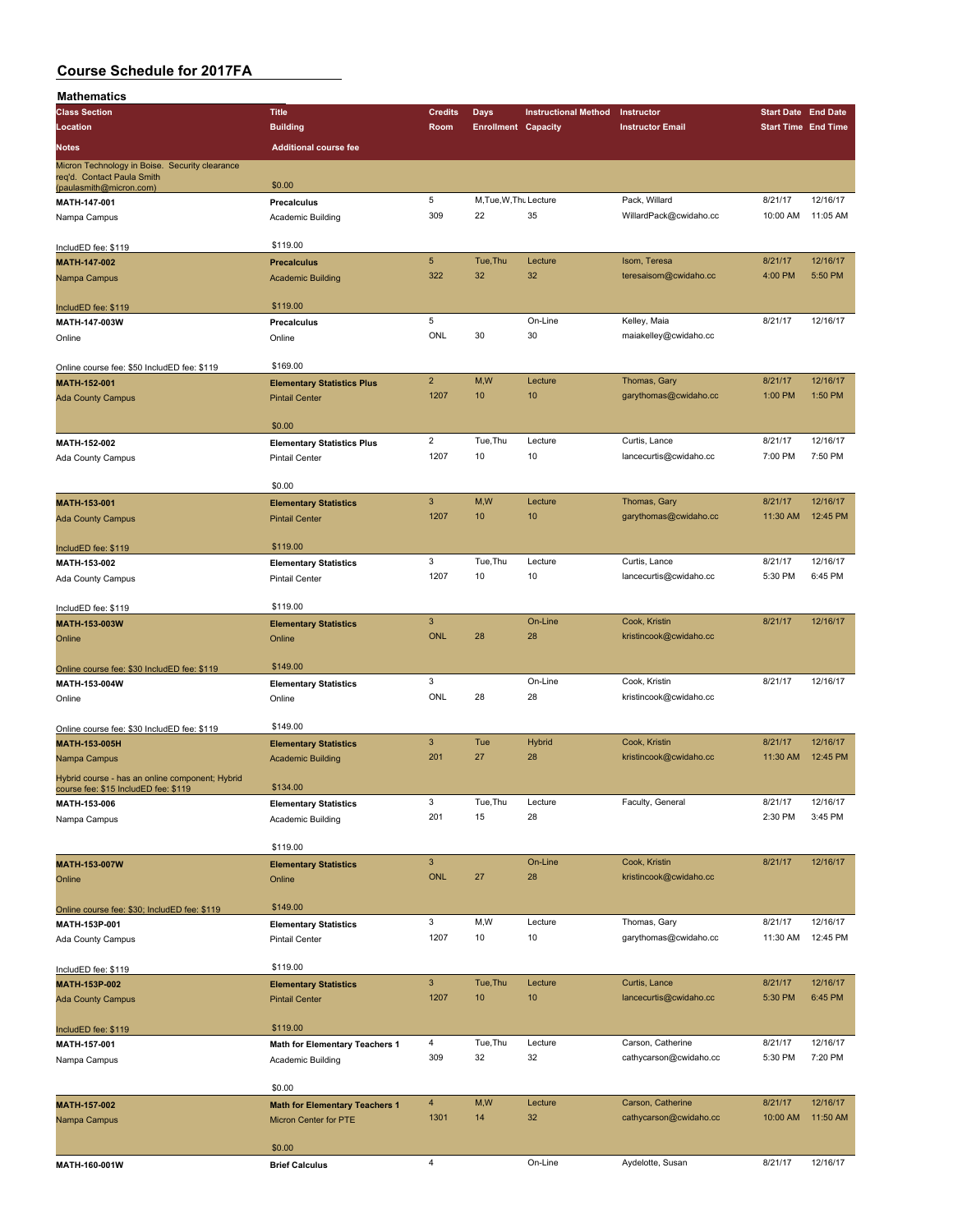| Mathematics                                                                                             |                                       |                           |                            |                             |                                         |                            |          |
|---------------------------------------------------------------------------------------------------------|---------------------------------------|---------------------------|----------------------------|-----------------------------|-----------------------------------------|----------------------------|----------|
| <b>Class Section</b>                                                                                    | <b>Title</b>                          | <b>Credits</b>            | Days                       | <b>Instructional Method</b> | Instructor                              | <b>Start Date End Date</b> |          |
| Location                                                                                                | <b>Building</b>                       | Room                      | <b>Enrollment Capacity</b> |                             | <b>Instructor Email</b>                 | <b>Start Time End Time</b> |          |
| Notes                                                                                                   | <b>Additional course fee</b>          |                           |                            |                             |                                         |                            |          |
|                                                                                                         |                                       |                           |                            |                             |                                         |                            |          |
| Micron Technology in Boise. Security clearance<br>req'd. Contact Paula Smith<br>(paulasmith@micron.com) | \$0.00                                |                           |                            |                             |                                         |                            |          |
| MATH-147-001                                                                                            | Precalculus                           | 5                         | M, Tue, W, Thu Lecture     |                             | Pack, Willard                           | 8/21/17                    | 12/16/17 |
| Nampa Campus                                                                                            | Academic Building                     | 309                       | 22                         | 35                          | WillardPack@cwidaho.cc                  | 10:00 AM                   | 11:05 AM |
|                                                                                                         |                                       |                           |                            |                             |                                         |                            |          |
| IncludED fee: \$119                                                                                     | \$119.00                              |                           |                            |                             |                                         |                            |          |
| MATH-147-002                                                                                            | <b>Precalculus</b>                    | $\sqrt{5}$                | Tue, Thu                   | Lecture                     | Isom, Teresa                            | 8/21/17                    | 12/16/17 |
| Nampa Campus                                                                                            | <b>Academic Building</b>              | 322                       | 32                         | 32                          | teresaisom@cwidaho.cc                   | 4:00 PM                    | 5:50 PM  |
| IncludED fee: \$119                                                                                     | \$119.00                              |                           |                            |                             |                                         |                            |          |
| MATH-147-003W                                                                                           | Precalculus                           | 5                         |                            | On-Line                     | Kelley, Maia                            | 8/21/17                    | 12/16/17 |
| Online                                                                                                  | Online                                | ONL                       | 30                         | 30                          | maiakelley@cwidaho.cc                   |                            |          |
| Online course fee: \$50 IncludED fee: \$119                                                             | \$169.00                              |                           |                            |                             |                                         |                            |          |
| MATH-152-001                                                                                            | <b>Elementary Statistics Plus</b>     | $\overline{2}$            | M,W                        | Lecture                     | Thomas, Gary                            | 8/21/17                    | 12/16/17 |
| <b>Ada County Campus</b>                                                                                | <b>Pintail Center</b>                 | 1207                      | 10                         | 10                          | garythomas@cwidaho.cc                   | 1:00 PM                    | 1:50 PM  |
|                                                                                                         | \$0.00                                |                           |                            |                             |                                         |                            |          |
| MATH-152-002                                                                                            | <b>Elementary Statistics Plus</b>     | $\overline{2}$            | Tue, Thu                   | Lecture                     | Curtis, Lance                           | 8/21/17                    | 12/16/17 |
| Ada County Campus                                                                                       | <b>Pintail Center</b>                 | 1207                      | 10                         | 10                          | lancecurtis@cwidaho.cc                  | 7:00 PM                    | 7:50 PM  |
|                                                                                                         |                                       |                           |                            |                             |                                         |                            |          |
|                                                                                                         | \$0.00                                |                           |                            |                             |                                         |                            |          |
| MATH-153-001                                                                                            | <b>Elementary Statistics</b>          | $\mathbf{3}$              | M, W                       | Lecture                     | Thomas, Gary                            | 8/21/17                    | 12/16/17 |
| <b>Ada County Campus</b>                                                                                | <b>Pintail Center</b>                 | 1207                      | 10                         | 10                          | garythomas@cwidaho.cc                   | 11:30 AM                   | 12:45 PM |
|                                                                                                         |                                       |                           |                            |                             |                                         |                            |          |
| IncludED fee: \$119                                                                                     | \$119.00                              |                           |                            |                             |                                         |                            |          |
| MATH-153-002                                                                                            | <b>Elementary Statistics</b>          | 3                         | Tue, Thu                   | Lecture                     | Curtis, Lance                           | 8/21/17                    | 12/16/17 |
| Ada County Campus                                                                                       | <b>Pintail Center</b>                 | 1207                      | 10                         | 10                          | lancecurtis@cwidaho.cc                  | 5:30 PM                    | 6:45 PM  |
| IncludED fee: \$119                                                                                     | \$119.00                              |                           |                            |                             |                                         |                            |          |
| MATH-153-003W                                                                                           | <b>Elementary Statistics</b>          | $\overline{3}$            |                            | On-Line                     | Cook, Kristin                           | 8/21/17                    | 12/16/17 |
| Online                                                                                                  | Online                                | <b>ONL</b>                | 28                         | 28                          | kristincook@cwidaho.cc                  |                            |          |
|                                                                                                         |                                       |                           |                            |                             |                                         |                            |          |
| Online course fee: \$30 IncludED fee: \$119                                                             | \$149.00                              | 3                         |                            | On-Line                     |                                         | 8/21/17                    | 12/16/17 |
| MATH-153-004W                                                                                           | <b>Elementary Statistics</b>          | ONL                       | 28                         | 28                          | Cook, Kristin<br>kristincook@cwidaho.cc |                            |          |
| Online                                                                                                  | Online                                |                           |                            |                             |                                         |                            |          |
| Online course fee: \$30 IncludED fee: \$119                                                             | \$149.00                              |                           |                            |                             |                                         |                            |          |
| MATH-153-005H                                                                                           | <b>Elementary Statistics</b>          | $\mathbf{3}$              | Tue                        | <b>Hybrid</b>               | Cook, Kristin                           | 8/21/17                    | 12/16/17 |
| Nampa Campus                                                                                            | <b>Academic Building</b>              | 201                       | 27                         | 28                          | kristincook@cwidaho.cc                  | 11:30 AM                   | 12:45 PM |
| Hybrid course - has an online component; Hybrid                                                         |                                       |                           |                            |                             |                                         |                            |          |
| course fee: \$15 IncludED fee: \$119                                                                    | \$134.00                              | 3                         | Tue, Thu                   | Lecture                     | Faculty, General                        | 8/21/17                    | 12/16/17 |
| MATH-153-006                                                                                            | <b>Elementary Statistics</b>          | 201                       | 15                         | 28                          |                                         | 2:30 PM                    | 3:45 PM  |
| Nampa Campus                                                                                            | Academic Building                     |                           |                            |                             |                                         |                            |          |
|                                                                                                         | \$119.00                              |                           |                            |                             |                                         |                            |          |
| MATH-153-007W                                                                                           | <b>Elementary Statistics</b>          | $\mathbf{3}$              |                            | On-Line                     | Cook, Kristin                           | 8/21/17                    | 12/16/17 |
| Online                                                                                                  | Online                                | <b>ONL</b>                | 27                         | 28                          | kristincook@cwidaho.cc                  |                            |          |
|                                                                                                         |                                       |                           |                            |                             |                                         |                            |          |
| Online course fee: \$30; IncludED fee: \$119                                                            | \$149.00                              |                           |                            |                             |                                         |                            |          |
| MATH-153P-001                                                                                           | <b>Elementary Statistics</b>          | 3                         | M,W                        | Lecture                     | Thomas, Gary                            | 8/21/17                    | 12/16/17 |
| Ada County Campus                                                                                       | <b>Pintail Center</b>                 | 1207                      | 10                         | 10                          | garythomas@cwidaho.cc                   | 11:30 AM                   | 12:45 PM |
| IncludED fee: \$119                                                                                     | \$119.00                              |                           |                            |                             |                                         |                            |          |
| MATH-153P-002                                                                                           | <b>Elementary Statistics</b>          | $\ensuremath{\mathsf{3}}$ | Tue, Thu                   | Lecture                     | Curtis, Lance                           | 8/21/17                    | 12/16/17 |
| <b>Ada County Campus</b>                                                                                | <b>Pintail Center</b>                 | 1207                      | 10                         | 10                          | lancecurtis@cwidaho.cc                  | 5:30 PM                    | 6:45 PM  |
|                                                                                                         |                                       |                           |                            |                             |                                         |                            |          |
| IncludED fee: \$119                                                                                     | \$119.00                              |                           |                            |                             |                                         |                            |          |
| MATH-157-001                                                                                            | Math for Elementary Teachers 1        | 4                         | Tue, Thu                   | Lecture                     | Carson, Catherine                       | 8/21/17                    | 12/16/17 |
| Nampa Campus                                                                                            | Academic Building                     | 309                       | 32                         | 32                          | cathycarson@cwidaho.cc                  | 5:30 PM                    | 7:20 PM  |
|                                                                                                         | \$0.00                                |                           |                            |                             |                                         |                            |          |
| MATH-157-002                                                                                            | <b>Math for Elementary Teachers 1</b> | $\overline{4}$            | M,W                        | Lecture                     | Carson, Catherine                       | 8/21/17                    | 12/16/17 |
| Nampa Campus                                                                                            | Micron Center for PTE                 | 1301                      | 14                         | 32                          | cathycarson@cwidaho.cc                  | 10:00 AM                   | 11:50 AM |
|                                                                                                         | \$0.00                                |                           |                            |                             |                                         |                            |          |
| MATH-160-001W                                                                                           | <b>Brief Calculus</b>                 | $\overline{\mathbf{4}}$   |                            | On-Line                     | Aydelotte, Susan                        | 8/21/17                    | 12/16/17 |
|                                                                                                         |                                       |                           |                            |                             |                                         |                            |          |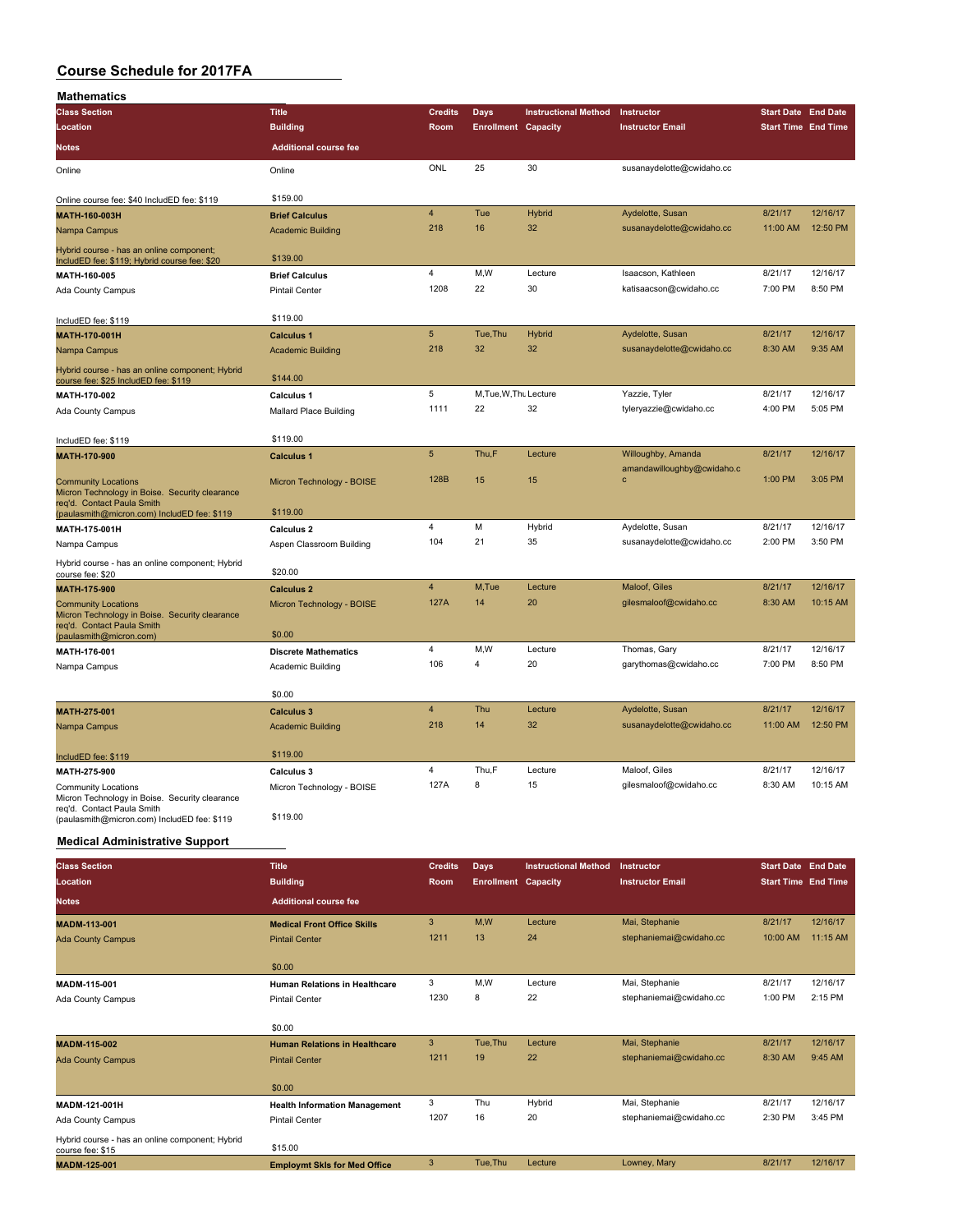| <b>Mathematics</b>                                                                                                         |                                                          |                 |                            |                             |                            |                            |          |
|----------------------------------------------------------------------------------------------------------------------------|----------------------------------------------------------|-----------------|----------------------------|-----------------------------|----------------------------|----------------------------|----------|
| <b>Class Section</b>                                                                                                       | <b>Title</b>                                             | <b>Credits</b>  | Days                       | <b>Instructional Method</b> | Instructor                 | <b>Start Date End Date</b> |          |
| Location                                                                                                                   | <b>Building</b>                                          | Room            | <b>Enrollment Capacity</b> |                             | <b>Instructor Email</b>    | <b>Start Time End Time</b> |          |
| Notes                                                                                                                      | <b>Additional course fee</b>                             |                 |                            |                             |                            |                            |          |
| Online                                                                                                                     | Online                                                   | ONL             | 25                         | 30                          | susanaydelotte@cwidaho.cc  |                            |          |
| Online course fee: \$40 IncludED fee: \$119                                                                                | \$159.00                                                 |                 |                            |                             |                            |                            |          |
| MATH-160-003H                                                                                                              | <b>Brief Calculus</b>                                    | $\overline{4}$  | Tue                        | Hybrid                      | Aydelotte, Susan           | 8/21/17                    | 12/16/17 |
| Nampa Campus                                                                                                               | <b>Academic Building</b>                                 | 218             | 16                         | 32                          | susanaydelotte@cwidaho.cc  | 11:00 AM                   | 12:50 PM |
| Hybrid course - has an online component;<br>IncludED fee: \$119; Hybrid course fee: \$20                                   | \$139.00                                                 |                 |                            |                             |                            |                            |          |
| MATH-160-005                                                                                                               | <b>Brief Calculus</b>                                    | 4               | M,W                        | Lecture                     | Isaacson, Kathleen         | 8/21/17                    | 12/16/17 |
| Ada County Campus                                                                                                          | <b>Pintail Center</b>                                    | 1208            | 22                         | 30                          | katisaacson@cwidaho.cc     | 7:00 PM                    | 8:50 PM  |
| IncludED fee: \$119                                                                                                        | \$119.00                                                 |                 |                            |                             |                            |                            |          |
| <b>MATH-170-001H</b>                                                                                                       | <b>Calculus 1</b>                                        | $5\phantom{.0}$ | Tue, Thu                   | <b>Hybrid</b>               | Aydelotte, Susan           | 8/21/17                    | 12/16/17 |
| Nampa Campus                                                                                                               | <b>Academic Building</b>                                 | 218             | 32                         | 32                          | susanaydelotte@cwidaho.cc  | 8:30 AM                    | 9:35 AM  |
| Hybrid course - has an online component; Hybrid<br>course fee: \$25 IncludED fee: \$119                                    | \$144.00                                                 |                 |                            |                             |                            |                            |          |
| MATH-170-002                                                                                                               | <b>Calculus 1</b>                                        | 5               | M, Tue, W, Thu Lecture     |                             | Yazzie, Tyler              | 8/21/17                    | 12/16/17 |
| Ada County Campus                                                                                                          | <b>Mallard Place Building</b>                            | 1111            | 22                         | 32                          | tyleryazzie@cwidaho.cc     | 4:00 PM                    | 5:05 PM  |
|                                                                                                                            | \$119.00                                                 |                 |                            |                             |                            |                            |          |
| IncludED fee: \$119<br>MATH-170-900                                                                                        | <b>Calculus 1</b>                                        | 5               | Thu,F                      | Lecture                     | Willoughby, Amanda         | 8/21/17                    | 12/16/17 |
|                                                                                                                            |                                                          |                 |                            |                             | amandawilloughby@cwidaho.c |                            |          |
| <b>Community Locations</b><br>Micron Technology in Boise. Security clearance<br>reg'd. Contact Paula Smith                 | Micron Technology - BOISE<br>\$119.00                    | 128B            | 15                         | 15                          | c                          | 1:00 PM                    | 3:05 PM  |
| (paulasmith@micron.com) IncludED fee: \$119<br>MATH-175-001H                                                               | Calculus 2                                               | 4               | M                          | Hybrid                      | Aydelotte, Susan           | 8/21/17                    | 12/16/17 |
| Nampa Campus                                                                                                               | Aspen Classroom Building                                 | 104             | 21                         | 35                          | susanaydelotte@cwidaho.cc  | 2:00 PM                    | 3:50 PM  |
| Hybrid course - has an online component; Hybrid                                                                            |                                                          |                 |                            |                             |                            |                            |          |
| course fee: \$20                                                                                                           | \$20.00                                                  | $\overline{4}$  | M,Tue                      | Lecture                     | Maloof, Giles              | 8/21/17                    | 12/16/17 |
| MATH-175-900<br><b>Community Locations</b><br>Micron Technology in Boise. Security clearance<br>req'd. Contact Paula Smith | <b>Calculus 2</b><br>Micron Technology - BOISE<br>\$0.00 | 127A            | 14                         | 20                          | gilesmaloof@cwidaho.cc     | 8:30 AM                    | 10:15 AM |
| (paulasmith@micron.com)<br>MATH-176-001                                                                                    | <b>Discrete Mathematics</b>                              | 4               | M, W                       | Lecture                     | Thomas, Gary               | 8/21/17                    | 12/16/17 |
| Nampa Campus                                                                                                               | Academic Building                                        | 106             | 4                          | 20                          | garythomas@cwidaho.cc      | 7:00 PM                    | 8:50 PM  |
|                                                                                                                            |                                                          |                 |                            |                             |                            |                            |          |
|                                                                                                                            | \$0.00                                                   |                 |                            |                             |                            |                            |          |
| MATH-275-001                                                                                                               | <b>Calculus 3</b>                                        | 4               | Thu                        | Lecture                     | Aydelotte, Susan           | 8/21/17                    | 12/16/17 |
| Nampa Campus                                                                                                               | <b>Academic Building</b>                                 | 218             | 14                         | 32                          | susanaydelotte@cwidaho.cc  | 11:00 AM                   | 12:50 PM |
| IncludED fee: \$119                                                                                                        | \$119.00                                                 |                 |                            |                             |                            |                            |          |
| MATH-275-900                                                                                                               | Calculus 3                                               | 4               | Thu,F                      | Lecture                     | Maloof, Giles              | 8/21/17                    | 12/16/17 |
| Community Locations<br>Micron Technology in Boise. Security clearance                                                      | Micron Technology - BOISE                                | 127A            | 8                          | 15                          | gilesmaloof@cwidaho.cc     | 8:30 AM                    | 10:15 AM |
| req'd. Contact Paula Smith<br>(paulasmith@micron.com) IncludED fee: \$119                                                  | \$119.00                                                 |                 |                            |                             |                            |                            |          |
| <b>Medical Administrative Support</b>                                                                                      |                                                          |                 |                            |                             |                            |                            |          |
|                                                                                                                            |                                                          |                 |                            |                             |                            |                            |          |
| <b>Class Section</b>                                                                                                       | <b>Title</b>                                             | <b>Credits</b>  | <b>Days</b>                | <b>Instructional Method</b> | Instructor                 | <b>Start Date End Date</b> |          |
| Location                                                                                                                   | <b>Building</b>                                          | Room            | <b>Enrollment Capacity</b> |                             | <b>Instructor Email</b>    | <b>Start Time End Time</b> |          |
| <b>Notes</b>                                                                                                               | <b>Additional course fee</b>                             |                 |                            |                             |                            |                            |          |
| MADM-113-001                                                                                                               | <b>Medical Front Office Skills</b>                       | 3               | M,W                        | Lecture                     | Mai, Stephanie             | 8/21/17                    | 12/16/17 |
| <b>Ada County Campus</b>                                                                                                   | <b>Pintail Center</b>                                    | 1211            | 13                         | 24                          | stephaniemai@cwidaho.cc    | 10:00 AM                   | 11:15 AM |
|                                                                                                                            | \$0.00                                                   |                 |                            |                             |                            |                            |          |
| MADM-115-001                                                                                                               | <b>Human Relations in Healthcare</b>                     | 3               | M, W                       | Lecture                     | Mai, Stephanie             | 8/21/17                    | 12/16/17 |
| Ada County Campus                                                                                                          | <b>Pintail Center</b>                                    | 1230            | 8                          | 22                          | stephaniemai@cwidaho.cc    | 1:00 PM                    | 2:15 PM  |
|                                                                                                                            | \$0.00                                                   |                 |                            |                             |                            |                            |          |
| MADM-115-002                                                                                                               | <b>Human Relations in Healthcare</b>                     | 3               | Tue, Thu                   | Lecture                     | Mai, Stephanie             | 8/21/17                    | 12/16/17 |
| <b>Ada County Campus</b>                                                                                                   | <b>Pintail Center</b>                                    | 1211            | 19                         | 22                          | stephaniemai@cwidaho.cc    | 8:30 AM                    | 9:45 AM  |
|                                                                                                                            | \$0.00                                                   |                 |                            |                             |                            |                            |          |
| MADM-121-001H                                                                                                              | <b>Health Information Management</b>                     | 3               | Thu                        | Hybrid                      | Mai, Stephanie             | 8/21/17                    | 12/16/17 |
| Ada County Campus                                                                                                          | <b>Pintail Center</b>                                    | 1207            | 16                         | 20                          | stephaniemai@cwidaho.cc    | 2:30 PM                    | 3:45 PM  |
| Hybrid course - has an online component; Hybrid                                                                            | \$15.00                                                  |                 |                            |                             |                            |                            |          |
| course fee: \$15                                                                                                           |                                                          |                 |                            |                             |                            |                            |          |

**MADM-125-001 Employmt Skls for Med Office** 3 Tue,Thu Lecture Lowney, Mary 8/21/17 12/16/17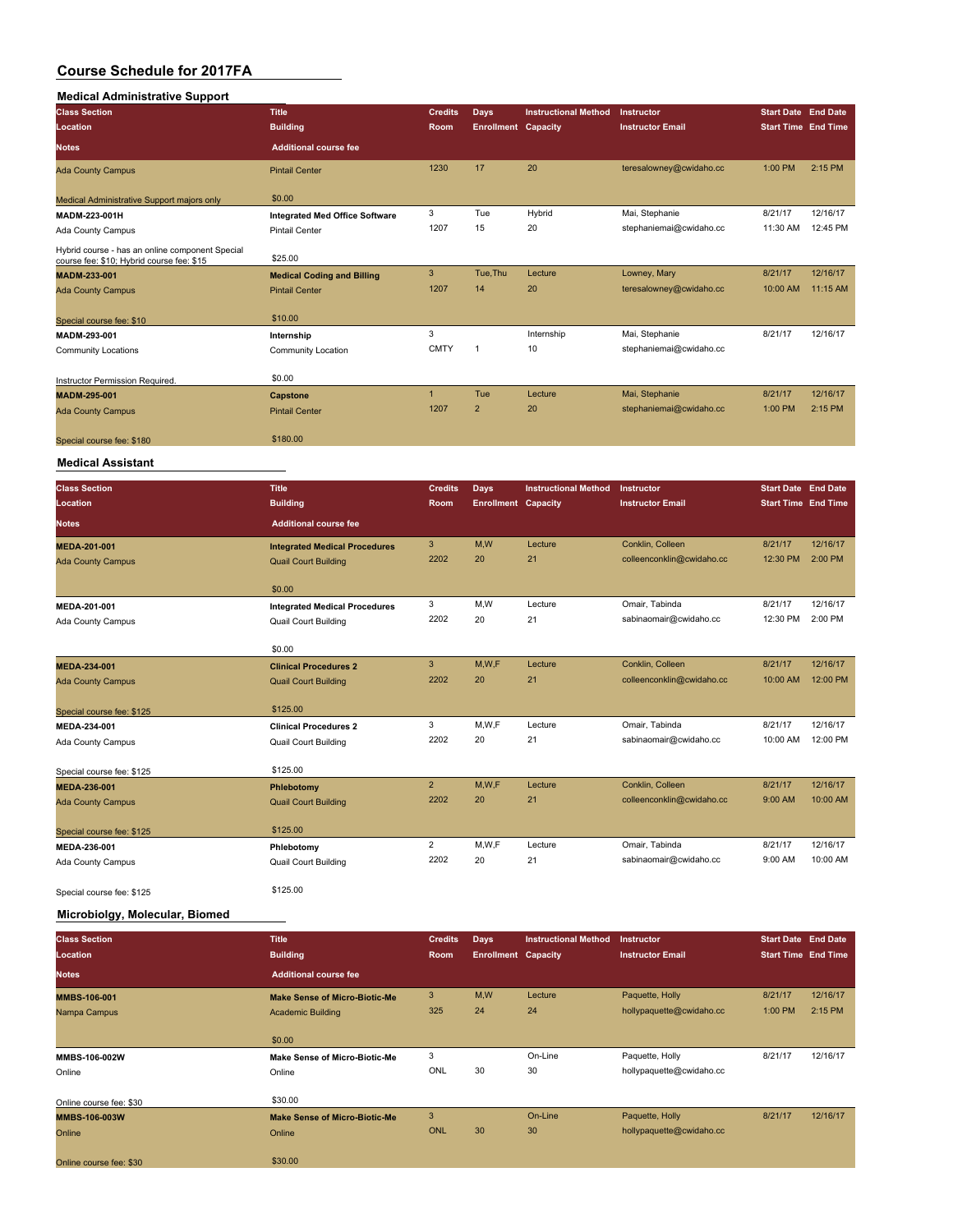# **Medical Administrative Support**

| <b>Medical Administrative Support</b>                                                        |                                       |                           |                            |                             |                           |                            |          |
|----------------------------------------------------------------------------------------------|---------------------------------------|---------------------------|----------------------------|-----------------------------|---------------------------|----------------------------|----------|
| <b>Class Section</b>                                                                         | <b>Title</b>                          | <b>Credits</b>            | Days                       | <b>Instructional Method</b> | Instructor                | <b>Start Date End Date</b> |          |
| Location                                                                                     | <b>Building</b>                       | Room                      | <b>Enrollment</b>          | Capacity                    | <b>Instructor Email</b>   | <b>Start Time End Time</b> |          |
| <b>Notes</b>                                                                                 | <b>Additional course fee</b>          |                           |                            |                             |                           |                            |          |
| <b>Ada County Campus</b>                                                                     | <b>Pintail Center</b>                 | 1230                      | 17                         | 20                          | teresalowney@cwidaho.cc   | 1:00 PM                    | 2:15 PM  |
| Medical Administrative Support majors only                                                   | \$0.00                                |                           |                            |                             |                           |                            |          |
| MADM-223-001H                                                                                | <b>Integrated Med Office Software</b> | 3                         | Tue                        | Hybrid                      | Mai, Stephanie            | 8/21/17                    | 12/16/17 |
| Ada County Campus                                                                            | <b>Pintail Center</b>                 | 1207                      | 15                         | 20                          | stephaniemai@cwidaho.cc   | 11:30 AM                   | 12:45 PM |
| Hybrid course - has an online component Special<br>course fee: \$10; Hybrid course fee: \$15 | \$25.00                               |                           |                            |                             |                           |                            |          |
| MADM-233-001                                                                                 | <b>Medical Coding and Billing</b>     | $\mathbf{3}$              | Tue, Thu                   | Lecture                     | Lowney, Mary              | 8/21/17                    | 12/16/17 |
| <b>Ada County Campus</b>                                                                     | <b>Pintail Center</b>                 | 1207                      | 14                         | 20                          | teresalowney@cwidaho.cc   | 10:00 AM                   | 11:15 AM |
| Special course fee: \$10                                                                     | \$10.00                               |                           |                            |                             |                           |                            |          |
| MADM-293-001                                                                                 | Internship                            | 3                         |                            | Internship                  | Mai, Stephanie            | 8/21/17                    | 12/16/17 |
| <b>Community Locations</b>                                                                   | Community Location                    | <b>CMTY</b>               | $\overline{1}$             | 10                          | stephaniemai@cwidaho.cc   |                            |          |
| Instructor Permission Required.                                                              | \$0.00                                |                           |                            |                             |                           |                            |          |
| MADM-295-001                                                                                 | Capstone                              | $\mathbf{1}$              | Tue                        | Lecture                     | Mai, Stephanie            | 8/21/17                    | 12/16/17 |
| <b>Ada County Campus</b>                                                                     | <b>Pintail Center</b>                 | 1207                      | $\overline{2}$             | 20                          | stephaniemai@cwidaho.cc   | 1:00 PM                    | 2:15 PM  |
|                                                                                              |                                       |                           |                            |                             |                           |                            |          |
| Special course fee: \$180                                                                    | \$180.00                              |                           |                            |                             |                           |                            |          |
| <b>Medical Assistant</b>                                                                     |                                       |                           |                            |                             |                           |                            |          |
| <b>Class Section</b>                                                                         | <b>Title</b>                          | <b>Credits</b>            | <b>Days</b>                | <b>Instructional Method</b> | Instructor                | <b>Start Date End Date</b> |          |
| Location                                                                                     | <b>Building</b>                       | Room                      | <b>Enrollment Capacity</b> |                             | <b>Instructor Email</b>   | <b>Start Time End Time</b> |          |
| <b>Notes</b>                                                                                 | <b>Additional course fee</b>          |                           |                            |                             |                           |                            |          |
| MEDA-201-001                                                                                 | <b>Integrated Medical Procedures</b>  | $\ensuremath{\mathsf{3}}$ | M,W                        | Lecture                     | Conklin, Colleen          | 8/21/17                    | 12/16/17 |
| <b>Ada County Campus</b>                                                                     | <b>Quail Court Building</b>           | 2202                      | 20                         | 21                          | colleenconklin@cwidaho.cc | 12:30 PM                   | 2:00 PM  |
|                                                                                              |                                       |                           |                            |                             |                           |                            |          |
|                                                                                              | \$0.00                                |                           |                            |                             |                           |                            |          |
| MEDA-201-001                                                                                 | <b>Integrated Medical Procedures</b>  | 3                         | M,W                        | Lecture                     | Omair, Tabinda            | 8/21/17                    | 12/16/17 |
| Ada County Campus                                                                            | Quail Court Building                  | 2202                      | 20                         | 21                          | sabinaomair@cwidaho.cc    | 12:30 PM                   | 2:00 PM  |
|                                                                                              | \$0.00                                |                           |                            |                             |                           |                            |          |
| MEDA-234-001                                                                                 | <b>Clinical Procedures 2</b>          | $\mathbf{3}$              | M,W,F                      | Lecture                     | Conklin, Colleen          | 8/21/17                    | 12/16/17 |
| <b>Ada County Campus</b>                                                                     | <b>Quail Court Building</b>           | 2202                      | 20                         | 21                          | colleenconklin@cwidaho.cc | 10:00 AM                   | 12:00 PM |
| Special course fee: \$125                                                                    | \$125.00                              |                           |                            |                             |                           |                            |          |
| MEDA-234-001                                                                                 | <b>Clinical Procedures 2</b>          | 3                         | M, W, F                    | Lecture                     | Omair, Tabinda            | 8/21/17                    | 12/16/17 |
| Ada County Campus                                                                            | Quail Court Building                  | 2202                      | 20                         | 21                          | sabinaomair@cwidaho.cc    | 10:00 AM                   | 12:00 PM |
|                                                                                              | \$125.00                              |                           |                            |                             |                           |                            |          |
| Special course fee: \$125<br>MEDA-236-001                                                    | Phlebotomy                            | $\sqrt{2}$                | M,W,F                      | Lecture                     | Conklin, Colleen          | 8/21/17                    | 12/16/17 |
| <b>Ada County Campus</b>                                                                     | <b>Quail Court Building</b>           | 2202                      | 20                         | 21                          | colleenconklin@cwidaho.cc | 9:00 AM                    | 10:00 AM |
|                                                                                              |                                       |                           |                            |                             |                           |                            |          |
| Special course fee: \$125                                                                    | \$125.00                              |                           |                            |                             |                           |                            |          |
| MEDA-236-001                                                                                 | Phlebotomy                            | $\overline{c}$            | M, W, F                    | Lecture                     | Omair, Tabinda            | 8/21/17                    | 12/16/17 |
| Ada County Campus                                                                            | Quail Court Building                  | 2202                      | 20                         | 21                          | sabinaomair@cwidaho.cc    | 9:00 AM                    | 10:00 AM |
| Special course fee: \$125                                                                    | \$125.00                              |                           |                            |                             |                           |                            |          |

**Microbiolgy, Molecular, Biomed**

| <b>Class Section</b>    | <b>Title</b>                         | <b>Credits</b> | <b>Days</b>                | <b>Instructional Method</b> | Instructor               | <b>Start Date End Date</b> |          |
|-------------------------|--------------------------------------|----------------|----------------------------|-----------------------------|--------------------------|----------------------------|----------|
| <b>Location</b>         | <b>Building</b>                      | Room           | <b>Enrollment Capacity</b> |                             | <b>Instructor Email</b>  | <b>Start Time End Time</b> |          |
| <b>Notes</b>            | <b>Additional course fee</b>         |                |                            |                             |                          |                            |          |
| <b>MMBS-106-001</b>     | <b>Make Sense of Micro-Biotic-Me</b> | 3              | M,W                        | Lecture                     | Paquette, Holly          | 8/21/17                    | 12/16/17 |
| Nampa Campus            | <b>Academic Building</b>             | 325            | 24                         | 24                          | hollypaquette@cwidaho.cc | 1:00 PM                    | 2:15 PM  |
|                         |                                      |                |                            |                             |                          |                            |          |
|                         | \$0.00                               |                |                            |                             |                          |                            |          |
| MMBS-106-002W           | <b>Make Sense of Micro-Biotic-Me</b> | 3              |                            | On-Line                     | Paquette, Holly          | 8/21/17                    | 12/16/17 |
| Online                  | Online                               | ONL            | 30                         | 30                          | hollypaquette@cwidaho.cc |                            |          |
|                         |                                      |                |                            |                             |                          |                            |          |
| Online course fee: \$30 | \$30.00                              |                |                            |                             |                          |                            |          |
| <b>MMBS-106-003W</b>    | <b>Make Sense of Micro-Biotic-Me</b> | 3              |                            | On-Line                     | Paquette, Holly          | 8/21/17                    | 12/16/17 |
| Online                  | Online                               | <b>ONL</b>     | 30                         | 30                          | hollypaquette@cwidaho.cc |                            |          |
|                         |                                      |                |                            |                             |                          |                            |          |
| Online course fee: \$30 | \$30.00                              |                |                            |                             |                          |                            |          |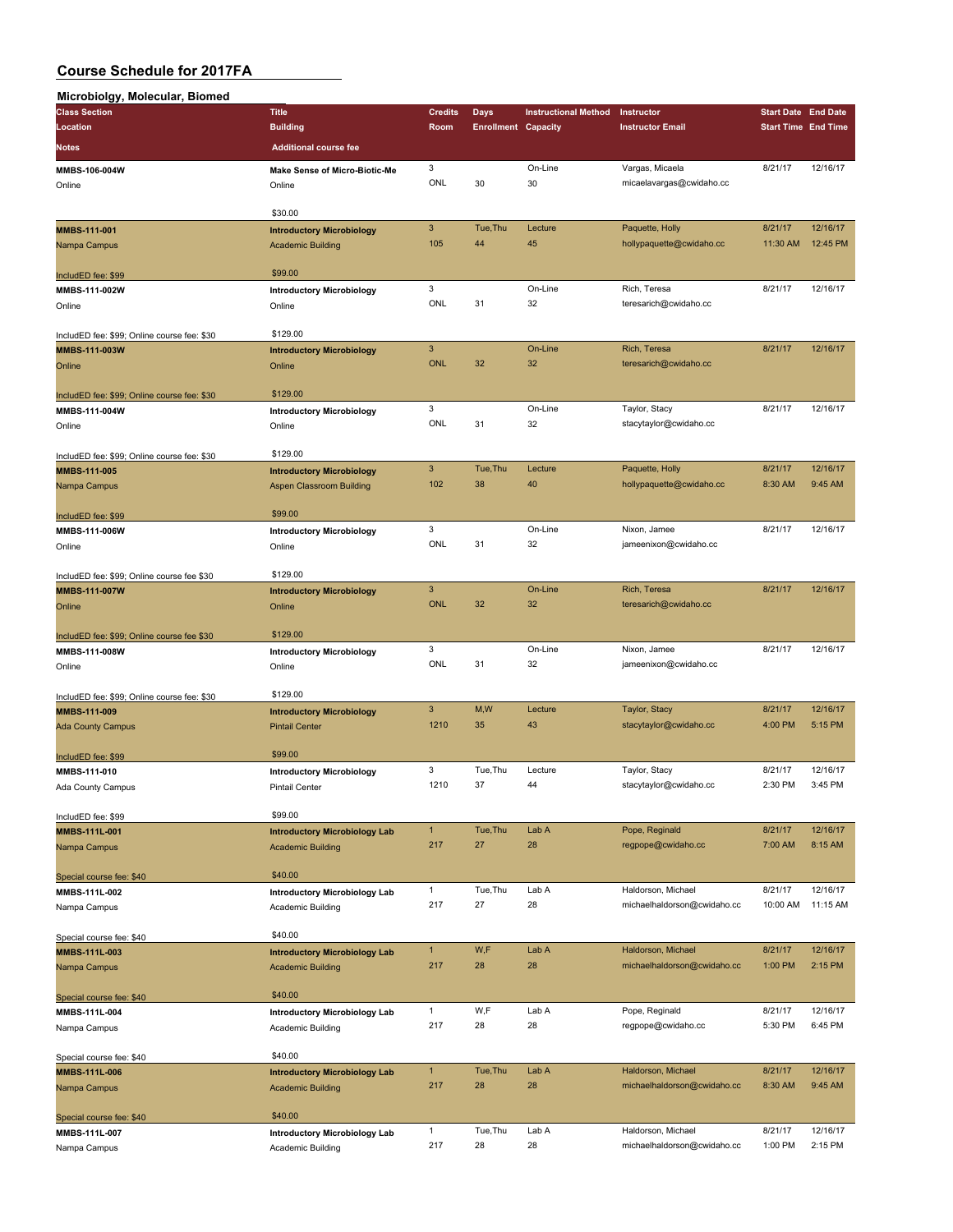| Microbiolgy, Molecular, Biomed |  |
|--------------------------------|--|

| Microbiolgy, Molecular, Biomed              |                                      |                           |                            |                             |                                                   |                            |                      |
|---------------------------------------------|--------------------------------------|---------------------------|----------------------------|-----------------------------|---------------------------------------------------|----------------------------|----------------------|
| <b>Class Section</b>                        | <b>Title</b>                         | <b>Credits</b>            | <b>Days</b>                | <b>Instructional Method</b> | Instructor                                        | <b>Start Date End Date</b> |                      |
| Location                                    | <b>Building</b>                      | Room                      | <b>Enrollment Capacity</b> |                             | <b>Instructor Email</b>                           | <b>Start Time End Time</b> |                      |
| Notes                                       | <b>Additional course fee</b>         |                           |                            |                             |                                                   |                            |                      |
|                                             |                                      |                           |                            |                             |                                                   |                            |                      |
| MMBS-106-004W                               | <b>Make Sense of Micro-Biotic-Me</b> | 3<br>ONL                  | 30                         | On-Line<br>30               | Vargas, Micaela                                   | 8/21/17                    | 12/16/17             |
| Online                                      | Online                               |                           |                            |                             | micaelavargas@cwidaho.cc                          |                            |                      |
|                                             | \$30.00                              |                           |                            |                             |                                                   |                            |                      |
| MMBS-111-001                                | <b>Introductory Microbiology</b>     | $\mathbf{3}$              | Tue, Thu                   | Lecture                     | Paquette, Holly                                   | 8/21/17                    | 12/16/17             |
| Nampa Campus                                | <b>Academic Building</b>             | 105                       | 44                         | 45                          | hollypaquette@cwidaho.cc                          | 11:30 AM                   | 12:45 PM             |
|                                             |                                      |                           |                            |                             |                                                   |                            |                      |
| IncludED fee: \$99                          | \$99.00                              |                           |                            |                             |                                                   |                            |                      |
| MMBS-111-002W                               | <b>Introductory Microbiology</b>     | 3                         |                            | On-Line                     | Rich, Teresa                                      | 8/21/17                    | 12/16/17             |
| Online                                      | Online                               | ONL                       | 31                         | 32                          | teresarich@cwidaho.cc                             |                            |                      |
|                                             |                                      |                           |                            |                             |                                                   |                            |                      |
| IncludED fee: \$99; Online course fee: \$30 | \$129.00                             |                           |                            |                             |                                                   |                            |                      |
| MMBS-111-003W                               | <b>Introductory Microbiology</b>     | $\ensuremath{\mathsf{3}}$ |                            | On-Line                     | Rich, Teresa                                      | 8/21/17                    | 12/16/17             |
| Online                                      | Online                               | <b>ONL</b>                | 32                         | 32                          | teresarich@cwidaho.cc                             |                            |                      |
|                                             |                                      |                           |                            |                             |                                                   |                            |                      |
| IncludED fee: \$99; Online course fee: \$30 | \$129.00                             |                           |                            |                             |                                                   |                            |                      |
| MMBS-111-004W                               | <b>Introductory Microbiology</b>     | 3                         |                            | On-Line                     | Taylor, Stacy                                     | 8/21/17                    | 12/16/17             |
| Online                                      | Online                               | ONL                       | 31                         | 32                          | stacytaylor@cwidaho.cc                            |                            |                      |
|                                             |                                      |                           |                            |                             |                                                   |                            |                      |
| IncludED fee: \$99; Online course fee: \$30 | \$129.00                             |                           |                            |                             |                                                   |                            |                      |
| MMBS-111-005                                | <b>Introductory Microbiology</b>     | $\mathbf{3}$              | Tue, Thu                   | Lecture                     | Paquette, Holly                                   | 8/21/17                    | 12/16/17             |
| Nampa Campus                                | <b>Aspen Classroom Building</b>      | 102                       | 38                         | 40                          | hollypaquette@cwidaho.cc                          | 8:30 AM                    | 9:45 AM              |
|                                             |                                      |                           |                            |                             |                                                   |                            |                      |
| IncludED fee: \$99                          | \$99.00                              | 3                         |                            | On-Line                     |                                                   |                            |                      |
| MMBS-111-006W                               | <b>Introductory Microbiology</b>     | ONL                       | 31                         |                             | Nixon, Jamee                                      | 8/21/17                    | 12/16/17             |
| Online                                      | Online                               |                           |                            | 32                          | jameenixon@cwidaho.cc                             |                            |                      |
|                                             | \$129.00                             |                           |                            |                             |                                                   |                            |                      |
| IncludED fee: \$99; Online course fee \$30  |                                      | $\mathbf{3}$              |                            | On-Line                     | Rich, Teresa                                      | 8/21/17                    | 12/16/17             |
| MMBS-111-007W                               | <b>Introductory Microbiology</b>     | <b>ONL</b>                | 32                         | 32                          | teresarich@cwidaho.cc                             |                            |                      |
| Online                                      | Online                               |                           |                            |                             |                                                   |                            |                      |
| IncludED fee: \$99; Online course fee \$30  | \$129.00                             |                           |                            |                             |                                                   |                            |                      |
| MMBS-111-008W                               | <b>Introductory Microbiology</b>     | 3                         |                            | On-Line                     | Nixon, Jamee                                      | 8/21/17                    | 12/16/17             |
| Online                                      | Online                               | ONL                       | 31                         | 32                          | jameenixon@cwidaho.cc                             |                            |                      |
|                                             |                                      |                           |                            |                             |                                                   |                            |                      |
| IncludED fee: \$99; Online course fee: \$30 | \$129.00                             |                           |                            |                             |                                                   |                            |                      |
| MMBS-111-009                                | <b>Introductory Microbiology</b>     | $\mathbf{3}$              | M,W                        | Lecture                     | Taylor, Stacy                                     | 8/21/17                    | 12/16/17             |
| <b>Ada County Campus</b>                    | <b>Pintail Center</b>                | 1210                      | 35                         | 43                          | stacytaylor@cwidaho.cc                            | 4:00 PM                    | 5:15 PM              |
|                                             |                                      |                           |                            |                             |                                                   |                            |                      |
| IncludED fee: \$99                          | \$99.00                              |                           |                            |                             |                                                   |                            |                      |
| MMBS-111-010                                | <b>Introductory Microbiology</b>     | 3                         | Tue, Thu                   | Lecture                     | Taylor, Stacy                                     | 8/21/17                    | 12/16/17             |
| Ada County Campus                           | Pintail Center                       | 1210                      | 37                         | 44                          | stacytaylor@cwidaho.cc                            | 2:30 PM                    | 3:45 PM              |
|                                             |                                      |                           |                            |                             |                                                   |                            |                      |
| IncludED fee: \$99                          | \$99.00                              |                           |                            |                             |                                                   |                            |                      |
| MMBS-111L-001                               | <b>Introductory Microbiology Lab</b> | $\mathbf{1}$              | Tue, Thu                   | Lab A                       | Pope, Reginald                                    | 8/21/17                    | 12/16/17             |
| Nampa Campus                                | <b>Academic Building</b>             | 217                       | 27                         | 28                          | regpope@cwidaho.cc                                | 7:00 AM                    | 8:15 AM              |
|                                             |                                      |                           |                            |                             |                                                   |                            |                      |
| Special course fee: \$40                    | \$40.00                              |                           |                            |                             |                                                   |                            |                      |
| MMBS-111L-002                               | <b>Introductory Microbiology Lab</b> | $\mathbf{1}$<br>217       | Tue, Thu<br>27             | Lab A<br>28                 | Haldorson, Michael<br>michaelhaldorson@cwidaho.cc | 8/21/17<br>10:00 AM        | 12/16/17<br>11:15 AM |
| Nampa Campus                                | Academic Building                    |                           |                            |                             |                                                   |                            |                      |
| Special course fee: \$40                    | \$40.00                              |                           |                            |                             |                                                   |                            |                      |
| MMBS-111L-003                               | <b>Introductory Microbiology Lab</b> | $\mathbf{1}$              | W,F                        | Lab A                       | Haldorson, Michael                                | 8/21/17                    | 12/16/17             |
| Nampa Campus                                | <b>Academic Building</b>             | 217                       | 28                         | 28                          | michaelhaldorson@cwidaho.cc                       | 1:00 PM                    | 2:15 PM              |
|                                             |                                      |                           |                            |                             |                                                   |                            |                      |
| Special course fee: \$40                    | \$40.00                              |                           |                            |                             |                                                   |                            |                      |
| MMBS-111L-004                               | <b>Introductory Microbiology Lab</b> | $\mathbf{1}$              | W,F                        | Lab A                       | Pope, Reginald                                    | 8/21/17                    | 12/16/17             |
| Nampa Campus                                | Academic Building                    | 217                       | 28                         | 28                          | regpope@cwidaho.cc                                | 5:30 PM                    | 6:45 PM              |
|                                             |                                      |                           |                            |                             |                                                   |                            |                      |
| Special course fee: \$40                    | \$40.00                              |                           |                            |                             |                                                   |                            |                      |
| <b>MMBS-111L-006</b>                        | <b>Introductory Microbiology Lab</b> | $\mathbf{1}$              | Tue, Thu                   | Lab A                       | Haldorson, Michael                                | 8/21/17                    | 12/16/17             |
| Nampa Campus                                |                                      |                           |                            |                             | michaelhaldorson@cwidaho.cc                       | 8:30 AM                    | 9:45 AM              |
|                                             | <b>Academic Building</b>             | 217                       | 28                         | 28                          |                                                   |                            |                      |
|                                             |                                      |                           |                            |                             |                                                   |                            |                      |
| Special course fee: \$40                    | \$40.00                              |                           |                            |                             |                                                   |                            |                      |
| MMBS-111L-007                               | <b>Introductory Microbiology Lab</b> | $\mathbf{1}$<br>217       | Tue, Thu<br>28             | Lab A<br>28                 | Haldorson, Michael<br>michaelhaldorson@cwidaho.cc | 8/21/17<br>1:00 PM         | 12/16/17<br>2:15 PM  |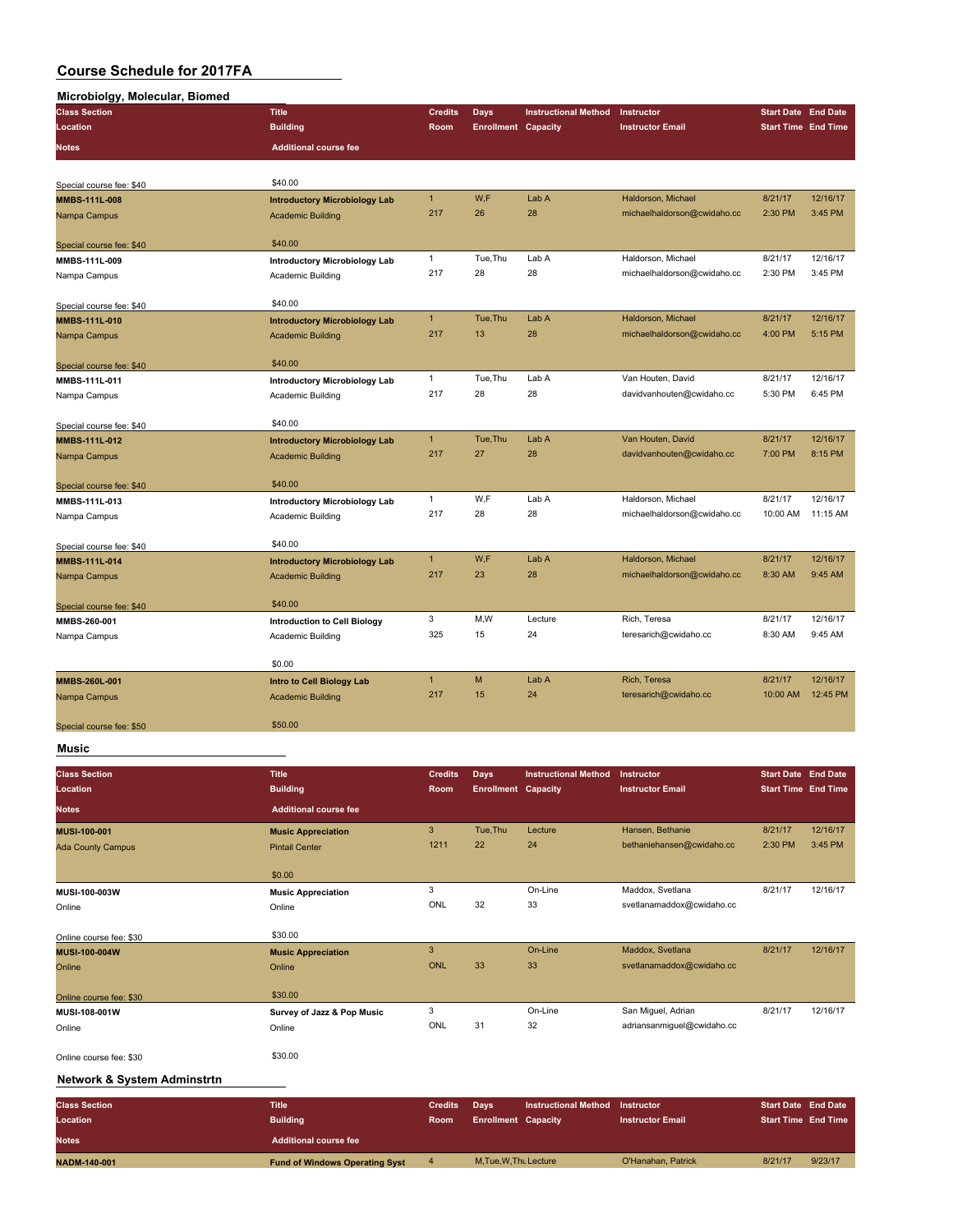#### **Microbiolgy, Molecular, Biomed**

| micropiolyy, molecular, Dionicu<br><b>Class Section</b> | <b>Title</b>                         | <b>Credits</b> | <b>Days</b>                | <b>Instructional Method</b> | Instructor                  | <b>Start Date End Date</b> |          |
|---------------------------------------------------------|--------------------------------------|----------------|----------------------------|-----------------------------|-----------------------------|----------------------------|----------|
| Location                                                | <b>Building</b>                      | Room           | <b>Enrollment Capacity</b> |                             | <b>Instructor Email</b>     | <b>Start Time End Time</b> |          |
| <b>Notes</b>                                            | <b>Additional course fee</b>         |                |                            |                             |                             |                            |          |
|                                                         |                                      |                |                            |                             |                             |                            |          |
|                                                         | \$40.00                              |                |                            |                             |                             |                            |          |
| Special course fee: \$40<br><b>MMBS-111L-008</b>        | <b>Introductory Microbiology Lab</b> | $\mathbf{1}$   | W,F                        | Lab A                       | Haldorson, Michael          | 8/21/17                    | 12/16/17 |
| Nampa Campus                                            | <b>Academic Building</b>             | 217            | 26                         | 28                          | michaelhaldorson@cwidaho.cc | 2:30 PM                    | 3:45 PM  |
|                                                         |                                      |                |                            |                             |                             |                            |          |
| Special course fee: \$40                                | \$40.00                              |                |                            |                             |                             |                            |          |
| MMBS-111L-009                                           | <b>Introductory Microbiology Lab</b> | $\mathbf{1}$   | Tue, Thu                   | Lab A                       | Haldorson, Michael          | 8/21/17                    | 12/16/17 |
| Nampa Campus                                            | Academic Building                    | 217            | 28                         | 28                          | michaelhaldorson@cwidaho.cc | 2:30 PM                    | 3:45 PM  |
| Special course fee: \$40                                | \$40.00                              |                |                            |                             |                             |                            |          |
| MMBS-111L-010                                           | <b>Introductory Microbiology Lab</b> | $\mathbf{1}$   | Tue, Thu                   | Lab A                       | Haldorson, Michael          | 8/21/17                    | 12/16/17 |
| Nampa Campus                                            | <b>Academic Building</b>             | 217            | 13                         | 28                          | michaelhaldorson@cwidaho.cc | 4:00 PM                    | 5:15 PM  |
|                                                         |                                      |                |                            |                             |                             |                            |          |
| Special course fee: \$40                                | \$40.00                              | $\mathbf{1}$   | Tue, Thu                   | Lab A                       | Van Houten, David           | 8/21/17                    | 12/16/17 |
| MMBS-111L-011                                           | <b>Introductory Microbiology Lab</b> | 217            | 28                         | 28                          | davidvanhouten@cwidaho.cc   | 5:30 PM                    | 6:45 PM  |
| Nampa Campus                                            | Academic Building                    |                |                            |                             |                             |                            |          |
| Special course fee: \$40                                | \$40.00                              |                |                            |                             |                             |                            |          |
| MMBS-111L-012                                           | <b>Introductory Microbiology Lab</b> | $\mathbf{1}$   | Tue, Thu                   | Lab A                       | Van Houten, David           | 8/21/17                    | 12/16/17 |
| Nampa Campus                                            | <b>Academic Building</b>             | 217            | 27                         | 28                          | davidvanhouten@cwidaho.cc   | 7:00 PM                    | 8:15 PM  |
| Special course fee: \$40                                | \$40.00                              |                |                            |                             |                             |                            |          |
| MMBS-111L-013                                           | <b>Introductory Microbiology Lab</b> | $\mathbf{1}$   | W,F                        | Lab A                       | Haldorson, Michael          | 8/21/17                    | 12/16/17 |
| Nampa Campus                                            | <b>Academic Building</b>             | 217            | 28                         | 28                          | michaelhaldorson@cwidaho.cc | 10:00 AM                   | 11:15 AM |
| Special course fee: \$40                                | \$40.00                              |                |                            |                             |                             |                            |          |
| MMBS-111L-014                                           | <b>Introductory Microbiology Lab</b> | $\mathbf{1}$   | W,F                        | Lab A                       | Haldorson, Michael          | 8/21/17                    | 12/16/17 |
| Nampa Campus                                            | <b>Academic Building</b>             | 217            | 23                         | 28                          | michaelhaldorson@cwidaho.cc | 8:30 AM                    | 9:45 AM  |
| Special course fee: \$40                                | \$40.00                              |                |                            |                             |                             |                            |          |
| MMBS-260-001                                            | <b>Introduction to Cell Biology</b>  | 3              | M,W                        | Lecture                     | Rich, Teresa                | 8/21/17                    | 12/16/17 |
| Nampa Campus                                            | <b>Academic Building</b>             | 325            | 15                         | 24                          | teresarich@cwidaho.cc       | 8:30 AM                    | 9:45 AM  |
|                                                         |                                      |                |                            |                             |                             |                            |          |
|                                                         | \$0.00                               |                |                            |                             |                             |                            |          |
| MMBS-260L-001                                           | Intro to Cell Biology Lab            | $\overline{1}$ | M                          | Lab A                       | Rich, Teresa                | 8/21/17                    | 12/16/17 |
| Nampa Campus                                            | <b>Academic Building</b>             | 217            | 15                         | 24                          | teresarich@cwidaho.cc       | 10:00 AM                   | 12:45 PM |
| Special course fee: \$50                                | \$50.00                              |                |                            |                             |                             |                            |          |
|                                                         |                                      |                |                            |                             |                             |                            |          |

#### **Music**

| <b>Class Section</b><br>Location | <b>Title</b><br><b>Building</b> | <b>Credits</b><br><b>Room</b> | Days<br><b>Enrollment Capacity</b> | <b>Instructional Method</b> | Instructor<br><b>Instructor Email</b> | <b>Start Date End Date</b><br><b>Start Time End Time</b> |          |
|----------------------------------|---------------------------------|-------------------------------|------------------------------------|-----------------------------|---------------------------------------|----------------------------------------------------------|----------|
| <b>Notes</b>                     | <b>Additional course fee</b>    |                               |                                    |                             |                                       |                                                          |          |
| <b>MUSI-100-001</b>              | <b>Music Appreciation</b>       | 3                             | Tue, Thu                           | Lecture                     | Hansen, Bethanie                      | 8/21/17                                                  | 12/16/17 |
| <b>Ada County Campus</b>         | <b>Pintail Center</b>           | 1211                          | 22                                 | 24                          | bethaniehansen@cwidaho.cc             | 2:30 PM                                                  | 3:45 PM  |
|                                  | \$0.00                          |                               |                                    |                             |                                       |                                                          |          |
| MUSI-100-003W                    | <b>Music Appreciation</b>       | 3                             |                                    | On-Line                     | Maddox, Svetlana                      | 8/21/17                                                  | 12/16/17 |
| Online                           | Online                          | ONL                           | 32                                 | 33                          | svetlanamaddox@cwidaho.cc             |                                                          |          |
| Online course fee: \$30          | \$30.00                         |                               |                                    |                             |                                       |                                                          |          |
| <b>MUSI-100-004W</b>             | <b>Music Appreciation</b>       | 3                             |                                    | On-Line                     | Maddox, Svetlana                      | 8/21/17                                                  | 12/16/17 |
| Online                           | Online                          | <b>ONL</b>                    | 33                                 | 33                          | svetlanamaddox@cwidaho.cc             |                                                          |          |
| Online course fee: \$30          | \$30.00                         |                               |                                    |                             |                                       |                                                          |          |
| MUSI-108-001W                    | Survey of Jazz & Pop Music      | 3                             |                                    | On-Line                     | San Miguel, Adrian                    | 8/21/17                                                  | 12/16/17 |
| Online                           | Online                          | ONL                           | 31                                 | 32                          | adriansanmiguel@cwidaho.cc            |                                                          |          |
| Online course fee: \$30          | \$30.00                         |                               |                                    |                             |                                       |                                                          |          |

#### **Network & System Adminstrtn**

| <b>Class Section</b><br>Location | <b>Title</b><br><b>Building</b>       | <b>Credits</b><br><b>Room</b> | Davs<br><b>Enrollment Capacity</b> | <b>Instructional Method</b> | Instructor<br><b>Instructor Email</b> | <b>Start Date End Date</b><br><b>Start Time End Time</b> |         |
|----------------------------------|---------------------------------------|-------------------------------|------------------------------------|-----------------------------|---------------------------------------|----------------------------------------------------------|---------|
| <b>Notes</b>                     | <b>Additional course fee</b>          |                               |                                    |                             |                                       |                                                          |         |
| <b>NADM-140-001</b>              | <b>Fund of Windows Operating Syst</b> |                               | M.Tue, W.Thu Lecture               |                             | O'Hanahan, Patrick                    | 8/21/17                                                  | 9/23/17 |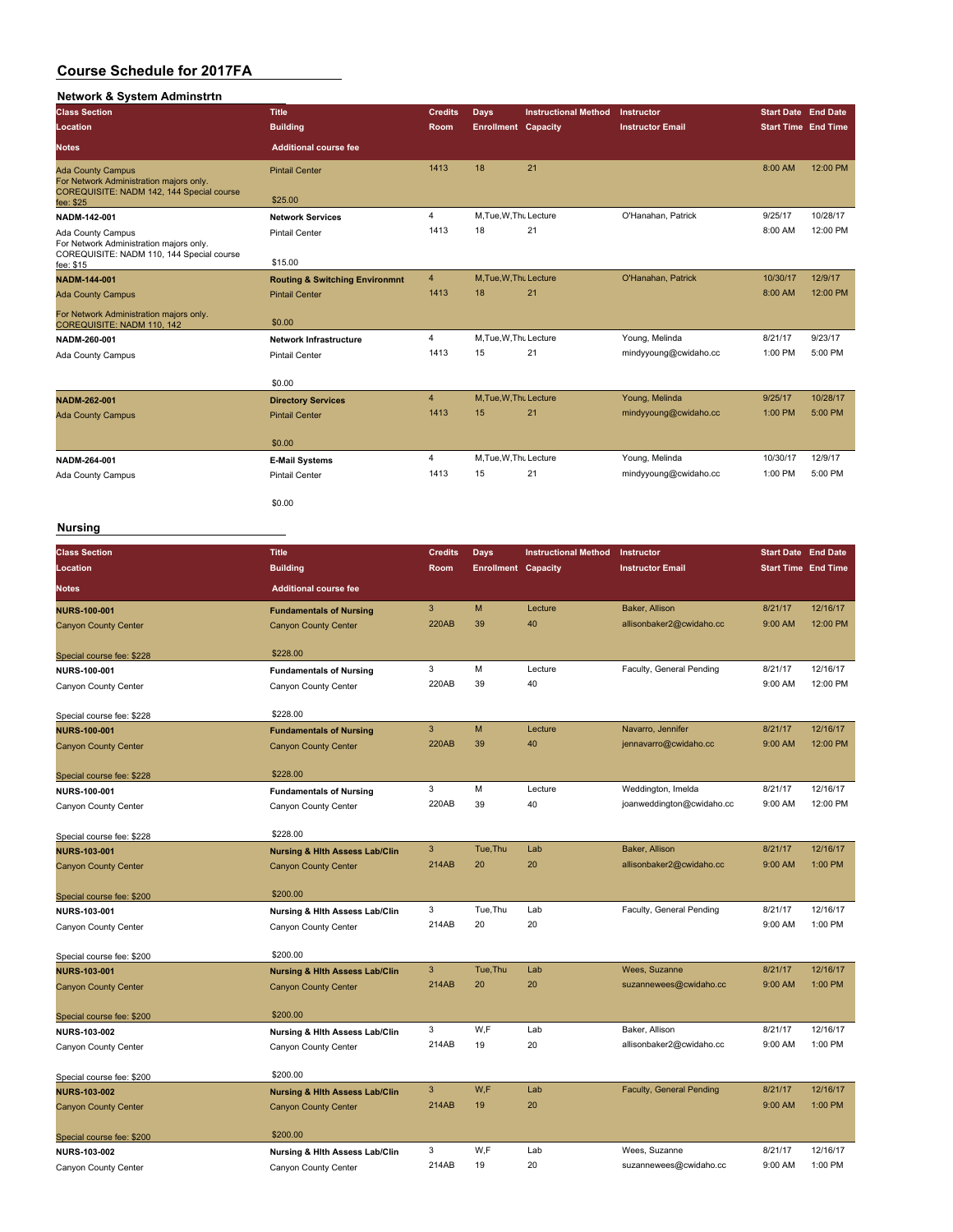# **Network & System Adminstrtn**

| <b>Class Section</b>                                                                                             | <b>Title</b>                              | <b>Credits</b> | <b>Days</b>                | <b>Instructional Method</b> | Instructor              | <b>Start Date End Date</b> |          |
|------------------------------------------------------------------------------------------------------------------|-------------------------------------------|----------------|----------------------------|-----------------------------|-------------------------|----------------------------|----------|
| Location                                                                                                         | <b>Building</b>                           | Room           | <b>Enrollment Capacity</b> |                             | <b>Instructor Email</b> | <b>Start Time End Time</b> |          |
| <b>Notes</b>                                                                                                     | <b>Additional course fee</b>              |                |                            |                             |                         |                            |          |
| <b>Ada County Campus</b><br>For Network Administration majors only.<br>COREQUISITE: NADM 142, 144 Special course | <b>Pintail Center</b>                     | 1413           | 18                         | 21                          |                         | 8:00 AM                    | 12:00 PM |
| fee: \$25                                                                                                        | \$25.00                                   |                |                            |                             |                         |                            |          |
| NADM-142-001                                                                                                     | <b>Network Services</b>                   | $\overline{4}$ | M.Tue, W.Thu Lecture       |                             | O'Hanahan, Patrick      | 9/25/17                    | 10/28/17 |
| Ada County Campus                                                                                                | <b>Pintail Center</b>                     | 1413           | 18                         | 21                          |                         | 8:00 AM                    | 12:00 PM |
| For Network Administration majors only.<br>COREQUISITE: NADM 110, 144 Special course<br>fee: \$15                | \$15.00                                   |                |                            |                             |                         |                            |          |
| <b>NADM-144-001</b>                                                                                              | <b>Routing &amp; Switching Environmnt</b> | $\overline{4}$ | M.Tue.W.Thu Lecture        |                             | O'Hanahan, Patrick      | 10/30/17                   | 12/9/17  |
| <b>Ada County Campus</b>                                                                                         | <b>Pintail Center</b>                     | 1413           | 18                         | 21                          |                         | 8:00 AM                    | 12:00 PM |
| For Network Administration majors only.<br>COREQUISITE: NADM 110, 142                                            | \$0.00                                    |                |                            |                             |                         |                            |          |
| NADM-260-001                                                                                                     | <b>Network Infrastructure</b>             | $\overline{4}$ | M.Tue, W.Thu Lecture       |                             | Young, Melinda          | 8/21/17                    | 9/23/17  |
| Ada County Campus                                                                                                | <b>Pintail Center</b>                     | 1413           | 15                         | 21                          | mindyyoung@cwidaho.cc   | 1:00 PM                    | 5:00 PM  |
|                                                                                                                  | \$0.00                                    |                |                            |                             |                         |                            |          |
| NADM-262-001                                                                                                     | <b>Directory Services</b>                 | $\overline{4}$ | M.Tue.W.Thu Lecture        |                             | Young, Melinda          | 9/25/17                    | 10/28/17 |
| <b>Ada County Campus</b>                                                                                         | <b>Pintail Center</b>                     | 1413           | 15                         | 21                          | mindyyoung@cwidaho.cc   | 1:00 PM                    | 5:00 PM  |
|                                                                                                                  | \$0.00                                    |                |                            |                             |                         |                            |          |
| NADM-264-001                                                                                                     | <b>E-Mail Systems</b>                     | $\overline{4}$ | M, Tue, W, Thu Lecture     |                             | Young, Melinda          | 10/30/17                   | 12/9/17  |
| Ada County Campus                                                                                                | <b>Pintail Center</b>                     | 1413           | 15                         | 21                          | mindyyoung@cwidaho.cc   | 1:00 PM                    | 5:00 PM  |
|                                                                                                                  | \$0.00                                    |                |                            |                             |                         |                            |          |

### **Nursing**

| <b>Class Section</b>        | <b>Title</b>                              | <b>Credits</b> | <b>Days</b>                | <b>Instructional Method</b> | Instructor                      | <b>Start Date End Date</b> |          |
|-----------------------------|-------------------------------------------|----------------|----------------------------|-----------------------------|---------------------------------|----------------------------|----------|
| Location                    | <b>Building</b>                           | Room           | <b>Enrollment Capacity</b> |                             | <b>Instructor Email</b>         | <b>Start Time End Time</b> |          |
| <b>Notes</b>                | <b>Additional course fee</b>              |                |                            |                             |                                 |                            |          |
| <b>NURS-100-001</b>         | <b>Fundamentals of Nursing</b>            | 3              | M                          | Lecture                     | Baker, Allison                  | 8/21/17                    | 12/16/17 |
| <b>Canyon County Center</b> | <b>Canyon County Center</b>               | <b>220AB</b>   | 39                         | 40                          | allisonbaker2@cwidaho.cc        | 9:00 AM                    | 12:00 PM |
| Special course fee: \$228   | \$228.00                                  |                |                            |                             |                                 |                            |          |
| NURS-100-001                | <b>Fundamentals of Nursing</b>            | 3              | M                          | Lecture                     | Faculty, General Pending        | 8/21/17                    | 12/16/17 |
| Canyon County Center        | Canyon County Center                      | 220AB          | 39                         | 40                          |                                 | 9:00 AM                    | 12:00 PM |
| Special course fee: \$228   | \$228.00                                  |                |                            |                             |                                 |                            |          |
| <b>NURS-100-001</b>         | <b>Fundamentals of Nursing</b>            | 3              | M                          | Lecture                     | Navarro, Jennifer               | 8/21/17                    | 12/16/17 |
| <b>Canyon County Center</b> | <b>Canyon County Center</b>               | <b>220AB</b>   | 39                         | 40                          | jennavarro@cwidaho.cc           | 9:00 AM                    | 12:00 PM |
| Special course fee: \$228   | \$228.00                                  |                |                            |                             |                                 |                            |          |
| NURS-100-001                | <b>Fundamentals of Nursing</b>            | 3              | M                          | Lecture                     | Weddington, Imelda              | 8/21/17                    | 12/16/17 |
| Canyon County Center        | Canyon County Center                      | 220AB          | 39                         | 40                          | joanweddington@cwidaho.cc       | 9:00 AM                    | 12:00 PM |
| Special course fee: \$228   | \$228.00                                  |                |                            |                             |                                 |                            |          |
| <b>NURS-103-001</b>         | <b>Nursing &amp; Hith Assess Lab/Clin</b> | 3              | Tue, Thu                   | Lab                         | Baker, Allison                  | 8/21/17                    | 12/16/17 |
| <b>Canyon County Center</b> | <b>Canyon County Center</b>               | 214AB          | 20                         | 20                          | allisonbaker2@cwidaho.cc        | 9:00 AM                    | 1:00 PM  |
| Special course fee: \$200   | \$200.00                                  |                |                            |                             |                                 |                            |          |
| NURS-103-001                | Nursing & Hlth Assess Lab/Clin            | 3              | Tue, Thu                   | Lab                         | Faculty, General Pending        | 8/21/17                    | 12/16/17 |
| Canyon County Center        | Canyon County Center                      | 214AB          | 20                         | 20                          |                                 | 9:00 AM                    | 1:00 PM  |
| Special course fee: \$200   | \$200.00                                  |                |                            |                             |                                 |                            |          |
| <b>NURS-103-001</b>         | <b>Nursing &amp; Hith Assess Lab/Clin</b> | 3              | Tue, Thu                   | Lab                         | Wees, Suzanne                   | 8/21/17                    | 12/16/17 |
| <b>Canyon County Center</b> | <b>Canyon County Center</b>               | 214AB          | 20                         | 20                          | suzannewees@cwidaho.cc          | 9:00 AM                    | 1:00 PM  |
| Special course fee: \$200   | \$200.00                                  |                |                            |                             |                                 |                            |          |
| NURS-103-002                | Nursing & Hlth Assess Lab/Clin            | 3              | W,F                        | Lab                         | Baker, Allison                  | 8/21/17                    | 12/16/17 |
| Canyon County Center        | Canyon County Center                      | 214AB          | 19                         | 20                          | allisonbaker2@cwidaho.cc        | 9:00 AM                    | 1:00 PM  |
| Special course fee: \$200   | \$200.00                                  |                |                            |                             |                                 |                            |          |
| <b>NURS-103-002</b>         | <b>Nursing &amp; Hith Assess Lab/Clin</b> | 3              | W,F                        | Lab                         | <b>Faculty, General Pending</b> | 8/21/17                    | 12/16/17 |
| <b>Canyon County Center</b> | <b>Canyon County Center</b>               | 214AB          | 19                         | 20                          |                                 | 9:00 AM                    | 1:00 PM  |
| Special course fee: \$200   | \$200.00                                  |                |                            |                             |                                 |                            |          |
| <b>NURS-103-002</b>         | Nursing & Hith Assess Lab/Clin            | 3              | W.F                        | Lab                         | Wees, Suzanne                   | 8/21/17                    | 12/16/17 |
| Canyon County Center        | Canyon County Center                      | 214AB          | 19                         | 20                          | suzannewees@cwidaho.cc          | 9:00 AM                    | 1:00 PM  |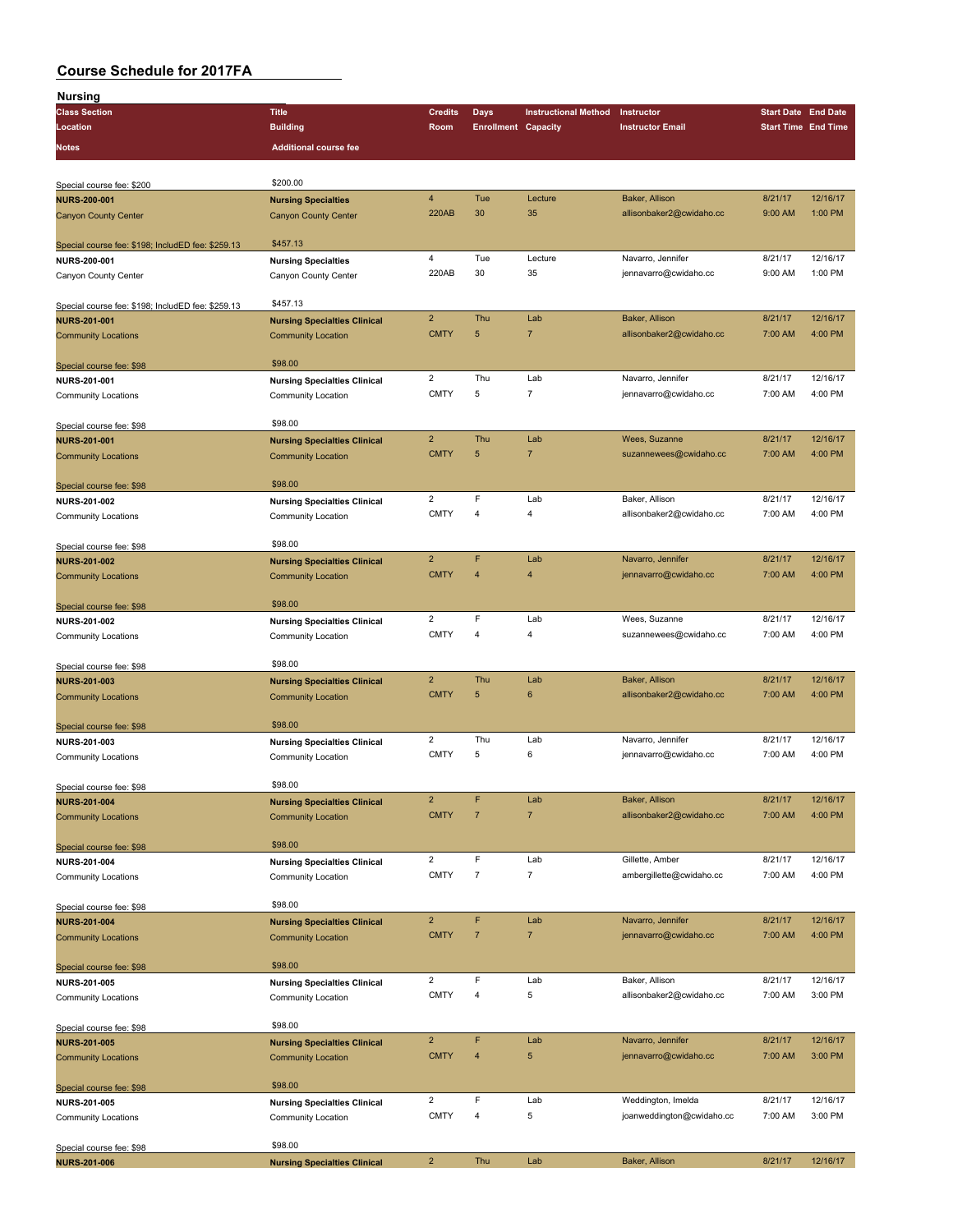| Nursing                                           |                                                           |                               |                            |                             |                                            |                            |                            |
|---------------------------------------------------|-----------------------------------------------------------|-------------------------------|----------------------------|-----------------------------|--------------------------------------------|----------------------------|----------------------------|
| <b>Class Section</b>                              | <b>Title</b>                                              | <b>Credits</b>                | Days                       | <b>Instructional Method</b> | Instructor                                 | <b>Start Date End Date</b> |                            |
| Location                                          | <b>Building</b>                                           | Room                          | <b>Enrollment Capacity</b> |                             | <b>Instructor Email</b>                    |                            | <b>Start Time End Time</b> |
| Notes                                             | <b>Additional course fee</b>                              |                               |                            |                             |                                            |                            |                            |
|                                                   |                                                           |                               |                            |                             |                                            |                            |                            |
| Special course fee: \$200                         | \$200.00                                                  |                               |                            |                             |                                            |                            |                            |
| <b>NURS-200-001</b>                               | <b>Nursing Specialties</b>                                | $\overline{4}$                | Tue                        | Lecture                     | Baker, Allison                             | 8/21/17                    | 12/16/17                   |
| <b>Canyon County Center</b>                       | <b>Canyon County Center</b>                               | 220AB                         | 30                         | 35                          | allisonbaker2@cwidaho.cc                   | 9:00 AM                    | 1:00 PM                    |
|                                                   |                                                           |                               |                            |                             |                                            |                            |                            |
| Special course fee: \$198; IncludED fee: \$259.13 | \$457.13                                                  |                               |                            |                             |                                            |                            |                            |
| NURS-200-001                                      | <b>Nursing Specialties</b>                                | $\overline{\mathbf{4}}$       | Tue                        | Lecture                     | Navarro, Jennifer                          | 8/21/17                    | 12/16/17                   |
| Canyon County Center                              | Canyon County Center                                      | 220AB                         | 30                         | 35                          | jennavarro@cwidaho.cc                      | 9:00 AM                    | 1:00 PM                    |
|                                                   |                                                           |                               |                            |                             |                                            |                            |                            |
| Special course fee: \$198; IncludED fee: \$259.13 | \$457.13                                                  |                               |                            |                             |                                            |                            |                            |
| <b>NURS-201-001</b>                               | <b>Nursing Specialties Clinical</b>                       | $\overline{2}$                | Thu                        | Lab                         | Baker, Allison                             | 8/21/17                    | 12/16/17                   |
| <b>Community Locations</b>                        | <b>Community Location</b>                                 | <b>CMTY</b>                   | 5                          | $\overline{7}$              | allisonbaker2@cwidaho.cc                   | 7:00 AM                    | 4:00 PM                    |
|                                                   |                                                           |                               |                            |                             |                                            |                            |                            |
| Special course fee: \$98                          | \$98.00                                                   | $\overline{2}$                | Thu                        | Lab                         | Navarro, Jennifer                          | 8/21/17                    | 12/16/17                   |
| NURS-201-001                                      | <b>Nursing Specialties Clinical</b>                       | <b>CMTY</b>                   | 5                          | 7                           | jennavarro@cwidaho.cc                      | 7:00 AM                    | 4:00 PM                    |
| Community Locations                               | Community Location                                        |                               |                            |                             |                                            |                            |                            |
| Special course fee: \$98                          | \$98.00                                                   |                               |                            |                             |                                            |                            |                            |
| <b>NURS-201-001</b>                               | <b>Nursing Specialties Clinical</b>                       | $\overline{2}$                | Thu                        | Lab                         | Wees, Suzanne                              | 8/21/17                    | 12/16/17                   |
| <b>Community Locations</b>                        | <b>Community Location</b>                                 | <b>CMTY</b>                   | 5                          | $\overline{7}$              | suzannewees@cwidaho.cc                     | 7:00 AM                    | 4:00 PM                    |
|                                                   |                                                           |                               |                            |                             |                                            |                            |                            |
| Special course fee: \$98                          | \$98.00                                                   |                               |                            |                             |                                            |                            |                            |
| NURS-201-002                                      | <b>Nursing Specialties Clinical</b>                       | $\overline{2}$                | F                          | Lab                         | Baker, Allison                             | 8/21/17                    | 12/16/17                   |
| <b>Community Locations</b>                        | Community Location                                        | <b>CMTY</b>                   | 4                          | 4                           | allisonbaker2@cwidaho.cc                   | 7:00 AM                    | 4:00 PM                    |
|                                                   |                                                           |                               |                            |                             |                                            |                            |                            |
| Special course fee: \$98                          | \$98.00                                                   |                               |                            |                             |                                            |                            |                            |
| <b>NURS-201-002</b>                               | <b>Nursing Specialties Clinical</b>                       | $\overline{2}$                | F                          | Lab                         | Navarro, Jennifer                          | 8/21/17                    | 12/16/17                   |
| <b>Community Locations</b>                        | <b>Community Location</b>                                 | <b>CMTY</b>                   | $\overline{4}$             | 4                           | jennavarro@cwidaho.cc                      | 7:00 AM                    | 4:00 PM                    |
|                                                   | \$98.00                                                   |                               |                            |                             |                                            |                            |                            |
| Special course fee: \$98                          |                                                           | $\overline{2}$                | F                          | Lab                         | Wees, Suzanne                              | 8/21/17                    | 12/16/17                   |
| <b>NURS-201-002</b><br>Community Locations        | <b>Nursing Specialties Clinical</b><br>Community Location | <b>CMTY</b>                   | 4                          | 4                           | suzannewees@cwidaho.cc                     | 7:00 AM                    | 4:00 PM                    |
|                                                   |                                                           |                               |                            |                             |                                            |                            |                            |
| Special course fee: \$98                          | \$98.00                                                   |                               |                            |                             |                                            |                            |                            |
| <b>NURS-201-003</b>                               | <b>Nursing Specialties Clinical</b>                       | $\overline{2}$                | Thu                        | Lab                         | Baker, Allison                             | 8/21/17                    | 12/16/17                   |
| <b>Community Locations</b>                        | <b>Community Location</b>                                 | <b>CMTY</b>                   | 5                          | $\bf 6$                     | allisonbaker2@cwidaho.cc                   | 7:00 AM                    | 4:00 PM                    |
|                                                   |                                                           |                               |                            |                             |                                            |                            |                            |
| Special course fee: \$98                          | \$98.00                                                   |                               |                            |                             |                                            |                            |                            |
| NURS-201-003                                      | <b>Nursing Specialties Clinical</b>                       | $\overline{2}$                | Thu                        | Lab                         | Navarro, Jennifer                          | 8/21/17                    | 12/16/17                   |
| <b>Community Locations</b>                        | Community Location                                        | <b>CMTY</b>                   | 5                          | 6                           | jennavarro@cwidaho.cc                      | 7:00 AM                    | 4:00 PM                    |
|                                                   |                                                           |                               |                            |                             |                                            |                            |                            |
| Special course fee: \$98                          | \$98.00                                                   | $\overline{2}$                | F                          | Lab                         | Baker, Allison                             | 8/21/17                    | 12/16/17                   |
| NURS-201-004                                      | <b>Nursing Specialties Clinical</b>                       | <b>CMTY</b>                   | $\overline{7}$             | $\overline{7}$              | allisonbaker2@cwidaho.cc                   | 7:00 AM                    | 4:00 PM                    |
| <b>Community Locations</b>                        | <b>Community Location</b>                                 |                               |                            |                             |                                            |                            |                            |
| Special course fee: \$98                          | \$98.00                                                   |                               |                            |                             |                                            |                            |                            |
| NURS-201-004                                      | <b>Nursing Specialties Clinical</b>                       | $\overline{2}$                | F                          | Lab                         | Gillette, Amber                            | 8/21/17                    | 12/16/17                   |
| <b>Community Locations</b>                        | Community Location                                        | <b>CMTY</b>                   | $\overline{7}$             | $\overline{\mathfrak{c}}$   | ambergillette@cwidaho.cc                   | 7:00 AM                    | 4:00 PM                    |
|                                                   |                                                           |                               |                            |                             |                                            |                            |                            |
| Special course fee: \$98                          | \$98.00                                                   |                               |                            |                             |                                            |                            |                            |
| <b>NURS-201-004</b>                               | <b>Nursing Specialties Clinical</b>                       | $\overline{2}$                | F                          | Lab                         | Navarro, Jennifer                          | 8/21/17                    | 12/16/17                   |
| <b>Community Locations</b>                        | <b>Community Location</b>                                 | <b>CMTY</b>                   | $\overline{7}$             | $\overline{7}$              | jennavarro@cwidaho.cc                      | 7:00 AM                    | 4:00 PM                    |
|                                                   |                                                           |                               |                            |                             |                                            |                            |                            |
| Special course fee: \$98                          | \$98.00                                                   |                               | F                          |                             |                                            |                            | 12/16/17                   |
| <b>NURS-201-005</b>                               | <b>Nursing Specialties Clinical</b>                       | $\overline{2}$<br><b>CMTY</b> | $\overline{\mathbf{4}}$    | Lab<br>5                    | Baker, Allison<br>allisonbaker2@cwidaho.cc | 8/21/17<br>7:00 AM         | 3:00 PM                    |
| Community Locations                               | Community Location                                        |                               |                            |                             |                                            |                            |                            |
| Special course fee: \$98                          | \$98.00                                                   |                               |                            |                             |                                            |                            |                            |
| <b>NURS-201-005</b>                               | <b>Nursing Specialties Clinical</b>                       | $\overline{2}$                | F                          | Lab                         | Navarro, Jennifer                          | 8/21/17                    | 12/16/17                   |
| <b>Community Locations</b>                        | <b>Community Location</b>                                 | <b>CMTY</b>                   | $\overline{a}$             | $\sqrt{5}$                  | jennavarro@cwidaho.cc                      | 7:00 AM                    | 3:00 PM                    |
|                                                   |                                                           |                               |                            |                             |                                            |                            |                            |
| Special course fee: \$98                          | \$98.00                                                   |                               |                            |                             |                                            |                            |                            |
| NURS-201-005                                      | <b>Nursing Specialties Clinical</b>                       | $\overline{\mathbf{c}}$       | F                          | Lab                         | Weddington, Imelda                         | 8/21/17                    | 12/16/17                   |
| Community Locations                               | Community Location                                        | <b>CMTY</b>                   | 4                          | 5                           | joanweddington@cwidaho.cc                  | 7:00 AM                    | 3:00 PM                    |
|                                                   |                                                           |                               |                            |                             |                                            |                            |                            |
| Special course fee: \$98                          | \$98.00                                                   |                               |                            |                             |                                            |                            |                            |
| <b>NURS-201-006</b>                               | <b>Nursing Specialties Clinical</b>                       | $\mathbf 2$                   | Thu                        | Lab                         | Baker, Allison                             | 8/21/17                    | 12/16/17                   |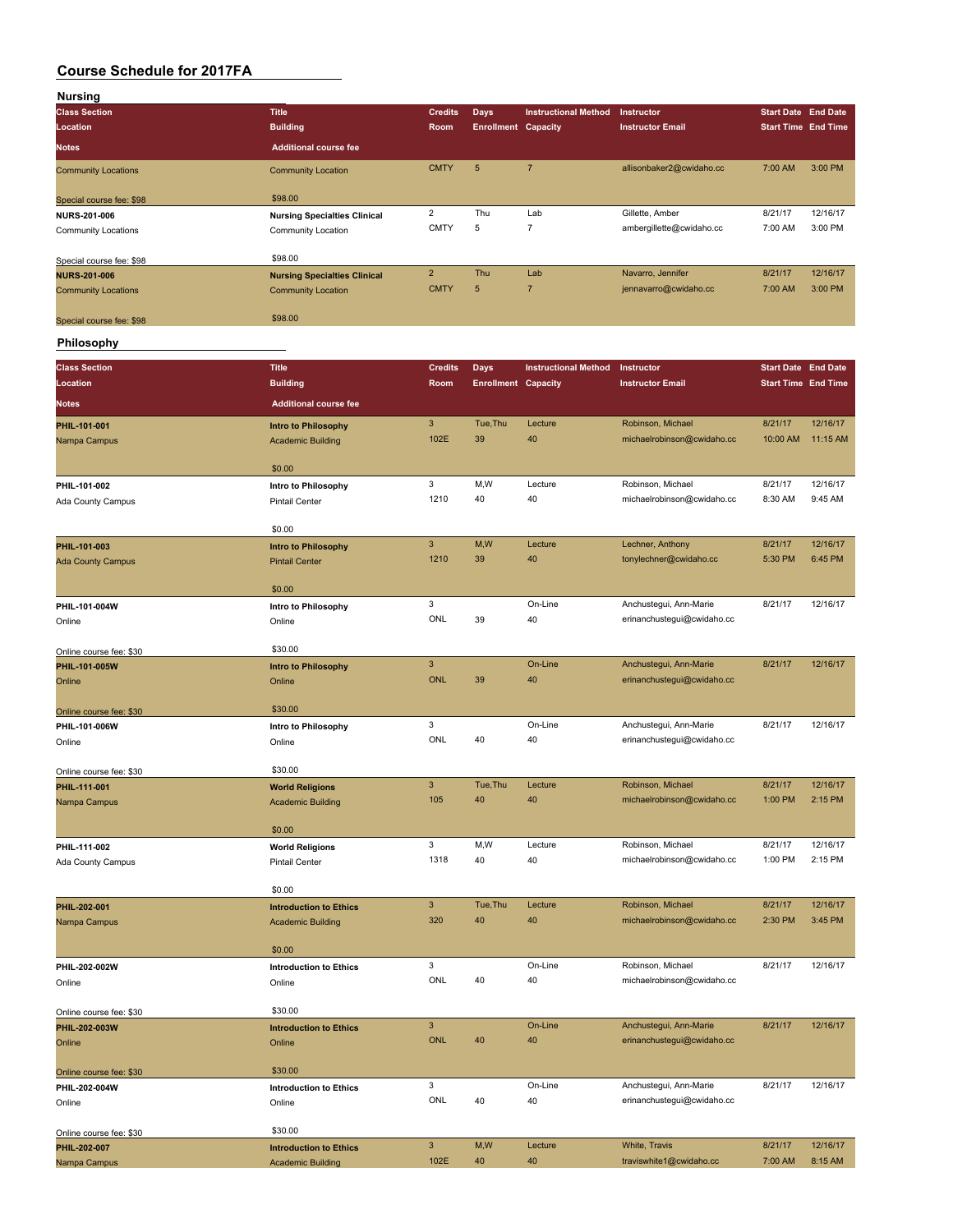| Nursing                    |                                     |                |                            |                             |                          |                            |          |
|----------------------------|-------------------------------------|----------------|----------------------------|-----------------------------|--------------------------|----------------------------|----------|
| <b>Class Section</b>       | <b>Title</b>                        | <b>Credits</b> | Days                       | <b>Instructional Method</b> | <b>Instructor</b>        | <b>Start Date End Date</b> |          |
| Location                   | <b>Building</b>                     | <b>Room</b>    | <b>Enrollment Capacity</b> |                             | <b>Instructor Email</b>  | <b>Start Time End Time</b> |          |
| <b>Notes</b>               | <b>Additional course fee</b>        |                |                            |                             |                          |                            |          |
| <b>Community Locations</b> | <b>Community Location</b>           | <b>CMTY</b>    | 5                          | $\overline{7}$              | allisonbaker2@cwidaho.cc | 7:00 AM                    | 3:00 PM  |
| Special course fee: \$98   | \$98.00                             |                |                            |                             |                          |                            |          |
| <b>NURS-201-006</b>        | <b>Nursing Specialties Clinical</b> | $\overline{2}$ | Thu                        | Lab                         | Gillette, Amber          | 8/21/17                    | 12/16/17 |
| <b>Community Locations</b> | Community Location                  | <b>CMTY</b>    | 5                          | $\overline{ }$              | ambergillette@cwidaho.cc | 7:00 AM                    | 3:00 PM  |
| Special course fee: \$98   | \$98.00                             |                |                            |                             |                          |                            |          |
| <b>NURS-201-006</b>        | <b>Nursing Specialties Clinical</b> | $\overline{2}$ | Thu                        | Lab                         | Navarro, Jennifer        | 8/21/17                    | 12/16/17 |
| <b>Community Locations</b> | <b>Community Location</b>           | <b>CMTY</b>    | 5                          | -                           | jennavarro@cwidaho.cc    | 7:00 AM                    | 3:00 PM  |
| Special course fee: \$98   | \$98.00                             |                |                            |                             |                          |                            |          |

### **Philosophy**

| <b>Class Section</b>                     | <b>Title</b>                  | <b>Credits</b>                          | <b>Days</b>                | <b>Instructional Method</b> | Instructor                                           | <b>Start Date End Date</b> |          |
|------------------------------------------|-------------------------------|-----------------------------------------|----------------------------|-----------------------------|------------------------------------------------------|----------------------------|----------|
| Location                                 | <b>Building</b>               | Room                                    | <b>Enrollment Capacity</b> |                             | <b>Instructor Email</b>                              | <b>Start Time End Time</b> |          |
| Notes                                    | <b>Additional course fee</b>  |                                         |                            |                             |                                                      |                            |          |
| PHIL-101-001                             | <b>Intro to Philosophy</b>    | $\mathsf 3$                             | Tue, Thu                   | Lecture                     | Robinson, Michael                                    | 8/21/17                    | 12/16/17 |
| Nampa Campus                             | <b>Academic Building</b>      | 102E                                    | 39                         | 40                          | michaelrobinson@cwidaho.cc                           | 10:00 AM                   | 11:15 AM |
|                                          |                               |                                         |                            |                             |                                                      |                            |          |
|                                          | \$0.00                        | 3                                       | M, W                       | Lecture                     | Robinson, Michael                                    | 8/21/17                    | 12/16/17 |
| PHIL-101-002                             | Intro to Philosophy           | 1210                                    | 40                         | 40                          | michaelrobinson@cwidaho.cc                           | 8:30 AM                    | 9:45 AM  |
| Ada County Campus                        | <b>Pintail Center</b>         |                                         |                            |                             |                                                      |                            |          |
|                                          | \$0.00                        |                                         |                            |                             |                                                      |                            |          |
| PHIL-101-003                             | Intro to Philosophy           | $\mathsf 3$                             | M,W                        | Lecture                     | Lechner, Anthony                                     | 8/21/17                    | 12/16/17 |
| <b>Ada County Campus</b>                 | <b>Pintail Center</b>         | 1210                                    | 39                         | 40                          | tonylechner@cwidaho.cc                               | 5:30 PM                    | 6:45 PM  |
|                                          | \$0.00                        |                                         |                            |                             |                                                      |                            |          |
| PHIL-101-004W                            | Intro to Philosophy           | 3                                       |                            | On-Line                     | Anchustegui, Ann-Marie                               | 8/21/17                    | 12/16/17 |
| Online                                   | Online                        | ONL                                     | 39                         | 40                          | erinanchustegui@cwidaho.cc                           |                            |          |
|                                          |                               |                                         |                            |                             |                                                      |                            |          |
| Online course fee: \$30                  | \$30.00                       |                                         |                            |                             |                                                      | 8/21/17                    | 12/16/17 |
| PHIL-101-005W                            | <b>Intro to Philosophy</b>    | $\ensuremath{\mathsf{3}}$<br><b>ONL</b> | 39                         | On-Line<br>40               | Anchustegui, Ann-Marie<br>erinanchustegui@cwidaho.cc |                            |          |
| Online                                   | Online                        |                                         |                            |                             |                                                      |                            |          |
| Online course fee: \$30                  | \$30.00                       |                                         |                            |                             |                                                      |                            |          |
| PHIL-101-006W                            | Intro to Philosophy           | 3                                       |                            | On-Line                     | Anchustegui, Ann-Marie                               | 8/21/17                    | 12/16/17 |
| Online                                   | Online                        | ONL                                     | 40                         | 40                          | erinanchustegui@cwidaho.cc                           |                            |          |
|                                          | \$30.00                       |                                         |                            |                             |                                                      |                            |          |
| Online course fee: \$30<br>PHIL-111-001  | <b>World Religions</b>        | $\mathbf{3}$                            | Tue, Thu                   | Lecture                     | Robinson, Michael                                    | 8/21/17                    | 12/16/17 |
| Nampa Campus                             | <b>Academic Building</b>      | 105                                     | 40                         | 40                          | michaelrobinson@cwidaho.cc                           | 1:00 PM                    | 2:15 PM  |
|                                          |                               |                                         |                            |                             |                                                      |                            |          |
|                                          | \$0.00                        |                                         |                            |                             |                                                      |                            |          |
| PHIL-111-002                             | <b>World Religions</b>        | 3                                       | M, W                       | Lecture                     | Robinson, Michael                                    | 8/21/17                    | 12/16/17 |
| Ada County Campus                        | <b>Pintail Center</b>         | 1318                                    | 40                         | 40                          | michaelrobinson@cwidaho.cc                           | 1:00 PM                    | 2:15 PM  |
|                                          | \$0.00                        |                                         |                            |                             |                                                      |                            |          |
| PHIL-202-001                             | <b>Introduction to Ethics</b> | $\mathbf{3}$                            | Tue, Thu                   | Lecture                     | Robinson, Michael                                    | 8/21/17                    | 12/16/17 |
| Nampa Campus                             | <b>Academic Building</b>      | 320                                     | 40                         | 40                          | michaelrobinson@cwidaho.cc                           | 2:30 PM                    | 3:45 PM  |
|                                          |                               |                                         |                            |                             |                                                      |                            |          |
|                                          | \$0.00                        |                                         |                            | On-Line                     |                                                      |                            | 12/16/17 |
| PHIL-202-002W                            | <b>Introduction to Ethics</b> | 3<br>ONL                                | 40                         | 40                          | Robinson, Michael<br>michaelrobinson@cwidaho.cc      | 8/21/17                    |          |
| Online                                   | Online                        |                                         |                            |                             |                                                      |                            |          |
| Online course fee: \$30                  | \$30.00                       |                                         |                            |                             |                                                      |                            |          |
| PHIL-202-003W                            | <b>Introduction to Ethics</b> | $\overline{3}$                          |                            | On-Line                     | Anchustegui, Ann-Marie                               | 8/21/17                    | 12/16/17 |
| Online                                   | Online                        | <b>ONL</b>                              | 40                         | 40                          | erinanchustegui@cwidaho.cc                           |                            |          |
|                                          | \$30.00                       |                                         |                            |                             |                                                      |                            |          |
| Online course fee: \$30<br>PHIL-202-004W | <b>Introduction to Ethics</b> | 3                                       |                            | On-Line                     | Anchustegui, Ann-Marie                               | 8/21/17                    | 12/16/17 |
| Online                                   | Online                        | ONL                                     | 40                         | 40                          | erinanchustegui@cwidaho.cc                           |                            |          |
|                                          |                               |                                         |                            |                             |                                                      |                            |          |
| Online course fee: \$30                  | \$30.00                       |                                         |                            |                             |                                                      |                            |          |
| PHIL-202-007                             | <b>Introduction to Ethics</b> | $\mathbf{3}$                            | M,W                        | Lecture                     | White, Travis                                        | 8/21/17                    | 12/16/17 |
| Nampa Campus                             | <b>Academic Building</b>      | 102E                                    | 40                         | 40                          | traviswhite1@cwidaho.cc                              | 7:00 AM                    | 8:15 AM  |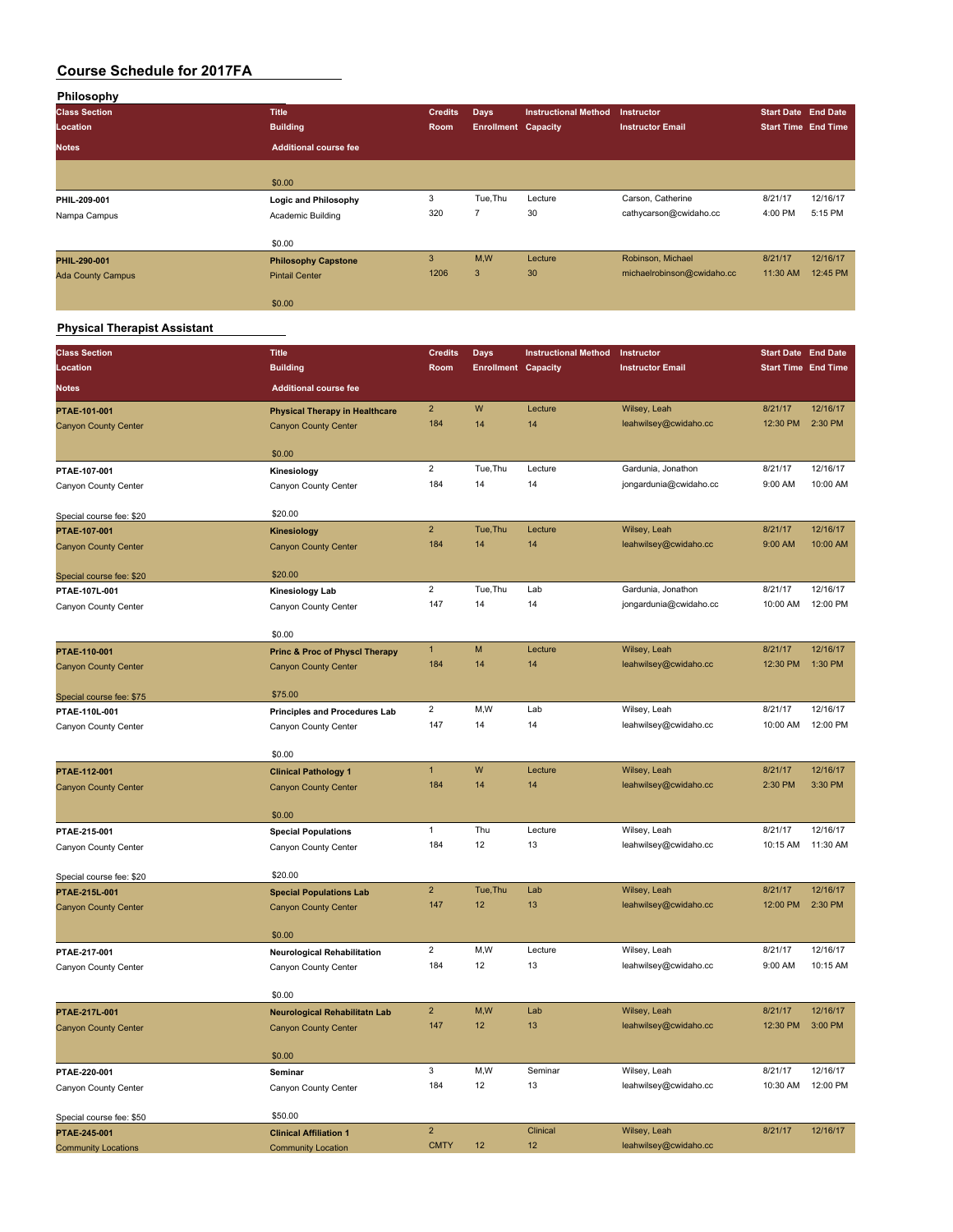| Philosophy               |                              |                |                            |                             |                            |                            |          |
|--------------------------|------------------------------|----------------|----------------------------|-----------------------------|----------------------------|----------------------------|----------|
| <b>Class Section</b>     | <b>Title</b>                 | <b>Credits</b> | <b>Days</b>                | <b>Instructional Method</b> | Instructor                 | <b>Start Date End Date</b> |          |
| Location                 | <b>Building</b>              | <b>Room</b>    | <b>Enrollment Capacity</b> |                             | <b>Instructor Email</b>    | <b>Start Time End Time</b> |          |
| <b>Notes</b>             | <b>Additional course fee</b> |                |                            |                             |                            |                            |          |
|                          |                              |                |                            |                             |                            |                            |          |
|                          | \$0.00                       |                |                            |                             |                            |                            |          |
| PHIL-209-001             | Logic and Philosophy         | 3              | Tue, Thu                   | Lecture                     | Carson, Catherine          | 8/21/17                    | 12/16/17 |
| Nampa Campus             | Academic Building            | 320            | $\overline{ }$             | 30                          | cathycarson@cwidaho.cc     | 4:00 PM                    | 5:15 PM  |
|                          | \$0.00                       |                |                            |                             |                            |                            |          |
| PHIL-290-001             | <b>Philosophy Capstone</b>   | 3              | M,W                        | Lecture                     | Robinson, Michael          | 8/21/17                    | 12/16/17 |
| <b>Ada County Campus</b> | <b>Pintail Center</b>        | 1206           | 3                          | 30 <sup>°</sup>             | michaelrobinson@cwidaho.cc | 11:30 AM                   | 12:45 PM |
|                          | \$0.00                       |                |                            |                             |                            |                            |          |

# **Physical Therapist Assistant**

| <b>Class Section</b>                      | <b>Title</b>                              | <b>Credits</b>          | <b>Days</b>                | <b>Instructional Method</b> | Instructor              | <b>Start Date End Date</b> |          |
|-------------------------------------------|-------------------------------------------|-------------------------|----------------------------|-----------------------------|-------------------------|----------------------------|----------|
| Location                                  | <b>Building</b>                           | Room                    | <b>Enrollment Capacity</b> |                             | <b>Instructor Email</b> | <b>Start Time End Time</b> |          |
| <b>Notes</b>                              | <b>Additional course fee</b>              |                         |                            |                             |                         |                            |          |
|                                           |                                           |                         |                            |                             |                         |                            |          |
| PTAE-101-001                              | <b>Physical Therapy in Healthcare</b>     | $\overline{c}$          | W                          | Lecture                     | Wilsey, Leah            | 8/21/17                    | 12/16/17 |
| <b>Canyon County Center</b>               | <b>Canyon County Center</b>               | 184                     | 14                         | 14                          | leahwilsey@cwidaho.cc   | 12:30 PM                   | 2:30 PM  |
|                                           | \$0.00                                    |                         |                            |                             |                         |                            |          |
| PTAE-107-001                              | Kinesiology                               | $\overline{\mathbf{c}}$ | Tue, Thu                   | Lecture                     | Gardunia, Jonathon      | 8/21/17                    | 12/16/17 |
| Canyon County Center                      | Canyon County Center                      | 184                     | 14                         | 14                          | jongardunia@cwidaho.cc  | 9:00 AM                    | 10:00 AM |
|                                           |                                           |                         |                            |                             |                         |                            |          |
| Special course fee: \$20                  | \$20.00                                   |                         |                            |                             |                         |                            |          |
| PTAE-107-001                              | <b>Kinesiology</b>                        | $\overline{2}$          | Tue, Thu                   | Lecture                     | Wilsey, Leah            | 8/21/17                    | 12/16/17 |
| <b>Canyon County Center</b>               | <b>Canyon County Center</b>               | 184                     | 14                         | 14                          | leahwilsey@cwidaho.cc   | 9:00 AM                    | 10:00 AM |
|                                           | \$20.00                                   |                         |                            |                             |                         |                            |          |
| Special course fee: \$20<br>PTAE-107L-001 | <b>Kinesiology Lab</b>                    | $\overline{\mathbf{c}}$ | Tue, Thu                   | Lab                         | Gardunia, Jonathon      | 8/21/17                    | 12/16/17 |
| Canyon County Center                      | Canyon County Center                      | 147                     | 14                         | 14                          | jongardunia@cwidaho.cc  | 10:00 AM                   | 12:00 PM |
|                                           |                                           |                         |                            |                             |                         |                            |          |
|                                           | \$0.00                                    |                         |                            |                             |                         |                            |          |
| PTAE-110-001                              | <b>Princ &amp; Proc of Physcl Therapy</b> | $\mathbf{1}$            | M                          | Lecture                     | Wilsey, Leah            | 8/21/17                    | 12/16/17 |
| <b>Canyon County Center</b>               | <b>Canyon County Center</b>               | 184                     | 14                         | 14                          | leahwilsey@cwidaho.cc   | 12:30 PM                   | 1:30 PM  |
|                                           | \$75.00                                   |                         |                            |                             |                         |                            |          |
| Special course fee: \$75<br>PTAE-110L-001 | <b>Principles and Procedures Lab</b>      | $\overline{\mathbf{c}}$ | M, W                       | Lab                         | Wilsey, Leah            | 8/21/17                    | 12/16/17 |
| Canyon County Center                      | Canyon County Center                      | 147                     | 14                         | 14                          | leahwilsey@cwidaho.cc   | 10:00 AM                   | 12:00 PM |
|                                           |                                           |                         |                            |                             |                         |                            |          |
|                                           | \$0.00                                    |                         |                            |                             |                         |                            |          |
| PTAE-112-001                              | <b>Clinical Pathology 1</b>               | $\mathbf{1}$            | W                          | Lecture                     | Wilsey, Leah            | 8/21/17                    | 12/16/17 |
| <b>Canyon County Center</b>               | <b>Canyon County Center</b>               | 184                     | 14                         | 14                          | leahwilsey@cwidaho.cc   | 2:30 PM                    | 3:30 PM  |
|                                           | \$0.00                                    |                         |                            |                             |                         |                            |          |
| PTAE-215-001                              | <b>Special Populations</b>                | $\mathbf{1}$            | Thu                        | Lecture                     | Wilsey, Leah            | 8/21/17                    | 12/16/17 |
| Canyon County Center                      | Canyon County Center                      | 184                     | 12                         | 13                          | leahwilsey@cwidaho.cc   | 10:15 AM                   | 11:30 AM |
|                                           |                                           |                         |                            |                             |                         |                            |          |
| Special course fee: \$20                  | \$20.00                                   |                         |                            |                             |                         |                            |          |
| PTAE-215L-001                             | <b>Special Populations Lab</b>            | $\overline{2}$          | Tue, Thu                   | Lab                         | Wilsey, Leah            | 8/21/17                    | 12/16/17 |
| <b>Canyon County Center</b>               | <b>Canyon County Center</b>               | 147                     | 12                         | 13                          | leahwilsey@cwidaho.cc   | 12:00 PM                   | 2:30 PM  |
|                                           | \$0.00                                    |                         |                            |                             |                         |                            |          |
| PTAE-217-001                              | <b>Neurological Rehabilitation</b>        | $\overline{2}$          | M,W                        | Lecture                     | Wilsey, Leah            | 8/21/17                    | 12/16/17 |
| Canyon County Center                      | Canyon County Center                      | 184                     | 12                         | 13                          | leahwilsey@cwidaho.cc   | 9:00 AM                    | 10:15 AM |
|                                           |                                           |                         |                            |                             |                         |                            |          |
|                                           | \$0.00                                    |                         |                            |                             |                         |                            |          |
| PTAE-217L-001                             | <b>Neurological Rehabilitatn Lab</b>      | $\overline{2}$          | M, W                       | Lab                         | Wilsey, Leah            | 8/21/17                    | 12/16/17 |
| <b>Canyon County Center</b>               | <b>Canyon County Center</b>               | 147                     | 12                         | 13                          | leahwilsey@cwidaho.cc   | 12:30 PM                   | 3:00 PM  |
|                                           | \$0.00                                    |                         |                            |                             |                         |                            |          |
| PTAE-220-001                              | Seminar                                   | 3                       | M,W                        | Seminar                     | Wilsey, Leah            | 8/21/17                    | 12/16/17 |
| Canyon County Center                      | Canyon County Center                      | 184                     | 12                         | 13                          | leahwilsey@cwidaho.cc   | 10:30 AM                   | 12:00 PM |
|                                           |                                           |                         |                            |                             |                         |                            |          |
| Special course fee: \$50                  | \$50.00                                   |                         |                            |                             |                         |                            |          |
| PTAE-245-001                              | <b>Clinical Affiliation 1</b>             | $\overline{2}$          |                            | <b>Clinical</b>             | Wilsey, Leah            | 8/21/17                    | 12/16/17 |
| <b>Community Locations</b>                | <b>Community Location</b>                 | <b>CMTY</b>             | 12                         | 12                          | leahwilsey@cwidaho.cc   |                            |          |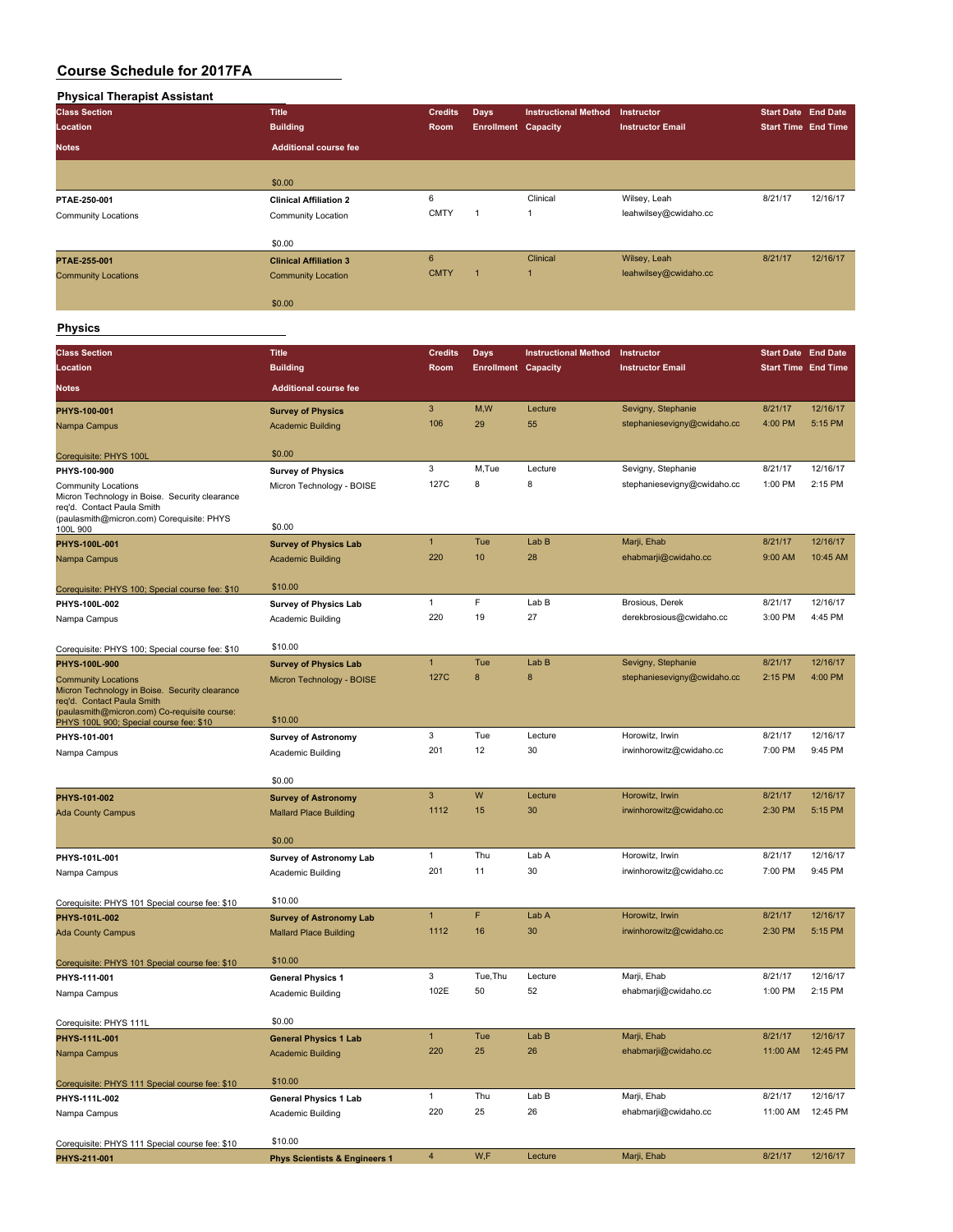| <b>Physical Therapist Assistant</b> |                               |                |                            |                             |                         |                            |          |
|-------------------------------------|-------------------------------|----------------|----------------------------|-----------------------------|-------------------------|----------------------------|----------|
| <b>Class Section</b>                | <b>Title</b>                  | <b>Credits</b> | <b>Days</b>                | <b>Instructional Method</b> | Instructor              | Start Date End Date        |          |
| Location                            | <b>Building</b>               | Room           | <b>Enrollment Capacity</b> |                             | <b>Instructor Email</b> | <b>Start Time End Time</b> |          |
| <b>Notes</b>                        | <b>Additional course fee</b>  |                |                            |                             |                         |                            |          |
|                                     |                               |                |                            |                             |                         |                            |          |
|                                     | \$0.00                        |                |                            |                             |                         |                            |          |
| PTAE-250-001                        | <b>Clinical Affiliation 2</b> | 6              |                            | Clinical                    | Wilsey, Leah            | 8/21/17                    | 12/16/17 |
| <b>Community Locations</b>          | Community Location            | <b>CMTY</b>    | 1                          | $\overline{1}$              | leahwilsey@cwidaho.cc   |                            |          |
|                                     | \$0.00                        |                |                            |                             |                         |                            |          |
| PTAE-255-001                        | <b>Clinical Affiliation 3</b> | 6              |                            | Clinical                    | Wilsey, Leah            | 8/21/17                    | 12/16/17 |
| <b>Community Locations</b>          | <b>Community Location</b>     | <b>CMTY</b>    |                            | 1                           | leahwilsey@cwidaho.cc   |                            |          |
|                                     | \$0.00                        |                |                            |                             |                         |                            |          |

**Physics**

| <b>Class Section</b>                                                                                                                                       | <b>Title</b>                             | <b>Credits</b> |                                           |                             | Instructor                  |                                                          |          |
|------------------------------------------------------------------------------------------------------------------------------------------------------------|------------------------------------------|----------------|-------------------------------------------|-----------------------------|-----------------------------|----------------------------------------------------------|----------|
| Location                                                                                                                                                   | <b>Building</b>                          | Room           | <b>Days</b><br><b>Enrollment Capacity</b> | <b>Instructional Method</b> | <b>Instructor Email</b>     | <b>Start Date End Date</b><br><b>Start Time End Time</b> |          |
|                                                                                                                                                            |                                          |                |                                           |                             |                             |                                                          |          |
| <b>Notes</b>                                                                                                                                               | <b>Additional course fee</b>             |                |                                           |                             |                             |                                                          |          |
| PHYS-100-001                                                                                                                                               | <b>Survey of Physics</b>                 | 3              | M,W                                       | Lecture                     | Sevigny, Stephanie          | 8/21/17                                                  | 12/16/17 |
| Nampa Campus                                                                                                                                               | <b>Academic Building</b>                 | 106            | 29                                        | 55                          | stephaniesevigny@cwidaho.cc | 4:00 PM                                                  | 5:15 PM  |
| Corequisite: PHYS 100L                                                                                                                                     | \$0.00                                   |                |                                           |                             |                             |                                                          |          |
| PHYS-100-900                                                                                                                                               | <b>Survey of Physics</b>                 | 3              | M,Tue                                     | Lecture                     | Sevigny, Stephanie          | 8/21/17                                                  | 12/16/17 |
| <b>Community Locations</b><br>Micron Technology in Boise. Security clearance<br>req'd. Contact Paula Smith<br>(paulasmith@micron.com) Corequisite: PHYS    | Micron Technology - BOISE                | 127C           | 8                                         | 8                           | stephaniesevigny@cwidaho.cc | 1:00 PM                                                  | 2:15 PM  |
| 100L 900                                                                                                                                                   | \$0.00                                   |                |                                           |                             |                             |                                                          |          |
| PHYS-100L-001                                                                                                                                              | <b>Survey of Physics Lab</b>             | $\mathbf{1}$   | Tue                                       | Lab B                       | Marji, Ehab                 | 8/21/17                                                  | 12/16/17 |
| Nampa Campus                                                                                                                                               | <b>Academic Building</b>                 | 220            | 10                                        | 28                          | ehabmarji@cwidaho.cc        | 9:00 AM                                                  | 10:45 AM |
| Corequisite: PHYS 100; Special course fee: \$10                                                                                                            | \$10.00                                  |                |                                           |                             |                             |                                                          |          |
| PHYS-100L-002                                                                                                                                              | <b>Survey of Physics Lab</b>             | $\mathbf{1}$   | F                                         | Lab B                       | Brosious, Derek             | 8/21/17                                                  | 12/16/17 |
| Nampa Campus                                                                                                                                               | Academic Building                        | 220            | 19                                        | 27                          | derekbrosious@cwidaho.cc    | 3:00 PM                                                  | 4:45 PM  |
| Corequisite: PHYS 100; Special course fee: \$10                                                                                                            | \$10.00                                  |                |                                           |                             |                             |                                                          |          |
| PHYS-100L-900                                                                                                                                              | <b>Survey of Physics Lab</b>             | $\mathbf{1}$   | Tue                                       | Lab B                       | Sevigny, Stephanie          | 8/21/17                                                  | 12/16/17 |
| <b>Community Locations</b><br>Micron Technology in Boise. Security clearance<br>req'd. Contact Paula Smith<br>(paulasmith@micron.com) Co-requisite course: | Micron Technology - BOISE                | 127C           | 8                                         | 8                           | stephaniesevigny@cwidaho.cc | 2:15 PM                                                  | 4:00 PM  |
| PHYS 100L 900; Special course fee: \$10                                                                                                                    | \$10.00                                  |                |                                           |                             |                             |                                                          |          |
| PHYS-101-001                                                                                                                                               | <b>Survey of Astronomy</b>               | 3              | Tue                                       | Lecture                     | Horowitz, Irwin             | 8/21/17                                                  | 12/16/17 |
| Nampa Campus                                                                                                                                               | Academic Building                        | 201            | 12                                        | 30                          | irwinhorowitz@cwidaho.cc    | 7:00 PM                                                  | 9:45 PM  |
|                                                                                                                                                            | \$0.00                                   |                |                                           |                             |                             |                                                          |          |
| PHYS-101-002                                                                                                                                               | <b>Survey of Astronomy</b>               | 3              | W                                         | Lecture                     | Horowitz, Irwin             | 8/21/17                                                  | 12/16/17 |
| <b>Ada County Campus</b>                                                                                                                                   | <b>Mallard Place Building</b>            | 1112           | 15                                        | 30                          | irwinhorowitz@cwidaho.cc    | 2:30 PM                                                  | 5:15 PM  |
|                                                                                                                                                            |                                          |                |                                           |                             |                             |                                                          |          |
|                                                                                                                                                            | \$0.00                                   | $\mathbf{1}$   | Thu                                       | Lab A                       | Horowitz, Irwin             | 8/21/17                                                  | 12/16/17 |
| PHYS-101L-001                                                                                                                                              | <b>Survey of Astronomy Lab</b>           | 201            | 11                                        | 30                          | irwinhorowitz@cwidaho.cc    | 7:00 PM                                                  | 9:45 PM  |
| Nampa Campus                                                                                                                                               | Academic Building                        |                |                                           |                             |                             |                                                          |          |
| Corequisite: PHYS 101 Special course fee: \$10                                                                                                             | \$10.00                                  |                |                                           |                             |                             |                                                          |          |
| PHYS-101L-002                                                                                                                                              | <b>Survey of Astronomy Lab</b>           | $\mathbf{1}$   | F                                         | Lab A                       | Horowitz, Irwin             | 8/21/17                                                  | 12/16/17 |
| Ada County Campus                                                                                                                                          | <b>Mallard Place Building</b>            | 1112           | 16                                        | 30                          | irwinhorowitz@cwidaho.cc    | 2:30 PM                                                  | 5:15 PM  |
| Corequisite: PHYS 101 Special course fee: \$10                                                                                                             | \$10.00                                  |                |                                           |                             |                             |                                                          |          |
| PHYS-111-001                                                                                                                                               | <b>General Physics 1</b>                 | 3              | Tue, Thu                                  | Lecture                     | Marji, Ehab                 | 8/21/17                                                  | 12/16/17 |
| Nampa Campus                                                                                                                                               | Academic Building                        | 102E           | 50                                        | 52                          | ehabmarji@cwidaho.cc        | 1:00 PM                                                  | 2:15 PM  |
| Corequisite: PHYS 111L                                                                                                                                     | \$0.00                                   |                |                                           |                             |                             |                                                          |          |
| PHYS-111L-001                                                                                                                                              | <b>General Physics 1 Lab</b>             |                | Tue                                       | Lab B                       | Marji, Ehab                 | 8/21/17                                                  | 12/16/17 |
| Nampa Campus                                                                                                                                               | <b>Academic Building</b>                 | 220            | 25                                        | 26                          | ehabmarji@cwidaho.cc        | 11:00 AM                                                 | 12:45 PM |
| Corequisite: PHYS 111 Special course fee: \$10                                                                                                             | \$10.00                                  |                |                                           |                             |                             |                                                          |          |
| PHYS-111L-002                                                                                                                                              | <b>General Physics 1 Lab</b>             | $\mathbf{1}$   | Thu                                       | Lab B                       | Marji, Ehab                 | 8/21/17                                                  | 12/16/17 |
| Nampa Campus                                                                                                                                               | Academic Building                        | 220            | 25                                        | 26                          | ehabmarji@cwidaho.cc        | 11:00 AM                                                 | 12:45 PM |
| Corequisite: PHYS 111 Special course fee: \$10                                                                                                             | \$10.00                                  |                |                                           |                             |                             |                                                          |          |
| PHYS-211-001                                                                                                                                               | <b>Phys Scientists &amp; Engineers 1</b> | $\overline{4}$ | W,F                                       | Lecture                     | Marji, Ehab                 | 8/21/17                                                  | 12/16/17 |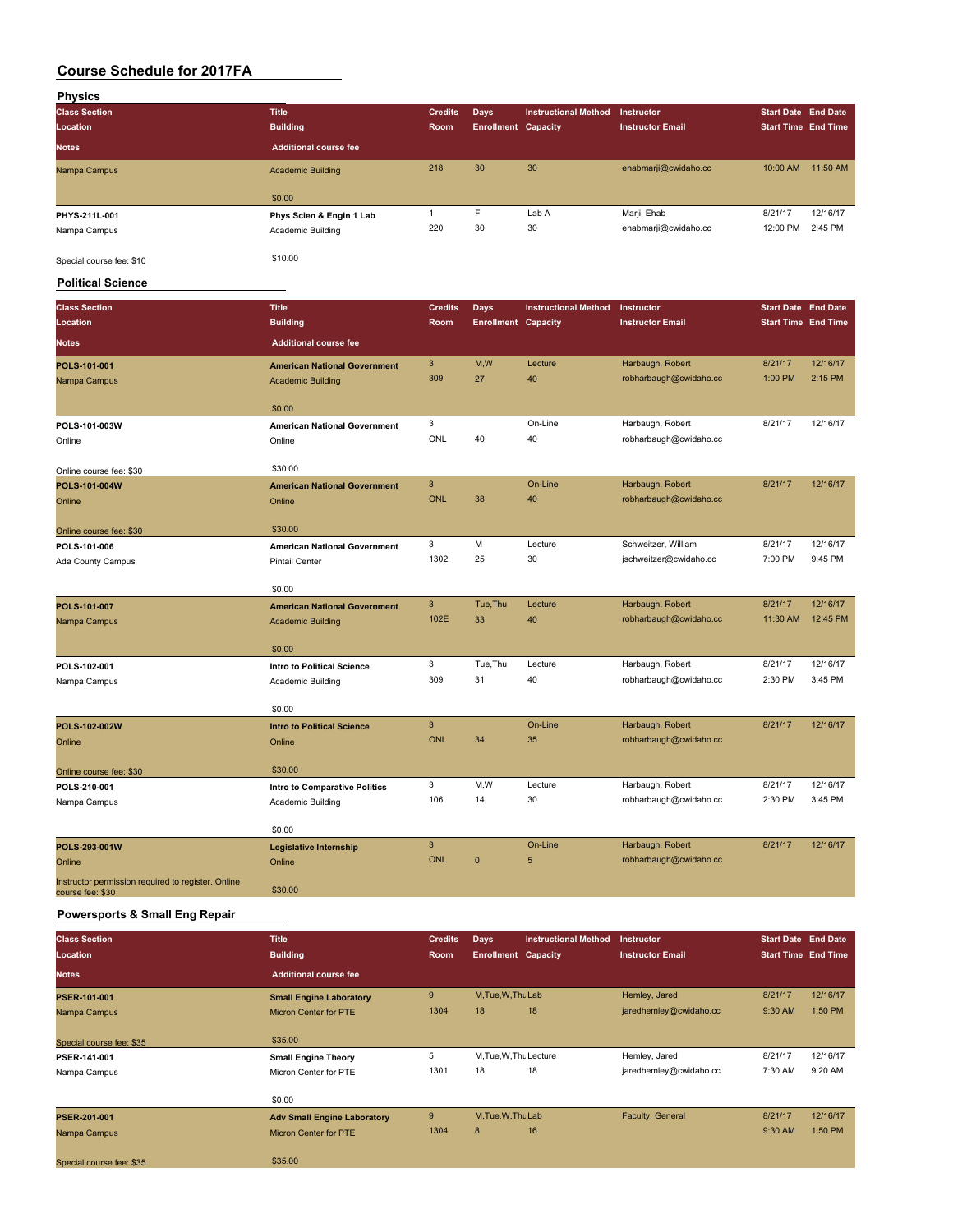| Physics                  |                              |                |                            |                             |                         |                            |          |
|--------------------------|------------------------------|----------------|----------------------------|-----------------------------|-------------------------|----------------------------|----------|
| <b>Class Section</b>     | <b>Title</b>                 | <b>Credits</b> | Days                       | <b>Instructional Method</b> | Instructor              | <b>Start Date End Date</b> |          |
| Location                 | <b>Building</b>              | Room           | <b>Enrollment Capacity</b> |                             | <b>Instructor Email</b> | <b>Start Time End Time</b> |          |
| <b>Notes</b>             | <b>Additional course fee</b> |                |                            |                             |                         |                            |          |
| Nampa Campus             | <b>Academic Building</b>     | 218            | 30                         | 30                          | ehabmarji@cwidaho.cc    | 10:00 AM                   | 11:50 AM |
|                          | \$0.00                       |                |                            |                             |                         |                            |          |
| PHYS-211L-001            | Phys Scien & Engin 1 Lab     |                | F                          | Lab A                       | Marji, Ehab             | 8/21/17                    | 12/16/17 |
| Nampa Campus             | Academic Building            | 220            | 30                         | 30                          | ehabmarji@cwidaho.cc    | 12:00 PM                   | 2:45 PM  |
| Special course fee: \$10 | \$10.00                      |                |                            |                             |                         |                            |          |

#### **Political Science**

| <b>Class Section</b>                                                   | <b>Title</b>                        | <b>Credits</b> | <b>Days</b>                | <b>Instructional Method</b> | Instructor              | <b>Start Date End Date</b> |          |
|------------------------------------------------------------------------|-------------------------------------|----------------|----------------------------|-----------------------------|-------------------------|----------------------------|----------|
| Location                                                               | <b>Building</b>                     | Room           | <b>Enrollment Capacity</b> |                             | <b>Instructor Email</b> | <b>Start Time End Time</b> |          |
| <b>Notes</b>                                                           | <b>Additional course fee</b>        |                |                            |                             |                         |                            |          |
| POLS-101-001                                                           | <b>American National Government</b> | 3              | M,W                        | Lecture                     | Harbaugh, Robert        | 8/21/17                    | 12/16/17 |
| Nampa Campus                                                           | <b>Academic Building</b>            | 309            | 27                         | 40                          | robharbaugh@cwidaho.cc  | 1:00 PM                    | 2:15 PM  |
|                                                                        | \$0.00                              |                |                            |                             |                         |                            |          |
| POLS-101-003W                                                          | <b>American National Government</b> | 3              |                            | On-Line                     | Harbaugh, Robert        | 8/21/17                    | 12/16/17 |
| Online                                                                 | Online                              | ONL            | 40                         | 40                          | robharbaugh@cwidaho.cc  |                            |          |
| Online course fee: \$30                                                | \$30.00                             |                |                            |                             |                         |                            |          |
| POLS-101-004W                                                          | <b>American National Government</b> | $\mathbf{3}$   |                            | On-Line                     | Harbaugh, Robert        | 8/21/17                    | 12/16/17 |
| Online                                                                 | Online                              | <b>ONL</b>     | 38                         | 40                          | robharbaugh@cwidaho.cc  |                            |          |
| Online course fee: \$30                                                | \$30.00                             |                |                            |                             |                         |                            |          |
| POLS-101-006                                                           | <b>American National Government</b> | 3              | M                          | Lecture                     | Schweitzer, William     | 8/21/17                    | 12/16/17 |
| Ada County Campus                                                      | <b>Pintail Center</b>               | 1302           | 25                         | 30                          | jschweitzer@cwidaho.cc  | 7:00 PM                    | 9:45 PM  |
|                                                                        | \$0.00                              |                |                            |                             |                         |                            |          |
| POLS-101-007                                                           | <b>American National Government</b> | 3              | Tue, Thu                   | Lecture                     | Harbaugh, Robert        | 8/21/17                    | 12/16/17 |
| Nampa Campus                                                           | <b>Academic Building</b>            | 102E           | 33                         | 40                          | robharbaugh@cwidaho.cc  | 11:30 AM                   | 12:45 PM |
|                                                                        | \$0.00                              |                |                            |                             |                         |                            |          |
| POLS-102-001                                                           | Intro to Political Science          | 3              | Tue, Thu                   | Lecture                     | Harbaugh, Robert        | 8/21/17                    | 12/16/17 |
| Nampa Campus                                                           | Academic Building                   | 309            | 31                         | 40                          | robharbaugh@cwidaho.cc  | 2:30 PM                    | 3:45 PM  |
|                                                                        | \$0.00                              |                |                            |                             |                         |                            |          |
| POLS-102-002W                                                          | <b>Intro to Political Science</b>   | 3              |                            | On-Line                     | Harbaugh, Robert        | 8/21/17                    | 12/16/17 |
| Online                                                                 | Online                              | <b>ONL</b>     | 34                         | 35                          | robharbaugh@cwidaho.cc  |                            |          |
| Online course fee: \$30                                                | \$30.00                             |                |                            |                             |                         |                            |          |
| POLS-210-001                                                           | Intro to Comparative Politics       | 3              | M,W                        | Lecture                     | Harbaugh, Robert        | 8/21/17                    | 12/16/17 |
| Nampa Campus                                                           | Academic Building                   | 106            | 14                         | 30                          | robharbaugh@cwidaho.cc  | 2:30 PM                    | 3:45 PM  |
|                                                                        | \$0.00                              |                |                            |                             |                         |                            |          |
| POLS-293-001W                                                          | <b>Legislative Internship</b>       | 3              |                            | On-Line                     | Harbaugh, Robert        | 8/21/17                    | 12/16/17 |
| Online                                                                 | Online                              | <b>ONL</b>     | $\mathbf 0$                | 5                           | robharbaugh@cwidaho.cc  |                            |          |
| Instructor permission required to register. Online<br>course fee: \$30 | \$30.00                             |                |                            |                             |                         |                            |          |

### **Powersports & Small Eng Repair**

| <b>Class Section</b>     | <b>Title</b>                       | <b>Credits</b> | Days                       | <b>Instructional Method</b> | <b>Instructor</b>       | <b>Start Date End Date</b> |          |
|--------------------------|------------------------------------|----------------|----------------------------|-----------------------------|-------------------------|----------------------------|----------|
| <b>Location</b>          | <b>Building</b>                    | Room           | <b>Enrollment Capacity</b> |                             | <b>Instructor Email</b> | <b>Start Time End Time</b> |          |
| <b>Notes</b>             | <b>Additional course fee</b>       |                |                            |                             |                         |                            |          |
| PSER-101-001             | <b>Small Engine Laboratory</b>     | 9              | M.Tue.W.Thu Lab            |                             | Hemley, Jared           | 8/21/17                    | 12/16/17 |
| Nampa Campus             | <b>Micron Center for PTE</b>       | 1304           | 18                         | 18                          | jaredhemley@cwidaho.cc  | 9:30 AM                    | 1:50 PM  |
|                          |                                    |                |                            |                             |                         |                            |          |
| Special course fee: \$35 | \$35.00                            |                |                            |                             |                         |                            |          |
| PSER-141-001             | <b>Small Engine Theory</b>         | 5              | M.Tue, W.Th. Lecture       |                             | Hemley, Jared           | 8/21/17                    | 12/16/17 |
| Nampa Campus             | Micron Center for PTE              | 1301           | 18                         | 18                          | jaredhemley@cwidaho.cc  | 7:30 AM                    | 9:20 AM  |
|                          |                                    |                |                            |                             |                         |                            |          |
|                          | \$0.00                             |                |                            |                             |                         |                            |          |
| <b>PSER-201-001</b>      | <b>Adv Small Engine Laboratory</b> | 9              | M, Tue, W, Thu Lab         |                             | Faculty, General        | 8/21/17                    | 12/16/17 |
| Nampa Campus             | <b>Micron Center for PTE</b>       | 1304           | 8                          | 16                          |                         | 9:30 AM                    | 1:50 PM  |
|                          |                                    |                |                            |                             |                         |                            |          |
| Special course fee: \$35 | \$35.00                            |                |                            |                             |                         |                            |          |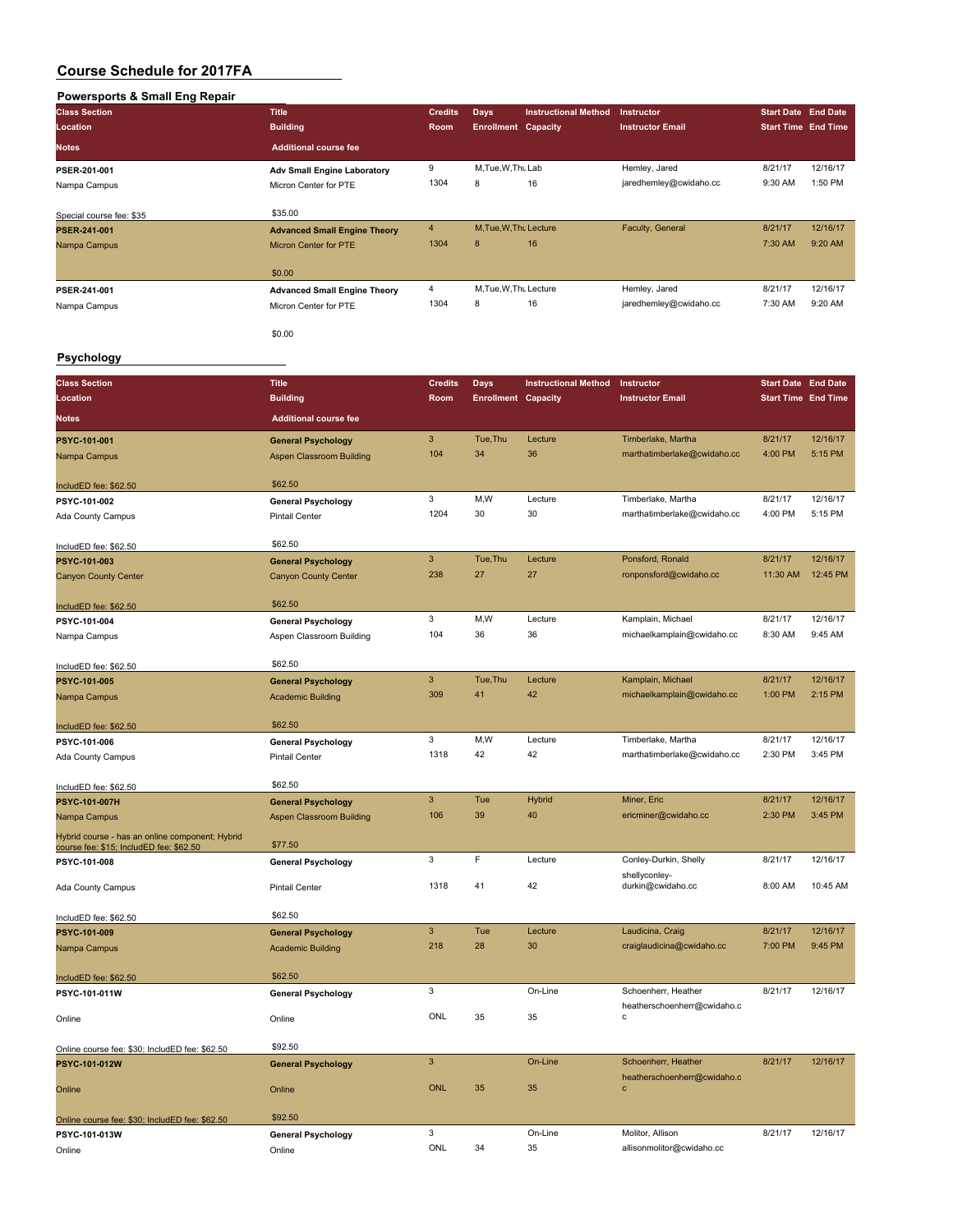# **Powersports & Small Eng Repair**

| Powersports & Small Eng Repair                  |                                                    |                         |                            |                             |                                    |                            |          |
|-------------------------------------------------|----------------------------------------------------|-------------------------|----------------------------|-----------------------------|------------------------------------|----------------------------|----------|
| <b>Class Section</b>                            | <b>Title</b>                                       | <b>Credits</b>          | <b>Days</b>                | <b>Instructional Method</b> | Instructor                         | <b>Start Date End Date</b> |          |
| Location                                        | <b>Building</b>                                    | Room                    | <b>Enrollment Capacity</b> |                             | <b>Instructor Email</b>            | <b>Start Time End Time</b> |          |
| Notes                                           | <b>Additional course fee</b>                       |                         |                            |                             |                                    |                            |          |
|                                                 |                                                    |                         |                            |                             |                                    |                            |          |
| PSER-201-001                                    | <b>Adv Small Engine Laboratory</b>                 | 9                       | M, Tue, W, Thu Lab         |                             | Hemley, Jared                      | 8/21/17                    | 12/16/17 |
| Nampa Campus                                    | Micron Center for PTE                              | 1304                    | 8                          | 16                          | jaredhemley@cwidaho.cc             | 9:30 AM                    | 1:50 PM  |
|                                                 |                                                    |                         |                            |                             |                                    |                            |          |
| Special course fee: \$35                        | \$35.00                                            |                         |                            |                             |                                    |                            |          |
| PSER-241-001                                    | <b>Advanced Small Engine Theory</b>                | $\overline{4}$          | M, Tue, W, Thu Lecture     |                             | Faculty, General                   | 8/21/17                    | 12/16/17 |
| Nampa Campus                                    | Micron Center for PTE                              | 1304                    | $\bf8$                     | 16                          |                                    | 7:30 AM                    | 9:20 AM  |
|                                                 |                                                    |                         |                            |                             |                                    |                            |          |
|                                                 | \$0.00                                             |                         |                            |                             |                                    |                            |          |
| PSER-241-001                                    | <b>Advanced Small Engine Theory</b>                | $\overline{\mathbf{4}}$ | M, Tue, W, Thu Lecture     |                             | Hemley, Jared                      | 8/21/17                    | 12/16/17 |
| Nampa Campus                                    | Micron Center for PTE                              | 1304                    | 8                          | 16                          | jaredhemley@cwidaho.cc             | 7:30 AM                    | 9:20 AM  |
|                                                 |                                                    |                         |                            |                             |                                    |                            |          |
|                                                 | \$0.00                                             |                         |                            |                             |                                    |                            |          |
| Psychology                                      |                                                    |                         |                            |                             |                                    |                            |          |
|                                                 |                                                    |                         |                            |                             |                                    |                            |          |
| <b>Class Section</b>                            | <b>Title</b>                                       | <b>Credits</b>          | <b>Days</b>                | <b>Instructional Method</b> | Instructor                         | <b>Start Date End Date</b> |          |
| Location                                        | <b>Building</b>                                    | Room                    | <b>Enrollment Capacity</b> |                             | <b>Instructor Email</b>            | <b>Start Time End Time</b> |          |
|                                                 |                                                    |                         |                            |                             |                                    |                            |          |
| Notes                                           | <b>Additional course fee</b>                       |                         |                            |                             |                                    |                            |          |
| <b>PSYC-101-001</b>                             | <b>General Psychology</b>                          | $\mathsf 3$             | Tue, Thu                   | Lecture                     | Timberlake, Martha                 | 8/21/17                    | 12/16/17 |
| Nampa Campus                                    | <b>Aspen Classroom Building</b>                    | 104                     | 34                         | 36                          | marthatimberlake@cwidaho.cc        | 4:00 PM                    | 5:15 PM  |
|                                                 |                                                    |                         |                            |                             |                                    |                            |          |
| IncludED fee: \$62.50                           | \$62.50                                            |                         |                            |                             |                                    |                            |          |
| PSYC-101-002                                    | <b>General Psychology</b>                          | 3                       | M, W                       | Lecture                     | Timberlake, Martha                 | 8/21/17                    | 12/16/17 |
| Ada County Campus                               | Pintail Center                                     | 1204                    | 30                         | 30                          | marthatimberlake@cwidaho.cc        | 4:00 PM                    | 5:15 PM  |
|                                                 |                                                    |                         |                            |                             |                                    |                            |          |
| IncludED fee: \$62.50                           | \$62.50                                            |                         |                            |                             |                                    |                            |          |
| PSYC-101-003                                    | <b>General Psychology</b>                          | $\mathsf 3$             | Tue, Thu                   | Lecture                     | Ponsford, Ronald                   | 8/21/17                    | 12/16/17 |
| <b>Canyon County Center</b>                     | <b>Canyon County Center</b>                        | 238                     | 27                         | 27                          | ronponsford@cwidaho.cc             | 11:30 AM                   | 12:45 PM |
|                                                 |                                                    |                         |                            |                             |                                    |                            |          |
| IncludED fee: \$62.50                           | \$62.50                                            |                         |                            |                             |                                    |                            |          |
| PSYC-101-004                                    | <b>General Psychology</b>                          | 3                       | M, W                       | Lecture                     | Kamplain, Michael                  | 8/21/17                    | 12/16/17 |
| Nampa Campus                                    | Aspen Classroom Building                           | 104                     | 36                         | 36                          | michaelkamplain@cwidaho.cc         | 8:30 AM                    | 9:45 AM  |
|                                                 |                                                    |                         |                            |                             |                                    |                            |          |
| IncludED fee: \$62.50                           | \$62.50                                            |                         |                            |                             |                                    |                            |          |
| PSYC-101-005                                    | <b>General Psychology</b>                          | $\mathbf{3}$            | Tue, Thu                   | Lecture                     | Kamplain, Michael                  | 8/21/17                    | 12/16/17 |
| Nampa Campus                                    | <b>Academic Building</b>                           | 309                     | 41                         | 42                          | michaelkamplain@cwidaho.cc         | 1:00 PM                    | 2:15 PM  |
|                                                 |                                                    |                         |                            |                             |                                    |                            |          |
| IncludED fee: \$62.50                           | \$62.50                                            |                         |                            |                             |                                    |                            |          |
| PSYC-101-006                                    |                                                    | 3                       | M, W                       | Lecture                     | Timberlake, Martha                 | 8/21/17                    | 12/16/17 |
| Ada County Campus                               | <b>General Psychology</b><br><b>Pintail Center</b> | 1318                    | 42                         | 42                          | marthatimberlake@cwidaho.cc        | 2:30 PM                    | 3:45 PM  |
|                                                 |                                                    |                         |                            |                             |                                    |                            |          |
|                                                 | \$62.50                                            |                         |                            |                             |                                    |                            |          |
| IncludED fee: \$62.50                           |                                                    | $\mathbf{3}$            | Tue                        | <b>Hybrid</b>               | Miner, Eric                        | 8/21/17                    | 12/16/17 |
| PSYC-101-007H                                   | <b>General Psychology</b>                          | 106                     | 39                         | 40                          | ericminer@cwidaho.cc               | 2:30 PM                    | 3:45 PM  |
| Nampa Campus                                    | <b>Aspen Classroom Building</b>                    |                         |                            |                             |                                    |                            |          |
| Hybrid course - has an online component; Hybrid | \$77.50                                            |                         |                            |                             |                                    |                            |          |
| course fee: \$15; IncludED fee: \$62.50         |                                                    |                         |                            |                             |                                    |                            | 12/16/17 |
| PSYC-101-008                                    | <b>General Psychology</b>                          | 3                       | F                          | Lecture                     | Conley-Durkin, Shelly              | 8/21/17                    |          |
| Ada County Campus                               | Pintail Center                                     | 1318                    | 41                         | 42                          | shellyconley-<br>durkin@cwidaho.cc | 8:00 AM                    | 10:45 AM |
|                                                 |                                                    |                         |                            |                             |                                    |                            |          |
| IncludED fee: \$62.50                           | \$62.50                                            |                         |                            |                             |                                    |                            |          |
| PSYC-101-009                                    | <b>General Psychology</b>                          | $\mathbf{3}$            | Tue                        | Lecture                     | Laudicina, Craig                   | 8/21/17                    | 12/16/17 |
|                                                 |                                                    | 218                     | 28                         | 30                          | craiglaudicina@cwidaho.cc          | 7:00 PM                    | 9:45 PM  |
| Nampa Campus                                    | <b>Academic Building</b>                           |                         |                            |                             |                                    |                            |          |
|                                                 | \$62.50                                            |                         |                            |                             |                                    |                            |          |
| IncludED fee: \$62.50                           |                                                    | 3                       |                            | On-Line                     | Schoenherr, Heather                | 8/21/17                    | 12/16/17 |
| PSYC-101-011W                                   | <b>General Psychology</b>                          |                         |                            |                             | heatherschoenherr@cwidaho.c        |                            |          |
| Online                                          | Online                                             | ONL                     | 35                         | 35                          | с                                  |                            |          |
|                                                 |                                                    |                         |                            |                             |                                    |                            |          |
| Online course fee: \$30; IncludED fee: \$62.50  | \$92.50                                            |                         |                            |                             |                                    |                            |          |
| PSYC-101-012W                                   | <b>General Psychology</b>                          | $\mathsf 3$             |                            | On-Line                     | Schoenherr, Heather                | 8/21/17                    | 12/16/17 |
|                                                 |                                                    |                         |                            |                             | heatherschoenherr@cwidaho.c        |                            |          |
| Online                                          | Online                                             | <b>ONL</b>              | 35                         | 35                          | $\mathbf c$                        |                            |          |
|                                                 |                                                    |                         |                            |                             |                                    |                            |          |
| Online course fee: \$30; IncludED fee: \$62.50  | \$92.50                                            |                         |                            |                             |                                    |                            |          |
| PSYC-101-013W                                   | <b>General Psychology</b>                          | 3                       |                            | On-Line                     | Molitor, Allison                   | 8/21/17                    | 12/16/17 |
| Online                                          | Online                                             | ONL                     | 34                         | 35                          | allisonmolitor@cwidaho.cc          |                            |          |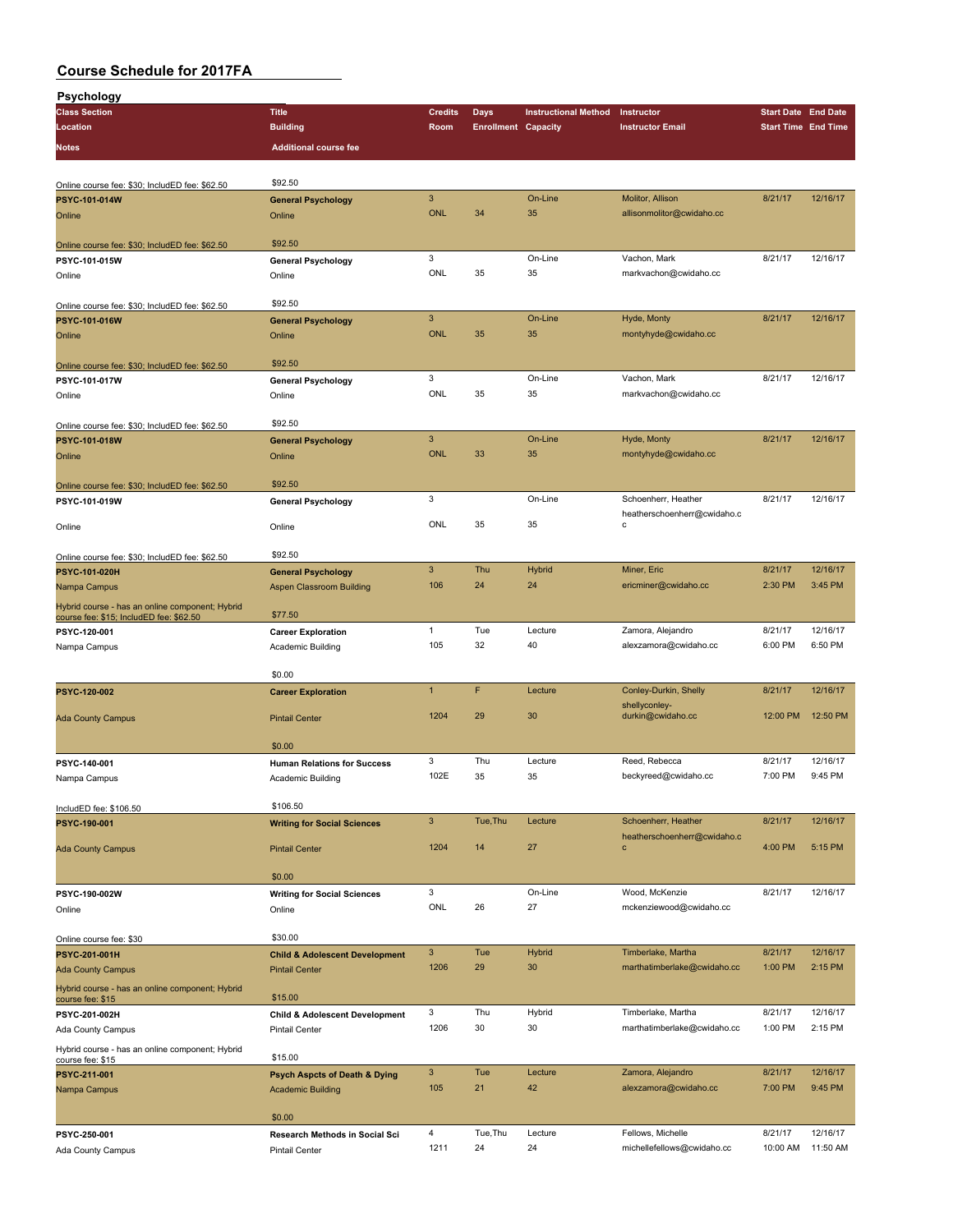| <b>Psychology</b>                                                   |                                                             |                |                            |                             |                             |                            |                     |
|---------------------------------------------------------------------|-------------------------------------------------------------|----------------|----------------------------|-----------------------------|-----------------------------|----------------------------|---------------------|
| <b>Class Section</b>                                                | <b>Title</b>                                                | <b>Credits</b> | Days                       | <b>Instructional Method</b> | Instructor                  | <b>Start Date End Date</b> |                     |
| Location                                                            | <b>Building</b>                                             | Room           | <b>Enrollment Capacity</b> |                             | <b>Instructor Email</b>     | <b>Start Time End Time</b> |                     |
| Notes                                                               | <b>Additional course fee</b>                                |                |                            |                             |                             |                            |                     |
|                                                                     |                                                             |                |                            |                             |                             |                            |                     |
| Online course fee: \$30; IncludED fee: \$62.50                      | \$92.50                                                     |                |                            |                             |                             |                            |                     |
| PSYC-101-014W                                                       | <b>General Psychology</b>                                   | $\mathbf{3}$   |                            | On-Line                     | Molitor, Allison            | 8/21/17                    | 12/16/17            |
| Online                                                              | Online                                                      | <b>ONL</b>     | 34                         | 35                          | allisonmolitor@cwidaho.cc   |                            |                     |
|                                                                     |                                                             |                |                            |                             |                             |                            |                     |
| Online course fee: \$30; IncludED fee: \$62.50                      | \$92.50                                                     |                |                            |                             |                             |                            |                     |
| PSYC-101-015W                                                       | <b>General Psychology</b>                                   | 3              |                            | On-Line                     | Vachon, Mark                | 8/21/17                    | 12/16/17            |
| Online                                                              | Online                                                      | <b>ONL</b>     | 35                         | 35                          | markvachon@cwidaho.cc       |                            |                     |
|                                                                     |                                                             |                |                            |                             |                             |                            |                     |
| Online course fee: \$30; IncludED fee: \$62.50                      | \$92.50                                                     |                |                            |                             |                             |                            |                     |
| PSYC-101-016W                                                       | <b>General Psychology</b>                                   | $\mathbf{3}$   |                            | On-Line                     | Hyde, Monty                 | 8/21/17                    | 12/16/17            |
| Online                                                              | Online                                                      | <b>ONL</b>     | 35                         | 35                          | montyhyde@cwidaho.cc        |                            |                     |
|                                                                     |                                                             |                |                            |                             |                             |                            |                     |
| Online course fee: \$30; IncludED fee: \$62.50                      | \$92.50                                                     |                |                            |                             |                             |                            |                     |
| PSYC-101-017W                                                       | <b>General Psychology</b>                                   | 3<br>ONL       | 35                         | On-Line<br>35               | Vachon, Mark                | 8/21/17                    | 12/16/17            |
| Online                                                              | Online                                                      |                |                            |                             | markvachon@cwidaho.cc       |                            |                     |
|                                                                     | \$92.50                                                     |                |                            |                             |                             |                            |                     |
| Online course fee: \$30; IncludED fee: \$62.50<br>PSYC-101-018W     | <b>General Psychology</b>                                   | $\mathbf{3}$   |                            | On-Line                     | Hyde, Monty                 | 8/21/17                    | 12/16/17            |
| Online                                                              | Online                                                      | <b>ONL</b>     | 33                         | 35                          | montyhyde@cwidaho.cc        |                            |                     |
|                                                                     |                                                             |                |                            |                             |                             |                            |                     |
| Online course fee: \$30; IncludED fee: \$62.50                      | \$92.50                                                     |                |                            |                             |                             |                            |                     |
| PSYC-101-019W                                                       | <b>General Psychology</b>                                   | 3              |                            | On-Line                     | Schoenherr, Heather         | 8/21/17                    | 12/16/17            |
|                                                                     |                                                             |                |                            |                             | heatherschoenherr@cwidaho.c |                            |                     |
| Online                                                              | Online                                                      | ONL            | 35                         | 35                          | c                           |                            |                     |
|                                                                     |                                                             |                |                            |                             |                             |                            |                     |
| Online course fee: \$30; IncludED fee: \$62.50                      | \$92.50                                                     |                |                            |                             |                             |                            |                     |
| PSYC-101-020H                                                       | <b>General Psychology</b>                                   | $\mathbf{3}$   | Thu                        | <b>Hybrid</b>               | Miner, Eric                 | 8/21/17                    | 12/16/17            |
| Nampa Campus                                                        | Aspen Classroom Building                                    | 106            | 24                         | 24                          | ericminer@cwidaho.cc        | 2:30 PM                    | 3:45 PM             |
| Hybrid course - has an online component; Hybrid                     | \$77.50                                                     |                |                            |                             |                             |                            |                     |
| course fee: \$15; IncludED fee: \$62.50<br>PSYC-120-001             |                                                             | $\mathbf{1}$   | Tue                        | Lecture                     | Zamora, Alejandro           | 8/21/17                    | 12/16/17            |
| Nampa Campus                                                        | <b>Career Exploration</b><br>Academic Building              | 105            | 32                         | 40                          | alexzamora@cwidaho.cc       | 6:00 PM                    | 6:50 PM             |
|                                                                     |                                                             |                |                            |                             |                             |                            |                     |
|                                                                     | \$0.00                                                      |                |                            |                             |                             |                            |                     |
| PSYC-120-002                                                        | <b>Career Exploration</b>                                   | $\mathbf{1}$   | F                          | Lecture                     | Conley-Durkin, Shelly       | 8/21/17                    | 12/16/17            |
|                                                                     |                                                             |                |                            |                             | shellyconley-               |                            |                     |
| <b>Ada County Campus</b>                                            | <b>Pintail Center</b>                                       | 1204           | 29                         | 30                          | durkin@cwidaho.cc           | 12:00 PM                   | 12:50 PM            |
|                                                                     |                                                             |                |                            |                             |                             |                            |                     |
|                                                                     | \$0.00                                                      |                |                            |                             |                             |                            |                     |
| PSYC-140-001                                                        | <b>Human Relations for Success</b>                          | 3<br>102E      | Thu                        | Lecture                     | Reed, Rebecca               | 8/21/17<br>7:00 PM         | 12/16/17<br>9:45 PM |
| Nampa Campus                                                        | Academic Building                                           |                | 35                         | 35                          | beckyreed@cwidaho.cc        |                            |                     |
|                                                                     | \$106.50                                                    |                |                            |                             |                             |                            |                     |
| IncludED fee: \$106.50<br>PSYC-190-001                              |                                                             | $\mathbf{3}$   | Tue, Thu                   | Lecture                     | Schoenherr, Heather         | 8/21/17                    | 12/16/17            |
|                                                                     | <b>Writing for Social Sciences</b>                          |                |                            |                             | heatherschoenherr@cwidaho.c |                            |                     |
| <b>Ada County Campus</b>                                            | <b>Pintail Center</b>                                       | 1204           | 14                         | 27                          | $\mathbf c$                 | 4:00 PM                    | 5:15 PM             |
|                                                                     |                                                             |                |                            |                             |                             |                            |                     |
|                                                                     | \$0.00                                                      |                |                            |                             |                             |                            |                     |
| PSYC-190-002W                                                       | <b>Writing for Social Sciences</b>                          | 3              |                            | On-Line                     | Wood, McKenzie              | 8/21/17                    | 12/16/17            |
| Online                                                              | Online                                                      | ONL            | 26                         | 27                          | mckenziewood@cwidaho.cc     |                            |                     |
|                                                                     |                                                             |                |                            |                             |                             |                            |                     |
| Online course fee: \$30                                             | \$30.00                                                     |                |                            |                             |                             |                            |                     |
| PSYC-201-001H                                                       | <b>Child &amp; Adolescent Development</b>                   | $\mathbf{3}$   | Tue                        | <b>Hybrid</b>               | Timberlake, Martha          | 8/21/17                    | 12/16/17            |
| <b>Ada County Campus</b>                                            | <b>Pintail Center</b>                                       | 1206           | 29                         | 30                          | marthatimberlake@cwidaho.cc | 1:00 PM                    | 2:15 PM             |
| Hybrid course - has an online component; Hybrid                     | \$15.00                                                     |                |                            |                             |                             |                            |                     |
| course fee: \$15                                                    |                                                             | 3              | Thu                        | Hybrid                      | Timberlake, Martha          | 8/21/17                    | 12/16/17            |
| PSYC-201-002H                                                       | <b>Child &amp; Adolescent Development</b><br>Pintail Center | 1206           | 30                         | 30                          | marthatimberlake@cwidaho.cc | 1:00 PM                    | 2:15 PM             |
| Ada County Campus                                                   |                                                             |                |                            |                             |                             |                            |                     |
| Hybrid course - has an online component; Hybrid<br>course fee: \$15 | \$15.00                                                     |                |                            |                             |                             |                            |                     |
| PSYC-211-001                                                        | <b>Psych Aspcts of Death &amp; Dying</b>                    | $\mathbf{3}$   | Tue                        | Lecture                     | Zamora, Alejandro           | 8/21/17                    | 12/16/17            |
| Nampa Campus                                                        | <b>Academic Building</b>                                    | 105            | 21                         | 42                          | alexzamora@cwidaho.cc       | 7:00 PM                    | 9:45 PM             |
|                                                                     |                                                             |                |                            |                             |                             |                            |                     |
|                                                                     | \$0.00                                                      |                |                            |                             |                             |                            |                     |
| PSYC-250-001                                                        | Research Methods in Social Sci                              | 4              | Tue, Thu                   | Lecture                     | Fellows, Michelle           | 8/21/17                    | 12/16/17            |
| Ada County Campus                                                   | Pintail Center                                              | 1211           | 24                         | 24                          | michellefellows@cwidaho.cc  | 10:00 AM                   | 11:50 AM            |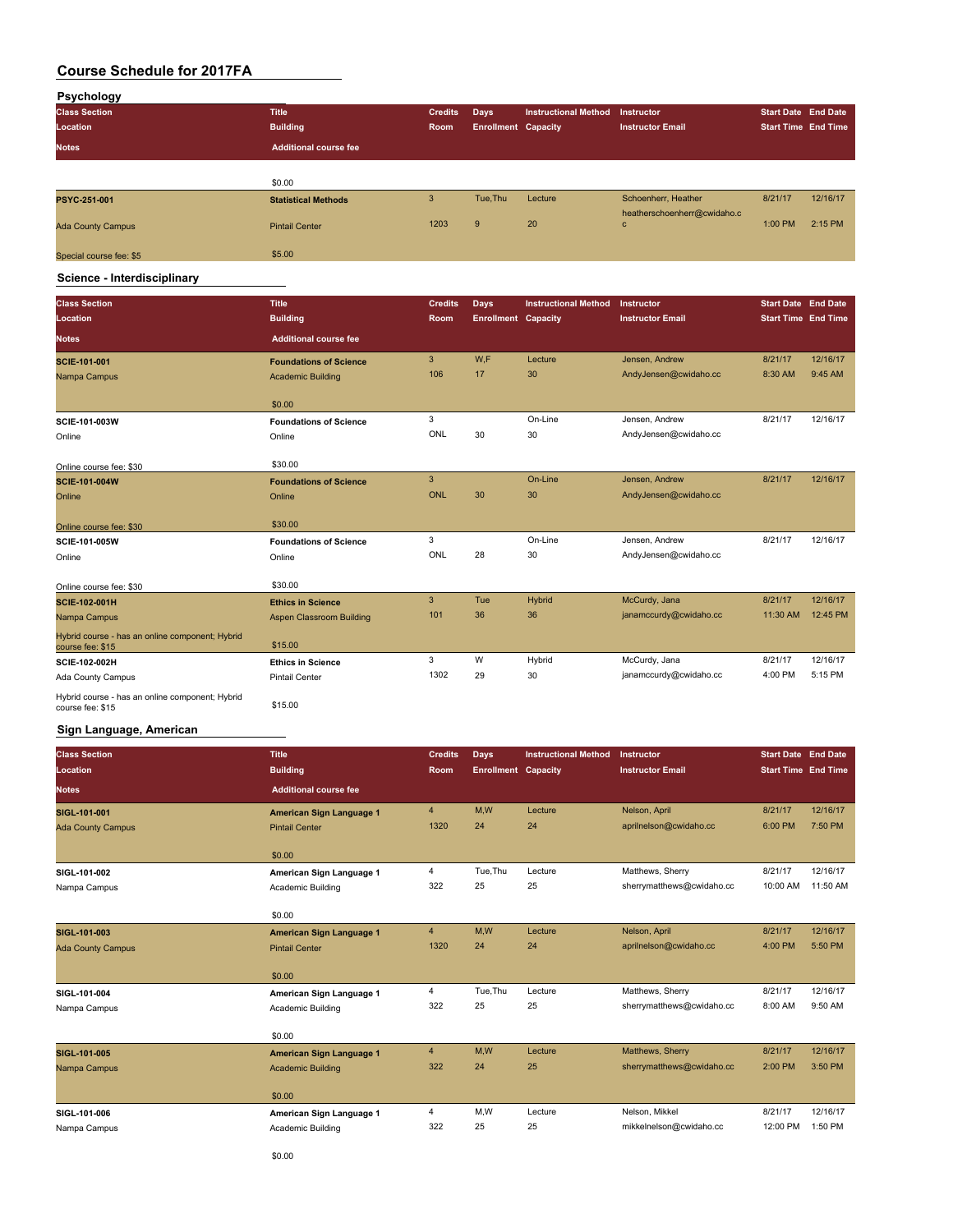| Psychology               |                              |                |                            |                             |                             |                            |          |
|--------------------------|------------------------------|----------------|----------------------------|-----------------------------|-----------------------------|----------------------------|----------|
| <b>Class Section</b>     | <b>Title</b>                 | <b>Credits</b> | Days                       | <b>Instructional Method</b> | <b>Instructor</b>           | <b>Start Date End Date</b> |          |
| Location                 | <b>Building</b>              | Room           | <b>Enrollment Capacity</b> |                             | <b>Instructor Email</b>     | <b>Start Time End Time</b> |          |
| <b>Notes</b>             | <b>Additional course fee</b> |                |                            |                             |                             |                            |          |
|                          |                              |                |                            |                             |                             |                            |          |
|                          | \$0.00                       |                |                            |                             |                             |                            |          |
| PSYC-251-001             | <b>Statistical Methods</b>   | 3              | Tue, Thu                   | Lecture                     | Schoenherr, Heather         | 8/21/17                    | 12/16/17 |
|                          |                              |                |                            |                             | heatherschoenherr@cwidaho.c |                            |          |
| <b>Ada County Campus</b> | <b>Pintail Center</b>        | 1203           | 9                          | 20                          | c                           | 1:00 PM                    | 2:15 PM  |
|                          |                              |                |                            |                             |                             |                            |          |
| Special course fee: \$5  | \$5.00                       |                |                            |                             |                             |                            |          |

**Science - Interdisciplinary**

| <b>Class Section</b><br>Location                                    | <b>Title</b><br><b>Building</b> | <b>Credits</b><br>Room | Days<br><b>Enrollment Capacity</b> | <b>Instructional Method</b> | Instructor<br><b>Instructor Email</b> | <b>Start Date End Date</b><br><b>Start Time End Time</b> |          |
|---------------------------------------------------------------------|---------------------------------|------------------------|------------------------------------|-----------------------------|---------------------------------------|----------------------------------------------------------|----------|
| <b>Notes</b>                                                        | <b>Additional course fee</b>    |                        |                                    |                             |                                       |                                                          |          |
| SCIE-101-001                                                        | <b>Foundations of Science</b>   | 3                      | W.F                                | Lecture                     | Jensen, Andrew                        | 8/21/17                                                  | 12/16/17 |
| Nampa Campus                                                        | <b>Academic Building</b>        | 106                    | 17                                 | 30                          | AndyJensen@cwidaho.cc                 | 8:30 AM                                                  | 9:45 AM  |
|                                                                     | \$0.00                          |                        |                                    |                             |                                       |                                                          |          |
| SCIE-101-003W                                                       | <b>Foundations of Science</b>   | 3                      |                                    | On-Line                     | Jensen, Andrew                        | 8/21/17                                                  | 12/16/17 |
| Online                                                              | Online                          | ONL                    | 30                                 | 30                          | AndyJensen@cwidaho.cc                 |                                                          |          |
| Online course fee: \$30                                             | \$30.00                         |                        |                                    |                             |                                       |                                                          |          |
| <b>SCIE-101-004W</b>                                                | <b>Foundations of Science</b>   | 3                      |                                    | On-Line                     | Jensen, Andrew                        | 8/21/17                                                  | 12/16/17 |
| Online                                                              | Online                          | <b>ONL</b>             | 30                                 | 30                          | AndyJensen@cwidaho.cc                 |                                                          |          |
| Online course fee: \$30                                             | \$30.00                         |                        |                                    |                             |                                       |                                                          |          |
| SCIE-101-005W                                                       | <b>Foundations of Science</b>   | 3                      |                                    | On-Line                     | Jensen, Andrew                        | 8/21/17                                                  | 12/16/17 |
| Online                                                              | Online                          | ONL                    | 28                                 | 30                          | AndyJensen@cwidaho.cc                 |                                                          |          |
| Online course fee: \$30                                             | \$30.00                         |                        |                                    |                             |                                       |                                                          |          |
| <b>SCIE-102-001H</b>                                                | <b>Ethics in Science</b>        | 3                      | Tue                                | <b>Hybrid</b>               | McCurdy, Jana                         | 8/21/17                                                  | 12/16/17 |
| Nampa Campus                                                        | Aspen Classroom Building        | 101                    | 36                                 | 36                          | janamccurdy@cwidaho.cc                | 11:30 AM                                                 | 12:45 PM |
| Hybrid course - has an online component; Hybrid<br>course fee: \$15 | \$15.00                         |                        |                                    |                             |                                       |                                                          |          |
| SCIE-102-002H                                                       | <b>Ethics in Science</b>        | 3                      | W                                  | Hybrid                      | McCurdy, Jana                         | 8/21/17                                                  | 12/16/17 |
| Ada County Campus                                                   | Pintail Center                  | 1302                   | 29                                 | 30                          | janamccurdy@cwidaho.cc                | 4:00 PM                                                  | 5:15 PM  |
| Hybrid course - has an online component; Hybrid<br>course fee: \$15 | \$15.00                         |                        |                                    |                             |                                       |                                                          |          |

#### **Sign Language, American**

| <b>Title</b><br><b>Building</b> | <b>Credits</b><br>Room | Days     | <b>Instructional Method</b> |                            | <b>Start Date End Date</b><br><b>Start Time End Time</b> |           |
|---------------------------------|------------------------|----------|-----------------------------|----------------------------|----------------------------------------------------------|-----------|
| <b>Additional course fee</b>    |                        |          |                             |                            |                                                          |           |
| American Sign Language 1        | $\overline{4}$         | M.W      | Lecture                     | Nelson, April              | 8/21/17                                                  | 12/16/17  |
| <b>Pintail Center</b>           | 1320                   | 24       | 24                          | aprilnelson@cwidaho.cc     | 6:00 PM                                                  | 7:50 PM   |
| \$0.00                          |                        |          |                             |                            |                                                          |           |
| American Sign Language 1        | 4                      | Tue, Thu | Lecture                     | Matthews, Sherry           | 8/21/17                                                  | 12/16/17  |
| Academic Building               | 322                    | 25       | 25                          | sherrymatthews@cwidaho.cc  | 10:00 AM                                                 | 11:50 AM  |
| \$0.00                          |                        |          |                             |                            |                                                          |           |
| American Sign Language 1        | $\overline{4}$         | M.W      | Lecture                     | Nelson, April              | 8/21/17                                                  | 12/16/17  |
| <b>Pintail Center</b>           | 1320                   | 24       | 24                          | aprilnelson@cwidaho.cc     | 4:00 PM                                                  | 5:50 PM   |
| \$0.00                          |                        |          |                             |                            |                                                          |           |
| American Sign Language 1        | $\overline{4}$         | Tue, Thu | Lecture                     | Matthews, Sherry           | 8/21/17                                                  | 12/16/17  |
| Academic Building               | 322                    | 25       | 25                          | sherrymatthews@cwidaho.cc  | 8:00 AM                                                  | $9:50$ AM |
| \$0.00                          |                        |          |                             |                            |                                                          |           |
| American Sign Language 1        | $\overline{4}$         | M,W      | Lecture                     | Matthews, Sherry           | 8/21/17                                                  | 12/16/17  |
| <b>Academic Building</b>        | 322                    | 24       | 25                          | sherrymatthews@cwidaho.cc  | 2:00 PM                                                  | 3:50 PM   |
| \$0.00                          |                        |          |                             |                            |                                                          |           |
| American Sign Language 1        | 4                      | M,W      | Lecture                     | Nelson, Mikkel             | 8/21/17                                                  | 12/16/17  |
| Academic Building               | 322                    | 25       | 25                          | mikkelnelson@cwidaho.cc    | 12:00 PM                                                 | 1:50 PM   |
|                                 |                        |          |                             | <b>Enrollment Capacity</b> | Instructor<br><b>Instructor Email</b>                    |           |

\$0.00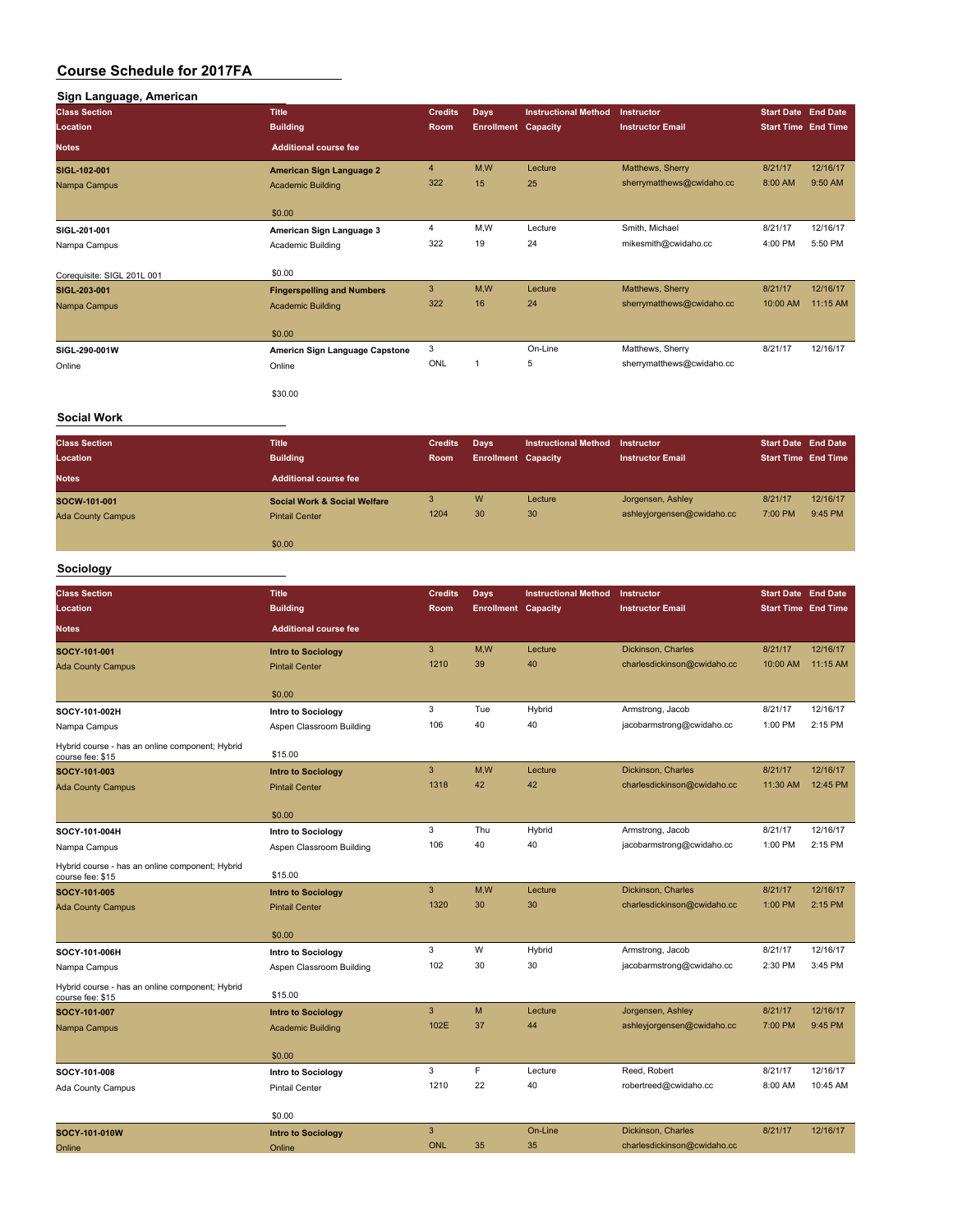# **Sign Language, American Class Section Title Credits Days Instructional Method Instructor Start Date End Date Location Building Room Enrollment Capacity Instructor Email Start Time End Time Notes Additional course fee SIGL-102-001 American Sign Language 2** 4 M,W Lecture Matthews, Sherry 8/21/17 12/16/17 Nampa Campus **Academic Building** 322 15 25 sherrymatthews@cwidaho.cc 8:00 AM 9:50 AM \$0.00 **SIGL-201-001 American Sign Language 3** 4 M,W Lecture Smith, Michael 8/21/17 12/16/17<br>Namna Campus **Academic Building 322** 19 24 mikesmith@owidaho.cc 4:00 PM 5:50 PM Nampa Campus Academic Building 322 19 24 mikesmith@cwidaho.cc 4:00 PM 5:50 PM Corequisite: SIGL 201L 001 \$0.00 **SIGL-203-001 Fingerspelling and Numbers** 3 M,W Lecture Matthews, Sherry 8/21/17 12/16/17 Nampa Campus **Academic Building** 322 16 24 sherrymatthews@cwidaho.cc \$0.00 **SIGL-290-001W Americn Sign Language Capstone** 3 On-Line Matthews, Sherry 8/21/17 12/16/17<br> **Coline** Online Deline Sherry Sherry Sterry 8/21/17 12/16/17 Online Contine Contine Contine Continue Online ONL 1 5 sherrymatthews@cwidaho.cc \$30.00

#### **Social Work**

| <b>Class Section</b><br>Location<br><b>Notes</b> | <b>Title</b><br><b>Building</b><br><b>Additional course fee</b>  | <b>Credits</b><br>Room | Days<br><b>Enrollment Capacity</b> | <b>Instructional Method</b> | Instructor<br><b>Instructor Email</b>           | <b>Start Date End Date</b><br><b>Start Time End Time</b> |                     |
|--------------------------------------------------|------------------------------------------------------------------|------------------------|------------------------------------|-----------------------------|-------------------------------------------------|----------------------------------------------------------|---------------------|
| SOCW-101-001<br><b>Ada County Campus</b>         | <b>Social Work &amp; Social Welfare</b><br><b>Pintail Center</b> | 3<br>1204              | W<br>30                            | Lecture<br>30               | Jorgensen, Ashley<br>ashleyjorgensen@cwidaho.cc | 8/21/17<br>7:00 PM                                       | 12/16/17<br>9:45 PM |
|                                                  | \$0.00                                                           |                        |                                    |                             |                                                 |                                                          |                     |

#### **Sociology**

| <b>Class Section</b>                                                | <b>Title</b>                 | <b>Credits</b> | <b>Days</b>                | <b>Instructional Method</b> | <b>Instructor</b>           | <b>Start Date End Date</b> |          |
|---------------------------------------------------------------------|------------------------------|----------------|----------------------------|-----------------------------|-----------------------------|----------------------------|----------|
| Location                                                            | <b>Building</b>              | Room           | <b>Enrollment Capacity</b> |                             | <b>Instructor Email</b>     | <b>Start Time End Time</b> |          |
| <b>Notes</b>                                                        | <b>Additional course fee</b> |                |                            |                             |                             |                            |          |
| SOCY-101-001                                                        | <b>Intro to Sociology</b>    | 3              | M,W                        | Lecture                     | Dickinson, Charles          | 8/21/17                    | 12/16/17 |
| <b>Ada County Campus</b>                                            | <b>Pintail Center</b>        | 1210           | 39                         | 40                          | charlesdickinson@cwidaho.cc | 10:00 AM                   | 11:15 AM |
|                                                                     | \$0.00                       |                |                            |                             |                             |                            |          |
| SOCY-101-002H                                                       | Intro to Sociology           | 3              | Tue                        | Hybrid                      | Armstrong, Jacob            | 8/21/17                    | 12/16/17 |
| Nampa Campus                                                        | Aspen Classroom Building     | 106            | 40                         | 40                          | jacobarmstrong@cwidaho.cc   | 1:00 PM                    | 2:15 PM  |
| Hybrid course - has an online component; Hybrid<br>course fee: \$15 | \$15.00                      |                |                            |                             |                             |                            |          |
| SOCY-101-003                                                        | <b>Intro to Sociology</b>    | $\mathbf{3}$   | M,W                        | Lecture                     | Dickinson, Charles          | 8/21/17                    | 12/16/17 |
| <b>Ada County Campus</b>                                            | <b>Pintail Center</b>        | 1318           | 42                         | 42                          | charlesdickinson@cwidaho.cc | 11:30 AM                   | 12:45 PM |
|                                                                     | \$0.00                       |                |                            |                             |                             |                            |          |
| SOCY-101-004H                                                       | <b>Intro to Sociology</b>    | 3              | Thu                        | Hybrid                      | Armstrong, Jacob            | 8/21/17                    | 12/16/17 |
| Nampa Campus                                                        | Aspen Classroom Building     | 106            | 40                         | 40                          | jacobarmstrong@cwidaho.cc   | 1:00 PM                    | 2:15 PM  |
| Hybrid course - has an online component; Hybrid<br>course fee: \$15 | \$15.00                      |                |                            |                             |                             |                            |          |
| SOCY-101-005                                                        | <b>Intro to Sociology</b>    | 3              | M,W                        | Lecture                     | Dickinson, Charles          | 8/21/17                    | 12/16/17 |
| <b>Ada County Campus</b>                                            | <b>Pintail Center</b>        | 1320           | 30                         | 30                          | charlesdickinson@cwidaho.cc | 1:00 PM                    | 2:15 PM  |
|                                                                     | \$0.00                       |                |                            |                             |                             |                            |          |
| SOCY-101-006H                                                       | <b>Intro to Sociology</b>    | 3              | W                          | Hybrid                      | Armstrong, Jacob            | 8/21/17                    | 12/16/17 |
| Nampa Campus                                                        | Aspen Classroom Building     | 102            | 30                         | 30                          | jacobarmstrong@cwidaho.cc   | 2:30 PM                    | 3:45 PM  |
| Hybrid course - has an online component; Hybrid<br>course fee: \$15 | \$15.00                      |                |                            |                             |                             |                            |          |
| SOCY-101-007                                                        | <b>Intro to Sociology</b>    | 3              | M                          | Lecture                     | Jorgensen, Ashley           | 8/21/17                    | 12/16/17 |
| Nampa Campus                                                        | <b>Academic Building</b>     | 102E           | 37                         | 44                          | ashleyjorgensen@cwidaho.cc  | 7:00 PM                    | 9:45 PM  |
|                                                                     | \$0.00                       |                |                            |                             |                             |                            |          |
| SOCY-101-008                                                        | Intro to Sociology           | 3              | F                          | Lecture                     | Reed, Robert                | 8/21/17                    | 12/16/17 |
| Ada County Campus                                                   | <b>Pintail Center</b>        | 1210           | 22                         | 40                          | robertreed@cwidaho.cc       | 8:00 AM                    | 10:45 AM |
|                                                                     | \$0.00                       |                |                            |                             |                             |                            |          |
| SOCY-101-010W                                                       | <b>Intro to Sociology</b>    | 3              |                            | On-Line                     | Dickinson, Charles          | 8/21/17                    | 12/16/17 |
| Online                                                              | Online                       | <b>ONL</b>     | 35                         | 35                          | charlesdickinson@cwidaho.cc |                            |          |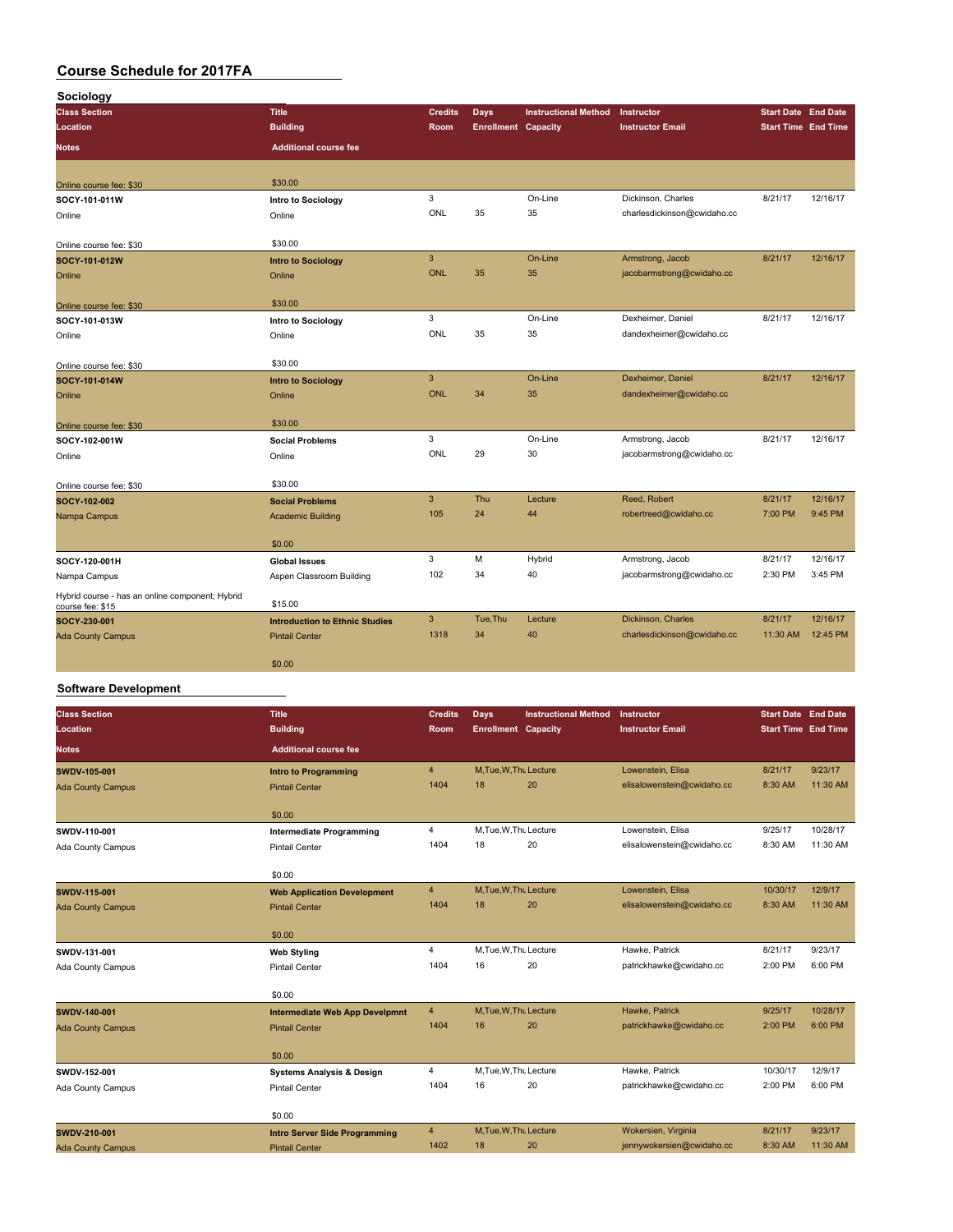| Sociology                                                           |                                       |                |                            |                             |                             |          |                            |
|---------------------------------------------------------------------|---------------------------------------|----------------|----------------------------|-----------------------------|-----------------------------|----------|----------------------------|
| <b>Class Section</b>                                                | <b>Title</b>                          | <b>Credits</b> | <b>Days</b>                | <b>Instructional Method</b> | Instructor                  |          | <b>Start Date End Date</b> |
| Location                                                            | <b>Building</b>                       | Room           | <b>Enrollment Capacity</b> |                             | <b>Instructor Email</b>     |          | <b>Start Time End Time</b> |
| <b>Notes</b>                                                        | <b>Additional course fee</b>          |                |                            |                             |                             |          |                            |
| Online course fee: \$30                                             | \$30.00                               |                |                            |                             |                             |          |                            |
| SOCY-101-011W                                                       | Intro to Sociology                    | 3              |                            | On-Line                     | Dickinson, Charles          | 8/21/17  | 12/16/17                   |
| Online                                                              | Online                                | ONL            | 35                         | 35                          | charlesdickinson@cwidaho.cc |          |                            |
| Online course fee: \$30                                             | \$30.00                               |                |                            |                             |                             |          |                            |
| SOCY-101-012W                                                       | <b>Intro to Sociology</b>             | $\overline{3}$ |                            | On-Line                     | Armstrong, Jacob            | 8/21/17  | 12/16/17                   |
| Online                                                              | Online                                | ONL            | 35                         | 35                          | jacobarmstrong@cwidaho.cc   |          |                            |
| Online course fee: \$30                                             | \$30.00                               |                |                            |                             |                             |          |                            |
| SOCY-101-013W                                                       | Intro to Sociology                    | 3              |                            | On-Line                     | Dexheimer, Daniel           | 8/21/17  | 12/16/17                   |
| Online                                                              | Online                                | ONL            | 35                         | 35                          | dandexheimer@cwidaho.cc     |          |                            |
| Online course fee: \$30                                             | \$30.00                               |                |                            |                             |                             |          |                            |
| SOCY-101-014W                                                       | <b>Intro to Sociology</b>             | $\mathbf{3}$   |                            | On-Line                     | Dexheimer, Daniel           | 8/21/17  | 12/16/17                   |
| Online                                                              | Online                                | <b>ONL</b>     | 34                         | 35                          | dandexheimer@cwidaho.cc     |          |                            |
| Online course fee: \$30                                             | \$30.00                               |                |                            |                             |                             |          |                            |
| SOCY-102-001W                                                       | <b>Social Problems</b>                | 3              |                            | On-Line                     | Armstrong, Jacob            | 8/21/17  | 12/16/17                   |
| Online                                                              | Online                                | ONL            | 29                         | 30                          | jacobarmstrong@cwidaho.cc   |          |                            |
| Online course fee: \$30                                             | \$30.00                               |                |                            |                             |                             |          |                            |
| SOCY-102-002                                                        | <b>Social Problems</b>                | 3              | Thu                        | Lecture                     | Reed, Robert                | 8/21/17  | 12/16/17                   |
| Nampa Campus                                                        | <b>Academic Building</b>              | 105            | 24                         | 44                          | robertreed@cwidaho.cc       | 7:00 PM  | 9:45 PM                    |
|                                                                     | \$0.00                                |                |                            |                             |                             |          |                            |
| SOCY-120-001H                                                       | <b>Global Issues</b>                  | 3              | M                          | Hybrid                      | Armstrong, Jacob            | 8/21/17  | 12/16/17                   |
| Nampa Campus                                                        | Aspen Classroom Building              | 102            | 34                         | 40                          | jacobarmstrong@cwidaho.cc   | 2:30 PM  | 3:45 PM                    |
| Hybrid course - has an online component; Hybrid<br>course fee: \$15 | \$15.00                               |                |                            |                             |                             |          |                            |
| SOCY-230-001                                                        | <b>Introduction to Ethnic Studies</b> | $\mathbf{3}$   | Tue, Thu                   | Lecture                     | Dickinson, Charles          | 8/21/17  | 12/16/17                   |
| <b>Ada County Campus</b>                                            | <b>Pintail Center</b>                 | 1318           | 34                         | 40                          | charlesdickinson@cwidaho.cc | 11:30 AM | 12:45 PM                   |
|                                                                     | \$0.00                                |                |                            |                             |                             |          |                            |

#### **Software Development**

| <b>Class Section</b><br>Location | <b>Title</b><br><b>Building</b>       | <b>Credits</b><br><b>Room</b> | <b>Days</b><br><b>Enrollment Capacity</b> | <b>Instructional Method</b> | Instructor<br><b>Instructor Email</b> | Start Date End Date<br><b>Start Time End Time</b> |          |
|----------------------------------|---------------------------------------|-------------------------------|-------------------------------------------|-----------------------------|---------------------------------------|---------------------------------------------------|----------|
| <b>Notes</b>                     | <b>Additional course fee</b>          |                               |                                           |                             |                                       |                                                   |          |
| <b>SWDV-105-001</b>              | <b>Intro to Programming</b>           | $\overline{4}$                | M, Tue, W, Thu Lecture                    |                             | Lowenstein, Elisa                     | 8/21/17                                           | 9/23/17  |
| <b>Ada County Campus</b>         | <b>Pintail Center</b>                 | 1404                          | 18                                        | 20                          | elisalowenstein@cwidaho.cc            | 8:30 AM                                           | 11:30 AM |
|                                  | \$0.00                                |                               |                                           |                             |                                       |                                                   |          |
| SWDV-110-001                     | <b>Intermediate Programming</b>       | 4                             | M.Tue, W.Thu Lecture                      |                             | Lowenstein, Elisa                     | 9/25/17                                           | 10/28/17 |
| Ada County Campus                | <b>Pintail Center</b>                 | 1404                          | 18                                        | 20                          | elisalowenstein@cwidaho.cc            | 8:30 AM                                           | 11:30 AM |
|                                  | \$0.00                                |                               |                                           |                             |                                       |                                                   |          |
| SWDV-115-001                     | <b>Web Application Development</b>    | $\overline{4}$                | M, Tue, W, Thu Lecture                    |                             | Lowenstein, Elisa                     | 10/30/17                                          | 12/9/17  |
| <b>Ada County Campus</b>         | <b>Pintail Center</b>                 | 1404                          | 18                                        | 20                          | elisalowenstein@cwidaho.cc            | 8:30 AM                                           | 11:30 AM |
|                                  | \$0.00                                |                               |                                           |                             |                                       |                                                   |          |
| SWDV-131-001                     | <b>Web Styling</b>                    | $\overline{4}$                | M, Tue, W, Thu Lecture                    |                             | Hawke, Patrick                        | 8/21/17                                           | 9/23/17  |
| Ada County Campus                | <b>Pintail Center</b>                 | 1404                          | 16                                        | 20                          | patrickhawke@cwidaho.cc               | 2:00 PM                                           | 6:00 PM  |
|                                  | \$0.00                                |                               |                                           |                             |                                       |                                                   |          |
| SWDV-140-001                     | <b>Intermediate Web App Develpmnt</b> | $\overline{4}$                | M, Tue, W, Thu Lecture                    |                             | Hawke, Patrick                        | 9/25/17                                           | 10/28/17 |
| <b>Ada County Campus</b>         | <b>Pintail Center</b>                 | 1404                          | 16                                        | 20                          | patrickhawke@cwidaho.cc               | 2:00 PM                                           | 6:00 PM  |
|                                  | \$0.00                                |                               |                                           |                             |                                       |                                                   |          |
| SWDV-152-001                     | <b>Systems Analysis &amp; Design</b>  | 4                             | M, Tue, W, Thu Lecture                    |                             | Hawke, Patrick                        | 10/30/17                                          | 12/9/17  |
| Ada County Campus                | <b>Pintail Center</b>                 | 1404                          | 16                                        | 20                          | patrickhawke@cwidaho.cc               | 2:00 PM                                           | 6:00 PM  |
|                                  | \$0.00                                |                               |                                           |                             |                                       |                                                   |          |
| SWDV-210-001                     | <b>Intro Server Side Programming</b>  | $\overline{4}$                | M, Tue, W, Thu Lecture                    |                             | Wokersien, Virginia                   | 8/21/17                                           | 9/23/17  |
| <b>Ada County Campus</b>         | <b>Pintail Center</b>                 | 1402                          | 18                                        | 20                          | jennywokersien@cwidaho.cc             | 8:30 AM                                           | 11:30 AM |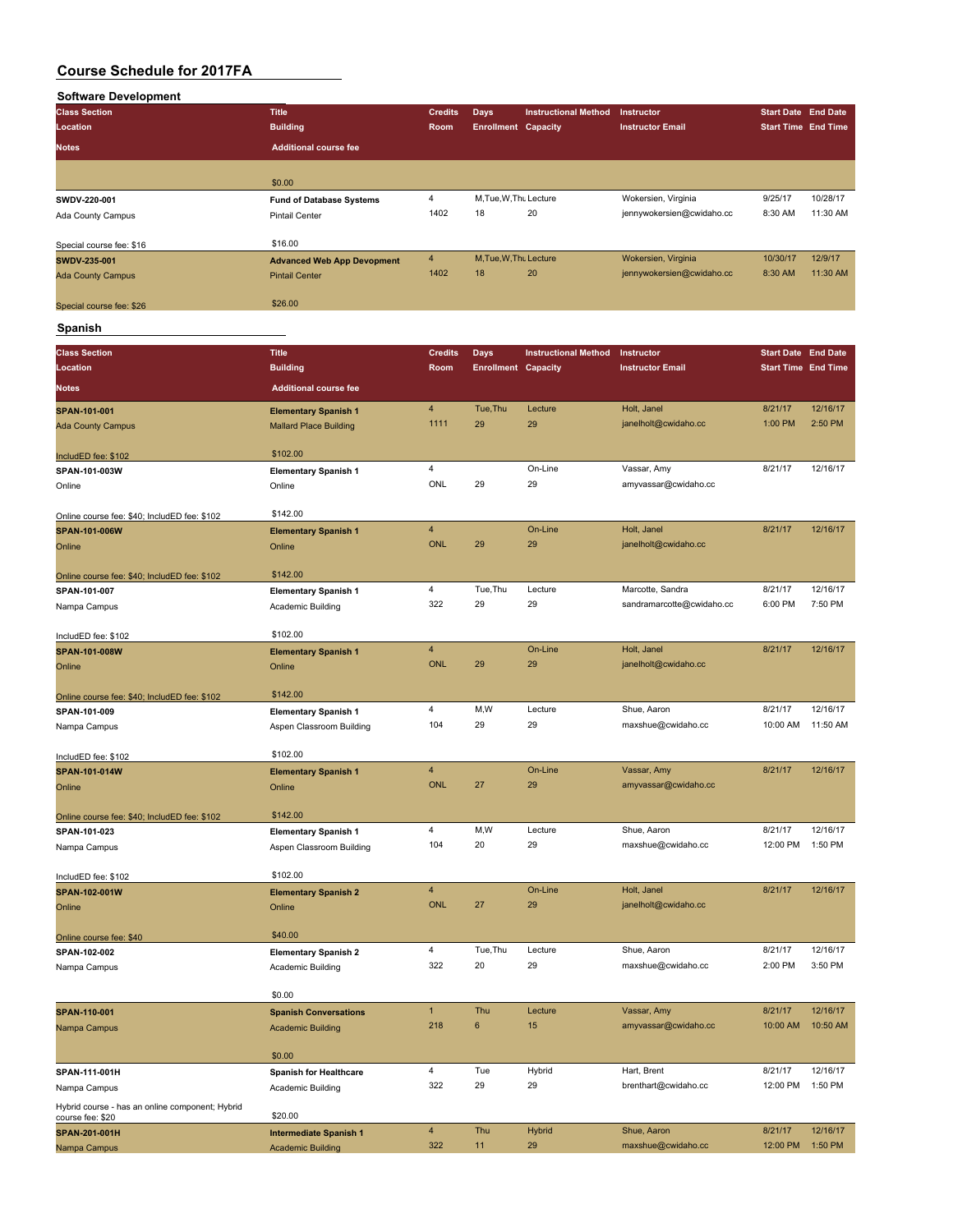| <b>Software Development</b> |                                   |                |                            |                             |                           |                            |          |
|-----------------------------|-----------------------------------|----------------|----------------------------|-----------------------------|---------------------------|----------------------------|----------|
| <b>Class Section</b>        | <b>Title</b>                      | <b>Credits</b> | <b>Days</b>                | <b>Instructional Method</b> | Instructor                | <b>Start Date End Date</b> |          |
| Location                    | <b>Building</b>                   | Room           | <b>Enrollment Capacity</b> |                             | <b>Instructor Email</b>   | <b>Start Time End Time</b> |          |
| <b>Notes</b>                | <b>Additional course fee</b>      |                |                            |                             |                           |                            |          |
|                             | \$0.00                            |                |                            |                             |                           |                            |          |
| SWDV-220-001                | <b>Fund of Database Systems</b>   | 4              | M.Tue, W.Thu Lecture       |                             | Wokersien, Virginia       | 9/25/17                    | 10/28/17 |
| Ada County Campus           | <b>Pintail Center</b>             | 1402           | 18                         | 20                          | jennywokersien@cwidaho.cc | 8:30 AM                    | 11:30 AM |
| Special course fee: \$16    | \$16.00                           |                |                            |                             |                           |                            |          |
| SWDV-235-001                | <b>Advanced Web App Devopment</b> | $\overline{4}$ | M.Tue.W.Thu Lecture        |                             | Wokersien, Virginia       | 10/30/17                   | 12/9/17  |
| <b>Ada County Campus</b>    | <b>Pintail Center</b>             | 1402           | 18                         | 20                          | jennywokersien@cwidaho.cc | 8:30 AM                    | 11:30 AM |
| Special course fee: \$26    | \$26.00                           |                |                            |                             |                           |                            |          |
| <b>Spanish</b>              |                                   |                |                            |                             |                           |                            |          |

**Class Section Title Credits Days Instructional Method Instructor Start Date End Date Location Building Room Enrollment Capacity Instructor Email Notes Additional course fee SPAN-101-001 Elementary Spanish 1** 4 Tue,Thu Lecture Holt, Janel 8/21/17 12/16/17<br>Ada County Campus 11:00 PM 2:50 PM Mallard Place Ruilding 1111 29 29 12 ianelholt@cwidaho.cc 1:00 PM 2:50 PM Ada County Campus Mallard Place Building 1111 29 29 29 29 29 29 29 29 20 2:50 PM 2:50 PM 2:50 PM 2:50 PM 2:50 PM 2:50 PM 2:50 PM 2:50 PM 2:50 PM 2:50 PM 2:50 PM 2:50 PM 2:50 PM 2:50 PM 2:50 PM 2:50 PM 2:50 PM 2:50 PM 2:50 IncludED fee: \$102 \$102.00 **SPAN-101-003W Elementary Spanish 1** 4 On-Line Vassar, Amy 8/21/17 12/16/17 Online Online ONL 29 29 amyvassar@cwidaho.cc Online course fee: \$40; IncludED fee: \$102 \$142.00 **SPAN-101-006W Elementary Spanish 1** 4 On-Line Holt, Janel 8/21/17 12/16/17 Online Online ONL 29 29 janelholt@cwidaho.cc Online course fee: \$40; IncludED fee: \$102 \$142.00 **SPAN-101-007 Elementary Spanish 1** 4 Tue,Thu Lecture Marcotte, Sandra 8/21/17 12/16/17 Nampa Campus **Academic Building** 322 29 29 sandramarcotte@cwidaho.cc 6:00 PM 7:50 PM IncludED fee: \$102 \$102.00 **SPAN-101-008W Elementary Spanish 1** 4 On-Line Holt, Janel 8/21/17 12/16/17<br>Online Online 29 29 a ianelholt@cwidaho.cc Online Online ONL 29 29 janelholt@cwidaho.cc Online course fee: \$40; IncludED fee: \$102 \$142.00 **SPAN-101-009 Elementary Spanish 1** 4 M,W Lecture Shue, Aaron 8/21/17 12/16/17 Nampa Campus **Aspen Classroom Building** 104 29 29 maxshue@cwidaho.cc 10:00 AM 11:50 AM IncludED fee: \$102.00 **SPAN-101-014W Elementary Spanish 1** 4 On-Line Vassar, Amy 8/21/17 12/16/17<br>Colline 27 29 amy assar@cwidaho.cc online and the online of the online of the ONL 27 29 amyvassar@cwidaho.cc Online course fee: \$40; IncludED fee: \$102 \$142.00 **SPAN-101-023 Elementary Spanish 1** 4 M,W Lecture Shue, Aaron 8/21/17 12/16/17 Nampa Campus **Aspen Classroom Building** 104 20 29 maxshue@cwidaho.cc 12:00 PM 1:50 PM IncludED fee: \$102 \$102.00 **SPAN-102-001W Elementary Spanish 2** 4 On-Line Holt, Janel 8/21/17 12/16/17 Online Contract Contract Contine Contine Contract Contract Contract Contract 27 29 panelholt@cwidaho.cc online course fee: \$40 \$40.00 **SPAN-102-002 Elementary Spanish 2** 4 Tue,Thu Lecture Shue, Aaron 8/21/17 12/16/17 Nampa Campus Academic Building 322 20 maxshue@cwidaho.cc 2:00 PM 3:50 PM \$0.00 **SPAN-110-001 Spanish Conversations** 1 Thu Lecture Vassar, Amy 8/21/17 12/16/17 Nampa Campus Academic Building 218 6 15 amyvassar@cwidaho.cc 10:00 AM 10:50 AM 10:50 AM \$0.00 **SPAN-111-001H Spanish for Healthcare** 4 Tue Hybrid Hart, Brent 8/21/17 12/16/17 Nampa Campus Academic Building 322 29 29 brenthart@cwidaho.cc 12:00 PM 1:50 PM 1:50 PM Hybrid course - has an online component; Hybrid

| course fee: \$20     | \$20.00                  |     |     |               |                    |          |          |
|----------------------|--------------------------|-----|-----|---------------|--------------------|----------|----------|
| <b>SPAN-201-001H</b> | Intermediate Spanish 1   |     | Thu | <b>Hybrid</b> | Shue, Aaron        | 8/21/17  | 12/16/17 |
| Nampa Campus         | <b>Academic Building</b> | 322 |     | 29            | maxshue@cwidaho.cc | 12:00 PM | 1:50 PM  |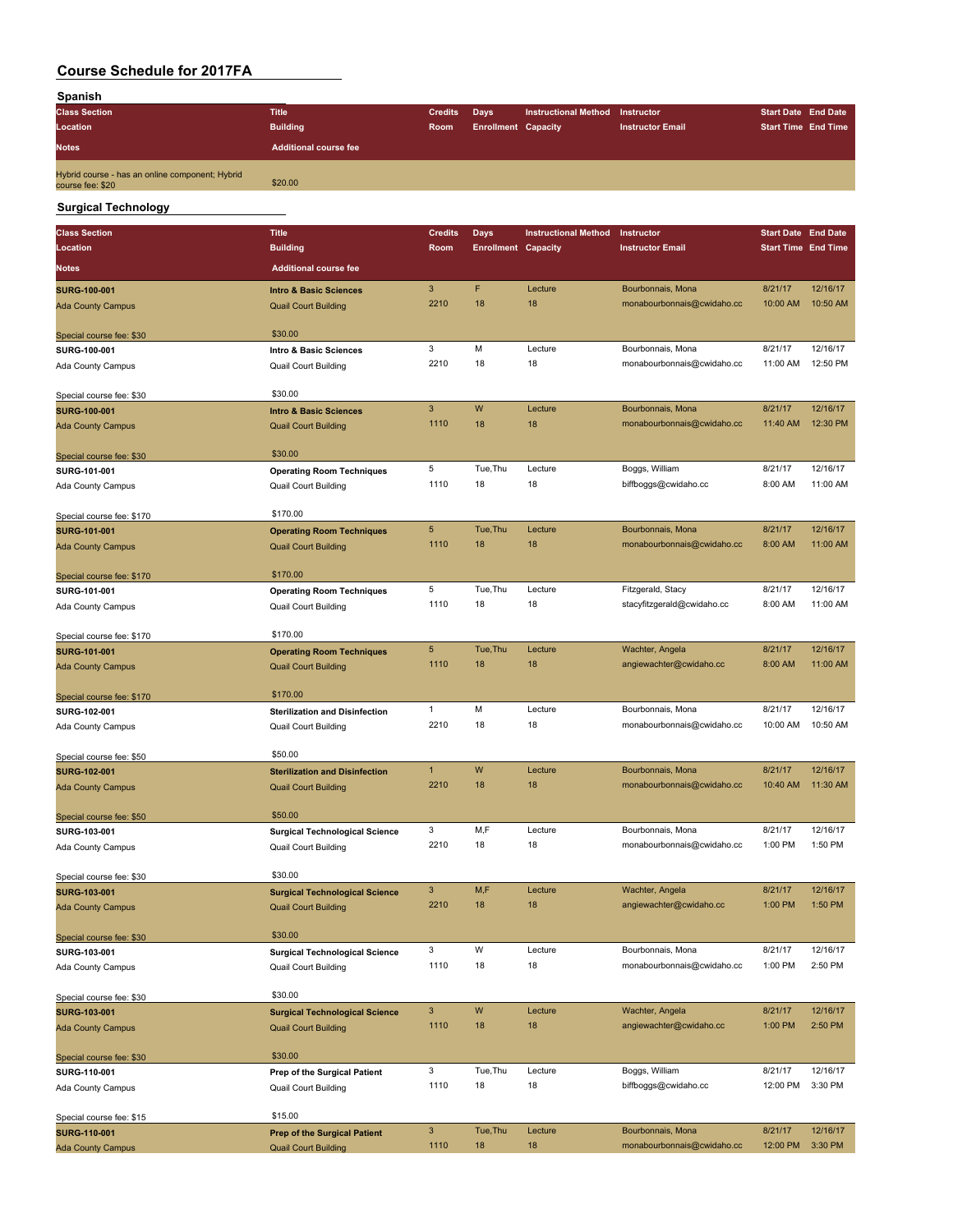| Spanish                                                             |                              |                |                            |                                 |                         |                            |  |
|---------------------------------------------------------------------|------------------------------|----------------|----------------------------|---------------------------------|-------------------------|----------------------------|--|
| <b>Class Section</b>                                                | <b>Title</b>                 | <b>Credits</b> | <b>Davs</b>                | Instructional Method Instructor |                         | <b>Start Date End Date</b> |  |
| Location                                                            | <b>Building</b>              | <b>Room</b>    | <b>Enrollment Capacity</b> |                                 | <b>Instructor Email</b> | <b>Start Time End Time</b> |  |
| <b>Notes</b>                                                        | <b>Additional course fee</b> |                |                            |                                 |                         |                            |  |
| Hybrid course - has an online component; Hybrid<br>course fee: \$20 | \$20.00                      |                |                            |                                 |                         |                            |  |
|                                                                     |                              |                |                            |                                 |                         |                            |  |

# **Surgical Technology**

| <b>Class Section</b>                            | <b>Title</b>                          | <b>Credits</b> | Days                       | <b>Instructional Method</b> | Instructor                 | <b>Start Date End Date</b> |          |
|-------------------------------------------------|---------------------------------------|----------------|----------------------------|-----------------------------|----------------------------|----------------------------|----------|
| Location                                        | <b>Building</b>                       | Room           | <b>Enrollment Capacity</b> |                             | <b>Instructor Email</b>    | <b>Start Time End Time</b> |          |
| Notes                                           | <b>Additional course fee</b>          |                |                            |                             |                            |                            |          |
|                                                 |                                       |                |                            |                             |                            |                            |          |
| <b>SURG-100-001</b>                             | <b>Intro &amp; Basic Sciences</b>     | $\mathbf{3}$   | F                          | Lecture                     | Bourbonnais, Mona          | 8/21/17                    | 12/16/17 |
| <b>Ada County Campus</b>                        | <b>Quail Court Building</b>           | 2210           | 18                         | 18                          | monabourbonnais@cwidaho.cc | 10:00 AM                   | 10:50 AM |
| Special course fee: \$30                        | \$30.00                               |                |                            |                             |                            |                            |          |
| SURG-100-001                                    | Intro & Basic Sciences                | 3              | M                          | Lecture                     | Bourbonnais, Mona          | 8/21/17                    | 12/16/17 |
| Ada County Campus                               | <b>Quail Court Building</b>           | 2210           | 18                         | 18                          | monabourbonnais@cwidaho.cc | 11:00 AM                   | 12:50 PM |
|                                                 |                                       |                |                            |                             |                            |                            |          |
| Special course fee: \$30                        | \$30.00                               |                |                            |                             |                            |                            |          |
| <b>SURG-100-001</b>                             | <b>Intro &amp; Basic Sciences</b>     | 3              | W                          | Lecture                     | Bourbonnais, Mona          | 8/21/17                    | 12/16/17 |
| <b>Ada County Campus</b>                        | <b>Quail Court Building</b>           | 1110           | 18                         | 18                          | monabourbonnais@cwidaho.cc | 11:40 AM                   | 12:30 PM |
|                                                 | \$30.00                               |                |                            |                             |                            |                            |          |
| Special course fee: \$30                        |                                       | 5              | Tue, Thu                   | Lecture                     | Boggs, William             | 8/21/17                    | 12/16/17 |
| SURG-101-001                                    | <b>Operating Room Techniques</b>      | 1110           | 18                         | 18                          | biffboggs@cwidaho.cc       | 8:00 AM                    | 11:00 AM |
| Ada County Campus                               | Quail Court Building                  |                |                            |                             |                            |                            |          |
| Special course fee: \$170                       | \$170.00                              |                |                            |                             |                            |                            |          |
| <b>SURG-101-001</b>                             | <b>Operating Room Techniques</b>      | 5              | Tue, Thu                   | Lecture                     | Bourbonnais, Mona          | 8/21/17                    | 12/16/17 |
| <b>Ada County Campus</b>                        | <b>Quail Court Building</b>           | 1110           | 18                         | 18                          | monabourbonnais@cwidaho.cc | 8:00 AM                    | 11:00 AM |
|                                                 |                                       |                |                            |                             |                            |                            |          |
| Special course fee: \$170                       | \$170.00                              |                |                            |                             |                            |                            |          |
| SURG-101-001                                    | <b>Operating Room Techniques</b>      | 5              | Tue, Thu                   | Lecture                     | Fitzgerald, Stacy          | 8/21/17                    | 12/16/17 |
| Ada County Campus                               | <b>Quail Court Building</b>           | 1110           | 18                         | 18                          | stacyfitzgerald@cwidaho.cc | 8:00 AM                    | 11:00 AM |
| Special course fee: \$170                       | \$170.00                              |                |                            |                             |                            |                            |          |
| <b>SURG-101-001</b>                             | <b>Operating Room Techniques</b>      | 5              | Tue, Thu                   | Lecture                     | Wachter, Angela            | 8/21/17                    | 12/16/17 |
| <b>Ada County Campus</b>                        | <b>Quail Court Building</b>           | 1110           | 18                         | 18                          | angiewachter@cwidaho.cc    | 8:00 AM                    | 11:00 AM |
|                                                 |                                       |                |                            |                             |                            |                            |          |
| Special course fee: \$170                       | \$170.00                              |                |                            |                             |                            |                            |          |
| SURG-102-001                                    | <b>Sterilization and Disinfection</b> | 1              | M                          | Lecture                     | Bourbonnais, Mona          | 8/21/17                    | 12/16/17 |
| Ada County Campus                               | Quail Court Building                  | 2210           | 18                         | 18                          | monabourbonnais@cwidaho.cc | 10:00 AM                   | 10:50 AM |
|                                                 | \$50.00                               |                |                            |                             |                            |                            |          |
| Special course fee: \$50<br><b>SURG-102-001</b> | <b>Sterilization and Disinfection</b> | $\mathbf{1}$   | W                          | Lecture                     | Bourbonnais, Mona          | 8/21/17                    | 12/16/17 |
| <b>Ada County Campus</b>                        | <b>Quail Court Building</b>           | 2210           | 18                         | 18                          | monabourbonnais@cwidaho.cc | 10:40 AM                   | 11:30 AM |
|                                                 |                                       |                |                            |                             |                            |                            |          |
| Special course fee: \$50                        | \$50.00                               |                |                            |                             |                            |                            |          |
| SURG-103-001                                    | <b>Surgical Technological Science</b> | 3              | M,F                        | Lecture                     | Bourbonnais, Mona          | 8/21/17                    | 12/16/17 |
| Ada County Campus                               | <b>Quail Court Building</b>           | 2210           | 18                         | 18                          | monabourbonnais@cwidaho.cc | 1:00 PM                    | 1:50 PM  |
|                                                 |                                       |                |                            |                             |                            |                            |          |
| Special course fee: \$30                        | \$30.00                               |                |                            |                             |                            |                            |          |
| <b>SURG-103-001</b>                             | <b>Surgical Technological Science</b> | 3              | M,F                        | Lecture                     | Wachter, Angela            | 8/21/17                    | 12/16/17 |
| <b>Ada County Campus</b>                        | <b>Quail Court Building</b>           | 2210           | 18                         | 18                          | angiewachter@cwidaho.cc    | 1:00 PM                    | 1:50 PM  |
| Special course fee: \$30                        | \$30.00                               |                |                            |                             |                            |                            |          |
| SURG-103-001                                    | <b>Surgical Technological Science</b> | 3              | W                          | Lecture                     | Bourbonnais, Mona          | 8/21/17                    | 12/16/17 |
| Ada County Campus                               | Quail Court Building                  | 1110           | 18                         | 18                          | monabourbonnais@cwidaho.cc | 1:00 PM                    | 2:50 PM  |
|                                                 |                                       |                |                            |                             |                            |                            |          |
| Special course fee: \$30                        | \$30.00                               |                |                            |                             |                            |                            |          |
| <b>SURG-103-001</b>                             | <b>Surgical Technological Science</b> | 3              | W                          | Lecture                     | Wachter, Angela            | 8/21/17                    | 12/16/17 |
| <b>Ada County Campus</b>                        | <b>Quail Court Building</b>           | 1110           | 18                         | 18                          | angiewachter@cwidaho.cc    | 1:00 PM                    | 2:50 PM  |
|                                                 |                                       |                |                            |                             |                            |                            |          |
| Special course fee: \$30                        | \$30.00                               | 3              | Tue, Thu                   | Lecture                     | Boggs, William             | 8/21/17                    | 12/16/17 |
| SURG-110-001<br>Ada County Campus               | Prep of the Surgical Patient          | 1110           | 18                         | 18                          | biffboggs@cwidaho.cc       | 12:00 PM                   | 3:30 PM  |
|                                                 | Quail Court Building                  |                |                            |                             |                            |                            |          |
| Special course fee: \$15                        | \$15.00                               |                |                            |                             |                            |                            |          |
| <b>SURG-110-001</b>                             | <b>Prep of the Surgical Patient</b>   | 3              | Tue, Thu                   | Lecture                     | Bourbonnais, Mona          | 8/21/17                    | 12/16/17 |
| <b>Ada County Campus</b>                        | <b>Quail Court Building</b>           | 1110           | 18                         | 18                          | monabourbonnais@cwidaho.cc | 12:00 PM                   | 3:30 PM  |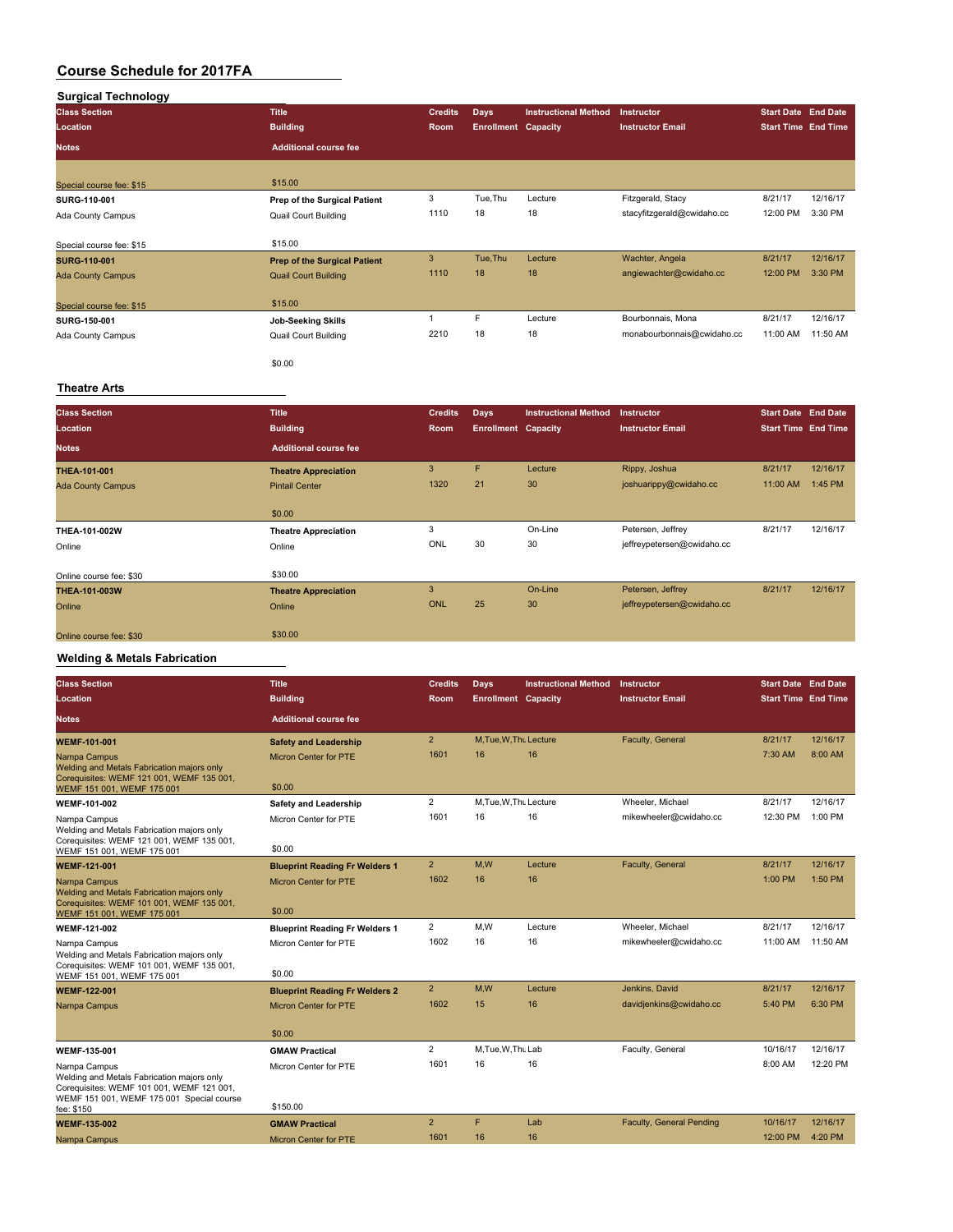### **Surgical Technology**

| <b>Class Section</b>     | <b>Title</b>                        | <b>Credits</b> | Days                       | <b>Instructional Method</b> | Instructor                 | <b>Start Date End Date</b> |          |
|--------------------------|-------------------------------------|----------------|----------------------------|-----------------------------|----------------------------|----------------------------|----------|
| Location                 | <b>Building</b>                     | Room           | <b>Enrollment Capacity</b> |                             | <b>Instructor Email</b>    | <b>Start Time End Time</b> |          |
| <b>Notes</b>             | <b>Additional course fee</b>        |                |                            |                             |                            |                            |          |
|                          |                                     |                |                            |                             |                            |                            |          |
| Special course fee: \$15 | \$15.00                             |                |                            |                             |                            |                            |          |
| SURG-110-001             | Prep of the Surgical Patient        | 3              | Tue, Thu                   | Lecture                     | Fitzgerald, Stacy          | 8/21/17                    | 12/16/17 |
| Ada County Campus        | <b>Quail Court Building</b>         | 1110           | 18                         | 18                          | stacyfitzgerald@cwidaho.cc | 12:00 PM                   | 3:30 PM  |
| Special course fee: \$15 | \$15.00                             |                |                            |                             |                            |                            |          |
| <b>SURG-110-001</b>      | <b>Prep of the Surgical Patient</b> | 3              | Tue, Thu                   | Lecture                     | Wachter, Angela            | 8/21/17                    | 12/16/17 |
| <b>Ada County Campus</b> | <b>Quail Court Building</b>         | 1110           | 18                         | 18                          | angiewachter@cwidaho.cc    | 12:00 PM                   | 3:30 PM  |
| Special course fee: \$15 | \$15.00                             |                |                            |                             |                            |                            |          |
| SURG-150-001             | <b>Job-Seeking Skills</b>           |                | F                          | Lecture                     | Bourbonnais, Mona          | 8/21/17                    | 12/16/17 |
| Ada County Campus        | <b>Quail Court Building</b>         | 2210           | 18                         | 18                          | monabourbonnais@cwidaho.cc | 11:00 AM                   | 11:50 AM |
|                          | \$0.00                              |                |                            |                             |                            |                            |          |

### **Theatre Arts**

| <b>Class Section</b>     | <b>Title</b>                 | <b>Credits</b> | <b>Days</b>                | <b>Instructional Method</b> | <b>Instructor</b>          | <b>Start Date End Date</b> |          |
|--------------------------|------------------------------|----------------|----------------------------|-----------------------------|----------------------------|----------------------------|----------|
| Location                 | <b>Building</b>              | Room           | <b>Enrollment Capacity</b> |                             | <b>Instructor Email</b>    | <b>Start Time End Time</b> |          |
| <b>Notes</b>             | <b>Additional course fee</b> |                |                            |                             |                            |                            |          |
| THEA-101-001             | <b>Theatre Appreciation</b>  | 3              | F                          | Lecture                     | Rippy, Joshua              | 8/21/17                    | 12/16/17 |
| <b>Ada County Campus</b> | <b>Pintail Center</b>        | 1320           | 21                         | 30                          | joshuarippy@cwidaho.cc     | 11:00 AM                   | 1:45 PM  |
|                          | \$0.00                       |                |                            |                             |                            |                            |          |
| THEA-101-002W            | <b>Theatre Appreciation</b>  | 3              |                            | On-Line                     | Petersen, Jeffrey          | 8/21/17                    | 12/16/17 |
| Online                   | Online                       | ONL            | 30                         | 30                          | jeffreypetersen@cwidaho.cc |                            |          |
| Online course fee: \$30  | \$30.00                      |                |                            |                             |                            |                            |          |
| THEA-101-003W            | <b>Theatre Appreciation</b>  | 3              |                            | On-Line                     | Petersen, Jeffrey          | 8/21/17                    | 12/16/17 |
| Online                   | Online                       | ONL            | 25                         | 30                          | jeffreypetersen@cwidaho.cc |                            |          |
| Online course fee: \$30  | \$30.00                      |                |                            |                             |                            |                            |          |

# **Welding & Metals Fabrication**

| <b>Class Section</b>                                                                                                                                 | <b>Title</b>                          | <b>Credits</b> | Days                       | <b>Instructional Method</b> | Instructor               | <b>Start Date End Date</b> |          |
|------------------------------------------------------------------------------------------------------------------------------------------------------|---------------------------------------|----------------|----------------------------|-----------------------------|--------------------------|----------------------------|----------|
| Location                                                                                                                                             | <b>Building</b>                       | Room           | <b>Enrollment Capacity</b> |                             | <b>Instructor Email</b>  | <b>Start Time End Time</b> |          |
| Notes                                                                                                                                                | <b>Additional course fee</b>          |                |                            |                             |                          |                            |          |
| <b>WEMF-101-001</b>                                                                                                                                  | <b>Safety and Leadership</b>          | $\overline{2}$ | M.Tue.W.Tht Lecture        |                             | Faculty, General         | 8/21/17                    | 12/16/17 |
| Nampa Campus<br>Welding and Metals Fabrication majors only<br>Corequisites: WEMF 121 001, WEMF 135 001,                                              | <b>Micron Center for PTE</b>          | 1601           | 16                         | 16                          |                          | 7:30 AM                    | 8:00 AM  |
| WEMF 151 001, WEMF 175 001                                                                                                                           | \$0.00                                |                |                            |                             |                          |                            |          |
| <b>WEMF-101-002</b>                                                                                                                                  | Safety and Leadership                 | $\overline{2}$ | M, Tue, W, Thu Lecture     |                             | Wheeler, Michael         | 8/21/17                    | 12/16/17 |
| Nampa Campus<br>Welding and Metals Fabrication majors only<br>Corequisites: WEMF 121 001, WEMF 135 001,                                              | Micron Center for PTE                 | 1601           | 16                         | 16                          | mikewheeler@cwidaho.cc   | 12:30 PM                   | 1:00 PM  |
| WEMF 151 001. WEMF 175 001                                                                                                                           | \$0.00                                |                |                            |                             |                          |                            |          |
| <b>WEMF-121-001</b>                                                                                                                                  | <b>Blueprint Reading Fr Welders 1</b> | $\overline{2}$ | M.W                        | Lecture                     | Faculty, General         | 8/21/17                    | 12/16/17 |
| Nampa Campus<br>Welding and Metals Fabrication majors only                                                                                           | <b>Micron Center for PTE</b>          | 1602           | 16                         | 16                          |                          | 1:00 PM                    | 1:50 PM  |
| Corequisites: WEMF 101 001, WEMF 135 001,<br>WEMF 151 001, WEMF 175 001                                                                              | \$0.00                                |                |                            |                             |                          |                            |          |
| WEMF-121-002                                                                                                                                         | <b>Blueprint Reading Fr Welders 1</b> | $\overline{2}$ | M,W                        | Lecture                     | Wheeler, Michael         | 8/21/17                    | 12/16/17 |
| Nampa Campus<br>Welding and Metals Fabrication majors only                                                                                           | Micron Center for PTE                 | 1602           | 16                         | 16                          | mikewheeler@cwidaho.cc   | 11:00 AM                   | 11:50 AM |
| Corequisites: WEMF 101 001, WEMF 135 001,<br>WEMF 151 001. WEMF 175 001                                                                              | \$0.00                                |                |                            |                             |                          |                            |          |
| <b>WEMF-122-001</b>                                                                                                                                  | <b>Blueprint Reading Fr Welders 2</b> | $\overline{2}$ | M,W                        | Lecture                     | Jenkins, David           | 8/21/17                    | 12/16/17 |
| Nampa Campus                                                                                                                                         | <b>Micron Center for PTE</b>          | 1602           | 15                         | 16                          | davidjenkins@cwidaho.cc  | 5:40 PM                    | 6:30 PM  |
|                                                                                                                                                      | \$0.00                                |                |                            |                             |                          |                            |          |
| <b>WEMF-135-001</b>                                                                                                                                  | <b>GMAW Practical</b>                 | $\overline{2}$ | M.Tue.W.Thu Lab            |                             | Faculty, General         | 10/16/17                   | 12/16/17 |
| Nampa Campus<br>Welding and Metals Fabrication majors only<br>Corequisites: WEMF 101 001, WEMF 121 001,<br>WEMF 151 001, WEMF 175 001 Special course | Micron Center for PTE                 | 1601           | 16                         | 16                          |                          | 8:00 AM                    | 12:20 PM |
| fee: \$150                                                                                                                                           | \$150.00                              |                |                            |                             |                          |                            |          |
| <b>WEMF-135-002</b>                                                                                                                                  | <b>GMAW Practical</b>                 | $\overline{2}$ | F                          | Lab                         | Faculty, General Pending | 10/16/17                   | 12/16/17 |
| Nampa Campus                                                                                                                                         | <b>Micron Center for PTE</b>          | 1601           | 16                         | 16                          |                          | 12:00 PM                   | 4:20 PM  |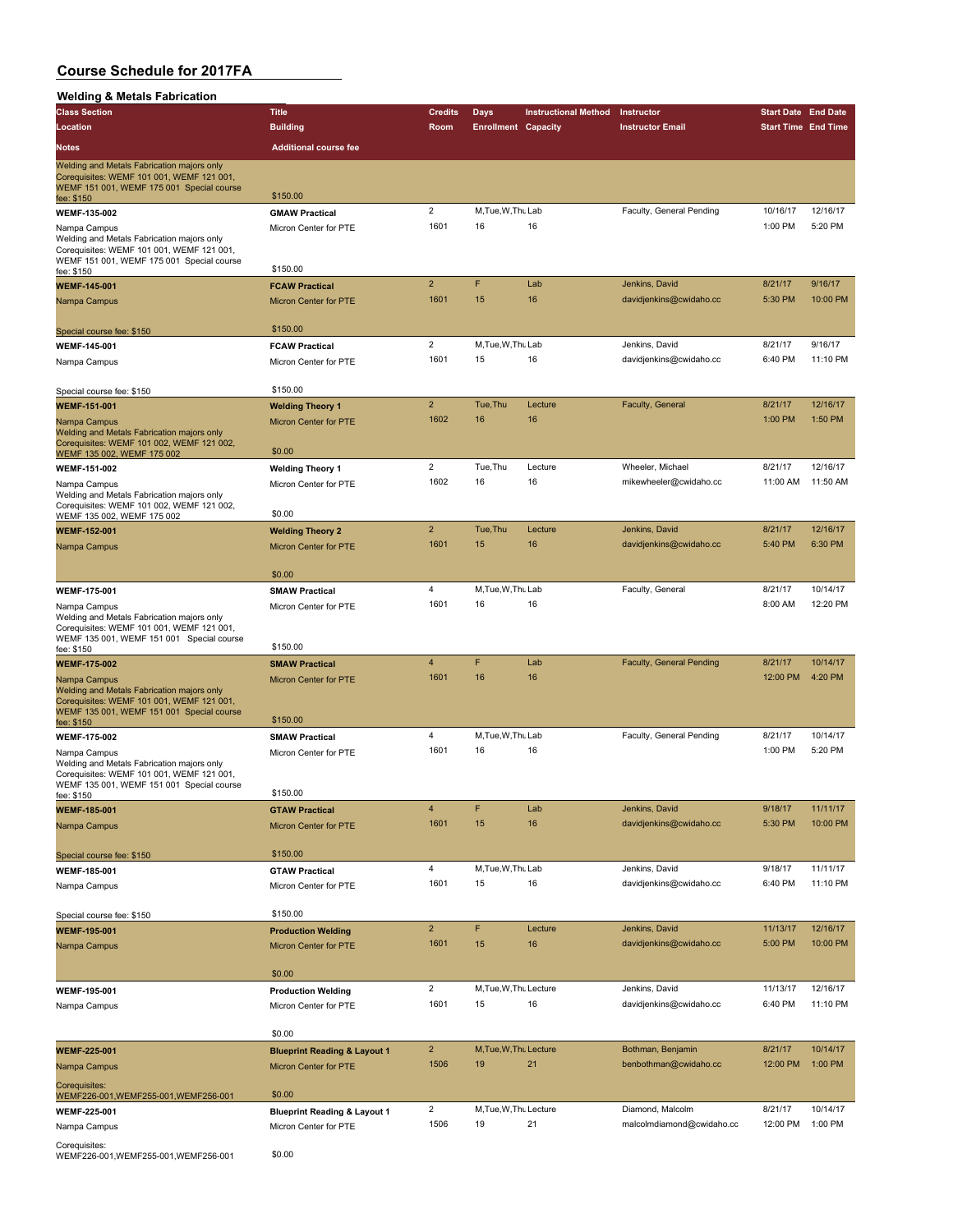| <b>Welding &amp; Metals Fabrication</b>                                                                                                                            |                                                                  |                        |                              |                             |                                            |                            |                      |
|--------------------------------------------------------------------------------------------------------------------------------------------------------------------|------------------------------------------------------------------|------------------------|------------------------------|-----------------------------|--------------------------------------------|----------------------------|----------------------|
| <b>Class Section</b>                                                                                                                                               | <b>Title</b>                                                     | <b>Credits</b>         | <b>Days</b>                  | <b>Instructional Method</b> | Instructor                                 | <b>Start Date End Date</b> |                      |
| Location                                                                                                                                                           | <b>Building</b>                                                  | Room                   | <b>Enrollment Capacity</b>   |                             | <b>Instructor Email</b>                    | <b>Start Time End Time</b> |                      |
| Notes                                                                                                                                                              | <b>Additional course fee</b>                                     |                        |                              |                             |                                            |                            |                      |
|                                                                                                                                                                    |                                                                  |                        |                              |                             |                                            |                            |                      |
| Welding and Metals Fabrication majors only<br>Corequisites: WEMF 101 001, WEMF 121 001,<br>WEMF 151 001, WEMF 175 001 Special course                               | \$150.00                                                         |                        |                              |                             |                                            |                            |                      |
| fee: \$150                                                                                                                                                         |                                                                  | $\overline{2}$         | M, Tue, W, Thu Lab           |                             | Faculty, General Pending                   | 10/16/17                   | 12/16/17             |
| <b>WEMF-135-002</b>                                                                                                                                                | <b>GMAW Practical</b>                                            | 1601                   | 16                           | 16                          |                                            | 1:00 PM                    | 5:20 PM              |
| Nampa Campus<br>Welding and Metals Fabrication majors only<br>Corequisites: WEMF 101 001, WEMF 121 001,<br>WEMF 151 001, WEMF 175 001 Special course<br>fee: \$150 | Micron Center for PTE<br>\$150.00                                |                        |                              |                             |                                            |                            |                      |
| <b>WEMF-145-001</b>                                                                                                                                                | <b>FCAW Practical</b>                                            | $\overline{2}$         | F                            | Lab                         | Jenkins, David                             | 8/21/17                    | 9/16/17              |
| Nampa Campus                                                                                                                                                       | <b>Micron Center for PTE</b>                                     | 1601                   | 15                           | 16                          | davidjenkins@cwidaho.cc                    | 5:30 PM                    | 10:00 PM             |
| Special course fee: \$150                                                                                                                                          | \$150.00                                                         |                        |                              |                             |                                            |                            |                      |
| WEMF-145-001                                                                                                                                                       | <b>FCAW Practical</b>                                            | $\overline{2}$         | M, Tue, W, Thu Lab           |                             | Jenkins, David                             | 8/21/17                    | 9/16/17              |
| Nampa Campus                                                                                                                                                       | Micron Center for PTE                                            | 1601                   | 15                           | 16                          | davidjenkins@cwidaho.cc                    | 6:40 PM                    | 11:10 PM             |
| Special course fee: \$150                                                                                                                                          | \$150.00                                                         |                        |                              |                             |                                            |                            |                      |
| <b>WEMF-151-001</b>                                                                                                                                                | <b>Welding Theory 1</b>                                          | $\overline{2}$         | Tue, Thu                     | Lecture                     | Faculty, General                           | 8/21/17                    | 12/16/17             |
| Nampa Campus                                                                                                                                                       | Micron Center for PTE                                            | 1602                   | 16                           | 16                          |                                            | 1:00 PM                    | 1:50 PM              |
| Welding and Metals Fabrication majors only<br>Corequisites: WEMF 101 002, WEMF 121 002,<br>WEMF 135 002, WEMF 175 002                                              | \$0.00                                                           |                        |                              |                             |                                            |                            |                      |
| WEMF-151-002                                                                                                                                                       | <b>Welding Theory 1</b>                                          | $\overline{2}$         | Tue, Thu                     | Lecture                     | Wheeler, Michael                           | 8/21/17                    | 12/16/17             |
| Nampa Campus                                                                                                                                                       | Micron Center for PTE                                            | 1602                   | 16                           | 16                          | mikewheeler@cwidaho.cc                     | 11:00 AM                   | 11:50 AM             |
| Welding and Metals Fabrication majors only<br>Corequisites: WEMF 101 002, WEMF 121 002,<br>WEMF 135 002, WEMF 175 002                                              | \$0.00                                                           |                        |                              |                             |                                            |                            |                      |
| <b>WEMF-152-001</b>                                                                                                                                                | <b>Welding Theory 2</b>                                          | $\overline{2}$         | Tue, Thu                     | Lecture                     | Jenkins, David                             | 8/21/17                    | 12/16/17             |
| Nampa Campus                                                                                                                                                       | <b>Micron Center for PTE</b>                                     | 1601                   | 15                           | 16                          | davidjenkins@cwidaho.cc                    | 5:40 PM                    | 6:30 PM              |
|                                                                                                                                                                    | \$0.00                                                           |                        |                              |                             |                                            |                            |                      |
| WEMF-175-001                                                                                                                                                       | <b>SMAW Practical</b>                                            | 4                      | M, Tue, W, Thu Lab           |                             | Faculty, General                           | 8/21/17                    | 10/14/17             |
|                                                                                                                                                                    |                                                                  | 1601                   | 16                           | 16                          |                                            | 8:00 AM                    | 12:20 PM             |
| Nampa Campus<br>Welding and Metals Fabrication majors only<br>Corequisites: WEMF 101 001, WEMF 121 001,<br>WEMF 135 001, WEMF 151 001 Special course               | Micron Center for PTE                                            |                        |                              |                             |                                            |                            |                      |
| fee: \$150                                                                                                                                                         | \$150.00                                                         |                        |                              |                             |                                            |                            |                      |
| <b>WEMF-175-002</b>                                                                                                                                                | <b>SMAW Practical</b>                                            | $\overline{4}$         | F                            | Lab                         | Faculty, General Pending                   | 8/21/17                    | 10/14/17             |
| Nampa Campus<br>Welding and Metals Fabrication majors only<br>Corequisites: WEMF 101 001, WEMF 121 001,<br>WEMF 135 001, WEMF 151 001 Special course               | <b>Micron Center for PTE</b>                                     | 1601                   | 16                           | 16                          |                                            | 12:00 PM                   | 4:20 PM              |
| fee: \$150                                                                                                                                                         | \$150.00                                                         |                        |                              |                             |                                            |                            |                      |
| <b>WEMF-175-002</b>                                                                                                                                                | <b>SMAW Practical</b>                                            | 4                      | M, Tue, W, Thu Lab           |                             | Faculty, General Pending                   | 8/21/17                    | 10/14/17             |
| Nampa Campus<br>Welding and Metals Fabrication majors only<br>Corequisites: WEMF 101 001, WEMF 121 001,<br>WEMF 135 001, WEMF 151 001 Special course               | Micron Center for PTE                                            | 1601                   | 16                           | 16                          |                                            | 1:00 PM                    | 5:20 PM              |
| fee: \$150                                                                                                                                                         | \$150.00                                                         |                        |                              |                             |                                            |                            |                      |
| <b>WEMF-185-001</b><br>Nampa Campus                                                                                                                                | <b>GTAW Practical</b><br>Micron Center for PTE                   | 4<br>1601              | F<br>15                      | Lab<br>16                   | Jenkins, David<br>davidjenkins@cwidaho.cc  | 9/18/17<br>5:30 PM         | 11/11/17<br>10:00 PM |
|                                                                                                                                                                    |                                                                  |                        |                              |                             |                                            |                            |                      |
| Special course fee: \$150                                                                                                                                          | \$150.00                                                         |                        |                              |                             |                                            |                            |                      |
| WEMF-185-001                                                                                                                                                       | <b>GTAW Practical</b>                                            | 4                      | M, Tue, W, Thu Lab           |                             | Jenkins, David                             | 9/18/17                    | 11/11/17             |
| Nampa Campus                                                                                                                                                       | Micron Center for PTE                                            | 1601                   | 15                           | 16                          | davidjenkins@cwidaho.cc                    | 6:40 PM                    | 11:10 PM             |
| Special course fee: \$150                                                                                                                                          | \$150.00                                                         |                        |                              |                             |                                            |                            |                      |
| <b>WEMF-195-001</b>                                                                                                                                                | <b>Production Welding</b>                                        | $\overline{2}$         | F                            | Lecture                     | Jenkins, David                             | 11/13/17                   | 12/16/17             |
| Nampa Campus                                                                                                                                                       | Micron Center for PTE                                            | 1601                   | 15                           | 16                          | davidjenkins@cwidaho.cc                    | 5:00 PM                    | 10:00 PM             |
|                                                                                                                                                                    | \$0.00                                                           |                        |                              |                             |                                            |                            |                      |
| WEMF-195-001                                                                                                                                                       | <b>Production Welding</b>                                        | $\overline{2}$         | M, Tue, W, Thu Lecture       |                             | Jenkins, David                             | 11/13/17                   | 12/16/17             |
| Nampa Campus                                                                                                                                                       | Micron Center for PTE                                            | 1601                   | 15                           | 16                          | davidjenkins@cwidaho.cc                    | 6:40 PM                    | 11:10 PM             |
|                                                                                                                                                                    | \$0.00                                                           |                        |                              |                             |                                            |                            |                      |
| <b>WEMF-225-001</b><br>Nampa Campus                                                                                                                                | <b>Blueprint Reading &amp; Layout 1</b><br>Micron Center for PTE | $\overline{2}$<br>1506 | M, Tue, W, Thu Lecture<br>19 | 21                          | Bothman, Benjamin<br>benbothman@cwidaho.cc | 8/21/17<br>12:00 PM        | 10/14/17<br>1:00 PM  |
| Corequisites:<br>WEMF226-001, WEMF255-001, WEMF256-001                                                                                                             | \$0.00                                                           |                        |                              |                             |                                            |                            |                      |
| WEMF-225-001                                                                                                                                                       | <b>Blueprint Reading &amp; Layout 1</b>                          | 2                      | M, Tue, W, Thu Lecture       |                             | Diamond, Malcolm                           | 8/21/17                    | 10/14/17             |
| Nampa Campus                                                                                                                                                       | Micron Center for PTE                                            | 1506                   | 19                           | 21                          | malcolmdiamond@cwidaho.cc                  | 12:00 PM                   | 1:00 PM              |
|                                                                                                                                                                    |                                                                  |                        |                              |                             |                                            |                            |                      |
| Corequisites:                                                                                                                                                      |                                                                  |                        |                              |                             |                                            |                            |                      |

Corequisites: WEMF226-001,WEMF255-001,WEMF256-001 \$0.00